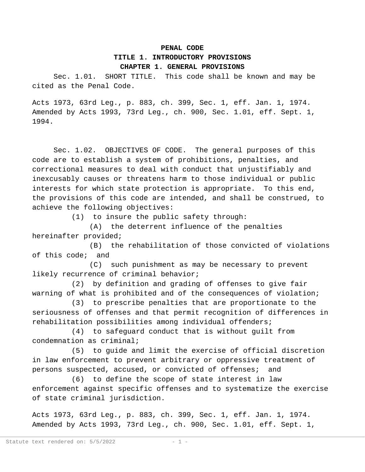# **PENAL CODE TITLE 1. INTRODUCTORY PROVISIONS CHAPTER 1. GENERAL PROVISIONS**

Sec. 1.01. SHORT TITLE. This code shall be known and may be cited as the Penal Code.

Acts 1973, 63rd Leg., p. 883, ch. 399, Sec. 1, eff. Jan. 1, 1974. Amended by Acts 1993, 73rd Leg., ch. 900, Sec. 1.01, eff. Sept. 1, 1994.

Sec. 1.02. OBJECTIVES OF CODE. The general purposes of this code are to establish a system of prohibitions, penalties, and correctional measures to deal with conduct that unjustifiably and inexcusably causes or threatens harm to those individual or public interests for which state protection is appropriate. To this end, the provisions of this code are intended, and shall be construed, to achieve the following objectives:

(1) to insure the public safety through:

(A) the deterrent influence of the penalties hereinafter provided;

(B) the rehabilitation of those convicted of violations of this code; and

(C) such punishment as may be necessary to prevent likely recurrence of criminal behavior;

(2) by definition and grading of offenses to give fair warning of what is prohibited and of the consequences of violation;

(3) to prescribe penalties that are proportionate to the seriousness of offenses and that permit recognition of differences in rehabilitation possibilities among individual offenders;

(4) to safeguard conduct that is without guilt from condemnation as criminal;

(5) to guide and limit the exercise of official discretion in law enforcement to prevent arbitrary or oppressive treatment of persons suspected, accused, or convicted of offenses; and

(6) to define the scope of state interest in law enforcement against specific offenses and to systematize the exercise of state criminal jurisdiction.

Acts 1973, 63rd Leg., p. 883, ch. 399, Sec. 1, eff. Jan. 1, 1974. Amended by Acts 1993, 73rd Leg., ch. 900, Sec. 1.01, eff. Sept. 1,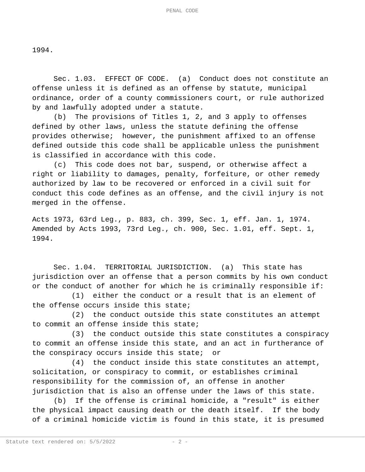1994.

Sec. 1.03. EFFECT OF CODE. (a) Conduct does not constitute an offense unless it is defined as an offense by statute, municipal ordinance, order of a county commissioners court, or rule authorized by and lawfully adopted under a statute.

(b) The provisions of Titles 1, 2, and 3 apply to offenses defined by other laws, unless the statute defining the offense provides otherwise; however, the punishment affixed to an offense defined outside this code shall be applicable unless the punishment is classified in accordance with this code.

(c) This code does not bar, suspend, or otherwise affect a right or liability to damages, penalty, forfeiture, or other remedy authorized by law to be recovered or enforced in a civil suit for conduct this code defines as an offense, and the civil injury is not merged in the offense.

Acts 1973, 63rd Leg., p. 883, ch. 399, Sec. 1, eff. Jan. 1, 1974. Amended by Acts 1993, 73rd Leg., ch. 900, Sec. 1.01, eff. Sept. 1, 1994.

Sec. 1.04. TERRITORIAL JURISDICTION. (a) This state has jurisdiction over an offense that a person commits by his own conduct or the conduct of another for which he is criminally responsible if:

(1) either the conduct or a result that is an element of the offense occurs inside this state;

(2) the conduct outside this state constitutes an attempt to commit an offense inside this state;

(3) the conduct outside this state constitutes a conspiracy to commit an offense inside this state, and an act in furtherance of the conspiracy occurs inside this state; or

(4) the conduct inside this state constitutes an attempt, solicitation, or conspiracy to commit, or establishes criminal responsibility for the commission of, an offense in another jurisdiction that is also an offense under the laws of this state.

(b) If the offense is criminal homicide, a "result" is either the physical impact causing death or the death itself. If the body of a criminal homicide victim is found in this state, it is presumed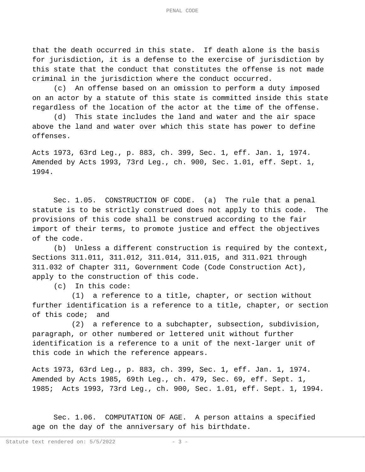that the death occurred in this state. If death alone is the basis for jurisdiction, it is a defense to the exercise of jurisdiction by this state that the conduct that constitutes the offense is not made criminal in the jurisdiction where the conduct occurred.

(c) An offense based on an omission to perform a duty imposed on an actor by a statute of this state is committed inside this state regardless of the location of the actor at the time of the offense.

(d) This state includes the land and water and the air space above the land and water over which this state has power to define offenses.

Acts 1973, 63rd Leg., p. 883, ch. 399, Sec. 1, eff. Jan. 1, 1974. Amended by Acts 1993, 73rd Leg., ch. 900, Sec. 1.01, eff. Sept. 1, 1994.

Sec. 1.05. CONSTRUCTION OF CODE. (a) The rule that a penal statute is to be strictly construed does not apply to this code. The provisions of this code shall be construed according to the fair import of their terms, to promote justice and effect the objectives of the code.

(b) Unless a different construction is required by the context, Sections 311.011, 311.012, 311.014, 311.015, and 311.021 through 311.032 of Chapter 311, Government Code (Code Construction Act), apply to the construction of this code.

(c) In this code:

(1) a reference to a title, chapter, or section without further identification is a reference to a title, chapter, or section of this code; and

(2) a reference to a subchapter, subsection, subdivision, paragraph, or other numbered or lettered unit without further identification is a reference to a unit of the next-larger unit of this code in which the reference appears.

Acts 1973, 63rd Leg., p. 883, ch. 399, Sec. 1, eff. Jan. 1, 1974. Amended by Acts 1985, 69th Leg., ch. 479, Sec. 69, eff. Sept. 1, 1985; Acts 1993, 73rd Leg., ch. 900, Sec. 1.01, eff. Sept. 1, 1994.

Sec. 1.06. COMPUTATION OF AGE. A person attains a specified age on the day of the anniversary of his birthdate.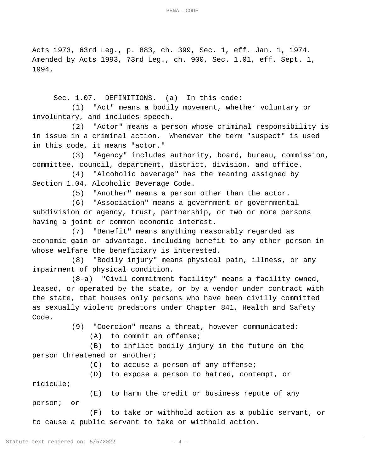Acts 1973, 63rd Leg., p. 883, ch. 399, Sec. 1, eff. Jan. 1, 1974. Amended by Acts 1993, 73rd Leg., ch. 900, Sec. 1.01, eff. Sept. 1, 1994.

Sec. 1.07. DEFINITIONS. (a) In this code:

(1) "Act" means a bodily movement, whether voluntary or involuntary, and includes speech.

(2) "Actor" means a person whose criminal responsibility is in issue in a criminal action. Whenever the term "suspect" is used in this code, it means "actor."

(3) "Agency" includes authority, board, bureau, commission, committee, council, department, district, division, and office.

(4) "Alcoholic beverage" has the meaning assigned by Section 1.04, Alcoholic Beverage Code.

(5) "Another" means a person other than the actor.

(6) "Association" means a government or governmental subdivision or agency, trust, partnership, or two or more persons having a joint or common economic interest.

(7) "Benefit" means anything reasonably regarded as economic gain or advantage, including benefit to any other person in whose welfare the beneficiary is interested.

(8) "Bodily injury" means physical pain, illness, or any impairment of physical condition.

(8-a) "Civil commitment facility" means a facility owned, leased, or operated by the state, or by a vendor under contract with the state, that houses only persons who have been civilly committed as sexually violent predators under Chapter 841, Health and Safety Code.

(9) "Coercion" means a threat, however communicated:

(A) to commit an offense;

(B) to inflict bodily injury in the future on the person threatened or another;

(C) to accuse a person of any offense;

(D) to expose a person to hatred, contempt, or

ridicule;

(E) to harm the credit or business repute of any person; or

(F) to take or withhold action as a public servant, or to cause a public servant to take or withhold action.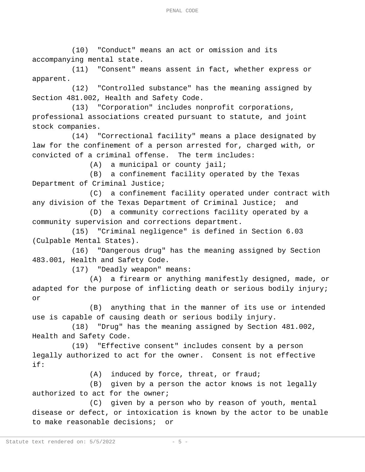(10) "Conduct" means an act or omission and its accompanying mental state.

(11) "Consent" means assent in fact, whether express or apparent.

(12) "Controlled substance" has the meaning assigned by Section 481.002, Health and Safety Code.

(13) "Corporation" includes nonprofit corporations, professional associations created pursuant to statute, and joint stock companies.

(14) "Correctional facility" means a place designated by law for the confinement of a person arrested for, charged with, or convicted of a criminal offense. The term includes:

(A) a municipal or county jail;

(B) a confinement facility operated by the Texas Department of Criminal Justice;

(C) a confinement facility operated under contract with any division of the Texas Department of Criminal Justice; and

(D) a community corrections facility operated by a community supervision and corrections department.

(15) "Criminal negligence" is defined in Section 6.03 (Culpable Mental States).

(16) "Dangerous drug" has the meaning assigned by Section 483.001, Health and Safety Code.

(17) "Deadly weapon" means:

(A) a firearm or anything manifestly designed, made, or adapted for the purpose of inflicting death or serious bodily injury; or

(B) anything that in the manner of its use or intended use is capable of causing death or serious bodily injury.

(18) "Drug" has the meaning assigned by Section 481.002, Health and Safety Code.

(19) "Effective consent" includes consent by a person legally authorized to act for the owner. Consent is not effective if:

(A) induced by force, threat, or fraud;

(B) given by a person the actor knows is not legally authorized to act for the owner;

(C) given by a person who by reason of youth, mental disease or defect, or intoxication is known by the actor to be unable to make reasonable decisions; or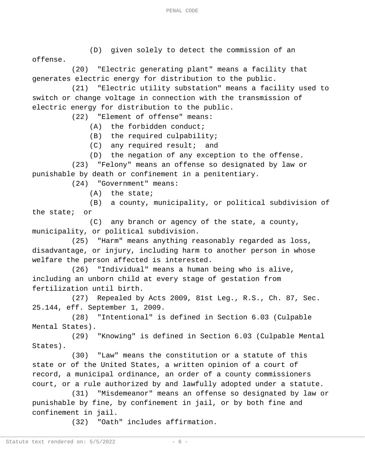(D) given solely to detect the commission of an offense.

(20) "Electric generating plant" means a facility that generates electric energy for distribution to the public.

(21) "Electric utility substation" means a facility used to switch or change voltage in connection with the transmission of electric energy for distribution to the public.

(22) "Element of offense" means:

(A) the forbidden conduct;

(B) the required culpability;

(C) any required result; and

(D) the negation of any exception to the offense.

(23) "Felony" means an offense so designated by law or punishable by death or confinement in a penitentiary.

(24) "Government" means:

(A) the state;

(B) a county, municipality, or political subdivision of the state; or

(C) any branch or agency of the state, a county, municipality, or political subdivision.

(25) "Harm" means anything reasonably regarded as loss, disadvantage, or injury, including harm to another person in whose welfare the person affected is interested.

(26) "Individual" means a human being who is alive, including an unborn child at every stage of gestation from fertilization until birth.

(27) Repealed by Acts 2009, 81st Leg., R.S., Ch. 87, Sec. 25.144, eff. September 1, 2009.

(28) "Intentional" is defined in Section 6.03 (Culpable Mental States).

(29) "Knowing" is defined in Section 6.03 (Culpable Mental States).

(30) "Law" means the constitution or a statute of this state or of the United States, a written opinion of a court of record, a municipal ordinance, an order of a county commissioners court, or a rule authorized by and lawfully adopted under a statute.

(31) "Misdemeanor" means an offense so designated by law or punishable by fine, by confinement in jail, or by both fine and confinement in jail.

(32) "Oath" includes affirmation.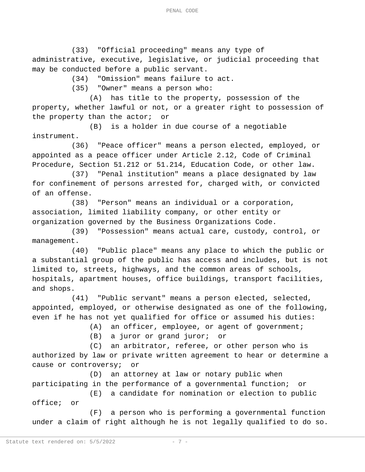(33) "Official proceeding" means any type of administrative, executive, legislative, or judicial proceeding that may be conducted before a public servant.

(34) "Omission" means failure to act.

(35) "Owner" means a person who:

(A) has title to the property, possession of the property, whether lawful or not, or a greater right to possession of the property than the actor; or

(B) is a holder in due course of a negotiable instrument.

(36) "Peace officer" means a person elected, employed, or appointed as a peace officer under Article 2.12, Code of Criminal Procedure, Section 51.212 or 51.214, Education Code, or other law.

(37) "Penal institution" means a place designated by law for confinement of persons arrested for, charged with, or convicted of an offense.

(38) "Person" means an individual or a corporation, association, limited liability company, or other entity or organization governed by the Business Organizations Code.

(39) "Possession" means actual care, custody, control, or management.

(40) "Public place" means any place to which the public or a substantial group of the public has access and includes, but is not limited to, streets, highways, and the common areas of schools, hospitals, apartment houses, office buildings, transport facilities, and shops.

(41) "Public servant" means a person elected, selected, appointed, employed, or otherwise designated as one of the following, even if he has not yet qualified for office or assumed his duties:

(A) an officer, employee, or agent of government;

(B) a juror or grand juror; or

(C) an arbitrator, referee, or other person who is authorized by law or private written agreement to hear or determine a cause or controversy; or

(D) an attorney at law or notary public when participating in the performance of a governmental function; or

(E) a candidate for nomination or election to public office; or

(F) a person who is performing a governmental function under a claim of right although he is not legally qualified to do so.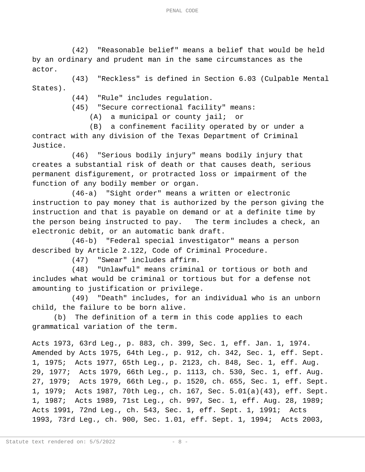PENAL CODE

(42) "Reasonable belief" means a belief that would be held by an ordinary and prudent man in the same circumstances as the actor.

(43) "Reckless" is defined in Section 6.03 (Culpable Mental States).

(44) "Rule" includes regulation.

(45) "Secure correctional facility" means:

(A) a municipal or county jail; or

(B) a confinement facility operated by or under a contract with any division of the Texas Department of Criminal Justice.

(46) "Serious bodily injury" means bodily injury that creates a substantial risk of death or that causes death, serious permanent disfigurement, or protracted loss or impairment of the function of any bodily member or organ.

(46-a) "Sight order" means a written or electronic instruction to pay money that is authorized by the person giving the instruction and that is payable on demand or at a definite time by the person being instructed to pay. The term includes a check, an electronic debit, or an automatic bank draft.

(46-b) "Federal special investigator" means a person described by Article 2.122, Code of Criminal Procedure.

(47) "Swear" includes affirm.

(48) "Unlawful" means criminal or tortious or both and includes what would be criminal or tortious but for a defense not amounting to justification or privilege.

(49) "Death" includes, for an individual who is an unborn child, the failure to be born alive.

(b) The definition of a term in this code applies to each grammatical variation of the term.

Acts 1973, 63rd Leg., p. 883, ch. 399, Sec. 1, eff. Jan. 1, 1974. Amended by Acts 1975, 64th Leg., p. 912, ch. 342, Sec. 1, eff. Sept. 1, 1975; Acts 1977, 65th Leg., p. 2123, ch. 848, Sec. 1, eff. Aug. 29, 1977; Acts 1979, 66th Leg., p. 1113, ch. 530, Sec. 1, eff. Aug. 27, 1979; Acts 1979, 66th Leg., p. 1520, ch. 655, Sec. 1, eff. Sept. 1, 1979; Acts 1987, 70th Leg., ch. 167, Sec. 5.01(a)(43), eff. Sept. 1, 1987; Acts 1989, 71st Leg., ch. 997, Sec. 1, eff. Aug. 28, 1989; Acts 1991, 72nd Leg., ch. 543, Sec. 1, eff. Sept. 1, 1991; Acts 1993, 73rd Leg., ch. 900, Sec. 1.01, eff. Sept. 1, 1994; Acts 2003,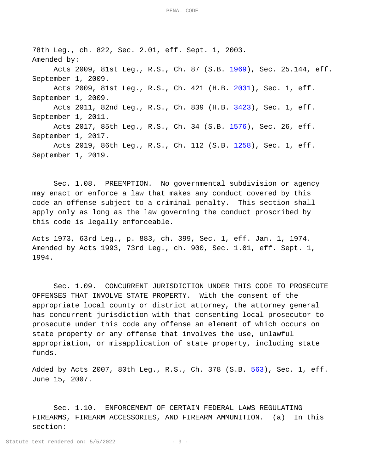78th Leg., ch. 822, Sec. 2.01, eff. Sept. 1, 2003. Amended by: Acts 2009, 81st Leg., R.S., Ch. 87 (S.B. [1969\)](http://www.legis.state.tx.us/tlodocs/81R/billtext/html/SB01969F.HTM), Sec. 25.144, eff. September 1, 2009. Acts 2009, 81st Leg., R.S., Ch. 421 (H.B. [2031](http://www.legis.state.tx.us/tlodocs/81R/billtext/html/HB02031F.HTM)), Sec. 1, eff. September 1, 2009. Acts 2011, 82nd Leg., R.S., Ch. 839 (H.B. [3423](http://www.legis.state.tx.us/tlodocs/82R/billtext/html/HB03423F.HTM)), Sec. 1, eff. September 1, 2011. Acts 2017, 85th Leg., R.S., Ch. 34 (S.B. [1576\)](http://www.legis.state.tx.us/tlodocs/85R/billtext/html/SB01576F.HTM), Sec. 26, eff. September 1, 2017. Acts 2019, 86th Leg., R.S., Ch. 112 (S.B. [1258](http://www.legis.state.tx.us/tlodocs/86R/billtext/html/SB01258F.HTM)), Sec. 1, eff. September 1, 2019.

Sec. 1.08. PREEMPTION. No governmental subdivision or agency may enact or enforce a law that makes any conduct covered by this code an offense subject to a criminal penalty. This section shall apply only as long as the law governing the conduct proscribed by this code is legally enforceable.

Acts 1973, 63rd Leg., p. 883, ch. 399, Sec. 1, eff. Jan. 1, 1974. Amended by Acts 1993, 73rd Leg., ch. 900, Sec. 1.01, eff. Sept. 1, 1994.

Sec. 1.09. CONCURRENT JURISDICTION UNDER THIS CODE TO PROSECUTE OFFENSES THAT INVOLVE STATE PROPERTY. With the consent of the appropriate local county or district attorney, the attorney general has concurrent jurisdiction with that consenting local prosecutor to prosecute under this code any offense an element of which occurs on state property or any offense that involves the use, unlawful appropriation, or misapplication of state property, including state funds.

Added by Acts 2007, 80th Leg., R.S., Ch. 378 (S.B. [563\)](http://www.legis.state.tx.us/tlodocs/80R/billtext/html/SB00563F.HTM), Sec. 1, eff. June 15, 2007.

Sec. 1.10. ENFORCEMENT OF CERTAIN FEDERAL LAWS REGULATING FIREARMS, FIREARM ACCESSORIES, AND FIREARM AMMUNITION. (a) In this section: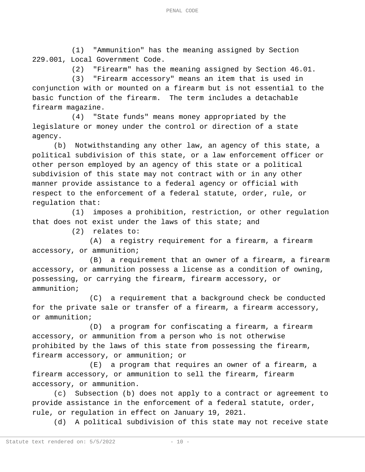(1) "Ammunition" has the meaning assigned by Section 229.001, Local Government Code.

(2) "Firearm" has the meaning assigned by Section 46.01.

(3) "Firearm accessory" means an item that is used in conjunction with or mounted on a firearm but is not essential to the basic function of the firearm. The term includes a detachable firearm magazine.

(4) "State funds" means money appropriated by the legislature or money under the control or direction of a state agency.

(b) Notwithstanding any other law, an agency of this state, a political subdivision of this state, or a law enforcement officer or other person employed by an agency of this state or a political subdivision of this state may not contract with or in any other manner provide assistance to a federal agency or official with respect to the enforcement of a federal statute, order, rule, or regulation that:

(1) imposes a prohibition, restriction, or other regulation that does not exist under the laws of this state; and

(2) relates to:

(A) a registry requirement for a firearm, a firearm accessory, or ammunition;

(B) a requirement that an owner of a firearm, a firearm accessory, or ammunition possess a license as a condition of owning, possessing, or carrying the firearm, firearm accessory, or ammunition;

(C) a requirement that a background check be conducted for the private sale or transfer of a firearm, a firearm accessory, or ammunition;

(D) a program for confiscating a firearm, a firearm accessory, or ammunition from a person who is not otherwise prohibited by the laws of this state from possessing the firearm, firearm accessory, or ammunition; or

(E) a program that requires an owner of a firearm, a firearm accessory, or ammunition to sell the firearm, firearm accessory, or ammunition.

(c) Subsection (b) does not apply to a contract or agreement to provide assistance in the enforcement of a federal statute, order, rule, or regulation in effect on January 19, 2021.

(d) A political subdivision of this state may not receive state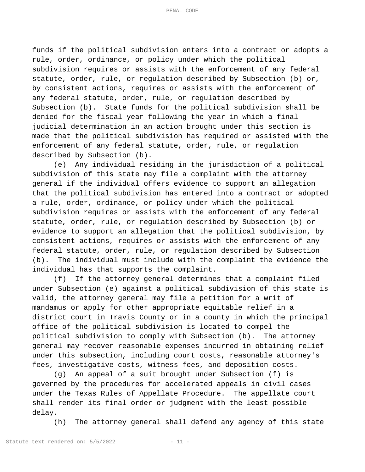funds if the political subdivision enters into a contract or adopts a rule, order, ordinance, or policy under which the political subdivision requires or assists with the enforcement of any federal statute, order, rule, or regulation described by Subsection (b) or, by consistent actions, requires or assists with the enforcement of any federal statute, order, rule, or regulation described by Subsection (b). State funds for the political subdivision shall be denied for the fiscal year following the year in which a final judicial determination in an action brought under this section is made that the political subdivision has required or assisted with the enforcement of any federal statute, order, rule, or regulation described by Subsection (b).

(e) Any individual residing in the jurisdiction of a political subdivision of this state may file a complaint with the attorney general if the individual offers evidence to support an allegation that the political subdivision has entered into a contract or adopted a rule, order, ordinance, or policy under which the political subdivision requires or assists with the enforcement of any federal statute, order, rule, or regulation described by Subsection (b) or evidence to support an allegation that the political subdivision, by consistent actions, requires or assists with the enforcement of any federal statute, order, rule, or regulation described by Subsection (b). The individual must include with the complaint the evidence the individual has that supports the complaint.

(f) If the attorney general determines that a complaint filed under Subsection (e) against a political subdivision of this state is valid, the attorney general may file a petition for a writ of mandamus or apply for other appropriate equitable relief in a district court in Travis County or in a county in which the principal office of the political subdivision is located to compel the political subdivision to comply with Subsection (b). The attorney general may recover reasonable expenses incurred in obtaining relief under this subsection, including court costs, reasonable attorney's fees, investigative costs, witness fees, and deposition costs.

(g) An appeal of a suit brought under Subsection (f) is governed by the procedures for accelerated appeals in civil cases under the Texas Rules of Appellate Procedure. The appellate court shall render its final order or judgment with the least possible delay.

(h) The attorney general shall defend any agency of this state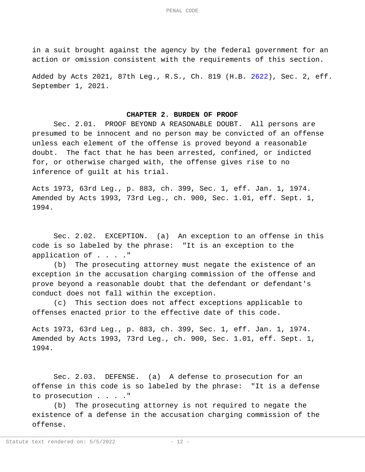in a suit brought against the agency by the federal government for an action or omission consistent with the requirements of this section.

Added by Acts 2021, 87th Leg., R.S., Ch. 819 (H.B. [2622](http://www.legis.state.tx.us/tlodocs/87R/billtext/html/HB02622F.HTM)), Sec. 2, eff. September 1, 2021.

#### **CHAPTER 2. BURDEN OF PROOF**

Sec. 2.01. PROOF BEYOND A REASONABLE DOUBT. All persons are presumed to be innocent and no person may be convicted of an offense unless each element of the offense is proved beyond a reasonable doubt. The fact that he has been arrested, confined, or indicted for, or otherwise charged with, the offense gives rise to no inference of guilt at his trial.

Acts 1973, 63rd Leg., p. 883, ch. 399, Sec. 1, eff. Jan. 1, 1974. Amended by Acts 1993, 73rd Leg., ch. 900, Sec. 1.01, eff. Sept. 1, 1994.

Sec. 2.02. EXCEPTION. (a) An exception to an offense in this code is so labeled by the phrase: "It is an exception to the application of . . . . "

(b) The prosecuting attorney must negate the existence of an exception in the accusation charging commission of the offense and prove beyond a reasonable doubt that the defendant or defendant's conduct does not fall within the exception.

(c) This section does not affect exceptions applicable to offenses enacted prior to the effective date of this code.

Acts 1973, 63rd Leg., p. 883, ch. 399, Sec. 1, eff. Jan. 1, 1974. Amended by Acts 1993, 73rd Leg., ch. 900, Sec. 1.01, eff. Sept. 1, 1994.

Sec. 2.03. DEFENSE. (a) A defense to prosecution for an offense in this code is so labeled by the phrase: "It is a defense to prosecution . . . ."

(b) The prosecuting attorney is not required to negate the existence of a defense in the accusation charging commission of the offense.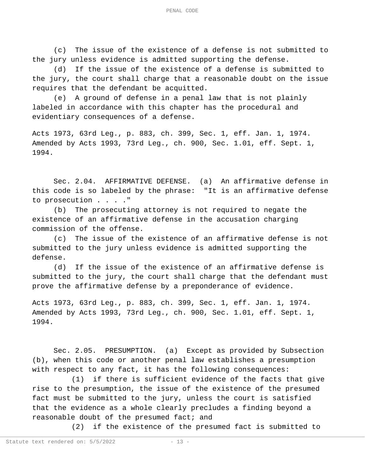(c) The issue of the existence of a defense is not submitted to the jury unless evidence is admitted supporting the defense.

(d) If the issue of the existence of a defense is submitted to the jury, the court shall charge that a reasonable doubt on the issue requires that the defendant be acquitted.

(e) A ground of defense in a penal law that is not plainly labeled in accordance with this chapter has the procedural and evidentiary consequences of a defense.

Acts 1973, 63rd Leg., p. 883, ch. 399, Sec. 1, eff. Jan. 1, 1974. Amended by Acts 1993, 73rd Leg., ch. 900, Sec. 1.01, eff. Sept. 1, 1994.

Sec. 2.04. AFFIRMATIVE DEFENSE. (a) An affirmative defense in this code is so labeled by the phrase: "It is an affirmative defense to prosecution . . . ."

(b) The prosecuting attorney is not required to negate the existence of an affirmative defense in the accusation charging commission of the offense.

(c) The issue of the existence of an affirmative defense is not submitted to the jury unless evidence is admitted supporting the defense.

(d) If the issue of the existence of an affirmative defense is submitted to the jury, the court shall charge that the defendant must prove the affirmative defense by a preponderance of evidence.

Acts 1973, 63rd Leg., p. 883, ch. 399, Sec. 1, eff. Jan. 1, 1974. Amended by Acts 1993, 73rd Leg., ch. 900, Sec. 1.01, eff. Sept. 1, 1994.

Sec. 2.05. PRESUMPTION. (a) Except as provided by Subsection (b), when this code or another penal law establishes a presumption with respect to any fact, it has the following consequences:

(1) if there is sufficient evidence of the facts that give rise to the presumption, the issue of the existence of the presumed fact must be submitted to the jury, unless the court is satisfied that the evidence as a whole clearly precludes a finding beyond a reasonable doubt of the presumed fact; and

(2) if the existence of the presumed fact is submitted to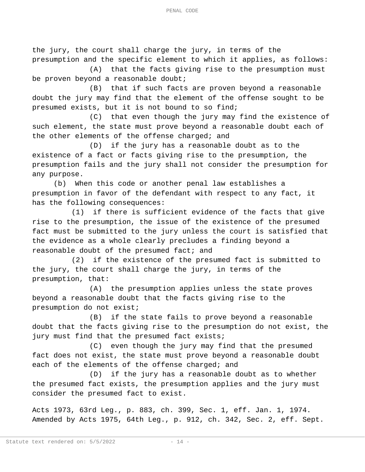the jury, the court shall charge the jury, in terms of the presumption and the specific element to which it applies, as follows:

(A) that the facts giving rise to the presumption must be proven beyond a reasonable doubt;

(B) that if such facts are proven beyond a reasonable doubt the jury may find that the element of the offense sought to be presumed exists, but it is not bound to so find;

(C) that even though the jury may find the existence of such element, the state must prove beyond a reasonable doubt each of the other elements of the offense charged; and

(D) if the jury has a reasonable doubt as to the existence of a fact or facts giving rise to the presumption, the presumption fails and the jury shall not consider the presumption for any purpose.

(b) When this code or another penal law establishes a presumption in favor of the defendant with respect to any fact, it has the following consequences:

(1) if there is sufficient evidence of the facts that give rise to the presumption, the issue of the existence of the presumed fact must be submitted to the jury unless the court is satisfied that the evidence as a whole clearly precludes a finding beyond a reasonable doubt of the presumed fact; and

(2) if the existence of the presumed fact is submitted to the jury, the court shall charge the jury, in terms of the presumption, that:

(A) the presumption applies unless the state proves beyond a reasonable doubt that the facts giving rise to the presumption do not exist;

(B) if the state fails to prove beyond a reasonable doubt that the facts giving rise to the presumption do not exist, the jury must find that the presumed fact exists;

(C) even though the jury may find that the presumed fact does not exist, the state must prove beyond a reasonable doubt each of the elements of the offense charged; and

(D) if the jury has a reasonable doubt as to whether the presumed fact exists, the presumption applies and the jury must consider the presumed fact to exist.

Acts 1973, 63rd Leg., p. 883, ch. 399, Sec. 1, eff. Jan. 1, 1974. Amended by Acts 1975, 64th Leg., p. 912, ch. 342, Sec. 2, eff. Sept.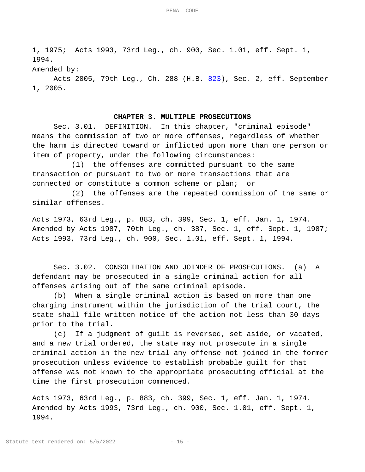1, 1975; Acts 1993, 73rd Leg., ch. 900, Sec. 1.01, eff. Sept. 1, 1994.

Amended by:

Acts 2005, 79th Leg., Ch. 288 (H.B. [823\)](http://www.legis.state.tx.us/tlodocs/79R/billtext/html/HB00823F.HTM), Sec. 2, eff. September 1, 2005.

#### **CHAPTER 3. MULTIPLE PROSECUTIONS**

Sec. 3.01. DEFINITION. In this chapter, "criminal episode" means the commission of two or more offenses, regardless of whether the harm is directed toward or inflicted upon more than one person or item of property, under the following circumstances:

(1) the offenses are committed pursuant to the same transaction or pursuant to two or more transactions that are connected or constitute a common scheme or plan; or

(2) the offenses are the repeated commission of the same or similar offenses.

Acts 1973, 63rd Leg., p. 883, ch. 399, Sec. 1, eff. Jan. 1, 1974. Amended by Acts 1987, 70th Leg., ch. 387, Sec. 1, eff. Sept. 1, 1987; Acts 1993, 73rd Leg., ch. 900, Sec. 1.01, eff. Sept. 1, 1994.

Sec. 3.02. CONSOLIDATION AND JOINDER OF PROSECUTIONS. (a) A defendant may be prosecuted in a single criminal action for all offenses arising out of the same criminal episode.

(b) When a single criminal action is based on more than one charging instrument within the jurisdiction of the trial court, the state shall file written notice of the action not less than 30 days prior to the trial.

(c) If a judgment of guilt is reversed, set aside, or vacated, and a new trial ordered, the state may not prosecute in a single criminal action in the new trial any offense not joined in the former prosecution unless evidence to establish probable guilt for that offense was not known to the appropriate prosecuting official at the time the first prosecution commenced.

Acts 1973, 63rd Leg., p. 883, ch. 399, Sec. 1, eff. Jan. 1, 1974. Amended by Acts 1993, 73rd Leg., ch. 900, Sec. 1.01, eff. Sept. 1, 1994.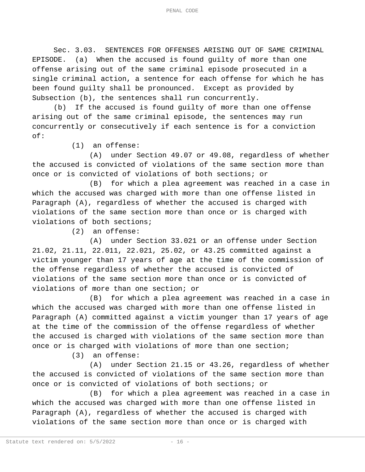Sec. 3.03. SENTENCES FOR OFFENSES ARISING OUT OF SAME CRIMINAL EPISODE. (a) When the accused is found guilty of more than one offense arising out of the same criminal episode prosecuted in a single criminal action, a sentence for each offense for which he has been found guilty shall be pronounced. Except as provided by Subsection (b), the sentences shall run concurrently.

(b) If the accused is found guilty of more than one offense arising out of the same criminal episode, the sentences may run concurrently or consecutively if each sentence is for a conviction of:

(1) an offense:

(A) under Section 49.07 or 49.08, regardless of whether the accused is convicted of violations of the same section more than once or is convicted of violations of both sections; or

(B) for which a plea agreement was reached in a case in which the accused was charged with more than one offense listed in Paragraph (A), regardless of whether the accused is charged with violations of the same section more than once or is charged with violations of both sections;

(2) an offense:

(A) under Section 33.021 or an offense under Section 21.02, 21.11, 22.011, 22.021, 25.02, or 43.25 committed against a victim younger than 17 years of age at the time of the commission of the offense regardless of whether the accused is convicted of violations of the same section more than once or is convicted of violations of more than one section; or

(B) for which a plea agreement was reached in a case in which the accused was charged with more than one offense listed in Paragraph (A) committed against a victim younger than 17 years of age at the time of the commission of the offense regardless of whether the accused is charged with violations of the same section more than once or is charged with violations of more than one section;

(3) an offense:

(A) under Section 21.15 or 43.26, regardless of whether the accused is convicted of violations of the same section more than once or is convicted of violations of both sections; or

(B) for which a plea agreement was reached in a case in which the accused was charged with more than one offense listed in Paragraph (A), regardless of whether the accused is charged with violations of the same section more than once or is charged with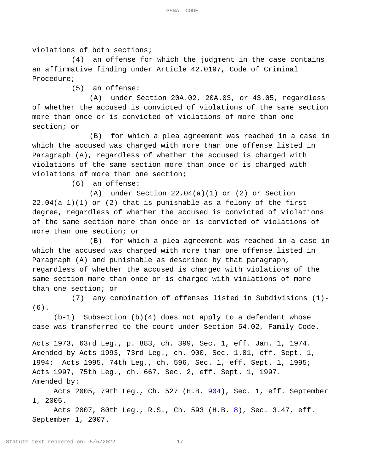violations of both sections;

(4) an offense for which the judgment in the case contains an affirmative finding under Article 42.0197, Code of Criminal Procedure;

(5) an offense:

(A) under Section 20A.02, 20A.03, or 43.05, regardless of whether the accused is convicted of violations of the same section more than once or is convicted of violations of more than one section; or

(B) for which a plea agreement was reached in a case in which the accused was charged with more than one offense listed in Paragraph (A), regardless of whether the accused is charged with violations of the same section more than once or is charged with violations of more than one section;

(6) an offense:

(A) under Section 22.04(a)(1) or (2) or Section 22.04(a-1)(1) or (2) that is punishable as a felony of the first degree, regardless of whether the accused is convicted of violations of the same section more than once or is convicted of violations of more than one section; or

(B) for which a plea agreement was reached in a case in which the accused was charged with more than one offense listed in Paragraph (A) and punishable as described by that paragraph, regardless of whether the accused is charged with violations of the same section more than once or is charged with violations of more than one section; or

(7) any combination of offenses listed in Subdivisions (1)- (6).

 $(b-1)$  Subsection  $(b)(4)$  does not apply to a defendant whose case was transferred to the court under Section 54.02, Family Code.

Acts 1973, 63rd Leg., p. 883, ch. 399, Sec. 1, eff. Jan. 1, 1974. Amended by Acts 1993, 73rd Leg., ch. 900, Sec. 1.01, eff. Sept. 1, 1994; Acts 1995, 74th Leg., ch. 596, Sec. 1, eff. Sept. 1, 1995; Acts 1997, 75th Leg., ch. 667, Sec. 2, eff. Sept. 1, 1997. Amended by:

Acts 2005, 79th Leg., Ch. 527 (H.B. [904\)](http://www.legis.state.tx.us/tlodocs/79R/billtext/html/HB00904F.HTM), Sec. 1, eff. September 1, 2005.

Acts 2007, 80th Leg., R.S., Ch. 593 (H.B. [8\)](http://www.legis.state.tx.us/tlodocs/80R/billtext/html/HB00008F.HTM), Sec. 3.47, eff. September 1, 2007.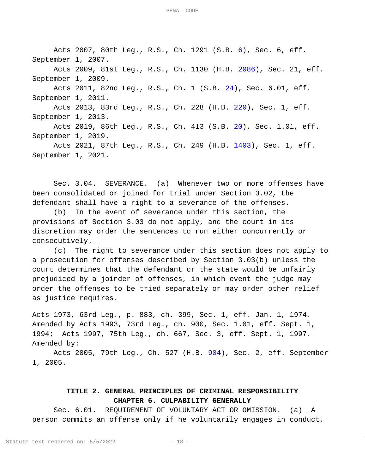Acts 2007, 80th Leg., R.S., Ch. 1291 (S.B. [6\)](http://www.legis.state.tx.us/tlodocs/80R/billtext/html/SB00006F.HTM), Sec. 6, eff. September 1, 2007. Acts 2009, 81st Leg., R.S., Ch. 1130 (H.B. [2086](http://www.legis.state.tx.us/tlodocs/81R/billtext/html/HB02086F.HTM)), Sec. 21, eff. September 1, 2009. Acts 2011, 82nd Leg., R.S., Ch. 1 (S.B. [24](http://www.legis.state.tx.us/tlodocs/82R/billtext/html/SB00024F.HTM)), Sec. 6.01, eff. September 1, 2011. Acts 2013, 83rd Leg., R.S., Ch. 228 (H.B. [220](http://www.legis.state.tx.us/tlodocs/83R/billtext/html/HB00220F.HTM)), Sec. 1, eff. September 1, 2013. Acts 2019, 86th Leg., R.S., Ch. 413 (S.B. [20\)](http://www.legis.state.tx.us/tlodocs/86R/billtext/html/SB00020F.HTM), Sec. 1.01, eff. September 1, 2019. Acts 2021, 87th Leg., R.S., Ch. 249 (H.B. [1403](http://www.legis.state.tx.us/tlodocs/87R/billtext/html/HB01403F.HTM)), Sec. 1, eff. September 1, 2021.

Sec. 3.04. SEVERANCE. (a) Whenever two or more offenses have been consolidated or joined for trial under Section 3.02, the defendant shall have a right to a severance of the offenses.

(b) In the event of severance under this section, the provisions of Section 3.03 do not apply, and the court in its discretion may order the sentences to run either concurrently or consecutively.

(c) The right to severance under this section does not apply to a prosecution for offenses described by Section 3.03(b) unless the court determines that the defendant or the state would be unfairly prejudiced by a joinder of offenses, in which event the judge may order the offenses to be tried separately or may order other relief as justice requires.

Acts 1973, 63rd Leg., p. 883, ch. 399, Sec. 1, eff. Jan. 1, 1974. Amended by Acts 1993, 73rd Leg., ch. 900, Sec. 1.01, eff. Sept. 1, 1994; Acts 1997, 75th Leg., ch. 667, Sec. 3, eff. Sept. 1, 1997. Amended by:

Acts 2005, 79th Leg., Ch. 527 (H.B. [904\)](http://www.legis.state.tx.us/tlodocs/79R/billtext/html/HB00904F.HTM), Sec. 2, eff. September 1, 2005.

## **TITLE 2. GENERAL PRINCIPLES OF CRIMINAL RESPONSIBILITY CHAPTER 6. CULPABILITY GENERALLY**

Sec. 6.01. REQUIREMENT OF VOLUNTARY ACT OR OMISSION. (a) A person commits an offense only if he voluntarily engages in conduct,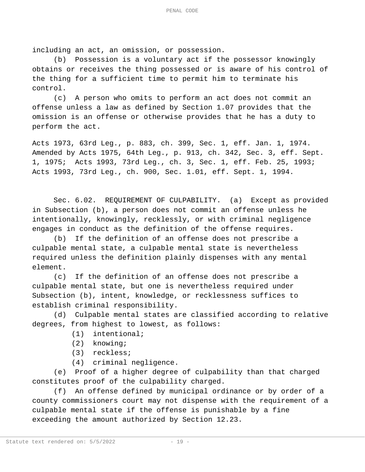including an act, an omission, or possession.

(b) Possession is a voluntary act if the possessor knowingly obtains or receives the thing possessed or is aware of his control of the thing for a sufficient time to permit him to terminate his control.

(c) A person who omits to perform an act does not commit an offense unless a law as defined by Section 1.07 provides that the omission is an offense or otherwise provides that he has a duty to perform the act.

Acts 1973, 63rd Leg., p. 883, ch. 399, Sec. 1, eff. Jan. 1, 1974. Amended by Acts 1975, 64th Leg., p. 913, ch. 342, Sec. 3, eff. Sept. 1, 1975; Acts 1993, 73rd Leg., ch. 3, Sec. 1, eff. Feb. 25, 1993; Acts 1993, 73rd Leg., ch. 900, Sec. 1.01, eff. Sept. 1, 1994.

Sec. 6.02. REQUIREMENT OF CULPABILITY. (a) Except as provided in Subsection (b), a person does not commit an offense unless he intentionally, knowingly, recklessly, or with criminal negligence engages in conduct as the definition of the offense requires.

(b) If the definition of an offense does not prescribe a culpable mental state, a culpable mental state is nevertheless required unless the definition plainly dispenses with any mental element.

(c) If the definition of an offense does not prescribe a culpable mental state, but one is nevertheless required under Subsection (b), intent, knowledge, or recklessness suffices to establish criminal responsibility.

(d) Culpable mental states are classified according to relative degrees, from highest to lowest, as follows:

- (1) intentional;
- (2) knowing;
- (3) reckless;
- (4) criminal negligence.

(e) Proof of a higher degree of culpability than that charged constitutes proof of the culpability charged.

(f) An offense defined by municipal ordinance or by order of a county commissioners court may not dispense with the requirement of a culpable mental state if the offense is punishable by a fine exceeding the amount authorized by Section 12.23.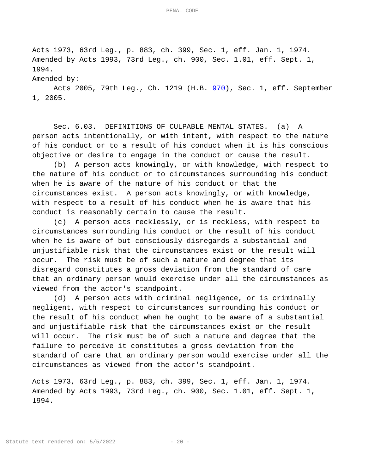Acts 1973, 63rd Leg., p. 883, ch. 399, Sec. 1, eff. Jan. 1, 1974. Amended by Acts 1993, 73rd Leg., ch. 900, Sec. 1.01, eff. Sept. 1, 1994.

Amended by:

Acts 2005, 79th Leg., Ch. 1219 (H.B. [970\)](http://www.legis.state.tx.us/tlodocs/79R/billtext/html/HB00970F.HTM), Sec. 1, eff. September 1, 2005.

Sec. 6.03. DEFINITIONS OF CULPABLE MENTAL STATES. (a) A person acts intentionally, or with intent, with respect to the nature of his conduct or to a result of his conduct when it is his conscious objective or desire to engage in the conduct or cause the result.

(b) A person acts knowingly, or with knowledge, with respect to the nature of his conduct or to circumstances surrounding his conduct when he is aware of the nature of his conduct or that the circumstances exist. A person acts knowingly, or with knowledge, with respect to a result of his conduct when he is aware that his conduct is reasonably certain to cause the result.

(c) A person acts recklessly, or is reckless, with respect to circumstances surrounding his conduct or the result of his conduct when he is aware of but consciously disregards a substantial and unjustifiable risk that the circumstances exist or the result will occur. The risk must be of such a nature and degree that its disregard constitutes a gross deviation from the standard of care that an ordinary person would exercise under all the circumstances as viewed from the actor's standpoint.

(d) A person acts with criminal negligence, or is criminally negligent, with respect to circumstances surrounding his conduct or the result of his conduct when he ought to be aware of a substantial and unjustifiable risk that the circumstances exist or the result will occur. The risk must be of such a nature and degree that the failure to perceive it constitutes a gross deviation from the standard of care that an ordinary person would exercise under all the circumstances as viewed from the actor's standpoint.

Acts 1973, 63rd Leg., p. 883, ch. 399, Sec. 1, eff. Jan. 1, 1974. Amended by Acts 1993, 73rd Leg., ch. 900, Sec. 1.01, eff. Sept. 1, 1994.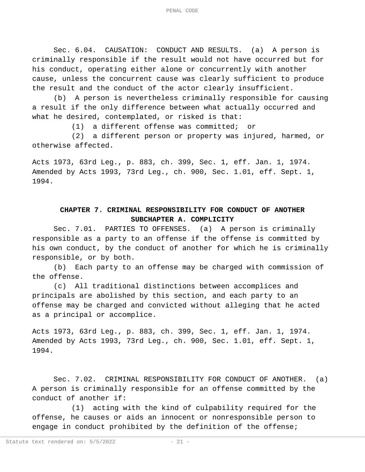PENAL CODE

Sec. 6.04. CAUSATION: CONDUCT AND RESULTS. (a) A person is criminally responsible if the result would not have occurred but for his conduct, operating either alone or concurrently with another cause, unless the concurrent cause was clearly sufficient to produce the result and the conduct of the actor clearly insufficient.

(b) A person is nevertheless criminally responsible for causing a result if the only difference between what actually occurred and what he desired, contemplated, or risked is that:

(1) a different offense was committed; or

(2) a different person or property was injured, harmed, or otherwise affected.

Acts 1973, 63rd Leg., p. 883, ch. 399, Sec. 1, eff. Jan. 1, 1974. Amended by Acts 1993, 73rd Leg., ch. 900, Sec. 1.01, eff. Sept. 1, 1994.

# **CHAPTER 7. CRIMINAL RESPONSIBILITY FOR CONDUCT OF ANOTHER SUBCHAPTER A. COMPLICITY**

Sec. 7.01. PARTIES TO OFFENSES. (a) A person is criminally responsible as a party to an offense if the offense is committed by his own conduct, by the conduct of another for which he is criminally responsible, or by both.

(b) Each party to an offense may be charged with commission of the offense.

(c) All traditional distinctions between accomplices and principals are abolished by this section, and each party to an offense may be charged and convicted without alleging that he acted as a principal or accomplice.

Acts 1973, 63rd Leg., p. 883, ch. 399, Sec. 1, eff. Jan. 1, 1974. Amended by Acts 1993, 73rd Leg., ch. 900, Sec. 1.01, eff. Sept. 1, 1994.

Sec. 7.02. CRIMINAL RESPONSIBILITY FOR CONDUCT OF ANOTHER. (a) A person is criminally responsible for an offense committed by the conduct of another if:

(1) acting with the kind of culpability required for the offense, he causes or aids an innocent or nonresponsible person to engage in conduct prohibited by the definition of the offense;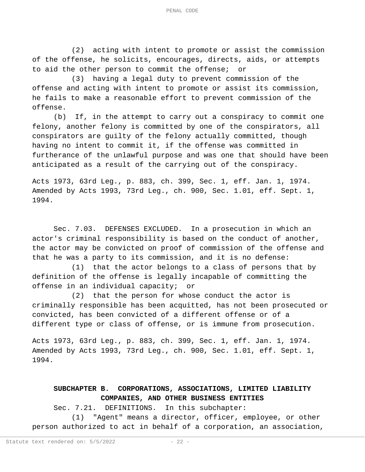(2) acting with intent to promote or assist the commission of the offense, he solicits, encourages, directs, aids, or attempts to aid the other person to commit the offense; or

(3) having a legal duty to prevent commission of the offense and acting with intent to promote or assist its commission, he fails to make a reasonable effort to prevent commission of the offense.

(b) If, in the attempt to carry out a conspiracy to commit one felony, another felony is committed by one of the conspirators, all conspirators are guilty of the felony actually committed, though having no intent to commit it, if the offense was committed in furtherance of the unlawful purpose and was one that should have been anticipated as a result of the carrying out of the conspiracy.

Acts 1973, 63rd Leg., p. 883, ch. 399, Sec. 1, eff. Jan. 1, 1974. Amended by Acts 1993, 73rd Leg., ch. 900, Sec. 1.01, eff. Sept. 1, 1994.

Sec. 7.03. DEFENSES EXCLUDED. In a prosecution in which an actor's criminal responsibility is based on the conduct of another, the actor may be convicted on proof of commission of the offense and that he was a party to its commission, and it is no defense:

(1) that the actor belongs to a class of persons that by definition of the offense is legally incapable of committing the offense in an individual capacity; or

(2) that the person for whose conduct the actor is criminally responsible has been acquitted, has not been prosecuted or convicted, has been convicted of a different offense or of a different type or class of offense, or is immune from prosecution.

Acts 1973, 63rd Leg., p. 883, ch. 399, Sec. 1, eff. Jan. 1, 1974. Amended by Acts 1993, 73rd Leg., ch. 900, Sec. 1.01, eff. Sept. 1, 1994.

## **SUBCHAPTER B. CORPORATIONS, ASSOCIATIONS, LIMITED LIABILITY COMPANIES, AND OTHER BUSINESS ENTITIES**

Sec. 7.21. DEFINITIONS. In this subchapter:

(1) "Agent" means a director, officer, employee, or other person authorized to act in behalf of a corporation, an association,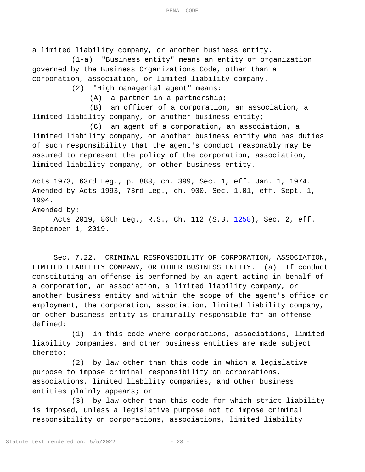a limited liability company, or another business entity.

(1-a) "Business entity" means an entity or organization governed by the Business Organizations Code, other than a corporation, association, or limited liability company.

(2) "High managerial agent" means:

(A) a partner in a partnership;

(B) an officer of a corporation, an association, a limited liability company, or another business entity;

(C) an agent of a corporation, an association, a limited liability company, or another business entity who has duties of such responsibility that the agent's conduct reasonably may be assumed to represent the policy of the corporation, association, limited liability company, or other business entity.

Acts 1973, 63rd Leg., p. 883, ch. 399, Sec. 1, eff. Jan. 1, 1974. Amended by Acts 1993, 73rd Leg., ch. 900, Sec. 1.01, eff. Sept. 1, 1994.

Amended by:

Acts 2019, 86th Leg., R.S., Ch. 112 (S.B. [1258](http://www.legis.state.tx.us/tlodocs/86R/billtext/html/SB01258F.HTM)), Sec. 2, eff. September 1, 2019.

Sec. 7.22. CRIMINAL RESPONSIBILITY OF CORPORATION, ASSOCIATION, LIMITED LIABILITY COMPANY, OR OTHER BUSINESS ENTITY. (a) If conduct constituting an offense is performed by an agent acting in behalf of a corporation, an association, a limited liability company, or another business entity and within the scope of the agent's office or employment, the corporation, association, limited liability company, or other business entity is criminally responsible for an offense defined:

(1) in this code where corporations, associations, limited liability companies, and other business entities are made subject thereto;

(2) by law other than this code in which a legislative purpose to impose criminal responsibility on corporations, associations, limited liability companies, and other business entities plainly appears; or

(3) by law other than this code for which strict liability is imposed, unless a legislative purpose not to impose criminal responsibility on corporations, associations, limited liability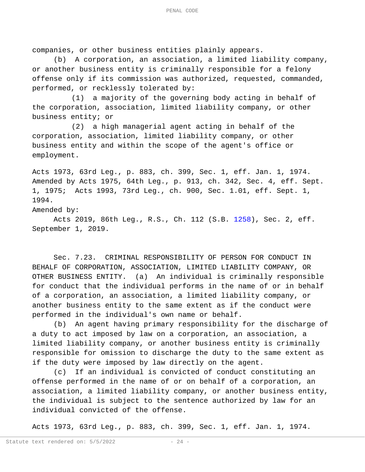companies, or other business entities plainly appears.

(b) A corporation, an association, a limited liability company, or another business entity is criminally responsible for a felony offense only if its commission was authorized, requested, commanded, performed, or recklessly tolerated by:

(1) a majority of the governing body acting in behalf of the corporation, association, limited liability company, or other business entity; or

(2) a high managerial agent acting in behalf of the corporation, association, limited liability company, or other business entity and within the scope of the agent's office or employment.

Acts 1973, 63rd Leg., p. 883, ch. 399, Sec. 1, eff. Jan. 1, 1974. Amended by Acts 1975, 64th Leg., p. 913, ch. 342, Sec. 4, eff. Sept. 1, 1975; Acts 1993, 73rd Leg., ch. 900, Sec. 1.01, eff. Sept. 1, 1994.

Amended by:

Acts 2019, 86th Leg., R.S., Ch. 112 (S.B. [1258](http://www.legis.state.tx.us/tlodocs/86R/billtext/html/SB01258F.HTM)), Sec. 2, eff. September 1, 2019.

Sec. 7.23. CRIMINAL RESPONSIBILITY OF PERSON FOR CONDUCT IN BEHALF OF CORPORATION, ASSOCIATION, LIMITED LIABILITY COMPANY, OR OTHER BUSINESS ENTITY. (a) An individual is criminally responsible for conduct that the individual performs in the name of or in behalf of a corporation, an association, a limited liability company, or another business entity to the same extent as if the conduct were performed in the individual's own name or behalf.

(b) An agent having primary responsibility for the discharge of a duty to act imposed by law on a corporation, an association, a limited liability company, or another business entity is criminally responsible for omission to discharge the duty to the same extent as if the duty were imposed by law directly on the agent.

(c) If an individual is convicted of conduct constituting an offense performed in the name of or on behalf of a corporation, an association, a limited liability company, or another business entity, the individual is subject to the sentence authorized by law for an individual convicted of the offense.

Acts 1973, 63rd Leg., p. 883, ch. 399, Sec. 1, eff. Jan. 1, 1974.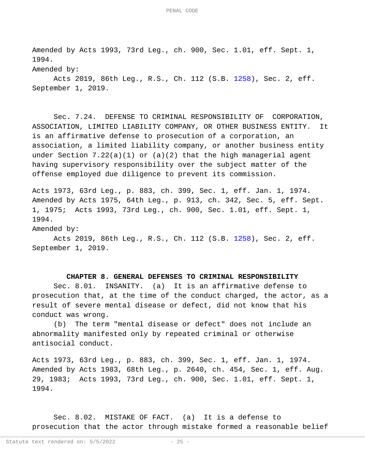Amended by Acts 1993, 73rd Leg., ch. 900, Sec. 1.01, eff. Sept. 1, 1994.

Amended by:

Acts 2019, 86th Leg., R.S., Ch. 112 (S.B. [1258](http://www.legis.state.tx.us/tlodocs/86R/billtext/html/SB01258F.HTM)), Sec. 2, eff. September 1, 2019.

Sec. 7.24. DEFENSE TO CRIMINAL RESPONSIBILITY OF CORPORATION, ASSOCIATION, LIMITED LIABILITY COMPANY, OR OTHER BUSINESS ENTITY. It is an affirmative defense to prosecution of a corporation, an association, a limited liability company, or another business entity under Section 7.22(a)(1) or (a)(2) that the high managerial agent having supervisory responsibility over the subject matter of the offense employed due diligence to prevent its commission.

Acts 1973, 63rd Leg., p. 883, ch. 399, Sec. 1, eff. Jan. 1, 1974. Amended by Acts 1975, 64th Leg., p. 913, ch. 342, Sec. 5, eff. Sept. 1, 1975; Acts 1993, 73rd Leg., ch. 900, Sec. 1.01, eff. Sept. 1, 1994.

Amended by:

Acts 2019, 86th Leg., R.S., Ch. 112 (S.B. [1258](http://www.legis.state.tx.us/tlodocs/86R/billtext/html/SB01258F.HTM)), Sec. 2, eff. September 1, 2019.

#### **CHAPTER 8. GENERAL DEFENSES TO CRIMINAL RESPONSIBILITY**

Sec. 8.01. INSANITY. (a) It is an affirmative defense to prosecution that, at the time of the conduct charged, the actor, as a result of severe mental disease or defect, did not know that his conduct was wrong.

(b) The term "mental disease or defect" does not include an abnormality manifested only by repeated criminal or otherwise antisocial conduct.

Acts 1973, 63rd Leg., p. 883, ch. 399, Sec. 1, eff. Jan. 1, 1974. Amended by Acts 1983, 68th Leg., p. 2640, ch. 454, Sec. 1, eff. Aug. 29, 1983; Acts 1993, 73rd Leg., ch. 900, Sec. 1.01, eff. Sept. 1, 1994.

Sec. 8.02. MISTAKE OF FACT. (a) It is a defense to prosecution that the actor through mistake formed a reasonable belief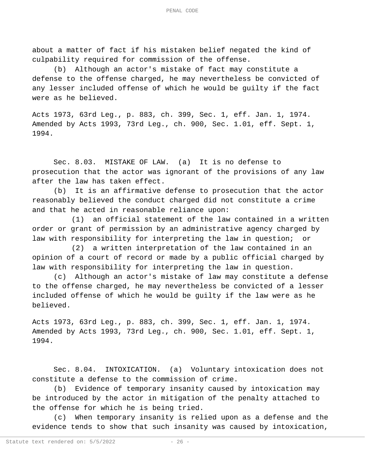about a matter of fact if his mistaken belief negated the kind of culpability required for commission of the offense.

(b) Although an actor's mistake of fact may constitute a defense to the offense charged, he may nevertheless be convicted of any lesser included offense of which he would be guilty if the fact were as he believed.

Acts 1973, 63rd Leg., p. 883, ch. 399, Sec. 1, eff. Jan. 1, 1974. Amended by Acts 1993, 73rd Leg., ch. 900, Sec. 1.01, eff. Sept. 1, 1994.

Sec. 8.03. MISTAKE OF LAW. (a) It is no defense to prosecution that the actor was ignorant of the provisions of any law after the law has taken effect.

(b) It is an affirmative defense to prosecution that the actor reasonably believed the conduct charged did not constitute a crime and that he acted in reasonable reliance upon:

(1) an official statement of the law contained in a written order or grant of permission by an administrative agency charged by law with responsibility for interpreting the law in question; or

(2) a written interpretation of the law contained in an opinion of a court of record or made by a public official charged by law with responsibility for interpreting the law in question.

(c) Although an actor's mistake of law may constitute a defense to the offense charged, he may nevertheless be convicted of a lesser included offense of which he would be guilty if the law were as he believed.

Acts 1973, 63rd Leg., p. 883, ch. 399, Sec. 1, eff. Jan. 1, 1974. Amended by Acts 1993, 73rd Leg., ch. 900, Sec. 1.01, eff. Sept. 1, 1994.

Sec. 8.04. INTOXICATION. (a) Voluntary intoxication does not constitute a defense to the commission of crime.

(b) Evidence of temporary insanity caused by intoxication may be introduced by the actor in mitigation of the penalty attached to the offense for which he is being tried.

(c) When temporary insanity is relied upon as a defense and the evidence tends to show that such insanity was caused by intoxication,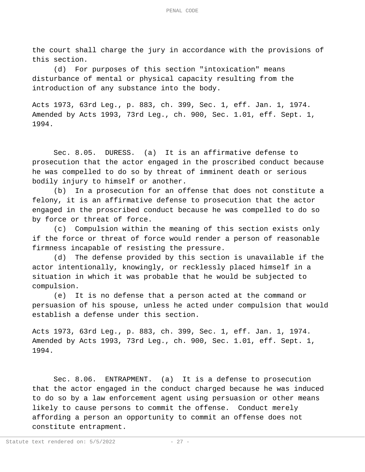the court shall charge the jury in accordance with the provisions of this section.

(d) For purposes of this section "intoxication" means disturbance of mental or physical capacity resulting from the introduction of any substance into the body.

Acts 1973, 63rd Leg., p. 883, ch. 399, Sec. 1, eff. Jan. 1, 1974. Amended by Acts 1993, 73rd Leg., ch. 900, Sec. 1.01, eff. Sept. 1, 1994.

Sec. 8.05. DURESS. (a) It is an affirmative defense to prosecution that the actor engaged in the proscribed conduct because he was compelled to do so by threat of imminent death or serious bodily injury to himself or another.

(b) In a prosecution for an offense that does not constitute a felony, it is an affirmative defense to prosecution that the actor engaged in the proscribed conduct because he was compelled to do so by force or threat of force.

(c) Compulsion within the meaning of this section exists only if the force or threat of force would render a person of reasonable firmness incapable of resisting the pressure.

(d) The defense provided by this section is unavailable if the actor intentionally, knowingly, or recklessly placed himself in a situation in which it was probable that he would be subjected to compulsion.

(e) It is no defense that a person acted at the command or persuasion of his spouse, unless he acted under compulsion that would establish a defense under this section.

Acts 1973, 63rd Leg., p. 883, ch. 399, Sec. 1, eff. Jan. 1, 1974. Amended by Acts 1993, 73rd Leg., ch. 900, Sec. 1.01, eff. Sept. 1, 1994.

Sec. 8.06. ENTRAPMENT. (a) It is a defense to prosecution that the actor engaged in the conduct charged because he was induced to do so by a law enforcement agent using persuasion or other means likely to cause persons to commit the offense. Conduct merely affording a person an opportunity to commit an offense does not constitute entrapment.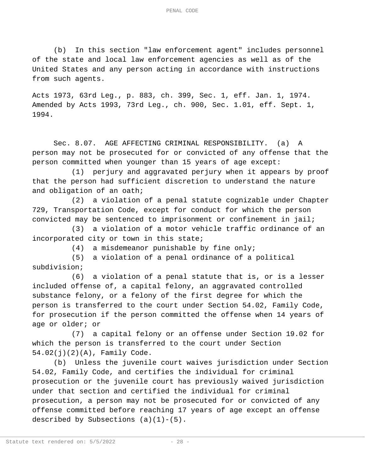(b) In this section "law enforcement agent" includes personnel of the state and local law enforcement agencies as well as of the United States and any person acting in accordance with instructions from such agents.

Acts 1973, 63rd Leg., p. 883, ch. 399, Sec. 1, eff. Jan. 1, 1974. Amended by Acts 1993, 73rd Leg., ch. 900, Sec. 1.01, eff. Sept. 1, 1994.

Sec. 8.07. AGE AFFECTING CRIMINAL RESPONSIBILITY. (a) A person may not be prosecuted for or convicted of any offense that the person committed when younger than 15 years of age except:

(1) perjury and aggravated perjury when it appears by proof that the person had sufficient discretion to understand the nature and obligation of an oath;

(2) a violation of a penal statute cognizable under Chapter 729, Transportation Code, except for conduct for which the person convicted may be sentenced to imprisonment or confinement in jail;

(3) a violation of a motor vehicle traffic ordinance of an incorporated city or town in this state;

(4) a misdemeanor punishable by fine only;

(5) a violation of a penal ordinance of a political subdivision;

(6) a violation of a penal statute that is, or is a lesser included offense of, a capital felony, an aggravated controlled substance felony, or a felony of the first degree for which the person is transferred to the court under Section 54.02, Family Code, for prosecution if the person committed the offense when 14 years of age or older; or

(7) a capital felony or an offense under Section 19.02 for which the person is transferred to the court under Section 54.02(j)(2)(A), Family Code.

(b) Unless the juvenile court waives jurisdiction under Section 54.02, Family Code, and certifies the individual for criminal prosecution or the juvenile court has previously waived jurisdiction under that section and certified the individual for criminal prosecution, a person may not be prosecuted for or convicted of any offense committed before reaching 17 years of age except an offense described by Subsections  $(a)(1)-(5)$ .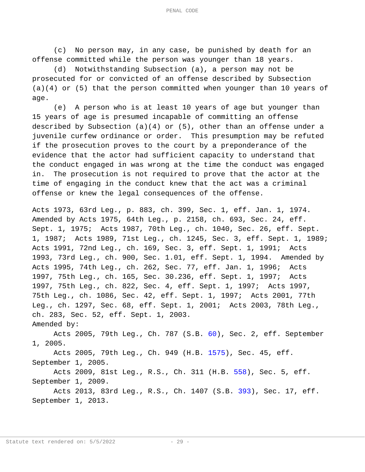(c) No person may, in any case, be punished by death for an offense committed while the person was younger than 18 years.

(d) Notwithstanding Subsection (a), a person may not be prosecuted for or convicted of an offense described by Subsection (a)(4) or (5) that the person committed when younger than 10 years of age.

(e) A person who is at least 10 years of age but younger than 15 years of age is presumed incapable of committing an offense described by Subsection  $(a)(4)$  or  $(5)$ , other than an offense under a juvenile curfew ordinance or order. This presumption may be refuted if the prosecution proves to the court by a preponderance of the evidence that the actor had sufficient capacity to understand that the conduct engaged in was wrong at the time the conduct was engaged in. The prosecution is not required to prove that the actor at the time of engaging in the conduct knew that the act was a criminal offense or knew the legal consequences of the offense.

Acts 1973, 63rd Leg., p. 883, ch. 399, Sec. 1, eff. Jan. 1, 1974. Amended by Acts 1975, 64th Leg., p. 2158, ch. 693, Sec. 24, eff. Sept. 1, 1975; Acts 1987, 70th Leg., ch. 1040, Sec. 26, eff. Sept. 1, 1987; Acts 1989, 71st Leg., ch. 1245, Sec. 3, eff. Sept. 1, 1989; Acts 1991, 72nd Leg., ch. 169, Sec. 3, eff. Sept. 1, 1991; Acts 1993, 73rd Leg., ch. 900, Sec. 1.01, eff. Sept. 1, 1994. Amended by Acts 1995, 74th Leg., ch. 262, Sec. 77, eff. Jan. 1, 1996; Acts 1997, 75th Leg., ch. 165, Sec. 30.236, eff. Sept. 1, 1997; Acts 1997, 75th Leg., ch. 822, Sec. 4, eff. Sept. 1, 1997; Acts 1997, 75th Leg., ch. 1086, Sec. 42, eff. Sept. 1, 1997; Acts 2001, 77th Leg., ch. 1297, Sec. 68, eff. Sept. 1, 2001; Acts 2003, 78th Leg., ch. 283, Sec. 52, eff. Sept. 1, 2003. Amended by:

Acts 2005, 79th Leg., Ch. 787 (S.B. [60\)](http://www.legis.state.tx.us/tlodocs/79R/billtext/html/SB00060F.HTM), Sec. 2, eff. September 1, 2005.

Acts 2005, 79th Leg., Ch. 949 (H.B. [1575\)](http://www.legis.state.tx.us/tlodocs/79R/billtext/html/HB01575F.HTM), Sec. 45, eff. September 1, 2005.

Acts 2009, 81st Leg., R.S., Ch. 311 (H.B. [558](http://www.legis.state.tx.us/tlodocs/81R/billtext/html/HB00558F.HTM)), Sec. 5, eff. September 1, 2009.

Acts 2013, 83rd Leg., R.S., Ch. 1407 (S.B. [393](http://www.legis.state.tx.us/tlodocs/83R/billtext/html/SB00393F.HTM)), Sec. 17, eff. September 1, 2013.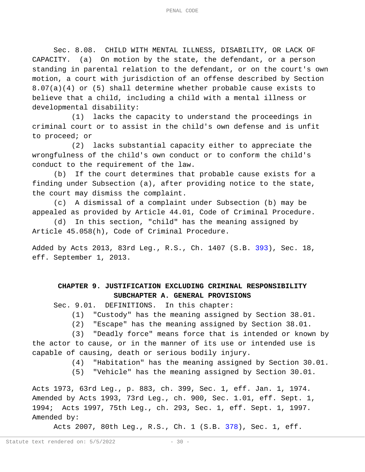Sec. 8.08. CHILD WITH MENTAL ILLNESS, DISABILITY, OR LACK OF CAPACITY. (a) On motion by the state, the defendant, or a person standing in parental relation to the defendant, or on the court's own motion, a court with jurisdiction of an offense described by Section 8.07(a)(4) or (5) shall determine whether probable cause exists to believe that a child, including a child with a mental illness or developmental disability:

(1) lacks the capacity to understand the proceedings in criminal court or to assist in the child's own defense and is unfit to proceed; or

(2) lacks substantial capacity either to appreciate the wrongfulness of the child's own conduct or to conform the child's conduct to the requirement of the law.

(b) If the court determines that probable cause exists for a finding under Subsection (a), after providing notice to the state, the court may dismiss the complaint.

(c) A dismissal of a complaint under Subsection (b) may be appealed as provided by Article 44.01, Code of Criminal Procedure.

(d) In this section, "child" has the meaning assigned by Article 45.058(h), Code of Criminal Procedure.

Added by Acts 2013, 83rd Leg., R.S., Ch. 1407 (S.B. [393](http://www.legis.state.tx.us/tlodocs/83R/billtext/html/SB00393F.HTM)), Sec. 18, eff. September 1, 2013.

### **CHAPTER 9. JUSTIFICATION EXCLUDING CRIMINAL RESPONSIBILITY SUBCHAPTER A. GENERAL PROVISIONS**

Sec. 9.01. DEFINITIONS. In this chapter:

(1) "Custody" has the meaning assigned by Section 38.01.

(2) "Escape" has the meaning assigned by Section 38.01.

(3) "Deadly force" means force that is intended or known by

the actor to cause, or in the manner of its use or intended use is capable of causing, death or serious bodily injury.

(4) "Habitation" has the meaning assigned by Section 30.01.

(5) "Vehicle" has the meaning assigned by Section 30.01.

Acts 1973, 63rd Leg., p. 883, ch. 399, Sec. 1, eff. Jan. 1, 1974. Amended by Acts 1993, 73rd Leg., ch. 900, Sec. 1.01, eff. Sept. 1, 1994; Acts 1997, 75th Leg., ch. 293, Sec. 1, eff. Sept. 1, 1997. Amended by:

Acts 2007, 80th Leg., R.S., Ch. 1 (S.B. [378\)](http://www.legis.state.tx.us/tlodocs/80R/billtext/html/SB00378F.HTM), Sec. 1, eff.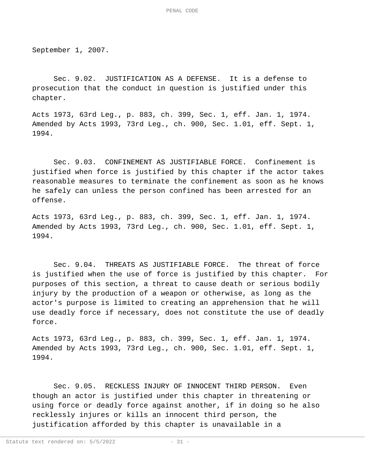September 1, 2007.

Sec. 9.02. JUSTIFICATION AS A DEFENSE. It is a defense to prosecution that the conduct in question is justified under this chapter.

Acts 1973, 63rd Leg., p. 883, ch. 399, Sec. 1, eff. Jan. 1, 1974. Amended by Acts 1993, 73rd Leg., ch. 900, Sec. 1.01, eff. Sept. 1, 1994.

Sec. 9.03. CONFINEMENT AS JUSTIFIABLE FORCE. Confinement is justified when force is justified by this chapter if the actor takes reasonable measures to terminate the confinement as soon as he knows he safely can unless the person confined has been arrested for an offense.

Acts 1973, 63rd Leg., p. 883, ch. 399, Sec. 1, eff. Jan. 1, 1974. Amended by Acts 1993, 73rd Leg., ch. 900, Sec. 1.01, eff. Sept. 1, 1994.

Sec. 9.04. THREATS AS JUSTIFIABLE FORCE. The threat of force is justified when the use of force is justified by this chapter. For purposes of this section, a threat to cause death or serious bodily injury by the production of a weapon or otherwise, as long as the actor's purpose is limited to creating an apprehension that he will use deadly force if necessary, does not constitute the use of deadly force.

Acts 1973, 63rd Leg., p. 883, ch. 399, Sec. 1, eff. Jan. 1, 1974. Amended by Acts 1993, 73rd Leg., ch. 900, Sec. 1.01, eff. Sept. 1, 1994.

Sec. 9.05. RECKLESS INJURY OF INNOCENT THIRD PERSON. Even though an actor is justified under this chapter in threatening or using force or deadly force against another, if in doing so he also recklessly injures or kills an innocent third person, the justification afforded by this chapter is unavailable in a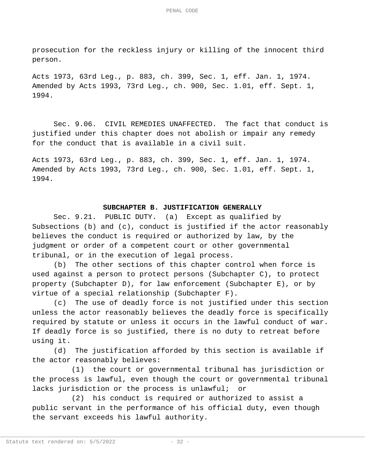prosecution for the reckless injury or killing of the innocent third person.

Acts 1973, 63rd Leg., p. 883, ch. 399, Sec. 1, eff. Jan. 1, 1974. Amended by Acts 1993, 73rd Leg., ch. 900, Sec. 1.01, eff. Sept. 1, 1994.

Sec. 9.06. CIVIL REMEDIES UNAFFECTED. The fact that conduct is justified under this chapter does not abolish or impair any remedy for the conduct that is available in a civil suit.

Acts 1973, 63rd Leg., p. 883, ch. 399, Sec. 1, eff. Jan. 1, 1974. Amended by Acts 1993, 73rd Leg., ch. 900, Sec. 1.01, eff. Sept. 1, 1994.

#### **SUBCHAPTER B. JUSTIFICATION GENERALLY**

Sec. 9.21. PUBLIC DUTY. (a) Except as qualified by Subsections (b) and (c), conduct is justified if the actor reasonably believes the conduct is required or authorized by law, by the judgment or order of a competent court or other governmental tribunal, or in the execution of legal process.

(b) The other sections of this chapter control when force is used against a person to protect persons (Subchapter C), to protect property (Subchapter D), for law enforcement (Subchapter E), or by virtue of a special relationship (Subchapter F).

(c) The use of deadly force is not justified under this section unless the actor reasonably believes the deadly force is specifically required by statute or unless it occurs in the lawful conduct of war. If deadly force is so justified, there is no duty to retreat before using it.

(d) The justification afforded by this section is available if the actor reasonably believes:

(1) the court or governmental tribunal has jurisdiction or the process is lawful, even though the court or governmental tribunal lacks jurisdiction or the process is unlawful; or

(2) his conduct is required or authorized to assist a public servant in the performance of his official duty, even though the servant exceeds his lawful authority.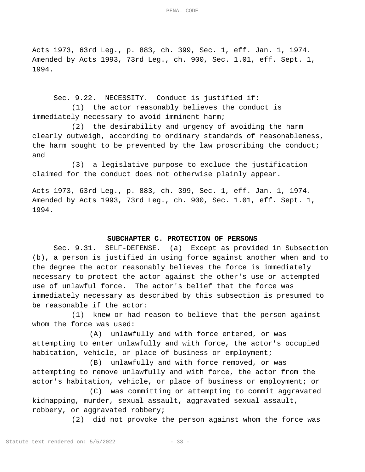Acts 1973, 63rd Leg., p. 883, ch. 399, Sec. 1, eff. Jan. 1, 1974. Amended by Acts 1993, 73rd Leg., ch. 900, Sec. 1.01, eff. Sept. 1, 1994.

Sec. 9.22. NECESSITY. Conduct is justified if: (1) the actor reasonably believes the conduct is immediately necessary to avoid imminent harm;

(2) the desirability and urgency of avoiding the harm clearly outweigh, according to ordinary standards of reasonableness, the harm sought to be prevented by the law proscribing the conduct; and

(3) a legislative purpose to exclude the justification claimed for the conduct does not otherwise plainly appear.

Acts 1973, 63rd Leg., p. 883, ch. 399, Sec. 1, eff. Jan. 1, 1974. Amended by Acts 1993, 73rd Leg., ch. 900, Sec. 1.01, eff. Sept. 1, 1994.

#### **SUBCHAPTER C. PROTECTION OF PERSONS**

Sec. 9.31. SELF-DEFENSE. (a) Except as provided in Subsection (b), a person is justified in using force against another when and to the degree the actor reasonably believes the force is immediately necessary to protect the actor against the other's use or attempted use of unlawful force. The actor's belief that the force was immediately necessary as described by this subsection is presumed to be reasonable if the actor:

(1) knew or had reason to believe that the person against whom the force was used:

(A) unlawfully and with force entered, or was attempting to enter unlawfully and with force, the actor's occupied habitation, vehicle, or place of business or employment;

(B) unlawfully and with force removed, or was attempting to remove unlawfully and with force, the actor from the actor's habitation, vehicle, or place of business or employment; or

(C) was committing or attempting to commit aggravated kidnapping, murder, sexual assault, aggravated sexual assault, robbery, or aggravated robbery;

(2) did not provoke the person against whom the force was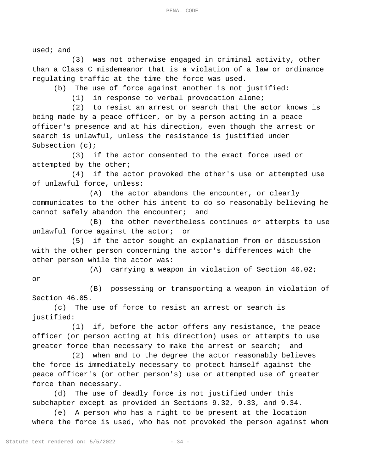used; and

(3) was not otherwise engaged in criminal activity, other than a Class C misdemeanor that is a violation of a law or ordinance regulating traffic at the time the force was used.

(b) The use of force against another is not justified:

(1) in response to verbal provocation alone;

(2) to resist an arrest or search that the actor knows is being made by a peace officer, or by a person acting in a peace officer's presence and at his direction, even though the arrest or search is unlawful, unless the resistance is justified under Subsection (c);

(3) if the actor consented to the exact force used or attempted by the other;

(4) if the actor provoked the other's use or attempted use of unlawful force, unless:

(A) the actor abandons the encounter, or clearly communicates to the other his intent to do so reasonably believing he cannot safely abandon the encounter; and

(B) the other nevertheless continues or attempts to use unlawful force against the actor; or

(5) if the actor sought an explanation from or discussion with the other person concerning the actor's differences with the other person while the actor was:

(A) carrying a weapon in violation of Section 46.02;

or

(B) possessing or transporting a weapon in violation of Section 46.05.

(c) The use of force to resist an arrest or search is justified:

(1) if, before the actor offers any resistance, the peace officer (or person acting at his direction) uses or attempts to use greater force than necessary to make the arrest or search; and

(2) when and to the degree the actor reasonably believes the force is immediately necessary to protect himself against the peace officer's (or other person's) use or attempted use of greater force than necessary.

(d) The use of deadly force is not justified under this subchapter except as provided in Sections 9.32, 9.33, and 9.34.

(e) A person who has a right to be present at the location where the force is used, who has not provoked the person against whom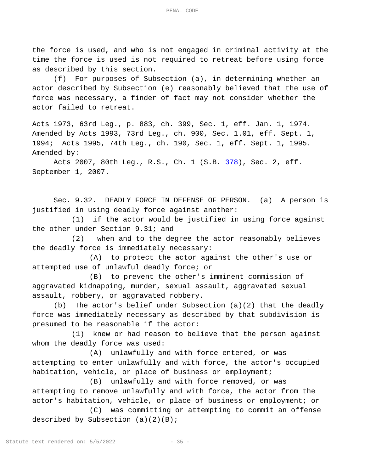the force is used, and who is not engaged in criminal activity at the time the force is used is not required to retreat before using force as described by this section.

(f) For purposes of Subsection (a), in determining whether an actor described by Subsection (e) reasonably believed that the use of force was necessary, a finder of fact may not consider whether the actor failed to retreat.

Acts 1973, 63rd Leg., p. 883, ch. 399, Sec. 1, eff. Jan. 1, 1974. Amended by Acts 1993, 73rd Leg., ch. 900, Sec. 1.01, eff. Sept. 1, 1994; Acts 1995, 74th Leg., ch. 190, Sec. 1, eff. Sept. 1, 1995. Amended by:

Acts 2007, 80th Leg., R.S., Ch. 1 (S.B. [378\)](http://www.legis.state.tx.us/tlodocs/80R/billtext/html/SB00378F.HTM), Sec. 2, eff. September 1, 2007.

Sec. 9.32. DEADLY FORCE IN DEFENSE OF PERSON. (a) A person is justified in using deadly force against another:

(1) if the actor would be justified in using force against the other under Section 9.31; and

(2) when and to the degree the actor reasonably believes the deadly force is immediately necessary:

(A) to protect the actor against the other's use or attempted use of unlawful deadly force; or

(B) to prevent the other's imminent commission of aggravated kidnapping, murder, sexual assault, aggravated sexual assault, robbery, or aggravated robbery.

(b) The actor's belief under Subsection (a)(2) that the deadly force was immediately necessary as described by that subdivision is presumed to be reasonable if the actor:

(1) knew or had reason to believe that the person against whom the deadly force was used:

(A) unlawfully and with force entered, or was attempting to enter unlawfully and with force, the actor's occupied habitation, vehicle, or place of business or employment;

(B) unlawfully and with force removed, or was attempting to remove unlawfully and with force, the actor from the actor's habitation, vehicle, or place of business or employment; or

(C) was committing or attempting to commit an offense described by Subsection  $(a)(2)(B);$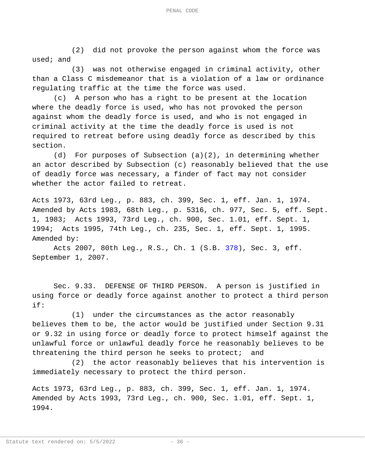(2) did not provoke the person against whom the force was used; and

(3) was not otherwise engaged in criminal activity, other than a Class C misdemeanor that is a violation of a law or ordinance regulating traffic at the time the force was used.

(c) A person who has a right to be present at the location where the deadly force is used, who has not provoked the person against whom the deadly force is used, and who is not engaged in criminal activity at the time the deadly force is used is not required to retreat before using deadly force as described by this section.

(d) For purposes of Subsection (a)(2), in determining whether an actor described by Subsection (c) reasonably believed that the use of deadly force was necessary, a finder of fact may not consider whether the actor failed to retreat.

Acts 1973, 63rd Leg., p. 883, ch. 399, Sec. 1, eff. Jan. 1, 1974. Amended by Acts 1983, 68th Leg., p. 5316, ch. 977, Sec. 5, eff. Sept. 1, 1983; Acts 1993, 73rd Leg., ch. 900, Sec. 1.01, eff. Sept. 1, 1994; Acts 1995, 74th Leg., ch. 235, Sec. 1, eff. Sept. 1, 1995. Amended by:

Acts 2007, 80th Leg., R.S., Ch. 1 (S.B. [378\)](http://www.legis.state.tx.us/tlodocs/80R/billtext/html/SB00378F.HTM), Sec. 3, eff. September 1, 2007.

Sec. 9.33. DEFENSE OF THIRD PERSON. A person is justified in using force or deadly force against another to protect a third person if:

(1) under the circumstances as the actor reasonably believes them to be, the actor would be justified under Section 9.31 or 9.32 in using force or deadly force to protect himself against the unlawful force or unlawful deadly force he reasonably believes to be threatening the third person he seeks to protect; and

(2) the actor reasonably believes that his intervention is immediately necessary to protect the third person.

Acts 1973, 63rd Leg., p. 883, ch. 399, Sec. 1, eff. Jan. 1, 1974. Amended by Acts 1993, 73rd Leg., ch. 900, Sec. 1.01, eff. Sept. 1, 1994.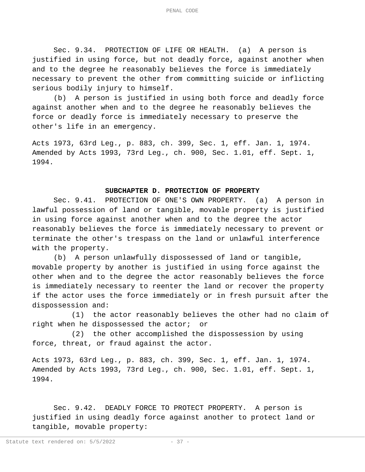PENAL CODE

Sec. 9.34. PROTECTION OF LIFE OR HEALTH. (a) A person is justified in using force, but not deadly force, against another when and to the degree he reasonably believes the force is immediately necessary to prevent the other from committing suicide or inflicting serious bodily injury to himself.

(b) A person is justified in using both force and deadly force against another when and to the degree he reasonably believes the force or deadly force is immediately necessary to preserve the other's life in an emergency.

Acts 1973, 63rd Leg., p. 883, ch. 399, Sec. 1, eff. Jan. 1, 1974. Amended by Acts 1993, 73rd Leg., ch. 900, Sec. 1.01, eff. Sept. 1, 1994.

## **SUBCHAPTER D. PROTECTION OF PROPERTY**

Sec. 9.41. PROTECTION OF ONE'S OWN PROPERTY. (a) A person in lawful possession of land or tangible, movable property is justified in using force against another when and to the degree the actor reasonably believes the force is immediately necessary to prevent or terminate the other's trespass on the land or unlawful interference with the property.

(b) A person unlawfully dispossessed of land or tangible, movable property by another is justified in using force against the other when and to the degree the actor reasonably believes the force is immediately necessary to reenter the land or recover the property if the actor uses the force immediately or in fresh pursuit after the dispossession and:

(1) the actor reasonably believes the other had no claim of right when he dispossessed the actor; or

(2) the other accomplished the dispossession by using force, threat, or fraud against the actor.

Acts 1973, 63rd Leg., p. 883, ch. 399, Sec. 1, eff. Jan. 1, 1974. Amended by Acts 1993, 73rd Leg., ch. 900, Sec. 1.01, eff. Sept. 1, 1994.

Sec. 9.42. DEADLY FORCE TO PROTECT PROPERTY. A person is justified in using deadly force against another to protect land or tangible, movable property: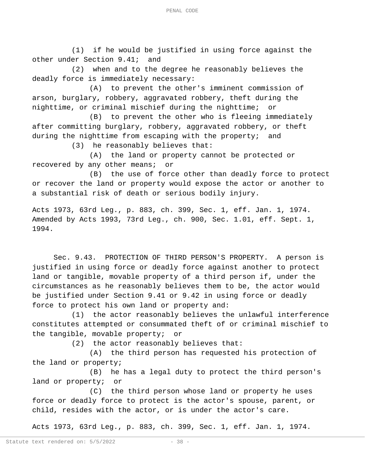(1) if he would be justified in using force against the other under Section 9.41; and

(2) when and to the degree he reasonably believes the deadly force is immediately necessary:

(A) to prevent the other's imminent commission of arson, burglary, robbery, aggravated robbery, theft during the nighttime, or criminal mischief during the nighttime; or

(B) to prevent the other who is fleeing immediately after committing burglary, robbery, aggravated robbery, or theft during the nighttime from escaping with the property; and

(3) he reasonably believes that:

(A) the land or property cannot be protected or recovered by any other means; or

(B) the use of force other than deadly force to protect or recover the land or property would expose the actor or another to a substantial risk of death or serious bodily injury.

Acts 1973, 63rd Leg., p. 883, ch. 399, Sec. 1, eff. Jan. 1, 1974. Amended by Acts 1993, 73rd Leg., ch. 900, Sec. 1.01, eff. Sept. 1, 1994.

Sec. 9.43. PROTECTION OF THIRD PERSON'S PROPERTY. A person is justified in using force or deadly force against another to protect land or tangible, movable property of a third person if, under the circumstances as he reasonably believes them to be, the actor would be justified under Section 9.41 or 9.42 in using force or deadly force to protect his own land or property and:

(1) the actor reasonably believes the unlawful interference constitutes attempted or consummated theft of or criminal mischief to the tangible, movable property; or

(2) the actor reasonably believes that:

(A) the third person has requested his protection of the land or property;

(B) he has a legal duty to protect the third person's land or property; or

(C) the third person whose land or property he uses force or deadly force to protect is the actor's spouse, parent, or child, resides with the actor, or is under the actor's care.

Acts 1973, 63rd Leg., p. 883, ch. 399, Sec. 1, eff. Jan. 1, 1974.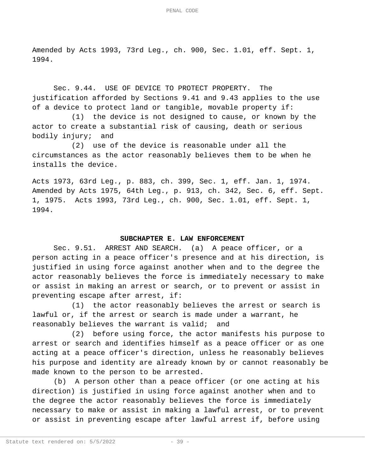Amended by Acts 1993, 73rd Leg., ch. 900, Sec. 1.01, eff. Sept. 1, 1994.

Sec. 9.44. USE OF DEVICE TO PROTECT PROPERTY. The justification afforded by Sections 9.41 and 9.43 applies to the use of a device to protect land or tangible, movable property if:

(1) the device is not designed to cause, or known by the actor to create a substantial risk of causing, death or serious bodily injury; and

(2) use of the device is reasonable under all the circumstances as the actor reasonably believes them to be when he installs the device.

Acts 1973, 63rd Leg., p. 883, ch. 399, Sec. 1, eff. Jan. 1, 1974. Amended by Acts 1975, 64th Leg., p. 913, ch. 342, Sec. 6, eff. Sept. 1, 1975. Acts 1993, 73rd Leg., ch. 900, Sec. 1.01, eff. Sept. 1, 1994.

#### **SUBCHAPTER E. LAW ENFORCEMENT**

Sec. 9.51. ARREST AND SEARCH. (a) A peace officer, or a person acting in a peace officer's presence and at his direction, is justified in using force against another when and to the degree the actor reasonably believes the force is immediately necessary to make or assist in making an arrest or search, or to prevent or assist in preventing escape after arrest, if:

(1) the actor reasonably believes the arrest or search is lawful or, if the arrest or search is made under a warrant, he reasonably believes the warrant is valid; and

(2) before using force, the actor manifests his purpose to arrest or search and identifies himself as a peace officer or as one acting at a peace officer's direction, unless he reasonably believes his purpose and identity are already known by or cannot reasonably be made known to the person to be arrested.

(b) A person other than a peace officer (or one acting at his direction) is justified in using force against another when and to the degree the actor reasonably believes the force is immediately necessary to make or assist in making a lawful arrest, or to prevent or assist in preventing escape after lawful arrest if, before using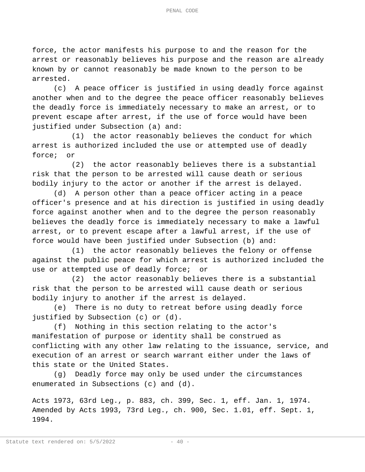force, the actor manifests his purpose to and the reason for the arrest or reasonably believes his purpose and the reason are already known by or cannot reasonably be made known to the person to be arrested.

(c) A peace officer is justified in using deadly force against another when and to the degree the peace officer reasonably believes the deadly force is immediately necessary to make an arrest, or to prevent escape after arrest, if the use of force would have been justified under Subsection (a) and:

(1) the actor reasonably believes the conduct for which arrest is authorized included the use or attempted use of deadly force; or

(2) the actor reasonably believes there is a substantial risk that the person to be arrested will cause death or serious bodily injury to the actor or another if the arrest is delayed.

(d) A person other than a peace officer acting in a peace officer's presence and at his direction is justified in using deadly force against another when and to the degree the person reasonably believes the deadly force is immediately necessary to make a lawful arrest, or to prevent escape after a lawful arrest, if the use of force would have been justified under Subsection (b) and:

(1) the actor reasonably believes the felony or offense against the public peace for which arrest is authorized included the use or attempted use of deadly force; or

(2) the actor reasonably believes there is a substantial risk that the person to be arrested will cause death or serious bodily injury to another if the arrest is delayed.

(e) There is no duty to retreat before using deadly force justified by Subsection (c) or (d).

(f) Nothing in this section relating to the actor's manifestation of purpose or identity shall be construed as conflicting with any other law relating to the issuance, service, and execution of an arrest or search warrant either under the laws of this state or the United States.

(g) Deadly force may only be used under the circumstances enumerated in Subsections (c) and (d).

Acts 1973, 63rd Leg., p. 883, ch. 399, Sec. 1, eff. Jan. 1, 1974. Amended by Acts 1993, 73rd Leg., ch. 900, Sec. 1.01, eff. Sept. 1, 1994.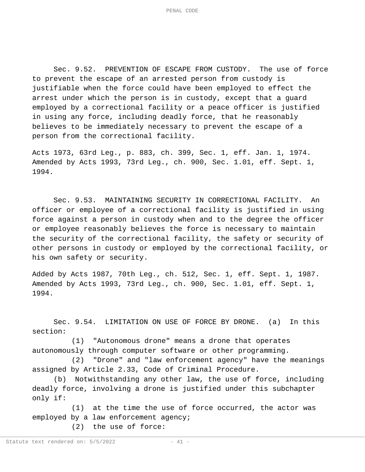Sec. 9.52. PREVENTION OF ESCAPE FROM CUSTODY. The use of force to prevent the escape of an arrested person from custody is justifiable when the force could have been employed to effect the arrest under which the person is in custody, except that a guard employed by a correctional facility or a peace officer is justified in using any force, including deadly force, that he reasonably believes to be immediately necessary to prevent the escape of a person from the correctional facility.

Acts 1973, 63rd Leg., p. 883, ch. 399, Sec. 1, eff. Jan. 1, 1974. Amended by Acts 1993, 73rd Leg., ch. 900, Sec. 1.01, eff. Sept. 1, 1994.

Sec. 9.53. MAINTAINING SECURITY IN CORRECTIONAL FACILITY. An officer or employee of a correctional facility is justified in using force against a person in custody when and to the degree the officer or employee reasonably believes the force is necessary to maintain the security of the correctional facility, the safety or security of other persons in custody or employed by the correctional facility, or his own safety or security.

Added by Acts 1987, 70th Leg., ch. 512, Sec. 1, eff. Sept. 1, 1987. Amended by Acts 1993, 73rd Leg., ch. 900, Sec. 1.01, eff. Sept. 1, 1994.

Sec. 9.54. LIMITATION ON USE OF FORCE BY DRONE. (a) In this section:

(1) "Autonomous drone" means a drone that operates autonomously through computer software or other programming.

(2) "Drone" and "law enforcement agency" have the meanings assigned by Article 2.33, Code of Criminal Procedure.

(b) Notwithstanding any other law, the use of force, including deadly force, involving a drone is justified under this subchapter only if:

(1) at the time the use of force occurred, the actor was employed by a law enforcement agency;

(2) the use of force: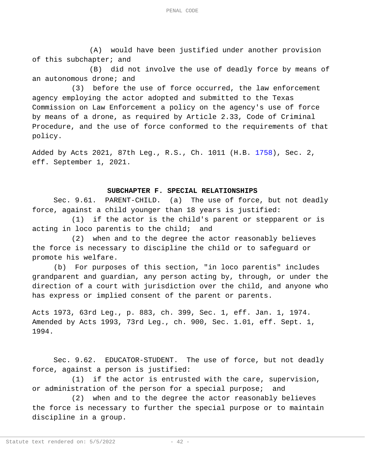(A) would have been justified under another provision of this subchapter; and

(B) did not involve the use of deadly force by means of an autonomous drone; and

(3) before the use of force occurred, the law enforcement agency employing the actor adopted and submitted to the Texas Commission on Law Enforcement a policy on the agency's use of force by means of a drone, as required by Article 2.33, Code of Criminal Procedure, and the use of force conformed to the requirements of that policy.

Added by Acts 2021, 87th Leg., R.S., Ch. 1011 (H.B. [1758](http://www.legis.state.tx.us/tlodocs/87R/billtext/html/HB01758F.HTM)), Sec. 2, eff. September 1, 2021.

### **SUBCHAPTER F. SPECIAL RELATIONSHIPS**

Sec. 9.61. PARENT-CHILD. (a) The use of force, but not deadly force, against a child younger than 18 years is justified:

(1) if the actor is the child's parent or stepparent or is acting in loco parentis to the child; and

(2) when and to the degree the actor reasonably believes the force is necessary to discipline the child or to safeguard or promote his welfare.

(b) For purposes of this section, "in loco parentis" includes grandparent and guardian, any person acting by, through, or under the direction of a court with jurisdiction over the child, and anyone who has express or implied consent of the parent or parents.

Acts 1973, 63rd Leg., p. 883, ch. 399, Sec. 1, eff. Jan. 1, 1974. Amended by Acts 1993, 73rd Leg., ch. 900, Sec. 1.01, eff. Sept. 1, 1994.

Sec. 9.62. EDUCATOR-STUDENT. The use of force, but not deadly force, against a person is justified:

(1) if the actor is entrusted with the care, supervision, or administration of the person for a special purpose; and

(2) when and to the degree the actor reasonably believes the force is necessary to further the special purpose or to maintain discipline in a group.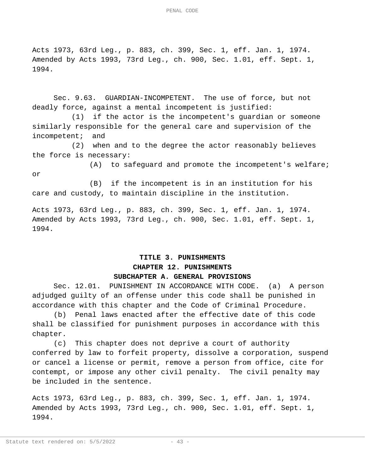Acts 1973, 63rd Leg., p. 883, ch. 399, Sec. 1, eff. Jan. 1, 1974. Amended by Acts 1993, 73rd Leg., ch. 900, Sec. 1.01, eff. Sept. 1, 1994.

Sec. 9.63. GUARDIAN-INCOMPETENT. The use of force, but not deadly force, against a mental incompetent is justified:

(1) if the actor is the incompetent's guardian or someone similarly responsible for the general care and supervision of the incompetent; and

(2) when and to the degree the actor reasonably believes the force is necessary:

or

(A) to safeguard and promote the incompetent's welfare;

(B) if the incompetent is in an institution for his care and custody, to maintain discipline in the institution.

Acts 1973, 63rd Leg., p. 883, ch. 399, Sec. 1, eff. Jan. 1, 1974. Amended by Acts 1993, 73rd Leg., ch. 900, Sec. 1.01, eff. Sept. 1, 1994.

# **TITLE 3. PUNISHMENTS CHAPTER 12. PUNISHMENTS SUBCHAPTER A. GENERAL PROVISIONS**

Sec. 12.01. PUNISHMENT IN ACCORDANCE WITH CODE. (a) A person adjudged guilty of an offense under this code shall be punished in accordance with this chapter and the Code of Criminal Procedure.

(b) Penal laws enacted after the effective date of this code shall be classified for punishment purposes in accordance with this chapter.

(c) This chapter does not deprive a court of authority conferred by law to forfeit property, dissolve a corporation, suspend or cancel a license or permit, remove a person from office, cite for contempt, or impose any other civil penalty. The civil penalty may be included in the sentence.

Acts 1973, 63rd Leg., p. 883, ch. 399, Sec. 1, eff. Jan. 1, 1974. Amended by Acts 1993, 73rd Leg., ch. 900, Sec. 1.01, eff. Sept. 1, 1994.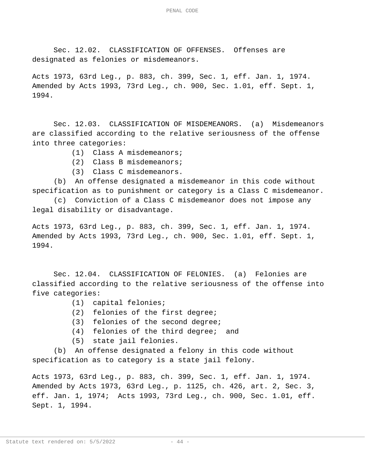Sec. 12.02. CLASSIFICATION OF OFFENSES. Offenses are designated as felonies or misdemeanors.

Acts 1973, 63rd Leg., p. 883, ch. 399, Sec. 1, eff. Jan. 1, 1974. Amended by Acts 1993, 73rd Leg., ch. 900, Sec. 1.01, eff. Sept. 1, 1994.

Sec. 12.03. CLASSIFICATION OF MISDEMEANORS. (a) Misdemeanors are classified according to the relative seriousness of the offense into three categories:

- (1) Class A misdemeanors;
- (2) Class B misdemeanors;
- (3) Class C misdemeanors.

(b) An offense designated a misdemeanor in this code without specification as to punishment or category is a Class C misdemeanor.

(c) Conviction of a Class C misdemeanor does not impose any legal disability or disadvantage.

Acts 1973, 63rd Leg., p. 883, ch. 399, Sec. 1, eff. Jan. 1, 1974. Amended by Acts 1993, 73rd Leg., ch. 900, Sec. 1.01, eff. Sept. 1, 1994.

Sec. 12.04. CLASSIFICATION OF FELONIES. (a) Felonies are classified according to the relative seriousness of the offense into five categories:

- (1) capital felonies;
- (2) felonies of the first degree;
- (3) felonies of the second degree;
- (4) felonies of the third degree; and
- (5) state jail felonies.

(b) An offense designated a felony in this code without specification as to category is a state jail felony.

Acts 1973, 63rd Leg., p. 883, ch. 399, Sec. 1, eff. Jan. 1, 1974. Amended by Acts 1973, 63rd Leg., p. 1125, ch. 426, art. 2, Sec. 3, eff. Jan. 1, 1974; Acts 1993, 73rd Leg., ch. 900, Sec. 1.01, eff. Sept. 1, 1994.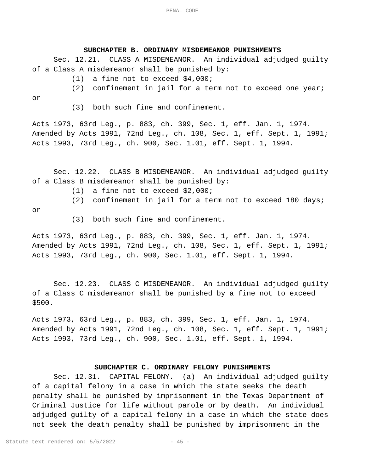#### **SUBCHAPTER B. ORDINARY MISDEMEANOR PUNISHMENTS**

Sec. 12.21. CLASS A MISDEMEANOR. An individual adjudged guilty of a Class A misdemeanor shall be punished by:

- (1) a fine not to exceed \$4,000;
- (2) confinement in jail for a term not to exceed one year;
	- (3) both such fine and confinement.

Acts 1973, 63rd Leg., p. 883, ch. 399, Sec. 1, eff. Jan. 1, 1974. Amended by Acts 1991, 72nd Leg., ch. 108, Sec. 1, eff. Sept. 1, 1991; Acts 1993, 73rd Leg., ch. 900, Sec. 1.01, eff. Sept. 1, 1994.

Sec. 12.22. CLASS B MISDEMEANOR. An individual adjudged guilty of a Class B misdemeanor shall be punished by:

(1) a fine not to exceed \$2,000;

(2) confinement in jail for a term not to exceed 180 days;

or

or

(3) both such fine and confinement.

Acts 1973, 63rd Leg., p. 883, ch. 399, Sec. 1, eff. Jan. 1, 1974. Amended by Acts 1991, 72nd Leg., ch. 108, Sec. 1, eff. Sept. 1, 1991; Acts 1993, 73rd Leg., ch. 900, Sec. 1.01, eff. Sept. 1, 1994.

Sec. 12.23. CLASS C MISDEMEANOR. An individual adjudged guilty of a Class C misdemeanor shall be punished by a fine not to exceed \$500.

Acts 1973, 63rd Leg., p. 883, ch. 399, Sec. 1, eff. Jan. 1, 1974. Amended by Acts 1991, 72nd Leg., ch. 108, Sec. 1, eff. Sept. 1, 1991; Acts 1993, 73rd Leg., ch. 900, Sec. 1.01, eff. Sept. 1, 1994.

## **SUBCHAPTER C. ORDINARY FELONY PUNISHMENTS**

Sec. 12.31. CAPITAL FELONY. (a) An individual adjudged guilty of a capital felony in a case in which the state seeks the death penalty shall be punished by imprisonment in the Texas Department of Criminal Justice for life without parole or by death. An individual adjudged guilty of a capital felony in a case in which the state does not seek the death penalty shall be punished by imprisonment in the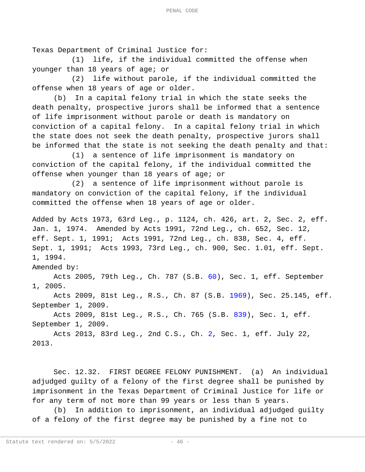Texas Department of Criminal Justice for:

(1) life, if the individual committed the offense when younger than 18 years of age; or

(2) life without parole, if the individual committed the offense when 18 years of age or older.

(b) In a capital felony trial in which the state seeks the death penalty, prospective jurors shall be informed that a sentence of life imprisonment without parole or death is mandatory on conviction of a capital felony. In a capital felony trial in which the state does not seek the death penalty, prospective jurors shall be informed that the state is not seeking the death penalty and that:

(1) a sentence of life imprisonment is mandatory on conviction of the capital felony, if the individual committed the offense when younger than 18 years of age; or

(2) a sentence of life imprisonment without parole is mandatory on conviction of the capital felony, if the individual committed the offense when 18 years of age or older.

Added by Acts 1973, 63rd Leg., p. 1124, ch. 426, art. 2, Sec. 2, eff. Jan. 1, 1974. Amended by Acts 1991, 72nd Leg., ch. 652, Sec. 12, eff. Sept. 1, 1991; Acts 1991, 72nd Leg., ch. 838, Sec. 4, eff. Sept. 1, 1991; Acts 1993, 73rd Leg., ch. 900, Sec. 1.01, eff. Sept. 1, 1994.

## Amended by:

Acts 2005, 79th Leg., Ch. 787 (S.B. [60\)](http://www.legis.state.tx.us/tlodocs/79R/billtext/html/SB00060F.HTM), Sec. 1, eff. September 1, 2005.

Acts 2009, 81st Leg., R.S., Ch. 87 (S.B. [1969\)](http://www.legis.state.tx.us/tlodocs/81R/billtext/html/SB01969F.HTM), Sec. 25.145, eff. September 1, 2009.

Acts 2009, 81st Leg., R.S., Ch. 765 (S.B. [839](http://www.legis.state.tx.us/tlodocs/81R/billtext/html/SB00839F.HTM)), Sec. 1, eff. September 1, 2009.

Acts 2013, 83rd Leg., 2nd C.S., Ch. [2](http://www.legis.state.tx.us/tlodocs/832/billtext/html/SB00002F.HTM), Sec. 1, eff. July 22, 2013.

Sec. 12.32. FIRST DEGREE FELONY PUNISHMENT. (a) An individual adjudged guilty of a felony of the first degree shall be punished by imprisonment in the Texas Department of Criminal Justice for life or for any term of not more than 99 years or less than 5 years.

(b) In addition to imprisonment, an individual adjudged guilty of a felony of the first degree may be punished by a fine not to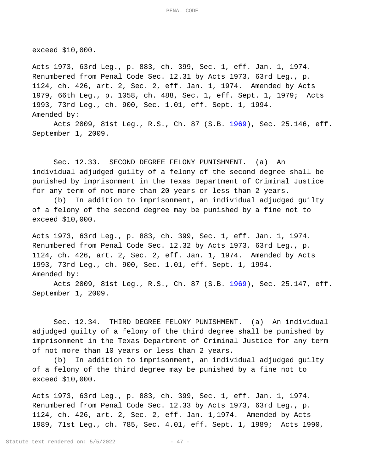exceed \$10,000.

Acts 1973, 63rd Leg., p. 883, ch. 399, Sec. 1, eff. Jan. 1, 1974. Renumbered from Penal Code Sec. 12.31 by Acts 1973, 63rd Leg., p. 1124, ch. 426, art. 2, Sec. 2, eff. Jan. 1, 1974. Amended by Acts 1979, 66th Leg., p. 1058, ch. 488, Sec. 1, eff. Sept. 1, 1979; Acts 1993, 73rd Leg., ch. 900, Sec. 1.01, eff. Sept. 1, 1994. Amended by:

Acts 2009, 81st Leg., R.S., Ch. 87 (S.B. [1969\)](http://www.legis.state.tx.us/tlodocs/81R/billtext/html/SB01969F.HTM), Sec. 25.146, eff. September 1, 2009.

Sec. 12.33. SECOND DEGREE FELONY PUNISHMENT. (a) An individual adjudged guilty of a felony of the second degree shall be punished by imprisonment in the Texas Department of Criminal Justice for any term of not more than 20 years or less than 2 years.

(b) In addition to imprisonment, an individual adjudged guilty of a felony of the second degree may be punished by a fine not to exceed \$10,000.

Acts 1973, 63rd Leg., p. 883, ch. 399, Sec. 1, eff. Jan. 1, 1974. Renumbered from Penal Code Sec. 12.32 by Acts 1973, 63rd Leg., p. 1124, ch. 426, art. 2, Sec. 2, eff. Jan. 1, 1974. Amended by Acts 1993, 73rd Leg., ch. 900, Sec. 1.01, eff. Sept. 1, 1994. Amended by:

Acts 2009, 81st Leg., R.S., Ch. 87 (S.B. [1969\)](http://www.legis.state.tx.us/tlodocs/81R/billtext/html/SB01969F.HTM), Sec. 25.147, eff. September 1, 2009.

Sec. 12.34. THIRD DEGREE FELONY PUNISHMENT. (a) An individual adjudged guilty of a felony of the third degree shall be punished by imprisonment in the Texas Department of Criminal Justice for any term of not more than 10 years or less than 2 years.

(b) In addition to imprisonment, an individual adjudged guilty of a felony of the third degree may be punished by a fine not to exceed \$10,000.

Acts 1973, 63rd Leg., p. 883, ch. 399, Sec. 1, eff. Jan. 1, 1974. Renumbered from Penal Code Sec. 12.33 by Acts 1973, 63rd Leg., p. 1124, ch. 426, art. 2, Sec. 2, eff. Jan. 1,1974. Amended by Acts 1989, 71st Leg., ch. 785, Sec. 4.01, eff. Sept. 1, 1989; Acts 1990,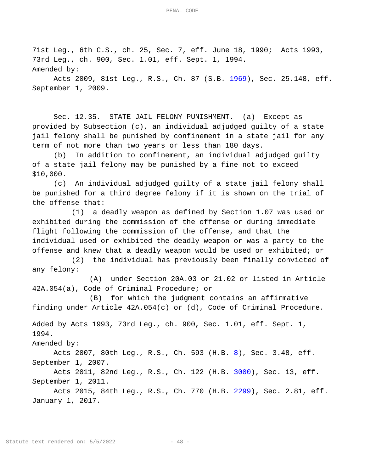71st Leg., 6th C.S., ch. 25, Sec. 7, eff. June 18, 1990; Acts 1993, 73rd Leg., ch. 900, Sec. 1.01, eff. Sept. 1, 1994. Amended by:

Acts 2009, 81st Leg., R.S., Ch. 87 (S.B. [1969\)](http://www.legis.state.tx.us/tlodocs/81R/billtext/html/SB01969F.HTM), Sec. 25.148, eff. September 1, 2009.

Sec. 12.35. STATE JAIL FELONY PUNISHMENT. (a) Except as provided by Subsection (c), an individual adjudged guilty of a state jail felony shall be punished by confinement in a state jail for any term of not more than two years or less than 180 days.

(b) In addition to confinement, an individual adjudged guilty of a state jail felony may be punished by a fine not to exceed \$10,000.

(c) An individual adjudged guilty of a state jail felony shall be punished for a third degree felony if it is shown on the trial of the offense that:

(1) a deadly weapon as defined by Section 1.07 was used or exhibited during the commission of the offense or during immediate flight following the commission of the offense, and that the individual used or exhibited the deadly weapon or was a party to the offense and knew that a deadly weapon would be used or exhibited; or

(2) the individual has previously been finally convicted of any felony:

(A) under Section 20A.03 or 21.02 or listed in Article 42A.054(a), Code of Criminal Procedure; or

(B) for which the judgment contains an affirmative finding under Article 42A.054(c) or (d), Code of Criminal Procedure.

Added by Acts 1993, 73rd Leg., ch. 900, Sec. 1.01, eff. Sept. 1, 1994.

Amended by:

Acts 2007, 80th Leg., R.S., Ch. 593 (H.B. [8\)](http://www.legis.state.tx.us/tlodocs/80R/billtext/html/HB00008F.HTM), Sec. 3.48, eff. September 1, 2007.

Acts 2011, 82nd Leg., R.S., Ch. 122 (H.B. [3000](http://www.legis.state.tx.us/tlodocs/82R/billtext/html/HB03000F.HTM)), Sec. 13, eff. September 1, 2011.

Acts 2015, 84th Leg., R.S., Ch. 770 (H.B. [2299](http://www.legis.state.tx.us/tlodocs/84R/billtext/html/HB02299F.HTM)), Sec. 2.81, eff. January 1, 2017.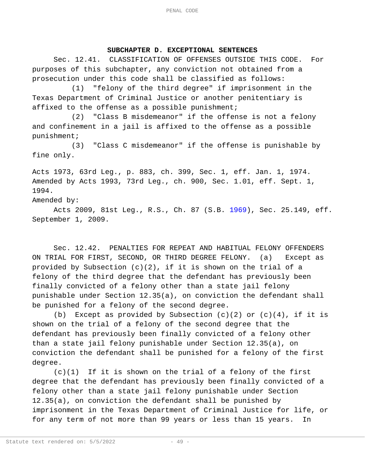## **SUBCHAPTER D. EXCEPTIONAL SENTENCES**

Sec. 12.41. CLASSIFICATION OF OFFENSES OUTSIDE THIS CODE. For purposes of this subchapter, any conviction not obtained from a prosecution under this code shall be classified as follows:

(1) "felony of the third degree" if imprisonment in the Texas Department of Criminal Justice or another penitentiary is affixed to the offense as a possible punishment;

(2) "Class B misdemeanor" if the offense is not a felony and confinement in a jail is affixed to the offense as a possible punishment;

(3) "Class C misdemeanor" if the offense is punishable by fine only.

Acts 1973, 63rd Leg., p. 883, ch. 399, Sec. 1, eff. Jan. 1, 1974. Amended by Acts 1993, 73rd Leg., ch. 900, Sec. 1.01, eff. Sept. 1, 1994.

```
Amended by:
```
Acts 2009, 81st Leg., R.S., Ch. 87 (S.B. [1969\)](http://www.legis.state.tx.us/tlodocs/81R/billtext/html/SB01969F.HTM), Sec. 25.149, eff. September 1, 2009.

Sec. 12.42. PENALTIES FOR REPEAT AND HABITUAL FELONY OFFENDERS ON TRIAL FOR FIRST, SECOND, OR THIRD DEGREE FELONY. (a) Except as provided by Subsection (c)(2), if it is shown on the trial of a felony of the third degree that the defendant has previously been finally convicted of a felony other than a state jail felony punishable under Section 12.35(a), on conviction the defendant shall be punished for a felony of the second degree.

(b) Except as provided by Subsection (c)(2) or (c)(4), if it is shown on the trial of a felony of the second degree that the defendant has previously been finally convicted of a felony other than a state jail felony punishable under Section 12.35(a), on conviction the defendant shall be punished for a felony of the first degree.

 $(c)(1)$  If it is shown on the trial of a felony of the first degree that the defendant has previously been finally convicted of a felony other than a state jail felony punishable under Section 12.35(a), on conviction the defendant shall be punished by imprisonment in the Texas Department of Criminal Justice for life, or for any term of not more than 99 years or less than 15 years. In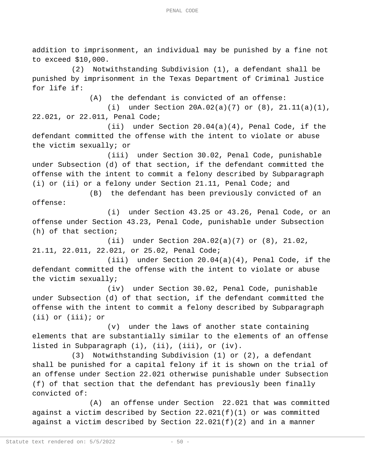addition to imprisonment, an individual may be punished by a fine not to exceed \$10,000.

(2) Notwithstanding Subdivision (1), a defendant shall be punished by imprisonment in the Texas Department of Criminal Justice for life if:

(A) the defendant is convicted of an offense:

(i) under Section 20A.02(a)(7) or (8), 21.11(a)(1), 22.021, or 22.011, Penal Code;

(ii) under Section 20.04(a)(4), Penal Code, if the defendant committed the offense with the intent to violate or abuse the victim sexually; or

(iii) under Section 30.02, Penal Code, punishable under Subsection (d) of that section, if the defendant committed the offense with the intent to commit a felony described by Subparagraph (i) or (ii) or a felony under Section 21.11, Penal Code; and

(B) the defendant has been previously convicted of an offense:

(i) under Section 43.25 or 43.26, Penal Code, or an offense under Section 43.23, Penal Code, punishable under Subsection (h) of that section;

(ii) under Section 20A.02(a)(7) or (8), 21.02, 21.11, 22.011, 22.021, or 25.02, Penal Code;

(iii) under Section 20.04(a)(4), Penal Code, if the defendant committed the offense with the intent to violate or abuse the victim sexually;

(iv) under Section 30.02, Penal Code, punishable under Subsection (d) of that section, if the defendant committed the offense with the intent to commit a felony described by Subparagraph (ii) or (iii); or

(v) under the laws of another state containing elements that are substantially similar to the elements of an offense listed in Subparagraph (i), (ii), (iii), or (iv).

(3) Notwithstanding Subdivision (1) or (2), a defendant shall be punished for a capital felony if it is shown on the trial of an offense under Section 22.021 otherwise punishable under Subsection (f) of that section that the defendant has previously been finally convicted of:

(A) an offense under Section 22.021 that was committed against a victim described by Section 22.021(f)(1) or was committed against a victim described by Section 22.021(f)(2) and in a manner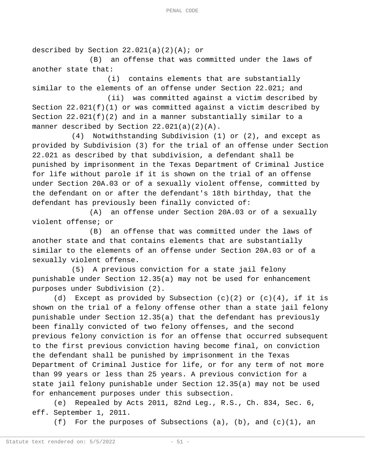described by Section  $22.021(a)(2)(A)$ ; or

(B) an offense that was committed under the laws of another state that:

(i) contains elements that are substantially similar to the elements of an offense under Section 22.021; and

(ii) was committed against a victim described by Section  $22.021(f)(1)$  or was committed against a victim described by Section  $22.021(f)(2)$  and in a manner substantially similar to a manner described by Section 22.021(a)(2)(A).

(4) Notwithstanding Subdivision (1) or (2), and except as provided by Subdivision (3) for the trial of an offense under Section 22.021 as described by that subdivision, a defendant shall be punished by imprisonment in the Texas Department of Criminal Justice for life without parole if it is shown on the trial of an offense under Section 20A.03 or of a sexually violent offense, committed by the defendant on or after the defendant's 18th birthday, that the defendant has previously been finally convicted of:

(A) an offense under Section 20A.03 or of a sexually violent offense; or

(B) an offense that was committed under the laws of another state and that contains elements that are substantially similar to the elements of an offense under Section 20A.03 or of a sexually violent offense.

(5) A previous conviction for a state jail felony punishable under Section 12.35(a) may not be used for enhancement purposes under Subdivision (2).

(d) Except as provided by Subsection (c)(2) or (c)(4), if it is shown on the trial of a felony offense other than a state jail felony punishable under Section 12.35(a) that the defendant has previously been finally convicted of two felony offenses, and the second previous felony conviction is for an offense that occurred subsequent to the first previous conviction having become final, on conviction the defendant shall be punished by imprisonment in the Texas Department of Criminal Justice for life, or for any term of not more than 99 years or less than 25 years. A previous conviction for a state jail felony punishable under Section 12.35(a) may not be used for enhancement purposes under this subsection.

(e) Repealed by Acts 2011, 82nd Leg., R.S., Ch. 834, Sec. 6, eff. September 1, 2011.

(f) For the purposes of Subsections (a), (b), and (c)(1), an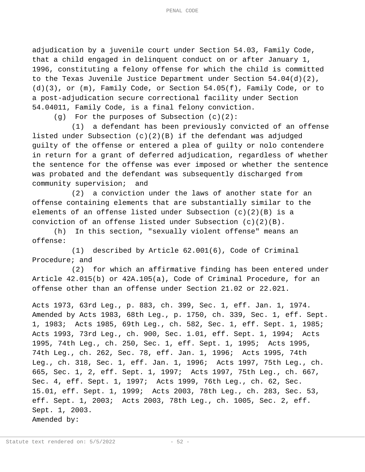adjudication by a juvenile court under Section 54.03, Family Code, that a child engaged in delinquent conduct on or after January 1, 1996, constituting a felony offense for which the child is committed to the Texas Juvenile Justice Department under Section  $54.04(d)(2)$ , (d)(3), or (m), Family Code, or Section 54.05(f), Family Code, or to a post-adjudication secure correctional facility under Section 54.04011, Family Code, is a final felony conviction.

(g) For the purposes of Subsection (c)(2):

(1) a defendant has been previously convicted of an offense listed under Subsection  $(c)(2)(B)$  if the defendant was adjudged guilty of the offense or entered a plea of guilty or nolo contendere in return for a grant of deferred adjudication, regardless of whether the sentence for the offense was ever imposed or whether the sentence was probated and the defendant was subsequently discharged from community supervision; and

(2) a conviction under the laws of another state for an offense containing elements that are substantially similar to the elements of an offense listed under Subsection (c)(2)(B) is a conviction of an offense listed under Subsection (c)(2)(B).

(h) In this section, "sexually violent offense" means an offense:

(1) described by Article 62.001(6), Code of Criminal Procedure; and

(2) for which an affirmative finding has been entered under Article 42.015(b) or 42A.105(a), Code of Criminal Procedure, for an offense other than an offense under Section 21.02 or 22.021.

Acts 1973, 63rd Leg., p. 883, ch. 399, Sec. 1, eff. Jan. 1, 1974. Amended by Acts 1983, 68th Leg., p. 1750, ch. 339, Sec. 1, eff. Sept. 1, 1983; Acts 1985, 69th Leg., ch. 582, Sec. 1, eff. Sept. 1, 1985; Acts 1993, 73rd Leg., ch. 900, Sec. 1.01, eff. Sept. 1, 1994; Acts 1995, 74th Leg., ch. 250, Sec. 1, eff. Sept. 1, 1995; Acts 1995, 74th Leg., ch. 262, Sec. 78, eff. Jan. 1, 1996; Acts 1995, 74th Leg., ch. 318, Sec. 1, eff. Jan. 1, 1996; Acts 1997, 75th Leg., ch. 665, Sec. 1, 2, eff. Sept. 1, 1997; Acts 1997, 75th Leg., ch. 667, Sec. 4, eff. Sept. 1, 1997; Acts 1999, 76th Leg., ch. 62, Sec. 15.01, eff. Sept. 1, 1999; Acts 2003, 78th Leg., ch. 283, Sec. 53, eff. Sept. 1, 2003; Acts 2003, 78th Leg., ch. 1005, Sec. 2, eff. Sept. 1, 2003. Amended by: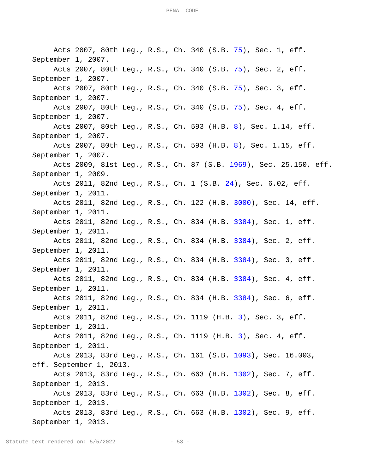Acts 2007, 80th Leg., R.S., Ch. 340 (S.B. [75\)](http://www.legis.state.tx.us/tlodocs/80R/billtext/html/SB00075F.HTM), Sec. 1, eff. September 1, 2007. Acts 2007, 80th Leg., R.S., Ch. 340 (S.B. [75\)](http://www.legis.state.tx.us/tlodocs/80R/billtext/html/SB00075F.HTM), Sec. 2, eff. September 1, 2007. Acts 2007, 80th Leg., R.S., Ch. 340 (S.B. [75\)](http://www.legis.state.tx.us/tlodocs/80R/billtext/html/SB00075F.HTM), Sec. 3, eff. September 1, 2007. Acts 2007, 80th Leg., R.S., Ch. 340 (S.B. [75\)](http://www.legis.state.tx.us/tlodocs/80R/billtext/html/SB00075F.HTM), Sec. 4, eff. September 1, 2007. Acts 2007, 80th Leg., R.S., Ch. 593 (H.B. [8\)](http://www.legis.state.tx.us/tlodocs/80R/billtext/html/HB00008F.HTM), Sec. 1.14, eff. September 1, 2007. Acts 2007, 80th Leg., R.S., Ch. 593 (H.B. [8\)](http://www.legis.state.tx.us/tlodocs/80R/billtext/html/HB00008F.HTM), Sec. 1.15, eff. September 1, 2007. Acts 2009, 81st Leg., R.S., Ch. 87 (S.B. [1969\)](http://www.legis.state.tx.us/tlodocs/81R/billtext/html/SB01969F.HTM), Sec. 25.150, eff. September 1, 2009. Acts 2011, 82nd Leg., R.S., Ch. 1 (S.B. [24](http://www.legis.state.tx.us/tlodocs/82R/billtext/html/SB00024F.HTM)), Sec. 6.02, eff. September 1, 2011. Acts 2011, 82nd Leg., R.S., Ch. 122 (H.B. [3000](http://www.legis.state.tx.us/tlodocs/82R/billtext/html/HB03000F.HTM)), Sec. 14, eff. September 1, 2011. Acts 2011, 82nd Leg., R.S., Ch. 834 (H.B. [3384](http://www.legis.state.tx.us/tlodocs/82R/billtext/html/HB03384F.HTM)), Sec. 1, eff. September 1, 2011. Acts 2011, 82nd Leg., R.S., Ch. 834 (H.B. [3384](http://www.legis.state.tx.us/tlodocs/82R/billtext/html/HB03384F.HTM)), Sec. 2, eff. September 1, 2011. Acts 2011, 82nd Leg., R.S., Ch. 834 (H.B. [3384](http://www.legis.state.tx.us/tlodocs/82R/billtext/html/HB03384F.HTM)), Sec. 3, eff. September 1, 2011. Acts 2011, 82nd Leg., R.S., Ch. 834 (H.B. [3384](http://www.legis.state.tx.us/tlodocs/82R/billtext/html/HB03384F.HTM)), Sec. 4, eff. September 1, 2011. Acts 2011, 82nd Leg., R.S., Ch. 834 (H.B. [3384](http://www.legis.state.tx.us/tlodocs/82R/billtext/html/HB03384F.HTM)), Sec. 6, eff. September 1, 2011. Acts 2011, 82nd Leg., R.S., Ch. 1119 (H.B. [3\)](http://www.legis.state.tx.us/tlodocs/82R/billtext/html/HB00003F.HTM), Sec. 3, eff. September 1, 2011. Acts 2011, 82nd Leg., R.S., Ch. 1119 (H.B. [3\)](http://www.legis.state.tx.us/tlodocs/82R/billtext/html/HB00003F.HTM), Sec. 4, eff. September 1, 2011. Acts 2013, 83rd Leg., R.S., Ch. 161 (S.B. [1093](http://www.legis.state.tx.us/tlodocs/83R/billtext/html/SB01093F.HTM)), Sec. 16.003, eff. September 1, 2013. Acts 2013, 83rd Leg., R.S., Ch. 663 (H.B. [1302](http://www.legis.state.tx.us/tlodocs/83R/billtext/html/HB01302F.HTM)), Sec. 7, eff. September 1, 2013. Acts 2013, 83rd Leg., R.S., Ch. 663 (H.B. [1302](http://www.legis.state.tx.us/tlodocs/83R/billtext/html/HB01302F.HTM)), Sec. 8, eff. September 1, 2013. Acts 2013, 83rd Leg., R.S., Ch. 663 (H.B. [1302](http://www.legis.state.tx.us/tlodocs/83R/billtext/html/HB01302F.HTM)), Sec. 9, eff. September 1, 2013.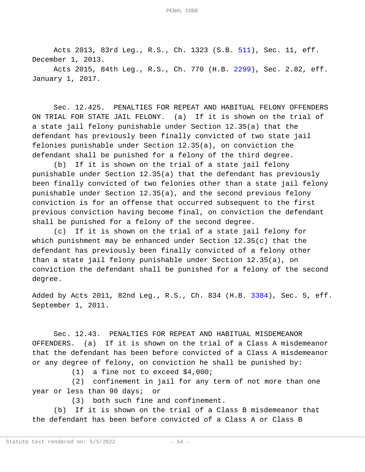Acts 2013, 83rd Leg., R.S., Ch. 1323 (S.B. [511](http://www.legis.state.tx.us/tlodocs/83R/billtext/html/SB00511F.HTM)), Sec. 11, eff. December 1, 2013.

Acts 2015, 84th Leg., R.S., Ch. 770 (H.B. [2299](http://www.legis.state.tx.us/tlodocs/84R/billtext/html/HB02299F.HTM)), Sec. 2.82, eff. January 1, 2017.

Sec. 12.425. PENALTIES FOR REPEAT AND HABITUAL FELONY OFFENDERS ON TRIAL FOR STATE JAIL FELONY. (a) If it is shown on the trial of a state jail felony punishable under Section 12.35(a) that the defendant has previously been finally convicted of two state jail felonies punishable under Section 12.35(a), on conviction the defendant shall be punished for a felony of the third degree.

(b) If it is shown on the trial of a state jail felony punishable under Section 12.35(a) that the defendant has previously been finally convicted of two felonies other than a state jail felony punishable under Section 12.35(a), and the second previous felony conviction is for an offense that occurred subsequent to the first previous conviction having become final, on conviction the defendant shall be punished for a felony of the second degree.

(c) If it is shown on the trial of a state jail felony for which punishment may be enhanced under Section 12.35(c) that the defendant has previously been finally convicted of a felony other than a state jail felony punishable under Section 12.35(a), on conviction the defendant shall be punished for a felony of the second degree.

Added by Acts 2011, 82nd Leg., R.S., Ch. 834 (H.B. [3384](http://www.legis.state.tx.us/tlodocs/82R/billtext/html/HB03384F.HTM)), Sec. 5, eff. September 1, 2011.

Sec. 12.43. PENALTIES FOR REPEAT AND HABITUAL MISDEMEANOR OFFENDERS. (a) If it is shown on the trial of a Class A misdemeanor that the defendant has been before convicted of a Class A misdemeanor or any degree of felony, on conviction he shall be punished by:

(1) a fine not to exceed \$4,000;

(2) confinement in jail for any term of not more than one year or less than 90 days; or

(3) both such fine and confinement.

(b) If it is shown on the trial of a Class B misdemeanor that the defendant has been before convicted of a Class A or Class B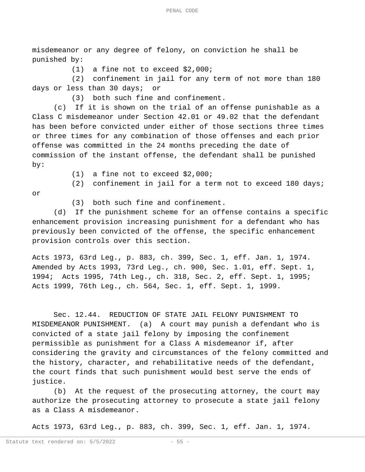misdemeanor or any degree of felony, on conviction he shall be punished by:

(1) a fine not to exceed \$2,000;

(2) confinement in jail for any term of not more than 180 days or less than 30 days; or

(3) both such fine and confinement.

(c) If it is shown on the trial of an offense punishable as a Class C misdemeanor under Section 42.01 or 49.02 that the defendant has been before convicted under either of those sections three times or three times for any combination of those offenses and each prior offense was committed in the 24 months preceding the date of commission of the instant offense, the defendant shall be punished by:

(1) a fine not to exceed \$2,000;

(2) confinement in jail for a term not to exceed 180 days;

or

(3) both such fine and confinement.

(d) If the punishment scheme for an offense contains a specific enhancement provision increasing punishment for a defendant who has previously been convicted of the offense, the specific enhancement provision controls over this section.

Acts 1973, 63rd Leg., p. 883, ch. 399, Sec. 1, eff. Jan. 1, 1974. Amended by Acts 1993, 73rd Leg., ch. 900, Sec. 1.01, eff. Sept. 1, 1994; Acts 1995, 74th Leg., ch. 318, Sec. 2, eff. Sept. 1, 1995; Acts 1999, 76th Leg., ch. 564, Sec. 1, eff. Sept. 1, 1999.

Sec. 12.44. REDUCTION OF STATE JAIL FELONY PUNISHMENT TO MISDEMEANOR PUNISHMENT. (a) A court may punish a defendant who is convicted of a state jail felony by imposing the confinement permissible as punishment for a Class A misdemeanor if, after considering the gravity and circumstances of the felony committed and the history, character, and rehabilitative needs of the defendant, the court finds that such punishment would best serve the ends of justice.

(b) At the request of the prosecuting attorney, the court may authorize the prosecuting attorney to prosecute a state jail felony as a Class A misdemeanor.

Acts 1973, 63rd Leg., p. 883, ch. 399, Sec. 1, eff. Jan. 1, 1974.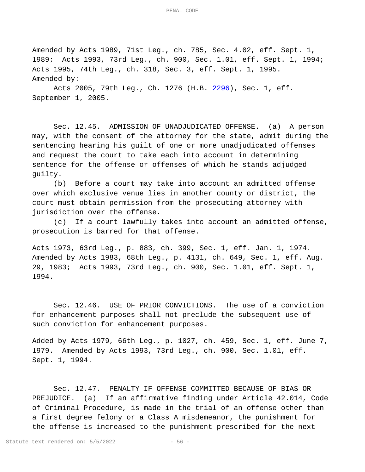Amended by Acts 1989, 71st Leg., ch. 785, Sec. 4.02, eff. Sept. 1, 1989; Acts 1993, 73rd Leg., ch. 900, Sec. 1.01, eff. Sept. 1, 1994; Acts 1995, 74th Leg., ch. 318, Sec. 3, eff. Sept. 1, 1995. Amended by:

Acts 2005, 79th Leg., Ch. 1276 (H.B. [2296](http://www.legis.state.tx.us/tlodocs/79R/billtext/html/HB02296F.HTM)), Sec. 1, eff. September 1, 2005.

Sec. 12.45. ADMISSION OF UNADJUDICATED OFFENSE. (a) A person may, with the consent of the attorney for the state, admit during the sentencing hearing his guilt of one or more unadjudicated offenses and request the court to take each into account in determining sentence for the offense or offenses of which he stands adjudged guilty.

(b) Before a court may take into account an admitted offense over which exclusive venue lies in another county or district, the court must obtain permission from the prosecuting attorney with jurisdiction over the offense.

(c) If a court lawfully takes into account an admitted offense, prosecution is barred for that offense.

Acts 1973, 63rd Leg., p. 883, ch. 399, Sec. 1, eff. Jan. 1, 1974. Amended by Acts 1983, 68th Leg., p. 4131, ch. 649, Sec. 1, eff. Aug. 29, 1983; Acts 1993, 73rd Leg., ch. 900, Sec. 1.01, eff. Sept. 1, 1994.

Sec. 12.46. USE OF PRIOR CONVICTIONS. The use of a conviction for enhancement purposes shall not preclude the subsequent use of such conviction for enhancement purposes.

Added by Acts 1979, 66th Leg., p. 1027, ch. 459, Sec. 1, eff. June 7, 1979. Amended by Acts 1993, 73rd Leg., ch. 900, Sec. 1.01, eff. Sept. 1, 1994.

Sec. 12.47. PENALTY IF OFFENSE COMMITTED BECAUSE OF BIAS OR PREJUDICE. (a) If an affirmative finding under Article 42.014, Code of Criminal Procedure, is made in the trial of an offense other than a first degree felony or a Class A misdemeanor, the punishment for the offense is increased to the punishment prescribed for the next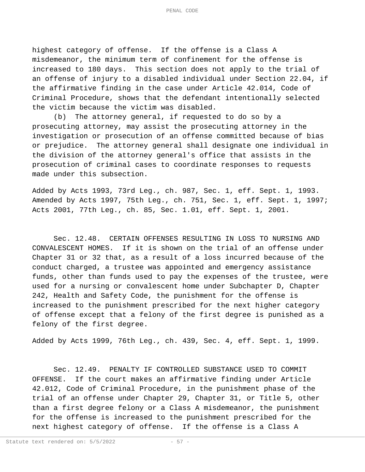highest category of offense. If the offense is a Class A misdemeanor, the minimum term of confinement for the offense is increased to 180 days. This section does not apply to the trial of an offense of injury to a disabled individual under Section 22.04, if the affirmative finding in the case under Article 42.014, Code of Criminal Procedure, shows that the defendant intentionally selected the victim because the victim was disabled.

(b) The attorney general, if requested to do so by a prosecuting attorney, may assist the prosecuting attorney in the investigation or prosecution of an offense committed because of bias or prejudice. The attorney general shall designate one individual in the division of the attorney general's office that assists in the prosecution of criminal cases to coordinate responses to requests made under this subsection.

Added by Acts 1993, 73rd Leg., ch. 987, Sec. 1, eff. Sept. 1, 1993. Amended by Acts 1997, 75th Leg., ch. 751, Sec. 1, eff. Sept. 1, 1997; Acts 2001, 77th Leg., ch. 85, Sec. 1.01, eff. Sept. 1, 2001.

Sec. 12.48. CERTAIN OFFENSES RESULTING IN LOSS TO NURSING AND CONVALESCENT HOMES. If it is shown on the trial of an offense under Chapter 31 or 32 that, as a result of a loss incurred because of the conduct charged, a trustee was appointed and emergency assistance funds, other than funds used to pay the expenses of the trustee, were used for a nursing or convalescent home under Subchapter D, Chapter 242, Health and Safety Code, the punishment for the offense is increased to the punishment prescribed for the next higher category of offense except that a felony of the first degree is punished as a felony of the first degree.

Added by Acts 1999, 76th Leg., ch. 439, Sec. 4, eff. Sept. 1, 1999.

Sec. 12.49. PENALTY IF CONTROLLED SUBSTANCE USED TO COMMIT OFFENSE. If the court makes an affirmative finding under Article 42.012, Code of Criminal Procedure, in the punishment phase of the trial of an offense under Chapter 29, Chapter 31, or Title 5, other than a first degree felony or a Class A misdemeanor, the punishment for the offense is increased to the punishment prescribed for the next highest category of offense. If the offense is a Class A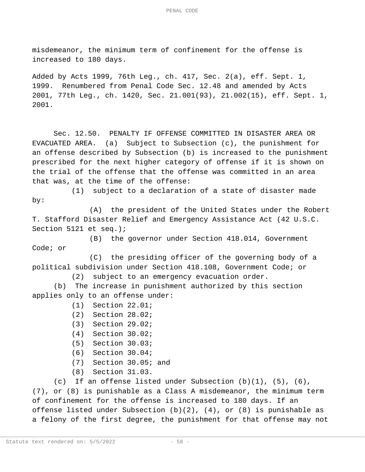misdemeanor, the minimum term of confinement for the offense is increased to 180 days.

Added by Acts 1999, 76th Leg., ch. 417, Sec. 2(a), eff. Sept. 1, 1999. Renumbered from Penal Code Sec. 12.48 and amended by Acts 2001, 77th Leg., ch. 1420, Sec. 21.001(93), 21.002(15), eff. Sept. 1, 2001.

Sec. 12.50. PENALTY IF OFFENSE COMMITTED IN DISASTER AREA OR EVACUATED AREA. (a) Subject to Subsection (c), the punishment for an offense described by Subsection (b) is increased to the punishment prescribed for the next higher category of offense if it is shown on the trial of the offense that the offense was committed in an area that was, at the time of the offense:

(1) subject to a declaration of a state of disaster made by:

(A) the president of the United States under the Robert T. Stafford Disaster Relief and Emergency Assistance Act (42 U.S.C. Section 5121 et seq.);

(B) the governor under Section 418.014, Government Code; or

(C) the presiding officer of the governing body of a political subdivision under Section 418.108, Government Code; or

(2) subject to an emergency evacuation order.

(b) The increase in punishment authorized by this section applies only to an offense under:

- (1) Section 22.01;
- (2) Section 28.02;
- (3) Section 29.02;
- (4) Section 30.02;
- (5) Section 30.03;
- (6) Section 30.04;
- (7) Section 30.05; and
- (8) Section 31.03.

(c) If an offense listed under Subsection  $(b)(1)$ ,  $(5)$ ,  $(6)$ , (7), or (8) is punishable as a Class A misdemeanor, the minimum term of confinement for the offense is increased to 180 days. If an offense listed under Subsection (b)(2), (4), or (8) is punishable as a felony of the first degree, the punishment for that offense may not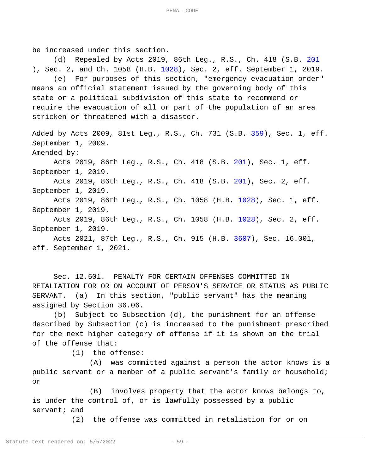be increased under this section.

(d) Repealed by Acts 2019, 86th Leg., R.S., Ch. 418 (S.B. [201](https://capitol.texas.gov/tlodocs/86R/billtext/html/SB00201F.HTM) ), Sec. 2, and Ch. 1058 (H.B. [1028\)](https://capitol.texas.gov/tlodocs/86R/billtext/html/HB01028F.HTM), Sec. 2, eff. September 1, 2019. (e) For purposes of this section, "emergency evacuation order" means an official statement issued by the governing body of this state or a political subdivision of this state to recommend or require the evacuation of all or part of the population of an area stricken or threatened with a disaster.

Added by Acts 2009, 81st Leg., R.S., Ch. 731 (S.B. [359\)](http://www.legis.state.tx.us/tlodocs/81R/billtext/html/SB00359F.HTM), Sec. 1, eff. September 1, 2009.

Amended by:

Acts 2019, 86th Leg., R.S., Ch. 418 (S.B. [201](http://www.legis.state.tx.us/tlodocs/86R/billtext/html/SB00201F.HTM)), Sec. 1, eff. September 1, 2019.

Acts 2019, 86th Leg., R.S., Ch. 418 (S.B. [201](http://www.legis.state.tx.us/tlodocs/86R/billtext/html/SB00201F.HTM)), Sec. 2, eff. September 1, 2019.

Acts 2019, 86th Leg., R.S., Ch. 1058 (H.B. [1028](http://www.legis.state.tx.us/tlodocs/86R/billtext/html/HB01028F.HTM)), Sec. 1, eff. September 1, 2019.

Acts 2019, 86th Leg., R.S., Ch. 1058 (H.B. [1028](http://www.legis.state.tx.us/tlodocs/86R/billtext/html/HB01028F.HTM)), Sec. 2, eff. September 1, 2019.

Acts 2021, 87th Leg., R.S., Ch. 915 (H.B. [3607](http://www.legis.state.tx.us/tlodocs/87R/billtext/html/HB03607F.HTM)), Sec. 16.001, eff. September 1, 2021.

Sec. 12.501. PENALTY FOR CERTAIN OFFENSES COMMITTED IN RETALIATION FOR OR ON ACCOUNT OF PERSON'S SERVICE OR STATUS AS PUBLIC SERVANT. (a) In this section, "public servant" has the meaning assigned by Section 36.06.

(b) Subject to Subsection (d), the punishment for an offense described by Subsection (c) is increased to the punishment prescribed for the next higher category of offense if it is shown on the trial of the offense that:

(1) the offense:

(A) was committed against a person the actor knows is a public servant or a member of a public servant's family or household; or

(B) involves property that the actor knows belongs to, is under the control of, or is lawfully possessed by a public servant; and

(2) the offense was committed in retaliation for or on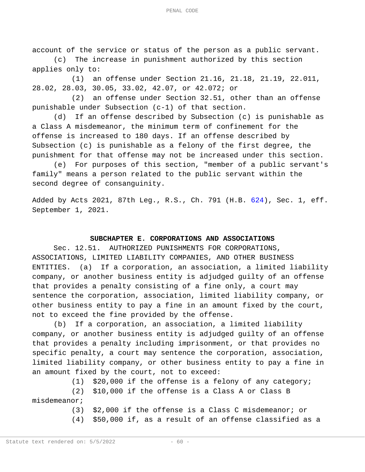account of the service or status of the person as a public servant.

(c) The increase in punishment authorized by this section applies only to:

(1) an offense under Section 21.16, 21.18, 21.19, 22.011, 28.02, 28.03, 30.05, 33.02, 42.07, or 42.072; or

(2) an offense under Section 32.51, other than an offense punishable under Subsection (c-1) of that section.

(d) If an offense described by Subsection (c) is punishable as a Class A misdemeanor, the minimum term of confinement for the offense is increased to 180 days. If an offense described by Subsection (c) is punishable as a felony of the first degree, the punishment for that offense may not be increased under this section.

(e) For purposes of this section, "member of a public servant's family" means a person related to the public servant within the second degree of consanguinity.

Added by Acts 2021, 87th Leg., R.S., Ch. 791 (H.B. [624\)](http://www.legis.state.tx.us/tlodocs/87R/billtext/html/HB00624F.HTM), Sec. 1, eff. September 1, 2021.

### **SUBCHAPTER E. CORPORATIONS AND ASSOCIATIONS**

Sec. 12.51. AUTHORIZED PUNISHMENTS FOR CORPORATIONS, ASSOCIATIONS, LIMITED LIABILITY COMPANIES, AND OTHER BUSINESS ENTITIES. (a) If a corporation, an association, a limited liability company, or another business entity is adjudged guilty of an offense that provides a penalty consisting of a fine only, a court may sentence the corporation, association, limited liability company, or other business entity to pay a fine in an amount fixed by the court, not to exceed the fine provided by the offense.

(b) If a corporation, an association, a limited liability company, or another business entity is adjudged guilty of an offense that provides a penalty including imprisonment, or that provides no specific penalty, a court may sentence the corporation, association, limited liability company, or other business entity to pay a fine in an amount fixed by the court, not to exceed:

> (1) \$20,000 if the offense is a felony of any category; (2) \$10,000 if the offense is a Class A or Class B

misdemeanor;

(3) \$2,000 if the offense is a Class C misdemeanor; or (4) \$50,000 if, as a result of an offense classified as a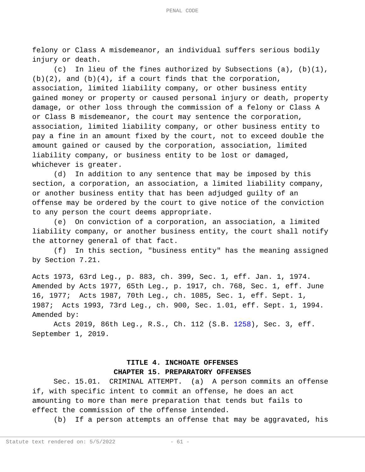felony or Class A misdemeanor, an individual suffers serious bodily injury or death.

(c) In lieu of the fines authorized by Subsections  $(a)$ ,  $(b)(1)$ ,  $(b)(2)$ , and  $(b)(4)$ , if a court finds that the corporation, association, limited liability company, or other business entity gained money or property or caused personal injury or death, property damage, or other loss through the commission of a felony or Class A or Class B misdemeanor, the court may sentence the corporation, association, limited liability company, or other business entity to pay a fine in an amount fixed by the court, not to exceed double the amount gained or caused by the corporation, association, limited liability company, or business entity to be lost or damaged, whichever is greater.

(d) In addition to any sentence that may be imposed by this section, a corporation, an association, a limited liability company, or another business entity that has been adjudged guilty of an offense may be ordered by the court to give notice of the conviction to any person the court deems appropriate.

(e) On conviction of a corporation, an association, a limited liability company, or another business entity, the court shall notify the attorney general of that fact.

(f) In this section, "business entity" has the meaning assigned by Section 7.21.

Acts 1973, 63rd Leg., p. 883, ch. 399, Sec. 1, eff. Jan. 1, 1974. Amended by Acts 1977, 65th Leg., p. 1917, ch. 768, Sec. 1, eff. June 16, 1977; Acts 1987, 70th Leg., ch. 1085, Sec. 1, eff. Sept. 1, 1987; Acts 1993, 73rd Leg., ch. 900, Sec. 1.01, eff. Sept. 1, 1994. Amended by:

Acts 2019, 86th Leg., R.S., Ch. 112 (S.B. [1258](http://www.legis.state.tx.us/tlodocs/86R/billtext/html/SB01258F.HTM)), Sec. 3, eff. September 1, 2019.

## **TITLE 4. INCHOATE OFFENSES CHAPTER 15. PREPARATORY OFFENSES**

Sec. 15.01. CRIMINAL ATTEMPT. (a) A person commits an offense if, with specific intent to commit an offense, he does an act amounting to more than mere preparation that tends but fails to effect the commission of the offense intended.

(b) If a person attempts an offense that may be aggravated, his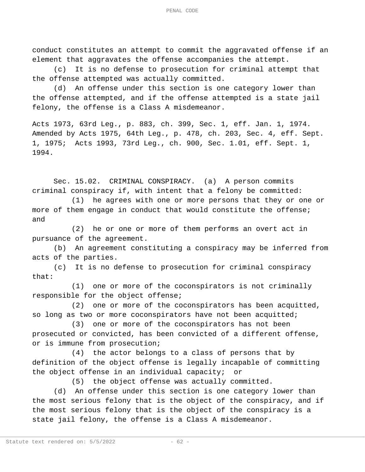conduct constitutes an attempt to commit the aggravated offense if an element that aggravates the offense accompanies the attempt.

(c) It is no defense to prosecution for criminal attempt that the offense attempted was actually committed.

(d) An offense under this section is one category lower than the offense attempted, and if the offense attempted is a state jail felony, the offense is a Class A misdemeanor.

Acts 1973, 63rd Leg., p. 883, ch. 399, Sec. 1, eff. Jan. 1, 1974. Amended by Acts 1975, 64th Leg., p. 478, ch. 203, Sec. 4, eff. Sept. 1, 1975; Acts 1993, 73rd Leg., ch. 900, Sec. 1.01, eff. Sept. 1, 1994.

Sec. 15.02. CRIMINAL CONSPIRACY. (a) A person commits criminal conspiracy if, with intent that a felony be committed:

(1) he agrees with one or more persons that they or one or more of them engage in conduct that would constitute the offense; and

(2) he or one or more of them performs an overt act in pursuance of the agreement.

(b) An agreement constituting a conspiracy may be inferred from acts of the parties.

(c) It is no defense to prosecution for criminal conspiracy that:

(1) one or more of the coconspirators is not criminally responsible for the object offense;

(2) one or more of the coconspirators has been acquitted, so long as two or more coconspirators have not been acquitted;

(3) one or more of the coconspirators has not been prosecuted or convicted, has been convicted of a different offense, or is immune from prosecution;

(4) the actor belongs to a class of persons that by definition of the object offense is legally incapable of committing the object offense in an individual capacity; or

(5) the object offense was actually committed.

(d) An offense under this section is one category lower than the most serious felony that is the object of the conspiracy, and if the most serious felony that is the object of the conspiracy is a state jail felony, the offense is a Class A misdemeanor.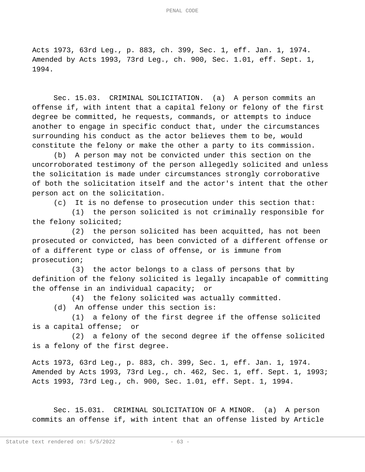Acts 1973, 63rd Leg., p. 883, ch. 399, Sec. 1, eff. Jan. 1, 1974. Amended by Acts 1993, 73rd Leg., ch. 900, Sec. 1.01, eff. Sept. 1, 1994.

Sec. 15.03. CRIMINAL SOLICITATION. (a) A person commits an offense if, with intent that a capital felony or felony of the first degree be committed, he requests, commands, or attempts to induce another to engage in specific conduct that, under the circumstances surrounding his conduct as the actor believes them to be, would constitute the felony or make the other a party to its commission.

(b) A person may not be convicted under this section on the uncorroborated testimony of the person allegedly solicited and unless the solicitation is made under circumstances strongly corroborative of both the solicitation itself and the actor's intent that the other person act on the solicitation.

(c) It is no defense to prosecution under this section that:

(1) the person solicited is not criminally responsible for the felony solicited;

(2) the person solicited has been acquitted, has not been prosecuted or convicted, has been convicted of a different offense or of a different type or class of offense, or is immune from prosecution;

(3) the actor belongs to a class of persons that by definition of the felony solicited is legally incapable of committing the offense in an individual capacity; or

(4) the felony solicited was actually committed.

(d) An offense under this section is:

(1) a felony of the first degree if the offense solicited is a capital offense; or

(2) a felony of the second degree if the offense solicited is a felony of the first degree.

Acts 1973, 63rd Leg., p. 883, ch. 399, Sec. 1, eff. Jan. 1, 1974. Amended by Acts 1993, 73rd Leg., ch. 462, Sec. 1, eff. Sept. 1, 1993; Acts 1993, 73rd Leg., ch. 900, Sec. 1.01, eff. Sept. 1, 1994.

Sec. 15.031. CRIMINAL SOLICITATION OF A MINOR. (a) A person commits an offense if, with intent that an offense listed by Article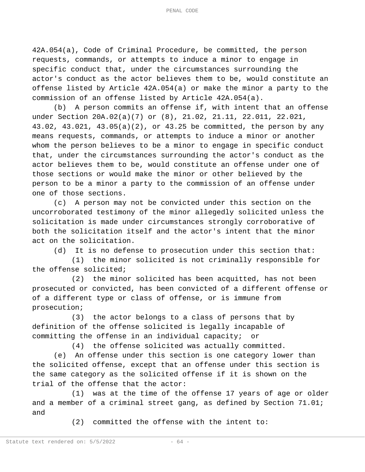42A.054(a), Code of Criminal Procedure, be committed, the person requests, commands, or attempts to induce a minor to engage in specific conduct that, under the circumstances surrounding the actor's conduct as the actor believes them to be, would constitute an offense listed by Article 42A.054(a) or make the minor a party to the commission of an offense listed by Article 42A.054(a).

(b) A person commits an offense if, with intent that an offense under Section 20A.02(a)(7) or (8), 21.02, 21.11, 22.011, 22.021, 43.02, 43.021, 43.05(a)(2), or 43.25 be committed, the person by any means requests, commands, or attempts to induce a minor or another whom the person believes to be a minor to engage in specific conduct that, under the circumstances surrounding the actor's conduct as the actor believes them to be, would constitute an offense under one of those sections or would make the minor or other believed by the person to be a minor a party to the commission of an offense under one of those sections.

(c) A person may not be convicted under this section on the uncorroborated testimony of the minor allegedly solicited unless the solicitation is made under circumstances strongly corroborative of both the solicitation itself and the actor's intent that the minor act on the solicitation.

(d) It is no defense to prosecution under this section that:

(1) the minor solicited is not criminally responsible for the offense solicited;

(2) the minor solicited has been acquitted, has not been prosecuted or convicted, has been convicted of a different offense or of a different type or class of offense, or is immune from prosecution;

(3) the actor belongs to a class of persons that by definition of the offense solicited is legally incapable of committing the offense in an individual capacity; or

(4) the offense solicited was actually committed.

(e) An offense under this section is one category lower than the solicited offense, except that an offense under this section is the same category as the solicited offense if it is shown on the trial of the offense that the actor:

(1) was at the time of the offense 17 years of age or older and a member of a criminal street gang, as defined by Section 71.01; and

(2) committed the offense with the intent to: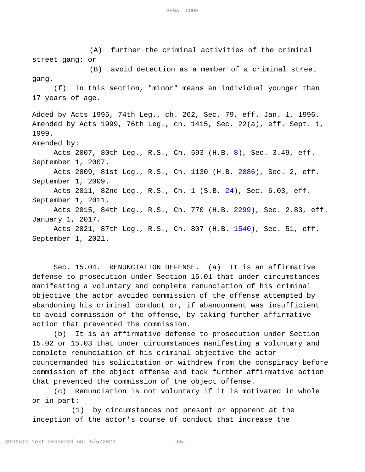(A) further the criminal activities of the criminal street gang; or (B) avoid detection as a member of a criminal street gang. (f) In this section, "minor" means an individual younger than 17 years of age. Added by Acts 1995, 74th Leg., ch. 262, Sec. 79, eff. Jan. 1, 1996. Amended by Acts 1999, 76th Leg., ch. 1415, Sec. 22(a), eff. Sept. 1, 1999. Amended by: Acts 2007, 80th Leg., R.S., Ch. 593 (H.B. [8\)](http://www.legis.state.tx.us/tlodocs/80R/billtext/html/HB00008F.HTM), Sec. 3.49, eff. September 1, 2007. Acts 2009, 81st Leg., R.S., Ch. 1130 (H.B. [2086](http://www.legis.state.tx.us/tlodocs/81R/billtext/html/HB02086F.HTM)), Sec. 2, eff. September 1, 2009. Acts 2011, 82nd Leg., R.S., Ch. 1 (S.B. [24](http://www.legis.state.tx.us/tlodocs/82R/billtext/html/SB00024F.HTM)), Sec. 6.03, eff. September 1, 2011. Acts 2015, 84th Leg., R.S., Ch. 770 (H.B. [2299](http://www.legis.state.tx.us/tlodocs/84R/billtext/html/HB02299F.HTM)), Sec. 2.83, eff. January 1, 2017. Acts 2021, 87th Leg., R.S., Ch. 807 (H.B. [1540](http://www.legis.state.tx.us/tlodocs/87R/billtext/html/HB01540F.HTM)), Sec. 51, eff. September 1, 2021.

Sec. 15.04. RENUNCIATION DEFENSE. (a) It is an affirmative defense to prosecution under Section 15.01 that under circumstances manifesting a voluntary and complete renunciation of his criminal objective the actor avoided commission of the offense attempted by abandoning his criminal conduct or, if abandonment was insufficient to avoid commission of the offense, by taking further affirmative action that prevented the commission.

(b) It is an affirmative defense to prosecution under Section 15.02 or 15.03 that under circumstances manifesting a voluntary and complete renunciation of his criminal objective the actor countermanded his solicitation or withdrew from the conspiracy before commission of the object offense and took further affirmative action that prevented the commission of the object offense.

(c) Renunciation is not voluntary if it is motivated in whole or in part:

(1) by circumstances not present or apparent at the inception of the actor's course of conduct that increase the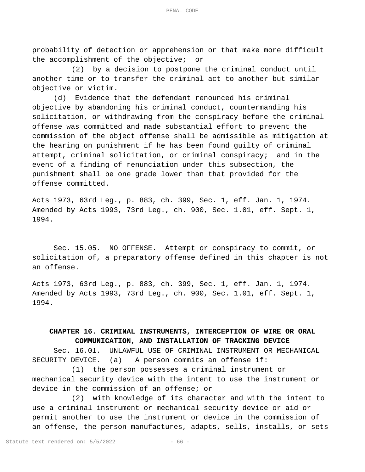probability of detection or apprehension or that make more difficult the accomplishment of the objective; or

(2) by a decision to postpone the criminal conduct until another time or to transfer the criminal act to another but similar objective or victim.

(d) Evidence that the defendant renounced his criminal objective by abandoning his criminal conduct, countermanding his solicitation, or withdrawing from the conspiracy before the criminal offense was committed and made substantial effort to prevent the commission of the object offense shall be admissible as mitigation at the hearing on punishment if he has been found guilty of criminal attempt, criminal solicitation, or criminal conspiracy; and in the event of a finding of renunciation under this subsection, the punishment shall be one grade lower than that provided for the offense committed.

Acts 1973, 63rd Leg., p. 883, ch. 399, Sec. 1, eff. Jan. 1, 1974. Amended by Acts 1993, 73rd Leg., ch. 900, Sec. 1.01, eff. Sept. 1, 1994.

Sec. 15.05. NO OFFENSE. Attempt or conspiracy to commit, or solicitation of, a preparatory offense defined in this chapter is not an offense.

Acts 1973, 63rd Leg., p. 883, ch. 399, Sec. 1, eff. Jan. 1, 1974. Amended by Acts 1993, 73rd Leg., ch. 900, Sec. 1.01, eff. Sept. 1, 1994.

# **CHAPTER 16. CRIMINAL INSTRUMENTS, INTERCEPTION OF WIRE OR ORAL COMMUNICATION, AND INSTALLATION OF TRACKING DEVICE**

Sec. 16.01. UNLAWFUL USE OF CRIMINAL INSTRUMENT OR MECHANICAL SECURITY DEVICE. (a) A person commits an offense if:

(1) the person possesses a criminal instrument or mechanical security device with the intent to use the instrument or device in the commission of an offense; or

(2) with knowledge of its character and with the intent to use a criminal instrument or mechanical security device or aid or permit another to use the instrument or device in the commission of an offense, the person manufactures, adapts, sells, installs, or sets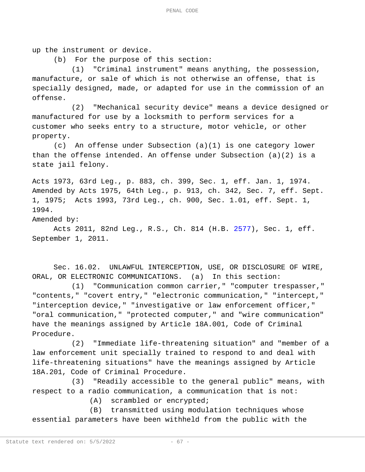up the instrument or device.

(b) For the purpose of this section:

(1) "Criminal instrument" means anything, the possession, manufacture, or sale of which is not otherwise an offense, that is specially designed, made, or adapted for use in the commission of an offense.

(2) "Mechanical security device" means a device designed or manufactured for use by a locksmith to perform services for a customer who seeks entry to a structure, motor vehicle, or other property.

(c) An offense under Subsection (a)(1) is one category lower than the offense intended. An offense under Subsection (a)(2) is a state jail felony.

Acts 1973, 63rd Leg., p. 883, ch. 399, Sec. 1, eff. Jan. 1, 1974. Amended by Acts 1975, 64th Leg., p. 913, ch. 342, Sec. 7, eff. Sept. 1, 1975; Acts 1993, 73rd Leg., ch. 900, Sec. 1.01, eff. Sept. 1, 1994.

Amended by:

Acts 2011, 82nd Leg., R.S., Ch. 814 (H.B. [2577](http://www.legis.state.tx.us/tlodocs/82R/billtext/html/HB02577F.HTM)), Sec. 1, eff. September 1, 2011.

Sec. 16.02. UNLAWFUL INTERCEPTION, USE, OR DISCLOSURE OF WIRE, ORAL, OR ELECTRONIC COMMUNICATIONS. (a) In this section:

(1) "Communication common carrier," "computer trespasser," "contents," "covert entry," "electronic communication," "intercept," "interception device," "investigative or law enforcement officer," "oral communication," "protected computer," and "wire communication" have the meanings assigned by Article 18A.001, Code of Criminal Procedure.

(2) "Immediate life-threatening situation" and "member of a law enforcement unit specially trained to respond to and deal with life-threatening situations" have the meanings assigned by Article 18A.201, Code of Criminal Procedure.

(3) "Readily accessible to the general public" means, with respect to a radio communication, a communication that is not:

(A) scrambled or encrypted;

(B) transmitted using modulation techniques whose essential parameters have been withheld from the public with the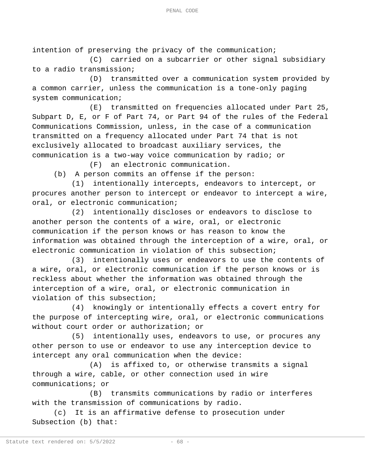intention of preserving the privacy of the communication;

(C) carried on a subcarrier or other signal subsidiary to a radio transmission;

(D) transmitted over a communication system provided by a common carrier, unless the communication is a tone-only paging system communication;

(E) transmitted on frequencies allocated under Part 25, Subpart D, E, or F of Part 74, or Part 94 of the rules of the Federal Communications Commission, unless, in the case of a communication transmitted on a frequency allocated under Part 74 that is not exclusively allocated to broadcast auxiliary services, the communication is a two-way voice communication by radio; or

(F) an electronic communication.

(b) A person commits an offense if the person:

(1) intentionally intercepts, endeavors to intercept, or procures another person to intercept or endeavor to intercept a wire, oral, or electronic communication;

(2) intentionally discloses or endeavors to disclose to another person the contents of a wire, oral, or electronic communication if the person knows or has reason to know the information was obtained through the interception of a wire, oral, or electronic communication in violation of this subsection;

(3) intentionally uses or endeavors to use the contents of a wire, oral, or electronic communication if the person knows or is reckless about whether the information was obtained through the interception of a wire, oral, or electronic communication in violation of this subsection;

(4) knowingly or intentionally effects a covert entry for the purpose of intercepting wire, oral, or electronic communications without court order or authorization; or

(5) intentionally uses, endeavors to use, or procures any other person to use or endeavor to use any interception device to intercept any oral communication when the device:

(A) is affixed to, or otherwise transmits a signal through a wire, cable, or other connection used in wire communications; or

(B) transmits communications by radio or interferes with the transmission of communications by radio.

(c) It is an affirmative defense to prosecution under Subsection (b) that: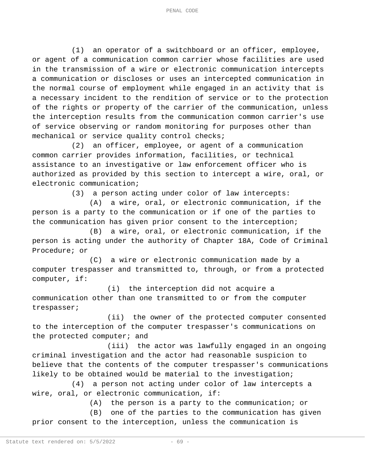(1) an operator of a switchboard or an officer, employee, or agent of a communication common carrier whose facilities are used in the transmission of a wire or electronic communication intercepts a communication or discloses or uses an intercepted communication in the normal course of employment while engaged in an activity that is a necessary incident to the rendition of service or to the protection of the rights or property of the carrier of the communication, unless the interception results from the communication common carrier's use of service observing or random monitoring for purposes other than mechanical or service quality control checks;

(2) an officer, employee, or agent of a communication common carrier provides information, facilities, or technical assistance to an investigative or law enforcement officer who is authorized as provided by this section to intercept a wire, oral, or electronic communication;

(3) a person acting under color of law intercepts:

(A) a wire, oral, or electronic communication, if the person is a party to the communication or if one of the parties to the communication has given prior consent to the interception;

(B) a wire, oral, or electronic communication, if the person is acting under the authority of Chapter 18A, Code of Criminal Procedure; or

(C) a wire or electronic communication made by a computer trespasser and transmitted to, through, or from a protected computer, if:

(i) the interception did not acquire a communication other than one transmitted to or from the computer trespasser;

(ii) the owner of the protected computer consented to the interception of the computer trespasser's communications on the protected computer; and

(iii) the actor was lawfully engaged in an ongoing criminal investigation and the actor had reasonable suspicion to believe that the contents of the computer trespasser's communications likely to be obtained would be material to the investigation;

(4) a person not acting under color of law intercepts a wire, oral, or electronic communication, if:

(A) the person is a party to the communication; or

(B) one of the parties to the communication has given prior consent to the interception, unless the communication is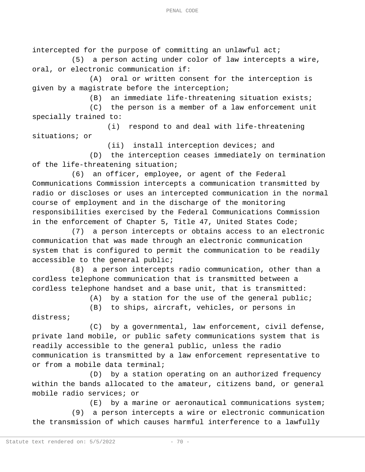intercepted for the purpose of committing an unlawful act;

(5) a person acting under color of law intercepts a wire, oral, or electronic communication if:

(A) oral or written consent for the interception is given by a magistrate before the interception;

(B) an immediate life-threatening situation exists;

(C) the person is a member of a law enforcement unit specially trained to:

(i) respond to and deal with life-threatening situations; or

(ii) install interception devices; and

(D) the interception ceases immediately on termination of the life-threatening situation;

(6) an officer, employee, or agent of the Federal Communications Commission intercepts a communication transmitted by radio or discloses or uses an intercepted communication in the normal course of employment and in the discharge of the monitoring responsibilities exercised by the Federal Communications Commission in the enforcement of Chapter 5, Title 47, United States Code;

(7) a person intercepts or obtains access to an electronic communication that was made through an electronic communication system that is configured to permit the communication to be readily accessible to the general public;

(8) a person intercepts radio communication, other than a cordless telephone communication that is transmitted between a cordless telephone handset and a base unit, that is transmitted:

(A) by a station for the use of the general public;

(B) to ships, aircraft, vehicles, or persons in

(C) by a governmental, law enforcement, civil defense, private land mobile, or public safety communications system that is readily accessible to the general public, unless the radio communication is transmitted by a law enforcement representative to or from a mobile data terminal;

(D) by a station operating on an authorized frequency within the bands allocated to the amateur, citizens band, or general mobile radio services; or

(E) by a marine or aeronautical communications system; (9) a person intercepts a wire or electronic communication the transmission of which causes harmful interference to a lawfully

distress;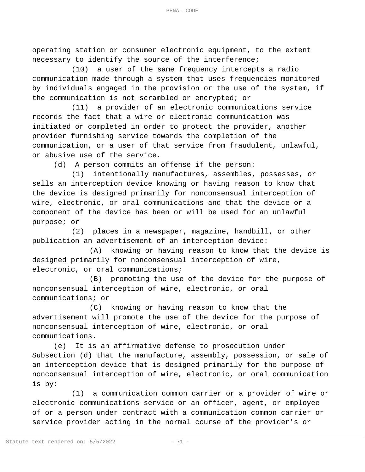operating station or consumer electronic equipment, to the extent necessary to identify the source of the interference;

(10) a user of the same frequency intercepts a radio communication made through a system that uses frequencies monitored by individuals engaged in the provision or the use of the system, if the communication is not scrambled or encrypted; or

(11) a provider of an electronic communications service records the fact that a wire or electronic communication was initiated or completed in order to protect the provider, another provider furnishing service towards the completion of the communication, or a user of that service from fraudulent, unlawful, or abusive use of the service.

(d) A person commits an offense if the person:

(1) intentionally manufactures, assembles, possesses, or sells an interception device knowing or having reason to know that the device is designed primarily for nonconsensual interception of wire, electronic, or oral communications and that the device or a component of the device has been or will be used for an unlawful purpose; or

(2) places in a newspaper, magazine, handbill, or other publication an advertisement of an interception device:

(A) knowing or having reason to know that the device is designed primarily for nonconsensual interception of wire, electronic, or oral communications;

(B) promoting the use of the device for the purpose of nonconsensual interception of wire, electronic, or oral communications; or

(C) knowing or having reason to know that the advertisement will promote the use of the device for the purpose of nonconsensual interception of wire, electronic, or oral communications.

(e) It is an affirmative defense to prosecution under Subsection (d) that the manufacture, assembly, possession, or sale of an interception device that is designed primarily for the purpose of nonconsensual interception of wire, electronic, or oral communication is by:

(1) a communication common carrier or a provider of wire or electronic communications service or an officer, agent, or employee of or a person under contract with a communication common carrier or service provider acting in the normal course of the provider's or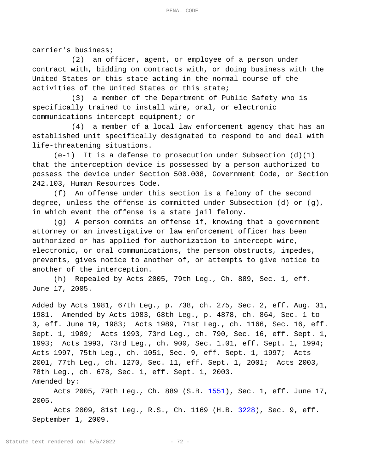carrier's business;

(2) an officer, agent, or employee of a person under contract with, bidding on contracts with, or doing business with the United States or this state acting in the normal course of the activities of the United States or this state;

(3) a member of the Department of Public Safety who is specifically trained to install wire, oral, or electronic communications intercept equipment; or

(4) a member of a local law enforcement agency that has an established unit specifically designated to respond to and deal with life-threatening situations.

 $(e-1)$  It is a defense to prosecution under Subsection  $(d)(1)$ that the interception device is possessed by a person authorized to possess the device under Section 500.008, Government Code, or Section 242.103, Human Resources Code.

(f) An offense under this section is a felony of the second degree, unless the offense is committed under Subsection (d) or (g), in which event the offense is a state jail felony.

(g) A person commits an offense if, knowing that a government attorney or an investigative or law enforcement officer has been authorized or has applied for authorization to intercept wire, electronic, or oral communications, the person obstructs, impedes, prevents, gives notice to another of, or attempts to give notice to another of the interception.

(h) Repealed by Acts 2005, 79th Leg., Ch. 889, Sec. 1, eff. June 17, 2005.

Added by Acts 1981, 67th Leg., p. 738, ch. 275, Sec. 2, eff. Aug. 31, 1981. Amended by Acts 1983, 68th Leg., p. 4878, ch. 864, Sec. 1 to 3, eff. June 19, 1983; Acts 1989, 71st Leg., ch. 1166, Sec. 16, eff. Sept. 1, 1989; Acts 1993, 73rd Leg., ch. 790, Sec. 16, eff. Sept. 1, 1993; Acts 1993, 73rd Leg., ch. 900, Sec. 1.01, eff. Sept. 1, 1994; Acts 1997, 75th Leg., ch. 1051, Sec. 9, eff. Sept. 1, 1997; Acts 2001, 77th Leg., ch. 1270, Sec. 11, eff. Sept. 1, 2001; Acts 2003, 78th Leg., ch. 678, Sec. 1, eff. Sept. 1, 2003. Amended by:

Acts 2005, 79th Leg., Ch. 889 (S.B. [1551\)](http://www.legis.state.tx.us/tlodocs/79R/billtext/html/SB01551F.HTM), Sec. 1, eff. June 17, 2005.

Acts 2009, 81st Leg., R.S., Ch. 1169 (H.B. [3228](http://www.legis.state.tx.us/tlodocs/81R/billtext/html/HB03228F.HTM)), Sec. 9, eff. September 1, 2009.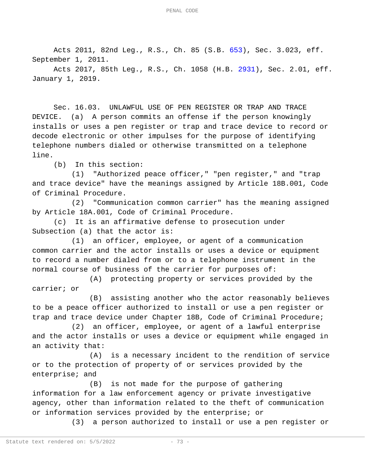Acts 2011, 82nd Leg., R.S., Ch. 85 (S.B. [653\)](http://www.legis.state.tx.us/tlodocs/82R/billtext/html/SB00653F.HTM), Sec. 3.023, eff. September 1, 2011.

Acts 2017, 85th Leg., R.S., Ch. 1058 (H.B. [2931](http://www.legis.state.tx.us/tlodocs/85R/billtext/html/HB02931F.HTM)), Sec. 2.01, eff. January 1, 2019.

Sec. 16.03. UNLAWFUL USE OF PEN REGISTER OR TRAP AND TRACE DEVICE. (a) A person commits an offense if the person knowingly installs or uses a pen register or trap and trace device to record or decode electronic or other impulses for the purpose of identifying telephone numbers dialed or otherwise transmitted on a telephone line.

(b) In this section:

(1) "Authorized peace officer," "pen register," and "trap and trace device" have the meanings assigned by Article 18B.001, Code of Criminal Procedure.

(2) "Communication common carrier" has the meaning assigned by Article 18A.001, Code of Criminal Procedure.

(c) It is an affirmative defense to prosecution under Subsection (a) that the actor is:

(1) an officer, employee, or agent of a communication common carrier and the actor installs or uses a device or equipment to record a number dialed from or to a telephone instrument in the normal course of business of the carrier for purposes of:

(A) protecting property or services provided by the carrier; or

(B) assisting another who the actor reasonably believes to be a peace officer authorized to install or use a pen register or trap and trace device under Chapter 18B, Code of Criminal Procedure;

(2) an officer, employee, or agent of a lawful enterprise and the actor installs or uses a device or equipment while engaged in an activity that:

(A) is a necessary incident to the rendition of service or to the protection of property of or services provided by the enterprise; and

(B) is not made for the purpose of gathering information for a law enforcement agency or private investigative agency, other than information related to the theft of communication or information services provided by the enterprise; or

(3) a person authorized to install or use a pen register or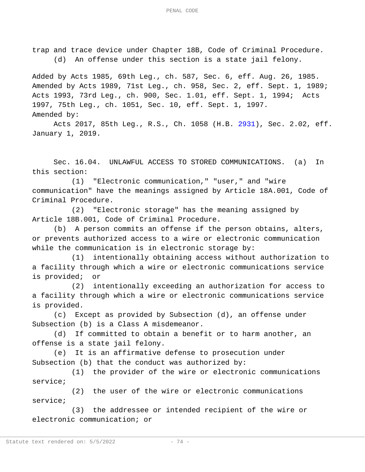trap and trace device under Chapter 18B, Code of Criminal Procedure. (d) An offense under this section is a state jail felony.

Added by Acts 1985, 69th Leg., ch. 587, Sec. 6, eff. Aug. 26, 1985. Amended by Acts 1989, 71st Leg., ch. 958, Sec. 2, eff. Sept. 1, 1989; Acts 1993, 73rd Leg., ch. 900, Sec. 1.01, eff. Sept. 1, 1994; Acts 1997, 75th Leg., ch. 1051, Sec. 10, eff. Sept. 1, 1997. Amended by:

Acts 2017, 85th Leg., R.S., Ch. 1058 (H.B. [2931](http://www.legis.state.tx.us/tlodocs/85R/billtext/html/HB02931F.HTM)), Sec. 2.02, eff. January 1, 2019.

Sec. 16.04. UNLAWFUL ACCESS TO STORED COMMUNICATIONS. (a) In this section:

(1) "Electronic communication," "user," and "wire communication" have the meanings assigned by Article 18A.001, Code of Criminal Procedure.

(2) "Electronic storage" has the meaning assigned by Article 18B.001, Code of Criminal Procedure.

(b) A person commits an offense if the person obtains, alters, or prevents authorized access to a wire or electronic communication while the communication is in electronic storage by:

(1) intentionally obtaining access without authorization to a facility through which a wire or electronic communications service is provided; or

(2) intentionally exceeding an authorization for access to a facility through which a wire or electronic communications service is provided.

(c) Except as provided by Subsection (d), an offense under Subsection (b) is a Class A misdemeanor.

(d) If committed to obtain a benefit or to harm another, an offense is a state jail felony.

(e) It is an affirmative defense to prosecution under Subsection (b) that the conduct was authorized by:

(1) the provider of the wire or electronic communications service;

(2) the user of the wire or electronic communications service;

(3) the addressee or intended recipient of the wire or electronic communication; or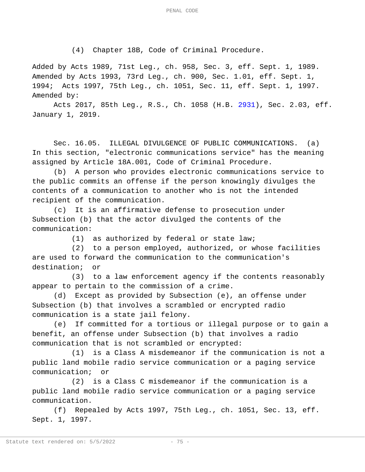(4) Chapter 18B, Code of Criminal Procedure.

Added by Acts 1989, 71st Leg., ch. 958, Sec. 3, eff. Sept. 1, 1989. Amended by Acts 1993, 73rd Leg., ch. 900, Sec. 1.01, eff. Sept. 1, 1994; Acts 1997, 75th Leg., ch. 1051, Sec. 11, eff. Sept. 1, 1997. Amended by:

Acts 2017, 85th Leg., R.S., Ch. 1058 (H.B. [2931](http://www.legis.state.tx.us/tlodocs/85R/billtext/html/HB02931F.HTM)), Sec. 2.03, eff. January 1, 2019.

Sec. 16.05. ILLEGAL DIVULGENCE OF PUBLIC COMMUNICATIONS. (a) In this section, "electronic communications service" has the meaning assigned by Article 18A.001, Code of Criminal Procedure.

(b) A person who provides electronic communications service to the public commits an offense if the person knowingly divulges the contents of a communication to another who is not the intended recipient of the communication.

(c) It is an affirmative defense to prosecution under Subsection (b) that the actor divulged the contents of the communication:

(1) as authorized by federal or state law;

(2) to a person employed, authorized, or whose facilities are used to forward the communication to the communication's destination; or

(3) to a law enforcement agency if the contents reasonably appear to pertain to the commission of a crime.

(d) Except as provided by Subsection (e), an offense under Subsection (b) that involves a scrambled or encrypted radio communication is a state jail felony.

(e) If committed for a tortious or illegal purpose or to gain a benefit, an offense under Subsection (b) that involves a radio communication that is not scrambled or encrypted:

(1) is a Class A misdemeanor if the communication is not a public land mobile radio service communication or a paging service communication; or

(2) is a Class C misdemeanor if the communication is a public land mobile radio service communication or a paging service communication.

(f) Repealed by Acts 1997, 75th Leg., ch. 1051, Sec. 13, eff. Sept. 1, 1997.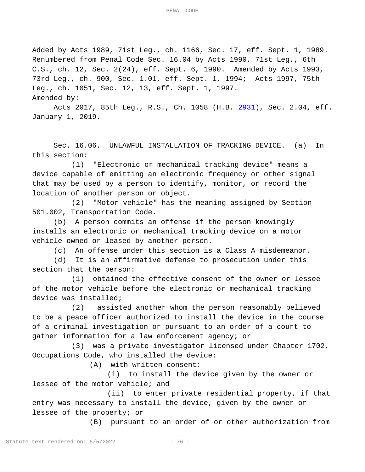Added by Acts 1989, 71st Leg., ch. 1166, Sec. 17, eff. Sept. 1, 1989. Renumbered from Penal Code Sec. 16.04 by Acts 1990, 71st Leg., 6th C.S., ch. 12, Sec. 2(24), eff. Sept. 6, 1990. Amended by Acts 1993, 73rd Leg., ch. 900, Sec. 1.01, eff. Sept. 1, 1994; Acts 1997, 75th Leg., ch. 1051, Sec. 12, 13, eff. Sept. 1, 1997. Amended by:

Acts 2017, 85th Leg., R.S., Ch. 1058 (H.B. [2931](http://www.legis.state.tx.us/tlodocs/85R/billtext/html/HB02931F.HTM)), Sec. 2.04, eff. January 1, 2019.

Sec. 16.06. UNLAWFUL INSTALLATION OF TRACKING DEVICE. (a) In this section:

(1) "Electronic or mechanical tracking device" means a device capable of emitting an electronic frequency or other signal that may be used by a person to identify, monitor, or record the location of another person or object.

(2) "Motor vehicle" has the meaning assigned by Section 501.002, Transportation Code.

(b) A person commits an offense if the person knowingly installs an electronic or mechanical tracking device on a motor vehicle owned or leased by another person.

(c) An offense under this section is a Class A misdemeanor.

(d) It is an affirmative defense to prosecution under this section that the person:

(1) obtained the effective consent of the owner or lessee of the motor vehicle before the electronic or mechanical tracking device was installed;

(2) assisted another whom the person reasonably believed to be a peace officer authorized to install the device in the course of a criminal investigation or pursuant to an order of a court to gather information for a law enforcement agency; or

(3) was a private investigator licensed under Chapter 1702, Occupations Code, who installed the device:

(A) with written consent:

(i) to install the device given by the owner or lessee of the motor vehicle; and

(ii) to enter private residential property, if that entry was necessary to install the device, given by the owner or lessee of the property; or

(B) pursuant to an order of or other authorization from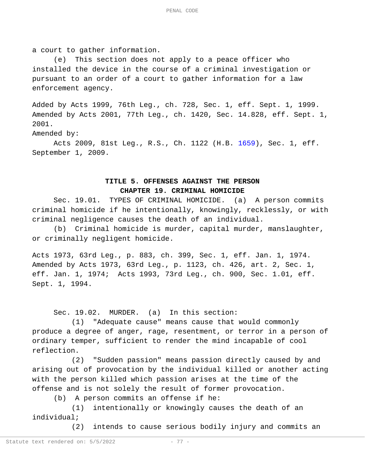a court to gather information.

(e) This section does not apply to a peace officer who installed the device in the course of a criminal investigation or pursuant to an order of a court to gather information for a law enforcement agency.

Added by Acts 1999, 76th Leg., ch. 728, Sec. 1, eff. Sept. 1, 1999. Amended by Acts 2001, 77th Leg., ch. 1420, Sec. 14.828, eff. Sept. 1, 2001.

Amended by:

Acts 2009, 81st Leg., R.S., Ch. 1122 (H.B. [1659](http://www.legis.state.tx.us/tlodocs/81R/billtext/html/HB01659F.HTM)), Sec. 1, eff. September 1, 2009.

# **TITLE 5. OFFENSES AGAINST THE PERSON CHAPTER 19. CRIMINAL HOMICIDE**

Sec. 19.01. TYPES OF CRIMINAL HOMICIDE. (a) A person commits criminal homicide if he intentionally, knowingly, recklessly, or with criminal negligence causes the death of an individual.

(b) Criminal homicide is murder, capital murder, manslaughter, or criminally negligent homicide.

Acts 1973, 63rd Leg., p. 883, ch. 399, Sec. 1, eff. Jan. 1, 1974. Amended by Acts 1973, 63rd Leg., p. 1123, ch. 426, art. 2, Sec. 1, eff. Jan. 1, 1974; Acts 1993, 73rd Leg., ch. 900, Sec. 1.01, eff. Sept. 1, 1994.

Sec. 19.02. MURDER. (a) In this section:

(1) "Adequate cause" means cause that would commonly produce a degree of anger, rage, resentment, or terror in a person of ordinary temper, sufficient to render the mind incapable of cool reflection.

(2) "Sudden passion" means passion directly caused by and arising out of provocation by the individual killed or another acting with the person killed which passion arises at the time of the offense and is not solely the result of former provocation.

(b) A person commits an offense if he:

(1) intentionally or knowingly causes the death of an individual;

(2) intends to cause serious bodily injury and commits an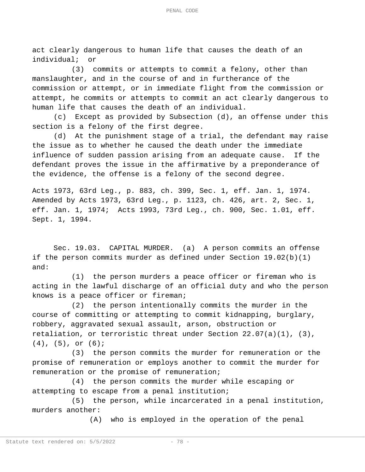act clearly dangerous to human life that causes the death of an individual; or

(3) commits or attempts to commit a felony, other than manslaughter, and in the course of and in furtherance of the commission or attempt, or in immediate flight from the commission or attempt, he commits or attempts to commit an act clearly dangerous to human life that causes the death of an individual.

(c) Except as provided by Subsection (d), an offense under this section is a felony of the first degree.

(d) At the punishment stage of a trial, the defendant may raise the issue as to whether he caused the death under the immediate influence of sudden passion arising from an adequate cause. If the defendant proves the issue in the affirmative by a preponderance of the evidence, the offense is a felony of the second degree.

Acts 1973, 63rd Leg., p. 883, ch. 399, Sec. 1, eff. Jan. 1, 1974. Amended by Acts 1973, 63rd Leg., p. 1123, ch. 426, art. 2, Sec. 1, eff. Jan. 1, 1974; Acts 1993, 73rd Leg., ch. 900, Sec. 1.01, eff. Sept. 1, 1994.

Sec. 19.03. CAPITAL MURDER. (a) A person commits an offense if the person commits murder as defined under Section  $19.02(b)(1)$ and:

(1) the person murders a peace officer or fireman who is acting in the lawful discharge of an official duty and who the person knows is a peace officer or fireman;

(2) the person intentionally commits the murder in the course of committing or attempting to commit kidnapping, burglary, robbery, aggravated sexual assault, arson, obstruction or retaliation, or terroristic threat under Section 22.07(a)(1), (3), (4), (5), or (6);

(3) the person commits the murder for remuneration or the promise of remuneration or employs another to commit the murder for remuneration or the promise of remuneration;

(4) the person commits the murder while escaping or attempting to escape from a penal institution;

(5) the person, while incarcerated in a penal institution, murders another:

(A) who is employed in the operation of the penal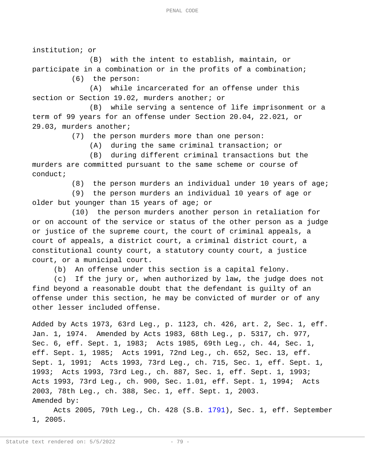institution; or

(B) with the intent to establish, maintain, or participate in a combination or in the profits of a combination; (6) the person:

(A) while incarcerated for an offense under this section or Section 19.02, murders another; or

(B) while serving a sentence of life imprisonment or a term of 99 years for an offense under Section 20.04, 22.021, or 29.03, murders another;

(7) the person murders more than one person:

(A) during the same criminal transaction; or

(B) during different criminal transactions but the

murders are committed pursuant to the same scheme or course of conduct;

(8) the person murders an individual under 10 years of age;

(9) the person murders an individual 10 years of age or older but younger than 15 years of age; or

(10) the person murders another person in retaliation for or on account of the service or status of the other person as a judge or justice of the supreme court, the court of criminal appeals, a court of appeals, a district court, a criminal district court, a constitutional county court, a statutory county court, a justice court, or a municipal court.

(b) An offense under this section is a capital felony.

(c) If the jury or, when authorized by law, the judge does not find beyond a reasonable doubt that the defendant is guilty of an offense under this section, he may be convicted of murder or of any other lesser included offense.

Added by Acts 1973, 63rd Leg., p. 1123, ch. 426, art. 2, Sec. 1, eff. Jan. 1, 1974. Amended by Acts 1983, 68th Leg., p. 5317, ch. 977, Sec. 6, eff. Sept. 1, 1983; Acts 1985, 69th Leg., ch. 44, Sec. 1, eff. Sept. 1, 1985; Acts 1991, 72nd Leg., ch. 652, Sec. 13, eff. Sept. 1, 1991; Acts 1993, 73rd Leg., ch. 715, Sec. 1, eff. Sept. 1, 1993; Acts 1993, 73rd Leg., ch. 887, Sec. 1, eff. Sept. 1, 1993; Acts 1993, 73rd Leg., ch. 900, Sec. 1.01, eff. Sept. 1, 1994; Acts 2003, 78th Leg., ch. 388, Sec. 1, eff. Sept. 1, 2003. Amended by:

Acts 2005, 79th Leg., Ch. 428 (S.B. [1791\)](http://www.legis.state.tx.us/tlodocs/79R/billtext/html/SB01791F.HTM), Sec. 1, eff. September 1, 2005.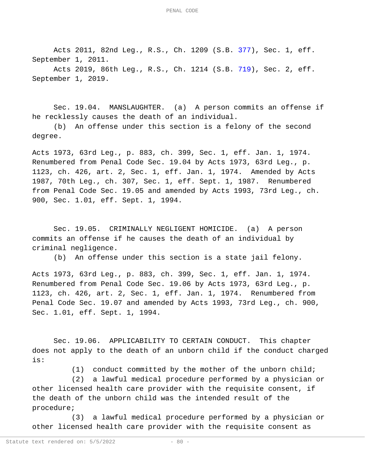Acts 2011, 82nd Leg., R.S., Ch. 1209 (S.B. [377](http://www.legis.state.tx.us/tlodocs/82R/billtext/html/SB00377F.HTM)), Sec. 1, eff. September 1, 2011.

Acts 2019, 86th Leg., R.S., Ch. 1214 (S.B. [719](http://www.legis.state.tx.us/tlodocs/86R/billtext/html/SB00719F.HTM)), Sec. 2, eff. September 1, 2019.

Sec. 19.04. MANSLAUGHTER. (a) A person commits an offense if he recklessly causes the death of an individual.

(b) An offense under this section is a felony of the second degree.

Acts 1973, 63rd Leg., p. 883, ch. 399, Sec. 1, eff. Jan. 1, 1974. Renumbered from Penal Code Sec. 19.04 by Acts 1973, 63rd Leg., p. 1123, ch. 426, art. 2, Sec. 1, eff. Jan. 1, 1974. Amended by Acts 1987, 70th Leg., ch. 307, Sec. 1, eff. Sept. 1, 1987. Renumbered from Penal Code Sec. 19.05 and amended by Acts 1993, 73rd Leg., ch. 900, Sec. 1.01, eff. Sept. 1, 1994.

Sec. 19.05. CRIMINALLY NEGLIGENT HOMICIDE. (a) A person commits an offense if he causes the death of an individual by criminal negligence.

(b) An offense under this section is a state jail felony.

Acts 1973, 63rd Leg., p. 883, ch. 399, Sec. 1, eff. Jan. 1, 1974. Renumbered from Penal Code Sec. 19.06 by Acts 1973, 63rd Leg., p. 1123, ch. 426, art. 2, Sec. 1, eff. Jan. 1, 1974. Renumbered from Penal Code Sec. 19.07 and amended by Acts 1993, 73rd Leg., ch. 900, Sec. 1.01, eff. Sept. 1, 1994.

Sec. 19.06. APPLICABILITY TO CERTAIN CONDUCT. This chapter does not apply to the death of an unborn child if the conduct charged is:

(1) conduct committed by the mother of the unborn child;

(2) a lawful medical procedure performed by a physician or other licensed health care provider with the requisite consent, if the death of the unborn child was the intended result of the procedure;

(3) a lawful medical procedure performed by a physician or other licensed health care provider with the requisite consent as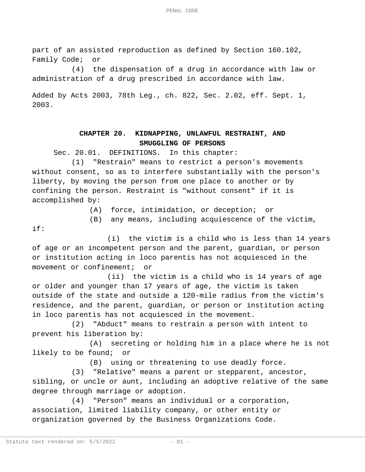part of an assisted reproduction as defined by Section 160.102, Family Code; or

(4) the dispensation of a drug in accordance with law or administration of a drug prescribed in accordance with law.

Added by Acts 2003, 78th Leg., ch. 822, Sec. 2.02, eff. Sept. 1, 2003.

## **CHAPTER 20. KIDNAPPING, UNLAWFUL RESTRAINT, AND SMUGGLING OF PERSONS**

Sec. 20.01. DEFINITIONS. In this chapter:

(1) "Restrain" means to restrict a person's movements without consent, so as to interfere substantially with the person's liberty, by moving the person from one place to another or by confining the person. Restraint is "without consent" if it is accomplished by:

(A) force, intimidation, or deception; or

(B) any means, including acquiescence of the victim,

if:

(i) the victim is a child who is less than 14 years of age or an incompetent person and the parent, guardian, or person or institution acting in loco parentis has not acquiesced in the movement or confinement; or

(ii) the victim is a child who is 14 years of age or older and younger than 17 years of age, the victim is taken outside of the state and outside a 120-mile radius from the victim's residence, and the parent, guardian, or person or institution acting in loco parentis has not acquiesced in the movement.

(2) "Abduct" means to restrain a person with intent to prevent his liberation by:

(A) secreting or holding him in a place where he is not likely to be found; or

(B) using or threatening to use deadly force.

(3) "Relative" means a parent or stepparent, ancestor, sibling, or uncle or aunt, including an adoptive relative of the same degree through marriage or adoption.

(4) "Person" means an individual or a corporation, association, limited liability company, or other entity or organization governed by the Business Organizations Code.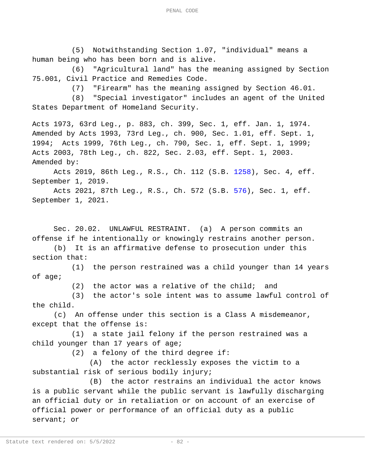(5) Notwithstanding Section 1.07, "individual" means a human being who has been born and is alive.

(6) "Agricultural land" has the meaning assigned by Section 75.001, Civil Practice and Remedies Code.

(7) "Firearm" has the meaning assigned by Section 46.01.

(8) "Special investigator" includes an agent of the United States Department of Homeland Security.

Acts 1973, 63rd Leg., p. 883, ch. 399, Sec. 1, eff. Jan. 1, 1974. Amended by Acts 1993, 73rd Leg., ch. 900, Sec. 1.01, eff. Sept. 1, 1994; Acts 1999, 76th Leg., ch. 790, Sec. 1, eff. Sept. 1, 1999; Acts 2003, 78th Leg., ch. 822, Sec. 2.03, eff. Sept. 1, 2003. Amended by:

Acts 2019, 86th Leg., R.S., Ch. 112 (S.B. [1258](http://www.legis.state.tx.us/tlodocs/86R/billtext/html/SB01258F.HTM)), Sec. 4, eff. September 1, 2019.

Acts 2021, 87th Leg., R.S., Ch. 572 (S.B. [576](http://www.legis.state.tx.us/tlodocs/87R/billtext/html/SB00576F.HTM)), Sec. 1, eff. September 1, 2021.

Sec. 20.02. UNLAWFUL RESTRAINT. (a) A person commits an offense if he intentionally or knowingly restrains another person.

(b) It is an affirmative defense to prosecution under this section that:

(1) the person restrained was a child younger than 14 years of age;

(2) the actor was a relative of the child; and

(3) the actor's sole intent was to assume lawful control of the child.

(c) An offense under this section is a Class A misdemeanor, except that the offense is:

(1) a state jail felony if the person restrained was a child younger than 17 years of age;

(2) a felony of the third degree if:

(A) the actor recklessly exposes the victim to a substantial risk of serious bodily injury;

(B) the actor restrains an individual the actor knows is a public servant while the public servant is lawfully discharging an official duty or in retaliation or on account of an exercise of official power or performance of an official duty as a public servant; or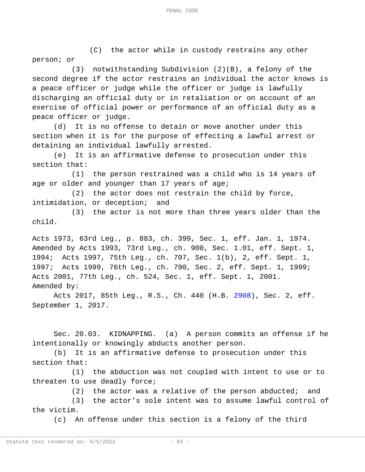(C) the actor while in custody restrains any other person; or

(3) notwithstanding Subdivision (2)(B), a felony of the second degree if the actor restrains an individual the actor knows is a peace officer or judge while the officer or judge is lawfully discharging an official duty or in retaliation or on account of an exercise of official power or performance of an official duty as a peace officer or judge.

(d) It is no offense to detain or move another under this section when it is for the purpose of effecting a lawful arrest or detaining an individual lawfully arrested.

(e) It is an affirmative defense to prosecution under this section that:

(1) the person restrained was a child who is 14 years of age or older and younger than 17 years of age;

(2) the actor does not restrain the child by force, intimidation, or deception; and

(3) the actor is not more than three years older than the child.

Acts 1973, 63rd Leg., p. 883, ch. 399, Sec. 1, eff. Jan. 1, 1974. Amended by Acts 1993, 73rd Leg., ch. 900, Sec. 1.01, eff. Sept. 1, 1994; Acts 1997, 75th Leg., ch. 707, Sec. 1(b), 2, eff. Sept. 1, 1997; Acts 1999, 76th Leg., ch. 790, Sec. 2, eff. Sept. 1, 1999; Acts 2001, 77th Leg., ch. 524, Sec. 1, eff. Sept. 1, 2001. Amended by:

Acts 2017, 85th Leg., R.S., Ch. 440 (H.B. [2908](http://www.legis.state.tx.us/tlodocs/85R/billtext/html/HB02908F.HTM)), Sec. 2, eff. September 1, 2017.

Sec. 20.03. KIDNAPPING. (a) A person commits an offense if he intentionally or knowingly abducts another person.

(b) It is an affirmative defense to prosecution under this section that:

(1) the abduction was not coupled with intent to use or to threaten to use deadly force;

(2) the actor was a relative of the person abducted; and

(3) the actor's sole intent was to assume lawful control of the victim.

(c) An offense under this section is a felony of the third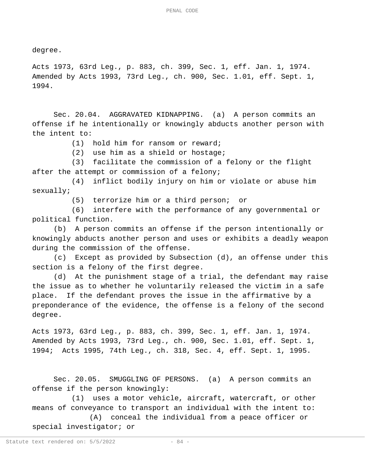degree.

Acts 1973, 63rd Leg., p. 883, ch. 399, Sec. 1, eff. Jan. 1, 1974. Amended by Acts 1993, 73rd Leg., ch. 900, Sec. 1.01, eff. Sept. 1, 1994.

Sec. 20.04. AGGRAVATED KIDNAPPING. (a) A person commits an offense if he intentionally or knowingly abducts another person with the intent to:

(1) hold him for ransom or reward;

(2) use him as a shield or hostage;

(3) facilitate the commission of a felony or the flight after the attempt or commission of a felony;

(4) inflict bodily injury on him or violate or abuse him sexually;

(5) terrorize him or a third person; or

(6) interfere with the performance of any governmental or political function.

(b) A person commits an offense if the person intentionally or knowingly abducts another person and uses or exhibits a deadly weapon during the commission of the offense.

(c) Except as provided by Subsection (d), an offense under this section is a felony of the first degree.

(d) At the punishment stage of a trial, the defendant may raise the issue as to whether he voluntarily released the victim in a safe place. If the defendant proves the issue in the affirmative by a preponderance of the evidence, the offense is a felony of the second degree.

Acts 1973, 63rd Leg., p. 883, ch. 399, Sec. 1, eff. Jan. 1, 1974. Amended by Acts 1993, 73rd Leg., ch. 900, Sec. 1.01, eff. Sept. 1, 1994; Acts 1995, 74th Leg., ch. 318, Sec. 4, eff. Sept. 1, 1995.

Sec. 20.05. SMUGGLING OF PERSONS. (a) A person commits an offense if the person knowingly:

(1) uses a motor vehicle, aircraft, watercraft, or other means of conveyance to transport an individual with the intent to:

(A) conceal the individual from a peace officer or special investigator; or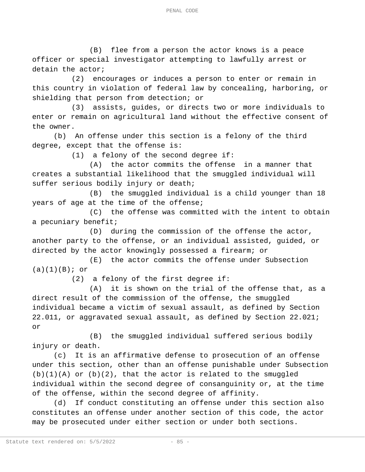(B) flee from a person the actor knows is a peace officer or special investigator attempting to lawfully arrest or detain the actor;

(2) encourages or induces a person to enter or remain in this country in violation of federal law by concealing, harboring, or shielding that person from detection; or

(3) assists, guides, or directs two or more individuals to enter or remain on agricultural land without the effective consent of the owner.

(b) An offense under this section is a felony of the third degree, except that the offense is:

(1) a felony of the second degree if:

(A) the actor commits the offense in a manner that creates a substantial likelihood that the smuggled individual will suffer serious bodily injury or death;

(B) the smuggled individual is a child younger than 18 years of age at the time of the offense;

(C) the offense was committed with the intent to obtain a pecuniary benefit;

(D) during the commission of the offense the actor, another party to the offense, or an individual assisted, guided, or directed by the actor knowingly possessed a firearm; or

(E) the actor commits the offense under Subsection  $(a)(1)(B);$  or

(2) a felony of the first degree if:

(A) it is shown on the trial of the offense that, as a direct result of the commission of the offense, the smuggled individual became a victim of sexual assault, as defined by Section 22.011, or aggravated sexual assault, as defined by Section 22.021; or

(B) the smuggled individual suffered serious bodily injury or death.

(c) It is an affirmative defense to prosecution of an offense under this section, other than an offense punishable under Subsection  $(b)(1)(A)$  or  $(b)(2)$ , that the actor is related to the smuggled individual within the second degree of consanguinity or, at the time of the offense, within the second degree of affinity.

(d) If conduct constituting an offense under this section also constitutes an offense under another section of this code, the actor may be prosecuted under either section or under both sections.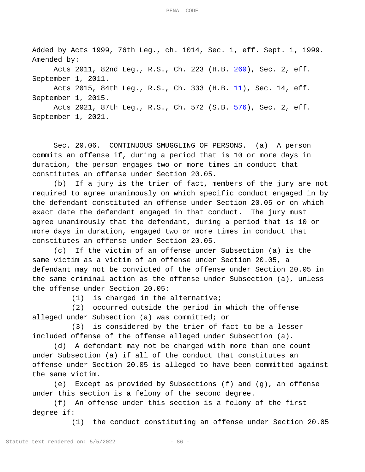Added by Acts 1999, 76th Leg., ch. 1014, Sec. 1, eff. Sept. 1, 1999. Amended by:

Acts 2011, 82nd Leg., R.S., Ch. 223 (H.B. [260](http://www.legis.state.tx.us/tlodocs/82R/billtext/html/HB00260F.HTM)), Sec. 2, eff. September 1, 2011.

Acts 2015, 84th Leg., R.S., Ch. 333 (H.B. [11\)](http://www.legis.state.tx.us/tlodocs/84R/billtext/html/HB00011F.HTM), Sec. 14, eff. September 1, 2015.

Acts 2021, 87th Leg., R.S., Ch. 572 (S.B. [576](http://www.legis.state.tx.us/tlodocs/87R/billtext/html/SB00576F.HTM)), Sec. 2, eff. September 1, 2021.

Sec. 20.06. CONTINUOUS SMUGGLING OF PERSONS. (a) A person commits an offense if, during a period that is 10 or more days in duration, the person engages two or more times in conduct that constitutes an offense under Section 20.05.

(b) If a jury is the trier of fact, members of the jury are not required to agree unanimously on which specific conduct engaged in by the defendant constituted an offense under Section 20.05 or on which exact date the defendant engaged in that conduct. The jury must agree unanimously that the defendant, during a period that is 10 or more days in duration, engaged two or more times in conduct that constitutes an offense under Section 20.05.

(c) If the victim of an offense under Subsection (a) is the same victim as a victim of an offense under Section 20.05, a defendant may not be convicted of the offense under Section 20.05 in the same criminal action as the offense under Subsection (a), unless the offense under Section 20.05:

(1) is charged in the alternative;

(2) occurred outside the period in which the offense alleged under Subsection (a) was committed; or

(3) is considered by the trier of fact to be a lesser included offense of the offense alleged under Subsection (a).

(d) A defendant may not be charged with more than one count under Subsection (a) if all of the conduct that constitutes an offense under Section 20.05 is alleged to have been committed against the same victim.

(e) Except as provided by Subsections (f) and (g), an offense under this section is a felony of the second degree.

(f) An offense under this section is a felony of the first degree if:

(1) the conduct constituting an offense under Section 20.05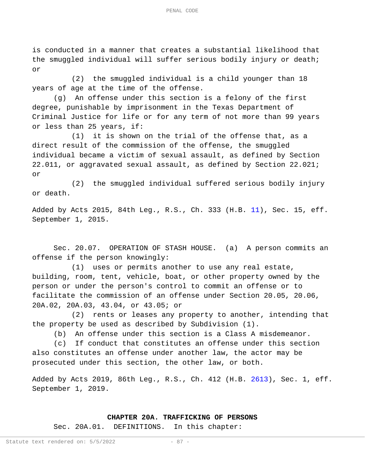is conducted in a manner that creates a substantial likelihood that the smuggled individual will suffer serious bodily injury or death; or

(2) the smuggled individual is a child younger than 18 years of age at the time of the offense.

(g) An offense under this section is a felony of the first degree, punishable by imprisonment in the Texas Department of Criminal Justice for life or for any term of not more than 99 years or less than 25 years, if:

(1) it is shown on the trial of the offense that, as a direct result of the commission of the offense, the smuggled individual became a victim of sexual assault, as defined by Section 22.011, or aggravated sexual assault, as defined by Section 22.021; or

(2) the smuggled individual suffered serious bodily injury or death.

Added by Acts 2015, 84th Leg., R.S., Ch. 333 (H.B. [11\)](http://www.legis.state.tx.us/tlodocs/84R/billtext/html/HB00011F.HTM), Sec. 15, eff. September 1, 2015.

Sec. 20.07. OPERATION OF STASH HOUSE. (a) A person commits an offense if the person knowingly:

(1) uses or permits another to use any real estate, building, room, tent, vehicle, boat, or other property owned by the person or under the person's control to commit an offense or to facilitate the commission of an offense under Section 20.05, 20.06, 20A.02, 20A.03, 43.04, or 43.05; or

(2) rents or leases any property to another, intending that the property be used as described by Subdivision (1).

(b) An offense under this section is a Class A misdemeanor.

(c) If conduct that constitutes an offense under this section

also constitutes an offense under another law, the actor may be prosecuted under this section, the other law, or both.

Added by Acts 2019, 86th Leg., R.S., Ch. 412 (H.B. [2613](http://www.legis.state.tx.us/tlodocs/86R/billtext/html/HB02613F.HTM)), Sec. 1, eff. September 1, 2019.

### **CHAPTER 20A. TRAFFICKING OF PERSONS**

Sec. 20A.01. DEFINITIONS. In this chapter: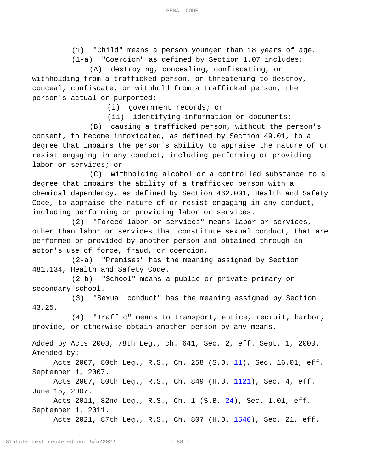(1) "Child" means a person younger than 18 years of age.

(1-a) "Coercion" as defined by Section 1.07 includes:

(A) destroying, concealing, confiscating, or withholding from a trafficked person, or threatening to destroy, conceal, confiscate, or withhold from a trafficked person, the person's actual or purported:

(i) government records; or

(ii) identifying information or documents;

(B) causing a trafficked person, without the person's consent, to become intoxicated, as defined by Section 49.01, to a degree that impairs the person's ability to appraise the nature of or resist engaging in any conduct, including performing or providing labor or services; or

(C) withholding alcohol or a controlled substance to a degree that impairs the ability of a trafficked person with a chemical dependency, as defined by Section 462.001, Health and Safety Code, to appraise the nature of or resist engaging in any conduct, including performing or providing labor or services.

(2) "Forced labor or services" means labor or services, other than labor or services that constitute sexual conduct, that are performed or provided by another person and obtained through an actor's use of force, fraud, or coercion.

(2-a) "Premises" has the meaning assigned by Section 481.134, Health and Safety Code.

(2-b) "School" means a public or private primary or secondary school.

(3) "Sexual conduct" has the meaning assigned by Section 43.25.

(4) "Traffic" means to transport, entice, recruit, harbor, provide, or otherwise obtain another person by any means.

Added by Acts 2003, 78th Leg., ch. 641, Sec. 2, eff. Sept. 1, 2003. Amended by:

Acts 2007, 80th Leg., R.S., Ch. 258 (S.B. [11\)](http://www.legis.state.tx.us/tlodocs/80R/billtext/html/SB00011F.HTM), Sec. 16.01, eff. September 1, 2007.

Acts 2007, 80th Leg., R.S., Ch. 849 (H.B. [1121](http://www.legis.state.tx.us/tlodocs/80R/billtext/html/HB01121F.HTM)), Sec. 4, eff. June 15, 2007.

Acts 2011, 82nd Leg., R.S., Ch. 1 (S.B. [24](http://www.legis.state.tx.us/tlodocs/82R/billtext/html/SB00024F.HTM)), Sec. 1.01, eff. September 1, 2011.

Acts 2021, 87th Leg., R.S., Ch. 807 (H.B. [1540](http://www.legis.state.tx.us/tlodocs/87R/billtext/html/HB01540F.HTM)), Sec. 21, eff.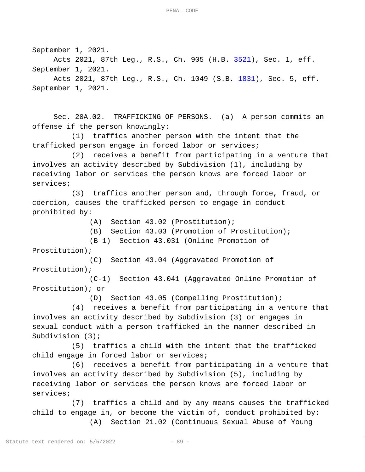September 1, 2021. Acts 2021, 87th Leg., R.S., Ch. 905 (H.B. [3521](http://www.legis.state.tx.us/tlodocs/87R/billtext/html/HB03521F.HTM)), Sec. 1, eff. September 1, 2021. Acts 2021, 87th Leg., R.S., Ch. 1049 (S.B. [1831](http://www.legis.state.tx.us/tlodocs/87R/billtext/html/SB01831F.HTM)), Sec. 5, eff. September 1, 2021.

Sec. 20A.02. TRAFFICKING OF PERSONS. (a) A person commits an offense if the person knowingly:

(1) traffics another person with the intent that the trafficked person engage in forced labor or services;

(2) receives a benefit from participating in a venture that involves an activity described by Subdivision (1), including by receiving labor or services the person knows are forced labor or services;

(3) traffics another person and, through force, fraud, or coercion, causes the trafficked person to engage in conduct prohibited by:

(A) Section 43.02 (Prostitution);

- (B) Section 43.03 (Promotion of Prostitution);
- (B-1) Section 43.031 (Online Promotion of

Prostitution);

(C) Section 43.04 (Aggravated Promotion of Prostitution);

(C-1) Section 43.041 (Aggravated Online Promotion of Prostitution); or

(D) Section 43.05 (Compelling Prostitution);

(4) receives a benefit from participating in a venture that involves an activity described by Subdivision (3) or engages in sexual conduct with a person trafficked in the manner described in Subdivision (3);

(5) traffics a child with the intent that the trafficked child engage in forced labor or services;

(6) receives a benefit from participating in a venture that involves an activity described by Subdivision (5), including by receiving labor or services the person knows are forced labor or services;

(7) traffics a child and by any means causes the trafficked child to engage in, or become the victim of, conduct prohibited by: (A) Section 21.02 (Continuous Sexual Abuse of Young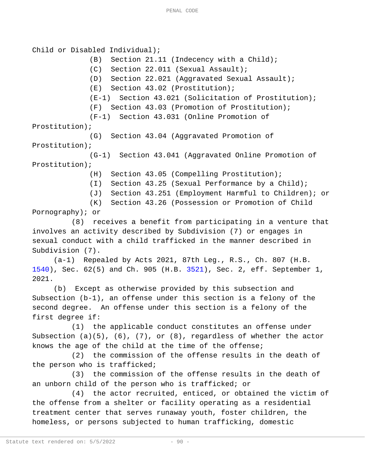Child or Disabled Individual); (B) Section 21.11 (Indecency with a Child); (C) Section 22.011 (Sexual Assault); (D) Section 22.021 (Aggravated Sexual Assault); (E) Section 43.02 (Prostitution); (E-1) Section 43.021 (Solicitation of Prostitution); (F) Section 43.03 (Promotion of Prostitution); (F-1) Section 43.031 (Online Promotion of Prostitution); (G) Section 43.04 (Aggravated Promotion of Prostitution); (G-1) Section 43.041 (Aggravated Online Promotion of Prostitution); (H) Section 43.05 (Compelling Prostitution); (I) Section 43.25 (Sexual Performance by a Child); (J) Section 43.251 (Employment Harmful to Children); or (K) Section 43.26 (Possession or Promotion of Child Pornography); or (8) receives a benefit from participating in a venture that involves an activity described by Subdivision (7) or engages in sexual conduct with a child trafficked in the manner described in Subdivision (7). (a-1) Repealed by Acts 2021, 87th Leg., R.S., Ch. 807 (H.B. [1540\)](https://capitol.texas.gov/tlodocs/87R/billtext/html/HB01540F.HTM), Sec. 62(5) and Ch. 905 (H.B. [3521\)](https://capitol.texas.gov/tlodocs/87R/billtext/html/HB03521F.HTM), Sec. 2, eff. September 1, 2021. (b) Except as otherwise provided by this subsection and Subsection (b-1), an offense under this section is a felony of the second degree. An offense under this section is a felony of the first degree if: (1) the applicable conduct constitutes an offense under Subsection  $(a)(5)$ ,  $(6)$ ,  $(7)$ , or  $(8)$ , regardless of whether the actor knows the age of the child at the time of the offense; (2) the commission of the offense results in the death of the person who is trafficked; (3) the commission of the offense results in the death of an unborn child of the person who is trafficked; or (4) the actor recruited, enticed, or obtained the victim of the offense from a shelter or facility operating as a residential treatment center that serves runaway youth, foster children, the homeless, or persons subjected to human trafficking, domestic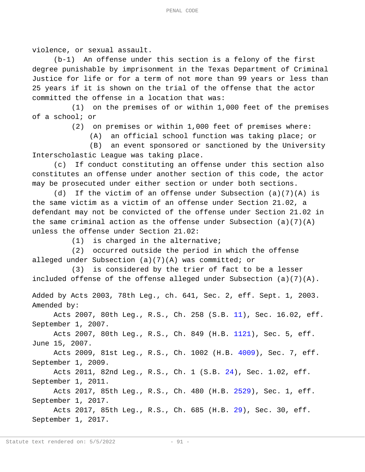violence, or sexual assault.

(b-1) An offense under this section is a felony of the first degree punishable by imprisonment in the Texas Department of Criminal Justice for life or for a term of not more than 99 years or less than 25 years if it is shown on the trial of the offense that the actor committed the offense in a location that was:

(1) on the premises of or within 1,000 feet of the premises of a school; or

(2) on premises or within 1,000 feet of premises where:

(A) an official school function was taking place; or

(B) an event sponsored or sanctioned by the University Interscholastic League was taking place.

(c) If conduct constituting an offense under this section also constitutes an offense under another section of this code, the actor may be prosecuted under either section or under both sections.

(d) If the victim of an offense under Subsection  $(a)(7)(A)$  is the same victim as a victim of an offense under Section 21.02, a defendant may not be convicted of the offense under Section 21.02 in the same criminal action as the offense under Subsection  $(a)(7)(A)$ unless the offense under Section 21.02:

(1) is charged in the alternative;

(2) occurred outside the period in which the offense alleged under Subsection (a)(7)(A) was committed; or

(3) is considered by the trier of fact to be a lesser included offense of the offense alleged under Subsection (a)(7)(A).

Added by Acts 2003, 78th Leg., ch. 641, Sec. 2, eff. Sept. 1, 2003. Amended by:

Acts 2007, 80th Leg., R.S., Ch. 258 (S.B. [11\)](http://www.legis.state.tx.us/tlodocs/80R/billtext/html/SB00011F.HTM), Sec. 16.02, eff. September 1, 2007.

Acts 2007, 80th Leg., R.S., Ch. 849 (H.B. [1121](http://www.legis.state.tx.us/tlodocs/80R/billtext/html/HB01121F.HTM)), Sec. 5, eff. June 15, 2007.

Acts 2009, 81st Leg., R.S., Ch. 1002 (H.B. [4009](http://www.legis.state.tx.us/tlodocs/81R/billtext/html/HB04009F.HTM)), Sec. 7, eff. September 1, 2009.

Acts 2011, 82nd Leg., R.S., Ch. 1 (S.B. [24](http://www.legis.state.tx.us/tlodocs/82R/billtext/html/SB00024F.HTM)), Sec. 1.02, eff. September 1, 2011.

Acts 2017, 85th Leg., R.S., Ch. 480 (H.B. [2529](http://www.legis.state.tx.us/tlodocs/85R/billtext/html/HB02529F.HTM)), Sec. 1, eff. September 1, 2017.

Acts 2017, 85th Leg., R.S., Ch. 685 (H.B. [29\)](http://www.legis.state.tx.us/tlodocs/85R/billtext/html/HB00029F.HTM), Sec. 30, eff. September 1, 2017.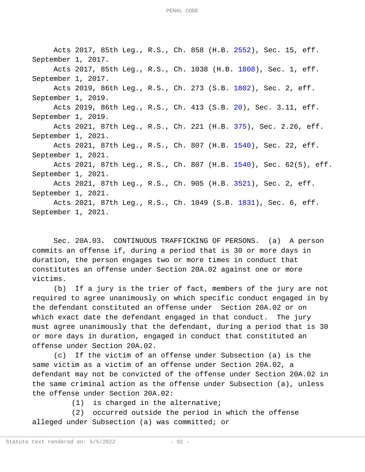Acts 2017, 85th Leg., R.S., Ch. 858 (H.B. [2552](http://www.legis.state.tx.us/tlodocs/85R/billtext/html/HB02552F.HTM)), Sec. 15, eff. September 1, 2017. Acts 2017, 85th Leg., R.S., Ch. 1038 (H.B. [1808](http://www.legis.state.tx.us/tlodocs/85R/billtext/html/HB01808F.HTM)), Sec. 1, eff. September 1, 2017. Acts 2019, 86th Leg., R.S., Ch. 273 (S.B. [1802](http://www.legis.state.tx.us/tlodocs/86R/billtext/html/SB01802F.HTM)), Sec. 2, eff. September 1, 2019. Acts 2019, 86th Leg., R.S., Ch. 413 (S.B. [20\)](http://www.legis.state.tx.us/tlodocs/86R/billtext/html/SB00020F.HTM), Sec. 3.11, eff. September 1, 2019. Acts 2021, 87th Leg., R.S., Ch. 221 (H.B. [375](http://www.legis.state.tx.us/tlodocs/87R/billtext/html/HB00375F.HTM)), Sec. 2.26, eff. September 1, 2021. Acts 2021, 87th Leg., R.S., Ch. 807 (H.B. [1540](http://www.legis.state.tx.us/tlodocs/87R/billtext/html/HB01540F.HTM)), Sec. 22, eff. September 1, 2021. Acts 2021, 87th Leg., R.S., Ch. 807 (H.B. [1540](http://www.legis.state.tx.us/tlodocs/87R/billtext/html/HB01540F.HTM)), Sec. 62(5), eff. September 1, 2021. Acts 2021, 87th Leg., R.S., Ch. 905 (H.B. [3521](http://www.legis.state.tx.us/tlodocs/87R/billtext/html/HB03521F.HTM)), Sec. 2, eff. September 1, 2021. Acts 2021, 87th Leg., R.S., Ch. 1049 (S.B. [1831](http://www.legis.state.tx.us/tlodocs/87R/billtext/html/SB01831F.HTM)), Sec. 6, eff. September 1, 2021.

Sec. 20A.03. CONTINUOUS TRAFFICKING OF PERSONS. (a) A person commits an offense if, during a period that is 30 or more days in duration, the person engages two or more times in conduct that constitutes an offense under Section 20A.02 against one or more victims.

(b) If a jury is the trier of fact, members of the jury are not required to agree unanimously on which specific conduct engaged in by the defendant constituted an offense under Section 20A.02 or on which exact date the defendant engaged in that conduct. The jury must agree unanimously that the defendant, during a period that is 30 or more days in duration, engaged in conduct that constituted an offense under Section 20A.02.

(c) If the victim of an offense under Subsection (a) is the same victim as a victim of an offense under Section 20A.02, a defendant may not be convicted of the offense under Section 20A.02 in the same criminal action as the offense under Subsection (a), unless the offense under Section 20A.02:

(1) is charged in the alternative;

(2) occurred outside the period in which the offense alleged under Subsection (a) was committed; or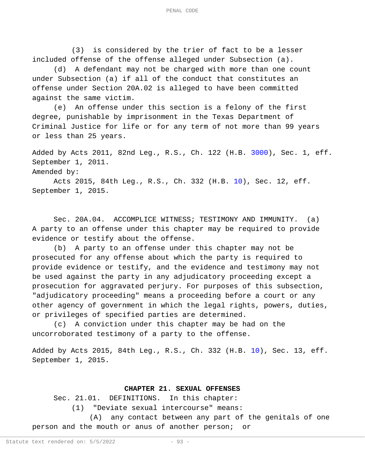(3) is considered by the trier of fact to be a lesser included offense of the offense alleged under Subsection (a).

(d) A defendant may not be charged with more than one count under Subsection (a) if all of the conduct that constitutes an offense under Section 20A.02 is alleged to have been committed against the same victim.

(e) An offense under this section is a felony of the first degree, punishable by imprisonment in the Texas Department of Criminal Justice for life or for any term of not more than 99 years or less than 25 years.

Added by Acts 2011, 82nd Leg., R.S., Ch. 122 (H.B. [3000](http://www.legis.state.tx.us/tlodocs/82R/billtext/html/HB03000F.HTM)), Sec. 1, eff. September 1, 2011.

Amended by:

Acts 2015, 84th Leg., R.S., Ch. 332 (H.B. [10\)](http://www.legis.state.tx.us/tlodocs/84R/billtext/html/HB00010F.HTM), Sec. 12, eff. September 1, 2015.

Sec. 20A.04. ACCOMPLICE WITNESS; TESTIMONY AND IMMUNITY. (a) A party to an offense under this chapter may be required to provide evidence or testify about the offense.

(b) A party to an offense under this chapter may not be prosecuted for any offense about which the party is required to provide evidence or testify, and the evidence and testimony may not be used against the party in any adjudicatory proceeding except a prosecution for aggravated perjury. For purposes of this subsection, "adjudicatory proceeding" means a proceeding before a court or any other agency of government in which the legal rights, powers, duties, or privileges of specified parties are determined.

(c) A conviction under this chapter may be had on the uncorroborated testimony of a party to the offense.

Added by Acts 2015, 84th Leg., R.S., Ch. 332 (H.B. [10\)](http://www.legis.state.tx.us/tlodocs/84R/billtext/html/HB00010F.HTM), Sec. 13, eff. September 1, 2015.

#### **CHAPTER 21. SEXUAL OFFENSES**

Sec. 21.01. DEFINITIONS. In this chapter:

(1) "Deviate sexual intercourse" means:

(A) any contact between any part of the genitals of one person and the mouth or anus of another person; or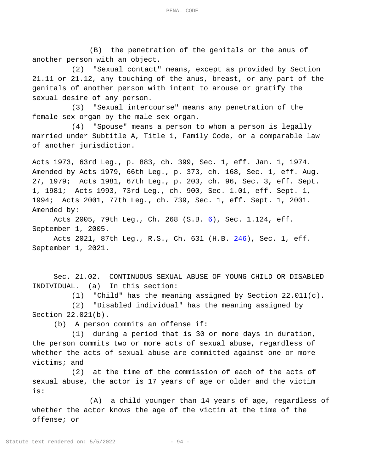(B) the penetration of the genitals or the anus of another person with an object.

(2) "Sexual contact" means, except as provided by Section 21.11 or 21.12, any touching of the anus, breast, or any part of the genitals of another person with intent to arouse or gratify the sexual desire of any person.

(3) "Sexual intercourse" means any penetration of the female sex organ by the male sex organ.

(4) "Spouse" means a person to whom a person is legally married under Subtitle A, Title 1, Family Code, or a comparable law of another jurisdiction.

Acts 1973, 63rd Leg., p. 883, ch. 399, Sec. 1, eff. Jan. 1, 1974. Amended by Acts 1979, 66th Leg., p. 373, ch. 168, Sec. 1, eff. Aug. 27, 1979; Acts 1981, 67th Leg., p. 203, ch. 96, Sec. 3, eff. Sept. 1, 1981; Acts 1993, 73rd Leg., ch. 900, Sec. 1.01, eff. Sept. 1, 1994; Acts 2001, 77th Leg., ch. 739, Sec. 1, eff. Sept. 1, 2001. Amended by:

Acts 2005, 79th Leg., Ch. 268 (S.B. [6](http://www.legis.state.tx.us/tlodocs/79R/billtext/html/SB00006F.HTM)), Sec. 1.124, eff. September 1, 2005.

Acts 2021, 87th Leg., R.S., Ch. 631 (H.B. [246](http://www.legis.state.tx.us/tlodocs/87R/billtext/html/HB00246F.HTM)), Sec. 1, eff. September 1, 2021.

Sec. 21.02. CONTINUOUS SEXUAL ABUSE OF YOUNG CHILD OR DISABLED INDIVIDUAL. (a) In this section:

(1) "Child" has the meaning assigned by Section 22.011(c).

(2) "Disabled individual" has the meaning assigned by Section 22.021(b).

(b) A person commits an offense if:

(1) during a period that is 30 or more days in duration, the person commits two or more acts of sexual abuse, regardless of whether the acts of sexual abuse are committed against one or more victims; and

(2) at the time of the commission of each of the acts of sexual abuse, the actor is 17 years of age or older and the victim is:

(A) a child younger than 14 years of age, regardless of whether the actor knows the age of the victim at the time of the offense; or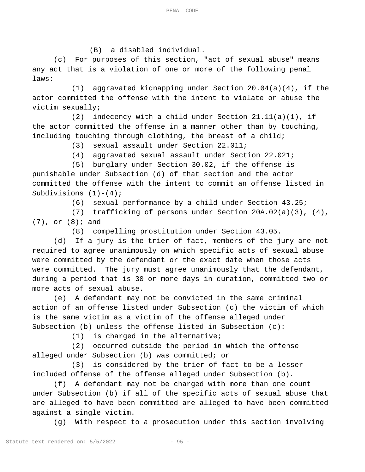(B) a disabled individual.

(c) For purposes of this section, "act of sexual abuse" means any act that is a violation of one or more of the following penal laws:

(1) aggravated kidnapping under Section 20.04(a)(4), if the actor committed the offense with the intent to violate or abuse the victim sexually;

 $(2)$  indecency with a child under Section 21.11(a)(1), if the actor committed the offense in a manner other than by touching, including touching through clothing, the breast of a child;

(3) sexual assault under Section 22.011;

(4) aggravated sexual assault under Section 22.021;

(5) burglary under Section 30.02, if the offense is punishable under Subsection (d) of that section and the actor committed the offense with the intent to commit an offense listed in Subdivisions  $(1)-(4)$ ;

(6) sexual performance by a child under Section 43.25;

(7) trafficking of persons under Section 20A.02(a)(3), (4), (7), or (8); and

(8) compelling prostitution under Section 43.05.

(d) If a jury is the trier of fact, members of the jury are not required to agree unanimously on which specific acts of sexual abuse were committed by the defendant or the exact date when those acts were committed. The jury must agree unanimously that the defendant, during a period that is 30 or more days in duration, committed two or more acts of sexual abuse.

(e) A defendant may not be convicted in the same criminal action of an offense listed under Subsection (c) the victim of which is the same victim as a victim of the offense alleged under Subsection (b) unless the offense listed in Subsection (c):

(1) is charged in the alternative;

(2) occurred outside the period in which the offense alleged under Subsection (b) was committed; or

(3) is considered by the trier of fact to be a lesser included offense of the offense alleged under Subsection (b).

(f) A defendant may not be charged with more than one count under Subsection (b) if all of the specific acts of sexual abuse that are alleged to have been committed are alleged to have been committed against a single victim.

(g) With respect to a prosecution under this section involving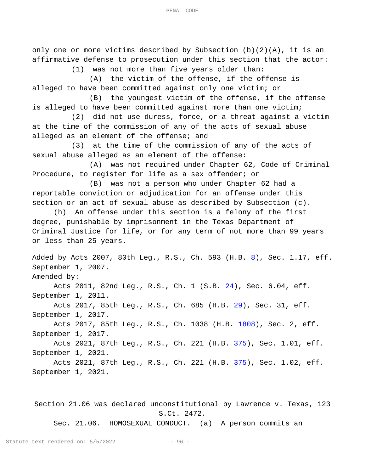only one or more victims described by Subsection  $(b)(2)(A)$ , it is an affirmative defense to prosecution under this section that the actor:

(1) was not more than five years older than:

(A) the victim of the offense, if the offense is alleged to have been committed against only one victim; or

(B) the youngest victim of the offense, if the offense is alleged to have been committed against more than one victim;

(2) did not use duress, force, or a threat against a victim at the time of the commission of any of the acts of sexual abuse alleged as an element of the offense; and

(3) at the time of the commission of any of the acts of sexual abuse alleged as an element of the offense:

(A) was not required under Chapter 62, Code of Criminal Procedure, to register for life as a sex offender; or

(B) was not a person who under Chapter 62 had a reportable conviction or adjudication for an offense under this section or an act of sexual abuse as described by Subsection (c).

(h) An offense under this section is a felony of the first degree, punishable by imprisonment in the Texas Department of Criminal Justice for life, or for any term of not more than 99 years or less than 25 years.

Added by Acts 2007, 80th Leg., R.S., Ch. 593 (H.B. [8](http://www.legis.state.tx.us/tlodocs/80R/billtext/html/HB00008F.HTM)), Sec. 1.17, eff. September 1, 2007.

Amended by:

Acts 2011, 82nd Leg., R.S., Ch. 1 (S.B. [24](http://www.legis.state.tx.us/tlodocs/82R/billtext/html/SB00024F.HTM)), Sec. 6.04, eff. September 1, 2011.

Acts 2017, 85th Leg., R.S., Ch. 685 (H.B. [29\)](http://www.legis.state.tx.us/tlodocs/85R/billtext/html/HB00029F.HTM), Sec. 31, eff. September 1, 2017.

Acts 2017, 85th Leg., R.S., Ch. 1038 (H.B. [1808](http://www.legis.state.tx.us/tlodocs/85R/billtext/html/HB01808F.HTM)), Sec. 2, eff. September 1, 2017.

Acts 2021, 87th Leg., R.S., Ch. 221 (H.B. [375](http://www.legis.state.tx.us/tlodocs/87R/billtext/html/HB00375F.HTM)), Sec. 1.01, eff. September 1, 2021.

Acts 2021, 87th Leg., R.S., Ch. 221 (H.B. [375](http://www.legis.state.tx.us/tlodocs/87R/billtext/html/HB00375F.HTM)), Sec. 1.02, eff. September 1, 2021.

Section 21.06 was declared unconstitutional by Lawrence v. Texas, 123 S.Ct. 2472. Sec. 21.06. HOMOSEXUAL CONDUCT. (a) A person commits an

Statute text rendered on:  $5/5/2022$  - 96 -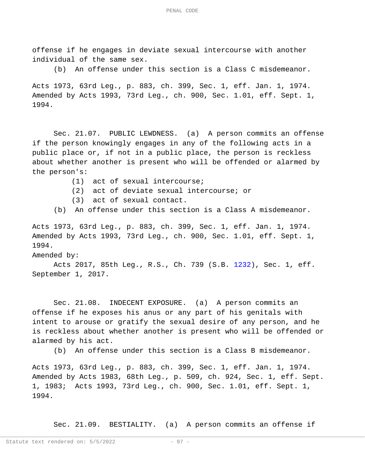offense if he engages in deviate sexual intercourse with another individual of the same sex.

(b) An offense under this section is a Class C misdemeanor.

Acts 1973, 63rd Leg., p. 883, ch. 399, Sec. 1, eff. Jan. 1, 1974. Amended by Acts 1993, 73rd Leg., ch. 900, Sec. 1.01, eff. Sept. 1, 1994.

Sec. 21.07. PUBLIC LEWDNESS. (a) A person commits an offense if the person knowingly engages in any of the following acts in a public place or, if not in a public place, the person is reckless about whether another is present who will be offended or alarmed by the person's:

- (1) act of sexual intercourse;
- (2) act of deviate sexual intercourse; or
- (3) act of sexual contact.
- (b) An offense under this section is a Class A misdemeanor.

Acts 1973, 63rd Leg., p. 883, ch. 399, Sec. 1, eff. Jan. 1, 1974. Amended by Acts 1993, 73rd Leg., ch. 900, Sec. 1.01, eff. Sept. 1, 1994.

Amended by:

Acts 2017, 85th Leg., R.S., Ch. 739 (S.B. [1232](http://www.legis.state.tx.us/tlodocs/85R/billtext/html/SB01232F.HTM)), Sec. 1, eff. September 1, 2017.

Sec. 21.08. INDECENT EXPOSURE. (a) A person commits an offense if he exposes his anus or any part of his genitals with intent to arouse or gratify the sexual desire of any person, and he is reckless about whether another is present who will be offended or alarmed by his act.

(b) An offense under this section is a Class B misdemeanor.

Acts 1973, 63rd Leg., p. 883, ch. 399, Sec. 1, eff. Jan. 1, 1974. Amended by Acts 1983, 68th Leg., p. 509, ch. 924, Sec. 1, eff. Sept. 1, 1983; Acts 1993, 73rd Leg., ch. 900, Sec. 1.01, eff. Sept. 1, 1994.

Sec. 21.09. BESTIALITY. (a) A person commits an offense if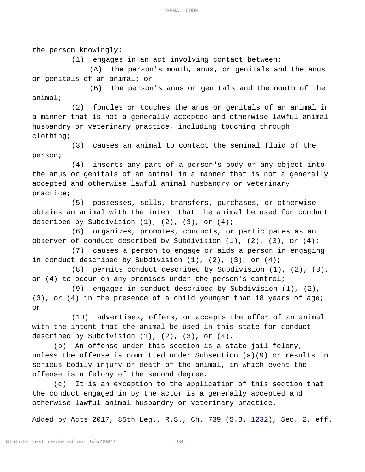the person knowingly:

(1) engages in an act involving contact between:

(A) the person's mouth, anus, or genitals and the anus or genitals of an animal; or

(B) the person's anus or genitals and the mouth of the animal;

(2) fondles or touches the anus or genitals of an animal in a manner that is not a generally accepted and otherwise lawful animal husbandry or veterinary practice, including touching through clothing;

(3) causes an animal to contact the seminal fluid of the person;

(4) inserts any part of a person's body or any object into the anus or genitals of an animal in a manner that is not a generally accepted and otherwise lawful animal husbandry or veterinary practice;

(5) possesses, sells, transfers, purchases, or otherwise obtains an animal with the intent that the animal be used for conduct described by Subdivision (1), (2), (3), or (4);

(6) organizes, promotes, conducts, or participates as an observer of conduct described by Subdivision  $(1)$ ,  $(2)$ ,  $(3)$ , or  $(4)$ ;

(7) causes a person to engage or aids a person in engaging in conduct described by Subdivision  $(1)$ ,  $(2)$ ,  $(3)$ , or  $(4)$ ;

 $(8)$  permits conduct described by Subdivision  $(1)$ ,  $(2)$ ,  $(3)$ , or (4) to occur on any premises under the person's control;

(9) engages in conduct described by Subdivision (1), (2),  $(3)$ , or  $(4)$  in the presence of a child younger than 18 years of age; or

(10) advertises, offers, or accepts the offer of an animal with the intent that the animal be used in this state for conduct described by Subdivision  $(1)$ ,  $(2)$ ,  $(3)$ , or  $(4)$ .

(b) An offense under this section is a state jail felony, unless the offense is committed under Subsection (a)(9) or results in serious bodily injury or death of the animal, in which event the offense is a felony of the second degree.

(c) It is an exception to the application of this section that the conduct engaged in by the actor is a generally accepted and otherwise lawful animal husbandry or veterinary practice.

Added by Acts 2017, 85th Leg., R.S., Ch. 739 (S.B. [1232](http://www.legis.state.tx.us/tlodocs/85R/billtext/html/SB01232F.HTM)), Sec. 2, eff.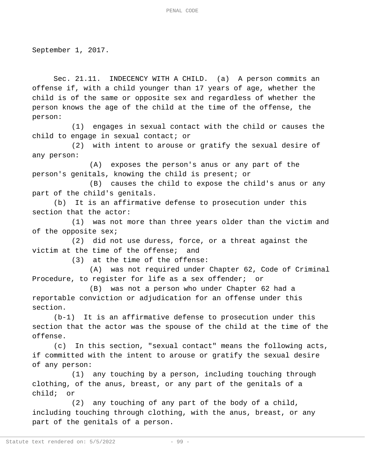September 1, 2017.

Sec. 21.11. INDECENCY WITH A CHILD. (a) A person commits an offense if, with a child younger than 17 years of age, whether the child is of the same or opposite sex and regardless of whether the person knows the age of the child at the time of the offense, the person:

(1) engages in sexual contact with the child or causes the child to engage in sexual contact; or

(2) with intent to arouse or gratify the sexual desire of any person:

(A) exposes the person's anus or any part of the person's genitals, knowing the child is present; or

(B) causes the child to expose the child's anus or any part of the child's genitals.

(b) It is an affirmative defense to prosecution under this section that the actor:

(1) was not more than three years older than the victim and of the opposite sex;

(2) did not use duress, force, or a threat against the victim at the time of the offense; and

(3) at the time of the offense:

(A) was not required under Chapter 62, Code of Criminal Procedure, to register for life as a sex offender; or

(B) was not a person who under Chapter 62 had a reportable conviction or adjudication for an offense under this section.

(b-1) It is an affirmative defense to prosecution under this section that the actor was the spouse of the child at the time of the offense.

(c) In this section, "sexual contact" means the following acts, if committed with the intent to arouse or gratify the sexual desire of any person:

(1) any touching by a person, including touching through clothing, of the anus, breast, or any part of the genitals of a child; or

(2) any touching of any part of the body of a child, including touching through clothing, with the anus, breast, or any part of the genitals of a person.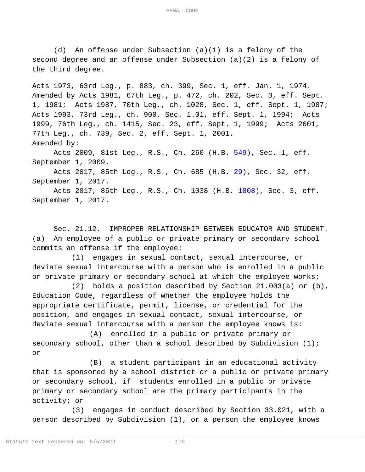(d) An offense under Subsection (a)(1) is a felony of the second degree and an offense under Subsection (a)(2) is a felony of the third degree.

Acts 1973, 63rd Leg., p. 883, ch. 399, Sec. 1, eff. Jan. 1, 1974. Amended by Acts 1981, 67th Leg., p. 472, ch. 202, Sec. 3, eff. Sept. 1, 1981; Acts 1987, 70th Leg., ch. 1028, Sec. 1, eff. Sept. 1, 1987; Acts 1993, 73rd Leg., ch. 900, Sec. 1.01, eff. Sept. 1, 1994; Acts 1999, 76th Leg., ch. 1415, Sec. 23, eff. Sept. 1, 1999; Acts 2001, 77th Leg., ch. 739, Sec. 2, eff. Sept. 1, 2001. Amended by:

Acts 2009, 81st Leg., R.S., Ch. 260 (H.B. [549](http://www.legis.state.tx.us/tlodocs/81R/billtext/html/HB00549F.HTM)), Sec. 1, eff. September 1, 2009.

Acts 2017, 85th Leg., R.S., Ch. 685 (H.B. [29\)](http://www.legis.state.tx.us/tlodocs/85R/billtext/html/HB00029F.HTM), Sec. 32, eff. September 1, 2017.

Acts 2017, 85th Leg., R.S., Ch. 1038 (H.B. [1808](http://www.legis.state.tx.us/tlodocs/85R/billtext/html/HB01808F.HTM)), Sec. 3, eff. September 1, 2017.

Sec. 21.12. IMPROPER RELATIONSHIP BETWEEN EDUCATOR AND STUDENT. (a) An employee of a public or private primary or secondary school commits an offense if the employee:

(1) engages in sexual contact, sexual intercourse, or deviate sexual intercourse with a person who is enrolled in a public or private primary or secondary school at which the employee works;

(2) holds a position described by Section 21.003(a) or (b), Education Code, regardless of whether the employee holds the appropriate certificate, permit, license, or credential for the position, and engages in sexual contact, sexual intercourse, or deviate sexual intercourse with a person the employee knows is:

(A) enrolled in a public or private primary or secondary school, other than a school described by Subdivision (1); or

(B) a student participant in an educational activity that is sponsored by a school district or a public or private primary or secondary school, if students enrolled in a public or private primary or secondary school are the primary participants in the activity; or

(3) engages in conduct described by Section 33.021, with a person described by Subdivision (1), or a person the employee knows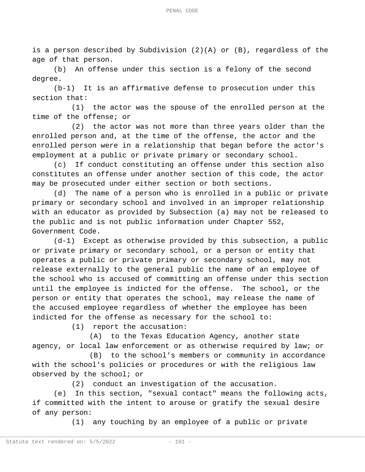is a person described by Subdivision  $(2)(A)$  or  $(B)$ , regardless of the age of that person.

(b) An offense under this section is a felony of the second degree.

(b-1) It is an affirmative defense to prosecution under this section that:

(1) the actor was the spouse of the enrolled person at the time of the offense; or

(2) the actor was not more than three years older than the enrolled person and, at the time of the offense, the actor and the enrolled person were in a relationship that began before the actor's employment at a public or private primary or secondary school.

(c) If conduct constituting an offense under this section also constitutes an offense under another section of this code, the actor may be prosecuted under either section or both sections.

(d) The name of a person who is enrolled in a public or private primary or secondary school and involved in an improper relationship with an educator as provided by Subsection (a) may not be released to the public and is not public information under Chapter 552, Government Code.

(d-1) Except as otherwise provided by this subsection, a public or private primary or secondary school, or a person or entity that operates a public or private primary or secondary school, may not release externally to the general public the name of an employee of the school who is accused of committing an offense under this section until the employee is indicted for the offense. The school, or the person or entity that operates the school, may release the name of the accused employee regardless of whether the employee has been indicted for the offense as necessary for the school to:

(1) report the accusation:

(A) to the Texas Education Agency, another state agency, or local law enforcement or as otherwise required by law; or

(B) to the school's members or community in accordance with the school's policies or procedures or with the religious law observed by the school; or

(2) conduct an investigation of the accusation.

(e) In this section, "sexual contact" means the following acts, if committed with the intent to arouse or gratify the sexual desire of any person:

(1) any touching by an employee of a public or private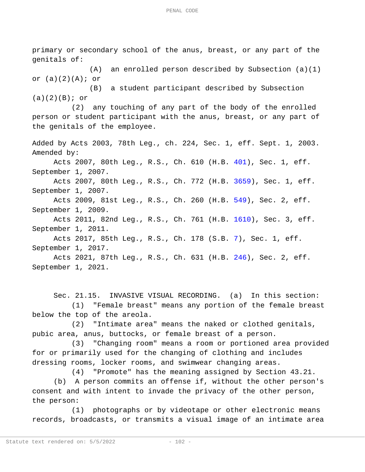primary or secondary school of the anus, breast, or any part of the genitals of:  $(A)$  an enrolled person described by Subsection  $(a)(1)$ or  $(a)(2)(A)$ ; or (B) a student participant described by Subsection  $(a)(2)(B);$  or (2) any touching of any part of the body of the enrolled person or student participant with the anus, breast, or any part of the genitals of the employee. Added by Acts 2003, 78th Leg., ch. 224, Sec. 1, eff. Sept. 1, 2003. Amended by: Acts 2007, 80th Leg., R.S., Ch. 610 (H.B. [401](http://www.legis.state.tx.us/tlodocs/80R/billtext/html/HB00401F.HTM)), Sec. 1, eff. September 1, 2007. Acts 2007, 80th Leg., R.S., Ch. 772 (H.B. [3659](http://www.legis.state.tx.us/tlodocs/80R/billtext/html/HB03659F.HTM)), Sec. 1, eff. September 1, 2007. Acts 2009, 81st Leg., R.S., Ch. 260 (H.B. [549](http://www.legis.state.tx.us/tlodocs/81R/billtext/html/HB00549F.HTM)), Sec. 2, eff. September 1, 2009. Acts 2011, 82nd Leg., R.S., Ch. 761 (H.B. [1610](http://www.legis.state.tx.us/tlodocs/82R/billtext/html/HB01610F.HTM)), Sec. 3, eff. September 1, 2011. Acts 2017, 85th Leg., R.S., Ch. 178 (S.B. [7\)](http://www.legis.state.tx.us/tlodocs/85R/billtext/html/SB00007F.HTM), Sec. 1, eff. September 1, 2017. Acts 2021, 87th Leg., R.S., Ch. 631 (H.B. [246](http://www.legis.state.tx.us/tlodocs/87R/billtext/html/HB00246F.HTM)), Sec. 2, eff. September 1, 2021.

Sec. 21.15. INVASIVE VISUAL RECORDING. (a) In this section: (1) "Female breast" means any portion of the female breast below the top of the areola.

(2) "Intimate area" means the naked or clothed genitals, pubic area, anus, buttocks, or female breast of a person.

(3) "Changing room" means a room or portioned area provided for or primarily used for the changing of clothing and includes dressing rooms, locker rooms, and swimwear changing areas.

(4) "Promote" has the meaning assigned by Section 43.21.

(b) A person commits an offense if, without the other person's consent and with intent to invade the privacy of the other person, the person:

(1) photographs or by videotape or other electronic means records, broadcasts, or transmits a visual image of an intimate area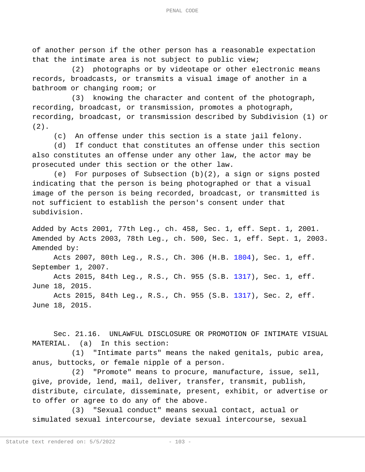of another person if the other person has a reasonable expectation that the intimate area is not subject to public view;

(2) photographs or by videotape or other electronic means records, broadcasts, or transmits a visual image of another in a bathroom or changing room; or

(3) knowing the character and content of the photograph, recording, broadcast, or transmission, promotes a photograph, recording, broadcast, or transmission described by Subdivision (1) or (2).

(c) An offense under this section is a state jail felony.

(d) If conduct that constitutes an offense under this section also constitutes an offense under any other law, the actor may be prosecuted under this section or the other law.

(e) For purposes of Subsection (b)(2), a sign or signs posted indicating that the person is being photographed or that a visual image of the person is being recorded, broadcast, or transmitted is not sufficient to establish the person's consent under that subdivision.

Added by Acts 2001, 77th Leg., ch. 458, Sec. 1, eff. Sept. 1, 2001. Amended by Acts 2003, 78th Leg., ch. 500, Sec. 1, eff. Sept. 1, 2003. Amended by:

Acts 2007, 80th Leg., R.S., Ch. 306 (H.B. [1804](http://www.legis.state.tx.us/tlodocs/80R/billtext/html/HB01804F.HTM)), Sec. 1, eff. September 1, 2007.

Acts 2015, 84th Leg., R.S., Ch. 955 (S.B. [1317](http://www.legis.state.tx.us/tlodocs/84R/billtext/html/SB01317F.HTM)), Sec. 1, eff. June 18, 2015.

Acts 2015, 84th Leg., R.S., Ch. 955 (S.B. [1317](http://www.legis.state.tx.us/tlodocs/84R/billtext/html/SB01317F.HTM)), Sec. 2, eff. June 18, 2015.

Sec. 21.16. UNLAWFUL DISCLOSURE OR PROMOTION OF INTIMATE VISUAL MATERIAL. (a) In this section:

(1) "Intimate parts" means the naked genitals, pubic area, anus, buttocks, or female nipple of a person.

(2) "Promote" means to procure, manufacture, issue, sell, give, provide, lend, mail, deliver, transfer, transmit, publish, distribute, circulate, disseminate, present, exhibit, or advertise or to offer or agree to do any of the above.

(3) "Sexual conduct" means sexual contact, actual or simulated sexual intercourse, deviate sexual intercourse, sexual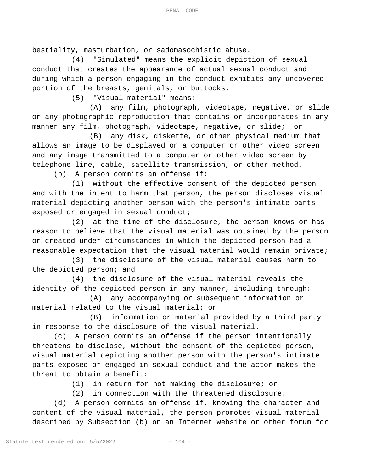bestiality, masturbation, or sadomasochistic abuse.

(4) "Simulated" means the explicit depiction of sexual conduct that creates the appearance of actual sexual conduct and during which a person engaging in the conduct exhibits any uncovered portion of the breasts, genitals, or buttocks.

(5) "Visual material" means:

(A) any film, photograph, videotape, negative, or slide or any photographic reproduction that contains or incorporates in any manner any film, photograph, videotape, negative, or slide; or

(B) any disk, diskette, or other physical medium that allows an image to be displayed on a computer or other video screen and any image transmitted to a computer or other video screen by telephone line, cable, satellite transmission, or other method.

(b) A person commits an offense if:

(1) without the effective consent of the depicted person and with the intent to harm that person, the person discloses visual material depicting another person with the person's intimate parts exposed or engaged in sexual conduct;

(2) at the time of the disclosure, the person knows or has reason to believe that the visual material was obtained by the person or created under circumstances in which the depicted person had a reasonable expectation that the visual material would remain private;

(3) the disclosure of the visual material causes harm to the depicted person; and

(4) the disclosure of the visual material reveals the identity of the depicted person in any manner, including through:

(A) any accompanying or subsequent information or material related to the visual material; or

(B) information or material provided by a third party in response to the disclosure of the visual material.

(c) A person commits an offense if the person intentionally threatens to disclose, without the consent of the depicted person, visual material depicting another person with the person's intimate parts exposed or engaged in sexual conduct and the actor makes the threat to obtain a benefit:

(1) in return for not making the disclosure; or

(2) in connection with the threatened disclosure.

(d) A person commits an offense if, knowing the character and content of the visual material, the person promotes visual material described by Subsection (b) on an Internet website or other forum for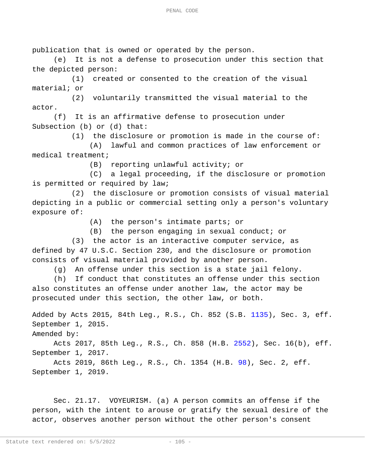publication that is owned or operated by the person.

(e) It is not a defense to prosecution under this section that the depicted person:

(1) created or consented to the creation of the visual material; or

(2) voluntarily transmitted the visual material to the actor.

(f) It is an affirmative defense to prosecution under Subsection (b) or (d) that:

(1) the disclosure or promotion is made in the course of:

(A) lawful and common practices of law enforcement or medical treatment;

(B) reporting unlawful activity; or

(C) a legal proceeding, if the disclosure or promotion is permitted or required by law;

(2) the disclosure or promotion consists of visual material depicting in a public or commercial setting only a person's voluntary exposure of:

(A) the person's intimate parts; or

(B) the person engaging in sexual conduct; or

(3) the actor is an interactive computer service, as defined by 47 U.S.C. Section 230, and the disclosure or promotion consists of visual material provided by another person.

(g) An offense under this section is a state jail felony.

(h) If conduct that constitutes an offense under this section also constitutes an offense under another law, the actor may be prosecuted under this section, the other law, or both.

Added by Acts 2015, 84th Leg., R.S., Ch. 852 (S.B. [1135](http://www.legis.state.tx.us/tlodocs/84R/billtext/html/SB01135F.HTM)), Sec. 3, eff. September 1, 2015. Amended by: Acts 2017, 85th Leg., R.S., Ch. 858 (H.B. [2552](http://www.legis.state.tx.us/tlodocs/85R/billtext/html/HB02552F.HTM)), Sec. 16(b), eff. September 1, 2017.

Acts 2019, 86th Leg., R.S., Ch. 1354 (H.B. [98](http://www.legis.state.tx.us/tlodocs/86R/billtext/html/HB00098F.HTM)), Sec. 2, eff. September 1, 2019.

Sec. 21.17. VOYEURISM. (a) A person commits an offense if the person, with the intent to arouse or gratify the sexual desire of the actor, observes another person without the other person's consent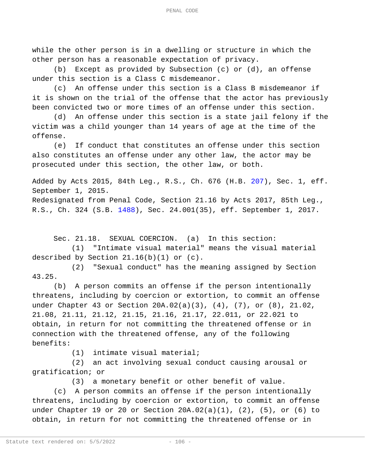while the other person is in a dwelling or structure in which the other person has a reasonable expectation of privacy.

(b) Except as provided by Subsection (c) or (d), an offense under this section is a Class C misdemeanor.

(c) An offense under this section is a Class B misdemeanor if it is shown on the trial of the offense that the actor has previously been convicted two or more times of an offense under this section.

(d) An offense under this section is a state jail felony if the victim was a child younger than 14 years of age at the time of the offense.

(e) If conduct that constitutes an offense under this section also constitutes an offense under any other law, the actor may be prosecuted under this section, the other law, or both.

Added by Acts 2015, 84th Leg., R.S., Ch. 676 (H.B. [207\)](http://www.legis.state.tx.us/tlodocs/84R/billtext/html/HB00207F.HTM), Sec. 1, eff. September 1, 2015. Redesignated from Penal Code, Section 21.16 by Acts 2017, 85th Leg., R.S., Ch. 324 (S.B. [1488\)](http://www.legis.state.tx.us/tlodocs/85R/billtext/html/SB01488F.HTM), Sec. 24.001(35), eff. September 1, 2017.

Sec. 21.18. SEXUAL COERCION. (a) In this section:

(1) "Intimate visual material" means the visual material described by Section  $21.16(b)(1)$  or  $(c)$ .

(2) "Sexual conduct" has the meaning assigned by Section 43.25.

(b) A person commits an offense if the person intentionally threatens, including by coercion or extortion, to commit an offense under Chapter 43 or Section 20A.02(a)(3), (4), (7), or (8), 21.02, 21.08, 21.11, 21.12, 21.15, 21.16, 21.17, 22.011, or 22.021 to obtain, in return for not committing the threatened offense or in connection with the threatened offense, any of the following benefits:

(1) intimate visual material;

(2) an act involving sexual conduct causing arousal or gratification; or

(3) a monetary benefit or other benefit of value.

(c) A person commits an offense if the person intentionally threatens, including by coercion or extortion, to commit an offense under Chapter 19 or 20 or Section  $20A.02(a)(1)$ ,  $(2)$ ,  $(5)$ , or  $(6)$  to obtain, in return for not committing the threatened offense or in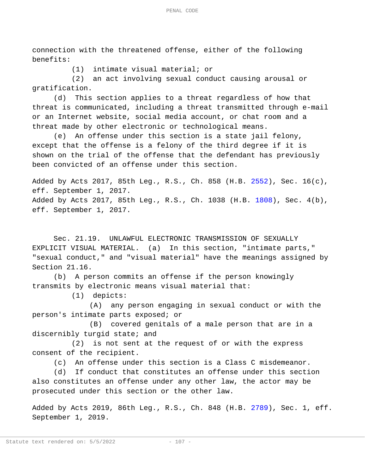connection with the threatened offense, either of the following benefits:

(1) intimate visual material; or

(2) an act involving sexual conduct causing arousal or gratification.

(d) This section applies to a threat regardless of how that threat is communicated, including a threat transmitted through e-mail or an Internet website, social media account, or chat room and a threat made by other electronic or technological means.

(e) An offense under this section is a state jail felony, except that the offense is a felony of the third degree if it is shown on the trial of the offense that the defendant has previously been convicted of an offense under this section.

Added by Acts 2017, 85th Leg., R.S., Ch. 858 (H.B. [2552](http://www.legis.state.tx.us/tlodocs/85R/billtext/html/HB02552F.HTM)), Sec. 16(c), eff. September 1, 2017. Added by Acts 2017, 85th Leg., R.S., Ch. 1038 (H.B. [1808](http://www.legis.state.tx.us/tlodocs/85R/billtext/html/HB01808F.HTM)), Sec. 4(b), eff. September 1, 2017.

Sec. 21.19. UNLAWFUL ELECTRONIC TRANSMISSION OF SEXUALLY EXPLICIT VISUAL MATERIAL. (a) In this section, "intimate parts," "sexual conduct," and "visual material" have the meanings assigned by Section 21.16.

(b) A person commits an offense if the person knowingly transmits by electronic means visual material that:

(1) depicts:

(A) any person engaging in sexual conduct or with the person's intimate parts exposed; or

(B) covered genitals of a male person that are in a discernibly turgid state; and

(2) is not sent at the request of or with the express consent of the recipient.

(c) An offense under this section is a Class C misdemeanor.

(d) If conduct that constitutes an offense under this section also constitutes an offense under any other law, the actor may be prosecuted under this section or the other law.

Added by Acts 2019, 86th Leg., R.S., Ch. 848 (H.B. [2789](http://www.legis.state.tx.us/tlodocs/86R/billtext/html/HB02789F.HTM)), Sec. 1, eff. September 1, 2019.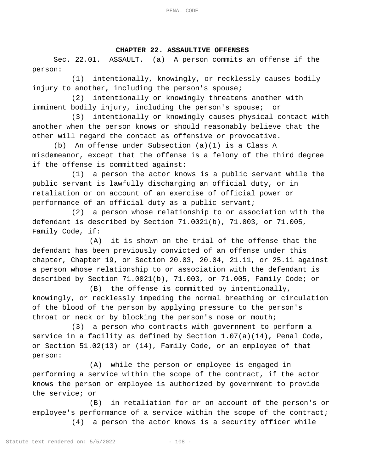### **CHAPTER 22. ASSAULTIVE OFFENSES**

Sec. 22.01. ASSAULT. (a) A person commits an offense if the person:

(1) intentionally, knowingly, or recklessly causes bodily injury to another, including the person's spouse;

(2) intentionally or knowingly threatens another with imminent bodily injury, including the person's spouse; or

(3) intentionally or knowingly causes physical contact with another when the person knows or should reasonably believe that the other will regard the contact as offensive or provocative.

(b) An offense under Subsection (a)(1) is a Class A misdemeanor, except that the offense is a felony of the third degree if the offense is committed against:

(1) a person the actor knows is a public servant while the public servant is lawfully discharging an official duty, or in retaliation or on account of an exercise of official power or performance of an official duty as a public servant;

(2) a person whose relationship to or association with the defendant is described by Section 71.0021(b), 71.003, or 71.005, Family Code, if:

(A) it is shown on the trial of the offense that the defendant has been previously convicted of an offense under this chapter, Chapter 19, or Section 20.03, 20.04, 21.11, or 25.11 against a person whose relationship to or association with the defendant is described by Section 71.0021(b), 71.003, or 71.005, Family Code; or

(B) the offense is committed by intentionally, knowingly, or recklessly impeding the normal breathing or circulation of the blood of the person by applying pressure to the person's throat or neck or by blocking the person's nose or mouth;

(3) a person who contracts with government to perform a service in a facility as defined by Section 1.07(a)(14), Penal Code, or Section 51.02(13) or (14), Family Code, or an employee of that person:

(A) while the person or employee is engaged in performing a service within the scope of the contract, if the actor knows the person or employee is authorized by government to provide the service; or

(B) in retaliation for or on account of the person's or employee's performance of a service within the scope of the contract; (4) a person the actor knows is a security officer while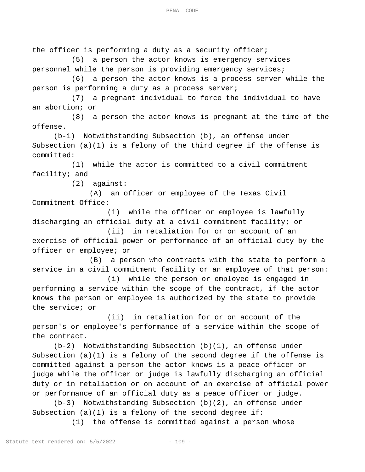the officer is performing a duty as a security officer;

(5) a person the actor knows is emergency services personnel while the person is providing emergency services;

(6) a person the actor knows is a process server while the person is performing a duty as a process server;

(7) a pregnant individual to force the individual to have an abortion; or

(8) a person the actor knows is pregnant at the time of the offense.

(b-1) Notwithstanding Subsection (b), an offense under Subsection  $(a)(1)$  is a felony of the third degree if the offense is committed:

(1) while the actor is committed to a civil commitment facility; and

(2) against:

(A) an officer or employee of the Texas Civil Commitment Office:

(i) while the officer or employee is lawfully discharging an official duty at a civil commitment facility; or

(ii) in retaliation for or on account of an exercise of official power or performance of an official duty by the officer or employee; or

(B) a person who contracts with the state to perform a service in a civil commitment facility or an employee of that person:

(i) while the person or employee is engaged in performing a service within the scope of the contract, if the actor knows the person or employee is authorized by the state to provide the service; or

(ii) in retaliation for or on account of the person's or employee's performance of a service within the scope of the contract.

(b-2) Notwithstanding Subsection (b)(1), an offense under Subsection  $(a)(1)$  is a felony of the second degree if the offense is committed against a person the actor knows is a peace officer or judge while the officer or judge is lawfully discharging an official duty or in retaliation or on account of an exercise of official power or performance of an official duty as a peace officer or judge.

(b-3) Notwithstanding Subsection (b)(2), an offense under Subsection  $(a)(1)$  is a felony of the second degree if:

(1) the offense is committed against a person whose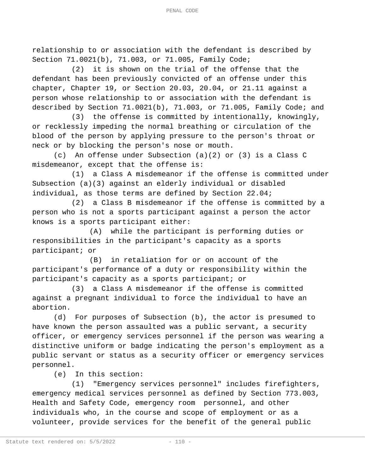relationship to or association with the defendant is described by Section 71.0021(b), 71.003, or 71.005, Family Code;

(2) it is shown on the trial of the offense that the defendant has been previously convicted of an offense under this chapter, Chapter 19, or Section 20.03, 20.04, or 21.11 against a person whose relationship to or association with the defendant is described by Section 71.0021(b), 71.003, or 71.005, Family Code; and

(3) the offense is committed by intentionally, knowingly, or recklessly impeding the normal breathing or circulation of the blood of the person by applying pressure to the person's throat or neck or by blocking the person's nose or mouth.

(c) An offense under Subsection (a)(2) or (3) is a Class C misdemeanor, except that the offense is:

(1) a Class A misdemeanor if the offense is committed under Subsection (a)(3) against an elderly individual or disabled individual, as those terms are defined by Section 22.04;

(2) a Class B misdemeanor if the offense is committed by a person who is not a sports participant against a person the actor knows is a sports participant either:

(A) while the participant is performing duties or responsibilities in the participant's capacity as a sports participant; or

(B) in retaliation for or on account of the participant's performance of a duty or responsibility within the participant's capacity as a sports participant; or

(3) a Class A misdemeanor if the offense is committed against a pregnant individual to force the individual to have an abortion.

(d) For purposes of Subsection (b), the actor is presumed to have known the person assaulted was a public servant, a security officer, or emergency services personnel if the person was wearing a distinctive uniform or badge indicating the person's employment as a public servant or status as a security officer or emergency services personnel.

(e) In this section:

(1) "Emergency services personnel" includes firefighters, emergency medical services personnel as defined by Section 773.003, Health and Safety Code, emergency room personnel, and other individuals who, in the course and scope of employment or as a volunteer, provide services for the benefit of the general public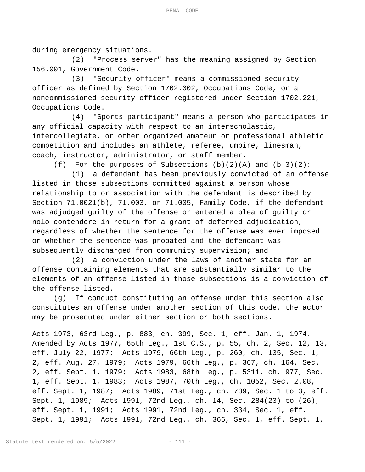during emergency situations.

(2) "Process server" has the meaning assigned by Section 156.001, Government Code.

(3) "Security officer" means a commissioned security officer as defined by Section 1702.002, Occupations Code, or a noncommissioned security officer registered under Section 1702.221, Occupations Code.

(4) "Sports participant" means a person who participates in any official capacity with respect to an interscholastic, intercollegiate, or other organized amateur or professional athletic competition and includes an athlete, referee, umpire, linesman, coach, instructor, administrator, or staff member.

(f) For the purposes of Subsections  $(b)(2)(A)$  and  $(b-3)(2)$ :

(1) a defendant has been previously convicted of an offense listed in those subsections committed against a person whose relationship to or association with the defendant is described by Section 71.0021(b), 71.003, or 71.005, Family Code, if the defendant was adjudged guilty of the offense or entered a plea of guilty or nolo contendere in return for a grant of deferred adjudication, regardless of whether the sentence for the offense was ever imposed or whether the sentence was probated and the defendant was subsequently discharged from community supervision; and

(2) a conviction under the laws of another state for an offense containing elements that are substantially similar to the elements of an offense listed in those subsections is a conviction of the offense listed.

(g) If conduct constituting an offense under this section also constitutes an offense under another section of this code, the actor may be prosecuted under either section or both sections.

Acts 1973, 63rd Leg., p. 883, ch. 399, Sec. 1, eff. Jan. 1, 1974. Amended by Acts 1977, 65th Leg., 1st C.S., p. 55, ch. 2, Sec. 12, 13, eff. July 22, 1977; Acts 1979, 66th Leg., p. 260, ch. 135, Sec. 1, 2, eff. Aug. 27, 1979; Acts 1979, 66th Leg., p. 367, ch. 164, Sec. 2, eff. Sept. 1, 1979; Acts 1983, 68th Leg., p. 5311, ch. 977, Sec. 1, eff. Sept. 1, 1983; Acts 1987, 70th Leg., ch. 1052, Sec. 2.08, eff. Sept. 1, 1987; Acts 1989, 71st Leg., ch. 739, Sec. 1 to 3, eff. Sept. 1, 1989; Acts 1991, 72nd Leg., ch. 14, Sec. 284(23) to (26), eff. Sept. 1, 1991; Acts 1991, 72nd Leg., ch. 334, Sec. 1, eff. Sept. 1, 1991; Acts 1991, 72nd Leg., ch. 366, Sec. 1, eff. Sept. 1,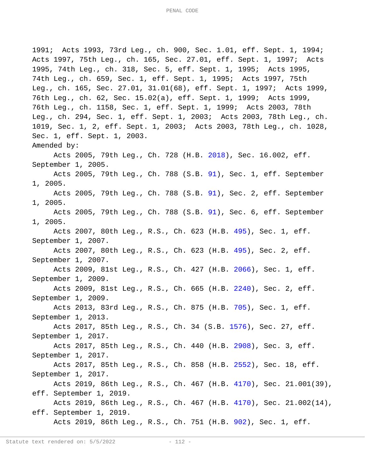1991; Acts 1993, 73rd Leg., ch. 900, Sec. 1.01, eff. Sept. 1, 1994; Acts 1997, 75th Leg., ch. 165, Sec. 27.01, eff. Sept. 1, 1997; Acts 1995, 74th Leg., ch. 318, Sec. 5, eff. Sept. 1, 1995; Acts 1995, 74th Leg., ch. 659, Sec. 1, eff. Sept. 1, 1995; Acts 1997, 75th Leg., ch. 165, Sec. 27.01, 31.01(68), eff. Sept. 1, 1997; Acts 1999, 76th Leg., ch. 62, Sec. 15.02(a), eff. Sept. 1, 1999; Acts 1999, 76th Leg., ch. 1158, Sec. 1, eff. Sept. 1, 1999; Acts 2003, 78th Leg., ch. 294, Sec. 1, eff. Sept. 1, 2003; Acts 2003, 78th Leg., ch. 1019, Sec. 1, 2, eff. Sept. 1, 2003; Acts 2003, 78th Leg., ch. 1028, Sec. 1, eff. Sept. 1, 2003. Amended by: Acts 2005, 79th Leg., Ch. 728 (H.B. [2018\)](http://www.legis.state.tx.us/tlodocs/79R/billtext/html/HB02018F.HTM), Sec. 16.002, eff. September 1, 2005. Acts 2005, 79th Leg., Ch. 788 (S.B. [91\)](http://www.legis.state.tx.us/tlodocs/79R/billtext/html/SB00091F.HTM), Sec. 1, eff. September 1, 2005. Acts 2005, 79th Leg., Ch. 788 (S.B. [91\)](http://www.legis.state.tx.us/tlodocs/79R/billtext/html/SB00091F.HTM), Sec. 2, eff. September 1, 2005. Acts 2005, 79th Leg., Ch. 788 (S.B. [91\)](http://www.legis.state.tx.us/tlodocs/79R/billtext/html/SB00091F.HTM), Sec. 6, eff. September 1, 2005. Acts 2007, 80th Leg., R.S., Ch. 623 (H.B. [495](http://www.legis.state.tx.us/tlodocs/80R/billtext/html/HB00495F.HTM)), Sec. 1, eff. September 1, 2007. Acts 2007, 80th Leg., R.S., Ch. 623 (H.B. [495](http://www.legis.state.tx.us/tlodocs/80R/billtext/html/HB00495F.HTM)), Sec. 2, eff. September 1, 2007. Acts 2009, 81st Leg., R.S., Ch. 427 (H.B. [2066](http://www.legis.state.tx.us/tlodocs/81R/billtext/html/HB02066F.HTM)), Sec. 1, eff. September 1, 2009. Acts 2009, 81st Leg., R.S., Ch. 665 (H.B. [2240](http://www.legis.state.tx.us/tlodocs/81R/billtext/html/HB02240F.HTM)), Sec. 2, eff. September 1, 2009. Acts 2013, 83rd Leg., R.S., Ch. 875 (H.B. [705](http://www.legis.state.tx.us/tlodocs/83R/billtext/html/HB00705F.HTM)), Sec. 1, eff. September 1, 2013. Acts 2017, 85th Leg., R.S., Ch. 34 (S.B. [1576\)](http://www.legis.state.tx.us/tlodocs/85R/billtext/html/SB01576F.HTM), Sec. 27, eff. September 1, 2017. Acts 2017, 85th Leg., R.S., Ch. 440 (H.B. [2908](http://www.legis.state.tx.us/tlodocs/85R/billtext/html/HB02908F.HTM)), Sec. 3, eff. September 1, 2017. Acts 2017, 85th Leg., R.S., Ch. 858 (H.B. [2552](http://www.legis.state.tx.us/tlodocs/85R/billtext/html/HB02552F.HTM)), Sec. 18, eff. September 1, 2017. Acts 2019, 86th Leg., R.S., Ch. 467 (H.B. [4170](http://www.legis.state.tx.us/tlodocs/86R/billtext/html/HB04170F.HTM)), Sec. 21.001(39), eff. September 1, 2019. Acts 2019, 86th Leg., R.S., Ch. 467 (H.B. [4170](http://www.legis.state.tx.us/tlodocs/86R/billtext/html/HB04170F.HTM)), Sec. 21.002(14), eff. September 1, 2019. Acts 2019, 86th Leg., R.S., Ch. 751 (H.B. [902](http://www.legis.state.tx.us/tlodocs/86R/billtext/html/HB00902F.HTM)), Sec. 1, eff.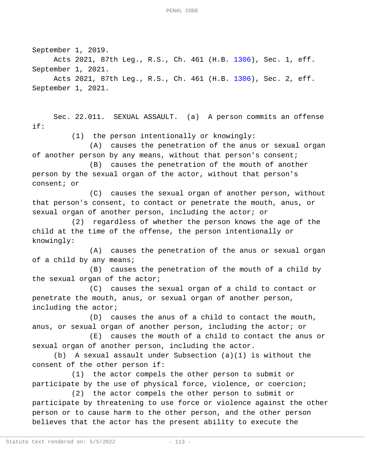September 1, 2019. Acts 2021, 87th Leg., R.S., Ch. 461 (H.B. [1306](http://www.legis.state.tx.us/tlodocs/87R/billtext/html/HB01306F.HTM)), Sec. 1, eff. September 1, 2021. Acts 2021, 87th Leg., R.S., Ch. 461 (H.B. [1306](http://www.legis.state.tx.us/tlodocs/87R/billtext/html/HB01306F.HTM)), Sec. 2, eff. September 1, 2021.

Sec. 22.011. SEXUAL ASSAULT. (a) A person commits an offense if:

(1) the person intentionally or knowingly:

(A) causes the penetration of the anus or sexual organ of another person by any means, without that person's consent;

(B) causes the penetration of the mouth of another person by the sexual organ of the actor, without that person's consent; or

(C) causes the sexual organ of another person, without that person's consent, to contact or penetrate the mouth, anus, or sexual organ of another person, including the actor; or

(2) regardless of whether the person knows the age of the child at the time of the offense, the person intentionally or knowingly:

(A) causes the penetration of the anus or sexual organ of a child by any means;

(B) causes the penetration of the mouth of a child by the sexual organ of the actor;

(C) causes the sexual organ of a child to contact or penetrate the mouth, anus, or sexual organ of another person, including the actor;

(D) causes the anus of a child to contact the mouth, anus, or sexual organ of another person, including the actor; or

(E) causes the mouth of a child to contact the anus or sexual organ of another person, including the actor.

(b) A sexual assault under Subsection (a)(1) is without the consent of the other person if:

(1) the actor compels the other person to submit or participate by the use of physical force, violence, or coercion;

(2) the actor compels the other person to submit or participate by threatening to use force or violence against the other person or to cause harm to the other person, and the other person believes that the actor has the present ability to execute the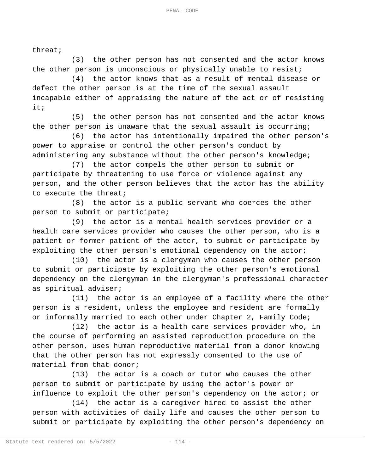threat;

(3) the other person has not consented and the actor knows the other person is unconscious or physically unable to resist;

(4) the actor knows that as a result of mental disease or defect the other person is at the time of the sexual assault incapable either of appraising the nature of the act or of resisting it;

(5) the other person has not consented and the actor knows the other person is unaware that the sexual assault is occurring;

(6) the actor has intentionally impaired the other person's power to appraise or control the other person's conduct by administering any substance without the other person's knowledge;

(7) the actor compels the other person to submit or participate by threatening to use force or violence against any person, and the other person believes that the actor has the ability to execute the threat;

(8) the actor is a public servant who coerces the other person to submit or participate;

(9) the actor is a mental health services provider or a health care services provider who causes the other person, who is a patient or former patient of the actor, to submit or participate by exploiting the other person's emotional dependency on the actor;

(10) the actor is a clergyman who causes the other person to submit or participate by exploiting the other person's emotional dependency on the clergyman in the clergyman's professional character as spiritual adviser;

(11) the actor is an employee of a facility where the other person is a resident, unless the employee and resident are formally or informally married to each other under Chapter 2, Family Code;

(12) the actor is a health care services provider who, in the course of performing an assisted reproduction procedure on the other person, uses human reproductive material from a donor knowing that the other person has not expressly consented to the use of material from that donor;

(13) the actor is a coach or tutor who causes the other person to submit or participate by using the actor's power or influence to exploit the other person's dependency on the actor; or

(14) the actor is a caregiver hired to assist the other person with activities of daily life and causes the other person to submit or participate by exploiting the other person's dependency on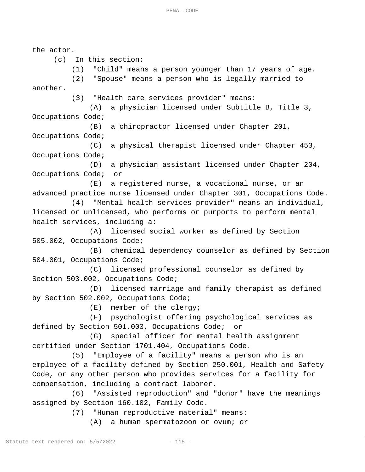the actor. (c) In this section: (1) "Child" means a person younger than 17 years of age. (2) "Spouse" means a person who is legally married to another. (3) "Health care services provider" means: (A) a physician licensed under Subtitle B, Title 3, Occupations Code; (B) a chiropractor licensed under Chapter 201, Occupations Code; (C) a physical therapist licensed under Chapter 453, Occupations Code; (D) a physician assistant licensed under Chapter 204, Occupations Code; or (E) a registered nurse, a vocational nurse, or an advanced practice nurse licensed under Chapter 301, Occupations Code. (4) "Mental health services provider" means an individual, licensed or unlicensed, who performs or purports to perform mental health services, including a: (A) licensed social worker as defined by Section 505.002, Occupations Code; (B) chemical dependency counselor as defined by Section 504.001, Occupations Code; (C) licensed professional counselor as defined by Section 503.002, Occupations Code; (D) licensed marriage and family therapist as defined by Section 502.002, Occupations Code; (E) member of the clergy; (F) psychologist offering psychological services as defined by Section 501.003, Occupations Code; or (G) special officer for mental health assignment certified under Section 1701.404, Occupations Code. (5) "Employee of a facility" means a person who is an employee of a facility defined by Section 250.001, Health and Safety Code, or any other person who provides services for a facility for compensation, including a contract laborer. (6) "Assisted reproduction" and "donor" have the meanings assigned by Section 160.102, Family Code. (7) "Human reproductive material" means:

(A) a human spermatozoon or ovum; or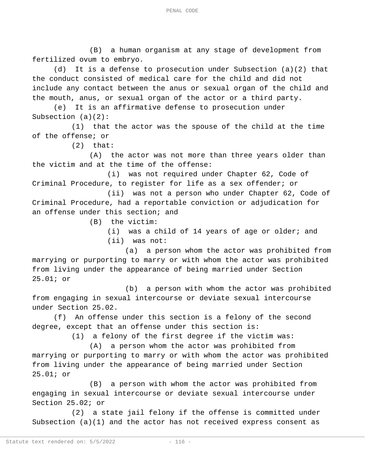(B) a human organism at any stage of development from fertilized ovum to embryo.

(d) It is a defense to prosecution under Subsection (a)(2) that the conduct consisted of medical care for the child and did not include any contact between the anus or sexual organ of the child and the mouth, anus, or sexual organ of the actor or a third party.

(e) It is an affirmative defense to prosecution under Subsection (a)(2):

(1) that the actor was the spouse of the child at the time of the offense; or

 $(2)$  that:

(A) the actor was not more than three years older than the victim and at the time of the offense:

(i) was not required under Chapter 62, Code of Criminal Procedure, to register for life as a sex offender; or

(ii) was not a person who under Chapter 62, Code of Criminal Procedure, had a reportable conviction or adjudication for an offense under this section; and

(B) the victim:

(i) was a child of 14 years of age or older; and (ii) was not:

(a) a person whom the actor was prohibited from marrying or purporting to marry or with whom the actor was prohibited from living under the appearance of being married under Section 25.01; or

(b) a person with whom the actor was prohibited from engaging in sexual intercourse or deviate sexual intercourse under Section 25.02.

(f) An offense under this section is a felony of the second degree, except that an offense under this section is:

(1) a felony of the first degree if the victim was:

(A) a person whom the actor was prohibited from marrying or purporting to marry or with whom the actor was prohibited from living under the appearance of being married under Section 25.01; or

(B) a person with whom the actor was prohibited from engaging in sexual intercourse or deviate sexual intercourse under Section 25.02; or

(2) a state jail felony if the offense is committed under Subsection (a)(1) and the actor has not received express consent as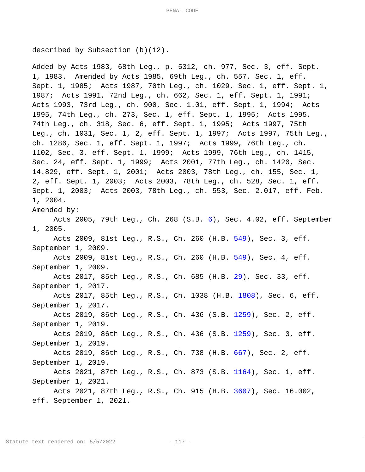described by Subsection (b)(12).

Added by Acts 1983, 68th Leg., p. 5312, ch. 977, Sec. 3, eff. Sept. 1, 1983. Amended by Acts 1985, 69th Leg., ch. 557, Sec. 1, eff. Sept. 1, 1985; Acts 1987, 70th Leg., ch. 1029, Sec. 1, eff. Sept. 1, 1987; Acts 1991, 72nd Leg., ch. 662, Sec. 1, eff. Sept. 1, 1991; Acts 1993, 73rd Leg., ch. 900, Sec. 1.01, eff. Sept. 1, 1994; Acts 1995, 74th Leg., ch. 273, Sec. 1, eff. Sept. 1, 1995; Acts 1995, 74th Leg., ch. 318, Sec. 6, eff. Sept. 1, 1995; Acts 1997, 75th Leg., ch. 1031, Sec. 1, 2, eff. Sept. 1, 1997; Acts 1997, 75th Leg., ch. 1286, Sec. 1, eff. Sept. 1, 1997; Acts 1999, 76th Leg., ch. 1102, Sec. 3, eff. Sept. 1, 1999; Acts 1999, 76th Leg., ch. 1415, Sec. 24, eff. Sept. 1, 1999; Acts 2001, 77th Leg., ch. 1420, Sec. 14.829, eff. Sept. 1, 2001; Acts 2003, 78th Leg., ch. 155, Sec. 1, 2, eff. Sept. 1, 2003; Acts 2003, 78th Leg., ch. 528, Sec. 1, eff. Sept. 1, 2003; Acts 2003, 78th Leg., ch. 553, Sec. 2.017, eff. Feb. 1, 2004. Amended by: Acts 2005, 79th Leg., Ch. 268 (S.B. [6](http://www.legis.state.tx.us/tlodocs/79R/billtext/html/SB00006F.HTM)), Sec. 4.02, eff. September 1, 2005. Acts 2009, 81st Leg., R.S., Ch. 260 (H.B. [549](http://www.legis.state.tx.us/tlodocs/81R/billtext/html/HB00549F.HTM)), Sec. 3, eff. September 1, 2009. Acts 2009, 81st Leg., R.S., Ch. 260 (H.B. [549](http://www.legis.state.tx.us/tlodocs/81R/billtext/html/HB00549F.HTM)), Sec. 4, eff. September 1, 2009. Acts 2017, 85th Leg., R.S., Ch. 685 (H.B. [29\)](http://www.legis.state.tx.us/tlodocs/85R/billtext/html/HB00029F.HTM), Sec. 33, eff. September 1, 2017. Acts 2017, 85th Leg., R.S., Ch. 1038 (H.B. [1808](http://www.legis.state.tx.us/tlodocs/85R/billtext/html/HB01808F.HTM)), Sec. 6, eff. September 1, 2017. Acts 2019, 86th Leg., R.S., Ch. 436 (S.B. [1259](http://www.legis.state.tx.us/tlodocs/86R/billtext/html/SB01259F.HTM)), Sec. 2, eff. September 1, 2019. Acts 2019, 86th Leg., R.S., Ch. 436 (S.B. [1259](http://www.legis.state.tx.us/tlodocs/86R/billtext/html/SB01259F.HTM)), Sec. 3, eff. September 1, 2019. Acts 2019, 86th Leg., R.S., Ch. 738 (H.B. [667](http://www.legis.state.tx.us/tlodocs/86R/billtext/html/HB00667F.HTM)), Sec. 2, eff. September 1, 2019. Acts 2021, 87th Leg., R.S., Ch. 873 (S.B. [1164](http://www.legis.state.tx.us/tlodocs/87R/billtext/html/SB01164F.HTM)), Sec. 1, eff. September 1, 2021. Acts 2021, 87th Leg., R.S., Ch. 915 (H.B. [3607](http://www.legis.state.tx.us/tlodocs/87R/billtext/html/HB03607F.HTM)), Sec. 16.002, eff. September 1, 2021.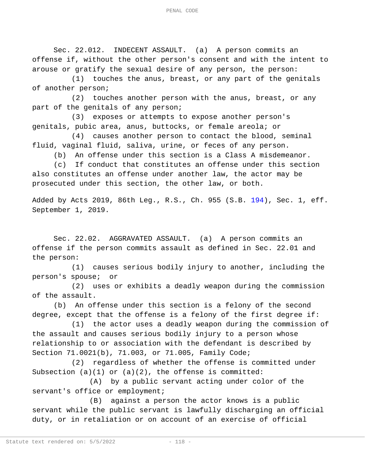Sec. 22.012. INDECENT ASSAULT. (a) A person commits an offense if, without the other person's consent and with the intent to arouse or gratify the sexual desire of any person, the person:

(1) touches the anus, breast, or any part of the genitals of another person;

(2) touches another person with the anus, breast, or any part of the genitals of any person;

(3) exposes or attempts to expose another person's genitals, pubic area, anus, buttocks, or female areola; or

(4) causes another person to contact the blood, seminal fluid, vaginal fluid, saliva, urine, or feces of any person.

(b) An offense under this section is a Class A misdemeanor.

(c) If conduct that constitutes an offense under this section also constitutes an offense under another law, the actor may be prosecuted under this section, the other law, or both.

Added by Acts 2019, 86th Leg., R.S., Ch. 955 (S.B. [194\)](http://www.legis.state.tx.us/tlodocs/86R/billtext/html/SB00194F.HTM), Sec. 1, eff. September 1, 2019.

Sec. 22.02. AGGRAVATED ASSAULT. (a) A person commits an offense if the person commits assault as defined in Sec. 22.01 and the person:

(1) causes serious bodily injury to another, including the person's spouse; or

(2) uses or exhibits a deadly weapon during the commission of the assault.

(b) An offense under this section is a felony of the second degree, except that the offense is a felony of the first degree if:

(1) the actor uses a deadly weapon during the commission of the assault and causes serious bodily injury to a person whose relationship to or association with the defendant is described by Section 71.0021(b), 71.003, or 71.005, Family Code;

(2) regardless of whether the offense is committed under Subsection  $(a)(1)$  or  $(a)(2)$ , the offense is committed:

(A) by a public servant acting under color of the servant's office or employment;

(B) against a person the actor knows is a public servant while the public servant is lawfully discharging an official duty, or in retaliation or on account of an exercise of official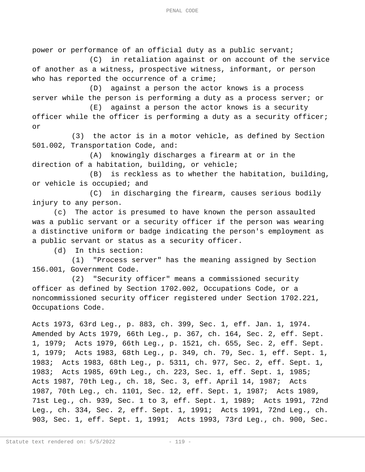power or performance of an official duty as a public servant;

(C) in retaliation against or on account of the service of another as a witness, prospective witness, informant, or person who has reported the occurrence of a crime;

(D) against a person the actor knows is a process server while the person is performing a duty as a process server; or

(E) against a person the actor knows is a security officer while the officer is performing a duty as a security officer; or

(3) the actor is in a motor vehicle, as defined by Section 501.002, Transportation Code, and:

(A) knowingly discharges a firearm at or in the direction of a habitation, building, or vehicle;

(B) is reckless as to whether the habitation, building, or vehicle is occupied; and

(C) in discharging the firearm, causes serious bodily injury to any person.

(c) The actor is presumed to have known the person assaulted was a public servant or a security officer if the person was wearing a distinctive uniform or badge indicating the person's employment as a public servant or status as a security officer.

(d) In this section:

(1) "Process server" has the meaning assigned by Section 156.001, Government Code.

(2) "Security officer" means a commissioned security officer as defined by Section 1702.002, Occupations Code, or a noncommissioned security officer registered under Section 1702.221, Occupations Code.

Acts 1973, 63rd Leg., p. 883, ch. 399, Sec. 1, eff. Jan. 1, 1974. Amended by Acts 1979, 66th Leg., p. 367, ch. 164, Sec. 2, eff. Sept. 1, 1979; Acts 1979, 66th Leg., p. 1521, ch. 655, Sec. 2, eff. Sept. 1, 1979; Acts 1983, 68th Leg., p. 349, ch. 79, Sec. 1, eff. Sept. 1, 1983; Acts 1983, 68th Leg., p. 5311, ch. 977, Sec. 2, eff. Sept. 1, 1983; Acts 1985, 69th Leg., ch. 223, Sec. 1, eff. Sept. 1, 1985; Acts 1987, 70th Leg., ch. 18, Sec. 3, eff. April 14, 1987; Acts 1987, 70th Leg., ch. 1101, Sec. 12, eff. Sept. 1, 1987; Acts 1989, 71st Leg., ch. 939, Sec. 1 to 3, eff. Sept. 1, 1989; Acts 1991, 72nd Leg., ch. 334, Sec. 2, eff. Sept. 1, 1991; Acts 1991, 72nd Leg., ch. 903, Sec. 1, eff. Sept. 1, 1991; Acts 1993, 73rd Leg., ch. 900, Sec.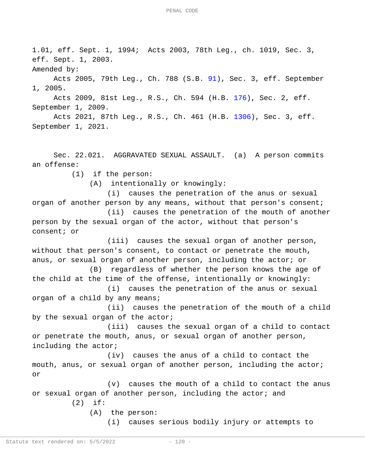1.01, eff. Sept. 1, 1994; Acts 2003, 78th Leg., ch. 1019, Sec. 3, eff. Sept. 1, 2003. Amended by: Acts 2005, 79th Leg., Ch. 788 (S.B. [91\)](http://www.legis.state.tx.us/tlodocs/79R/billtext/html/SB00091F.HTM), Sec. 3, eff. September

1, 2005.

Acts 2009, 81st Leg., R.S., Ch. 594 (H.B. [176](http://www.legis.state.tx.us/tlodocs/81R/billtext/html/HB00176F.HTM)), Sec. 2, eff. September 1, 2009.

Acts 2021, 87th Leg., R.S., Ch. 461 (H.B. [1306](http://www.legis.state.tx.us/tlodocs/87R/billtext/html/HB01306F.HTM)), Sec. 3, eff. September 1, 2021.

Sec. 22.021. AGGRAVATED SEXUAL ASSAULT. (a) A person commits an offense:

(1) if the person:

(A) intentionally or knowingly:

(i) causes the penetration of the anus or sexual organ of another person by any means, without that person's consent; (ii) causes the penetration of the mouth of another

person by the sexual organ of the actor, without that person's consent; or

(iii) causes the sexual organ of another person, without that person's consent, to contact or penetrate the mouth, anus, or sexual organ of another person, including the actor; or

(B) regardless of whether the person knows the age of the child at the time of the offense, intentionally or knowingly:

(i) causes the penetration of the anus or sexual organ of a child by any means;

(ii) causes the penetration of the mouth of a child by the sexual organ of the actor;

(iii) causes the sexual organ of a child to contact or penetrate the mouth, anus, or sexual organ of another person, including the actor;

(iv) causes the anus of a child to contact the mouth, anus, or sexual organ of another person, including the actor; or

(v) causes the mouth of a child to contact the anus or sexual organ of another person, including the actor; and

(2) if:

(A) the person:

(i) causes serious bodily injury or attempts to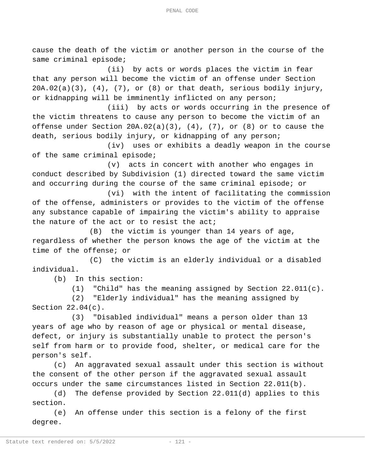cause the death of the victim or another person in the course of the same criminal episode;

(ii) by acts or words places the victim in fear that any person will become the victim of an offense under Section  $20A.02(a)(3)$ ,  $(4)$ ,  $(7)$ , or  $(8)$  or that death, serious bodily injury, or kidnapping will be imminently inflicted on any person;

(iii) by acts or words occurring in the presence of the victim threatens to cause any person to become the victim of an offense under Section  $20A.02(a)(3)$ ,  $(4)$ ,  $(7)$ , or  $(8)$  or to cause the death, serious bodily injury, or kidnapping of any person;

(iv) uses or exhibits a deadly weapon in the course of the same criminal episode;

(v) acts in concert with another who engages in conduct described by Subdivision (1) directed toward the same victim and occurring during the course of the same criminal episode; or

(vi) with the intent of facilitating the commission of the offense, administers or provides to the victim of the offense any substance capable of impairing the victim's ability to appraise the nature of the act or to resist the act;

(B) the victim is younger than 14 years of age, regardless of whether the person knows the age of the victim at the time of the offense; or

(C) the victim is an elderly individual or a disabled individual.

(b) In this section:

(1) "Child" has the meaning assigned by Section 22.011(c).

(2) "Elderly individual" has the meaning assigned by Section 22.04(c).

(3) "Disabled individual" means a person older than 13 years of age who by reason of age or physical or mental disease, defect, or injury is substantially unable to protect the person's self from harm or to provide food, shelter, or medical care for the person's self.

(c) An aggravated sexual assault under this section is without the consent of the other person if the aggravated sexual assault occurs under the same circumstances listed in Section 22.011(b).

(d) The defense provided by Section 22.011(d) applies to this section.

(e) An offense under this section is a felony of the first degree.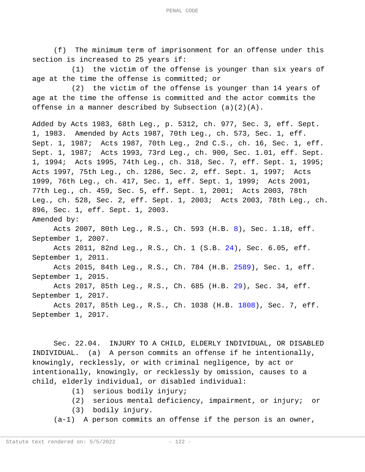(f) The minimum term of imprisonment for an offense under this section is increased to 25 years if:

(1) the victim of the offense is younger than six years of age at the time the offense is committed; or

(2) the victim of the offense is younger than 14 years of age at the time the offense is committed and the actor commits the offense in a manner described by Subsection  $(a)(2)(A)$ .

Added by Acts 1983, 68th Leg., p. 5312, ch. 977, Sec. 3, eff. Sept. 1, 1983. Amended by Acts 1987, 70th Leg., ch. 573, Sec. 1, eff. Sept. 1, 1987; Acts 1987, 70th Leg., 2nd C.S., ch. 16, Sec. 1, eff. Sept. 1, 1987; Acts 1993, 73rd Leg., ch. 900, Sec. 1.01, eff. Sept. 1, 1994; Acts 1995, 74th Leg., ch. 318, Sec. 7, eff. Sept. 1, 1995; Acts 1997, 75th Leg., ch. 1286, Sec. 2, eff. Sept. 1, 1997; Acts 1999, 76th Leg., ch. 417, Sec. 1, eff. Sept. 1, 1999; Acts 2001, 77th Leg., ch. 459, Sec. 5, eff. Sept. 1, 2001; Acts 2003, 78th Leg., ch. 528, Sec. 2, eff. Sept. 1, 2003; Acts 2003, 78th Leg., ch. 896, Sec. 1, eff. Sept. 1, 2003. Amended by: Acts 2007, 80th Leg., R.S., Ch. 593 (H.B. [8\)](http://www.legis.state.tx.us/tlodocs/80R/billtext/html/HB00008F.HTM), Sec. 1.18, eff. September 1, 2007. Acts 2011, 82nd Leg., R.S., Ch. 1 (S.B. [24](http://www.legis.state.tx.us/tlodocs/82R/billtext/html/SB00024F.HTM)), Sec. 6.05, eff. September 1, 2011. Acts 2015, 84th Leg., R.S., Ch. 784 (H.B. [2589](http://www.legis.state.tx.us/tlodocs/84R/billtext/html/HB02589F.HTM)), Sec. 1, eff. September 1, 2015. Acts 2017, 85th Leg., R.S., Ch. 685 (H.B. [29\)](http://www.legis.state.tx.us/tlodocs/85R/billtext/html/HB00029F.HTM), Sec. 34, eff.

September 1, 2017.

Acts 2017, 85th Leg., R.S., Ch. 1038 (H.B. [1808](http://www.legis.state.tx.us/tlodocs/85R/billtext/html/HB01808F.HTM)), Sec. 7, eff. September 1, 2017.

Sec. 22.04. INJURY TO A CHILD, ELDERLY INDIVIDUAL, OR DISABLED INDIVIDUAL. (a) A person commits an offense if he intentionally, knowingly, recklessly, or with criminal negligence, by act or intentionally, knowingly, or recklessly by omission, causes to a child, elderly individual, or disabled individual:

- (1) serious bodily injury;
- (2) serious mental deficiency, impairment, or injury; or
- (3) bodily injury.
- (a-1) A person commits an offense if the person is an owner,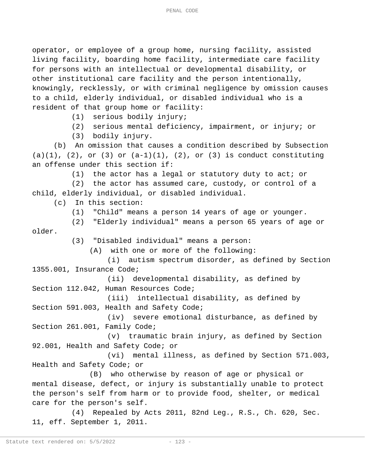operator, or employee of a group home, nursing facility, assisted living facility, boarding home facility, intermediate care facility for persons with an intellectual or developmental disability, or other institutional care facility and the person intentionally, knowingly, recklessly, or with criminal negligence by omission causes to a child, elderly individual, or disabled individual who is a resident of that group home or facility:

- (1) serious bodily injury;
- (2) serious mental deficiency, impairment, or injury; or
- (3) bodily injury.

(b) An omission that causes a condition described by Subsection  $(a)(1)$ ,  $(2)$ , or  $(3)$  or  $(a-1)(1)$ ,  $(2)$ , or  $(3)$  is conduct constituting an offense under this section if:

(1) the actor has a legal or statutory duty to act; or

(2) the actor has assumed care, custody, or control of a child, elderly individual, or disabled individual.

- (c) In this section:
	- (1) "Child" means a person 14 years of age or younger.
- (2) "Elderly individual" means a person 65 years of age or older.
	- (3) "Disabled individual" means a person:
		- (A) with one or more of the following:

(i) autism spectrum disorder, as defined by Section 1355.001, Insurance Code;

(ii) developmental disability, as defined by Section 112.042, Human Resources Code;

(iii) intellectual disability, as defined by Section 591.003, Health and Safety Code;

(iv) severe emotional disturbance, as defined by Section 261.001, Family Code;

(v) traumatic brain injury, as defined by Section 92.001, Health and Safety Code; or

(vi) mental illness, as defined by Section 571.003, Health and Safety Code; or

(B) who otherwise by reason of age or physical or mental disease, defect, or injury is substantially unable to protect the person's self from harm or to provide food, shelter, or medical care for the person's self.

(4) Repealed by Acts 2011, 82nd Leg., R.S., Ch. 620, Sec. 11, eff. September 1, 2011.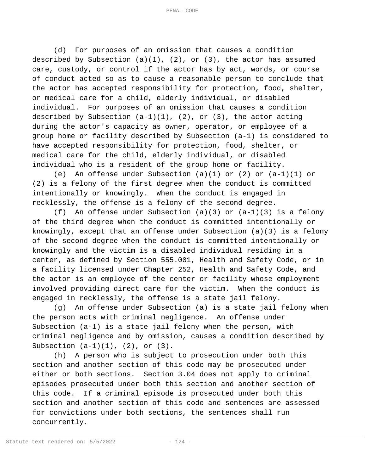(d) For purposes of an omission that causes a condition described by Subsection  $(a)(1)$ ,  $(2)$ , or  $(3)$ , the actor has assumed care, custody, or control if the actor has by act, words, or course of conduct acted so as to cause a reasonable person to conclude that the actor has accepted responsibility for protection, food, shelter, or medical care for a child, elderly individual, or disabled individual. For purposes of an omission that causes a condition described by Subsection  $(a-1)(1)$ ,  $(2)$ , or  $(3)$ , the actor acting during the actor's capacity as owner, operator, or employee of a group home or facility described by Subsection (a-1) is considered to have accepted responsibility for protection, food, shelter, or medical care for the child, elderly individual, or disabled individual who is a resident of the group home or facility.

(e) An offense under Subsection  $(a)(1)$  or  $(2)$  or  $(a-1)(1)$  or (2) is a felony of the first degree when the conduct is committed intentionally or knowingly. When the conduct is engaged in recklessly, the offense is a felony of the second degree.

(f) An offense under Subsection  $(a)(3)$  or  $(a-1)(3)$  is a felony of the third degree when the conduct is committed intentionally or knowingly, except that an offense under Subsection (a)(3) is a felony of the second degree when the conduct is committed intentionally or knowingly and the victim is a disabled individual residing in a center, as defined by Section 555.001, Health and Safety Code, or in a facility licensed under Chapter 252, Health and Safety Code, and the actor is an employee of the center or facility whose employment involved providing direct care for the victim. When the conduct is engaged in recklessly, the offense is a state jail felony.

(g) An offense under Subsection (a) is a state jail felony when the person acts with criminal negligence. An offense under Subsection (a-1) is a state jail felony when the person, with criminal negligence and by omission, causes a condition described by Subsection  $(a-1)(1)$ ,  $(2)$ , or  $(3)$ .

(h) A person who is subject to prosecution under both this section and another section of this code may be prosecuted under either or both sections. Section 3.04 does not apply to criminal episodes prosecuted under both this section and another section of this code. If a criminal episode is prosecuted under both this section and another section of this code and sentences are assessed for convictions under both sections, the sentences shall run concurrently.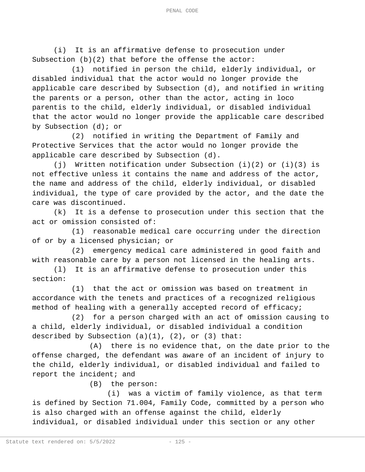(i) It is an affirmative defense to prosecution under Subsection  $(b)(2)$  that before the offense the actor:

(1) notified in person the child, elderly individual, or disabled individual that the actor would no longer provide the applicable care described by Subsection (d), and notified in writing the parents or a person, other than the actor, acting in loco parentis to the child, elderly individual, or disabled individual that the actor would no longer provide the applicable care described by Subsection (d); or

(2) notified in writing the Department of Family and Protective Services that the actor would no longer provide the applicable care described by Subsection (d).

(j) Written notification under Subsection (i)(2) or (i)(3) is not effective unless it contains the name and address of the actor, the name and address of the child, elderly individual, or disabled individual, the type of care provided by the actor, and the date the care was discontinued.

(k) It is a defense to prosecution under this section that the act or omission consisted of:

(1) reasonable medical care occurring under the direction of or by a licensed physician; or

(2) emergency medical care administered in good faith and with reasonable care by a person not licensed in the healing arts.

(l) It is an affirmative defense to prosecution under this section:

(1) that the act or omission was based on treatment in accordance with the tenets and practices of a recognized religious method of healing with a generally accepted record of efficacy;

(2) for a person charged with an act of omission causing to a child, elderly individual, or disabled individual a condition described by Subsection  $(a)(1)$ ,  $(2)$ , or  $(3)$  that:

(A) there is no evidence that, on the date prior to the offense charged, the defendant was aware of an incident of injury to the child, elderly individual, or disabled individual and failed to report the incident; and

(B) the person:

(i) was a victim of family violence, as that term is defined by Section 71.004, Family Code, committed by a person who is also charged with an offense against the child, elderly individual, or disabled individual under this section or any other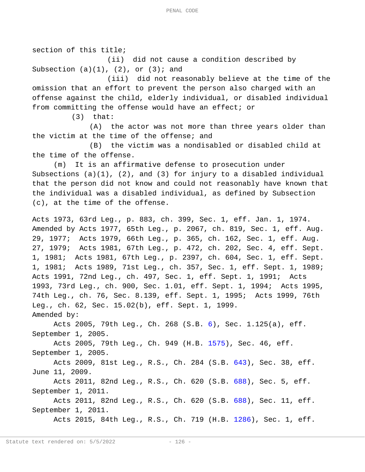section of this title; (ii) did not cause a condition described by Subsection  $(a)(1)$ ,  $(2)$ , or  $(3)$ ; and (iii) did not reasonably believe at the time of the omission that an effort to prevent the person also charged with an offense against the child, elderly individual, or disabled individual

from committing the offense would have an effect; or

(3) that:

(A) the actor was not more than three years older than the victim at the time of the offense; and

(B) the victim was a nondisabled or disabled child at the time of the offense.

(m) It is an affirmative defense to prosecution under Subsections  $(a)(1)$ ,  $(2)$ , and  $(3)$  for injury to a disabled individual that the person did not know and could not reasonably have known that the individual was a disabled individual, as defined by Subsection (c), at the time of the offense.

Acts 1973, 63rd Leg., p. 883, ch. 399, Sec. 1, eff. Jan. 1, 1974. Amended by Acts 1977, 65th Leg., p. 2067, ch. 819, Sec. 1, eff. Aug. 29, 1977; Acts 1979, 66th Leg., p. 365, ch. 162, Sec. 1, eff. Aug. 27, 1979; Acts 1981, 67th Leg., p. 472, ch. 202, Sec. 4, eff. Sept. 1, 1981; Acts 1981, 67th Leg., p. 2397, ch. 604, Sec. 1, eff. Sept. 1, 1981; Acts 1989, 71st Leg., ch. 357, Sec. 1, eff. Sept. 1, 1989; Acts 1991, 72nd Leg., ch. 497, Sec. 1, eff. Sept. 1, 1991; Acts 1993, 73rd Leg., ch. 900, Sec. 1.01, eff. Sept. 1, 1994; Acts 1995, 74th Leg., ch. 76, Sec. 8.139, eff. Sept. 1, 1995; Acts 1999, 76th Leg., ch. 62, Sec. 15.02(b), eff. Sept. 1, 1999. Amended by:

Acts 2005, 79th Leg., Ch. 268 (S.B. [6](http://www.legis.state.tx.us/tlodocs/79R/billtext/html/SB00006F.HTM)), Sec. 1.125(a), eff. September 1, 2005.

Acts 2005, 79th Leg., Ch. 949 (H.B. [1575\)](http://www.legis.state.tx.us/tlodocs/79R/billtext/html/HB01575F.HTM), Sec. 46, eff. September 1, 2005.

Acts 2009, 81st Leg., R.S., Ch. 284 (S.B. [643](http://www.legis.state.tx.us/tlodocs/81R/billtext/html/SB00643F.HTM)), Sec. 38, eff. June 11, 2009.

Acts 2011, 82nd Leg., R.S., Ch. 620 (S.B. [688](http://www.legis.state.tx.us/tlodocs/82R/billtext/html/SB00688F.HTM)), Sec. 5, eff. September 1, 2011.

Acts 2011, 82nd Leg., R.S., Ch. 620 (S.B. [688](http://www.legis.state.tx.us/tlodocs/82R/billtext/html/SB00688F.HTM)), Sec. 11, eff. September 1, 2011.

Acts 2015, 84th Leg., R.S., Ch. 719 (H.B. [1286](http://www.legis.state.tx.us/tlodocs/84R/billtext/html/HB01286F.HTM)), Sec. 1, eff.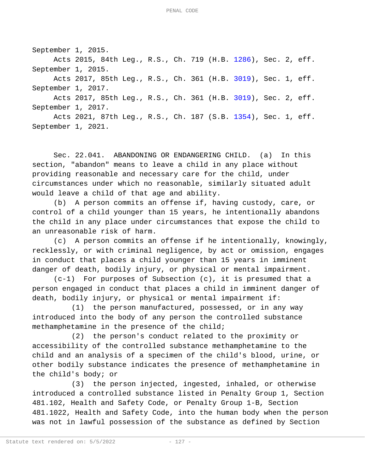September 1, 2015. Acts 2015, 84th Leg., R.S., Ch. 719 (H.B. [1286](http://www.legis.state.tx.us/tlodocs/84R/billtext/html/HB01286F.HTM)), Sec. 2, eff. September 1, 2015. Acts 2017, 85th Leg., R.S., Ch. 361 (H.B. [3019](http://www.legis.state.tx.us/tlodocs/85R/billtext/html/HB03019F.HTM)), Sec. 1, eff. September 1, 2017. Acts 2017, 85th Leg., R.S., Ch. 361 (H.B. [3019](http://www.legis.state.tx.us/tlodocs/85R/billtext/html/HB03019F.HTM)), Sec. 2, eff. September 1, 2017. Acts 2021, 87th Leg., R.S., Ch. 187 (S.B. [1354](http://www.legis.state.tx.us/tlodocs/87R/billtext/html/SB01354F.HTM)), Sec. 1, eff. September 1, 2021.

Sec. 22.041. ABANDONING OR ENDANGERING CHILD. (a) In this section, "abandon" means to leave a child in any place without providing reasonable and necessary care for the child, under circumstances under which no reasonable, similarly situated adult would leave a child of that age and ability.

(b) A person commits an offense if, having custody, care, or control of a child younger than 15 years, he intentionally abandons the child in any place under circumstances that expose the child to an unreasonable risk of harm.

(c) A person commits an offense if he intentionally, knowingly, recklessly, or with criminal negligence, by act or omission, engages in conduct that places a child younger than 15 years in imminent danger of death, bodily injury, or physical or mental impairment.

(c-1) For purposes of Subsection (c), it is presumed that a person engaged in conduct that places a child in imminent danger of death, bodily injury, or physical or mental impairment if:

(1) the person manufactured, possessed, or in any way introduced into the body of any person the controlled substance methamphetamine in the presence of the child;

(2) the person's conduct related to the proximity or accessibility of the controlled substance methamphetamine to the child and an analysis of a specimen of the child's blood, urine, or other bodily substance indicates the presence of methamphetamine in the child's body; or

(3) the person injected, ingested, inhaled, or otherwise introduced a controlled substance listed in Penalty Group 1, Section 481.102, Health and Safety Code, or Penalty Group 1-B, Section 481.1022, Health and Safety Code, into the human body when the person was not in lawful possession of the substance as defined by Section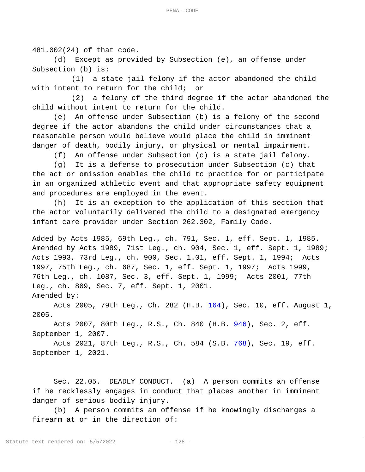481.002(24) of that code.

(d) Except as provided by Subsection (e), an offense under Subsection (b) is:

(1) a state jail felony if the actor abandoned the child with intent to return for the child; or

(2) a felony of the third degree if the actor abandoned the child without intent to return for the child.

(e) An offense under Subsection (b) is a felony of the second degree if the actor abandons the child under circumstances that a reasonable person would believe would place the child in imminent danger of death, bodily injury, or physical or mental impairment.

(f) An offense under Subsection (c) is a state jail felony.

(g) It is a defense to prosecution under Subsection (c) that the act or omission enables the child to practice for or participate in an organized athletic event and that appropriate safety equipment and procedures are employed in the event.

(h) It is an exception to the application of this section that the actor voluntarily delivered the child to a designated emergency infant care provider under Section 262.302, Family Code.

Added by Acts 1985, 69th Leg., ch. 791, Sec. 1, eff. Sept. 1, 1985. Amended by Acts 1989, 71st Leg., ch. 904, Sec. 1, eff. Sept. 1, 1989; Acts 1993, 73rd Leg., ch. 900, Sec. 1.01, eff. Sept. 1, 1994; Acts 1997, 75th Leg., ch. 687, Sec. 1, eff. Sept. 1, 1997; Acts 1999, 76th Leg., ch. 1087, Sec. 3, eff. Sept. 1, 1999; Acts 2001, 77th Leg., ch. 809, Sec. 7, eff. Sept. 1, 2001. Amended by:

Acts 2005, 79th Leg., Ch. 282 (H.B. [164\)](http://www.legis.state.tx.us/tlodocs/79R/billtext/html/HB00164F.HTM), Sec. 10, eff. August 1, 2005.

Acts 2007, 80th Leg., R.S., Ch. 840 (H.B. [946](http://www.legis.state.tx.us/tlodocs/80R/billtext/html/HB00946F.HTM)), Sec. 2, eff. September 1, 2007.

Acts 2021, 87th Leg., R.S., Ch. 584 (S.B. [768](http://www.legis.state.tx.us/tlodocs/87R/billtext/html/SB00768F.HTM)), Sec. 19, eff. September 1, 2021.

Sec. 22.05. DEADLY CONDUCT. (a) A person commits an offense if he recklessly engages in conduct that places another in imminent danger of serious bodily injury.

(b) A person commits an offense if he knowingly discharges a firearm at or in the direction of: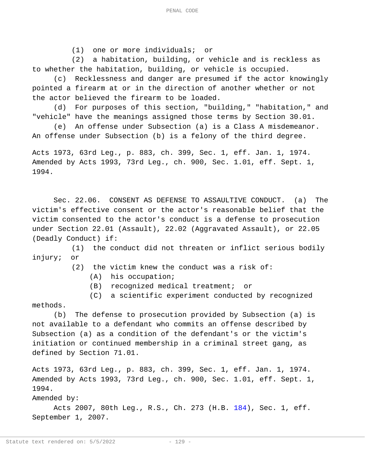(1) one or more individuals; or

(2) a habitation, building, or vehicle and is reckless as to whether the habitation, building, or vehicle is occupied.

(c) Recklessness and danger are presumed if the actor knowingly pointed a firearm at or in the direction of another whether or not the actor believed the firearm to be loaded.

(d) For purposes of this section, "building," "habitation," and "vehicle" have the meanings assigned those terms by Section 30.01.

(e) An offense under Subsection (a) is a Class A misdemeanor. An offense under Subsection (b) is a felony of the third degree.

Acts 1973, 63rd Leg., p. 883, ch. 399, Sec. 1, eff. Jan. 1, 1974. Amended by Acts 1993, 73rd Leg., ch. 900, Sec. 1.01, eff. Sept. 1, 1994.

Sec. 22.06. CONSENT AS DEFENSE TO ASSAULTIVE CONDUCT. (a) The victim's effective consent or the actor's reasonable belief that the victim consented to the actor's conduct is a defense to prosecution under Section 22.01 (Assault), 22.02 (Aggravated Assault), or 22.05 (Deadly Conduct) if:

(1) the conduct did not threaten or inflict serious bodily injury; or

- (2) the victim knew the conduct was a risk of:
	- (A) his occupation;
	- (B) recognized medical treatment; or

(C) a scientific experiment conducted by recognized methods.

(b) The defense to prosecution provided by Subsection (a) is not available to a defendant who commits an offense described by Subsection (a) as a condition of the defendant's or the victim's initiation or continued membership in a criminal street gang, as defined by Section 71.01.

Acts 1973, 63rd Leg., p. 883, ch. 399, Sec. 1, eff. Jan. 1, 1974. Amended by Acts 1993, 73rd Leg., ch. 900, Sec. 1.01, eff. Sept. 1, 1994.

Amended by:

Acts 2007, 80th Leg., R.S., Ch. 273 (H.B. [184](http://www.legis.state.tx.us/tlodocs/80R/billtext/html/HB00184F.HTM)), Sec. 1, eff. September 1, 2007.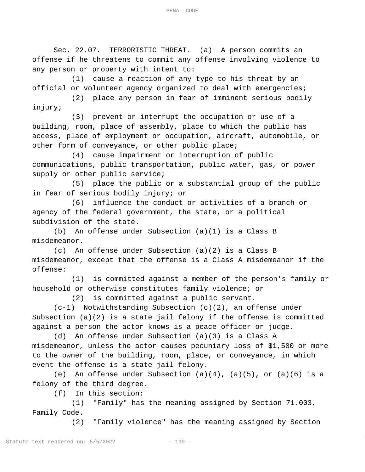Sec. 22.07. TERRORISTIC THREAT. (a) A person commits an offense if he threatens to commit any offense involving violence to any person or property with intent to:

(1) cause a reaction of any type to his threat by an official or volunteer agency organized to deal with emergencies;

(2) place any person in fear of imminent serious bodily injury;

(3) prevent or interrupt the occupation or use of a building, room, place of assembly, place to which the public has access, place of employment or occupation, aircraft, automobile, or other form of conveyance, or other public place;

(4) cause impairment or interruption of public communications, public transportation, public water, gas, or power supply or other public service;

(5) place the public or a substantial group of the public in fear of serious bodily injury; or

(6) influence the conduct or activities of a branch or agency of the federal government, the state, or a political subdivision of the state.

(b) An offense under Subsection (a)(1) is a Class B misdemeanor.

(c) An offense under Subsection (a)(2) is a Class B misdemeanor, except that the offense is a Class A misdemeanor if the offense:

(1) is committed against a member of the person's family or household or otherwise constitutes family violence; or

(2) is committed against a public servant.

(c-1) Notwithstanding Subsection (c)(2), an offense under Subsection  $(a)(2)$  is a state jail felony if the offense is committed against a person the actor knows is a peace officer or judge.

(d) An offense under Subsection (a)(3) is a Class A misdemeanor, unless the actor causes pecuniary loss of \$1,500 or more to the owner of the building, room, place, or conveyance, in which event the offense is a state jail felony.

(e) An offense under Subsection  $(a)(4)$ ,  $(a)(5)$ , or  $(a)(6)$  is a felony of the third degree.

(f) In this section:

(1) "Family" has the meaning assigned by Section 71.003, Family Code.

(2) "Family violence" has the meaning assigned by Section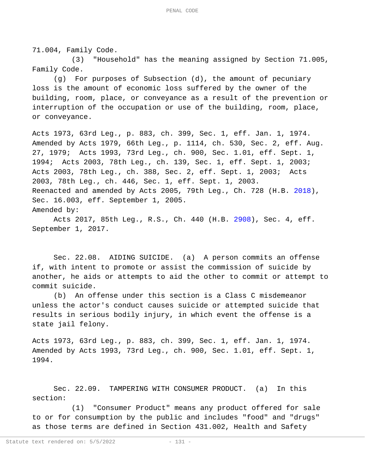71.004, Family Code.

(3) "Household" has the meaning assigned by Section 71.005, Family Code.

(g) For purposes of Subsection (d), the amount of pecuniary loss is the amount of economic loss suffered by the owner of the building, room, place, or conveyance as a result of the prevention or interruption of the occupation or use of the building, room, place, or conveyance.

Acts 1973, 63rd Leg., p. 883, ch. 399, Sec. 1, eff. Jan. 1, 1974. Amended by Acts 1979, 66th Leg., p. 1114, ch. 530, Sec. 2, eff. Aug. 27, 1979; Acts 1993, 73rd Leg., ch. 900, Sec. 1.01, eff. Sept. 1, 1994; Acts 2003, 78th Leg., ch. 139, Sec. 1, eff. Sept. 1, 2003; Acts 2003, 78th Leg., ch. 388, Sec. 2, eff. Sept. 1, 2003; Acts 2003, 78th Leg., ch. 446, Sec. 1, eff. Sept. 1, 2003. Reenacted and amended by Acts 2005, 79th Leg., Ch. 728 (H.B. [2018](http://www.legis.state.tx.us/tlodocs/79R/billtext/html/HB02018F.HTM)), Sec. 16.003, eff. September 1, 2005. Amended by:

Acts 2017, 85th Leg., R.S., Ch. 440 (H.B. [2908](http://www.legis.state.tx.us/tlodocs/85R/billtext/html/HB02908F.HTM)), Sec. 4, eff. September 1, 2017.

Sec. 22.08. AIDING SUICIDE. (a) A person commits an offense if, with intent to promote or assist the commission of suicide by another, he aids or attempts to aid the other to commit or attempt to commit suicide.

(b) An offense under this section is a Class C misdemeanor unless the actor's conduct causes suicide or attempted suicide that results in serious bodily injury, in which event the offense is a state jail felony.

Acts 1973, 63rd Leg., p. 883, ch. 399, Sec. 1, eff. Jan. 1, 1974. Amended by Acts 1993, 73rd Leg., ch. 900, Sec. 1.01, eff. Sept. 1, 1994.

Sec. 22.09. TAMPERING WITH CONSUMER PRODUCT. (a) In this section:

(1) "Consumer Product" means any product offered for sale to or for consumption by the public and includes "food" and "drugs" as those terms are defined in Section 431.002, Health and Safety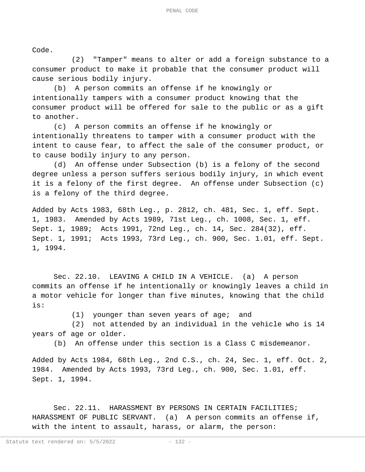Code.

(2) "Tamper" means to alter or add a foreign substance to a consumer product to make it probable that the consumer product will cause serious bodily injury.

(b) A person commits an offense if he knowingly or intentionally tampers with a consumer product knowing that the consumer product will be offered for sale to the public or as a gift to another.

(c) A person commits an offense if he knowingly or intentionally threatens to tamper with a consumer product with the intent to cause fear, to affect the sale of the consumer product, or to cause bodily injury to any person.

(d) An offense under Subsection (b) is a felony of the second degree unless a person suffers serious bodily injury, in which event it is a felony of the first degree. An offense under Subsection (c) is a felony of the third degree.

Added by Acts 1983, 68th Leg., p. 2812, ch. 481, Sec. 1, eff. Sept. 1, 1983. Amended by Acts 1989, 71st Leg., ch. 1008, Sec. 1, eff. Sept. 1, 1989; Acts 1991, 72nd Leg., ch. 14, Sec. 284(32), eff. Sept. 1, 1991; Acts 1993, 73rd Leg., ch. 900, Sec. 1.01, eff. Sept. 1, 1994.

Sec. 22.10. LEAVING A CHILD IN A VEHICLE. (a) A person commits an offense if he intentionally or knowingly leaves a child in a motor vehicle for longer than five minutes, knowing that the child is:

(1) younger than seven years of age; and

(2) not attended by an individual in the vehicle who is 14 years of age or older.

(b) An offense under this section is a Class C misdemeanor.

Added by Acts 1984, 68th Leg., 2nd C.S., ch. 24, Sec. 1, eff. Oct. 2, 1984. Amended by Acts 1993, 73rd Leg., ch. 900, Sec. 1.01, eff. Sept. 1, 1994.

Sec. 22.11. HARASSMENT BY PERSONS IN CERTAIN FACILITIES; HARASSMENT OF PUBLIC SERVANT. (a) A person commits an offense if, with the intent to assault, harass, or alarm, the person: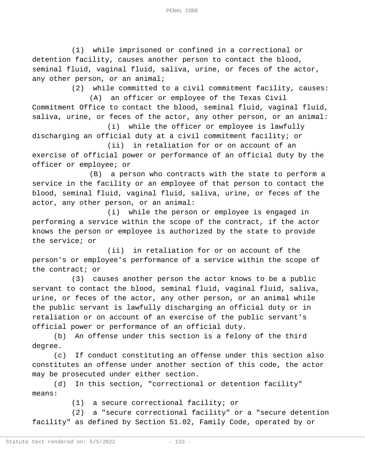(1) while imprisoned or confined in a correctional or detention facility, causes another person to contact the blood, seminal fluid, vaginal fluid, saliva, urine, or feces of the actor, any other person, or an animal;

(2) while committed to a civil commitment facility, causes:

(A) an officer or employee of the Texas Civil Commitment Office to contact the blood, seminal fluid, vaginal fluid, saliva, urine, or feces of the actor, any other person, or an animal: (i) while the officer or employee is lawfully

discharging an official duty at a civil commitment facility; or

(ii) in retaliation for or on account of an exercise of official power or performance of an official duty by the officer or employee; or

(B) a person who contracts with the state to perform a service in the facility or an employee of that person to contact the blood, seminal fluid, vaginal fluid, saliva, urine, or feces of the actor, any other person, or an animal:

(i) while the person or employee is engaged in performing a service within the scope of the contract, if the actor knows the person or employee is authorized by the state to provide the service; or

(ii) in retaliation for or on account of the person's or employee's performance of a service within the scope of the contract; or

(3) causes another person the actor knows to be a public servant to contact the blood, seminal fluid, vaginal fluid, saliva, urine, or feces of the actor, any other person, or an animal while the public servant is lawfully discharging an official duty or in retaliation or on account of an exercise of the public servant's official power or performance of an official duty.

(b) An offense under this section is a felony of the third degree.

(c) If conduct constituting an offense under this section also constitutes an offense under another section of this code, the actor may be prosecuted under either section.

(d) In this section, "correctional or detention facility" means:

(1) a secure correctional facility; or

(2) a "secure correctional facility" or a "secure detention facility" as defined by Section 51.02, Family Code, operated by or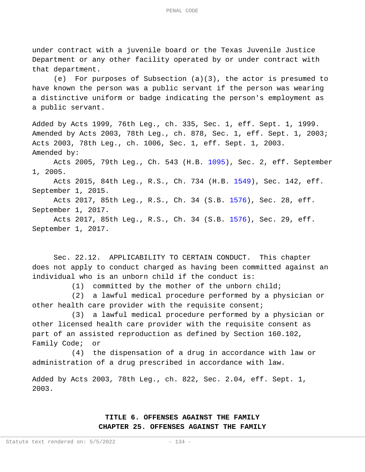under contract with a juvenile board or the Texas Juvenile Justice Department or any other facility operated by or under contract with that department.

(e) For purposes of Subsection (a)(3), the actor is presumed to have known the person was a public servant if the person was wearing a distinctive uniform or badge indicating the person's employment as a public servant.

Added by Acts 1999, 76th Leg., ch. 335, Sec. 1, eff. Sept. 1, 1999. Amended by Acts 2003, 78th Leg., ch. 878, Sec. 1, eff. Sept. 1, 2003; Acts 2003, 78th Leg., ch. 1006, Sec. 1, eff. Sept. 1, 2003. Amended by:

Acts 2005, 79th Leg., Ch. 543 (H.B. [1095\)](http://www.legis.state.tx.us/tlodocs/79R/billtext/html/HB01095F.HTM), Sec. 2, eff. September 1, 2005.

Acts 2015, 84th Leg., R.S., Ch. 734 (H.B. [1549](http://www.legis.state.tx.us/tlodocs/84R/billtext/html/HB01549F.HTM)), Sec. 142, eff. September 1, 2015.

Acts 2017, 85th Leg., R.S., Ch. 34 (S.B. [1576\)](http://www.legis.state.tx.us/tlodocs/85R/billtext/html/SB01576F.HTM), Sec. 28, eff. September 1, 2017.

Acts 2017, 85th Leg., R.S., Ch. 34 (S.B. [1576\)](http://www.legis.state.tx.us/tlodocs/85R/billtext/html/SB01576F.HTM), Sec. 29, eff. September 1, 2017.

Sec. 22.12. APPLICABILITY TO CERTAIN CONDUCT. This chapter does not apply to conduct charged as having been committed against an individual who is an unborn child if the conduct is:

(1) committed by the mother of the unborn child;

(2) a lawful medical procedure performed by a physician or other health care provider with the requisite consent;

(3) a lawful medical procedure performed by a physician or other licensed health care provider with the requisite consent as part of an assisted reproduction as defined by Section 160.102, Family Code; or

(4) the dispensation of a drug in accordance with law or administration of a drug prescribed in accordance with law.

Added by Acts 2003, 78th Leg., ch. 822, Sec. 2.04, eff. Sept. 1, 2003.

## **TITLE 6. OFFENSES AGAINST THE FAMILY CHAPTER 25. OFFENSES AGAINST THE FAMILY**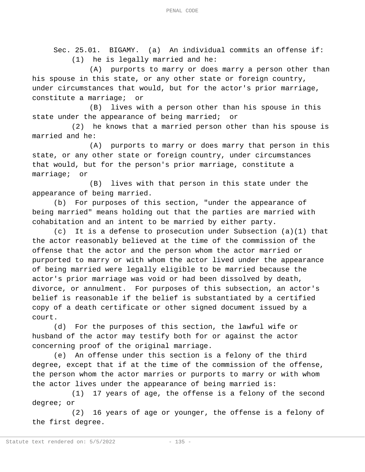Sec. 25.01. BIGAMY. (a) An individual commits an offense if: (1) he is legally married and he:

(A) purports to marry or does marry a person other than his spouse in this state, or any other state or foreign country, under circumstances that would, but for the actor's prior marriage, constitute a marriage; or

(B) lives with a person other than his spouse in this state under the appearance of being married; or

(2) he knows that a married person other than his spouse is married and he:

(A) purports to marry or does marry that person in this state, or any other state or foreign country, under circumstances that would, but for the person's prior marriage, constitute a marriage; or

(B) lives with that person in this state under the appearance of being married.

(b) For purposes of this section, "under the appearance of being married" means holding out that the parties are married with cohabitation and an intent to be married by either party.

(c) It is a defense to prosecution under Subsection (a)(1) that the actor reasonably believed at the time of the commission of the offense that the actor and the person whom the actor married or purported to marry or with whom the actor lived under the appearance of being married were legally eligible to be married because the actor's prior marriage was void or had been dissolved by death, divorce, or annulment. For purposes of this subsection, an actor's belief is reasonable if the belief is substantiated by a certified copy of a death certificate or other signed document issued by a court.

(d) For the purposes of this section, the lawful wife or husband of the actor may testify both for or against the actor concerning proof of the original marriage.

(e) An offense under this section is a felony of the third degree, except that if at the time of the commission of the offense, the person whom the actor marries or purports to marry or with whom the actor lives under the appearance of being married is:

(1) 17 years of age, the offense is a felony of the second degree; or

(2) 16 years of age or younger, the offense is a felony of the first degree.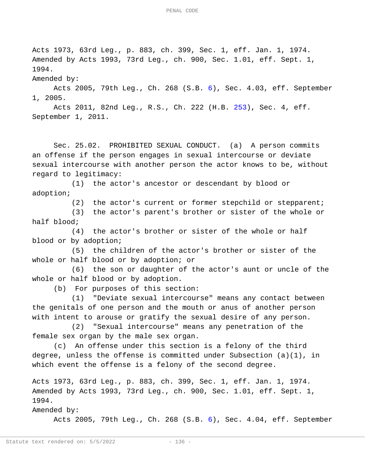Acts 1973, 63rd Leg., p. 883, ch. 399, Sec. 1, eff. Jan. 1, 1974. Amended by Acts 1993, 73rd Leg., ch. 900, Sec. 1.01, eff. Sept. 1, 1994.

Amended by:

Acts 2005, 79th Leg., Ch. 268 (S.B. [6](http://www.legis.state.tx.us/tlodocs/79R/billtext/html/SB00006F.HTM)), Sec. 4.03, eff. September 1, 2005.

Acts 2011, 82nd Leg., R.S., Ch. 222 (H.B. [253](http://www.legis.state.tx.us/tlodocs/82R/billtext/html/HB00253F.HTM)), Sec. 4, eff. September 1, 2011.

Sec. 25.02. PROHIBITED SEXUAL CONDUCT. (a) A person commits an offense if the person engages in sexual intercourse or deviate sexual intercourse with another person the actor knows to be, without regard to legitimacy:

(1) the actor's ancestor or descendant by blood or adoption;

(2) the actor's current or former stepchild or stepparent;

(3) the actor's parent's brother or sister of the whole or half blood;

(4) the actor's brother or sister of the whole or half blood or by adoption;

(5) the children of the actor's brother or sister of the whole or half blood or by adoption; or

(6) the son or daughter of the actor's aunt or uncle of the whole or half blood or by adoption.

(b) For purposes of this section:

(1) "Deviate sexual intercourse" means any contact between the genitals of one person and the mouth or anus of another person with intent to arouse or gratify the sexual desire of any person.

(2) "Sexual intercourse" means any penetration of the female sex organ by the male sex organ.

(c) An offense under this section is a felony of the third degree, unless the offense is committed under Subsection  $(a)(1)$ , in which event the offense is a felony of the second degree.

Acts 1973, 63rd Leg., p. 883, ch. 399, Sec. 1, eff. Jan. 1, 1974. Amended by Acts 1993, 73rd Leg., ch. 900, Sec. 1.01, eff. Sept. 1, 1994.

Amended by:

Acts 2005, 79th Leg., Ch. 268 (S.B. [6](http://www.legis.state.tx.us/tlodocs/79R/billtext/html/SB00006F.HTM)), Sec. 4.04, eff. September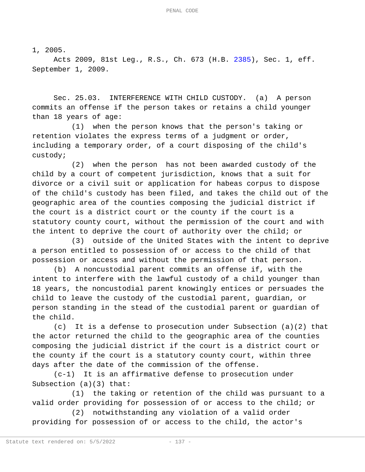1, 2005.

Acts 2009, 81st Leg., R.S., Ch. 673 (H.B. [2385](http://www.legis.state.tx.us/tlodocs/81R/billtext/html/HB02385F.HTM)), Sec. 1, eff. September 1, 2009.

Sec. 25.03. INTERFERENCE WITH CHILD CUSTODY. (a) A person commits an offense if the person takes or retains a child younger than 18 years of age:

(1) when the person knows that the person's taking or retention violates the express terms of a judgment or order, including a temporary order, of a court disposing of the child's custody;

(2) when the person has not been awarded custody of the child by a court of competent jurisdiction, knows that a suit for divorce or a civil suit or application for habeas corpus to dispose of the child's custody has been filed, and takes the child out of the geographic area of the counties composing the judicial district if the court is a district court or the county if the court is a statutory county court, without the permission of the court and with the intent to deprive the court of authority over the child; or

(3) outside of the United States with the intent to deprive a person entitled to possession of or access to the child of that possession or access and without the permission of that person.

(b) A noncustodial parent commits an offense if, with the intent to interfere with the lawful custody of a child younger than 18 years, the noncustodial parent knowingly entices or persuades the child to leave the custody of the custodial parent, guardian, or person standing in the stead of the custodial parent or guardian of the child.

(c) It is a defense to prosecution under Subsection  $(a)(2)$  that the actor returned the child to the geographic area of the counties composing the judicial district if the court is a district court or the county if the court is a statutory county court, within three days after the date of the commission of the offense.

(c-1) It is an affirmative defense to prosecution under Subsection (a)(3) that:

(1) the taking or retention of the child was pursuant to a valid order providing for possession of or access to the child; or

(2) notwithstanding any violation of a valid order providing for possession of or access to the child, the actor's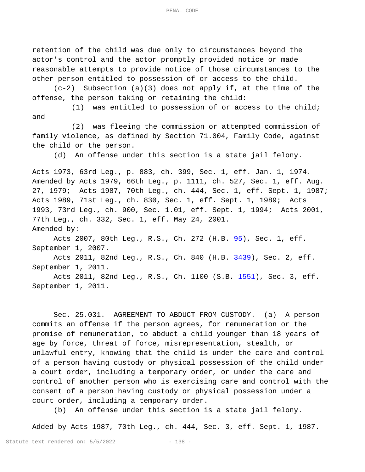retention of the child was due only to circumstances beyond the actor's control and the actor promptly provided notice or made reasonable attempts to provide notice of those circumstances to the other person entitled to possession of or access to the child.

(c-2) Subsection (a)(3) does not apply if, at the time of the offense, the person taking or retaining the child:

(1) was entitled to possession of or access to the child; and

(2) was fleeing the commission or attempted commission of family violence, as defined by Section 71.004, Family Code, against the child or the person.

(d) An offense under this section is a state jail felony.

Acts 1973, 63rd Leg., p. 883, ch. 399, Sec. 1, eff. Jan. 1, 1974. Amended by Acts 1979, 66th Leg., p. 1111, ch. 527, Sec. 1, eff. Aug. 27, 1979; Acts 1987, 70th Leg., ch. 444, Sec. 1, eff. Sept. 1, 1987; Acts 1989, 71st Leg., ch. 830, Sec. 1, eff. Sept. 1, 1989; Acts 1993, 73rd Leg., ch. 900, Sec. 1.01, eff. Sept. 1, 1994; Acts 2001, 77th Leg., ch. 332, Sec. 1, eff. May 24, 2001. Amended by:

Acts 2007, 80th Leg., R.S., Ch. 272 (H.B. [95\)](http://www.legis.state.tx.us/tlodocs/80R/billtext/html/HB00095F.HTM), Sec. 1, eff. September 1, 2007.

Acts 2011, 82nd Leg., R.S., Ch. 840 (H.B. [3439](http://www.legis.state.tx.us/tlodocs/82R/billtext/html/HB03439F.HTM)), Sec. 2, eff. September 1, 2011.

Acts 2011, 82nd Leg., R.S., Ch. 1100 (S.B. [1551](http://www.legis.state.tx.us/tlodocs/82R/billtext/html/SB01551F.HTM)), Sec. 3, eff. September 1, 2011.

Sec. 25.031. AGREEMENT TO ABDUCT FROM CUSTODY. (a) A person commits an offense if the person agrees, for remuneration or the promise of remuneration, to abduct a child younger than 18 years of age by force, threat of force, misrepresentation, stealth, or unlawful entry, knowing that the child is under the care and control of a person having custody or physical possession of the child under a court order, including a temporary order, or under the care and control of another person who is exercising care and control with the consent of a person having custody or physical possession under a court order, including a temporary order.

(b) An offense under this section is a state jail felony.

Added by Acts 1987, 70th Leg., ch. 444, Sec. 3, eff. Sept. 1, 1987.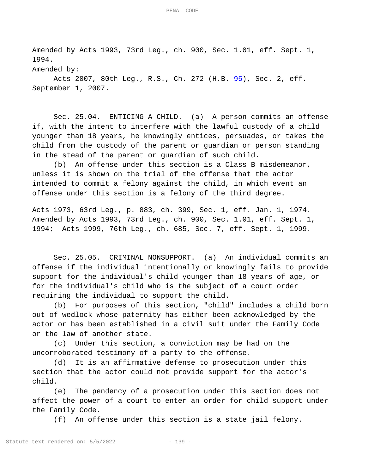Amended by Acts 1993, 73rd Leg., ch. 900, Sec. 1.01, eff. Sept. 1, 1994.

Amended by:

Acts 2007, 80th Leg., R.S., Ch. 272 (H.B. [95\)](http://www.legis.state.tx.us/tlodocs/80R/billtext/html/HB00095F.HTM), Sec. 2, eff. September 1, 2007.

Sec. 25.04. ENTICING A CHILD. (a) A person commits an offense if, with the intent to interfere with the lawful custody of a child younger than 18 years, he knowingly entices, persuades, or takes the child from the custody of the parent or guardian or person standing in the stead of the parent or guardian of such child.

(b) An offense under this section is a Class B misdemeanor, unless it is shown on the trial of the offense that the actor intended to commit a felony against the child, in which event an offense under this section is a felony of the third degree.

Acts 1973, 63rd Leg., p. 883, ch. 399, Sec. 1, eff. Jan. 1, 1974. Amended by Acts 1993, 73rd Leg., ch. 900, Sec. 1.01, eff. Sept. 1, 1994; Acts 1999, 76th Leg., ch. 685, Sec. 7, eff. Sept. 1, 1999.

Sec. 25.05. CRIMINAL NONSUPPORT. (a) An individual commits an offense if the individual intentionally or knowingly fails to provide support for the individual's child younger than 18 years of age, or for the individual's child who is the subject of a court order requiring the individual to support the child.

(b) For purposes of this section, "child" includes a child born out of wedlock whose paternity has either been acknowledged by the actor or has been established in a civil suit under the Family Code or the law of another state.

(c) Under this section, a conviction may be had on the uncorroborated testimony of a party to the offense.

(d) It is an affirmative defense to prosecution under this section that the actor could not provide support for the actor's child.

(e) The pendency of a prosecution under this section does not affect the power of a court to enter an order for child support under the Family Code.

(f) An offense under this section is a state jail felony.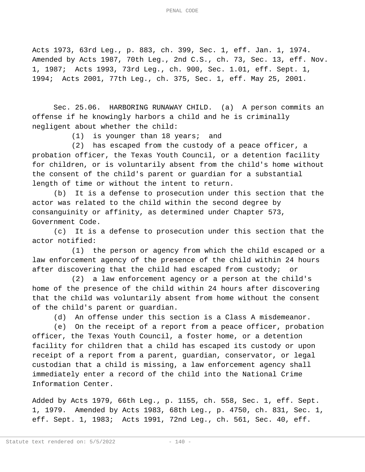Acts 1973, 63rd Leg., p. 883, ch. 399, Sec. 1, eff. Jan. 1, 1974. Amended by Acts 1987, 70th Leg., 2nd C.S., ch. 73, Sec. 13, eff. Nov. 1, 1987; Acts 1993, 73rd Leg., ch. 900, Sec. 1.01, eff. Sept. 1, 1994; Acts 2001, 77th Leg., ch. 375, Sec. 1, eff. May 25, 2001.

Sec. 25.06. HARBORING RUNAWAY CHILD. (a) A person commits an offense if he knowingly harbors a child and he is criminally negligent about whether the child:

(1) is younger than 18 years; and

(2) has escaped from the custody of a peace officer, a probation officer, the Texas Youth Council, or a detention facility for children, or is voluntarily absent from the child's home without the consent of the child's parent or guardian for a substantial length of time or without the intent to return.

(b) It is a defense to prosecution under this section that the actor was related to the child within the second degree by consanguinity or affinity, as determined under Chapter 573, Government Code.

(c) It is a defense to prosecution under this section that the actor notified:

(1) the person or agency from which the child escaped or a law enforcement agency of the presence of the child within 24 hours after discovering that the child had escaped from custody; or

(2) a law enforcement agency or a person at the child's home of the presence of the child within 24 hours after discovering that the child was voluntarily absent from home without the consent of the child's parent or guardian.

(d) An offense under this section is a Class A misdemeanor.

(e) On the receipt of a report from a peace officer, probation officer, the Texas Youth Council, a foster home, or a detention facility for children that a child has escaped its custody or upon receipt of a report from a parent, guardian, conservator, or legal custodian that a child is missing, a law enforcement agency shall immediately enter a record of the child into the National Crime Information Center.

Added by Acts 1979, 66th Leg., p. 1155, ch. 558, Sec. 1, eff. Sept. 1, 1979. Amended by Acts 1983, 68th Leg., p. 4750, ch. 831, Sec. 1, eff. Sept. 1, 1983; Acts 1991, 72nd Leg., ch. 561, Sec. 40, eff.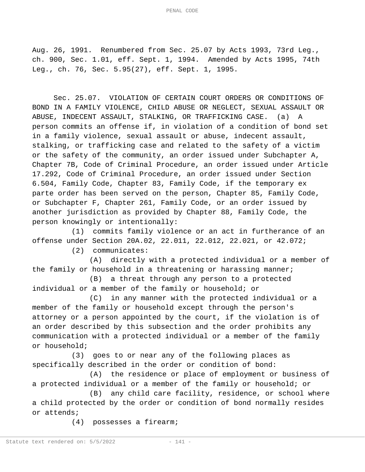Aug. 26, 1991. Renumbered from Sec. 25.07 by Acts 1993, 73rd Leg., ch. 900, Sec. 1.01, eff. Sept. 1, 1994. Amended by Acts 1995, 74th Leg., ch. 76, Sec. 5.95(27), eff. Sept. 1, 1995.

Sec. 25.07. VIOLATION OF CERTAIN COURT ORDERS OR CONDITIONS OF BOND IN A FAMILY VIOLENCE, CHILD ABUSE OR NEGLECT, SEXUAL ASSAULT OR ABUSE, INDECENT ASSAULT, STALKING, OR TRAFFICKING CASE. (a) A person commits an offense if, in violation of a condition of bond set in a family violence, sexual assault or abuse, indecent assault, stalking, or trafficking case and related to the safety of a victim or the safety of the community, an order issued under Subchapter A, Chapter 7B, Code of Criminal Procedure, an order issued under Article 17.292, Code of Criminal Procedure, an order issued under Section 6.504, Family Code, Chapter 83, Family Code, if the temporary ex parte order has been served on the person, Chapter 85, Family Code, or Subchapter F, Chapter 261, Family Code, or an order issued by another jurisdiction as provided by Chapter 88, Family Code, the person knowingly or intentionally:

(1) commits family violence or an act in furtherance of an offense under Section 20A.02, 22.011, 22.012, 22.021, or 42.072;

(2) communicates:

(A) directly with a protected individual or a member of the family or household in a threatening or harassing manner;

(B) a threat through any person to a protected individual or a member of the family or household; or

(C) in any manner with the protected individual or a member of the family or household except through the person's attorney or a person appointed by the court, if the violation is of an order described by this subsection and the order prohibits any communication with a protected individual or a member of the family or household;

(3) goes to or near any of the following places as specifically described in the order or condition of bond:

(A) the residence or place of employment or business of a protected individual or a member of the family or household; or

(B) any child care facility, residence, or school where a child protected by the order or condition of bond normally resides or attends;

(4) possesses a firearm;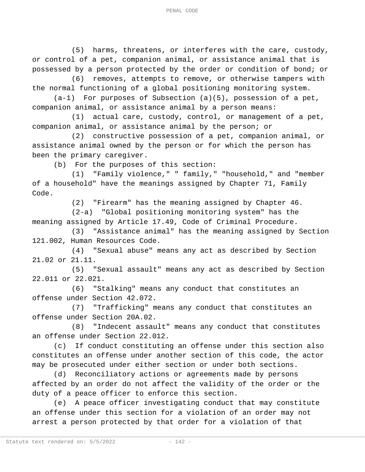(5) harms, threatens, or interferes with the care, custody, or control of a pet, companion animal, or assistance animal that is possessed by a person protected by the order or condition of bond; or

(6) removes, attempts to remove, or otherwise tampers with the normal functioning of a global positioning monitoring system.

(a-1) For purposes of Subsection (a)(5), possession of a pet, companion animal, or assistance animal by a person means:

(1) actual care, custody, control, or management of a pet, companion animal, or assistance animal by the person; or

(2) constructive possession of a pet, companion animal, or assistance animal owned by the person or for which the person has been the primary caregiver.

(b) For the purposes of this section:

(1) "Family violence," " family," "household," and "member of a household" have the meanings assigned by Chapter 71, Family Code.

(2) "Firearm" has the meaning assigned by Chapter 46.

(2-a) "Global positioning monitoring system" has the meaning assigned by Article 17.49, Code of Criminal Procedure.

(3) "Assistance animal" has the meaning assigned by Section 121.002, Human Resources Code.

(4) "Sexual abuse" means any act as described by Section 21.02 or 21.11.

(5) "Sexual assault" means any act as described by Section 22.011 or 22.021.

(6) "Stalking" means any conduct that constitutes an offense under Section 42.072.

(7) "Trafficking" means any conduct that constitutes an offense under Section 20A.02.

(8) "Indecent assault" means any conduct that constitutes an offense under Section 22.012.

(c) If conduct constituting an offense under this section also constitutes an offense under another section of this code, the actor may be prosecuted under either section or under both sections.

(d) Reconciliatory actions or agreements made by persons affected by an order do not affect the validity of the order or the duty of a peace officer to enforce this section.

(e) A peace officer investigating conduct that may constitute an offense under this section for a violation of an order may not arrest a person protected by that order for a violation of that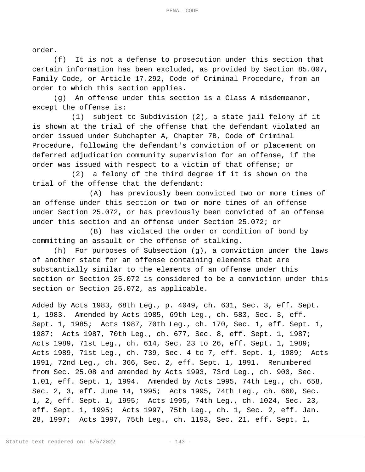order.

(f) It is not a defense to prosecution under this section that certain information has been excluded, as provided by Section 85.007, Family Code, or Article 17.292, Code of Criminal Procedure, from an order to which this section applies.

(g) An offense under this section is a Class A misdemeanor, except the offense is:

(1) subject to Subdivision (2), a state jail felony if it is shown at the trial of the offense that the defendant violated an order issued under Subchapter A, Chapter 7B, Code of Criminal Procedure, following the defendant's conviction of or placement on deferred adjudication community supervision for an offense, if the order was issued with respect to a victim of that offense; or

(2) a felony of the third degree if it is shown on the trial of the offense that the defendant:

(A) has previously been convicted two or more times of an offense under this section or two or more times of an offense under Section 25.072, or has previously been convicted of an offense under this section and an offense under Section 25.072; or

(B) has violated the order or condition of bond by committing an assault or the offense of stalking.

(h) For purposes of Subsection (g), a conviction under the laws of another state for an offense containing elements that are substantially similar to the elements of an offense under this section or Section 25.072 is considered to be a conviction under this section or Section 25.072, as applicable.

Added by Acts 1983, 68th Leg., p. 4049, ch. 631, Sec. 3, eff. Sept. 1, 1983. Amended by Acts 1985, 69th Leg., ch. 583, Sec. 3, eff. Sept. 1, 1985; Acts 1987, 70th Leg., ch. 170, Sec. 1, eff. Sept. 1, 1987; Acts 1987, 70th Leg., ch. 677, Sec. 8, eff. Sept. 1, 1987; Acts 1989, 71st Leg., ch. 614, Sec. 23 to 26, eff. Sept. 1, 1989; Acts 1989, 71st Leg., ch. 739, Sec. 4 to 7, eff. Sept. 1, 1989; Acts 1991, 72nd Leg., ch. 366, Sec. 2, eff. Sept. 1, 1991. Renumbered from Sec. 25.08 and amended by Acts 1993, 73rd Leg., ch. 900, Sec. 1.01, eff. Sept. 1, 1994. Amended by Acts 1995, 74th Leg., ch. 658, Sec. 2, 3, eff. June 14, 1995; Acts 1995, 74th Leg., ch. 660, Sec. 1, 2, eff. Sept. 1, 1995; Acts 1995, 74th Leg., ch. 1024, Sec. 23, eff. Sept. 1, 1995; Acts 1997, 75th Leg., ch. 1, Sec. 2, eff. Jan. 28, 1997; Acts 1997, 75th Leg., ch. 1193, Sec. 21, eff. Sept. 1,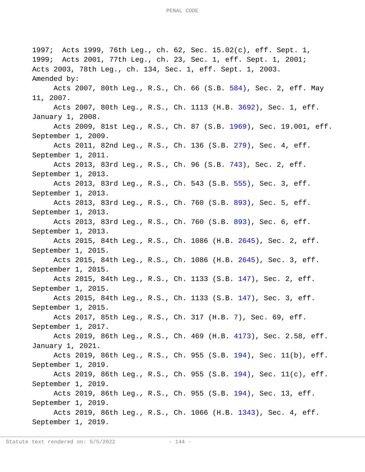1997; Acts 1999, 76th Leg., ch. 62, Sec. 15.02(c), eff. Sept. 1, 1999; Acts 2001, 77th Leg., ch. 23, Sec. 1, eff. Sept. 1, 2001; Acts 2003, 78th Leg., ch. 134, Sec. 1, eff. Sept. 1, 2003. Amended by: Acts 2007, 80th Leg., R.S., Ch. 66 (S.B. [584\)](http://www.legis.state.tx.us/tlodocs/80R/billtext/html/SB00584F.HTM), Sec. 2, eff. May 11, 2007. Acts 2007, 80th Leg., R.S., Ch. 1113 (H.B. [3692](http://www.legis.state.tx.us/tlodocs/80R/billtext/html/HB03692F.HTM)), Sec. 1, eff. January 1, 2008. Acts 2009, 81st Leg., R.S., Ch. 87 (S.B. [1969\)](http://www.legis.state.tx.us/tlodocs/81R/billtext/html/SB01969F.HTM), Sec. 19.001, eff. September 1, 2009. Acts 2011, 82nd Leg., R.S., Ch. 136 (S.B. [279](http://www.legis.state.tx.us/tlodocs/82R/billtext/html/SB00279F.HTM)), Sec. 4, eff. September 1, 2011. Acts 2013, 83rd Leg., R.S., Ch. 96 (S.B. [743\)](http://www.legis.state.tx.us/tlodocs/83R/billtext/html/SB00743F.HTM), Sec. 2, eff. September 1, 2013. Acts 2013, 83rd Leg., R.S., Ch. 543 (S.B. [555](http://www.legis.state.tx.us/tlodocs/83R/billtext/html/SB00555F.HTM)), Sec. 3, eff. September 1, 2013. Acts 2013, 83rd Leg., R.S., Ch. 760 (S.B. [893](http://www.legis.state.tx.us/tlodocs/83R/billtext/html/SB00893F.HTM)), Sec. 5, eff. September 1, 2013. Acts 2013, 83rd Leg., R.S., Ch. 760 (S.B. [893](http://www.legis.state.tx.us/tlodocs/83R/billtext/html/SB00893F.HTM)), Sec. 6, eff. September 1, 2013. Acts 2015, 84th Leg., R.S., Ch. 1086 (H.B. [2645](http://www.legis.state.tx.us/tlodocs/84R/billtext/html/HB02645F.HTM)), Sec. 2, eff. September 1, 2015. Acts 2015, 84th Leg., R.S., Ch. 1086 (H.B. [2645](http://www.legis.state.tx.us/tlodocs/84R/billtext/html/HB02645F.HTM)), Sec. 3, eff. September 1, 2015. Acts 2015, 84th Leg., R.S., Ch. 1133 (S.B. [147](http://www.legis.state.tx.us/tlodocs/84R/billtext/html/SB00147F.HTM)), Sec. 2, eff. September 1, 2015. Acts 2015, 84th Leg., R.S., Ch. 1133 (S.B. [147](http://www.legis.state.tx.us/tlodocs/84R/billtext/html/SB00147F.HTM)), Sec. 3, eff. September 1, 2015. Acts 2017, 85th Leg., R.S., Ch. 317 (H.B. [7\)](http://www.legis.state.tx.us/tlodocs/85R/billtext/html/HB00007F.HTM), Sec. 69, eff. September 1, 2017. Acts 2019, 86th Leg., R.S., Ch. 469 (H.B. [4173](http://www.legis.state.tx.us/tlodocs/86R/billtext/html/HB04173F.HTM)), Sec. 2.58, eff. January 1, 2021. Acts 2019, 86th Leg., R.S., Ch. 955 (S.B. [194](http://www.legis.state.tx.us/tlodocs/86R/billtext/html/SB00194F.HTM)), Sec. 11(b), eff. September 1, 2019. Acts 2019, 86th Leg., R.S., Ch. 955 (S.B. [194](http://www.legis.state.tx.us/tlodocs/86R/billtext/html/SB00194F.HTM)), Sec. 11(c), eff. September 1, 2019. Acts 2019, 86th Leg., R.S., Ch. 955 (S.B. [194](http://www.legis.state.tx.us/tlodocs/86R/billtext/html/SB00194F.HTM)), Sec. 13, eff. September 1, 2019. Acts 2019, 86th Leg., R.S., Ch. 1066 (H.B. [1343](http://www.legis.state.tx.us/tlodocs/86R/billtext/html/HB01343F.HTM)), Sec. 4, eff. September 1, 2019.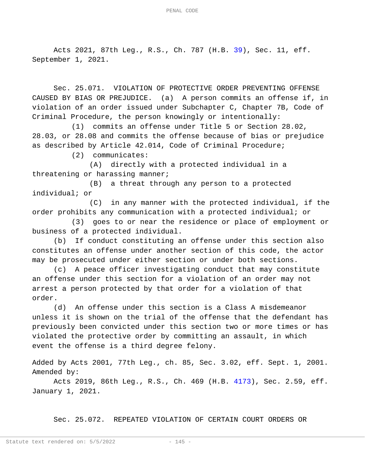Acts 2021, 87th Leg., R.S., Ch. 787 (H.B. [39\)](http://www.legis.state.tx.us/tlodocs/87R/billtext/html/HB00039F.HTM), Sec. 11, eff. September 1, 2021.

Sec. 25.071. VIOLATION OF PROTECTIVE ORDER PREVENTING OFFENSE CAUSED BY BIAS OR PREJUDICE. (a) A person commits an offense if, in violation of an order issued under Subchapter C, Chapter 7B, Code of Criminal Procedure, the person knowingly or intentionally:

(1) commits an offense under Title 5 or Section 28.02, 28.03, or 28.08 and commits the offense because of bias or prejudice as described by Article 42.014, Code of Criminal Procedure;

(2) communicates:

(A) directly with a protected individual in a threatening or harassing manner;

(B) a threat through any person to a protected individual; or

(C) in any manner with the protected individual, if the order prohibits any communication with a protected individual; or

(3) goes to or near the residence or place of employment or business of a protected individual.

(b) If conduct constituting an offense under this section also constitutes an offense under another section of this code, the actor may be prosecuted under either section or under both sections.

(c) A peace officer investigating conduct that may constitute an offense under this section for a violation of an order may not arrest a person protected by that order for a violation of that order.

(d) An offense under this section is a Class A misdemeanor unless it is shown on the trial of the offense that the defendant has previously been convicted under this section two or more times or has violated the protective order by committing an assault, in which event the offense is a third degree felony.

Added by Acts 2001, 77th Leg., ch. 85, Sec. 3.02, eff. Sept. 1, 2001. Amended by:

Acts 2019, 86th Leg., R.S., Ch. 469 (H.B. [4173](http://www.legis.state.tx.us/tlodocs/86R/billtext/html/HB04173F.HTM)), Sec. 2.59, eff. January 1, 2021.

Sec. 25.072. REPEATED VIOLATION OF CERTAIN COURT ORDERS OR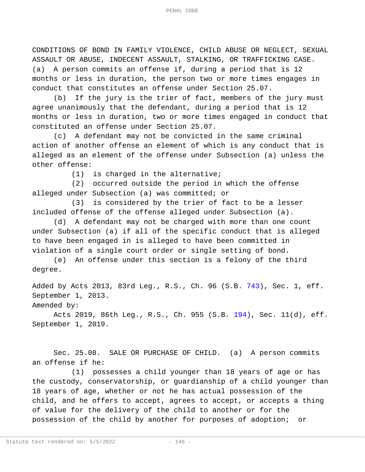CONDITIONS OF BOND IN FAMILY VIOLENCE, CHILD ABUSE OR NEGLECT, SEXUAL ASSAULT OR ABUSE, INDECENT ASSAULT, STALKING, OR TRAFFICKING CASE. (a) A person commits an offense if, during a period that is 12 months or less in duration, the person two or more times engages in conduct that constitutes an offense under Section 25.07.

(b) If the jury is the trier of fact, members of the jury must agree unanimously that the defendant, during a period that is 12 months or less in duration, two or more times engaged in conduct that constituted an offense under Section 25.07.

(c) A defendant may not be convicted in the same criminal action of another offense an element of which is any conduct that is alleged as an element of the offense under Subsection (a) unless the other offense:

(1) is charged in the alternative;

(2) occurred outside the period in which the offense alleged under Subsection (a) was committed; or

(3) is considered by the trier of fact to be a lesser included offense of the offense alleged under Subsection (a).

(d) A defendant may not be charged with more than one count under Subsection (a) if all of the specific conduct that is alleged to have been engaged in is alleged to have been committed in violation of a single court order or single setting of bond.

(e) An offense under this section is a felony of the third degree.

Added by Acts 2013, 83rd Leg., R.S., Ch. 96 (S.B. [743\)](http://www.legis.state.tx.us/tlodocs/83R/billtext/html/SB00743F.HTM), Sec. 1, eff. September 1, 2013.

Amended by:

Acts 2019, 86th Leg., R.S., Ch. 955 (S.B. [194](http://www.legis.state.tx.us/tlodocs/86R/billtext/html/SB00194F.HTM)), Sec. 11(d), eff. September 1, 2019.

Sec. 25.08. SALE OR PURCHASE OF CHILD. (a) A person commits an offense if he:

(1) possesses a child younger than 18 years of age or has the custody, conservatorship, or guardianship of a child younger than 18 years of age, whether or not he has actual possession of the child, and he offers to accept, agrees to accept, or accepts a thing of value for the delivery of the child to another or for the possession of the child by another for purposes of adoption; or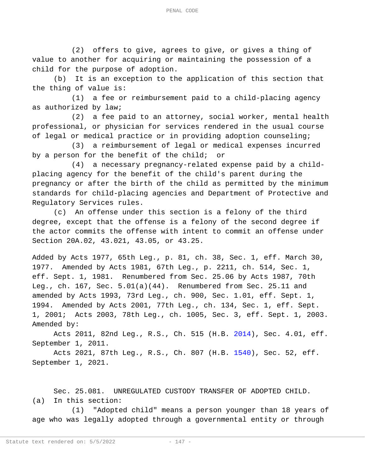(2) offers to give, agrees to give, or gives a thing of value to another for acquiring or maintaining the possession of a child for the purpose of adoption.

(b) It is an exception to the application of this section that the thing of value is:

(1) a fee or reimbursement paid to a child-placing agency as authorized by law;

(2) a fee paid to an attorney, social worker, mental health professional, or physician for services rendered in the usual course of legal or medical practice or in providing adoption counseling;

(3) a reimbursement of legal or medical expenses incurred by a person for the benefit of the child; or

(4) a necessary pregnancy-related expense paid by a childplacing agency for the benefit of the child's parent during the pregnancy or after the birth of the child as permitted by the minimum standards for child-placing agencies and Department of Protective and Regulatory Services rules.

(c) An offense under this section is a felony of the third degree, except that the offense is a felony of the second degree if the actor commits the offense with intent to commit an offense under Section 20A.02, 43.021, 43.05, or 43.25.

Added by Acts 1977, 65th Leg., p. 81, ch. 38, Sec. 1, eff. March 30, 1977. Amended by Acts 1981, 67th Leg., p. 2211, ch. 514, Sec. 1, eff. Sept. 1, 1981. Renumbered from Sec. 25.06 by Acts 1987, 70th Leg., ch. 167, Sec. 5.01(a)(44). Renumbered from Sec. 25.11 and amended by Acts 1993, 73rd Leg., ch. 900, Sec. 1.01, eff. Sept. 1, 1994. Amended by Acts 2001, 77th Leg., ch. 134, Sec. 1, eff. Sept. 1, 2001; Acts 2003, 78th Leg., ch. 1005, Sec. 3, eff. Sept. 1, 2003. Amended by:

Acts 2011, 82nd Leg., R.S., Ch. 515 (H.B. [2014](http://www.legis.state.tx.us/tlodocs/82R/billtext/html/HB02014F.HTM)), Sec. 4.01, eff. September 1, 2011.

Acts 2021, 87th Leg., R.S., Ch. 807 (H.B. [1540](http://www.legis.state.tx.us/tlodocs/87R/billtext/html/HB01540F.HTM)), Sec. 52, eff. September 1, 2021.

Sec. 25.081. UNREGULATED CUSTODY TRANSFER OF ADOPTED CHILD. (a) In this section:

(1) "Adopted child" means a person younger than 18 years of age who was legally adopted through a governmental entity or through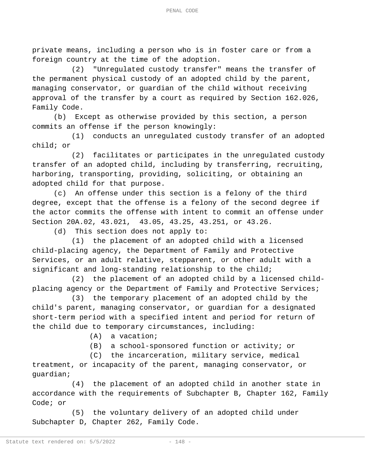private means, including a person who is in foster care or from a foreign country at the time of the adoption.

(2) "Unregulated custody transfer" means the transfer of the permanent physical custody of an adopted child by the parent, managing conservator, or guardian of the child without receiving approval of the transfer by a court as required by Section 162.026, Family Code.

(b) Except as otherwise provided by this section, a person commits an offense if the person knowingly:

(1) conducts an unregulated custody transfer of an adopted child; or

(2) facilitates or participates in the unregulated custody transfer of an adopted child, including by transferring, recruiting, harboring, transporting, providing, soliciting, or obtaining an adopted child for that purpose.

(c) An offense under this section is a felony of the third degree, except that the offense is a felony of the second degree if the actor commits the offense with intent to commit an offense under Section 20A.02, 43.021, 43.05, 43.25, 43.251, or 43.26.

(d) This section does not apply to:

(1) the placement of an adopted child with a licensed child-placing agency, the Department of Family and Protective Services, or an adult relative, stepparent, or other adult with a significant and long-standing relationship to the child;

(2) the placement of an adopted child by a licensed childplacing agency or the Department of Family and Protective Services;

(3) the temporary placement of an adopted child by the child's parent, managing conservator, or guardian for a designated short-term period with a specified intent and period for return of the child due to temporary circumstances, including:

(A) a vacation;

(B) a school-sponsored function or activity; or

(C) the incarceration, military service, medical treatment, or incapacity of the parent, managing conservator, or guardian;

(4) the placement of an adopted child in another state in accordance with the requirements of Subchapter B, Chapter 162, Family Code; or

(5) the voluntary delivery of an adopted child under Subchapter D, Chapter 262, Family Code.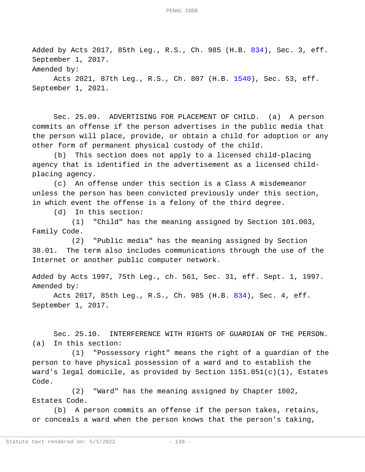Added by Acts 2017, 85th Leg., R.S., Ch. 985 (H.B. [834\)](http://www.legis.state.tx.us/tlodocs/85R/billtext/html/HB00834F.HTM), Sec. 3, eff. September 1, 2017.

Amended by:

Acts 2021, 87th Leg., R.S., Ch. 807 (H.B. [1540](http://www.legis.state.tx.us/tlodocs/87R/billtext/html/HB01540F.HTM)), Sec. 53, eff. September 1, 2021.

Sec. 25.09. ADVERTISING FOR PLACEMENT OF CHILD. (a) A person commits an offense if the person advertises in the public media that the person will place, provide, or obtain a child for adoption or any other form of permanent physical custody of the child.

(b) This section does not apply to a licensed child-placing agency that is identified in the advertisement as a licensed childplacing agency.

(c) An offense under this section is a Class A misdemeanor unless the person has been convicted previously under this section, in which event the offense is a felony of the third degree.

(d) In this section:

(1) "Child" has the meaning assigned by Section 101.003, Family Code.

(2) "Public media" has the meaning assigned by Section 38.01. The term also includes communications through the use of the Internet or another public computer network.

Added by Acts 1997, 75th Leg., ch. 561, Sec. 31, eff. Sept. 1, 1997. Amended by:

Acts 2017, 85th Leg., R.S., Ch. 985 (H.B. [834](http://www.legis.state.tx.us/tlodocs/85R/billtext/html/HB00834F.HTM)), Sec. 4, eff. September 1, 2017.

Sec. 25.10. INTERFERENCE WITH RIGHTS OF GUARDIAN OF THE PERSON. (a) In this section:

(1) "Possessory right" means the right of a guardian of the person to have physical possession of a ward and to establish the ward's legal domicile, as provided by Section  $1151.051(c)(1)$ , Estates Code.

(2) "Ward" has the meaning assigned by Chapter 1002, Estates Code.

(b) A person commits an offense if the person takes, retains, or conceals a ward when the person knows that the person's taking,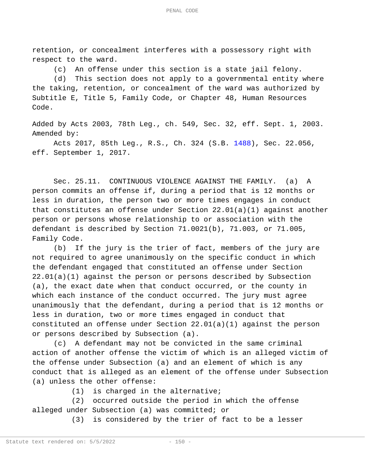retention, or concealment interferes with a possessory right with respect to the ward.

(c) An offense under this section is a state jail felony.

(d) This section does not apply to a governmental entity where the taking, retention, or concealment of the ward was authorized by Subtitle E, Title 5, Family Code, or Chapter 48, Human Resources Code.

Added by Acts 2003, 78th Leg., ch. 549, Sec. 32, eff. Sept. 1, 2003. Amended by:

Acts 2017, 85th Leg., R.S., Ch. 324 (S.B. [1488](http://www.legis.state.tx.us/tlodocs/85R/billtext/html/SB01488F.HTM)), Sec. 22.056, eff. September 1, 2017.

Sec. 25.11. CONTINUOUS VIOLENCE AGAINST THE FAMILY. (a) A person commits an offense if, during a period that is 12 months or less in duration, the person two or more times engages in conduct that constitutes an offense under Section  $22.01(a)(1)$  against another person or persons whose relationship to or association with the defendant is described by Section 71.0021(b), 71.003, or 71.005, Family Code.

(b) If the jury is the trier of fact, members of the jury are not required to agree unanimously on the specific conduct in which the defendant engaged that constituted an offense under Section 22.01(a)(1) against the person or persons described by Subsection (a), the exact date when that conduct occurred, or the county in which each instance of the conduct occurred. The jury must agree unanimously that the defendant, during a period that is 12 months or less in duration, two or more times engaged in conduct that constituted an offense under Section 22.01(a)(1) against the person or persons described by Subsection (a).

(c) A defendant may not be convicted in the same criminal action of another offense the victim of which is an alleged victim of the offense under Subsection (a) and an element of which is any conduct that is alleged as an element of the offense under Subsection (a) unless the other offense:

(1) is charged in the alternative;

(2) occurred outside the period in which the offense alleged under Subsection (a) was committed; or

(3) is considered by the trier of fact to be a lesser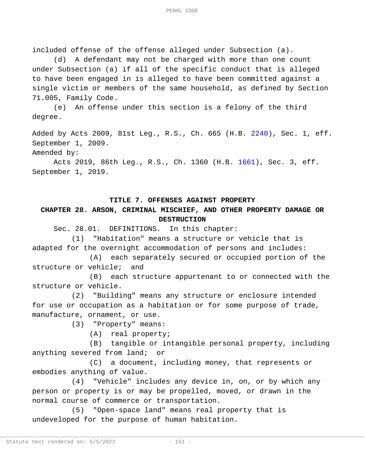included offense of the offense alleged under Subsection (a).

(d) A defendant may not be charged with more than one count under Subsection (a) if all of the specific conduct that is alleged to have been engaged in is alleged to have been committed against a single victim or members of the same household, as defined by Section 71.005, Family Code.

(e) An offense under this section is a felony of the third degree.

Added by Acts 2009, 81st Leg., R.S., Ch. 665 (H.B. [2240](http://www.legis.state.tx.us/tlodocs/81R/billtext/html/HB02240F.HTM)), Sec. 1, eff. September 1, 2009.

Amended by:

Acts 2019, 86th Leg., R.S., Ch. 1360 (H.B. [1661](http://www.legis.state.tx.us/tlodocs/86R/billtext/html/HB01661F.HTM)), Sec. 3, eff. September 1, 2019.

## **TITLE 7. OFFENSES AGAINST PROPERTY**

## **CHAPTER 28. ARSON, CRIMINAL MISCHIEF, AND OTHER PROPERTY DAMAGE OR DESTRUCTION**

Sec. 28.01. DEFINITIONS. In this chapter:

(1) "Habitation" means a structure or vehicle that is adapted for the overnight accommodation of persons and includes:

(A) each separately secured or occupied portion of the structure or vehicle; and

(B) each structure appurtenant to or connected with the structure or vehicle.

(2) "Building" means any structure or enclosure intended for use or occupation as a habitation or for some purpose of trade, manufacture, ornament, or use.

(3) "Property" means:

(A) real property;

(B) tangible or intangible personal property, including anything severed from land; or

(C) a document, including money, that represents or embodies anything of value.

(4) "Vehicle" includes any device in, on, or by which any person or property is or may be propelled, moved, or drawn in the normal course of commerce or transportation.

(5) "Open-space land" means real property that is undeveloped for the purpose of human habitation.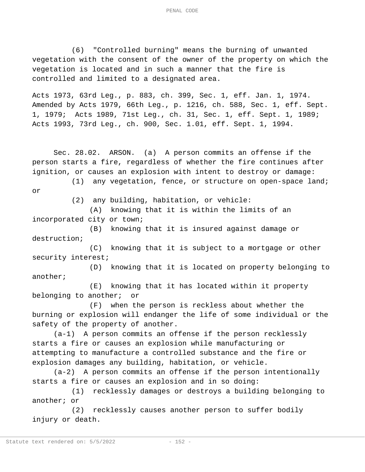(6) "Controlled burning" means the burning of unwanted vegetation with the consent of the owner of the property on which the vegetation is located and in such a manner that the fire is controlled and limited to a designated area.

Acts 1973, 63rd Leg., p. 883, ch. 399, Sec. 1, eff. Jan. 1, 1974. Amended by Acts 1979, 66th Leg., p. 1216, ch. 588, Sec. 1, eff. Sept. 1, 1979; Acts 1989, 71st Leg., ch. 31, Sec. 1, eff. Sept. 1, 1989; Acts 1993, 73rd Leg., ch. 900, Sec. 1.01, eff. Sept. 1, 1994.

Sec. 28.02. ARSON. (a) A person commits an offense if the person starts a fire, regardless of whether the fire continues after ignition, or causes an explosion with intent to destroy or damage:

(1) any vegetation, fence, or structure on open-space land;

(2) any building, habitation, or vehicle:

(A) knowing that it is within the limits of an incorporated city or town;

(B) knowing that it is insured against damage or destruction;

(C) knowing that it is subject to a mortgage or other security interest;

(D) knowing that it is located on property belonging to another;

(E) knowing that it has located within it property belonging to another; or

(F) when the person is reckless about whether the burning or explosion will endanger the life of some individual or the safety of the property of another.

(a-1) A person commits an offense if the person recklessly starts a fire or causes an explosion while manufacturing or attempting to manufacture a controlled substance and the fire or explosion damages any building, habitation, or vehicle.

(a-2) A person commits an offense if the person intentionally starts a fire or causes an explosion and in so doing:

(1) recklessly damages or destroys a building belonging to another; or

(2) recklessly causes another person to suffer bodily injury or death.

or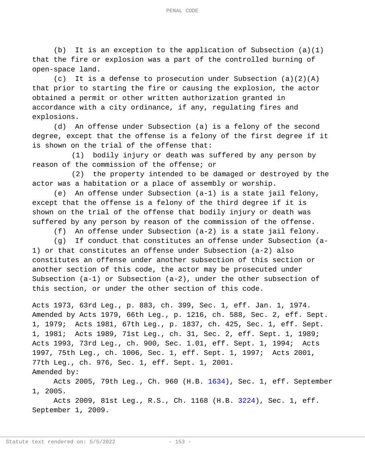(b) It is an exception to the application of Subsection  $(a)(1)$ that the fire or explosion was a part of the controlled burning of open-space land.

(c) It is a defense to prosecution under Subsection  $(a)(2)(A)$ that prior to starting the fire or causing the explosion, the actor obtained a permit or other written authorization granted in accordance with a city ordinance, if any, regulating fires and explosions.

(d) An offense under Subsection (a) is a felony of the second degree, except that the offense is a felony of the first degree if it is shown on the trial of the offense that:

(1) bodily injury or death was suffered by any person by reason of the commission of the offense; or

(2) the property intended to be damaged or destroyed by the actor was a habitation or a place of assembly or worship.

(e) An offense under Subsection (a-1) is a state jail felony, except that the offense is a felony of the third degree if it is shown on the trial of the offense that bodily injury or death was suffered by any person by reason of the commission of the offense.

(f) An offense under Subsection (a-2) is a state jail felony.

(g) If conduct that constitutes an offense under Subsection (a-1) or that constitutes an offense under Subsection (a-2) also constitutes an offense under another subsection of this section or another section of this code, the actor may be prosecuted under Subsection (a-1) or Subsection (a-2), under the other subsection of this section, or under the other section of this code.

Acts 1973, 63rd Leg., p. 883, ch. 399, Sec. 1, eff. Jan. 1, 1974. Amended by Acts 1979, 66th Leg., p. 1216, ch. 588, Sec. 2, eff. Sept. 1, 1979; Acts 1981, 67th Leg., p. 1837, ch. 425, Sec. 1, eff. Sept. 1, 1981; Acts 1989, 71st Leg., ch. 31, Sec. 2, eff. Sept. 1, 1989; Acts 1993, 73rd Leg., ch. 900, Sec. 1.01, eff. Sept. 1, 1994; Acts 1997, 75th Leg., ch. 1006, Sec. 1, eff. Sept. 1, 1997; Acts 2001, 77th Leg., ch. 976, Sec. 1, eff. Sept. 1, 2001. Amended by:

Acts 2005, 79th Leg., Ch. 960 (H.B. [1634\)](http://www.legis.state.tx.us/tlodocs/79R/billtext/html/HB01634F.HTM), Sec. 1, eff. September 1, 2005.

Acts 2009, 81st Leg., R.S., Ch. 1168 (H.B. [3224](http://www.legis.state.tx.us/tlodocs/81R/billtext/html/HB03224F.HTM)), Sec. 1, eff. September 1, 2009.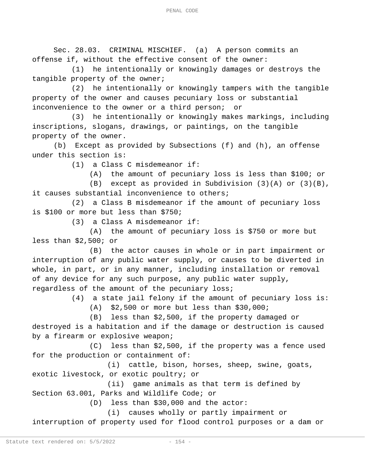Sec. 28.03. CRIMINAL MISCHIEF. (a) A person commits an offense if, without the effective consent of the owner:

(1) he intentionally or knowingly damages or destroys the tangible property of the owner;

(2) he intentionally or knowingly tampers with the tangible property of the owner and causes pecuniary loss or substantial inconvenience to the owner or a third person; or

(3) he intentionally or knowingly makes markings, including inscriptions, slogans, drawings, or paintings, on the tangible property of the owner.

(b) Except as provided by Subsections (f) and (h), an offense under this section is:

(1) a Class C misdemeanor if:

(A) the amount of pecuniary loss is less than \$100; or

(B) except as provided in Subdivision (3)(A) or (3)(B), it causes substantial inconvenience to others;

(2) a Class B misdemeanor if the amount of pecuniary loss is \$100 or more but less than \$750;

(3) a Class A misdemeanor if:

(A) the amount of pecuniary loss is \$750 or more but less than \$2,500; or

(B) the actor causes in whole or in part impairment or interruption of any public water supply, or causes to be diverted in whole, in part, or in any manner, including installation or removal of any device for any such purpose, any public water supply, regardless of the amount of the pecuniary loss;

(4) a state jail felony if the amount of pecuniary loss is:

(A) \$2,500 or more but less than \$30,000;

(B) less than \$2,500, if the property damaged or destroyed is a habitation and if the damage or destruction is caused by a firearm or explosive weapon;

(C) less than \$2,500, if the property was a fence used for the production or containment of:

(i) cattle, bison, horses, sheep, swine, goats, exotic livestock, or exotic poultry; or

(ii) game animals as that term is defined by Section 63.001, Parks and Wildlife Code; or

(D) less than \$30,000 and the actor:

(i) causes wholly or partly impairment or

interruption of property used for flood control purposes or a dam or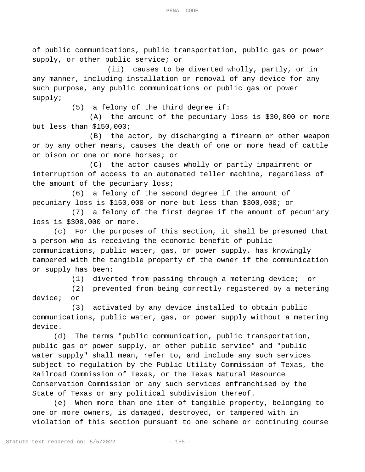of public communications, public transportation, public gas or power supply, or other public service; or

(ii) causes to be diverted wholly, partly, or in any manner, including installation or removal of any device for any such purpose, any public communications or public gas or power supply;

(5) a felony of the third degree if:

(A) the amount of the pecuniary loss is \$30,000 or more but less than \$150,000;

(B) the actor, by discharging a firearm or other weapon or by any other means, causes the death of one or more head of cattle or bison or one or more horses; or

(C) the actor causes wholly or partly impairment or interruption of access to an automated teller machine, regardless of the amount of the pecuniary loss;

(6) a felony of the second degree if the amount of pecuniary loss is \$150,000 or more but less than \$300,000; or

(7) a felony of the first degree if the amount of pecuniary loss is \$300,000 or more.

(c) For the purposes of this section, it shall be presumed that a person who is receiving the economic benefit of public communications, public water, gas, or power supply, has knowingly tampered with the tangible property of the owner if the communication or supply has been:

(1) diverted from passing through a metering device; or

(2) prevented from being correctly registered by a metering device; or

(3) activated by any device installed to obtain public communications, public water, gas, or power supply without a metering device.

(d) The terms "public communication, public transportation, public gas or power supply, or other public service" and "public water supply" shall mean, refer to, and include any such services subject to regulation by the Public Utility Commission of Texas, the Railroad Commission of Texas, or the Texas Natural Resource Conservation Commission or any such services enfranchised by the State of Texas or any political subdivision thereof.

(e) When more than one item of tangible property, belonging to one or more owners, is damaged, destroyed, or tampered with in violation of this section pursuant to one scheme or continuing course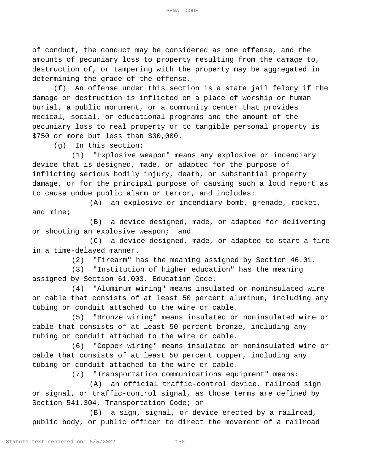of conduct, the conduct may be considered as one offense, and the amounts of pecuniary loss to property resulting from the damage to, destruction of, or tampering with the property may be aggregated in determining the grade of the offense.

(f) An offense under this section is a state jail felony if the damage or destruction is inflicted on a place of worship or human burial, a public monument, or a community center that provides medical, social, or educational programs and the amount of the pecuniary loss to real property or to tangible personal property is \$750 or more but less than \$30,000.

(g) In this section:

(1) "Explosive weapon" means any explosive or incendiary device that is designed, made, or adapted for the purpose of inflicting serious bodily injury, death, or substantial property damage, or for the principal purpose of causing such a loud report as to cause undue public alarm or terror, and includes:

(A) an explosive or incendiary bomb, grenade, rocket, and mine;

(B) a device designed, made, or adapted for delivering or shooting an explosive weapon; and

(C) a device designed, made, or adapted to start a fire in a time-delayed manner.

(2) "Firearm" has the meaning assigned by Section 46.01.

(3) "Institution of higher education" has the meaning assigned by Section 61.003, Education Code.

(4) "Aluminum wiring" means insulated or noninsulated wire or cable that consists of at least 50 percent aluminum, including any tubing or conduit attached to the wire or cable.

(5) "Bronze wiring" means insulated or noninsulated wire or cable that consists of at least 50 percent bronze, including any tubing or conduit attached to the wire or cable.

(6) "Copper wiring" means insulated or noninsulated wire or cable that consists of at least 50 percent copper, including any tubing or conduit attached to the wire or cable.

(7) "Transportation communications equipment" means:

(A) an official traffic-control device, railroad sign or signal, or traffic-control signal, as those terms are defined by Section 541.304, Transportation Code; or

(B) a sign, signal, or device erected by a railroad, public body, or public officer to direct the movement of a railroad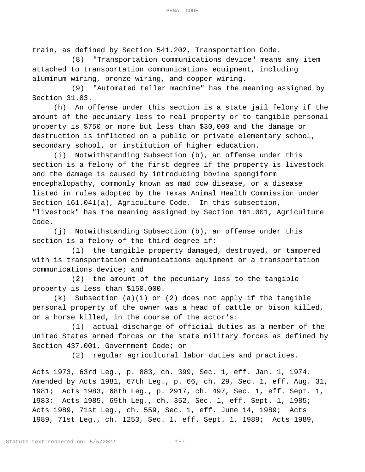train, as defined by Section 541.202, Transportation Code.

(8) "Transportation communications device" means any item attached to transportation communications equipment, including aluminum wiring, bronze wiring, and copper wiring.

(9) "Automated teller machine" has the meaning assigned by Section 31.03.

(h) An offense under this section is a state jail felony if the amount of the pecuniary loss to real property or to tangible personal property is \$750 or more but less than \$30,000 and the damage or destruction is inflicted on a public or private elementary school, secondary school, or institution of higher education.

(i) Notwithstanding Subsection (b), an offense under this section is a felony of the first degree if the property is livestock and the damage is caused by introducing bovine spongiform encephalopathy, commonly known as mad cow disease, or a disease listed in rules adopted by the Texas Animal Health Commission under Section 161.041(a), Agriculture Code. In this subsection, "livestock" has the meaning assigned by Section 161.001, Agriculture Code.

(j) Notwithstanding Subsection (b), an offense under this section is a felony of the third degree if:

(1) the tangible property damaged, destroyed, or tampered with is transportation communications equipment or a transportation communications device; and

(2) the amount of the pecuniary loss to the tangible property is less than \$150,000.

(k) Subsection (a)(1) or (2) does not apply if the tangible personal property of the owner was a head of cattle or bison killed, or a horse killed, in the course of the actor's:

(1) actual discharge of official duties as a member of the United States armed forces or the state military forces as defined by Section 437.001, Government Code; or

(2) regular agricultural labor duties and practices.

Acts 1973, 63rd Leg., p. 883, ch. 399, Sec. 1, eff. Jan. 1, 1974. Amended by Acts 1981, 67th Leg., p. 66, ch. 29, Sec. 1, eff. Aug. 31, 1981; Acts 1983, 68th Leg., p. 2917, ch. 497, Sec. 1, eff. Sept. 1, 1983; Acts 1985, 69th Leg., ch. 352, Sec. 1, eff. Sept. 1, 1985; Acts 1989, 71st Leg., ch. 559, Sec. 1, eff. June 14, 1989; Acts 1989, 71st Leg., ch. 1253, Sec. 1, eff. Sept. 1, 1989; Acts 1989,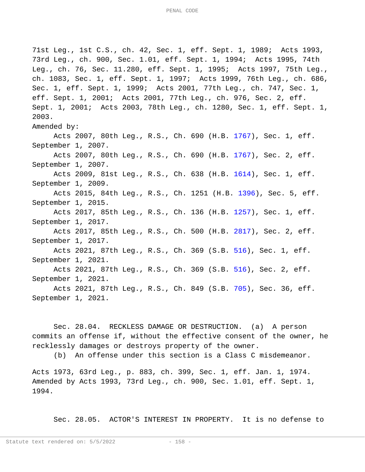71st Leg., 1st C.S., ch. 42, Sec. 1, eff. Sept. 1, 1989; Acts 1993, 73rd Leg., ch. 900, Sec. 1.01, eff. Sept. 1, 1994; Acts 1995, 74th Leg., ch. 76, Sec. 11.280, eff. Sept. 1, 1995; Acts 1997, 75th Leg., ch. 1083, Sec. 1, eff. Sept. 1, 1997; Acts 1999, 76th Leg., ch. 686, Sec. 1, eff. Sept. 1, 1999; Acts 2001, 77th Leg., ch. 747, Sec. 1, eff. Sept. 1, 2001; Acts 2001, 77th Leg., ch. 976, Sec. 2, eff. Sept. 1, 2001; Acts 2003, 78th Leg., ch. 1280, Sec. 1, eff. Sept. 1, 2003. Amended by: Acts 2007, 80th Leg., R.S., Ch. 690 (H.B. [1767](http://www.legis.state.tx.us/tlodocs/80R/billtext/html/HB01767F.HTM)), Sec. 1, eff. September 1, 2007. Acts 2007, 80th Leg., R.S., Ch. 690 (H.B. [1767](http://www.legis.state.tx.us/tlodocs/80R/billtext/html/HB01767F.HTM)), Sec. 2, eff. September 1, 2007. Acts 2009, 81st Leg., R.S., Ch. 638 (H.B. [1614](http://www.legis.state.tx.us/tlodocs/81R/billtext/html/HB01614F.HTM)), Sec. 1, eff. September 1, 2009. Acts 2015, 84th Leg., R.S., Ch. 1251 (H.B. [1396](http://www.legis.state.tx.us/tlodocs/84R/billtext/html/HB01396F.HTM)), Sec. 5, eff. September 1, 2015. Acts 2017, 85th Leg., R.S., Ch. 136 (H.B. [1257](http://www.legis.state.tx.us/tlodocs/85R/billtext/html/HB01257F.HTM)), Sec. 1, eff. September 1, 2017. Acts 2017, 85th Leg., R.S., Ch. 500 (H.B. [2817](http://www.legis.state.tx.us/tlodocs/85R/billtext/html/HB02817F.HTM)), Sec. 2, eff. September 1, 2017. Acts 2021, 87th Leg., R.S., Ch. 369 (S.B. [516](http://www.legis.state.tx.us/tlodocs/87R/billtext/html/SB00516F.HTM)), Sec. 1, eff. September 1, 2021. Acts 2021, 87th Leg., R.S., Ch. 369 (S.B. [516](http://www.legis.state.tx.us/tlodocs/87R/billtext/html/SB00516F.HTM)), Sec. 2, eff. September 1, 2021. Acts 2021, 87th Leg., R.S., Ch. 849 (S.B. [705](http://www.legis.state.tx.us/tlodocs/87R/billtext/html/SB00705F.HTM)), Sec. 36, eff. September 1, 2021.

Sec. 28.04. RECKLESS DAMAGE OR DESTRUCTION. (a) A person commits an offense if, without the effective consent of the owner, he recklessly damages or destroys property of the owner.

(b) An offense under this section is a Class C misdemeanor.

Acts 1973, 63rd Leg., p. 883, ch. 399, Sec. 1, eff. Jan. 1, 1974. Amended by Acts 1993, 73rd Leg., ch. 900, Sec. 1.01, eff. Sept. 1, 1994.

Sec. 28.05. ACTOR'S INTEREST IN PROPERTY. It is no defense to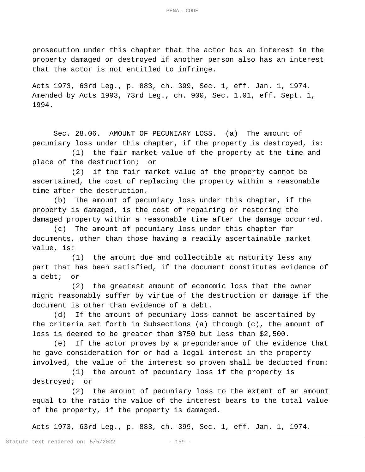prosecution under this chapter that the actor has an interest in the property damaged or destroyed if another person also has an interest that the actor is not entitled to infringe.

Acts 1973, 63rd Leg., p. 883, ch. 399, Sec. 1, eff. Jan. 1, 1974. Amended by Acts 1993, 73rd Leg., ch. 900, Sec. 1.01, eff. Sept. 1, 1994.

Sec. 28.06. AMOUNT OF PECUNIARY LOSS. (a) The amount of pecuniary loss under this chapter, if the property is destroyed, is:

(1) the fair market value of the property at the time and place of the destruction; or

(2) if the fair market value of the property cannot be ascertained, the cost of replacing the property within a reasonable time after the destruction.

(b) The amount of pecuniary loss under this chapter, if the property is damaged, is the cost of repairing or restoring the damaged property within a reasonable time after the damage occurred.

(c) The amount of pecuniary loss under this chapter for documents, other than those having a readily ascertainable market value, is:

(1) the amount due and collectible at maturity less any part that has been satisfied, if the document constitutes evidence of a debt; or

(2) the greatest amount of economic loss that the owner might reasonably suffer by virtue of the destruction or damage if the document is other than evidence of a debt.

(d) If the amount of pecuniary loss cannot be ascertained by the criteria set forth in Subsections (a) through (c), the amount of loss is deemed to be greater than \$750 but less than \$2,500.

(e) If the actor proves by a preponderance of the evidence that he gave consideration for or had a legal interest in the property involved, the value of the interest so proven shall be deducted from:

(1) the amount of pecuniary loss if the property is destroyed; or

(2) the amount of pecuniary loss to the extent of an amount equal to the ratio the value of the interest bears to the total value of the property, if the property is damaged.

Acts 1973, 63rd Leg., p. 883, ch. 399, Sec. 1, eff. Jan. 1, 1974.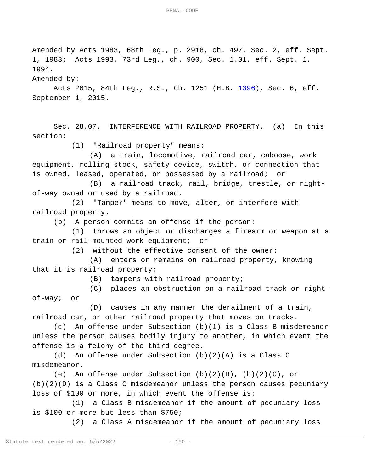Amended by Acts 1983, 68th Leg., p. 2918, ch. 497, Sec. 2, eff. Sept. 1, 1983; Acts 1993, 73rd Leg., ch. 900, Sec. 1.01, eff. Sept. 1, 1994.

Amended by:

Acts 2015, 84th Leg., R.S., Ch. 1251 (H.B. [1396](http://www.legis.state.tx.us/tlodocs/84R/billtext/html/HB01396F.HTM)), Sec. 6, eff. September 1, 2015.

Sec. 28.07. INTERFERENCE WITH RAILROAD PROPERTY. (a) In this section:

(1) "Railroad property" means:

(A) a train, locomotive, railroad car, caboose, work equipment, rolling stock, safety device, switch, or connection that is owned, leased, operated, or possessed by a railroad; or

(B) a railroad track, rail, bridge, trestle, or rightof-way owned or used by a railroad.

(2) "Tamper" means to move, alter, or interfere with railroad property.

(b) A person commits an offense if the person:

(1) throws an object or discharges a firearm or weapon at a train or rail-mounted work equipment; or

(2) without the effective consent of the owner:

(A) enters or remains on railroad property, knowing that it is railroad property;

(B) tampers with railroad property;

(C) places an obstruction on a railroad track or rightof-way; or

(D) causes in any manner the derailment of a train, railroad car, or other railroad property that moves on tracks.

(c) An offense under Subsection (b)(1) is a Class B misdemeanor unless the person causes bodily injury to another, in which event the offense is a felony of the third degree.

(d) An offense under Subsection (b)(2)(A) is a Class C misdemeanor.

(e) An offense under Subsection  $(b)(2)(B)$ ,  $(b)(2)(C)$ , or  $(b)(2)(D)$  is a Class C misdemeanor unless the person causes pecuniary loss of \$100 or more, in which event the offense is:

(1) a Class B misdemeanor if the amount of pecuniary loss is \$100 or more but less than \$750;

(2) a Class A misdemeanor if the amount of pecuniary loss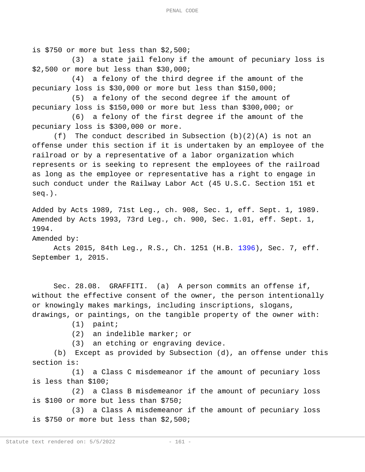is \$750 or more but less than \$2,500;

(3) a state jail felony if the amount of pecuniary loss is \$2,500 or more but less than \$30,000;

(4) a felony of the third degree if the amount of the pecuniary loss is \$30,000 or more but less than \$150,000;

(5) a felony of the second degree if the amount of pecuniary loss is \$150,000 or more but less than \$300,000; or

(6) a felony of the first degree if the amount of the pecuniary loss is \$300,000 or more.

(f) The conduct described in Subsection  $(b)(2)(A)$  is not an offense under this section if it is undertaken by an employee of the railroad or by a representative of a labor organization which represents or is seeking to represent the employees of the railroad as long as the employee or representative has a right to engage in such conduct under the Railway Labor Act (45 U.S.C. Section 151 et seq.).

Added by Acts 1989, 71st Leg., ch. 908, Sec. 1, eff. Sept. 1, 1989. Amended by Acts 1993, 73rd Leg., ch. 900, Sec. 1.01, eff. Sept. 1, 1994.

Amended by:

Acts 2015, 84th Leg., R.S., Ch. 1251 (H.B. [1396](http://www.legis.state.tx.us/tlodocs/84R/billtext/html/HB01396F.HTM)), Sec. 7, eff. September 1, 2015.

Sec. 28.08. GRAFFITI. (a) A person commits an offense if, without the effective consent of the owner, the person intentionally or knowingly makes markings, including inscriptions, slogans, drawings, or paintings, on the tangible property of the owner with:

- (1) paint;
- (2) an indelible marker; or
- (3) an etching or engraving device.

(b) Except as provided by Subsection (d), an offense under this section is:

(1) a Class C misdemeanor if the amount of pecuniary loss is less than \$100;

(2) a Class B misdemeanor if the amount of pecuniary loss is \$100 or more but less than \$750;

(3) a Class A misdemeanor if the amount of pecuniary loss is \$750 or more but less than \$2,500;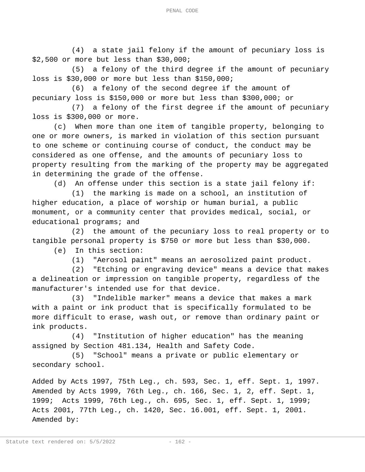(4) a state jail felony if the amount of pecuniary loss is \$2,500 or more but less than \$30,000;

(5) a felony of the third degree if the amount of pecuniary loss is \$30,000 or more but less than \$150,000;

(6) a felony of the second degree if the amount of pecuniary loss is \$150,000 or more but less than \$300,000; or

(7) a felony of the first degree if the amount of pecuniary loss is \$300,000 or more.

(c) When more than one item of tangible property, belonging to one or more owners, is marked in violation of this section pursuant to one scheme or continuing course of conduct, the conduct may be considered as one offense, and the amounts of pecuniary loss to property resulting from the marking of the property may be aggregated in determining the grade of the offense.

(d) An offense under this section is a state jail felony if:

(1) the marking is made on a school, an institution of higher education, a place of worship or human burial, a public monument, or a community center that provides medical, social, or educational programs; and

(2) the amount of the pecuniary loss to real property or to tangible personal property is \$750 or more but less than \$30,000.

(e) In this section:

(1) "Aerosol paint" means an aerosolized paint product.

(2) "Etching or engraving device" means a device that makes a delineation or impression on tangible property, regardless of the manufacturer's intended use for that device.

(3) "Indelible marker" means a device that makes a mark with a paint or ink product that is specifically formulated to be more difficult to erase, wash out, or remove than ordinary paint or ink products.

(4) "Institution of higher education" has the meaning assigned by Section 481.134, Health and Safety Code.

(5) "School" means a private or public elementary or secondary school.

Added by Acts 1997, 75th Leg., ch. 593, Sec. 1, eff. Sept. 1, 1997. Amended by Acts 1999, 76th Leg., ch. 166, Sec. 1, 2, eff. Sept. 1, 1999; Acts 1999, 76th Leg., ch. 695, Sec. 1, eff. Sept. 1, 1999; Acts 2001, 77th Leg., ch. 1420, Sec. 16.001, eff. Sept. 1, 2001. Amended by: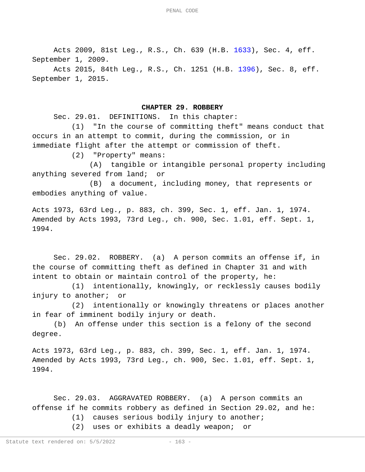Acts 2009, 81st Leg., R.S., Ch. 639 (H.B. [1633](http://www.legis.state.tx.us/tlodocs/81R/billtext/html/HB01633F.HTM)), Sec. 4, eff. September 1, 2009.

Acts 2015, 84th Leg., R.S., Ch. 1251 (H.B. [1396](http://www.legis.state.tx.us/tlodocs/84R/billtext/html/HB01396F.HTM)), Sec. 8, eff. September 1, 2015.

## **CHAPTER 29. ROBBERY**

Sec. 29.01. DEFINITIONS. In this chapter:

(1) "In the course of committing theft" means conduct that occurs in an attempt to commit, during the commission, or in immediate flight after the attempt or commission of theft.

(2) "Property" means:

(A) tangible or intangible personal property including anything severed from land; or

(B) a document, including money, that represents or embodies anything of value.

Acts 1973, 63rd Leg., p. 883, ch. 399, Sec. 1, eff. Jan. 1, 1974. Amended by Acts 1993, 73rd Leg., ch. 900, Sec. 1.01, eff. Sept. 1, 1994.

Sec. 29.02. ROBBERY. (a) A person commits an offense if, in the course of committing theft as defined in Chapter 31 and with intent to obtain or maintain control of the property, he:

(1) intentionally, knowingly, or recklessly causes bodily injury to another; or

(2) intentionally or knowingly threatens or places another in fear of imminent bodily injury or death.

(b) An offense under this section is a felony of the second degree.

Acts 1973, 63rd Leg., p. 883, ch. 399, Sec. 1, eff. Jan. 1, 1974. Amended by Acts 1993, 73rd Leg., ch. 900, Sec. 1.01, eff. Sept. 1, 1994.

Sec. 29.03. AGGRAVATED ROBBERY. (a) A person commits an offense if he commits robbery as defined in Section 29.02, and he: (1) causes serious bodily injury to another;

- 
- (2) uses or exhibits a deadly weapon; or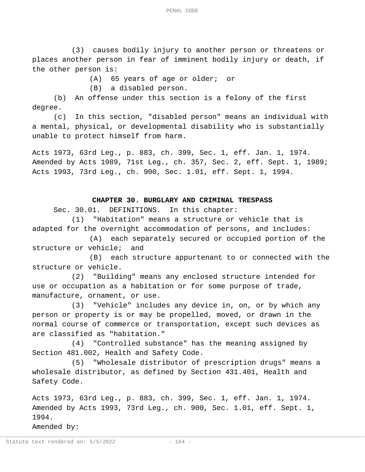(3) causes bodily injury to another person or threatens or places another person in fear of imminent bodily injury or death, if the other person is:

(A) 65 years of age or older; or

(B) a disabled person.

(b) An offense under this section is a felony of the first degree.

(c) In this section, "disabled person" means an individual with a mental, physical, or developmental disability who is substantially unable to protect himself from harm.

Acts 1973, 63rd Leg., p. 883, ch. 399, Sec. 1, eff. Jan. 1, 1974. Amended by Acts 1989, 71st Leg., ch. 357, Sec. 2, eff. Sept. 1, 1989; Acts 1993, 73rd Leg., ch. 900, Sec. 1.01, eff. Sept. 1, 1994.

## **CHAPTER 30. BURGLARY AND CRIMINAL TRESPASS**

Sec. 30.01. DEFINITIONS. In this chapter:

(1) "Habitation" means a structure or vehicle that is adapted for the overnight accommodation of persons, and includes:

(A) each separately secured or occupied portion of the structure or vehicle; and

(B) each structure appurtenant to or connected with the structure or vehicle.

(2) "Building" means any enclosed structure intended for use or occupation as a habitation or for some purpose of trade, manufacture, ornament, or use.

(3) "Vehicle" includes any device in, on, or by which any person or property is or may be propelled, moved, or drawn in the normal course of commerce or transportation, except such devices as are classified as "habitation."

(4) "Controlled substance" has the meaning assigned by Section 481.002, Health and Safety Code.

(5) "Wholesale distributor of prescription drugs" means a wholesale distributor, as defined by Section 431.401, Health and Safety Code.

Acts 1973, 63rd Leg., p. 883, ch. 399, Sec. 1, eff. Jan. 1, 1974. Amended by Acts 1993, 73rd Leg., ch. 900, Sec. 1.01, eff. Sept. 1, 1994. Amended by: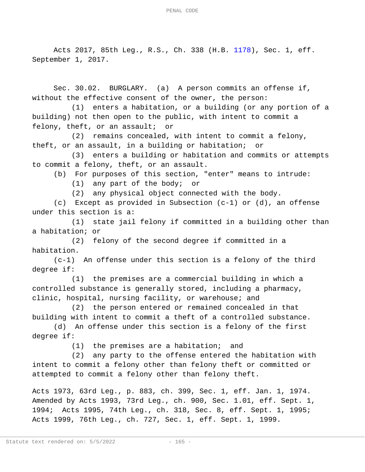Acts 2017, 85th Leg., R.S., Ch. 338 (H.B. [1178](http://www.legis.state.tx.us/tlodocs/85R/billtext/html/HB01178F.HTM)), Sec. 1, eff. September 1, 2017.

Sec. 30.02. BURGLARY. (a) A person commits an offense if, without the effective consent of the owner, the person:

(1) enters a habitation, or a building (or any portion of a building) not then open to the public, with intent to commit a felony, theft, or an assault; or

(2) remains concealed, with intent to commit a felony, theft, or an assault, in a building or habitation; or

(3) enters a building or habitation and commits or attempts to commit a felony, theft, or an assault.

(b) For purposes of this section, "enter" means to intrude:

(1) any part of the body; or

(2) any physical object connected with the body.

(c) Except as provided in Subsection (c-1) or (d), an offense under this section is a:

(1) state jail felony if committed in a building other than a habitation; or

(2) felony of the second degree if committed in a habitation.

(c-1) An offense under this section is a felony of the third degree if:

(1) the premises are a commercial building in which a controlled substance is generally stored, including a pharmacy, clinic, hospital, nursing facility, or warehouse; and

(2) the person entered or remained concealed in that building with intent to commit a theft of a controlled substance.

(d) An offense under this section is a felony of the first degree if:

(1) the premises are a habitation; and

(2) any party to the offense entered the habitation with intent to commit a felony other than felony theft or committed or attempted to commit a felony other than felony theft.

Acts 1973, 63rd Leg., p. 883, ch. 399, Sec. 1, eff. Jan. 1, 1974. Amended by Acts 1993, 73rd Leg., ch. 900, Sec. 1.01, eff. Sept. 1, 1994; Acts 1995, 74th Leg., ch. 318, Sec. 8, eff. Sept. 1, 1995; Acts 1999, 76th Leg., ch. 727, Sec. 1, eff. Sept. 1, 1999.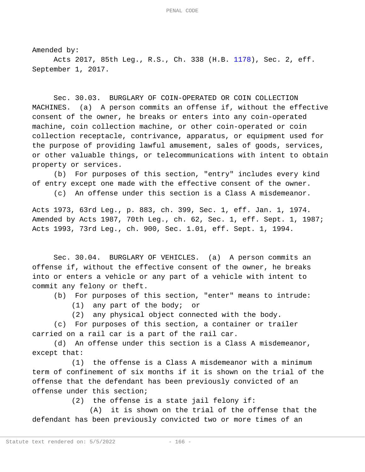Amended by: Acts 2017, 85th Leg., R.S., Ch. 338 (H.B. [1178](http://www.legis.state.tx.us/tlodocs/85R/billtext/html/HB01178F.HTM)), Sec. 2, eff. September 1, 2017.

Sec. 30.03. BURGLARY OF COIN-OPERATED OR COIN COLLECTION MACHINES. (a) A person commits an offense if, without the effective consent of the owner, he breaks or enters into any coin-operated machine, coin collection machine, or other coin-operated or coin collection receptacle, contrivance, apparatus, or equipment used for the purpose of providing lawful amusement, sales of goods, services, or other valuable things, or telecommunications with intent to obtain property or services.

(b) For purposes of this section, "entry" includes every kind of entry except one made with the effective consent of the owner.

(c) An offense under this section is a Class A misdemeanor.

Acts 1973, 63rd Leg., p. 883, ch. 399, Sec. 1, eff. Jan. 1, 1974. Amended by Acts 1987, 70th Leg., ch. 62, Sec. 1, eff. Sept. 1, 1987; Acts 1993, 73rd Leg., ch. 900, Sec. 1.01, eff. Sept. 1, 1994.

Sec. 30.04. BURGLARY OF VEHICLES. (a) A person commits an offense if, without the effective consent of the owner, he breaks into or enters a vehicle or any part of a vehicle with intent to commit any felony or theft.

(b) For purposes of this section, "enter" means to intrude:

(1) any part of the body; or

(2) any physical object connected with the body.

(c) For purposes of this section, a container or trailer carried on a rail car is a part of the rail car.

(d) An offense under this section is a Class A misdemeanor, except that:

(1) the offense is a Class A misdemeanor with a minimum term of confinement of six months if it is shown on the trial of the offense that the defendant has been previously convicted of an offense under this section;

(2) the offense is a state jail felony if:

(A) it is shown on the trial of the offense that the defendant has been previously convicted two or more times of an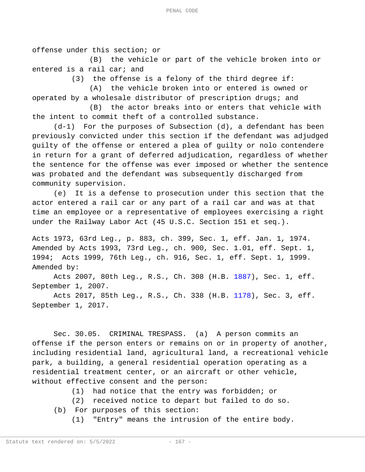offense under this section; or

(B) the vehicle or part of the vehicle broken into or entered is a rail car; and

(3) the offense is a felony of the third degree if:

(A) the vehicle broken into or entered is owned or operated by a wholesale distributor of prescription drugs; and

(B) the actor breaks into or enters that vehicle with the intent to commit theft of a controlled substance.

(d-1) For the purposes of Subsection (d), a defendant has been previously convicted under this section if the defendant was adjudged guilty of the offense or entered a plea of guilty or nolo contendere in return for a grant of deferred adjudication, regardless of whether the sentence for the offense was ever imposed or whether the sentence was probated and the defendant was subsequently discharged from community supervision.

(e) It is a defense to prosecution under this section that the actor entered a rail car or any part of a rail car and was at that time an employee or a representative of employees exercising a right under the Railway Labor Act (45 U.S.C. Section 151 et seq.).

Acts 1973, 63rd Leg., p. 883, ch. 399, Sec. 1, eff. Jan. 1, 1974. Amended by Acts 1993, 73rd Leg., ch. 900, Sec. 1.01, eff. Sept. 1, 1994; Acts 1999, 76th Leg., ch. 916, Sec. 1, eff. Sept. 1, 1999. Amended by:

Acts 2007, 80th Leg., R.S., Ch. 308 (H.B. [1887](http://www.legis.state.tx.us/tlodocs/80R/billtext/html/HB01887F.HTM)), Sec. 1, eff. September 1, 2007.

Acts 2017, 85th Leg., R.S., Ch. 338 (H.B. [1178](http://www.legis.state.tx.us/tlodocs/85R/billtext/html/HB01178F.HTM)), Sec. 3, eff. September 1, 2017.

Sec. 30.05. CRIMINAL TRESPASS. (a) A person commits an offense if the person enters or remains on or in property of another, including residential land, agricultural land, a recreational vehicle park, a building, a general residential operation operating as a residential treatment center, or an aircraft or other vehicle, without effective consent and the person:

- (1) had notice that the entry was forbidden; or
- (2) received notice to depart but failed to do so.
- (b) For purposes of this section:
	- (1) "Entry" means the intrusion of the entire body.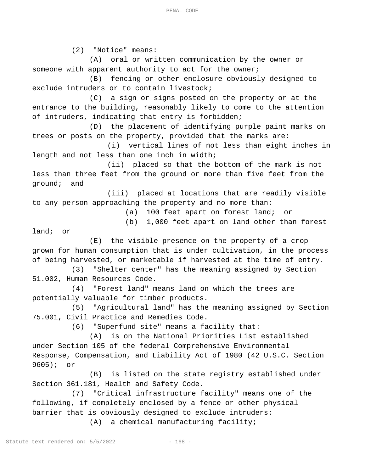(2) "Notice" means:

(A) oral or written communication by the owner or someone with apparent authority to act for the owner;

(B) fencing or other enclosure obviously designed to exclude intruders or to contain livestock;

(C) a sign or signs posted on the property or at the entrance to the building, reasonably likely to come to the attention of intruders, indicating that entry is forbidden;

(D) the placement of identifying purple paint marks on trees or posts on the property, provided that the marks are:

(i) vertical lines of not less than eight inches in length and not less than one inch in width;

(ii) placed so that the bottom of the mark is not less than three feet from the ground or more than five feet from the ground; and

(iii) placed at locations that are readily visible to any person approaching the property and no more than:

(a) 100 feet apart on forest land; or

(b) 1,000 feet apart on land other than forest

land; or

(E) the visible presence on the property of a crop grown for human consumption that is under cultivation, in the process of being harvested, or marketable if harvested at the time of entry.

(3) "Shelter center" has the meaning assigned by Section 51.002, Human Resources Code.

(4) "Forest land" means land on which the trees are potentially valuable for timber products.

(5) "Agricultural land" has the meaning assigned by Section 75.001, Civil Practice and Remedies Code.

(6) "Superfund site" means a facility that:

(A) is on the National Priorities List established under Section 105 of the federal Comprehensive Environmental Response, Compensation, and Liability Act of 1980 (42 U.S.C. Section 9605); or

(B) is listed on the state registry established under Section 361.181, Health and Safety Code.

(7) "Critical infrastructure facility" means one of the following, if completely enclosed by a fence or other physical barrier that is obviously designed to exclude intruders: (A) a chemical manufacturing facility;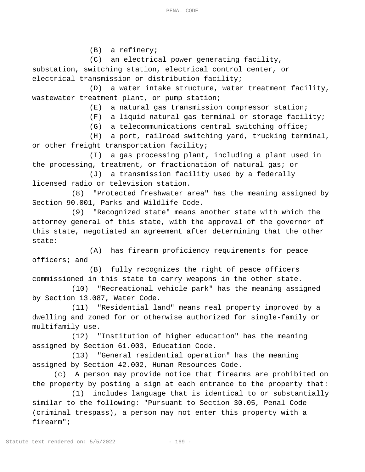(B) a refinery;

(C) an electrical power generating facility, substation, switching station, electrical control center, or electrical transmission or distribution facility;

(D) a water intake structure, water treatment facility, wastewater treatment plant, or pump station;

(E) a natural gas transmission compressor station;

(F) a liquid natural gas terminal or storage facility;

(G) a telecommunications central switching office;

(H) a port, railroad switching yard, trucking terminal, or other freight transportation facility;

(I) a gas processing plant, including a plant used in the processing, treatment, or fractionation of natural gas; or

(J) a transmission facility used by a federally licensed radio or television station.

(8) "Protected freshwater area" has the meaning assigned by Section 90.001, Parks and Wildlife Code.

(9) "Recognized state" means another state with which the attorney general of this state, with the approval of the governor of this state, negotiated an agreement after determining that the other state:

(A) has firearm proficiency requirements for peace officers; and

(B) fully recognizes the right of peace officers commissioned in this state to carry weapons in the other state.

(10) "Recreational vehicle park" has the meaning assigned by Section 13.087, Water Code.

(11) "Residential land" means real property improved by a dwelling and zoned for or otherwise authorized for single-family or multifamily use.

(12) "Institution of higher education" has the meaning assigned by Section 61.003, Education Code.

(13) "General residential operation" has the meaning assigned by Section 42.002, Human Resources Code.

(c) A person may provide notice that firearms are prohibited on the property by posting a sign at each entrance to the property that:

(1) includes language that is identical to or substantially similar to the following: "Pursuant to Section 30.05, Penal Code (criminal trespass), a person may not enter this property with a firearm";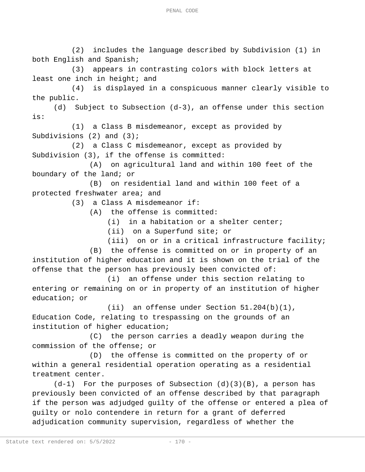(2) includes the language described by Subdivision (1) in both English and Spanish; (3) appears in contrasting colors with block letters at least one inch in height; and (4) is displayed in a conspicuous manner clearly visible to the public. (d) Subject to Subsection (d-3), an offense under this section is: (1) a Class B misdemeanor, except as provided by Subdivisions (2) and (3); (2) a Class C misdemeanor, except as provided by Subdivision (3), if the offense is committed: (A) on agricultural land and within 100 feet of the boundary of the land; or (B) on residential land and within 100 feet of a protected freshwater area; and (3) a Class A misdemeanor if: (A) the offense is committed: (i) in a habitation or a shelter center; (ii) on a Superfund site; or (iii) on or in a critical infrastructure facility; (B) the offense is committed on or in property of an institution of higher education and it is shown on the trial of the offense that the person has previously been convicted of: (i) an offense under this section relating to entering or remaining on or in property of an institution of higher education; or (ii) an offense under Section 51.204(b)(1), Education Code, relating to trespassing on the grounds of an institution of higher education; (C) the person carries a deadly weapon during the commission of the offense; or (D) the offense is committed on the property of or within a general residential operation operating as a residential treatment center.  $(d-1)$  For the purposes of Subsection  $(d)(3)(B)$ , a person has

previously been convicted of an offense described by that paragraph if the person was adjudged guilty of the offense or entered a plea of guilty or nolo contendere in return for a grant of deferred adjudication community supervision, regardless of whether the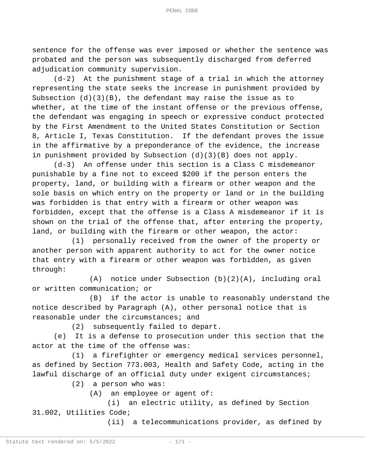sentence for the offense was ever imposed or whether the sentence was probated and the person was subsequently discharged from deferred adjudication community supervision.

(d-2) At the punishment stage of a trial in which the attorney representing the state seeks the increase in punishment provided by Subsection  $(d)(3)(B)$ , the defendant may raise the issue as to whether, at the time of the instant offense or the previous offense, the defendant was engaging in speech or expressive conduct protected by the First Amendment to the United States Constitution or Section 8, Article I, Texas Constitution. If the defendant proves the issue in the affirmative by a preponderance of the evidence, the increase in punishment provided by Subsection  $(d)(3)(B)$  does not apply.

(d-3) An offense under this section is a Class C misdemeanor punishable by a fine not to exceed \$200 if the person enters the property, land, or building with a firearm or other weapon and the sole basis on which entry on the property or land or in the building was forbidden is that entry with a firearm or other weapon was forbidden, except that the offense is a Class A misdemeanor if it is shown on the trial of the offense that, after entering the property, land, or building with the firearm or other weapon, the actor:

(1) personally received from the owner of the property or another person with apparent authority to act for the owner notice that entry with a firearm or other weapon was forbidden, as given through:

 $(A)$  notice under Subsection  $(b)(2)(A)$ , including oral or written communication; or

(B) if the actor is unable to reasonably understand the notice described by Paragraph (A), other personal notice that is reasonable under the circumstances; and

(2) subsequently failed to depart.

(e) It is a defense to prosecution under this section that the actor at the time of the offense was:

(1) a firefighter or emergency medical services personnel, as defined by Section 773.003, Health and Safety Code, acting in the lawful discharge of an official duty under exigent circumstances;

(2) a person who was:

(A) an employee or agent of:

(i) an electric utility, as defined by Section 31.002, Utilities Code;

(ii) a telecommunications provider, as defined by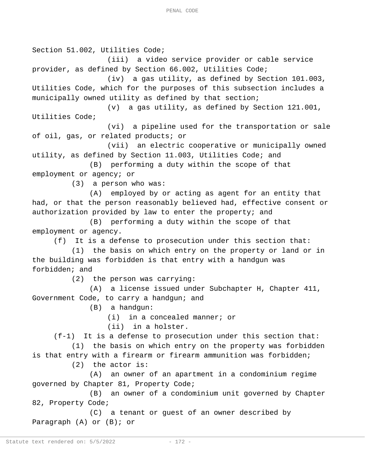Section 51.002, Utilities Code; (iii) a video service provider or cable service provider, as defined by Section 66.002, Utilities Code; (iv) a gas utility, as defined by Section 101.003, Utilities Code, which for the purposes of this subsection includes a municipally owned utility as defined by that section; (v) a gas utility, as defined by Section 121.001, Utilities Code; (vi) a pipeline used for the transportation or sale of oil, gas, or related products; or (vii) an electric cooperative or municipally owned utility, as defined by Section 11.003, Utilities Code; and (B) performing a duty within the scope of that employment or agency; or (3) a person who was: (A) employed by or acting as agent for an entity that had, or that the person reasonably believed had, effective consent or authorization provided by law to enter the property; and (B) performing a duty within the scope of that employment or agency. (f) It is a defense to prosecution under this section that: (1) the basis on which entry on the property or land or in the building was forbidden is that entry with a handgun was forbidden; and (2) the person was carrying: (A) a license issued under Subchapter H, Chapter 411, Government Code, to carry a handgun; and (B) a handgun: (i) in a concealed manner; or (ii) in a holster. (f-1) It is a defense to prosecution under this section that: (1) the basis on which entry on the property was forbidden is that entry with a firearm or firearm ammunition was forbidden; (2) the actor is: (A) an owner of an apartment in a condominium regime governed by Chapter 81, Property Code; (B) an owner of a condominium unit governed by Chapter 82, Property Code; (C) a tenant or guest of an owner described by Paragraph (A) or (B); or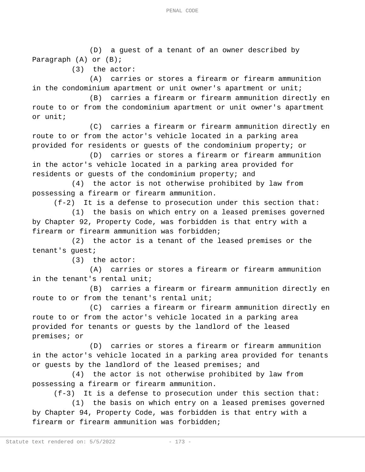(D) a guest of a tenant of an owner described by Paragraph (A) or (B);

(3) the actor:

(A) carries or stores a firearm or firearm ammunition in the condominium apartment or unit owner's apartment or unit;

(B) carries a firearm or firearm ammunition directly en route to or from the condominium apartment or unit owner's apartment or unit;

(C) carries a firearm or firearm ammunition directly en route to or from the actor's vehicle located in a parking area provided for residents or guests of the condominium property; or

(D) carries or stores a firearm or firearm ammunition in the actor's vehicle located in a parking area provided for residents or guests of the condominium property; and

(4) the actor is not otherwise prohibited by law from possessing a firearm or firearm ammunition.

(f-2) It is a defense to prosecution under this section that:

(1) the basis on which entry on a leased premises governed by Chapter 92, Property Code, was forbidden is that entry with a firearm or firearm ammunition was forbidden;

(2) the actor is a tenant of the leased premises or the tenant's guest;

(3) the actor:

(A) carries or stores a firearm or firearm ammunition in the tenant's rental unit;

(B) carries a firearm or firearm ammunition directly en route to or from the tenant's rental unit;

(C) carries a firearm or firearm ammunition directly en route to or from the actor's vehicle located in a parking area provided for tenants or guests by the landlord of the leased premises; or

(D) carries or stores a firearm or firearm ammunition in the actor's vehicle located in a parking area provided for tenants or guests by the landlord of the leased premises; and

(4) the actor is not otherwise prohibited by law from possessing a firearm or firearm ammunition.

(f-3) It is a defense to prosecution under this section that:

(1) the basis on which entry on a leased premises governed by Chapter 94, Property Code, was forbidden is that entry with a firearm or firearm ammunition was forbidden;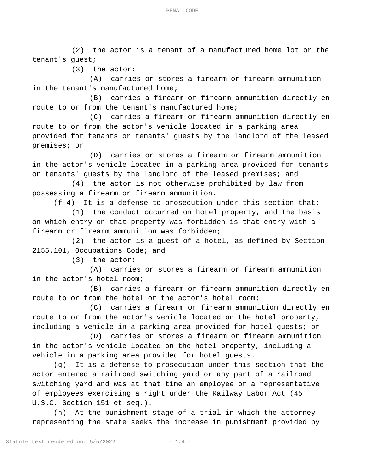(2) the actor is a tenant of a manufactured home lot or the tenant's guest;

(3) the actor:

(A) carries or stores a firearm or firearm ammunition in the tenant's manufactured home;

(B) carries a firearm or firearm ammunition directly en route to or from the tenant's manufactured home;

(C) carries a firearm or firearm ammunition directly en route to or from the actor's vehicle located in a parking area provided for tenants or tenants' guests by the landlord of the leased premises; or

(D) carries or stores a firearm or firearm ammunition in the actor's vehicle located in a parking area provided for tenants or tenants' guests by the landlord of the leased premises; and

(4) the actor is not otherwise prohibited by law from possessing a firearm or firearm ammunition.

(f-4) It is a defense to prosecution under this section that:

(1) the conduct occurred on hotel property, and the basis on which entry on that property was forbidden is that entry with a firearm or firearm ammunition was forbidden;

(2) the actor is a guest of a hotel, as defined by Section 2155.101, Occupations Code; and

(3) the actor:

(A) carries or stores a firearm or firearm ammunition in the actor's hotel room;

(B) carries a firearm or firearm ammunition directly en route to or from the hotel or the actor's hotel room;

(C) carries a firearm or firearm ammunition directly en route to or from the actor's vehicle located on the hotel property, including a vehicle in a parking area provided for hotel guests; or

(D) carries or stores a firearm or firearm ammunition in the actor's vehicle located on the hotel property, including a vehicle in a parking area provided for hotel guests.

(g) It is a defense to prosecution under this section that the actor entered a railroad switching yard or any part of a railroad switching yard and was at that time an employee or a representative of employees exercising a right under the Railway Labor Act (45 U.S.C. Section 151 et seq.).

(h) At the punishment stage of a trial in which the attorney representing the state seeks the increase in punishment provided by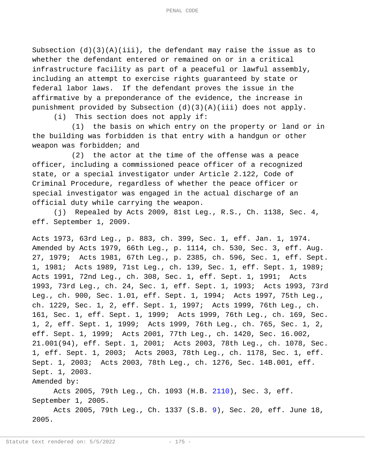Subsection  $(d)(3)(A)(iii)$ , the defendant may raise the issue as to whether the defendant entered or remained on or in a critical infrastructure facility as part of a peaceful or lawful assembly, including an attempt to exercise rights guaranteed by state or federal labor laws. If the defendant proves the issue in the affirmative by a preponderance of the evidence, the increase in punishment provided by Subsection (d)(3)(A)(iii) does not apply.

(i) This section does not apply if:

(1) the basis on which entry on the property or land or in the building was forbidden is that entry with a handgun or other weapon was forbidden; and

(2) the actor at the time of the offense was a peace officer, including a commissioned peace officer of a recognized state, or a special investigator under Article 2.122, Code of Criminal Procedure, regardless of whether the peace officer or special investigator was engaged in the actual discharge of an official duty while carrying the weapon.

(j) Repealed by Acts 2009, 81st Leg., R.S., Ch. 1138, Sec. 4, eff. September 1, 2009.

Acts 1973, 63rd Leg., p. 883, ch. 399, Sec. 1, eff. Jan. 1, 1974. Amended by Acts 1979, 66th Leg., p. 1114, ch. 530, Sec. 3, eff. Aug. 27, 1979; Acts 1981, 67th Leg., p. 2385, ch. 596, Sec. 1, eff. Sept. 1, 1981; Acts 1989, 71st Leg., ch. 139, Sec. 1, eff. Sept. 1, 1989; Acts 1991, 72nd Leg., ch. 308, Sec. 1, eff. Sept. 1, 1991; Acts 1993, 73rd Leg., ch. 24, Sec. 1, eff. Sept. 1, 1993; Acts 1993, 73rd Leg., ch. 900, Sec. 1.01, eff. Sept. 1, 1994; Acts 1997, 75th Leg., ch. 1229, Sec. 1, 2, eff. Sept. 1, 1997; Acts 1999, 76th Leg., ch. 161, Sec. 1, eff. Sept. 1, 1999; Acts 1999, 76th Leg., ch. 169, Sec. 1, 2, eff. Sept. 1, 1999; Acts 1999, 76th Leg., ch. 765, Sec. 1, 2, eff. Sept. 1, 1999; Acts 2001, 77th Leg., ch. 1420, Sec. 16.002, 21.001(94), eff. Sept. 1, 2001; Acts 2003, 78th Leg., ch. 1078, Sec. 1, eff. Sept. 1, 2003; Acts 2003, 78th Leg., ch. 1178, Sec. 1, eff. Sept. 1, 2003; Acts 2003, 78th Leg., ch. 1276, Sec. 14B.001, eff. Sept. 1, 2003.

Amended by:

Acts 2005, 79th Leg., Ch. 1093 (H.B. [2110](http://www.legis.state.tx.us/tlodocs/79R/billtext/html/HB02110F.HTM)), Sec. 3, eff. September 1, 2005.

Acts 2005, 79th Leg., Ch. 1337 (S.B. [9\)](http://www.legis.state.tx.us/tlodocs/79R/billtext/html/SB00009F.HTM), Sec. 20, eff. June 18, 2005.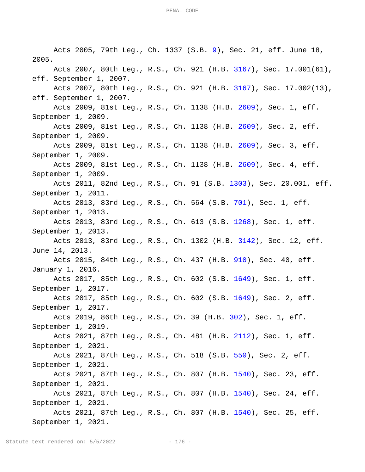Acts 2005, 79th Leg., Ch. 1337 (S.B. [9\)](http://www.legis.state.tx.us/tlodocs/79R/billtext/html/SB00009F.HTM), Sec. 21, eff. June 18, 2005. Acts 2007, 80th Leg., R.S., Ch. 921 (H.B. [3167](http://www.legis.state.tx.us/tlodocs/80R/billtext/html/HB03167F.HTM)), Sec. 17.001(61), eff. September 1, 2007. Acts 2007, 80th Leg., R.S., Ch. 921 (H.B. [3167](http://www.legis.state.tx.us/tlodocs/80R/billtext/html/HB03167F.HTM)), Sec. 17.002(13), eff. September 1, 2007. Acts 2009, 81st Leg., R.S., Ch. 1138 (H.B. [2609](http://www.legis.state.tx.us/tlodocs/81R/billtext/html/HB02609F.HTM)), Sec. 1, eff. September 1, 2009. Acts 2009, 81st Leg., R.S., Ch. 1138 (H.B. [2609](http://www.legis.state.tx.us/tlodocs/81R/billtext/html/HB02609F.HTM)), Sec. 2, eff. September 1, 2009. Acts 2009, 81st Leg., R.S., Ch. 1138 (H.B. [2609](http://www.legis.state.tx.us/tlodocs/81R/billtext/html/HB02609F.HTM)), Sec. 3, eff. September 1, 2009. Acts 2009, 81st Leg., R.S., Ch. 1138 (H.B. [2609](http://www.legis.state.tx.us/tlodocs/81R/billtext/html/HB02609F.HTM)), Sec. 4, eff. September 1, 2009. Acts 2011, 82nd Leg., R.S., Ch. 91 (S.B. [1303\)](http://www.legis.state.tx.us/tlodocs/82R/billtext/html/SB01303F.HTM), Sec. 20.001, eff. September 1, 2011. Acts 2013, 83rd Leg., R.S., Ch. 564 (S.B. [701](http://www.legis.state.tx.us/tlodocs/83R/billtext/html/SB00701F.HTM)), Sec. 1, eff. September 1, 2013. Acts 2013, 83rd Leg., R.S., Ch. 613 (S.B. [1268](http://www.legis.state.tx.us/tlodocs/83R/billtext/html/SB01268F.HTM)), Sec. 1, eff. September 1, 2013. Acts 2013, 83rd Leg., R.S., Ch. 1302 (H.B. [3142](http://www.legis.state.tx.us/tlodocs/83R/billtext/html/HB03142F.HTM)), Sec. 12, eff. June 14, 2013. Acts 2015, 84th Leg., R.S., Ch. 437 (H.B. [910](http://www.legis.state.tx.us/tlodocs/84R/billtext/html/HB00910F.HTM)), Sec. 40, eff. January 1, 2016. Acts 2017, 85th Leg., R.S., Ch. 602 (S.B. [1649](http://www.legis.state.tx.us/tlodocs/85R/billtext/html/SB01649F.HTM)), Sec. 1, eff. September 1, 2017. Acts 2017, 85th Leg., R.S., Ch. 602 (S.B. [1649](http://www.legis.state.tx.us/tlodocs/85R/billtext/html/SB01649F.HTM)), Sec. 2, eff. September 1, 2017. Acts 2019, 86th Leg., R.S., Ch. 39 (H.B. [302\)](http://www.legis.state.tx.us/tlodocs/86R/billtext/html/HB00302F.HTM), Sec. 1, eff. September 1, 2019. Acts 2021, 87th Leg., R.S., Ch. 481 (H.B. [2112](http://www.legis.state.tx.us/tlodocs/87R/billtext/html/HB02112F.HTM)), Sec. 1, eff. September 1, 2021. Acts 2021, 87th Leg., R.S., Ch. 518 (S.B. [550](http://www.legis.state.tx.us/tlodocs/87R/billtext/html/SB00550F.HTM)), Sec. 2, eff. September 1, 2021. Acts 2021, 87th Leg., R.S., Ch. 807 (H.B. [1540](http://www.legis.state.tx.us/tlodocs/87R/billtext/html/HB01540F.HTM)), Sec. 23, eff. September 1, 2021. Acts 2021, 87th Leg., R.S., Ch. 807 (H.B. [1540](http://www.legis.state.tx.us/tlodocs/87R/billtext/html/HB01540F.HTM)), Sec. 24, eff. September 1, 2021. Acts 2021, 87th Leg., R.S., Ch. 807 (H.B. [1540](http://www.legis.state.tx.us/tlodocs/87R/billtext/html/HB01540F.HTM)), Sec. 25, eff. September 1, 2021.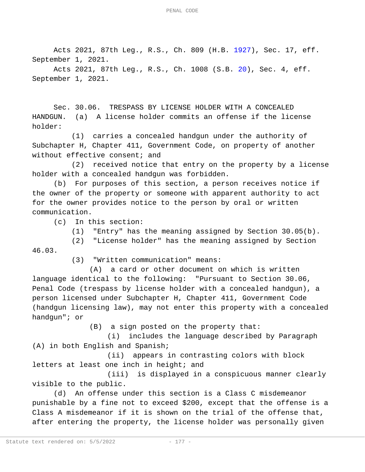Acts 2021, 87th Leg., R.S., Ch. 809 (H.B. [1927](http://www.legis.state.tx.us/tlodocs/87R/billtext/html/HB01927F.HTM)), Sec. 17, eff. September 1, 2021.

Acts 2021, 87th Leg., R.S., Ch. 1008 (S.B. [20](http://www.legis.state.tx.us/tlodocs/87R/billtext/html/SB00020F.HTM)), Sec. 4, eff. September 1, 2021.

Sec. 30.06. TRESPASS BY LICENSE HOLDER WITH A CONCEALED HANDGUN. (a) A license holder commits an offense if the license holder:

(1) carries a concealed handgun under the authority of Subchapter H, Chapter 411, Government Code, on property of another without effective consent; and

(2) received notice that entry on the property by a license holder with a concealed handgun was forbidden.

(b) For purposes of this section, a person receives notice if the owner of the property or someone with apparent authority to act for the owner provides notice to the person by oral or written communication.

(c) In this section:

(1) "Entry" has the meaning assigned by Section 30.05(b).

(2) "License holder" has the meaning assigned by Section 46.03.

(3) "Written communication" means:

(A) a card or other document on which is written language identical to the following: "Pursuant to Section 30.06, Penal Code (trespass by license holder with a concealed handgun), a person licensed under Subchapter H, Chapter 411, Government Code (handgun licensing law), may not enter this property with a concealed handgun"; or

(B) a sign posted on the property that:

(i) includes the language described by Paragraph (A) in both English and Spanish;

(ii) appears in contrasting colors with block letters at least one inch in height; and

(iii) is displayed in a conspicuous manner clearly visible to the public.

(d) An offense under this section is a Class C misdemeanor punishable by a fine not to exceed \$200, except that the offense is a Class A misdemeanor if it is shown on the trial of the offense that, after entering the property, the license holder was personally given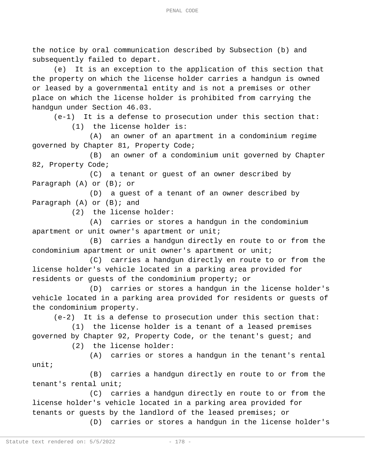the notice by oral communication described by Subsection (b) and subsequently failed to depart.

(e) It is an exception to the application of this section that the property on which the license holder carries a handgun is owned or leased by a governmental entity and is not a premises or other place on which the license holder is prohibited from carrying the handgun under Section 46.03.

(e-1) It is a defense to prosecution under this section that: (1) the license holder is:

(A) an owner of an apartment in a condominium regime governed by Chapter 81, Property Code;

(B) an owner of a condominium unit governed by Chapter 82, Property Code;

(C) a tenant or guest of an owner described by Paragraph (A) or  $(B)$ ; or

(D) a guest of a tenant of an owner described by Paragraph (A) or (B); and

(2) the license holder:

(A) carries or stores a handgun in the condominium apartment or unit owner's apartment or unit;

(B) carries a handgun directly en route to or from the condominium apartment or unit owner's apartment or unit;

(C) carries a handgun directly en route to or from the license holder's vehicle located in a parking area provided for residents or guests of the condominium property; or

(D) carries or stores a handgun in the license holder's vehicle located in a parking area provided for residents or guests of the condominium property.

(e-2) It is a defense to prosecution under this section that:

(1) the license holder is a tenant of a leased premises governed by Chapter 92, Property Code, or the tenant's guest; and

(2) the license holder:

(A) carries or stores a handgun in the tenant's rental unit;

(B) carries a handgun directly en route to or from the tenant's rental unit;

(C) carries a handgun directly en route to or from the license holder's vehicle located in a parking area provided for tenants or guests by the landlord of the leased premises; or

(D) carries or stores a handgun in the license holder's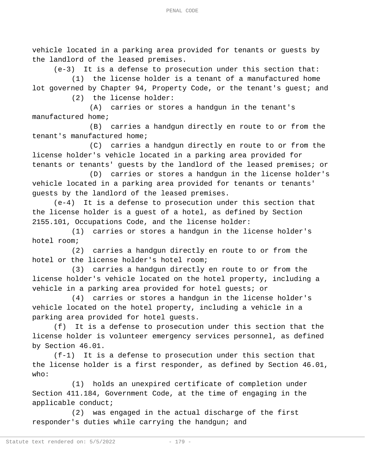vehicle located in a parking area provided for tenants or guests by the landlord of the leased premises.

(e-3) It is a defense to prosecution under this section that:

(1) the license holder is a tenant of a manufactured home lot governed by Chapter 94, Property Code, or the tenant's guest; and

(2) the license holder:

(A) carries or stores a handgun in the tenant's manufactured home;

(B) carries a handgun directly en route to or from the tenant's manufactured home;

(C) carries a handgun directly en route to or from the license holder's vehicle located in a parking area provided for tenants or tenants' guests by the landlord of the leased premises; or

(D) carries or stores a handgun in the license holder's vehicle located in a parking area provided for tenants or tenants' guests by the landlord of the leased premises.

(e-4) It is a defense to prosecution under this section that the license holder is a guest of a hotel, as defined by Section 2155.101, Occupations Code, and the license holder:

(1) carries or stores a handgun in the license holder's hotel room;

(2) carries a handgun directly en route to or from the hotel or the license holder's hotel room;

(3) carries a handgun directly en route to or from the license holder's vehicle located on the hotel property, including a vehicle in a parking area provided for hotel guests; or

(4) carries or stores a handgun in the license holder's vehicle located on the hotel property, including a vehicle in a parking area provided for hotel guests.

(f) It is a defense to prosecution under this section that the license holder is volunteer emergency services personnel, as defined by Section 46.01.

(f-1) It is a defense to prosecution under this section that the license holder is a first responder, as defined by Section 46.01, who:

(1) holds an unexpired certificate of completion under Section 411.184, Government Code, at the time of engaging in the applicable conduct;

(2) was engaged in the actual discharge of the first responder's duties while carrying the handgun; and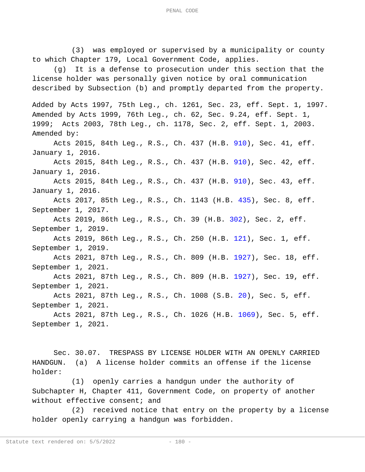(3) was employed or supervised by a municipality or county

to which Chapter 179, Local Government Code, applies. (g) It is a defense to prosecution under this section that the license holder was personally given notice by oral communication described by Subsection (b) and promptly departed from the property. Added by Acts 1997, 75th Leg., ch. 1261, Sec. 23, eff. Sept. 1, 1997. Amended by Acts 1999, 76th Leg., ch. 62, Sec. 9.24, eff. Sept. 1, 1999; Acts 2003, 78th Leg., ch. 1178, Sec. 2, eff. Sept. 1, 2003. Amended by: Acts 2015, 84th Leg., R.S., Ch. 437 (H.B. [910](http://www.legis.state.tx.us/tlodocs/84R/billtext/html/HB00910F.HTM)), Sec. 41, eff. January 1, 2016. Acts 2015, 84th Leg., R.S., Ch. 437 (H.B. [910](http://www.legis.state.tx.us/tlodocs/84R/billtext/html/HB00910F.HTM)), Sec. 42, eff. January 1, 2016. Acts 2015, 84th Leg., R.S., Ch. 437 (H.B. [910](http://www.legis.state.tx.us/tlodocs/84R/billtext/html/HB00910F.HTM)), Sec. 43, eff. January 1, 2016. Acts 2017, 85th Leg., R.S., Ch. 1143 (H.B. [435](http://www.legis.state.tx.us/tlodocs/85R/billtext/html/HB00435F.HTM)), Sec. 8, eff. September 1, 2017. Acts 2019, 86th Leg., R.S., Ch. 39 (H.B. [302\)](http://www.legis.state.tx.us/tlodocs/86R/billtext/html/HB00302F.HTM), Sec. 2, eff. September 1, 2019. Acts 2019, 86th Leg., R.S., Ch. 250 (H.B. [121](http://www.legis.state.tx.us/tlodocs/86R/billtext/html/HB00121F.HTM)), Sec. 1, eff. September 1, 2019. Acts 2021, 87th Leg., R.S., Ch. 809 (H.B. [1927](http://www.legis.state.tx.us/tlodocs/87R/billtext/html/HB01927F.HTM)), Sec. 18, eff. September 1, 2021. Acts 2021, 87th Leg., R.S., Ch. 809 (H.B. [1927](http://www.legis.state.tx.us/tlodocs/87R/billtext/html/HB01927F.HTM)), Sec. 19, eff. September 1, 2021. Acts 2021, 87th Leg., R.S., Ch. 1008 (S.B. [20](http://www.legis.state.tx.us/tlodocs/87R/billtext/html/SB00020F.HTM)), Sec. 5, eff. September 1, 2021. Acts 2021, 87th Leg., R.S., Ch. 1026 (H.B. [1069](http://www.legis.state.tx.us/tlodocs/87R/billtext/html/HB01069F.HTM)), Sec. 5, eff. September 1, 2021.

Sec. 30.07. TRESPASS BY LICENSE HOLDER WITH AN OPENLY CARRIED HANDGUN. (a) A license holder commits an offense if the license holder:

(1) openly carries a handgun under the authority of Subchapter H, Chapter 411, Government Code, on property of another without effective consent; and

(2) received notice that entry on the property by a license holder openly carrying a handgun was forbidden.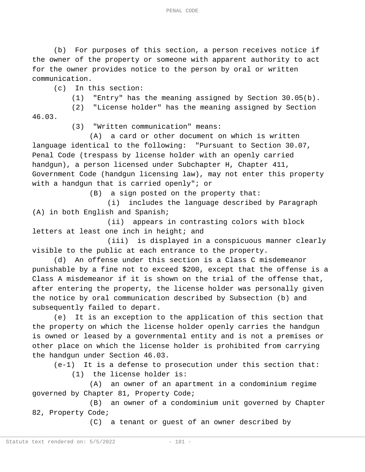(b) For purposes of this section, a person receives notice if the owner of the property or someone with apparent authority to act for the owner provides notice to the person by oral or written communication.

(c) In this section:

- (1) "Entry" has the meaning assigned by Section 30.05(b).
- (2) "License holder" has the meaning assigned by Section

46.03.

(3) "Written communication" means:

(A) a card or other document on which is written language identical to the following: "Pursuant to Section 30.07, Penal Code (trespass by license holder with an openly carried handgun), a person licensed under Subchapter H, Chapter 411, Government Code (handgun licensing law), may not enter this property with a handgun that is carried openly"; or

(B) a sign posted on the property that:

(i) includes the language described by Paragraph (A) in both English and Spanish;

(ii) appears in contrasting colors with block letters at least one inch in height; and

(iii) is displayed in a conspicuous manner clearly visible to the public at each entrance to the property.

(d) An offense under this section is a Class C misdemeanor punishable by a fine not to exceed \$200, except that the offense is a Class A misdemeanor if it is shown on the trial of the offense that, after entering the property, the license holder was personally given the notice by oral communication described by Subsection (b) and subsequently failed to depart.

(e) It is an exception to the application of this section that the property on which the license holder openly carries the handgun is owned or leased by a governmental entity and is not a premises or other place on which the license holder is prohibited from carrying the handgun under Section 46.03.

(e-1) It is a defense to prosecution under this section that:

(1) the license holder is:

(A) an owner of an apartment in a condominium regime governed by Chapter 81, Property Code;

(B) an owner of a condominium unit governed by Chapter 82, Property Code;

(C) a tenant or guest of an owner described by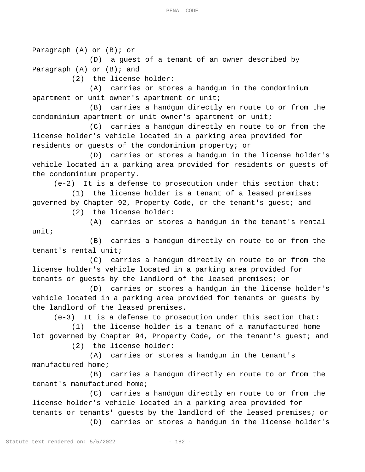Paragraph (A) or (B); or (D) a guest of a tenant of an owner described by Paragraph  $(A)$  or  $(B)$ ; and

(2) the license holder:

(A) carries or stores a handgun in the condominium apartment or unit owner's apartment or unit;

(B) carries a handgun directly en route to or from the condominium apartment or unit owner's apartment or unit;

(C) carries a handgun directly en route to or from the license holder's vehicle located in a parking area provided for residents or guests of the condominium property; or

(D) carries or stores a handgun in the license holder's vehicle located in a parking area provided for residents or guests of the condominium property.

(e-2) It is a defense to prosecution under this section that:

(1) the license holder is a tenant of a leased premises governed by Chapter 92, Property Code, or the tenant's guest; and

(2) the license holder:

(A) carries or stores a handgun in the tenant's rental unit;

(B) carries a handgun directly en route to or from the tenant's rental unit;

(C) carries a handgun directly en route to or from the license holder's vehicle located in a parking area provided for tenants or guests by the landlord of the leased premises; or

(D) carries or stores a handgun in the license holder's vehicle located in a parking area provided for tenants or guests by the landlord of the leased premises.

(e-3) It is a defense to prosecution under this section that:

(1) the license holder is a tenant of a manufactured home lot governed by Chapter 94, Property Code, or the tenant's guest; and

(2) the license holder:

(A) carries or stores a handgun in the tenant's manufactured home;

(B) carries a handgun directly en route to or from the tenant's manufactured home;

(C) carries a handgun directly en route to or from the license holder's vehicle located in a parking area provided for tenants or tenants' guests by the landlord of the leased premises; or (D) carries or stores a handgun in the license holder's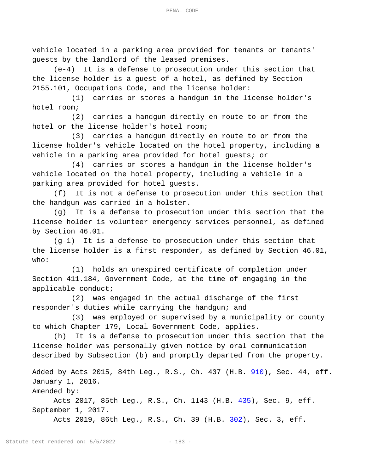vehicle located in a parking area provided for tenants or tenants' guests by the landlord of the leased premises.

(e-4) It is a defense to prosecution under this section that the license holder is a guest of a hotel, as defined by Section 2155.101, Occupations Code, and the license holder:

(1) carries or stores a handgun in the license holder's hotel room;

(2) carries a handgun directly en route to or from the hotel or the license holder's hotel room;

(3) carries a handgun directly en route to or from the license holder's vehicle located on the hotel property, including a vehicle in a parking area provided for hotel guests; or

(4) carries or stores a handgun in the license holder's vehicle located on the hotel property, including a vehicle in a parking area provided for hotel guests.

(f) It is not a defense to prosecution under this section that the handgun was carried in a holster.

(g) It is a defense to prosecution under this section that the license holder is volunteer emergency services personnel, as defined by Section 46.01.

 $(q-1)$  It is a defense to prosecution under this section that the license holder is a first responder, as defined by Section 46.01, who:

(1) holds an unexpired certificate of completion under Section 411.184, Government Code, at the time of engaging in the applicable conduct;

(2) was engaged in the actual discharge of the first responder's duties while carrying the handgun; and

(3) was employed or supervised by a municipality or county to which Chapter 179, Local Government Code, applies.

(h) It is a defense to prosecution under this section that the license holder was personally given notice by oral communication described by Subsection (b) and promptly departed from the property.

Added by Acts 2015, 84th Leg., R.S., Ch. 437 (H.B. [910\)](http://www.legis.state.tx.us/tlodocs/84R/billtext/html/HB00910F.HTM), Sec. 44, eff. January 1, 2016.

Amended by:

Acts 2017, 85th Leg., R.S., Ch. 1143 (H.B. [435](http://www.legis.state.tx.us/tlodocs/85R/billtext/html/HB00435F.HTM)), Sec. 9, eff. September 1, 2017.

Acts 2019, 86th Leg., R.S., Ch. 39 (H.B. [302\)](http://www.legis.state.tx.us/tlodocs/86R/billtext/html/HB00302F.HTM), Sec. 3, eff.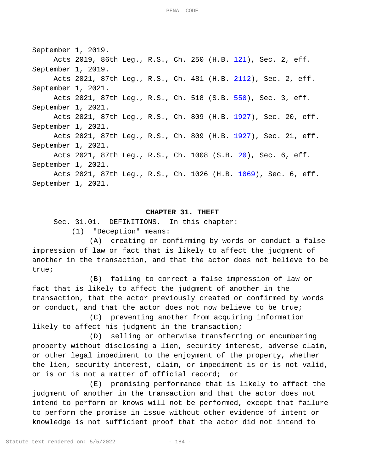September 1, 2019. Acts 2019, 86th Leg., R.S., Ch. 250 (H.B. [121](http://www.legis.state.tx.us/tlodocs/86R/billtext/html/HB00121F.HTM)), Sec. 2, eff. September 1, 2019. Acts 2021, 87th Leg., R.S., Ch. 481 (H.B. [2112](http://www.legis.state.tx.us/tlodocs/87R/billtext/html/HB02112F.HTM)), Sec. 2, eff. September 1, 2021. Acts 2021, 87th Leg., R.S., Ch. 518 (S.B. [550](http://www.legis.state.tx.us/tlodocs/87R/billtext/html/SB00550F.HTM)), Sec. 3, eff. September 1, 2021. Acts 2021, 87th Leg., R.S., Ch. 809 (H.B. [1927](http://www.legis.state.tx.us/tlodocs/87R/billtext/html/HB01927F.HTM)), Sec. 20, eff. September 1, 2021. Acts 2021, 87th Leg., R.S., Ch. 809 (H.B. [1927](http://www.legis.state.tx.us/tlodocs/87R/billtext/html/HB01927F.HTM)), Sec. 21, eff. September 1, 2021. Acts [20](http://www.legis.state.tx.us/tlodocs/87R/billtext/html/SB00020F.HTM)21, 87th Leg., R.S., Ch. 1008 (S.B. 20), Sec. 6, eff. September 1, 2021. Acts 2021, 87th Leg., R.S., Ch. 1026 (H.B. [1069](http://www.legis.state.tx.us/tlodocs/87R/billtext/html/HB01069F.HTM)), Sec. 6, eff. September 1, 2021.

## **CHAPTER 31. THEFT**

Sec. 31.01. DEFINITIONS. In this chapter:

(1) "Deception" means:

(A) creating or confirming by words or conduct a false impression of law or fact that is likely to affect the judgment of another in the transaction, and that the actor does not believe to be true;

(B) failing to correct a false impression of law or fact that is likely to affect the judgment of another in the transaction, that the actor previously created or confirmed by words or conduct, and that the actor does not now believe to be true;

(C) preventing another from acquiring information likely to affect his judgment in the transaction;

(D) selling or otherwise transferring or encumbering property without disclosing a lien, security interest, adverse claim, or other legal impediment to the enjoyment of the property, whether the lien, security interest, claim, or impediment is or is not valid, or is or is not a matter of official record; or

(E) promising performance that is likely to affect the judgment of another in the transaction and that the actor does not intend to perform or knows will not be performed, except that failure to perform the promise in issue without other evidence of intent or knowledge is not sufficient proof that the actor did not intend to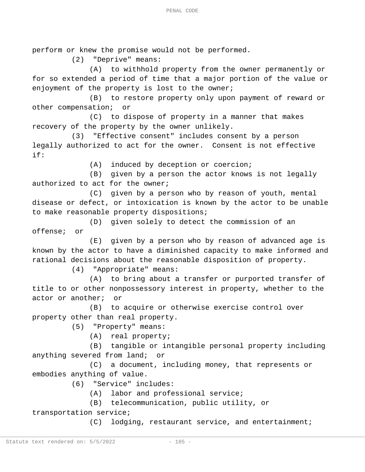perform or knew the promise would not be performed.

(2) "Deprive" means:

(A) to withhold property from the owner permanently or for so extended a period of time that a major portion of the value or enjoyment of the property is lost to the owner;

(B) to restore property only upon payment of reward or other compensation; or

(C) to dispose of property in a manner that makes recovery of the property by the owner unlikely.

(3) "Effective consent" includes consent by a person legally authorized to act for the owner. Consent is not effective if:

(A) induced by deception or coercion;

(B) given by a person the actor knows is not legally authorized to act for the owner;

(C) given by a person who by reason of youth, mental disease or defect, or intoxication is known by the actor to be unable to make reasonable property dispositions;

(D) given solely to detect the commission of an offense; or

(E) given by a person who by reason of advanced age is known by the actor to have a diminished capacity to make informed and rational decisions about the reasonable disposition of property.

(4) "Appropriate" means:

(A) to bring about a transfer or purported transfer of title to or other nonpossessory interest in property, whether to the actor or another; or

(B) to acquire or otherwise exercise control over property other than real property.

(5) "Property" means:

(A) real property;

(B) tangible or intangible personal property including anything severed from land; or

(C) a document, including money, that represents or embodies anything of value.

(6) "Service" includes:

(A) labor and professional service;

(B) telecommunication, public utility, or

transportation service;

(C) lodging, restaurant service, and entertainment;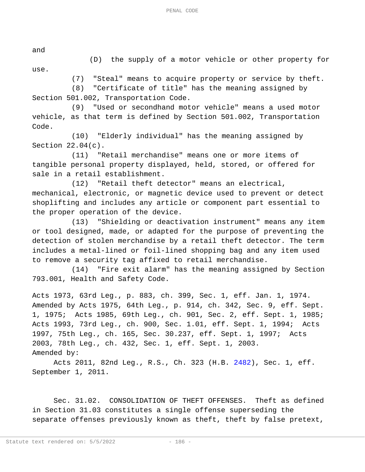and

(D) the supply of a motor vehicle or other property for

use.

(7) "Steal" means to acquire property or service by theft.

(8) "Certificate of title" has the meaning assigned by Section 501.002, Transportation Code.

(9) "Used or secondhand motor vehicle" means a used motor vehicle, as that term is defined by Section 501.002, Transportation Code.

(10) "Elderly individual" has the meaning assigned by Section 22.04(c).

(11) "Retail merchandise" means one or more items of tangible personal property displayed, held, stored, or offered for sale in a retail establishment.

(12) "Retail theft detector" means an electrical, mechanical, electronic, or magnetic device used to prevent or detect shoplifting and includes any article or component part essential to the proper operation of the device.

(13) "Shielding or deactivation instrument" means any item or tool designed, made, or adapted for the purpose of preventing the detection of stolen merchandise by a retail theft detector. The term includes a metal-lined or foil-lined shopping bag and any item used to remove a security tag affixed to retail merchandise.

(14) "Fire exit alarm" has the meaning assigned by Section 793.001, Health and Safety Code.

Acts 1973, 63rd Leg., p. 883, ch. 399, Sec. 1, eff. Jan. 1, 1974. Amended by Acts 1975, 64th Leg., p. 914, ch. 342, Sec. 9, eff. Sept. 1, 1975; Acts 1985, 69th Leg., ch. 901, Sec. 2, eff. Sept. 1, 1985; Acts 1993, 73rd Leg., ch. 900, Sec. 1.01, eff. Sept. 1, 1994; Acts 1997, 75th Leg., ch. 165, Sec. 30.237, eff. Sept. 1, 1997; Acts 2003, 78th Leg., ch. 432, Sec. 1, eff. Sept. 1, 2003. Amended by:

Acts 2011, 82nd Leg., R.S., Ch. 323 (H.B. [2482](http://www.legis.state.tx.us/tlodocs/82R/billtext/html/HB02482F.HTM)), Sec. 1, eff. September 1, 2011.

Sec. 31.02. CONSOLIDATION OF THEFT OFFENSES. Theft as defined in Section 31.03 constitutes a single offense superseding the separate offenses previously known as theft, theft by false pretext,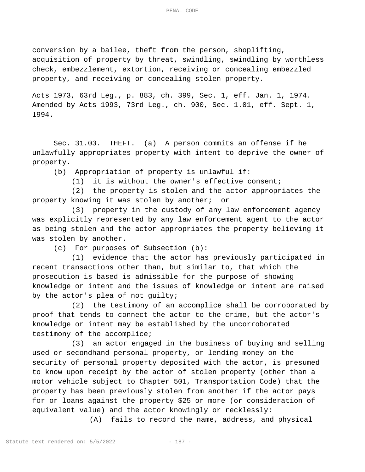conversion by a bailee, theft from the person, shoplifting, acquisition of property by threat, swindling, swindling by worthless check, embezzlement, extortion, receiving or concealing embezzled property, and receiving or concealing stolen property.

Acts 1973, 63rd Leg., p. 883, ch. 399, Sec. 1, eff. Jan. 1, 1974. Amended by Acts 1993, 73rd Leg., ch. 900, Sec. 1.01, eff. Sept. 1, 1994.

Sec. 31.03. THEFT. (a) A person commits an offense if he unlawfully appropriates property with intent to deprive the owner of property.

(b) Appropriation of property is unlawful if:

(1) it is without the owner's effective consent;

(2) the property is stolen and the actor appropriates the property knowing it was stolen by another; or

(3) property in the custody of any law enforcement agency was explicitly represented by any law enforcement agent to the actor as being stolen and the actor appropriates the property believing it was stolen by another.

(c) For purposes of Subsection (b):

(1) evidence that the actor has previously participated in recent transactions other than, but similar to, that which the prosecution is based is admissible for the purpose of showing knowledge or intent and the issues of knowledge or intent are raised by the actor's plea of not guilty;

(2) the testimony of an accomplice shall be corroborated by proof that tends to connect the actor to the crime, but the actor's knowledge or intent may be established by the uncorroborated testimony of the accomplice;

(3) an actor engaged in the business of buying and selling used or secondhand personal property, or lending money on the security of personal property deposited with the actor, is presumed to know upon receipt by the actor of stolen property (other than a motor vehicle subject to Chapter 501, Transportation Code) that the property has been previously stolen from another if the actor pays for or loans against the property \$25 or more (or consideration of equivalent value) and the actor knowingly or recklessly:

(A) fails to record the name, address, and physical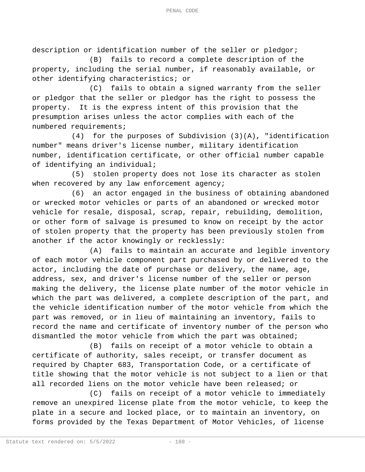description or identification number of the seller or pledgor;

(B) fails to record a complete description of the property, including the serial number, if reasonably available, or other identifying characteristics; or

(C) fails to obtain a signed warranty from the seller or pledgor that the seller or pledgor has the right to possess the property. It is the express intent of this provision that the presumption arises unless the actor complies with each of the numbered requirements;

(4) for the purposes of Subdivision (3)(A), "identification number" means driver's license number, military identification number, identification certificate, or other official number capable of identifying an individual;

(5) stolen property does not lose its character as stolen when recovered by any law enforcement agency;

(6) an actor engaged in the business of obtaining abandoned or wrecked motor vehicles or parts of an abandoned or wrecked motor vehicle for resale, disposal, scrap, repair, rebuilding, demolition, or other form of salvage is presumed to know on receipt by the actor of stolen property that the property has been previously stolen from another if the actor knowingly or recklessly:

(A) fails to maintain an accurate and legible inventory of each motor vehicle component part purchased by or delivered to the actor, including the date of purchase or delivery, the name, age, address, sex, and driver's license number of the seller or person making the delivery, the license plate number of the motor vehicle in which the part was delivered, a complete description of the part, and the vehicle identification number of the motor vehicle from which the part was removed, or in lieu of maintaining an inventory, fails to record the name and certificate of inventory number of the person who dismantled the motor vehicle from which the part was obtained;

(B) fails on receipt of a motor vehicle to obtain a certificate of authority, sales receipt, or transfer document as required by Chapter 683, Transportation Code, or a certificate of title showing that the motor vehicle is not subject to a lien or that all recorded liens on the motor vehicle have been released; or

(C) fails on receipt of a motor vehicle to immediately remove an unexpired license plate from the motor vehicle, to keep the plate in a secure and locked place, or to maintain an inventory, on forms provided by the Texas Department of Motor Vehicles, of license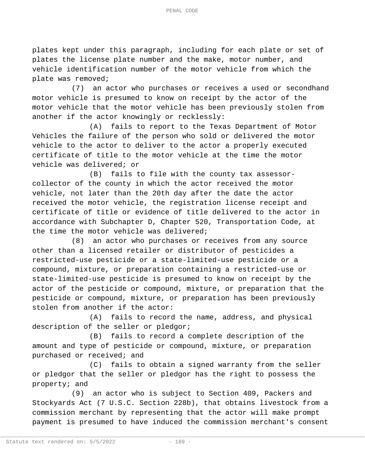plates kept under this paragraph, including for each plate or set of plates the license plate number and the make, motor number, and vehicle identification number of the motor vehicle from which the plate was removed;

(7) an actor who purchases or receives a used or secondhand motor vehicle is presumed to know on receipt by the actor of the motor vehicle that the motor vehicle has been previously stolen from another if the actor knowingly or recklessly:

(A) fails to report to the Texas Department of Motor Vehicles the failure of the person who sold or delivered the motor vehicle to the actor to deliver to the actor a properly executed certificate of title to the motor vehicle at the time the motor vehicle was delivered; or

(B) fails to file with the county tax assessorcollector of the county in which the actor received the motor vehicle, not later than the 20th day after the date the actor received the motor vehicle, the registration license receipt and certificate of title or evidence of title delivered to the actor in accordance with Subchapter D, Chapter 520, Transportation Code, at the time the motor vehicle was delivered;

(8) an actor who purchases or receives from any source other than a licensed retailer or distributor of pesticides a restricted-use pesticide or a state-limited-use pesticide or a compound, mixture, or preparation containing a restricted-use or state-limited-use pesticide is presumed to know on receipt by the actor of the pesticide or compound, mixture, or preparation that the pesticide or compound, mixture, or preparation has been previously stolen from another if the actor:

(A) fails to record the name, address, and physical description of the seller or pledgor;

(B) fails to record a complete description of the amount and type of pesticide or compound, mixture, or preparation purchased or received; and

(C) fails to obtain a signed warranty from the seller or pledgor that the seller or pledgor has the right to possess the property; and

(9) an actor who is subject to Section 409, Packers and Stockyards Act (7 U.S.C. Section 228b), that obtains livestock from a commission merchant by representing that the actor will make prompt payment is presumed to have induced the commission merchant's consent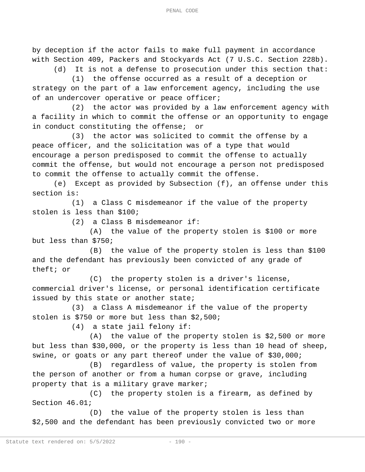by deception if the actor fails to make full payment in accordance with Section 409, Packers and Stockyards Act (7 U.S.C. Section 228b).

(d) It is not a defense to prosecution under this section that:

(1) the offense occurred as a result of a deception or strategy on the part of a law enforcement agency, including the use of an undercover operative or peace officer;

(2) the actor was provided by a law enforcement agency with a facility in which to commit the offense or an opportunity to engage in conduct constituting the offense; or

(3) the actor was solicited to commit the offense by a peace officer, and the solicitation was of a type that would encourage a person predisposed to commit the offense to actually commit the offense, but would not encourage a person not predisposed to commit the offense to actually commit the offense.

(e) Except as provided by Subsection (f), an offense under this section is:

(1) a Class C misdemeanor if the value of the property stolen is less than \$100;

(2) a Class B misdemeanor if:

(A) the value of the property stolen is \$100 or more but less than \$750;

(B) the value of the property stolen is less than \$100 and the defendant has previously been convicted of any grade of theft; or

(C) the property stolen is a driver's license, commercial driver's license, or personal identification certificate issued by this state or another state;

(3) a Class A misdemeanor if the value of the property stolen is \$750 or more but less than \$2,500;

(4) a state jail felony if:

(A) the value of the property stolen is \$2,500 or more but less than \$30,000, or the property is less than 10 head of sheep, swine, or goats or any part thereof under the value of \$30,000;

(B) regardless of value, the property is stolen from the person of another or from a human corpse or grave, including property that is a military grave marker;

(C) the property stolen is a firearm, as defined by Section 46.01;

(D) the value of the property stolen is less than \$2,500 and the defendant has been previously convicted two or more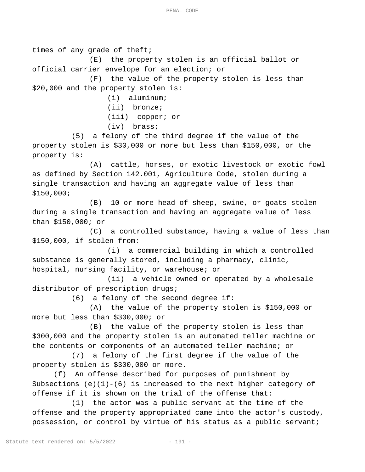times of any grade of theft;

(E) the property stolen is an official ballot or official carrier envelope for an election; or

(F) the value of the property stolen is less than \$20,000 and the property stolen is:

(i) aluminum;

(ii) bronze;

(iii) copper; or

(iv) brass;

(5) a felony of the third degree if the value of the property stolen is \$30,000 or more but less than \$150,000, or the property is:

(A) cattle, horses, or exotic livestock or exotic fowl as defined by Section 142.001, Agriculture Code, stolen during a single transaction and having an aggregate value of less than \$150,000;

(B) 10 or more head of sheep, swine, or goats stolen during a single transaction and having an aggregate value of less than \$150,000; or

(C) a controlled substance, having a value of less than \$150,000, if stolen from:

(i) a commercial building in which a controlled substance is generally stored, including a pharmacy, clinic, hospital, nursing facility, or warehouse; or

(ii) a vehicle owned or operated by a wholesale distributor of prescription drugs;

(6) a felony of the second degree if:

(A) the value of the property stolen is \$150,000 or more but less than \$300,000; or

(B) the value of the property stolen is less than \$300,000 and the property stolen is an automated teller machine or the contents or components of an automated teller machine; or

(7) a felony of the first degree if the value of the property stolen is \$300,000 or more.

(f) An offense described for purposes of punishment by Subsections  $(e)(1)-(6)$  is increased to the next higher category of offense if it is shown on the trial of the offense that:

(1) the actor was a public servant at the time of the offense and the property appropriated came into the actor's custody, possession, or control by virtue of his status as a public servant;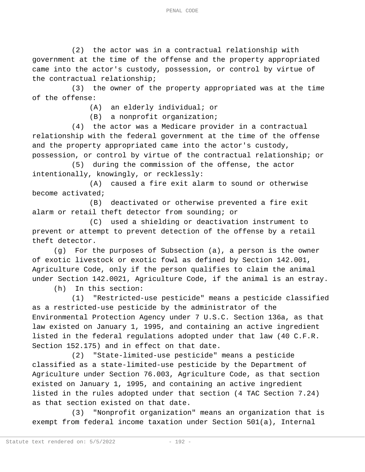(2) the actor was in a contractual relationship with government at the time of the offense and the property appropriated came into the actor's custody, possession, or control by virtue of the contractual relationship;

(3) the owner of the property appropriated was at the time of the offense:

(A) an elderly individual; or

(B) a nonprofit organization;

(4) the actor was a Medicare provider in a contractual relationship with the federal government at the time of the offense and the property appropriated came into the actor's custody, possession, or control by virtue of the contractual relationship; or

(5) during the commission of the offense, the actor intentionally, knowingly, or recklessly:

(A) caused a fire exit alarm to sound or otherwise become activated;

(B) deactivated or otherwise prevented a fire exit alarm or retail theft detector from sounding; or

(C) used a shielding or deactivation instrument to prevent or attempt to prevent detection of the offense by a retail theft detector.

(g) For the purposes of Subsection (a), a person is the owner of exotic livestock or exotic fowl as defined by Section 142.001, Agriculture Code, only if the person qualifies to claim the animal under Section 142.0021, Agriculture Code, if the animal is an estray.

(h) In this section:

(1) "Restricted-use pesticide" means a pesticide classified as a restricted-use pesticide by the administrator of the Environmental Protection Agency under 7 U.S.C. Section 136a, as that law existed on January 1, 1995, and containing an active ingredient listed in the federal regulations adopted under that law (40 C.F.R. Section 152.175) and in effect on that date.

(2) "State-limited-use pesticide" means a pesticide classified as a state-limited-use pesticide by the Department of Agriculture under Section 76.003, Agriculture Code, as that section existed on January 1, 1995, and containing an active ingredient listed in the rules adopted under that section (4 TAC Section 7.24) as that section existed on that date.

(3) "Nonprofit organization" means an organization that is exempt from federal income taxation under Section 501(a), Internal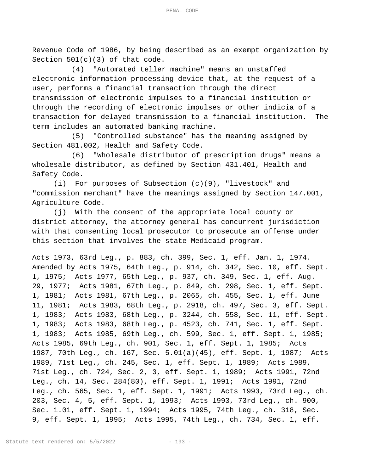Revenue Code of 1986, by being described as an exempt organization by Section  $501(c)(3)$  of that code.

(4) "Automated teller machine" means an unstaffed electronic information processing device that, at the request of a user, performs a financial transaction through the direct transmission of electronic impulses to a financial institution or through the recording of electronic impulses or other indicia of a transaction for delayed transmission to a financial institution. The term includes an automated banking machine.

(5) "Controlled substance" has the meaning assigned by Section 481.002, Health and Safety Code.

(6) "Wholesale distributor of prescription drugs" means a wholesale distributor, as defined by Section 431.401, Health and Safety Code.

(i) For purposes of Subsection (c)(9), "livestock" and "commission merchant" have the meanings assigned by Section 147.001, Agriculture Code.

(j) With the consent of the appropriate local county or district attorney, the attorney general has concurrent jurisdiction with that consenting local prosecutor to prosecute an offense under this section that involves the state Medicaid program.

Acts 1973, 63rd Leg., p. 883, ch. 399, Sec. 1, eff. Jan. 1, 1974. Amended by Acts 1975, 64th Leg., p. 914, ch. 342, Sec. 10, eff. Sept. 1, 1975; Acts 1977, 65th Leg., p. 937, ch. 349, Sec. 1, eff. Aug. 29, 1977; Acts 1981, 67th Leg., p. 849, ch. 298, Sec. 1, eff. Sept. 1, 1981; Acts 1981, 67th Leg., p. 2065, ch. 455, Sec. 1, eff. June 11, 1981; Acts 1983, 68th Leg., p. 2918, ch. 497, Sec. 3, eff. Sept. 1, 1983; Acts 1983, 68th Leg., p. 3244, ch. 558, Sec. 11, eff. Sept. 1, 1983; Acts 1983, 68th Leg., p. 4523, ch. 741, Sec. 1, eff. Sept. 1, 1983; Acts 1985, 69th Leg., ch. 599, Sec. 1, eff. Sept. 1, 1985; Acts 1985, 69th Leg., ch. 901, Sec. 1, eff. Sept. 1, 1985; Acts 1987, 70th Leg., ch. 167, Sec. 5.01(a)(45), eff. Sept. 1, 1987; Acts 1989, 71st Leg., ch. 245, Sec. 1, eff. Sept. 1, 1989; Acts 1989, 71st Leg., ch. 724, Sec. 2, 3, eff. Sept. 1, 1989; Acts 1991, 72nd Leg., ch. 14, Sec. 284(80), eff. Sept. 1, 1991; Acts 1991, 72nd Leg., ch. 565, Sec. 1, eff. Sept. 1, 1991; Acts 1993, 73rd Leg., ch. 203, Sec. 4, 5, eff. Sept. 1, 1993; Acts 1993, 73rd Leg., ch. 900, Sec. 1.01, eff. Sept. 1, 1994; Acts 1995, 74th Leg., ch. 318, Sec. 9, eff. Sept. 1, 1995; Acts 1995, 74th Leg., ch. 734, Sec. 1, eff.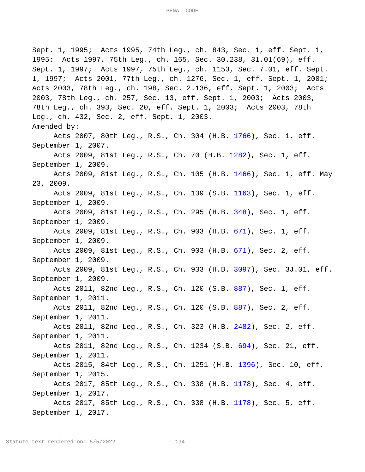Sept. 1, 1995; Acts 1995, 74th Leg., ch. 843, Sec. 1, eff. Sept. 1, 1995; Acts 1997, 75th Leg., ch. 165, Sec. 30.238, 31.01(69), eff. Sept. 1, 1997; Acts 1997, 75th Leg., ch. 1153, Sec. 7.01, eff. Sept. 1, 1997; Acts 2001, 77th Leg., ch. 1276, Sec. 1, eff. Sept. 1, 2001; Acts 2003, 78th Leg., ch. 198, Sec. 2.136, eff. Sept. 1, 2003; Acts 2003, 78th Leg., ch. 257, Sec. 13, eff. Sept. 1, 2003; Acts 2003, 78th Leg., ch. 393, Sec. 20, eff. Sept. 1, 2003; Acts 2003, 78th Leg., ch. 432, Sec. 2, eff. Sept. 1, 2003. Amended by: Acts 2007, 80th Leg., R.S., Ch. 304 (H.B. [1766](http://www.legis.state.tx.us/tlodocs/80R/billtext/html/HB01766F.HTM)), Sec. 1, eff. September 1, 2007. Acts 2009, 81st Leg., R.S., Ch. 70 (H.B. [1282\)](http://www.legis.state.tx.us/tlodocs/81R/billtext/html/HB01282F.HTM), Sec. 1, eff. September 1, 2009. Acts 2009, 81st Leg., R.S., Ch. 105 (H.B. [1466](http://www.legis.state.tx.us/tlodocs/81R/billtext/html/HB01466F.HTM)), Sec. 1, eff. May 23, 2009. Acts 2009, 81st Leg., R.S., Ch. 139 (S.B. [1163](http://www.legis.state.tx.us/tlodocs/81R/billtext/html/SB01163F.HTM)), Sec. 1, eff. September 1, 2009. Acts 2009, 81st Leg., R.S., Ch. 295 (H.B. [348](http://www.legis.state.tx.us/tlodocs/81R/billtext/html/HB00348F.HTM)), Sec. 1, eff. September 1, 2009. Acts 2009, 81st Leg., R.S., Ch. 903 (H.B. [671](http://www.legis.state.tx.us/tlodocs/81R/billtext/html/HB00671F.HTM)), Sec. 1, eff. September 1, 2009. Acts 2009, 81st Leg., R.S., Ch. 903 (H.B. [671](http://www.legis.state.tx.us/tlodocs/81R/billtext/html/HB00671F.HTM)), Sec. 2, eff. September 1, 2009. Acts 2009, 81st Leg., R.S., Ch. 933 (H.B. [3097](http://www.legis.state.tx.us/tlodocs/81R/billtext/html/HB03097F.HTM)), Sec. 3J.01, eff. September 1, 2009. Acts 2011, 82nd Leg., R.S., Ch. 120 (S.B. [887](http://www.legis.state.tx.us/tlodocs/82R/billtext/html/SB00887F.HTM)), Sec. 1, eff. September 1, 2011. Acts 2011, 82nd Leg., R.S., Ch. 120 (S.B. [887](http://www.legis.state.tx.us/tlodocs/82R/billtext/html/SB00887F.HTM)), Sec. 2, eff. September 1, 2011. Acts 2011, 82nd Leg., R.S., Ch. 323 (H.B. [2482](http://www.legis.state.tx.us/tlodocs/82R/billtext/html/HB02482F.HTM)), Sec. 2, eff. September 1, 2011. Acts 2011, 82nd Leg., R.S., Ch. 1234 (S.B. [694](http://www.legis.state.tx.us/tlodocs/82R/billtext/html/SB00694F.HTM)), Sec. 21, eff. September 1, 2011. Acts 2015, 84th Leg., R.S., Ch. 1251 (H.B. [1396](http://www.legis.state.tx.us/tlodocs/84R/billtext/html/HB01396F.HTM)), Sec. 10, eff. September 1, 2015. Acts 2017, 85th Leg., R.S., Ch. 338 (H.B. [1178](http://www.legis.state.tx.us/tlodocs/85R/billtext/html/HB01178F.HTM)), Sec. 4, eff. September 1, 2017. Acts 2017, 85th Leg., R.S., Ch. 338 (H.B. [1178](http://www.legis.state.tx.us/tlodocs/85R/billtext/html/HB01178F.HTM)), Sec. 5, eff. September 1, 2017.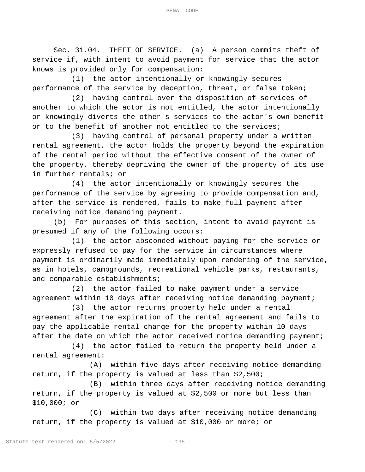Sec. 31.04. THEFT OF SERVICE. (a) A person commits theft of service if, with intent to avoid payment for service that the actor knows is provided only for compensation:

(1) the actor intentionally or knowingly secures performance of the service by deception, threat, or false token;

(2) having control over the disposition of services of another to which the actor is not entitled, the actor intentionally or knowingly diverts the other's services to the actor's own benefit or to the benefit of another not entitled to the services;

(3) having control of personal property under a written rental agreement, the actor holds the property beyond the expiration of the rental period without the effective consent of the owner of the property, thereby depriving the owner of the property of its use in further rentals; or

(4) the actor intentionally or knowingly secures the performance of the service by agreeing to provide compensation and, after the service is rendered, fails to make full payment after receiving notice demanding payment.

(b) For purposes of this section, intent to avoid payment is presumed if any of the following occurs:

(1) the actor absconded without paying for the service or expressly refused to pay for the service in circumstances where payment is ordinarily made immediately upon rendering of the service, as in hotels, campgrounds, recreational vehicle parks, restaurants, and comparable establishments;

(2) the actor failed to make payment under a service agreement within 10 days after receiving notice demanding payment;

(3) the actor returns property held under a rental agreement after the expiration of the rental agreement and fails to pay the applicable rental charge for the property within 10 days after the date on which the actor received notice demanding payment;

(4) the actor failed to return the property held under a rental agreement:

(A) within five days after receiving notice demanding return, if the property is valued at less than \$2,500;

(B) within three days after receiving notice demanding return, if the property is valued at \$2,500 or more but less than \$10,000; or

(C) within two days after receiving notice demanding return, if the property is valued at \$10,000 or more; or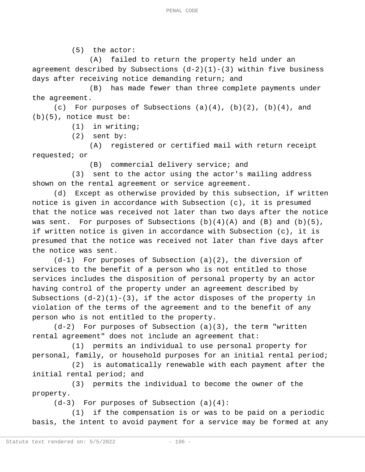(5) the actor:

(A) failed to return the property held under an agreement described by Subsections  $(d-2)(1)-(3)$  within five business days after receiving notice demanding return; and

(B) has made fewer than three complete payments under the agreement.

(c) For purposes of Subsections  $(a)(4)$ ,  $(b)(2)$ ,  $(b)(4)$ , and  $(b)(5)$ , notice must be:

(1) in writing;

(2) sent by:

(A) registered or certified mail with return receipt requested; or

(B) commercial delivery service; and

(3) sent to the actor using the actor's mailing address shown on the rental agreement or service agreement.

(d) Except as otherwise provided by this subsection, if written notice is given in accordance with Subsection (c), it is presumed that the notice was received not later than two days after the notice was sent. For purposes of Subsections  $(b)(4)(A)$  and  $(B)$  and  $(b)(5)$ , if written notice is given in accordance with Subsection (c), it is presumed that the notice was received not later than five days after the notice was sent.

(d-1) For purposes of Subsection (a)(2), the diversion of services to the benefit of a person who is not entitled to those services includes the disposition of personal property by an actor having control of the property under an agreement described by Subsections  $(d-2)(1)-(3)$ , if the actor disposes of the property in violation of the terms of the agreement and to the benefit of any person who is not entitled to the property.

(d-2) For purposes of Subsection (a)(3), the term "written rental agreement" does not include an agreement that:

(1) permits an individual to use personal property for personal, family, or household purposes for an initial rental period;

(2) is automatically renewable with each payment after the initial rental period; and

(3) permits the individual to become the owner of the property.

(d-3) For purposes of Subsection (a)(4):

(1) if the compensation is or was to be paid on a periodic basis, the intent to avoid payment for a service may be formed at any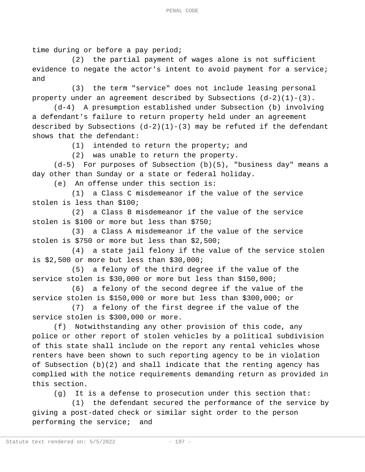time during or before a pay period;

(2) the partial payment of wages alone is not sufficient evidence to negate the actor's intent to avoid payment for a service; and

(3) the term "service" does not include leasing personal property under an agreement described by Subsections (d-2)(1)-(3).

(d-4) A presumption established under Subsection (b) involving a defendant's failure to return property held under an agreement described by Subsections  $(d-2)(1)-(3)$  may be refuted if the defendant shows that the defendant:

(1) intended to return the property; and

(2) was unable to return the property.

 $(d-5)$  For purposes of Subsection  $(b)(5)$ , "business day" means a day other than Sunday or a state or federal holiday.

(e) An offense under this section is:

(1) a Class C misdemeanor if the value of the service stolen is less than \$100;

(2) a Class B misdemeanor if the value of the service stolen is \$100 or more but less than \$750;

(3) a Class A misdemeanor if the value of the service stolen is \$750 or more but less than \$2,500;

(4) a state jail felony if the value of the service stolen is \$2,500 or more but less than \$30,000;

(5) a felony of the third degree if the value of the service stolen is \$30,000 or more but less than \$150,000;

(6) a felony of the second degree if the value of the service stolen is \$150,000 or more but less than \$300,000; or

(7) a felony of the first degree if the value of the service stolen is \$300,000 or more.

(f) Notwithstanding any other provision of this code, any police or other report of stolen vehicles by a political subdivision of this state shall include on the report any rental vehicles whose renters have been shown to such reporting agency to be in violation of Subsection (b)(2) and shall indicate that the renting agency has complied with the notice requirements demanding return as provided in this section.

(g) It is a defense to prosecution under this section that:

(1) the defendant secured the performance of the service by giving a post-dated check or similar sight order to the person performing the service; and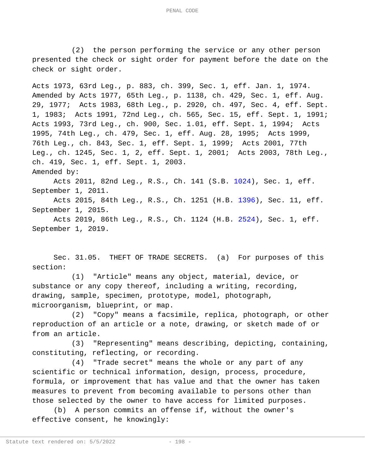(2) the person performing the service or any other person presented the check or sight order for payment before the date on the check or sight order.

Acts 1973, 63rd Leg., p. 883, ch. 399, Sec. 1, eff. Jan. 1, 1974. Amended by Acts 1977, 65th Leg., p. 1138, ch. 429, Sec. 1, eff. Aug. 29, 1977; Acts 1983, 68th Leg., p. 2920, ch. 497, Sec. 4, eff. Sept. 1, 1983; Acts 1991, 72nd Leg., ch. 565, Sec. 15, eff. Sept. 1, 1991; Acts 1993, 73rd Leg., ch. 900, Sec. 1.01, eff. Sept. 1, 1994; Acts 1995, 74th Leg., ch. 479, Sec. 1, eff. Aug. 28, 1995; Acts 1999, 76th Leg., ch. 843, Sec. 1, eff. Sept. 1, 1999; Acts 2001, 77th Leg., ch. 1245, Sec. 1, 2, eff. Sept. 1, 2001; Acts 2003, 78th Leg., ch. 419, Sec. 1, eff. Sept. 1, 2003. Amended by:

Acts 2011, 82nd Leg., R.S., Ch. 141 (S.B. [1024](http://www.legis.state.tx.us/tlodocs/82R/billtext/html/SB01024F.HTM)), Sec. 1, eff. September 1, 2011.

Acts 2015, 84th Leg., R.S., Ch. 1251 (H.B. [1396](http://www.legis.state.tx.us/tlodocs/84R/billtext/html/HB01396F.HTM)), Sec. 11, eff. September 1, 2015.

Acts 2019, 86th Leg., R.S., Ch. 1124 (H.B. [2524](http://www.legis.state.tx.us/tlodocs/86R/billtext/html/HB02524F.HTM)), Sec. 1, eff. September 1, 2019.

Sec. 31.05. THEFT OF TRADE SECRETS. (a) For purposes of this section:

(1) "Article" means any object, material, device, or substance or any copy thereof, including a writing, recording, drawing, sample, specimen, prototype, model, photograph, microorganism, blueprint, or map.

(2) "Copy" means a facsimile, replica, photograph, or other reproduction of an article or a note, drawing, or sketch made of or from an article.

(3) "Representing" means describing, depicting, containing, constituting, reflecting, or recording.

(4) "Trade secret" means the whole or any part of any scientific or technical information, design, process, procedure, formula, or improvement that has value and that the owner has taken measures to prevent from becoming available to persons other than those selected by the owner to have access for limited purposes.

(b) A person commits an offense if, without the owner's effective consent, he knowingly: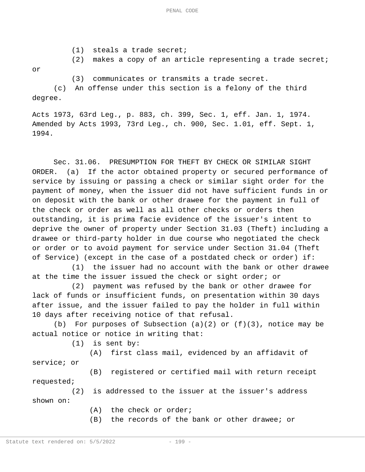- (1) steals a trade secret;
- (2) makes a copy of an article representing a trade secret;

or

(3) communicates or transmits a trade secret.

(c) An offense under this section is a felony of the third degree.

Acts 1973, 63rd Leg., p. 883, ch. 399, Sec. 1, eff. Jan. 1, 1974. Amended by Acts 1993, 73rd Leg., ch. 900, Sec. 1.01, eff. Sept. 1, 1994.

Sec. 31.06. PRESUMPTION FOR THEFT BY CHECK OR SIMILAR SIGHT ORDER. (a) If the actor obtained property or secured performance of service by issuing or passing a check or similar sight order for the payment of money, when the issuer did not have sufficient funds in or on deposit with the bank or other drawee for the payment in full of the check or order as well as all other checks or orders then outstanding, it is prima facie evidence of the issuer's intent to deprive the owner of property under Section 31.03 (Theft) including a drawee or third-party holder in due course who negotiated the check or order or to avoid payment for service under Section 31.04 (Theft of Service) (except in the case of a postdated check or order) if:

(1) the issuer had no account with the bank or other drawee at the time the issuer issued the check or sight order; or

(2) payment was refused by the bank or other drawee for lack of funds or insufficient funds, on presentation within 30 days after issue, and the issuer failed to pay the holder in full within 10 days after receiving notice of that refusal.

(b) For purposes of Subsection  $(a)(2)$  or  $(f)(3)$ , notice may be actual notice or notice in writing that:

(1) is sent by:

(A) first class mail, evidenced by an affidavit of

service; or

(B) registered or certified mail with return receipt requested;

(2) is addressed to the issuer at the issuer's address shown on:

(A) the check or order;

(B) the records of the bank or other drawee; or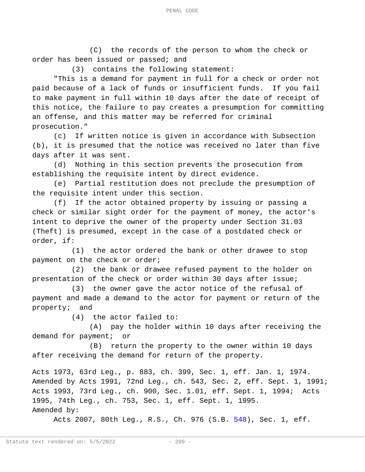(C) the records of the person to whom the check or order has been issued or passed; and

(3) contains the following statement:

"This is a demand for payment in full for a check or order not paid because of a lack of funds or insufficient funds. If you fail to make payment in full within 10 days after the date of receipt of this notice, the failure to pay creates a presumption for committing an offense, and this matter may be referred for criminal prosecution."

(c) If written notice is given in accordance with Subsection (b), it is presumed that the notice was received no later than five days after it was sent.

(d) Nothing in this section prevents the prosecution from establishing the requisite intent by direct evidence.

(e) Partial restitution does not preclude the presumption of the requisite intent under this section.

(f) If the actor obtained property by issuing or passing a check or similar sight order for the payment of money, the actor's intent to deprive the owner of the property under Section 31.03 (Theft) is presumed, except in the case of a postdated check or order, if:

(1) the actor ordered the bank or other drawee to stop payment on the check or order;

(2) the bank or drawee refused payment to the holder on presentation of the check or order within 30 days after issue;

(3) the owner gave the actor notice of the refusal of payment and made a demand to the actor for payment or return of the property; and

(4) the actor failed to:

(A) pay the holder within 10 days after receiving the demand for payment; or

(B) return the property to the owner within 10 days after receiving the demand for return of the property.

Acts 1973, 63rd Leg., p. 883, ch. 399, Sec. 1, eff. Jan. 1, 1974. Amended by Acts 1991, 72nd Leg., ch. 543, Sec. 2, eff. Sept. 1, 1991; Acts 1993, 73rd Leg., ch. 900, Sec. 1.01, eff. Sept. 1, 1994; Acts 1995, 74th Leg., ch. 753, Sec. 1, eff. Sept. 1, 1995. Amended by:

Acts 2007, 80th Leg., R.S., Ch. 976 (S.B. [548](http://www.legis.state.tx.us/tlodocs/80R/billtext/html/SB00548F.HTM)), Sec. 1, eff.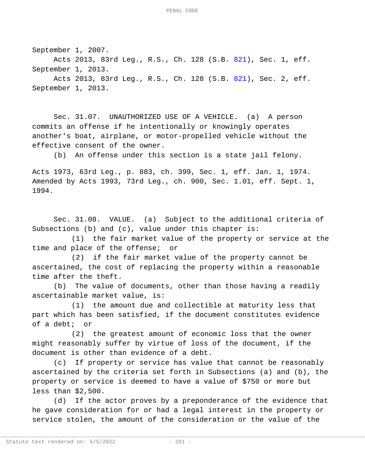September 1, 2007. Acts 2013, 83rd Leg., R.S., Ch. 128 (S.B. [821](http://www.legis.state.tx.us/tlodocs/83R/billtext/html/SB00821F.HTM)), Sec. 1, eff. September 1, 2013. Acts 2013, 83rd Leg., R.S., Ch. 128 (S.B. [821](http://www.legis.state.tx.us/tlodocs/83R/billtext/html/SB00821F.HTM)), Sec. 2, eff. September 1, 2013.

Sec. 31.07. UNAUTHORIZED USE OF A VEHICLE. (a) A person commits an offense if he intentionally or knowingly operates another's boat, airplane, or motor-propelled vehicle without the effective consent of the owner.

(b) An offense under this section is a state jail felony.

Acts 1973, 63rd Leg., p. 883, ch. 399, Sec. 1, eff. Jan. 1, 1974. Amended by Acts 1993, 73rd Leg., ch. 900, Sec. 1.01, eff. Sept. 1, 1994.

Sec. 31.08. VALUE. (a) Subject to the additional criteria of Subsections (b) and  $(c)$ , value under this chapter is:

(1) the fair market value of the property or service at the time and place of the offense; or

(2) if the fair market value of the property cannot be ascertained, the cost of replacing the property within a reasonable time after the theft.

(b) The value of documents, other than those having a readily ascertainable market value, is:

(1) the amount due and collectible at maturity less that part which has been satisfied, if the document constitutes evidence of a debt; or

(2) the greatest amount of economic loss that the owner might reasonably suffer by virtue of loss of the document, if the document is other than evidence of a debt.

(c) If property or service has value that cannot be reasonably ascertained by the criteria set forth in Subsections (a) and (b), the property or service is deemed to have a value of \$750 or more but less than \$2,500.

(d) If the actor proves by a preponderance of the evidence that he gave consideration for or had a legal interest in the property or service stolen, the amount of the consideration or the value of the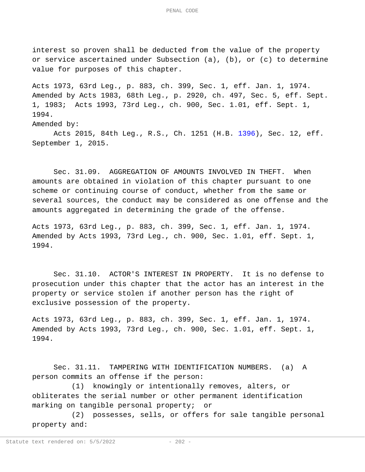interest so proven shall be deducted from the value of the property or service ascertained under Subsection (a), (b), or (c) to determine value for purposes of this chapter.

Acts 1973, 63rd Leg., p. 883, ch. 399, Sec. 1, eff. Jan. 1, 1974. Amended by Acts 1983, 68th Leg., p. 2920, ch. 497, Sec. 5, eff. Sept. 1, 1983; Acts 1993, 73rd Leg., ch. 900, Sec. 1.01, eff. Sept. 1, 1994.

Amended by:

Acts 2015, 84th Leg., R.S., Ch. 1251 (H.B. [1396](http://www.legis.state.tx.us/tlodocs/84R/billtext/html/HB01396F.HTM)), Sec. 12, eff. September 1, 2015.

Sec. 31.09. AGGREGATION OF AMOUNTS INVOLVED IN THEFT. When amounts are obtained in violation of this chapter pursuant to one scheme or continuing course of conduct, whether from the same or several sources, the conduct may be considered as one offense and the amounts aggregated in determining the grade of the offense.

Acts 1973, 63rd Leg., p. 883, ch. 399, Sec. 1, eff. Jan. 1, 1974. Amended by Acts 1993, 73rd Leg., ch. 900, Sec. 1.01, eff. Sept. 1, 1994.

Sec. 31.10. ACTOR'S INTEREST IN PROPERTY. It is no defense to prosecution under this chapter that the actor has an interest in the property or service stolen if another person has the right of exclusive possession of the property.

Acts 1973, 63rd Leg., p. 883, ch. 399, Sec. 1, eff. Jan. 1, 1974. Amended by Acts 1993, 73rd Leg., ch. 900, Sec. 1.01, eff. Sept. 1, 1994.

Sec. 31.11. TAMPERING WITH IDENTIFICATION NUMBERS. (a) A person commits an offense if the person:

(1) knowingly or intentionally removes, alters, or obliterates the serial number or other permanent identification marking on tangible personal property; or

(2) possesses, sells, or offers for sale tangible personal property and: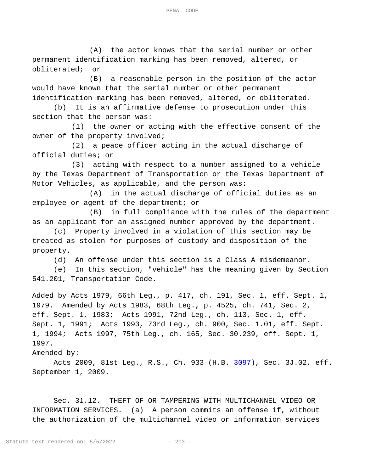(A) the actor knows that the serial number or other permanent identification marking has been removed, altered, or obliterated; or

(B) a reasonable person in the position of the actor would have known that the serial number or other permanent identification marking has been removed, altered, or obliterated.

(b) It is an affirmative defense to prosecution under this section that the person was:

(1) the owner or acting with the effective consent of the owner of the property involved;

(2) a peace officer acting in the actual discharge of official duties; or

(3) acting with respect to a number assigned to a vehicle by the Texas Department of Transportation or the Texas Department of Motor Vehicles, as applicable, and the person was:

(A) in the actual discharge of official duties as an employee or agent of the department; or

(B) in full compliance with the rules of the department as an applicant for an assigned number approved by the department.

(c) Property involved in a violation of this section may be treated as stolen for purposes of custody and disposition of the property.

(d) An offense under this section is a Class A misdemeanor.

(e) In this section, "vehicle" has the meaning given by Section 541.201, Transportation Code.

Added by Acts 1979, 66th Leg., p. 417, ch. 191, Sec. 1, eff. Sept. 1, 1979. Amended by Acts 1983, 68th Leg., p. 4525, ch. 741, Sec. 2, eff. Sept. 1, 1983; Acts 1991, 72nd Leg., ch. 113, Sec. 1, eff. Sept. 1, 1991; Acts 1993, 73rd Leg., ch. 900, Sec. 1.01, eff. Sept. 1, 1994; Acts 1997, 75th Leg., ch. 165, Sec. 30.239, eff. Sept. 1, 1997.

Amended by:

Acts 2009, 81st Leg., R.S., Ch. 933 (H.B. [3097](http://www.legis.state.tx.us/tlodocs/81R/billtext/html/HB03097F.HTM)), Sec. 3J.02, eff. September 1, 2009.

Sec. 31.12. THEFT OF OR TAMPERING WITH MULTICHANNEL VIDEO OR INFORMATION SERVICES. (a) A person commits an offense if, without the authorization of the multichannel video or information services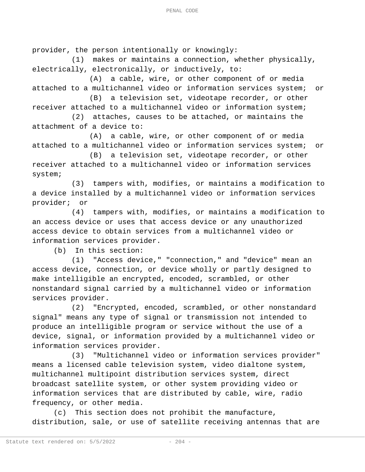provider, the person intentionally or knowingly:

(1) makes or maintains a connection, whether physically, electrically, electronically, or inductively, to:

(A) a cable, wire, or other component of or media attached to a multichannel video or information services system; or

(B) a television set, videotape recorder, or other receiver attached to a multichannel video or information system;

(2) attaches, causes to be attached, or maintains the attachment of a device to:

(A) a cable, wire, or other component of or media attached to a multichannel video or information services system; or

(B) a television set, videotape recorder, or other receiver attached to a multichannel video or information services system;

(3) tampers with, modifies, or maintains a modification to a device installed by a multichannel video or information services provider; or

(4) tampers with, modifies, or maintains a modification to an access device or uses that access device or any unauthorized access device to obtain services from a multichannel video or information services provider.

(b) In this section:

(1) "Access device," "connection," and "device" mean an access device, connection, or device wholly or partly designed to make intelligible an encrypted, encoded, scrambled, or other nonstandard signal carried by a multichannel video or information services provider.

(2) "Encrypted, encoded, scrambled, or other nonstandard signal" means any type of signal or transmission not intended to produce an intelligible program or service without the use of a device, signal, or information provided by a multichannel video or information services provider.

(3) "Multichannel video or information services provider" means a licensed cable television system, video dialtone system, multichannel multipoint distribution services system, direct broadcast satellite system, or other system providing video or information services that are distributed by cable, wire, radio frequency, or other media.

(c) This section does not prohibit the manufacture, distribution, sale, or use of satellite receiving antennas that are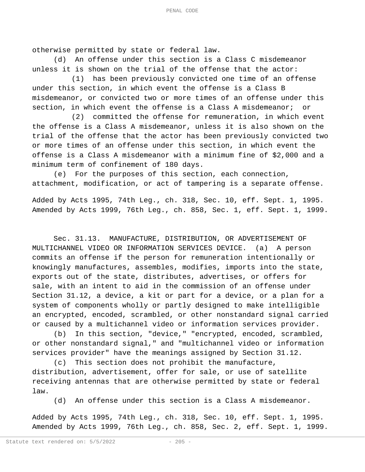otherwise permitted by state or federal law.

(d) An offense under this section is a Class C misdemeanor unless it is shown on the trial of the offense that the actor:

(1) has been previously convicted one time of an offense under this section, in which event the offense is a Class B misdemeanor, or convicted two or more times of an offense under this section, in which event the offense is a Class A misdemeanor; or

(2) committed the offense for remuneration, in which event the offense is a Class A misdemeanor, unless it is also shown on the trial of the offense that the actor has been previously convicted two or more times of an offense under this section, in which event the offense is a Class A misdemeanor with a minimum fine of \$2,000 and a minimum term of confinement of 180 days.

(e) For the purposes of this section, each connection, attachment, modification, or act of tampering is a separate offense.

Added by Acts 1995, 74th Leg., ch. 318, Sec. 10, eff. Sept. 1, 1995. Amended by Acts 1999, 76th Leg., ch. 858, Sec. 1, eff. Sept. 1, 1999.

Sec. 31.13. MANUFACTURE, DISTRIBUTION, OR ADVERTISEMENT OF MULTICHANNEL VIDEO OR INFORMATION SERVICES DEVICE. (a) A person commits an offense if the person for remuneration intentionally or knowingly manufactures, assembles, modifies, imports into the state, exports out of the state, distributes, advertises, or offers for sale, with an intent to aid in the commission of an offense under Section 31.12, a device, a kit or part for a device, or a plan for a system of components wholly or partly designed to make intelligible an encrypted, encoded, scrambled, or other nonstandard signal carried or caused by a multichannel video or information services provider.

(b) In this section, "device," "encrypted, encoded, scrambled, or other nonstandard signal," and "multichannel video or information services provider" have the meanings assigned by Section 31.12.

(c) This section does not prohibit the manufacture, distribution, advertisement, offer for sale, or use of satellite receiving antennas that are otherwise permitted by state or federal law.

(d) An offense under this section is a Class A misdemeanor.

Added by Acts 1995, 74th Leg., ch. 318, Sec. 10, eff. Sept. 1, 1995. Amended by Acts 1999, 76th Leg., ch. 858, Sec. 2, eff. Sept. 1, 1999.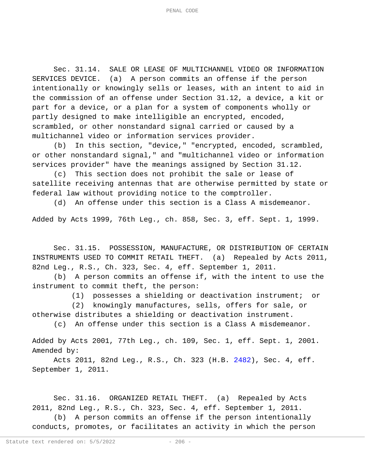Sec. 31.14. SALE OR LEASE OF MULTICHANNEL VIDEO OR INFORMATION SERVICES DEVICE. (a) A person commits an offense if the person intentionally or knowingly sells or leases, with an intent to aid in the commission of an offense under Section 31.12, a device, a kit or part for a device, or a plan for a system of components wholly or partly designed to make intelligible an encrypted, encoded, scrambled, or other nonstandard signal carried or caused by a multichannel video or information services provider.

(b) In this section, "device," "encrypted, encoded, scrambled, or other nonstandard signal," and "multichannel video or information services provider" have the meanings assigned by Section 31.12.

(c) This section does not prohibit the sale or lease of satellite receiving antennas that are otherwise permitted by state or federal law without providing notice to the comptroller.

(d) An offense under this section is a Class A misdemeanor.

Added by Acts 1999, 76th Leg., ch. 858, Sec. 3, eff. Sept. 1, 1999.

Sec. 31.15. POSSESSION, MANUFACTURE, OR DISTRIBUTION OF CERTAIN INSTRUMENTS USED TO COMMIT RETAIL THEFT. (a) Repealed by Acts 2011, 82nd Leg., R.S., Ch. 323, Sec. 4, eff. September 1, 2011.

(b) A person commits an offense if, with the intent to use the instrument to commit theft, the person:

(1) possesses a shielding or deactivation instrument; or

(2) knowingly manufactures, sells, offers for sale, or otherwise distributes a shielding or deactivation instrument.

(c) An offense under this section is a Class A misdemeanor.

Added by Acts 2001, 77th Leg., ch. 109, Sec. 1, eff. Sept. 1, 2001. Amended by:

Acts 2011, 82nd Leg., R.S., Ch. 323 (H.B. [2482](http://www.legis.state.tx.us/tlodocs/82R/billtext/html/HB02482F.HTM)), Sec. 4, eff. September 1, 2011.

Sec. 31.16. ORGANIZED RETAIL THEFT. (a) Repealed by Acts 2011, 82nd Leg., R.S., Ch. 323, Sec. 4, eff. September 1, 2011.

(b) A person commits an offense if the person intentionally conducts, promotes, or facilitates an activity in which the person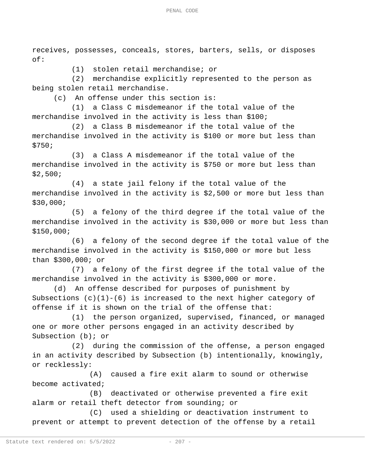receives, possesses, conceals, stores, barters, sells, or disposes of:

(1) stolen retail merchandise; or

(2) merchandise explicitly represented to the person as being stolen retail merchandise.

(c) An offense under this section is:

(1) a Class C misdemeanor if the total value of the merchandise involved in the activity is less than \$100;

(2) a Class B misdemeanor if the total value of the merchandise involved in the activity is \$100 or more but less than \$750;

(3) a Class A misdemeanor if the total value of the merchandise involved in the activity is \$750 or more but less than \$2,500;

(4) a state jail felony if the total value of the merchandise involved in the activity is \$2,500 or more but less than \$30,000;

(5) a felony of the third degree if the total value of the merchandise involved in the activity is \$30,000 or more but less than \$150,000;

(6) a felony of the second degree if the total value of the merchandise involved in the activity is \$150,000 or more but less than \$300,000; or

(7) a felony of the first degree if the total value of the merchandise involved in the activity is \$300,000 or more.

(d) An offense described for purposes of punishment by Subsections  $(c)(1)-(6)$  is increased to the next higher category of offense if it is shown on the trial of the offense that:

(1) the person organized, supervised, financed, or managed one or more other persons engaged in an activity described by Subsection (b); or

(2) during the commission of the offense, a person engaged in an activity described by Subsection (b) intentionally, knowingly, or recklessly:

(A) caused a fire exit alarm to sound or otherwise become activated;

(B) deactivated or otherwise prevented a fire exit alarm or retail theft detector from sounding; or

(C) used a shielding or deactivation instrument to prevent or attempt to prevent detection of the offense by a retail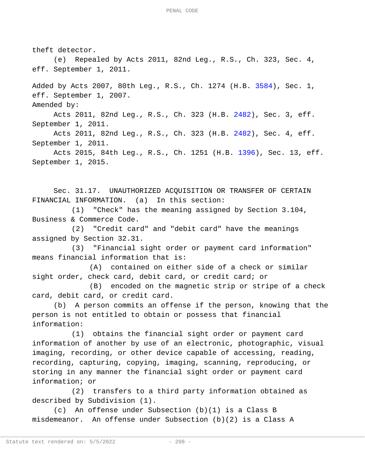theft detector. (e) Repealed by Acts 2011, 82nd Leg., R.S., Ch. 323, Sec. 4, eff. September 1, 2011. Added by Acts 2007, 80th Leg., R.S., Ch. 1274 (H.B. [3584](http://www.legis.state.tx.us/tlodocs/80R/billtext/html/HB03584F.HTM)), Sec. 1, eff. September 1, 2007. Amended by: Acts 2011, 82nd Leg., R.S., Ch. 323 (H.B. [2482](http://www.legis.state.tx.us/tlodocs/82R/billtext/html/HB02482F.HTM)), Sec. 3, eff. September 1, 2011. Acts 2011, 82nd Leg., R.S., Ch. 323 (H.B. [2482](http://www.legis.state.tx.us/tlodocs/82R/billtext/html/HB02482F.HTM)), Sec. 4, eff. September 1, 2011. Acts 2015, 84th Leg., R.S., Ch. 1251 (H.B. [1396](http://www.legis.state.tx.us/tlodocs/84R/billtext/html/HB01396F.HTM)), Sec. 13, eff.

September 1, 2015.

Sec. 31.17. UNAUTHORIZED ACQUISITION OR TRANSFER OF CERTAIN FINANCIAL INFORMATION. (a) In this section:

(1) "Check" has the meaning assigned by Section 3.104, Business & Commerce Code.

(2) "Credit card" and "debit card" have the meanings assigned by Section 32.31.

(3) "Financial sight order or payment card information" means financial information that is:

(A) contained on either side of a check or similar sight order, check card, debit card, or credit card; or

(B) encoded on the magnetic strip or stripe of a check card, debit card, or credit card.

(b) A person commits an offense if the person, knowing that the person is not entitled to obtain or possess that financial information:

(1) obtains the financial sight order or payment card information of another by use of an electronic, photographic, visual imaging, recording, or other device capable of accessing, reading, recording, capturing, copying, imaging, scanning, reproducing, or storing in any manner the financial sight order or payment card information; or

(2) transfers to a third party information obtained as described by Subdivision (1).

(c) An offense under Subsection (b)(1) is a Class B misdemeanor. An offense under Subsection (b)(2) is a Class A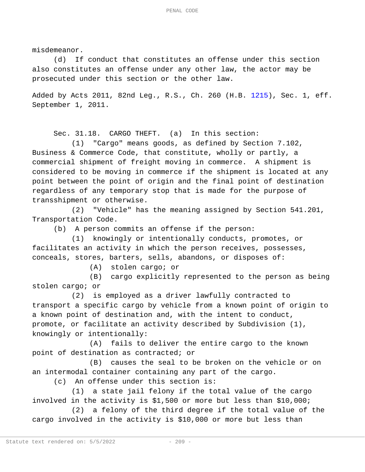misdemeanor.

(d) If conduct that constitutes an offense under this section also constitutes an offense under any other law, the actor may be prosecuted under this section or the other law.

Added by Acts 2011, 82nd Leg., R.S., Ch. 260 (H.B. [1215](http://www.legis.state.tx.us/tlodocs/82R/billtext/html/HB01215F.HTM)), Sec. 1, eff. September 1, 2011.

Sec. 31.18. CARGO THEFT. (a) In this section:

(1) "Cargo" means goods, as defined by Section 7.102, Business & Commerce Code, that constitute, wholly or partly, a commercial shipment of freight moving in commerce. A shipment is considered to be moving in commerce if the shipment is located at any point between the point of origin and the final point of destination regardless of any temporary stop that is made for the purpose of transshipment or otherwise.

(2) "Vehicle" has the meaning assigned by Section 541.201, Transportation Code.

(b) A person commits an offense if the person:

(1) knowingly or intentionally conducts, promotes, or facilitates an activity in which the person receives, possesses, conceals, stores, barters, sells, abandons, or disposes of:

(A) stolen cargo; or

(B) cargo explicitly represented to the person as being stolen cargo; or

(2) is employed as a driver lawfully contracted to transport a specific cargo by vehicle from a known point of origin to a known point of destination and, with the intent to conduct, promote, or facilitate an activity described by Subdivision (1), knowingly or intentionally:

(A) fails to deliver the entire cargo to the known point of destination as contracted; or

(B) causes the seal to be broken on the vehicle or on an intermodal container containing any part of the cargo.

(c) An offense under this section is:

(1) a state jail felony if the total value of the cargo involved in the activity is \$1,500 or more but less than \$10,000;

(2) a felony of the third degree if the total value of the cargo involved in the activity is \$10,000 or more but less than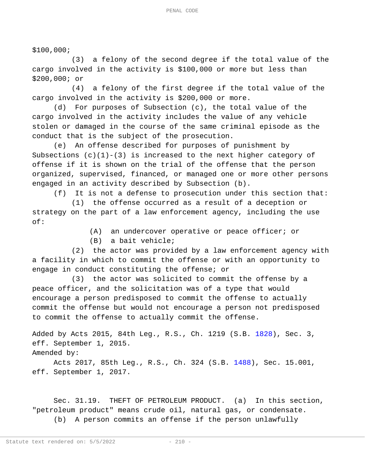\$100,000;

(3) a felony of the second degree if the total value of the cargo involved in the activity is \$100,000 or more but less than \$200,000; or

(4) a felony of the first degree if the total value of the cargo involved in the activity is \$200,000 or more.

(d) For purposes of Subsection (c), the total value of the cargo involved in the activity includes the value of any vehicle stolen or damaged in the course of the same criminal episode as the conduct that is the subject of the prosecution.

(e) An offense described for purposes of punishment by Subsections  $(c)(1)-(3)$  is increased to the next higher category of offense if it is shown on the trial of the offense that the person organized, supervised, financed, or managed one or more other persons engaged in an activity described by Subsection (b).

(f) It is not a defense to prosecution under this section that:

(1) the offense occurred as a result of a deception or strategy on the part of a law enforcement agency, including the use of:

(A) an undercover operative or peace officer; or

(B) a bait vehicle;

(2) the actor was provided by a law enforcement agency with a facility in which to commit the offense or with an opportunity to engage in conduct constituting the offense; or

(3) the actor was solicited to commit the offense by a peace officer, and the solicitation was of a type that would encourage a person predisposed to commit the offense to actually commit the offense but would not encourage a person not predisposed to commit the offense to actually commit the offense.

Added by Acts 2015, 84th Leg., R.S., Ch. 1219 (S.B. [1828](http://www.legis.state.tx.us/tlodocs/84R/billtext/html/SB01828F.HTM)), Sec. 3, eff. September 1, 2015.

Amended by:

Acts 2017, 85th Leg., R.S., Ch. 324 (S.B. [1488](http://www.legis.state.tx.us/tlodocs/85R/billtext/html/SB01488F.HTM)), Sec. 15.001, eff. September 1, 2017.

Sec. 31.19. THEFT OF PETROLEUM PRODUCT. (a) In this section, "petroleum product" means crude oil, natural gas, or condensate. (b) A person commits an offense if the person unlawfully

Statute text rendered on:  $5/5/2022$  - 210 -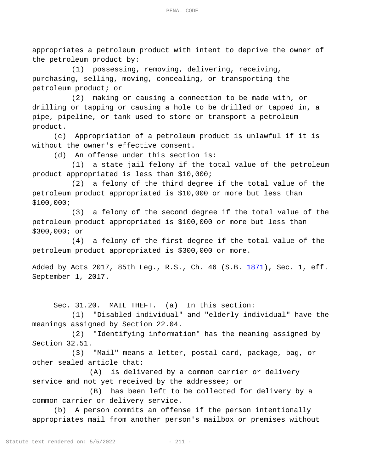appropriates a petroleum product with intent to deprive the owner of the petroleum product by:

(1) possessing, removing, delivering, receiving, purchasing, selling, moving, concealing, or transporting the petroleum product; or

(2) making or causing a connection to be made with, or drilling or tapping or causing a hole to be drilled or tapped in, a pipe, pipeline, or tank used to store or transport a petroleum product.

(c) Appropriation of a petroleum product is unlawful if it is without the owner's effective consent.

(d) An offense under this section is:

(1) a state jail felony if the total value of the petroleum product appropriated is less than \$10,000;

(2) a felony of the third degree if the total value of the petroleum product appropriated is \$10,000 or more but less than \$100,000;

(3) a felony of the second degree if the total value of the petroleum product appropriated is \$100,000 or more but less than \$300,000; or

(4) a felony of the first degree if the total value of the petroleum product appropriated is \$300,000 or more.

Added by Acts 2017, 85th Leg., R.S., Ch. 46 (S.B. [1871\)](http://www.legis.state.tx.us/tlodocs/85R/billtext/html/SB01871F.HTM), Sec. 1, eff. September 1, 2017.

Sec. 31.20. MAIL THEFT. (a) In this section:

(1) "Disabled individual" and "elderly individual" have the meanings assigned by Section 22.04.

(2) "Identifying information" has the meaning assigned by Section 32.51.

(3) "Mail" means a letter, postal card, package, bag, or other sealed article that:

(A) is delivered by a common carrier or delivery service and not yet received by the addressee; or

(B) has been left to be collected for delivery by a common carrier or delivery service.

(b) A person commits an offense if the person intentionally appropriates mail from another person's mailbox or premises without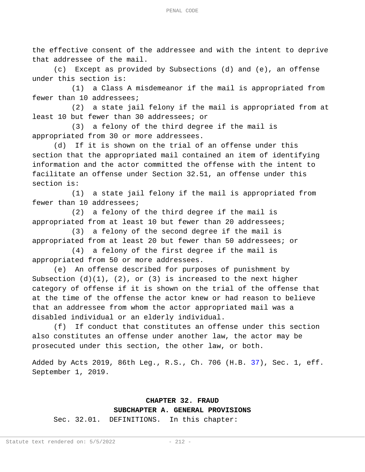the effective consent of the addressee and with the intent to deprive that addressee of the mail.

(c) Except as provided by Subsections (d) and (e), an offense under this section is:

(1) a Class A misdemeanor if the mail is appropriated from fewer than 10 addressees;

(2) a state jail felony if the mail is appropriated from at least 10 but fewer than 30 addressees; or

(3) a felony of the third degree if the mail is appropriated from 30 or more addressees.

(d) If it is shown on the trial of an offense under this section that the appropriated mail contained an item of identifying information and the actor committed the offense with the intent to facilitate an offense under Section 32.51, an offense under this section is:

(1) a state jail felony if the mail is appropriated from fewer than 10 addressees;

(2) a felony of the third degree if the mail is appropriated from at least 10 but fewer than 20 addressees;

(3) a felony of the second degree if the mail is appropriated from at least 20 but fewer than 50 addressees; or

(4) a felony of the first degree if the mail is appropriated from 50 or more addressees.

(e) An offense described for purposes of punishment by Subsection  $(d)(1)$ ,  $(2)$ , or  $(3)$  is increased to the next higher category of offense if it is shown on the trial of the offense that at the time of the offense the actor knew or had reason to believe that an addressee from whom the actor appropriated mail was a disabled individual or an elderly individual.

(f) If conduct that constitutes an offense under this section also constitutes an offense under another law, the actor may be prosecuted under this section, the other law, or both.

Added by Acts 2019, 86th Leg., R.S., Ch. 706 (H.B. [37\)](http://www.legis.state.tx.us/tlodocs/86R/billtext/html/HB00037F.HTM), Sec. 1, eff. September 1, 2019.

## **CHAPTER 32. FRAUD**

## **SUBCHAPTER A. GENERAL PROVISIONS**

Sec. 32.01. DEFINITIONS. In this chapter: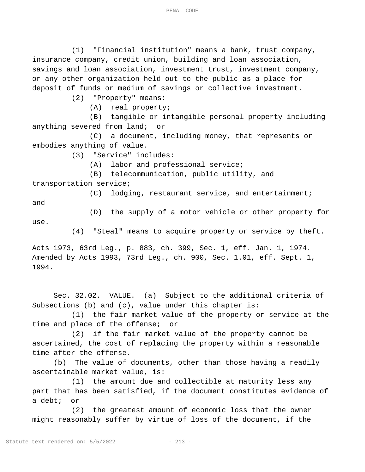(1) "Financial institution" means a bank, trust company, insurance company, credit union, building and loan association, savings and loan association, investment trust, investment company, or any other organization held out to the public as a place for deposit of funds or medium of savings or collective investment.

(2) "Property" means:

(A) real property;

(B) tangible or intangible personal property including anything severed from land; or

(C) a document, including money, that represents or embodies anything of value.

(3) "Service" includes:

(A) labor and professional service;

(B) telecommunication, public utility, and transportation service;

(C) lodging, restaurant service, and entertainment;

and

(D) the supply of a motor vehicle or other property for use.

(4) "Steal" means to acquire property or service by theft.

Acts 1973, 63rd Leg., p. 883, ch. 399, Sec. 1, eff. Jan. 1, 1974. Amended by Acts 1993, 73rd Leg., ch. 900, Sec. 1.01, eff. Sept. 1, 1994.

Sec. 32.02. VALUE. (a) Subject to the additional criteria of Subsections (b) and (c), value under this chapter is:

(1) the fair market value of the property or service at the time and place of the offense; or

(2) if the fair market value of the property cannot be ascertained, the cost of replacing the property within a reasonable time after the offense.

(b) The value of documents, other than those having a readily ascertainable market value, is:

(1) the amount due and collectible at maturity less any part that has been satisfied, if the document constitutes evidence of a debt; or

(2) the greatest amount of economic loss that the owner might reasonably suffer by virtue of loss of the document, if the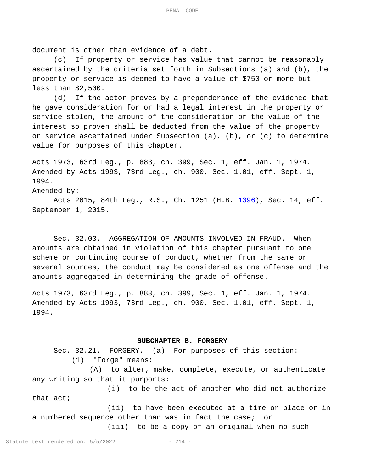document is other than evidence of a debt.

(c) If property or service has value that cannot be reasonably ascertained by the criteria set forth in Subsections (a) and (b), the property or service is deemed to have a value of \$750 or more but less than \$2,500.

(d) If the actor proves by a preponderance of the evidence that he gave consideration for or had a legal interest in the property or service stolen, the amount of the consideration or the value of the interest so proven shall be deducted from the value of the property or service ascertained under Subsection (a), (b), or (c) to determine value for purposes of this chapter.

Acts 1973, 63rd Leg., p. 883, ch. 399, Sec. 1, eff. Jan. 1, 1974. Amended by Acts 1993, 73rd Leg., ch. 900, Sec. 1.01, eff. Sept. 1, 1994.

Amended by:

Acts 2015, 84th Leg., R.S., Ch. 1251 (H.B. [1396](http://www.legis.state.tx.us/tlodocs/84R/billtext/html/HB01396F.HTM)), Sec. 14, eff. September 1, 2015.

Sec. 32.03. AGGREGATION OF AMOUNTS INVOLVED IN FRAUD. When amounts are obtained in violation of this chapter pursuant to one scheme or continuing course of conduct, whether from the same or several sources, the conduct may be considered as one offense and the amounts aggregated in determining the grade of offense.

Acts 1973, 63rd Leg., p. 883, ch. 399, Sec. 1, eff. Jan. 1, 1974. Amended by Acts 1993, 73rd Leg., ch. 900, Sec. 1.01, eff. Sept. 1, 1994.

## **SUBCHAPTER B. FORGERY**

Sec. 32.21. FORGERY. (a) For purposes of this section: (1) "Forge" means:

(A) to alter, make, complete, execute, or authenticate any writing so that it purports:

(i) to be the act of another who did not authorize that act;

(ii) to have been executed at a time or place or in a numbered sequence other than was in fact the case; or

(iii) to be a copy of an original when no such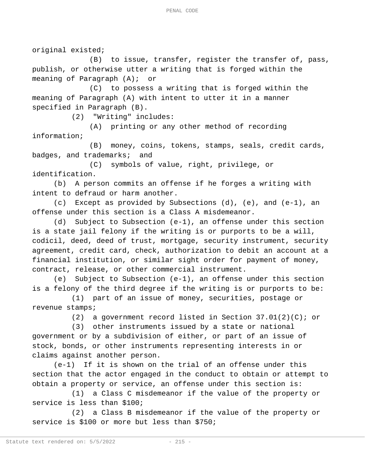original existed;

(B) to issue, transfer, register the transfer of, pass, publish, or otherwise utter a writing that is forged within the meaning of Paragraph  $(A)$ ; or

(C) to possess a writing that is forged within the meaning of Paragraph (A) with intent to utter it in a manner specified in Paragraph (B).

(2) "Writing" includes:

(A) printing or any other method of recording information;

(B) money, coins, tokens, stamps, seals, credit cards, badges, and trademarks; and

(C) symbols of value, right, privilege, or identification.

(b) A person commits an offense if he forges a writing with intent to defraud or harm another.

(c) Except as provided by Subsections (d), (e), and (e-1), an offense under this section is a Class A misdemeanor.

(d) Subject to Subsection (e-1), an offense under this section is a state jail felony if the writing is or purports to be a will, codicil, deed, deed of trust, mortgage, security instrument, security agreement, credit card, check, authorization to debit an account at a financial institution, or similar sight order for payment of money, contract, release, or other commercial instrument.

(e) Subject to Subsection (e-1), an offense under this section is a felony of the third degree if the writing is or purports to be:

(1) part of an issue of money, securities, postage or revenue stamps;

(2) a government record listed in Section  $37.01(2)(C)$ ; or

(3) other instruments issued by a state or national government or by a subdivision of either, or part of an issue of stock, bonds, or other instruments representing interests in or claims against another person.

(e-1) If it is shown on the trial of an offense under this section that the actor engaged in the conduct to obtain or attempt to obtain a property or service, an offense under this section is:

(1) a Class C misdemeanor if the value of the property or service is less than \$100;

(2) a Class B misdemeanor if the value of the property or service is \$100 or more but less than \$750;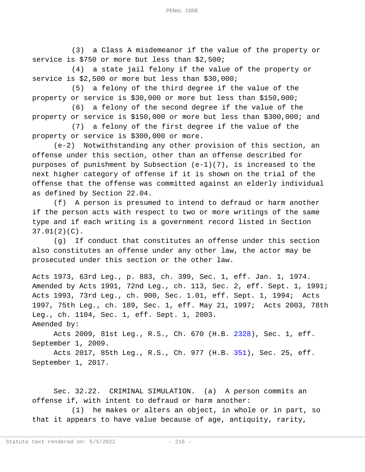(3) a Class A misdemeanor if the value of the property or service is \$750 or more but less than \$2,500;

(4) a state jail felony if the value of the property or service is \$2,500 or more but less than \$30,000;

(5) a felony of the third degree if the value of the property or service is \$30,000 or more but less than \$150,000;

(6) a felony of the second degree if the value of the property or service is \$150,000 or more but less than \$300,000; and

(7) a felony of the first degree if the value of the property or service is \$300,000 or more.

(e-2) Notwithstanding any other provision of this section, an offense under this section, other than an offense described for purposes of punishment by Subsection (e-1)(7), is increased to the next higher category of offense if it is shown on the trial of the offense that the offense was committed against an elderly individual as defined by Section 22.04.

(f) A person is presumed to intend to defraud or harm another if the person acts with respect to two or more writings of the same type and if each writing is a government record listed in Section 37.01(2)(C).

(g) If conduct that constitutes an offense under this section also constitutes an offense under any other law, the actor may be prosecuted under this section or the other law.

Acts 1973, 63rd Leg., p. 883, ch. 399, Sec. 1, eff. Jan. 1, 1974. Amended by Acts 1991, 72nd Leg., ch. 113, Sec. 2, eff. Sept. 1, 1991; Acts 1993, 73rd Leg., ch. 900, Sec. 1.01, eff. Sept. 1, 1994; Acts 1997, 75th Leg., ch. 189, Sec. 1, eff. May 21, 1997; Acts 2003, 78th Leg., ch. 1104, Sec. 1, eff. Sept. 1, 2003. Amended by:

Acts 2009, 81st Leg., R.S., Ch. 670 (H.B. [2328](http://www.legis.state.tx.us/tlodocs/81R/billtext/html/HB02328F.HTM)), Sec. 1, eff. September 1, 2009.

Acts 2017, 85th Leg., R.S., Ch. 977 (H.B. [351](http://www.legis.state.tx.us/tlodocs/85R/billtext/html/HB00351F.HTM)), Sec. 25, eff. September 1, 2017.

Sec. 32.22. CRIMINAL SIMULATION. (a) A person commits an offense if, with intent to defraud or harm another:

(1) he makes or alters an object, in whole or in part, so that it appears to have value because of age, antiquity, rarity,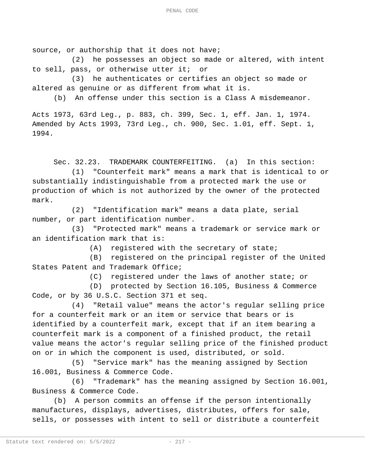source, or authorship that it does not have;

(2) he possesses an object so made or altered, with intent to sell, pass, or otherwise utter it; or

(3) he authenticates or certifies an object so made or altered as genuine or as different from what it is.

(b) An offense under this section is a Class A misdemeanor.

Acts 1973, 63rd Leg., p. 883, ch. 399, Sec. 1, eff. Jan. 1, 1974. Amended by Acts 1993, 73rd Leg., ch. 900, Sec. 1.01, eff. Sept. 1, 1994.

Sec. 32.23. TRADEMARK COUNTERFEITING. (a) In this section:

(1) "Counterfeit mark" means a mark that is identical to or substantially indistinguishable from a protected mark the use or production of which is not authorized by the owner of the protected mark.

(2) "Identification mark" means a data plate, serial number, or part identification number.

(3) "Protected mark" means a trademark or service mark or an identification mark that is:

(A) registered with the secretary of state;

(B) registered on the principal register of the United States Patent and Trademark Office;

(C) registered under the laws of another state; or

(D) protected by Section 16.105, Business & Commerce Code, or by 36 U.S.C. Section 371 et seq.

(4) "Retail value" means the actor's regular selling price for a counterfeit mark or an item or service that bears or is identified by a counterfeit mark, except that if an item bearing a counterfeit mark is a component of a finished product, the retail value means the actor's regular selling price of the finished product on or in which the component is used, distributed, or sold.

(5) "Service mark" has the meaning assigned by Section 16.001, Business & Commerce Code.

(6) "Trademark" has the meaning assigned by Section 16.001, Business & Commerce Code.

(b) A person commits an offense if the person intentionally manufactures, displays, advertises, distributes, offers for sale, sells, or possesses with intent to sell or distribute a counterfeit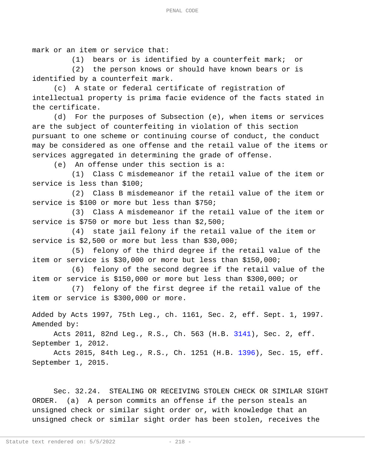mark or an item or service that:

(1) bears or is identified by a counterfeit mark; or

(2) the person knows or should have known bears or is identified by a counterfeit mark.

(c) A state or federal certificate of registration of intellectual property is prima facie evidence of the facts stated in the certificate.

(d) For the purposes of Subsection (e), when items or services are the subject of counterfeiting in violation of this section pursuant to one scheme or continuing course of conduct, the conduct may be considered as one offense and the retail value of the items or services aggregated in determining the grade of offense.

(e) An offense under this section is a:

(1) Class C misdemeanor if the retail value of the item or service is less than \$100;

(2) Class B misdemeanor if the retail value of the item or service is \$100 or more but less than \$750;

(3) Class A misdemeanor if the retail value of the item or service is \$750 or more but less than \$2,500;

(4) state jail felony if the retail value of the item or service is \$2,500 or more but less than \$30,000;

(5) felony of the third degree if the retail value of the item or service is \$30,000 or more but less than \$150,000;

(6) felony of the second degree if the retail value of the item or service is \$150,000 or more but less than \$300,000; or

(7) felony of the first degree if the retail value of the item or service is \$300,000 or more.

Added by Acts 1997, 75th Leg., ch. 1161, Sec. 2, eff. Sept. 1, 1997. Amended by:

Acts 2011, 82nd Leg., R.S., Ch. 563 (H.B. [3141](http://www.legis.state.tx.us/tlodocs/82R/billtext/html/HB03141F.HTM)), Sec. 2, eff. September 1, 2012.

Acts 2015, 84th Leg., R.S., Ch. 1251 (H.B. [1396](http://www.legis.state.tx.us/tlodocs/84R/billtext/html/HB01396F.HTM)), Sec. 15, eff. September 1, 2015.

Sec. 32.24. STEALING OR RECEIVING STOLEN CHECK OR SIMILAR SIGHT ORDER. (a) A person commits an offense if the person steals an unsigned check or similar sight order or, with knowledge that an unsigned check or similar sight order has been stolen, receives the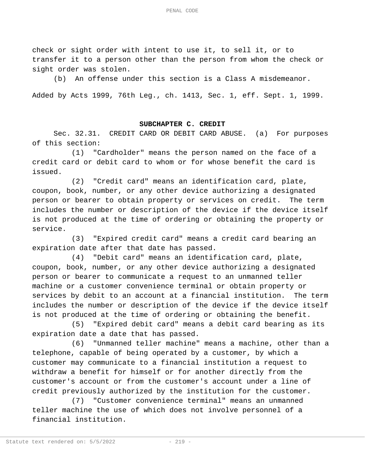check or sight order with intent to use it, to sell it, or to transfer it to a person other than the person from whom the check or sight order was stolen.

(b) An offense under this section is a Class A misdemeanor.

Added by Acts 1999, 76th Leg., ch. 1413, Sec. 1, eff. Sept. 1, 1999.

## **SUBCHAPTER C. CREDIT**

Sec. 32.31. CREDIT CARD OR DEBIT CARD ABUSE. (a) For purposes of this section:

(1) "Cardholder" means the person named on the face of a credit card or debit card to whom or for whose benefit the card is issued.

(2) "Credit card" means an identification card, plate, coupon, book, number, or any other device authorizing a designated person or bearer to obtain property or services on credit. The term includes the number or description of the device if the device itself is not produced at the time of ordering or obtaining the property or service.

(3) "Expired credit card" means a credit card bearing an expiration date after that date has passed.

(4) "Debit card" means an identification card, plate, coupon, book, number, or any other device authorizing a designated person or bearer to communicate a request to an unmanned teller machine or a customer convenience terminal or obtain property or services by debit to an account at a financial institution. The term includes the number or description of the device if the device itself is not produced at the time of ordering or obtaining the benefit.

(5) "Expired debit card" means a debit card bearing as its expiration date a date that has passed.

(6) "Unmanned teller machine" means a machine, other than a telephone, capable of being operated by a customer, by which a customer may communicate to a financial institution a request to withdraw a benefit for himself or for another directly from the customer's account or from the customer's account under a line of credit previously authorized by the institution for the customer.

(7) "Customer convenience terminal" means an unmanned teller machine the use of which does not involve personnel of a financial institution.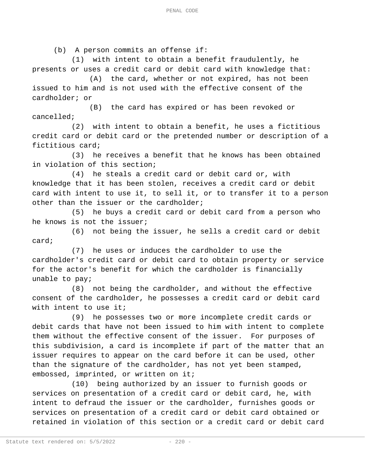(b) A person commits an offense if:

(1) with intent to obtain a benefit fraudulently, he presents or uses a credit card or debit card with knowledge that:

(A) the card, whether or not expired, has not been issued to him and is not used with the effective consent of the cardholder; or

(B) the card has expired or has been revoked or cancelled;

(2) with intent to obtain a benefit, he uses a fictitious credit card or debit card or the pretended number or description of a fictitious card;

(3) he receives a benefit that he knows has been obtained in violation of this section;

(4) he steals a credit card or debit card or, with knowledge that it has been stolen, receives a credit card or debit card with intent to use it, to sell it, or to transfer it to a person other than the issuer or the cardholder;

(5) he buys a credit card or debit card from a person who he knows is not the issuer;

(6) not being the issuer, he sells a credit card or debit card;

(7) he uses or induces the cardholder to use the cardholder's credit card or debit card to obtain property or service for the actor's benefit for which the cardholder is financially unable to pay;

(8) not being the cardholder, and without the effective consent of the cardholder, he possesses a credit card or debit card with intent to use it;

(9) he possesses two or more incomplete credit cards or debit cards that have not been issued to him with intent to complete them without the effective consent of the issuer. For purposes of this subdivision, a card is incomplete if part of the matter that an issuer requires to appear on the card before it can be used, other than the signature of the cardholder, has not yet been stamped, embossed, imprinted, or written on it;

(10) being authorized by an issuer to furnish goods or services on presentation of a credit card or debit card, he, with intent to defraud the issuer or the cardholder, furnishes goods or services on presentation of a credit card or debit card obtained or retained in violation of this section or a credit card or debit card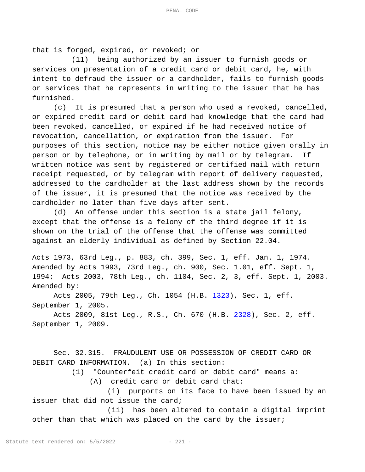that is forged, expired, or revoked; or

(11) being authorized by an issuer to furnish goods or services on presentation of a credit card or debit card, he, with intent to defraud the issuer or a cardholder, fails to furnish goods or services that he represents in writing to the issuer that he has furnished.

(c) It is presumed that a person who used a revoked, cancelled, or expired credit card or debit card had knowledge that the card had been revoked, cancelled, or expired if he had received notice of revocation, cancellation, or expiration from the issuer. For purposes of this section, notice may be either notice given orally in person or by telephone, or in writing by mail or by telegram. If written notice was sent by registered or certified mail with return receipt requested, or by telegram with report of delivery requested, addressed to the cardholder at the last address shown by the records of the issuer, it is presumed that the notice was received by the cardholder no later than five days after sent.

(d) An offense under this section is a state jail felony, except that the offense is a felony of the third degree if it is shown on the trial of the offense that the offense was committed against an elderly individual as defined by Section 22.04.

Acts 1973, 63rd Leg., p. 883, ch. 399, Sec. 1, eff. Jan. 1, 1974. Amended by Acts 1993, 73rd Leg., ch. 900, Sec. 1.01, eff. Sept. 1, 1994; Acts 2003, 78th Leg., ch. 1104, Sec. 2, 3, eff. Sept. 1, 2003. Amended by:

Acts 2005, 79th Leg., Ch. 1054 (H.B. [1323](http://www.legis.state.tx.us/tlodocs/79R/billtext/html/HB01323F.HTM)), Sec. 1, eff. September 1, 2005.

Acts 2009, 81st Leg., R.S., Ch. 670 (H.B. [2328](http://www.legis.state.tx.us/tlodocs/81R/billtext/html/HB02328F.HTM)), Sec. 2, eff. September 1, 2009.

Sec. 32.315. FRAUDULENT USE OR POSSESSION OF CREDIT CARD OR DEBIT CARD INFORMATION. (a) In this section:

(1) "Counterfeit credit card or debit card" means a:

(A) credit card or debit card that:

(i) purports on its face to have been issued by an issuer that did not issue the card;

(ii) has been altered to contain a digital imprint other than that which was placed on the card by the issuer;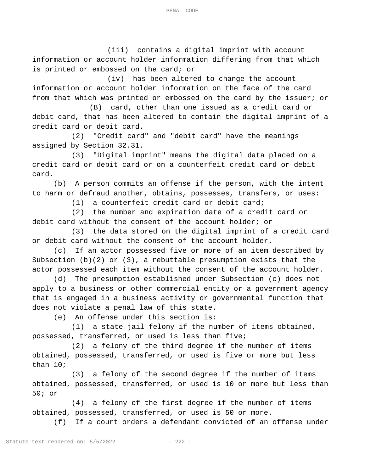(iii) contains a digital imprint with account information or account holder information differing from that which is printed or embossed on the card; or

(iv) has been altered to change the account information or account holder information on the face of the card from that which was printed or embossed on the card by the issuer; or

(B) card, other than one issued as a credit card or debit card, that has been altered to contain the digital imprint of a credit card or debit card.

(2) "Credit card" and "debit card" have the meanings assigned by Section 32.31.

(3) "Digital imprint" means the digital data placed on a credit card or debit card or on a counterfeit credit card or debit card.

(b) A person commits an offense if the person, with the intent to harm or defraud another, obtains, possesses, transfers, or uses:

(1) a counterfeit credit card or debit card;

(2) the number and expiration date of a credit card or debit card without the consent of the account holder; or

(3) the data stored on the digital imprint of a credit card or debit card without the consent of the account holder.

(c) If an actor possessed five or more of an item described by Subsection  $(b)(2)$  or  $(3)$ , a rebuttable presumption exists that the actor possessed each item without the consent of the account holder.

(d) The presumption established under Subsection (c) does not apply to a business or other commercial entity or a government agency that is engaged in a business activity or governmental function that does not violate a penal law of this state.

(e) An offense under this section is:

(1) a state jail felony if the number of items obtained, possessed, transferred, or used is less than five;

(2) a felony of the third degree if the number of items obtained, possessed, transferred, or used is five or more but less than 10;

(3) a felony of the second degree if the number of items obtained, possessed, transferred, or used is 10 or more but less than 50; or

(4) a felony of the first degree if the number of items obtained, possessed, transferred, or used is 50 or more.

(f) If a court orders a defendant convicted of an offense under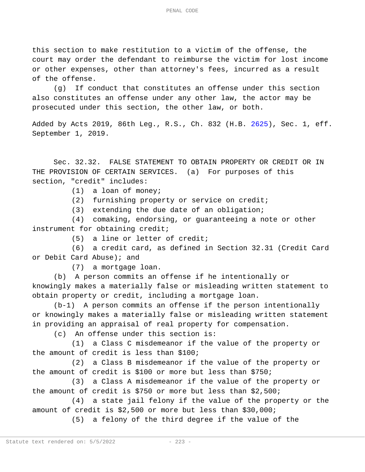this section to make restitution to a victim of the offense, the court may order the defendant to reimburse the victim for lost income or other expenses, other than attorney's fees, incurred as a result of the offense.

(g) If conduct that constitutes an offense under this section also constitutes an offense under any other law, the actor may be prosecuted under this section, the other law, or both.

Added by Acts 2019, 86th Leg., R.S., Ch. 832 (H.B. [2625](http://www.legis.state.tx.us/tlodocs/86R/billtext/html/HB02625F.HTM)), Sec. 1, eff. September 1, 2019.

Sec. 32.32. FALSE STATEMENT TO OBTAIN PROPERTY OR CREDIT OR IN THE PROVISION OF CERTAIN SERVICES. (a) For purposes of this section, "credit" includes:

(1) a loan of money;

(2) furnishing property or service on credit;

(3) extending the due date of an obligation;

(4) comaking, endorsing, or guaranteeing a note or other instrument for obtaining credit;

(5) a line or letter of credit;

(6) a credit card, as defined in Section 32.31 (Credit Card or Debit Card Abuse); and

(7) a mortgage loan.

(b) A person commits an offense if he intentionally or knowingly makes a materially false or misleading written statement to obtain property or credit, including a mortgage loan.

(b-1) A person commits an offense if the person intentionally or knowingly makes a materially false or misleading written statement in providing an appraisal of real property for compensation.

(c) An offense under this section is:

(1) a Class C misdemeanor if the value of the property or the amount of credit is less than \$100;

(2) a Class B misdemeanor if the value of the property or the amount of credit is \$100 or more but less than \$750;

(3) a Class A misdemeanor if the value of the property or the amount of credit is \$750 or more but less than \$2,500;

(4) a state jail felony if the value of the property or the amount of credit is \$2,500 or more but less than \$30,000;

(5) a felony of the third degree if the value of the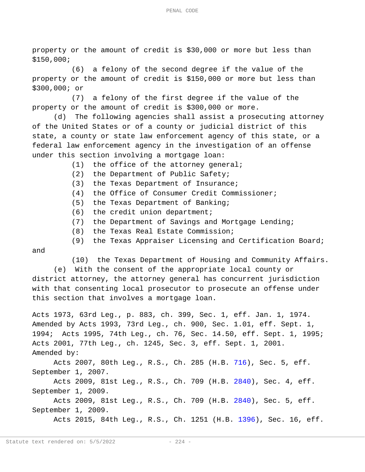property or the amount of credit is \$30,000 or more but less than \$150,000;

(6) a felony of the second degree if the value of the property or the amount of credit is \$150,000 or more but less than \$300,000; or

(7) a felony of the first degree if the value of the property or the amount of credit is \$300,000 or more.

(d) The following agencies shall assist a prosecuting attorney of the United States or of a county or judicial district of this state, a county or state law enforcement agency of this state, or a federal law enforcement agency in the investigation of an offense under this section involving a mortgage loan:

(1) the office of the attorney general;

- (2) the Department of Public Safety;
- (3) the Texas Department of Insurance;
- (4) the Office of Consumer Credit Commissioner;
- (5) the Texas Department of Banking;
- (6) the credit union department;
- (7) the Department of Savings and Mortgage Lending;
- (8) the Texas Real Estate Commission;
- (9) the Texas Appraiser Licensing and Certification Board; and

(10) the Texas Department of Housing and Community Affairs.

(e) With the consent of the appropriate local county or district attorney, the attorney general has concurrent jurisdiction with that consenting local prosecutor to prosecute an offense under this section that involves a mortgage loan.

Acts 1973, 63rd Leg., p. 883, ch. 399, Sec. 1, eff. Jan. 1, 1974. Amended by Acts 1993, 73rd Leg., ch. 900, Sec. 1.01, eff. Sept. 1, 1994; Acts 1995, 74th Leg., ch. 76, Sec. 14.50, eff. Sept. 1, 1995; Acts 2001, 77th Leg., ch. 1245, Sec. 3, eff. Sept. 1, 2001. Amended by: Acts 2007, 80th Leg., R.S., Ch. 285 (H.B. [716](http://www.legis.state.tx.us/tlodocs/80R/billtext/html/HB00716F.HTM)), Sec. 5, eff. September 1, 2007. Acts 2009, 81st Leg., R.S., Ch. 709 (H.B. [2840](http://www.legis.state.tx.us/tlodocs/81R/billtext/html/HB02840F.HTM)), Sec. 4, eff. September 1, 2009. Acts 2009, 81st Leg., R.S., Ch. 709 (H.B. [2840](http://www.legis.state.tx.us/tlodocs/81R/billtext/html/HB02840F.HTM)), Sec. 5, eff. September 1, 2009. Acts 2015, 84th Leg., R.S., Ch. 1251 (H.B. [1396](http://www.legis.state.tx.us/tlodocs/84R/billtext/html/HB01396F.HTM)), Sec. 16, eff.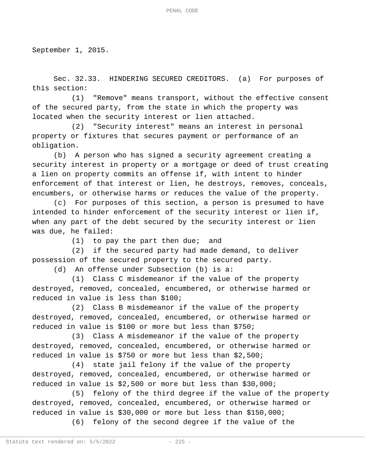September 1, 2015.

Sec. 32.33. HINDERING SECURED CREDITORS. (a) For purposes of this section:

(1) "Remove" means transport, without the effective consent of the secured party, from the state in which the property was located when the security interest or lien attached.

(2) "Security interest" means an interest in personal property or fixtures that secures payment or performance of an obligation.

(b) A person who has signed a security agreement creating a security interest in property or a mortgage or deed of trust creating a lien on property commits an offense if, with intent to hinder enforcement of that interest or lien, he destroys, removes, conceals, encumbers, or otherwise harms or reduces the value of the property.

(c) For purposes of this section, a person is presumed to have intended to hinder enforcement of the security interest or lien if, when any part of the debt secured by the security interest or lien was due, he failed:

(1) to pay the part then due; and

(2) if the secured party had made demand, to deliver possession of the secured property to the secured party.

(d) An offense under Subsection (b) is a:

(1) Class C misdemeanor if the value of the property destroyed, removed, concealed, encumbered, or otherwise harmed or reduced in value is less than \$100;

(2) Class B misdemeanor if the value of the property destroyed, removed, concealed, encumbered, or otherwise harmed or reduced in value is \$100 or more but less than \$750;

(3) Class A misdemeanor if the value of the property destroyed, removed, concealed, encumbered, or otherwise harmed or reduced in value is \$750 or more but less than \$2,500;

(4) state jail felony if the value of the property destroyed, removed, concealed, encumbered, or otherwise harmed or reduced in value is \$2,500 or more but less than \$30,000;

(5) felony of the third degree if the value of the property destroyed, removed, concealed, encumbered, or otherwise harmed or reduced in value is \$30,000 or more but less than \$150,000; (6) felony of the second degree if the value of the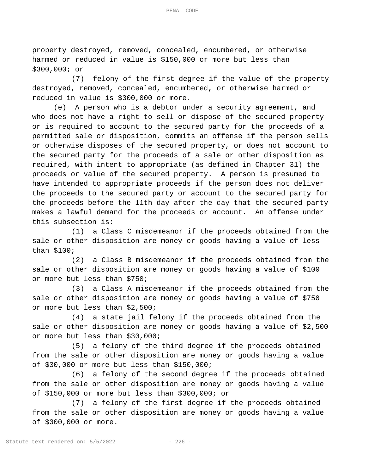property destroyed, removed, concealed, encumbered, or otherwise harmed or reduced in value is \$150,000 or more but less than \$300,000; or

(7) felony of the first degree if the value of the property destroyed, removed, concealed, encumbered, or otherwise harmed or reduced in value is \$300,000 or more.

(e) A person who is a debtor under a security agreement, and who does not have a right to sell or dispose of the secured property or is required to account to the secured party for the proceeds of a permitted sale or disposition, commits an offense if the person sells or otherwise disposes of the secured property, or does not account to the secured party for the proceeds of a sale or other disposition as required, with intent to appropriate (as defined in Chapter 31) the proceeds or value of the secured property. A person is presumed to have intended to appropriate proceeds if the person does not deliver the proceeds to the secured party or account to the secured party for the proceeds before the 11th day after the day that the secured party makes a lawful demand for the proceeds or account. An offense under this subsection is:

(1) a Class C misdemeanor if the proceeds obtained from the sale or other disposition are money or goods having a value of less than \$100;

(2) a Class B misdemeanor if the proceeds obtained from the sale or other disposition are money or goods having a value of \$100 or more but less than \$750;

(3) a Class A misdemeanor if the proceeds obtained from the sale or other disposition are money or goods having a value of \$750 or more but less than \$2,500;

a state jail felony if the proceeds obtained from the sale or other disposition are money or goods having a value of \$2,500 or more but less than \$30,000;

(5) a felony of the third degree if the proceeds obtained from the sale or other disposition are money or goods having a value of \$30,000 or more but less than \$150,000;

(6) a felony of the second degree if the proceeds obtained from the sale or other disposition are money or goods having a value of \$150,000 or more but less than \$300,000; or

(7) a felony of the first degree if the proceeds obtained from the sale or other disposition are money or goods having a value of \$300,000 or more.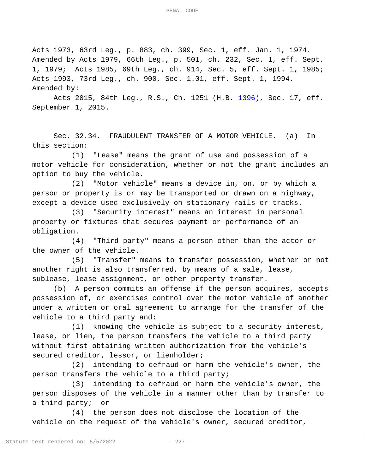Acts 1973, 63rd Leg., p. 883, ch. 399, Sec. 1, eff. Jan. 1, 1974. Amended by Acts 1979, 66th Leg., p. 501, ch. 232, Sec. 1, eff. Sept. 1, 1979; Acts 1985, 69th Leg., ch. 914, Sec. 5, eff. Sept. 1, 1985; Acts 1993, 73rd Leg., ch. 900, Sec. 1.01, eff. Sept. 1, 1994. Amended by:

Acts 2015, 84th Leg., R.S., Ch. 1251 (H.B. [1396](http://www.legis.state.tx.us/tlodocs/84R/billtext/html/HB01396F.HTM)), Sec. 17, eff. September 1, 2015.

Sec. 32.34. FRAUDULENT TRANSFER OF A MOTOR VEHICLE. (a) In this section:

(1) "Lease" means the grant of use and possession of a motor vehicle for consideration, whether or not the grant includes an option to buy the vehicle.

(2) "Motor vehicle" means a device in, on, or by which a person or property is or may be transported or drawn on a highway, except a device used exclusively on stationary rails or tracks.

(3) "Security interest" means an interest in personal property or fixtures that secures payment or performance of an obligation.

(4) "Third party" means a person other than the actor or the owner of the vehicle.

(5) "Transfer" means to transfer possession, whether or not another right is also transferred, by means of a sale, lease, sublease, lease assignment, or other property transfer.

(b) A person commits an offense if the person acquires, accepts possession of, or exercises control over the motor vehicle of another under a written or oral agreement to arrange for the transfer of the vehicle to a third party and:

(1) knowing the vehicle is subject to a security interest, lease, or lien, the person transfers the vehicle to a third party without first obtaining written authorization from the vehicle's secured creditor, lessor, or lienholder;

(2) intending to defraud or harm the vehicle's owner, the person transfers the vehicle to a third party;

(3) intending to defraud or harm the vehicle's owner, the person disposes of the vehicle in a manner other than by transfer to a third party; or

(4) the person does not disclose the location of the vehicle on the request of the vehicle's owner, secured creditor,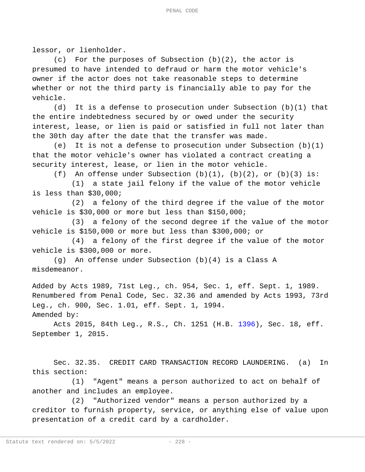lessor, or lienholder.

(c) For the purposes of Subsection (b)(2), the actor is presumed to have intended to defraud or harm the motor vehicle's owner if the actor does not take reasonable steps to determine whether or not the third party is financially able to pay for the vehicle.

(d) It is a defense to prosecution under Subsection  $(b)(1)$  that the entire indebtedness secured by or owed under the security interest, lease, or lien is paid or satisfied in full not later than the 30th day after the date that the transfer was made.

(e) It is not a defense to prosecution under Subsection  $(b)(1)$ that the motor vehicle's owner has violated a contract creating a security interest, lease, or lien in the motor vehicle.

(f) An offense under Subsection  $(b)(1)$ ,  $(b)(2)$ , or  $(b)(3)$  is:

(1) a state jail felony if the value of the motor vehicle is less than \$30,000;

(2) a felony of the third degree if the value of the motor vehicle is \$30,000 or more but less than \$150,000;

(3) a felony of the second degree if the value of the motor vehicle is \$150,000 or more but less than \$300,000; or

(4) a felony of the first degree if the value of the motor vehicle is \$300,000 or more.

(g) An offense under Subsection (b)(4) is a Class A misdemeanor.

Added by Acts 1989, 71st Leg., ch. 954, Sec. 1, eff. Sept. 1, 1989. Renumbered from Penal Code, Sec. 32.36 and amended by Acts 1993, 73rd Leg., ch. 900, Sec. 1.01, eff. Sept. 1, 1994. Amended by:

Acts 2015, 84th Leg., R.S., Ch. 1251 (H.B. [1396](http://www.legis.state.tx.us/tlodocs/84R/billtext/html/HB01396F.HTM)), Sec. 18, eff. September 1, 2015.

Sec. 32.35. CREDIT CARD TRANSACTION RECORD LAUNDERING. (a) In this section:

(1) "Agent" means a person authorized to act on behalf of another and includes an employee.

(2) "Authorized vendor" means a person authorized by a creditor to furnish property, service, or anything else of value upon presentation of a credit card by a cardholder.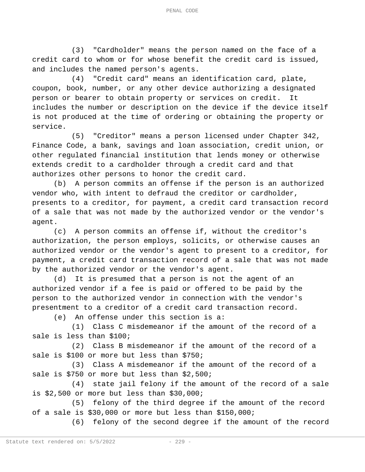(3) "Cardholder" means the person named on the face of a credit card to whom or for whose benefit the credit card is issued, and includes the named person's agents.

(4) "Credit card" means an identification card, plate, coupon, book, number, or any other device authorizing a designated person or bearer to obtain property or services on credit. It includes the number or description on the device if the device itself is not produced at the time of ordering or obtaining the property or service.

(5) "Creditor" means a person licensed under Chapter 342, Finance Code, a bank, savings and loan association, credit union, or other regulated financial institution that lends money or otherwise extends credit to a cardholder through a credit card and that authorizes other persons to honor the credit card.

(b) A person commits an offense if the person is an authorized vendor who, with intent to defraud the creditor or cardholder, presents to a creditor, for payment, a credit card transaction record of a sale that was not made by the authorized vendor or the vendor's agent.

(c) A person commits an offense if, without the creditor's authorization, the person employs, solicits, or otherwise causes an authorized vendor or the vendor's agent to present to a creditor, for payment, a credit card transaction record of a sale that was not made by the authorized vendor or the vendor's agent.

(d) It is presumed that a person is not the agent of an authorized vendor if a fee is paid or offered to be paid by the person to the authorized vendor in connection with the vendor's presentment to a creditor of a credit card transaction record.

(e) An offense under this section is a:

(1) Class C misdemeanor if the amount of the record of a sale is less than \$100;

(2) Class B misdemeanor if the amount of the record of a sale is \$100 or more but less than \$750;

(3) Class A misdemeanor if the amount of the record of a sale is \$750 or more but less than \$2,500;

(4) state jail felony if the amount of the record of a sale is \$2,500 or more but less than \$30,000;

(5) felony of the third degree if the amount of the record of a sale is \$30,000 or more but less than \$150,000;

(6) felony of the second degree if the amount of the record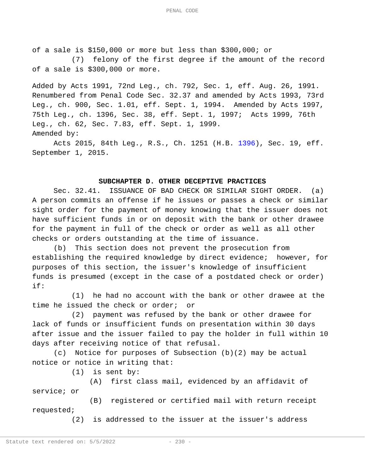of a sale is \$150,000 or more but less than \$300,000; or

(7) felony of the first degree if the amount of the record of a sale is \$300,000 or more.

Added by Acts 1991, 72nd Leg., ch. 792, Sec. 1, eff. Aug. 26, 1991. Renumbered from Penal Code Sec. 32.37 and amended by Acts 1993, 73rd Leg., ch. 900, Sec. 1.01, eff. Sept. 1, 1994. Amended by Acts 1997, 75th Leg., ch. 1396, Sec. 38, eff. Sept. 1, 1997; Acts 1999, 76th Leg., ch. 62, Sec. 7.83, eff. Sept. 1, 1999. Amended by:

Acts 2015, 84th Leg., R.S., Ch. 1251 (H.B. [1396](http://www.legis.state.tx.us/tlodocs/84R/billtext/html/HB01396F.HTM)), Sec. 19, eff. September 1, 2015.

## **SUBCHAPTER D. OTHER DECEPTIVE PRACTICES**

Sec. 32.41. ISSUANCE OF BAD CHECK OR SIMILAR SIGHT ORDER. (a) A person commits an offense if he issues or passes a check or similar sight order for the payment of money knowing that the issuer does not have sufficient funds in or on deposit with the bank or other drawee for the payment in full of the check or order as well as all other checks or orders outstanding at the time of issuance.

(b) This section does not prevent the prosecution from establishing the required knowledge by direct evidence; however, for purposes of this section, the issuer's knowledge of insufficient funds is presumed (except in the case of a postdated check or order) if:

(1) he had no account with the bank or other drawee at the time he issued the check or order; or

(2) payment was refused by the bank or other drawee for lack of funds or insufficient funds on presentation within 30 days after issue and the issuer failed to pay the holder in full within 10 days after receiving notice of that refusal.

(c) Notice for purposes of Subsection (b)(2) may be actual notice or notice in writing that:

(1) is sent by:

(A) first class mail, evidenced by an affidavit of service; or

(B) registered or certified mail with return receipt requested;

(2) is addressed to the issuer at the issuer's address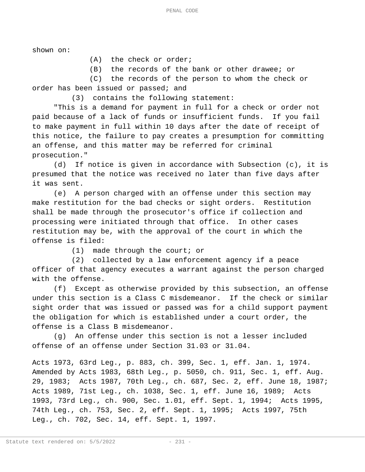shown on:

- (A) the check or order;
- (B) the records of the bank or other drawee; or
- (C) the records of the person to whom the check or

order has been issued or passed; and

(3) contains the following statement:

"This is a demand for payment in full for a check or order not paid because of a lack of funds or insufficient funds. If you fail to make payment in full within 10 days after the date of receipt of this notice, the failure to pay creates a presumption for committing an offense, and this matter may be referred for criminal prosecution."

(d) If notice is given in accordance with Subsection (c), it is presumed that the notice was received no later than five days after it was sent.

(e) A person charged with an offense under this section may make restitution for the bad checks or sight orders. Restitution shall be made through the prosecutor's office if collection and processing were initiated through that office. In other cases restitution may be, with the approval of the court in which the offense is filed:

(1) made through the court; or

(2) collected by a law enforcement agency if a peace officer of that agency executes a warrant against the person charged with the offense.

(f) Except as otherwise provided by this subsection, an offense under this section is a Class C misdemeanor. If the check or similar sight order that was issued or passed was for a child support payment the obligation for which is established under a court order, the offense is a Class B misdemeanor.

(g) An offense under this section is not a lesser included offense of an offense under Section 31.03 or 31.04.

Acts 1973, 63rd Leg., p. 883, ch. 399, Sec. 1, eff. Jan. 1, 1974. Amended by Acts 1983, 68th Leg., p. 5050, ch. 911, Sec. 1, eff. Aug. 29, 1983; Acts 1987, 70th Leg., ch. 687, Sec. 2, eff. June 18, 1987; Acts 1989, 71st Leg., ch. 1038, Sec. 1, eff. June 16, 1989; Acts 1993, 73rd Leg., ch. 900, Sec. 1.01, eff. Sept. 1, 1994; Acts 1995, 74th Leg., ch. 753, Sec. 2, eff. Sept. 1, 1995; Acts 1997, 75th Leg., ch. 702, Sec. 14, eff. Sept. 1, 1997.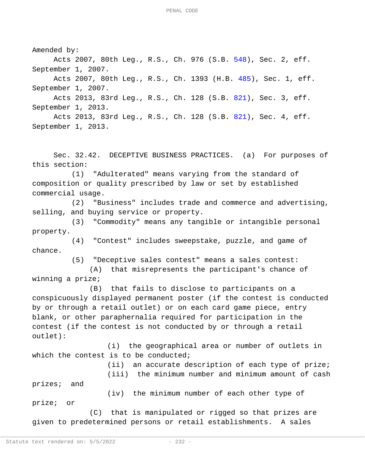Amended by: Acts 2007, 80th Leg., R.S., Ch. 976 (S.B. [548](http://www.legis.state.tx.us/tlodocs/80R/billtext/html/SB00548F.HTM)), Sec. 2, eff. September 1, 2007. Acts 2007, 80th Leg., R.S., Ch. 1393 (H.B. [485](http://www.legis.state.tx.us/tlodocs/80R/billtext/html/HB00485F.HTM)), Sec. 1, eff. September 1, 2007. Acts 2013, 83rd Leg., R.S., Ch. 128 (S.B. [821](http://www.legis.state.tx.us/tlodocs/83R/billtext/html/SB00821F.HTM)), Sec. 3, eff. September 1, 2013. Acts 2013, 83rd Leg., R.S., Ch. 128 (S.B. [821](http://www.legis.state.tx.us/tlodocs/83R/billtext/html/SB00821F.HTM)), Sec. 4, eff. September 1, 2013.

Sec. 32.42. DECEPTIVE BUSINESS PRACTICES. (a) For purposes of this section:

(1) "Adulterated" means varying from the standard of composition or quality prescribed by law or set by established commercial usage.

(2) "Business" includes trade and commerce and advertising, selling, and buying service or property.

(3) "Commodity" means any tangible or intangible personal property.

(4) "Contest" includes sweepstake, puzzle, and game of chance.

(5) "Deceptive sales contest" means a sales contest:

(A) that misrepresents the participant's chance of winning a prize;

(B) that fails to disclose to participants on a conspicuously displayed permanent poster (if the contest is conducted by or through a retail outlet) or on each card game piece, entry blank, or other paraphernalia required for participation in the contest (if the contest is not conducted by or through a retail outlet):

(i) the geographical area or number of outlets in which the contest is to be conducted;

(ii) an accurate description of each type of prize;

(iii) the minimum number and minimum amount of cash prizes; and

(iv) the minimum number of each other type of prize; or

(C) that is manipulated or rigged so that prizes are given to predetermined persons or retail establishments. A sales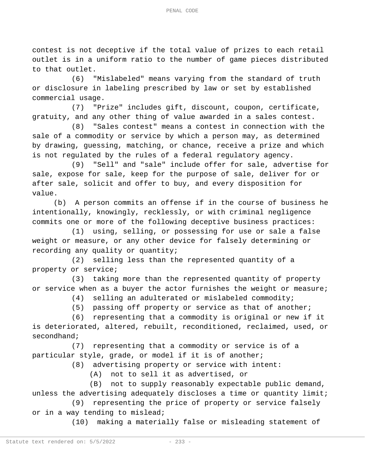contest is not deceptive if the total value of prizes to each retail outlet is in a uniform ratio to the number of game pieces distributed to that outlet.

(6) "Mislabeled" means varying from the standard of truth or disclosure in labeling prescribed by law or set by established commercial usage.

(7) "Prize" includes gift, discount, coupon, certificate, gratuity, and any other thing of value awarded in a sales contest.

(8) "Sales contest" means a contest in connection with the sale of a commodity or service by which a person may, as determined by drawing, guessing, matching, or chance, receive a prize and which is not regulated by the rules of a federal regulatory agency.

(9) "Sell" and "sale" include offer for sale, advertise for sale, expose for sale, keep for the purpose of sale, deliver for or after sale, solicit and offer to buy, and every disposition for value.

(b) A person commits an offense if in the course of business he intentionally, knowingly, recklessly, or with criminal negligence commits one or more of the following deceptive business practices:

(1) using, selling, or possessing for use or sale a false weight or measure, or any other device for falsely determining or recording any quality or quantity;

(2) selling less than the represented quantity of a property or service;

(3) taking more than the represented quantity of property or service when as a buyer the actor furnishes the weight or measure;

(4) selling an adulterated or mislabeled commodity;

(5) passing off property or service as that of another;

(6) representing that a commodity is original or new if it is deteriorated, altered, rebuilt, reconditioned, reclaimed, used, or secondhand;

(7) representing that a commodity or service is of a particular style, grade, or model if it is of another;

(8) advertising property or service with intent:

(A) not to sell it as advertised, or

(B) not to supply reasonably expectable public demand, unless the advertising adequately discloses a time or quantity limit;

(9) representing the price of property or service falsely or in a way tending to mislead;

(10) making a materially false or misleading statement of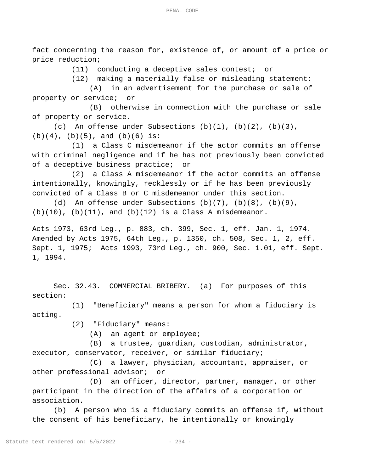fact concerning the reason for, existence of, or amount of a price or price reduction;

(11) conducting a deceptive sales contest; or

(12) making a materially false or misleading statement:

(A) in an advertisement for the purchase or sale of property or service; or

(B) otherwise in connection with the purchase or sale of property or service.

(c) An offense under Subsections  $(b)(1)$ ,  $(b)(2)$ ,  $(b)(3)$ ,  $(b)(4)$ ,  $(b)(5)$ , and  $(b)(6)$  is:

(1) a Class C misdemeanor if the actor commits an offense with criminal negligence and if he has not previously been convicted of a deceptive business practice; or

(2) a Class A misdemeanor if the actor commits an offense intentionally, knowingly, recklessly or if he has been previously convicted of a Class B or C misdemeanor under this section.

(d) An offense under Subsections (b)(7), (b)(8), (b)(9),  $(b)(10)$ ,  $(b)(11)$ , and  $(b)(12)$  is a Class A misdemeanor.

Acts 1973, 63rd Leg., p. 883, ch. 399, Sec. 1, eff. Jan. 1, 1974. Amended by Acts 1975, 64th Leg., p. 1350, ch. 508, Sec. 1, 2, eff. Sept. 1, 1975; Acts 1993, 73rd Leg., ch. 900, Sec. 1.01, eff. Sept. 1, 1994.

Sec. 32.43. COMMERCIAL BRIBERY. (a) For purposes of this section:

(1) "Beneficiary" means a person for whom a fiduciary is acting.

(2) "Fiduciary" means:

(A) an agent or employee;

(B) a trustee, guardian, custodian, administrator, executor, conservator, receiver, or similar fiduciary;

(C) a lawyer, physician, accountant, appraiser, or other professional advisor; or

(D) an officer, director, partner, manager, or other participant in the direction of the affairs of a corporation or association.

(b) A person who is a fiduciary commits an offense if, without the consent of his beneficiary, he intentionally or knowingly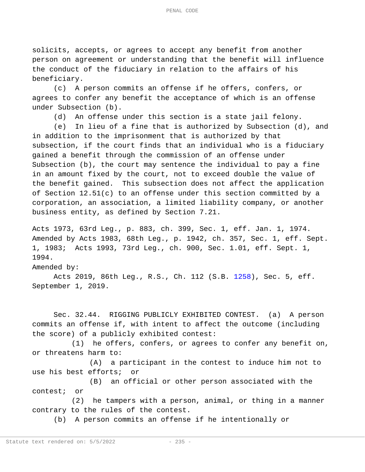solicits, accepts, or agrees to accept any benefit from another person on agreement or understanding that the benefit will influence the conduct of the fiduciary in relation to the affairs of his beneficiary.

(c) A person commits an offense if he offers, confers, or agrees to confer any benefit the acceptance of which is an offense under Subsection (b).

(d) An offense under this section is a state jail felony.

(e) In lieu of a fine that is authorized by Subsection (d), and in addition to the imprisonment that is authorized by that subsection, if the court finds that an individual who is a fiduciary gained a benefit through the commission of an offense under Subsection (b), the court may sentence the individual to pay a fine in an amount fixed by the court, not to exceed double the value of the benefit gained. This subsection does not affect the application of Section 12.51(c) to an offense under this section committed by a corporation, an association, a limited liability company, or another business entity, as defined by Section 7.21.

Acts 1973, 63rd Leg., p. 883, ch. 399, Sec. 1, eff. Jan. 1, 1974. Amended by Acts 1983, 68th Leg., p. 1942, ch. 357, Sec. 1, eff. Sept. 1, 1983; Acts 1993, 73rd Leg., ch. 900, Sec. 1.01, eff. Sept. 1, 1994.

Amended by:

Acts 2019, 86th Leg., R.S., Ch. 112 (S.B. [1258](http://www.legis.state.tx.us/tlodocs/86R/billtext/html/SB01258F.HTM)), Sec. 5, eff. September 1, 2019.

Sec. 32.44. RIGGING PUBLICLY EXHIBITED CONTEST. (a) A person commits an offense if, with intent to affect the outcome (including the score) of a publicly exhibited contest:

(1) he offers, confers, or agrees to confer any benefit on, or threatens harm to:

(A) a participant in the contest to induce him not to use his best efforts; or

(B) an official or other person associated with the contest; or

(2) he tampers with a person, animal, or thing in a manner contrary to the rules of the contest.

(b) A person commits an offense if he intentionally or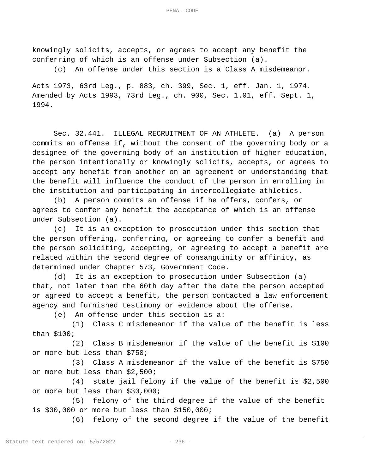knowingly solicits, accepts, or agrees to accept any benefit the conferring of which is an offense under Subsection (a).

(c) An offense under this section is a Class A misdemeanor.

Acts 1973, 63rd Leg., p. 883, ch. 399, Sec. 1, eff. Jan. 1, 1974. Amended by Acts 1993, 73rd Leg., ch. 900, Sec. 1.01, eff. Sept. 1, 1994.

Sec. 32.441. ILLEGAL RECRUITMENT OF AN ATHLETE. (a) A person commits an offense if, without the consent of the governing body or a designee of the governing body of an institution of higher education, the person intentionally or knowingly solicits, accepts, or agrees to accept any benefit from another on an agreement or understanding that the benefit will influence the conduct of the person in enrolling in the institution and participating in intercollegiate athletics.

(b) A person commits an offense if he offers, confers, or agrees to confer any benefit the acceptance of which is an offense under Subsection (a).

(c) It is an exception to prosecution under this section that the person offering, conferring, or agreeing to confer a benefit and the person soliciting, accepting, or agreeing to accept a benefit are related within the second degree of consanguinity or affinity, as determined under Chapter 573, Government Code.

(d) It is an exception to prosecution under Subsection (a) that, not later than the 60th day after the date the person accepted or agreed to accept a benefit, the person contacted a law enforcement agency and furnished testimony or evidence about the offense.

(e) An offense under this section is a:

(1) Class C misdemeanor if the value of the benefit is less than \$100;

(2) Class B misdemeanor if the value of the benefit is \$100 or more but less than \$750;

(3) Class A misdemeanor if the value of the benefit is \$750 or more but less than \$2,500;

(4) state jail felony if the value of the benefit is \$2,500 or more but less than \$30,000;

(5) felony of the third degree if the value of the benefit is \$30,000 or more but less than \$150,000;

(6) felony of the second degree if the value of the benefit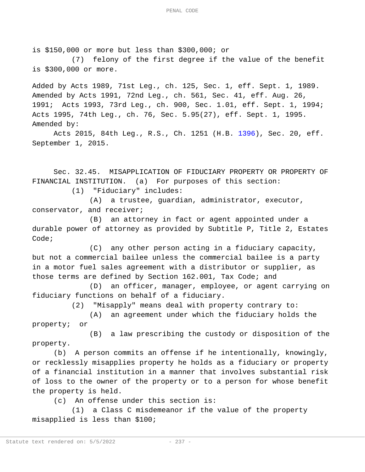is \$150,000 or more but less than \$300,000; or

(7) felony of the first degree if the value of the benefit is \$300,000 or more.

Added by Acts 1989, 71st Leg., ch. 125, Sec. 1, eff. Sept. 1, 1989. Amended by Acts 1991, 72nd Leg., ch. 561, Sec. 41, eff. Aug. 26, 1991; Acts 1993, 73rd Leg., ch. 900, Sec. 1.01, eff. Sept. 1, 1994; Acts 1995, 74th Leg., ch. 76, Sec. 5.95(27), eff. Sept. 1, 1995. Amended by:

Acts 2015, 84th Leg., R.S., Ch. 1251 (H.B. [1396](http://www.legis.state.tx.us/tlodocs/84R/billtext/html/HB01396F.HTM)), Sec. 20, eff. September 1, 2015.

Sec. 32.45. MISAPPLICATION OF FIDUCIARY PROPERTY OR PROPERTY OF FINANCIAL INSTITUTION. (a) For purposes of this section:

(1) "Fiduciary" includes:

(A) a trustee, guardian, administrator, executor, conservator, and receiver;

(B) an attorney in fact or agent appointed under a durable power of attorney as provided by Subtitle P, Title 2, Estates Code;

(C) any other person acting in a fiduciary capacity, but not a commercial bailee unless the commercial bailee is a party in a motor fuel sales agreement with a distributor or supplier, as those terms are defined by Section 162.001, Tax Code; and

(D) an officer, manager, employee, or agent carrying on fiduciary functions on behalf of a fiduciary.

(2) "Misapply" means deal with property contrary to:

(A) an agreement under which the fiduciary holds the property; or

(B) a law prescribing the custody or disposition of the property.

(b) A person commits an offense if he intentionally, knowingly, or recklessly misapplies property he holds as a fiduciary or property of a financial institution in a manner that involves substantial risk of loss to the owner of the property or to a person for whose benefit the property is held.

(c) An offense under this section is:

(1) a Class C misdemeanor if the value of the property misapplied is less than \$100;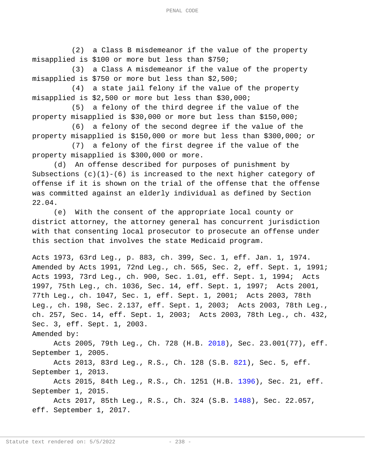(2) a Class B misdemeanor if the value of the property misapplied is \$100 or more but less than \$750;

(3) a Class A misdemeanor if the value of the property misapplied is \$750 or more but less than \$2,500;

(4) a state jail felony if the value of the property misapplied is \$2,500 or more but less than \$30,000;

(5) a felony of the third degree if the value of the property misapplied is \$30,000 or more but less than \$150,000;

(6) a felony of the second degree if the value of the property misapplied is \$150,000 or more but less than \$300,000; or (7) a felony of the first degree if the value of the

property misapplied is \$300,000 or more.

(d) An offense described for purposes of punishment by Subsections  $(c)(1)-(6)$  is increased to the next higher category of offense if it is shown on the trial of the offense that the offense was committed against an elderly individual as defined by Section 22.04.

(e) With the consent of the appropriate local county or district attorney, the attorney general has concurrent jurisdiction with that consenting local prosecutor to prosecute an offense under this section that involves the state Medicaid program.

Acts 1973, 63rd Leg., p. 883, ch. 399, Sec. 1, eff. Jan. 1, 1974. Amended by Acts 1991, 72nd Leg., ch. 565, Sec. 2, eff. Sept. 1, 1991; Acts 1993, 73rd Leg., ch. 900, Sec. 1.01, eff. Sept. 1, 1994; Acts 1997, 75th Leg., ch. 1036, Sec. 14, eff. Sept. 1, 1997; Acts 2001, 77th Leg., ch. 1047, Sec. 1, eff. Sept. 1, 2001; Acts 2003, 78th Leg., ch. 198, Sec. 2.137, eff. Sept. 1, 2003; Acts 2003, 78th Leg., ch. 257, Sec. 14, eff. Sept. 1, 2003; Acts 2003, 78th Leg., ch. 432, Sec. 3, eff. Sept. 1, 2003.

Amended by:

Acts 2005, 79th Leg., Ch. 728 (H.B. [2018\)](http://www.legis.state.tx.us/tlodocs/79R/billtext/html/HB02018F.HTM), Sec. 23.001(77), eff. September 1, 2005.

Acts 2013, 83rd Leg., R.S., Ch. 128 (S.B. [821](http://www.legis.state.tx.us/tlodocs/83R/billtext/html/SB00821F.HTM)), Sec. 5, eff. September 1, 2013.

Acts 2015, 84th Leg., R.S., Ch. 1251 (H.B. [1396](http://www.legis.state.tx.us/tlodocs/84R/billtext/html/HB01396F.HTM)), Sec. 21, eff. September 1, 2015.

Acts 2017, 85th Leg., R.S., Ch. 324 (S.B. [1488](http://www.legis.state.tx.us/tlodocs/85R/billtext/html/SB01488F.HTM)), Sec. 22.057, eff. September 1, 2017.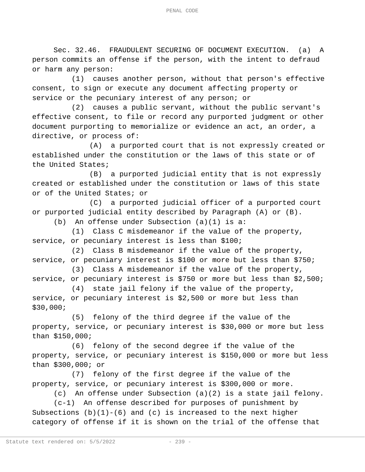Sec. 32.46. FRAUDULENT SECURING OF DOCUMENT EXECUTION. (a) A person commits an offense if the person, with the intent to defraud or harm any person:

(1) causes another person, without that person's effective consent, to sign or execute any document affecting property or service or the pecuniary interest of any person; or

(2) causes a public servant, without the public servant's effective consent, to file or record any purported judgment or other document purporting to memorialize or evidence an act, an order, a directive, or process of:

(A) a purported court that is not expressly created or established under the constitution or the laws of this state or of the United States;

(B) a purported judicial entity that is not expressly created or established under the constitution or laws of this state or of the United States; or

(C) a purported judicial officer of a purported court or purported judicial entity described by Paragraph (A) or (B).

(b) An offense under Subsection (a)(1) is a:

(1) Class C misdemeanor if the value of the property, service, or pecuniary interest is less than \$100;

(2) Class B misdemeanor if the value of the property, service, or pecuniary interest is \$100 or more but less than \$750;

(3) Class A misdemeanor if the value of the property, service, or pecuniary interest is \$750 or more but less than \$2,500;

(4) state jail felony if the value of the property, service, or pecuniary interest is \$2,500 or more but less than \$30,000;

(5) felony of the third degree if the value of the property, service, or pecuniary interest is \$30,000 or more but less than \$150,000;

(6) felony of the second degree if the value of the property, service, or pecuniary interest is \$150,000 or more but less than \$300,000; or

(7) felony of the first degree if the value of the property, service, or pecuniary interest is \$300,000 or more.

(c) An offense under Subsection (a)(2) is a state jail felony.

(c-1) An offense described for purposes of punishment by Subsections  $(b)(1)-(6)$  and  $(c)$  is increased to the next higher category of offense if it is shown on the trial of the offense that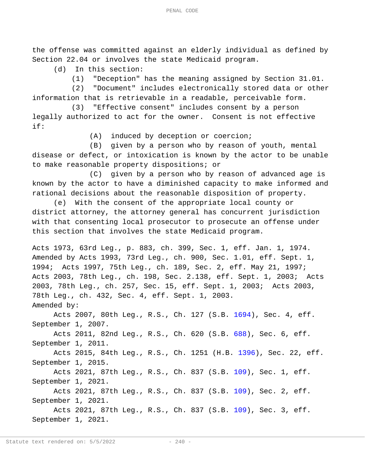the offense was committed against an elderly individual as defined by Section 22.04 or involves the state Medicaid program.

(d) In this section:

(1) "Deception" has the meaning assigned by Section 31.01.

(2) "Document" includes electronically stored data or other information that is retrievable in a readable, perceivable form.

(3) "Effective consent" includes consent by a person legally authorized to act for the owner. Consent is not effective if:

(A) induced by deception or coercion;

(B) given by a person who by reason of youth, mental disease or defect, or intoxication is known by the actor to be unable to make reasonable property dispositions; or

(C) given by a person who by reason of advanced age is known by the actor to have a diminished capacity to make informed and rational decisions about the reasonable disposition of property.

(e) With the consent of the appropriate local county or district attorney, the attorney general has concurrent jurisdiction with that consenting local prosecutor to prosecute an offense under this section that involves the state Medicaid program.

Acts 1973, 63rd Leg., p. 883, ch. 399, Sec. 1, eff. Jan. 1, 1974. Amended by Acts 1993, 73rd Leg., ch. 900, Sec. 1.01, eff. Sept. 1, 1994; Acts 1997, 75th Leg., ch. 189, Sec. 2, eff. May 21, 1997; Acts 2003, 78th Leg., ch. 198, Sec. 2.138, eff. Sept. 1, 2003; Acts 2003, 78th Leg., ch. 257, Sec. 15, eff. Sept. 1, 2003; Acts 2003, 78th Leg., ch. 432, Sec. 4, eff. Sept. 1, 2003. Amended by:

Acts 2007, 80th Leg., R.S., Ch. 127 (S.B. [1694](http://www.legis.state.tx.us/tlodocs/80R/billtext/html/SB01694F.HTM)), Sec. 4, eff. September 1, 2007.

Acts 2011, 82nd Leg., R.S., Ch. 620 (S.B. [688](http://www.legis.state.tx.us/tlodocs/82R/billtext/html/SB00688F.HTM)), Sec. 6, eff. September 1, 2011.

Acts 2015, 84th Leg., R.S., Ch. 1251 (H.B. [1396](http://www.legis.state.tx.us/tlodocs/84R/billtext/html/HB01396F.HTM)), Sec. 22, eff. September 1, 2015.

Acts 2021, 87th Leg., R.S., Ch. 837 (S.B. [109](http://www.legis.state.tx.us/tlodocs/87R/billtext/html/SB00109F.HTM)), Sec. 1, eff. September 1, 2021.

Acts 2021, 87th Leg., R.S., Ch. 837 (S.B. [109](http://www.legis.state.tx.us/tlodocs/87R/billtext/html/SB00109F.HTM)), Sec. 2, eff. September 1, 2021.

Acts 2021, 87th Leg., R.S., Ch. 837 (S.B. [109](http://www.legis.state.tx.us/tlodocs/87R/billtext/html/SB00109F.HTM)), Sec. 3, eff. September 1, 2021.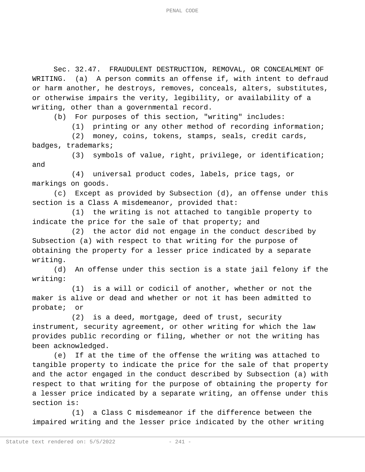Sec. 32.47. FRAUDULENT DESTRUCTION, REMOVAL, OR CONCEALMENT OF WRITING. (a) A person commits an offense if, with intent to defraud or harm another, he destroys, removes, conceals, alters, substitutes, or otherwise impairs the verity, legibility, or availability of a writing, other than a governmental record.

(b) For purposes of this section, "writing" includes:

(1) printing or any other method of recording information;

(2) money, coins, tokens, stamps, seals, credit cards, badges, trademarks;

(3) symbols of value, right, privilege, or identification; and

(4) universal product codes, labels, price tags, or markings on goods.

(c) Except as provided by Subsection (d), an offense under this section is a Class A misdemeanor, provided that:

(1) the writing is not attached to tangible property to indicate the price for the sale of that property; and

(2) the actor did not engage in the conduct described by Subsection (a) with respect to that writing for the purpose of obtaining the property for a lesser price indicated by a separate writing.

(d) An offense under this section is a state jail felony if the writing:

(1) is a will or codicil of another, whether or not the maker is alive or dead and whether or not it has been admitted to probate; or

(2) is a deed, mortgage, deed of trust, security instrument, security agreement, or other writing for which the law provides public recording or filing, whether or not the writing has been acknowledged.

(e) If at the time of the offense the writing was attached to tangible property to indicate the price for the sale of that property and the actor engaged in the conduct described by Subsection (a) with respect to that writing for the purpose of obtaining the property for a lesser price indicated by a separate writing, an offense under this section is:

(1) a Class C misdemeanor if the difference between the impaired writing and the lesser price indicated by the other writing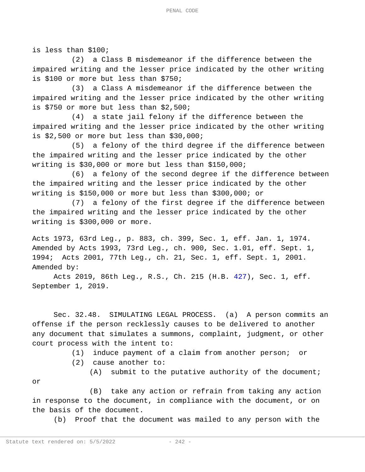is less than \$100;

(2) a Class B misdemeanor if the difference between the impaired writing and the lesser price indicated by the other writing is \$100 or more but less than \$750;

(3) a Class A misdemeanor if the difference between the impaired writing and the lesser price indicated by the other writing is \$750 or more but less than \$2,500;

(4) a state jail felony if the difference between the impaired writing and the lesser price indicated by the other writing is \$2,500 or more but less than \$30,000;

(5) a felony of the third degree if the difference between the impaired writing and the lesser price indicated by the other writing is \$30,000 or more but less than \$150,000;

(6) a felony of the second degree if the difference between the impaired writing and the lesser price indicated by the other writing is \$150,000 or more but less than \$300,000; or

(7) a felony of the first degree if the difference between the impaired writing and the lesser price indicated by the other writing is \$300,000 or more.

Acts 1973, 63rd Leg., p. 883, ch. 399, Sec. 1, eff. Jan. 1, 1974. Amended by Acts 1993, 73rd Leg., ch. 900, Sec. 1.01, eff. Sept. 1, 1994; Acts 2001, 77th Leg., ch. 21, Sec. 1, eff. Sept. 1, 2001. Amended by:

Acts 2019, 86th Leg., R.S., Ch. 215 (H.B. [427](http://www.legis.state.tx.us/tlodocs/86R/billtext/html/HB00427F.HTM)), Sec. 1, eff. September 1, 2019.

Sec. 32.48. SIMULATING LEGAL PROCESS. (a) A person commits an offense if the person recklessly causes to be delivered to another any document that simulates a summons, complaint, judgment, or other court process with the intent to:

(1) induce payment of a claim from another person; or

(2) cause another to:

(A) submit to the putative authority of the document;

or

(B) take any action or refrain from taking any action in response to the document, in compliance with the document, or on the basis of the document.

(b) Proof that the document was mailed to any person with the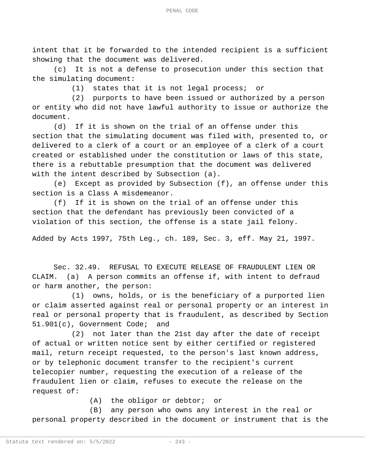intent that it be forwarded to the intended recipient is a sufficient showing that the document was delivered.

(c) It is not a defense to prosecution under this section that the simulating document:

(1) states that it is not legal process; or

(2) purports to have been issued or authorized by a person or entity who did not have lawful authority to issue or authorize the document.

(d) If it is shown on the trial of an offense under this section that the simulating document was filed with, presented to, or delivered to a clerk of a court or an employee of a clerk of a court created or established under the constitution or laws of this state, there is a rebuttable presumption that the document was delivered with the intent described by Subsection (a).

(e) Except as provided by Subsection (f), an offense under this section is a Class A misdemeanor.

(f) If it is shown on the trial of an offense under this section that the defendant has previously been convicted of a violation of this section, the offense is a state jail felony.

Added by Acts 1997, 75th Leg., ch. 189, Sec. 3, eff. May 21, 1997.

Sec. 32.49. REFUSAL TO EXECUTE RELEASE OF FRAUDULENT LIEN OR CLAIM. (a) A person commits an offense if, with intent to defraud or harm another, the person:

(1) owns, holds, or is the beneficiary of a purported lien or claim asserted against real or personal property or an interest in real or personal property that is fraudulent, as described by Section 51.901(c), Government Code; and

(2) not later than the 21st day after the date of receipt of actual or written notice sent by either certified or registered mail, return receipt requested, to the person's last known address, or by telephonic document transfer to the recipient's current telecopier number, requesting the execution of a release of the fraudulent lien or claim, refuses to execute the release on the request of:

(A) the obligor or debtor; or

(B) any person who owns any interest in the real or personal property described in the document or instrument that is the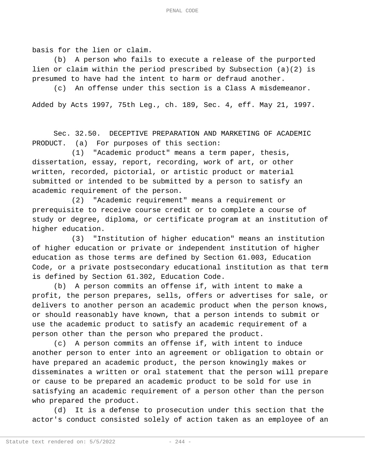basis for the lien or claim.

(b) A person who fails to execute a release of the purported lien or claim within the period prescribed by Subsection (a)(2) is presumed to have had the intent to harm or defraud another.

(c) An offense under this section is a Class A misdemeanor.

Added by Acts 1997, 75th Leg., ch. 189, Sec. 4, eff. May 21, 1997.

Sec. 32.50. DECEPTIVE PREPARATION AND MARKETING OF ACADEMIC PRODUCT. (a) For purposes of this section:

(1) "Academic product" means a term paper, thesis, dissertation, essay, report, recording, work of art, or other written, recorded, pictorial, or artistic product or material submitted or intended to be submitted by a person to satisfy an academic requirement of the person.

(2) "Academic requirement" means a requirement or prerequisite to receive course credit or to complete a course of study or degree, diploma, or certificate program at an institution of higher education.

(3) "Institution of higher education" means an institution of higher education or private or independent institution of higher education as those terms are defined by Section 61.003, Education Code, or a private postsecondary educational institution as that term is defined by Section 61.302, Education Code.

(b) A person commits an offense if, with intent to make a profit, the person prepares, sells, offers or advertises for sale, or delivers to another person an academic product when the person knows, or should reasonably have known, that a person intends to submit or use the academic product to satisfy an academic requirement of a person other than the person who prepared the product.

(c) A person commits an offense if, with intent to induce another person to enter into an agreement or obligation to obtain or have prepared an academic product, the person knowingly makes or disseminates a written or oral statement that the person will prepare or cause to be prepared an academic product to be sold for use in satisfying an academic requirement of a person other than the person who prepared the product.

(d) It is a defense to prosecution under this section that the actor's conduct consisted solely of action taken as an employee of an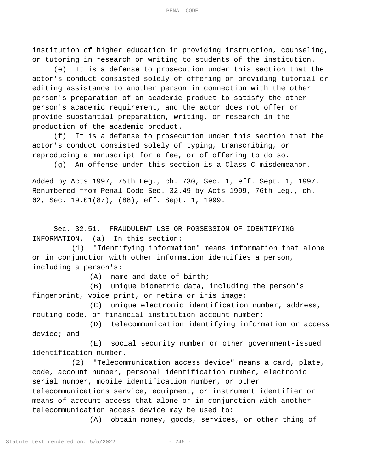institution of higher education in providing instruction, counseling, or tutoring in research or writing to students of the institution.

(e) It is a defense to prosecution under this section that the actor's conduct consisted solely of offering or providing tutorial or editing assistance to another person in connection with the other person's preparation of an academic product to satisfy the other person's academic requirement, and the actor does not offer or provide substantial preparation, writing, or research in the production of the academic product.

(f) It is a defense to prosecution under this section that the actor's conduct consisted solely of typing, transcribing, or reproducing a manuscript for a fee, or of offering to do so.

(g) An offense under this section is a Class C misdemeanor.

Added by Acts 1997, 75th Leg., ch. 730, Sec. 1, eff. Sept. 1, 1997. Renumbered from Penal Code Sec. 32.49 by Acts 1999, 76th Leg., ch. 62, Sec. 19.01(87), (88), eff. Sept. 1, 1999.

Sec. 32.51. FRAUDULENT USE OR POSSESSION OF IDENTIFYING INFORMATION. (a) In this section:

(1) "Identifying information" means information that alone or in conjunction with other information identifies a person, including a person's:

(A) name and date of birth;

(B) unique biometric data, including the person's fingerprint, voice print, or retina or iris image;

(C) unique electronic identification number, address, routing code, or financial institution account number;

(D) telecommunication identifying information or access device; and

(E) social security number or other government-issued identification number.

(2) "Telecommunication access device" means a card, plate, code, account number, personal identification number, electronic serial number, mobile identification number, or other telecommunications service, equipment, or instrument identifier or means of account access that alone or in conjunction with another telecommunication access device may be used to:

(A) obtain money, goods, services, or other thing of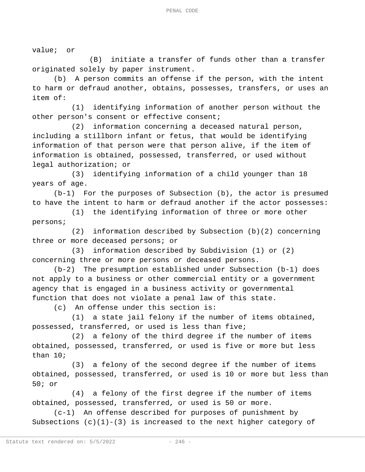value; or

(B) initiate a transfer of funds other than a transfer originated solely by paper instrument.

(b) A person commits an offense if the person, with the intent to harm or defraud another, obtains, possesses, transfers, or uses an item of:

(1) identifying information of another person without the other person's consent or effective consent;

(2) information concerning a deceased natural person, including a stillborn infant or fetus, that would be identifying information of that person were that person alive, if the item of information is obtained, possessed, transferred, or used without legal authorization; or

(3) identifying information of a child younger than 18 years of age.

(b-1) For the purposes of Subsection (b), the actor is presumed to have the intent to harm or defraud another if the actor possesses:

(1) the identifying information of three or more other persons;

(2) information described by Subsection (b)(2) concerning three or more deceased persons; or

(3) information described by Subdivision (1) or (2) concerning three or more persons or deceased persons.

(b-2) The presumption established under Subsection (b-1) does not apply to a business or other commercial entity or a government agency that is engaged in a business activity or governmental function that does not violate a penal law of this state.

(c) An offense under this section is:

(1) a state jail felony if the number of items obtained, possessed, transferred, or used is less than five;

(2) a felony of the third degree if the number of items obtained, possessed, transferred, or used is five or more but less than 10;

(3) a felony of the second degree if the number of items obtained, possessed, transferred, or used is 10 or more but less than 50; or

(4) a felony of the first degree if the number of items obtained, possessed, transferred, or used is 50 or more.

(c-1) An offense described for purposes of punishment by Subsections  $(c)(1)-(3)$  is increased to the next higher category of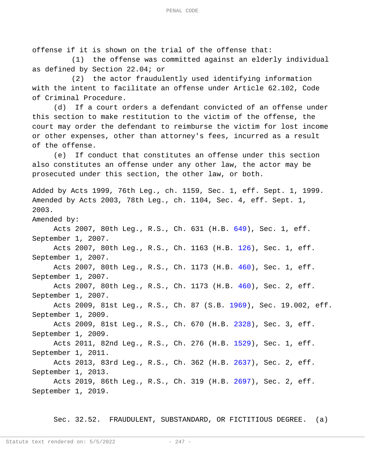offense if it is shown on the trial of the offense that:

(1) the offense was committed against an elderly individual as defined by Section 22.04; or

(2) the actor fraudulently used identifying information with the intent to facilitate an offense under Article 62.102, Code of Criminal Procedure.

(d) If a court orders a defendant convicted of an offense under this section to make restitution to the victim of the offense, the court may order the defendant to reimburse the victim for lost income or other expenses, other than attorney's fees, incurred as a result of the offense.

(e) If conduct that constitutes an offense under this section also constitutes an offense under any other law, the actor may be prosecuted under this section, the other law, or both.

Added by Acts 1999, 76th Leg., ch. 1159, Sec. 1, eff. Sept. 1, 1999. Amended by Acts 2003, 78th Leg., ch. 1104, Sec. 4, eff. Sept. 1, 2003. Amended by: Acts 2007, 80th Leg., R.S., Ch. 631 (H.B. [649](http://www.legis.state.tx.us/tlodocs/80R/billtext/html/HB00649F.HTM)), Sec. 1, eff. September 1, 2007. Acts 2007, 80th Leg., R.S., Ch. 1163 (H.B. [126](http://www.legis.state.tx.us/tlodocs/80R/billtext/html/HB00126F.HTM)), Sec. 1, eff. September 1, 2007. Acts 2007, 80th Leg., R.S., Ch. 1173 (H.B. [460](http://www.legis.state.tx.us/tlodocs/80R/billtext/html/HB00460F.HTM)), Sec. 1, eff. September 1, 2007. Acts 2007, 80th Leg., R.S., Ch. 1173 (H.B. [460](http://www.legis.state.tx.us/tlodocs/80R/billtext/html/HB00460F.HTM)), Sec. 2, eff. September 1, 2007. Acts 2009, 81st Leg., R.S., Ch. 87 (S.B. [1969\)](http://www.legis.state.tx.us/tlodocs/81R/billtext/html/SB01969F.HTM), Sec. 19.002, eff. September 1, 2009. Acts 2009, 81st Leg., R.S., Ch. 670 (H.B. [2328](http://www.legis.state.tx.us/tlodocs/81R/billtext/html/HB02328F.HTM)), Sec. 3, eff. September 1, 2009. Acts 2011, 82nd Leg., R.S., Ch. 276 (H.B. [1529](http://www.legis.state.tx.us/tlodocs/82R/billtext/html/HB01529F.HTM)), Sec. 1, eff. September 1, 2011. Acts 2013, 83rd Leg., R.S., Ch. 362 (H.B. [2637](http://www.legis.state.tx.us/tlodocs/83R/billtext/html/HB02637F.HTM)), Sec. 2, eff. September 1, 2013. Acts 2019, 86th Leg., R.S., Ch. 319 (H.B. [2697](http://www.legis.state.tx.us/tlodocs/86R/billtext/html/HB02697F.HTM)), Sec. 2, eff. September 1, 2019.

Sec. 32.52. FRAUDULENT, SUBSTANDARD, OR FICTITIOUS DEGREE. (a)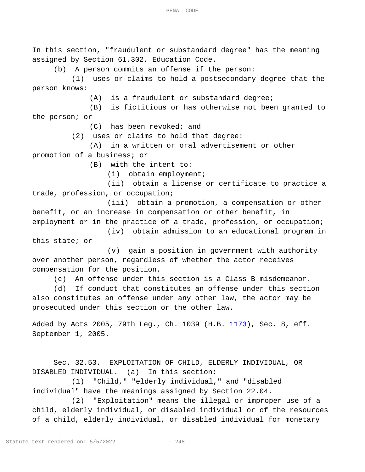In this section, "fraudulent or substandard degree" has the meaning assigned by Section 61.302, Education Code.

(b) A person commits an offense if the person:

(1) uses or claims to hold a postsecondary degree that the person knows:

(A) is a fraudulent or substandard degree;

(B) is fictitious or has otherwise not been granted to the person; or

(C) has been revoked; and

(2) uses or claims to hold that degree:

(A) in a written or oral advertisement or other promotion of a business; or

(B) with the intent to:

(i) obtain employment;

(ii) obtain a license or certificate to practice a trade, profession, or occupation;

(iii) obtain a promotion, a compensation or other benefit, or an increase in compensation or other benefit, in employment or in the practice of a trade, profession, or occupation;

(iv) obtain admission to an educational program in this state; or

(v) gain a position in government with authority over another person, regardless of whether the actor receives compensation for the position.

(c) An offense under this section is a Class B misdemeanor.

(d) If conduct that constitutes an offense under this section also constitutes an offense under any other law, the actor may be prosecuted under this section or the other law.

Added by Acts 2005, 79th Leg., Ch. 1039 (H.B. [1173](http://www.legis.state.tx.us/tlodocs/79R/billtext/html/HB01173F.HTM)), Sec. 8, eff. September 1, 2005.

Sec. 32.53. EXPLOITATION OF CHILD, ELDERLY INDIVIDUAL, OR DISABLED INDIVIDUAL. (a) In this section:

(1) "Child," "elderly individual," and "disabled individual" have the meanings assigned by Section 22.04.

(2) "Exploitation" means the illegal or improper use of a child, elderly individual, or disabled individual or of the resources of a child, elderly individual, or disabled individual for monetary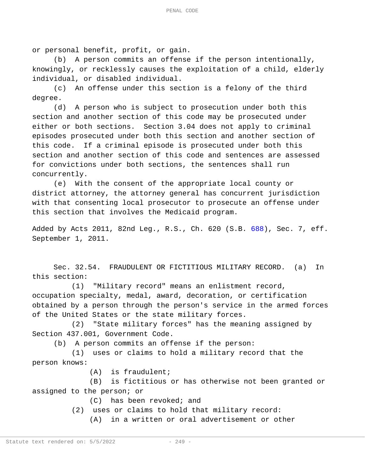or personal benefit, profit, or gain.

(b) A person commits an offense if the person intentionally, knowingly, or recklessly causes the exploitation of a child, elderly individual, or disabled individual.

(c) An offense under this section is a felony of the third degree.

(d) A person who is subject to prosecution under both this section and another section of this code may be prosecuted under either or both sections. Section 3.04 does not apply to criminal episodes prosecuted under both this section and another section of this code. If a criminal episode is prosecuted under both this section and another section of this code and sentences are assessed for convictions under both sections, the sentences shall run concurrently.

(e) With the consent of the appropriate local county or district attorney, the attorney general has concurrent jurisdiction with that consenting local prosecutor to prosecute an offense under this section that involves the Medicaid program.

Added by Acts 2011, 82nd Leg., R.S., Ch. 620 (S.B. [688\)](http://www.legis.state.tx.us/tlodocs/82R/billtext/html/SB00688F.HTM), Sec. 7, eff. September 1, 2011.

Sec. 32.54. FRAUDULENT OR FICTITIOUS MILITARY RECORD. (a) In this section:

(1) "Military record" means an enlistment record, occupation specialty, medal, award, decoration, or certification obtained by a person through the person's service in the armed forces of the United States or the state military forces.

(2) "State military forces" has the meaning assigned by Section 437.001, Government Code.

(b) A person commits an offense if the person:

(1) uses or claims to hold a military record that the person knows:

(A) is fraudulent;

(B) is fictitious or has otherwise not been granted or assigned to the person; or

(C) has been revoked; and

(2) uses or claims to hold that military record:

(A) in a written or oral advertisement or other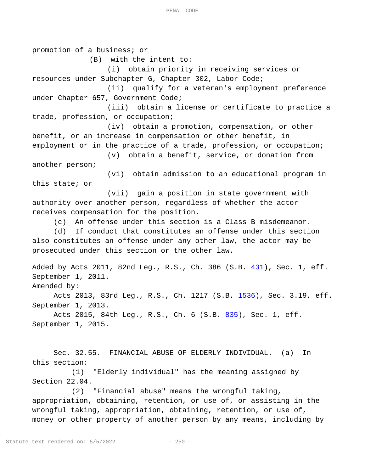promotion of a business; or

(B) with the intent to: (i) obtain priority in receiving services or resources under Subchapter G, Chapter 302, Labor Code; (ii) qualify for a veteran's employment preference under Chapter 657, Government Code; (iii) obtain a license or certificate to practice a trade, profession, or occupation; (iv) obtain a promotion, compensation, or other benefit, or an increase in compensation or other benefit, in employment or in the practice of a trade, profession, or occupation; (v) obtain a benefit, service, or donation from another person; (vi) obtain admission to an educational program in this state; or (vii) gain a position in state government with authority over another person, regardless of whether the actor receives compensation for the position. (c) An offense under this section is a Class B misdemeanor. (d) If conduct that constitutes an offense under this section also constitutes an offense under any other law, the actor may be prosecuted under this section or the other law. Added by Acts 2011, 82nd Leg., R.S., Ch. 386 (S.B. [431\)](http://www.legis.state.tx.us/tlodocs/82R/billtext/html/SB00431F.HTM), Sec. 1, eff. September 1, 2011. Amended by: Acts 2013, 83rd Leg., R.S., Ch. 1217 (S.B. [1536](http://www.legis.state.tx.us/tlodocs/83R/billtext/html/SB01536F.HTM)), Sec. 3.19, eff. September 1, 2013. Acts 2015, 84th Leg., R.S., Ch. 6 (S.B. [835\)](http://www.legis.state.tx.us/tlodocs/84R/billtext/html/SB00835F.HTM), Sec. 1, eff. September 1, 2015. Sec. 32.55. FINANCIAL ABUSE OF ELDERLY INDIVIDUAL. (a) In this section: (1) "Elderly individual" has the meaning assigned by Section 22.04. (2) "Financial abuse" means the wrongful taking, appropriation, obtaining, retention, or use of, or assisting in the wrongful taking, appropriation, obtaining, retention, or use of, money or other property of another person by any means, including by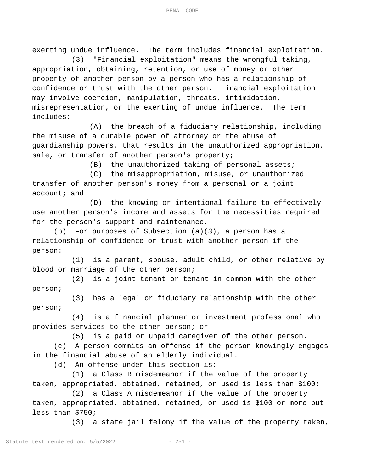exerting undue influence. The term includes financial exploitation.

(3) "Financial exploitation" means the wrongful taking, appropriation, obtaining, retention, or use of money or other property of another person by a person who has a relationship of confidence or trust with the other person. Financial exploitation may involve coercion, manipulation, threats, intimidation, misrepresentation, or the exerting of undue influence. The term includes:

(A) the breach of a fiduciary relationship, including the misuse of a durable power of attorney or the abuse of guardianship powers, that results in the unauthorized appropriation, sale, or transfer of another person's property;

(B) the unauthorized taking of personal assets;

(C) the misappropriation, misuse, or unauthorized transfer of another person's money from a personal or a joint account; and

(D) the knowing or intentional failure to effectively use another person's income and assets for the necessities required for the person's support and maintenance.

(b) For purposes of Subsection (a)(3), a person has a relationship of confidence or trust with another person if the person:

(1) is a parent, spouse, adult child, or other relative by blood or marriage of the other person;

(2) is a joint tenant or tenant in common with the other person;

(3) has a legal or fiduciary relationship with the other person;

(4) is a financial planner or investment professional who provides services to the other person; or

(5) is a paid or unpaid caregiver of the other person.

(c) A person commits an offense if the person knowingly engages in the financial abuse of an elderly individual.

(d) An offense under this section is:

(1) a Class B misdemeanor if the value of the property taken, appropriated, obtained, retained, or used is less than \$100;

(2) a Class A misdemeanor if the value of the property taken, appropriated, obtained, retained, or used is \$100 or more but less than \$750;

(3) a state jail felony if the value of the property taken,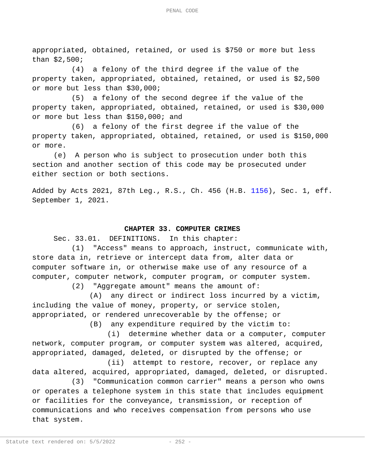appropriated, obtained, retained, or used is \$750 or more but less than \$2,500;

(4) a felony of the third degree if the value of the property taken, appropriated, obtained, retained, or used is \$2,500 or more but less than \$30,000;

(5) a felony of the second degree if the value of the property taken, appropriated, obtained, retained, or used is \$30,000 or more but less than \$150,000; and

(6) a felony of the first degree if the value of the property taken, appropriated, obtained, retained, or used is \$150,000 or more.

(e) A person who is subject to prosecution under both this section and another section of this code may be prosecuted under either section or both sections.

Added by Acts 2021, 87th Leg., R.S., Ch. 456 (H.B. [1156](http://www.legis.state.tx.us/tlodocs/87R/billtext/html/HB01156F.HTM)), Sec. 1, eff. September 1, 2021.

## **CHAPTER 33. COMPUTER CRIMES**

Sec. 33.01. DEFINITIONS. In this chapter:

(1) "Access" means to approach, instruct, communicate with, store data in, retrieve or intercept data from, alter data or computer software in, or otherwise make use of any resource of a computer, computer network, computer program, or computer system.

(2) "Aggregate amount" means the amount of:

(A) any direct or indirect loss incurred by a victim, including the value of money, property, or service stolen, appropriated, or rendered unrecoverable by the offense; or

(B) any expenditure required by the victim to:

(i) determine whether data or a computer, computer network, computer program, or computer system was altered, acquired, appropriated, damaged, deleted, or disrupted by the offense; or

(ii) attempt to restore, recover, or replace any data altered, acquired, appropriated, damaged, deleted, or disrupted. (3) "Communication common carrier" means a person who owns

or operates a telephone system in this state that includes equipment or facilities for the conveyance, transmission, or reception of communications and who receives compensation from persons who use that system.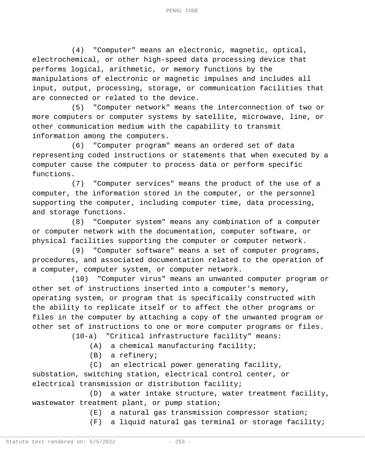(4) "Computer" means an electronic, magnetic, optical, electrochemical, or other high-speed data processing device that performs logical, arithmetic, or memory functions by the manipulations of electronic or magnetic impulses and includes all input, output, processing, storage, or communication facilities that are connected or related to the device.

(5) "Computer network" means the interconnection of two or more computers or computer systems by satellite, microwave, line, or other communication medium with the capability to transmit information among the computers.

(6) "Computer program" means an ordered set of data representing coded instructions or statements that when executed by a computer cause the computer to process data or perform specific functions.

(7) "Computer services" means the product of the use of a computer, the information stored in the computer, or the personnel supporting the computer, including computer time, data processing, and storage functions.

(8) "Computer system" means any combination of a computer or computer network with the documentation, computer software, or physical facilities supporting the computer or computer network.

(9) "Computer software" means a set of computer programs, procedures, and associated documentation related to the operation of a computer, computer system, or computer network.

(10) "Computer virus" means an unwanted computer program or other set of instructions inserted into a computer's memory, operating system, or program that is specifically constructed with the ability to replicate itself or to affect the other programs or files in the computer by attaching a copy of the unwanted program or other set of instructions to one or more computer programs or files.

(10-a) "Critical infrastructure facility" means:

(A) a chemical manufacturing facility;

(B) a refinery;

(C) an electrical power generating facility, substation, switching station, electrical control center, or electrical transmission or distribution facility;

(D) a water intake structure, water treatment facility, wastewater treatment plant, or pump station;

(E) a natural gas transmission compressor station;

(F) a liquid natural gas terminal or storage facility;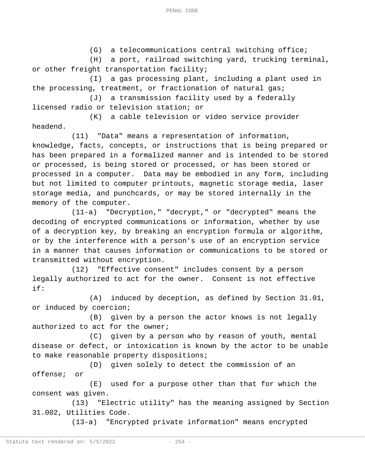(G) a telecommunications central switching office;

(H) a port, railroad switching yard, trucking terminal, or other freight transportation facility;

(I) a gas processing plant, including a plant used in the processing, treatment, or fractionation of natural gas;

(J) a transmission facility used by a federally licensed radio or television station; or

(K) a cable television or video service provider headend.

(11) "Data" means a representation of information,

knowledge, facts, concepts, or instructions that is being prepared or has been prepared in a formalized manner and is intended to be stored or processed, is being stored or processed, or has been stored or processed in a computer. Data may be embodied in any form, including but not limited to computer printouts, magnetic storage media, laser storage media, and punchcards, or may be stored internally in the memory of the computer.

(11-a) "Decryption," "decrypt," or "decrypted" means the decoding of encrypted communications or information, whether by use of a decryption key, by breaking an encryption formula or algorithm, or by the interference with a person's use of an encryption service in a manner that causes information or communications to be stored or transmitted without encryption.

(12) "Effective consent" includes consent by a person legally authorized to act for the owner. Consent is not effective if:

(A) induced by deception, as defined by Section 31.01, or induced by coercion;

(B) given by a person the actor knows is not legally authorized to act for the owner;

(C) given by a person who by reason of youth, mental disease or defect, or intoxication is known by the actor to be unable to make reasonable property dispositions;

(D) given solely to detect the commission of an offense; or

(E) used for a purpose other than that for which the consent was given.

(13) "Electric utility" has the meaning assigned by Section 31.002, Utilities Code.

(13-a) "Encrypted private information" means encrypted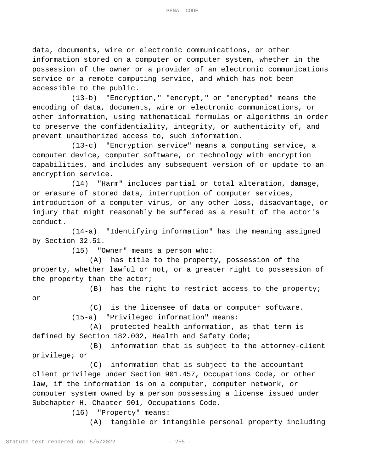data, documents, wire or electronic communications, or other information stored on a computer or computer system, whether in the possession of the owner or a provider of an electronic communications service or a remote computing service, and which has not been accessible to the public.

(13-b) "Encryption," "encrypt," or "encrypted" means the encoding of data, documents, wire or electronic communications, or other information, using mathematical formulas or algorithms in order to preserve the confidentiality, integrity, or authenticity of, and prevent unauthorized access to, such information.

(13-c) "Encryption service" means a computing service, a computer device, computer software, or technology with encryption capabilities, and includes any subsequent version of or update to an encryption service.

(14) "Harm" includes partial or total alteration, damage, or erasure of stored data, interruption of computer services, introduction of a computer virus, or any other loss, disadvantage, or injury that might reasonably be suffered as a result of the actor's conduct.

(14-a) "Identifying information" has the meaning assigned by Section 32.51.

(15) "Owner" means a person who:

(A) has title to the property, possession of the property, whether lawful or not, or a greater right to possession of the property than the actor;

(B) has the right to restrict access to the property;

or

(C) is the licensee of data or computer software.

(15-a) "Privileged information" means:

(A) protected health information, as that term is defined by Section 182.002, Health and Safety Code;

(B) information that is subject to the attorney-client privilege; or

(C) information that is subject to the accountantclient privilege under Section 901.457, Occupations Code, or other law, if the information is on a computer, computer network, or computer system owned by a person possessing a license issued under Subchapter H, Chapter 901, Occupations Code.

(16) "Property" means:

(A) tangible or intangible personal property including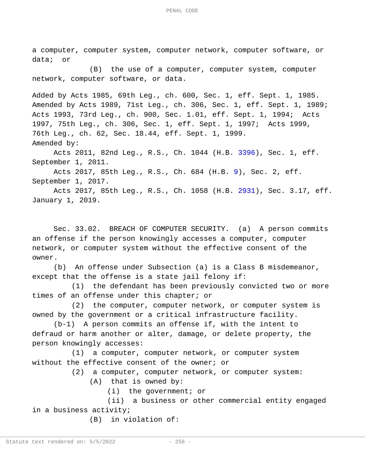a computer, computer system, computer network, computer software, or data; or

(B) the use of a computer, computer system, computer network, computer software, or data.

Added by Acts 1985, 69th Leg., ch. 600, Sec. 1, eff. Sept. 1, 1985. Amended by Acts 1989, 71st Leg., ch. 306, Sec. 1, eff. Sept. 1, 1989; Acts 1993, 73rd Leg., ch. 900, Sec. 1.01, eff. Sept. 1, 1994; Acts 1997, 75th Leg., ch. 306, Sec. 1, eff. Sept. 1, 1997; Acts 1999, 76th Leg., ch. 62, Sec. 18.44, eff. Sept. 1, 1999. Amended by:

Acts 2011, 82nd Leg., R.S., Ch. 1044 (H.B. [3396](http://www.legis.state.tx.us/tlodocs/82R/billtext/html/HB03396F.HTM)), Sec. 1, eff. September 1, 2011.

Acts 2017, 85th Leg., R.S., Ch. 684 (H.B. [9\)](http://www.legis.state.tx.us/tlodocs/85R/billtext/html/HB00009F.HTM), Sec. 2, eff. September 1, 2017.

Acts 2017, 85th Leg., R.S., Ch. 1058 (H.B. [2931](http://www.legis.state.tx.us/tlodocs/85R/billtext/html/HB02931F.HTM)), Sec. 3.17, eff. January 1, 2019.

Sec. 33.02. BREACH OF COMPUTER SECURITY. (a) A person commits an offense if the person knowingly accesses a computer, computer network, or computer system without the effective consent of the owner.

(b) An offense under Subsection (a) is a Class B misdemeanor, except that the offense is a state jail felony if:

(1) the defendant has been previously convicted two or more times of an offense under this chapter; or

(2) the computer, computer network, or computer system is owned by the government or a critical infrastructure facility.

(b-1) A person commits an offense if, with the intent to defraud or harm another or alter, damage, or delete property, the person knowingly accesses:

(1) a computer, computer network, or computer system without the effective consent of the owner; or

(2) a computer, computer network, or computer system:

(A) that is owned by:

(i) the government; or

(ii) a business or other commercial entity engaged in a business activity;

(B) in violation of: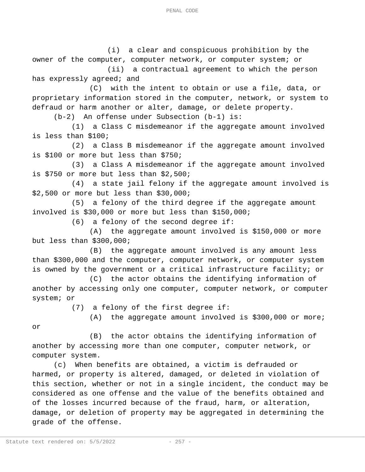(i) a clear and conspicuous prohibition by the owner of the computer, computer network, or computer system; or

(ii) a contractual agreement to which the person has expressly agreed; and

(C) with the intent to obtain or use a file, data, or proprietary information stored in the computer, network, or system to defraud or harm another or alter, damage, or delete property.

(b-2) An offense under Subsection (b-1) is:

(1) a Class C misdemeanor if the aggregate amount involved is less than \$100;

(2) a Class B misdemeanor if the aggregate amount involved is \$100 or more but less than \$750;

(3) a Class A misdemeanor if the aggregate amount involved is \$750 or more but less than \$2,500;

(4) a state jail felony if the aggregate amount involved is \$2,500 or more but less than \$30,000;

(5) a felony of the third degree if the aggregate amount involved is \$30,000 or more but less than \$150,000;

(6) a felony of the second degree if:

(A) the aggregate amount involved is \$150,000 or more but less than \$300,000;

(B) the aggregate amount involved is any amount less than \$300,000 and the computer, computer network, or computer system is owned by the government or a critical infrastructure facility; or

(C) the actor obtains the identifying information of another by accessing only one computer, computer network, or computer system; or

(7) a felony of the first degree if:

or

(A) the aggregate amount involved is \$300,000 or more;

(B) the actor obtains the identifying information of another by accessing more than one computer, computer network, or computer system.

(c) When benefits are obtained, a victim is defrauded or harmed, or property is altered, damaged, or deleted in violation of this section, whether or not in a single incident, the conduct may be considered as one offense and the value of the benefits obtained and of the losses incurred because of the fraud, harm, or alteration, damage, or deletion of property may be aggregated in determining the grade of the offense.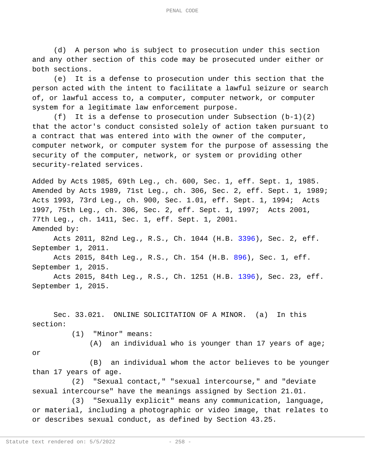PENAL CODE

(d) A person who is subject to prosecution under this section and any other section of this code may be prosecuted under either or both sections.

(e) It is a defense to prosecution under this section that the person acted with the intent to facilitate a lawful seizure or search of, or lawful access to, a computer, computer network, or computer system for a legitimate law enforcement purpose.

(f) It is a defense to prosecution under Subsection (b-1)(2) that the actor's conduct consisted solely of action taken pursuant to a contract that was entered into with the owner of the computer, computer network, or computer system for the purpose of assessing the security of the computer, network, or system or providing other security-related services.

Added by Acts 1985, 69th Leg., ch. 600, Sec. 1, eff. Sept. 1, 1985. Amended by Acts 1989, 71st Leg., ch. 306, Sec. 2, eff. Sept. 1, 1989; Acts 1993, 73rd Leg., ch. 900, Sec. 1.01, eff. Sept. 1, 1994; Acts 1997, 75th Leg., ch. 306, Sec. 2, eff. Sept. 1, 1997; Acts 2001, 77th Leg., ch. 1411, Sec. 1, eff. Sept. 1, 2001. Amended by:

Acts 2011, 82nd Leg., R.S., Ch. 1044 (H.B. [3396](http://www.legis.state.tx.us/tlodocs/82R/billtext/html/HB03396F.HTM)), Sec. 2, eff. September 1, 2011.

Acts 2015, 84th Leg., R.S., Ch. 154 (H.B. [896](http://www.legis.state.tx.us/tlodocs/84R/billtext/html/HB00896F.HTM)), Sec. 1, eff. September 1, 2015.

Acts 2015, 84th Leg., R.S., Ch. 1251 (H.B. [1396](http://www.legis.state.tx.us/tlodocs/84R/billtext/html/HB01396F.HTM)), Sec. 23, eff. September 1, 2015.

Sec. 33.021. ONLINE SOLICITATION OF A MINOR. (a) In this section:

(1) "Minor" means:

(A) an individual who is younger than 17 years of age;

or

(B) an individual whom the actor believes to be younger than 17 years of age.

(2) "Sexual contact," "sexual intercourse," and "deviate sexual intercourse" have the meanings assigned by Section 21.01.

(3) "Sexually explicit" means any communication, language, or material, including a photographic or video image, that relates to or describes sexual conduct, as defined by Section 43.25.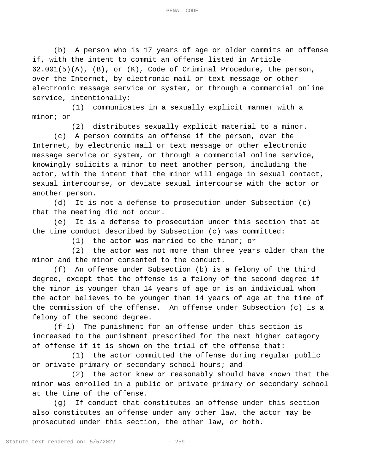(b) A person who is 17 years of age or older commits an offense if, with the intent to commit an offense listed in Article 62.001(5)(A), (B), or (K), Code of Criminal Procedure, the person, over the Internet, by electronic mail or text message or other electronic message service or system, or through a commercial online service, intentionally:

(1) communicates in a sexually explicit manner with a minor; or

(2) distributes sexually explicit material to a minor.

(c) A person commits an offense if the person, over the Internet, by electronic mail or text message or other electronic message service or system, or through a commercial online service, knowingly solicits a minor to meet another person, including the actor, with the intent that the minor will engage in sexual contact, sexual intercourse, or deviate sexual intercourse with the actor or another person.

(d) It is not a defense to prosecution under Subsection (c) that the meeting did not occur.

(e) It is a defense to prosecution under this section that at the time conduct described by Subsection (c) was committed:

(1) the actor was married to the minor; or

(2) the actor was not more than three years older than the minor and the minor consented to the conduct.

(f) An offense under Subsection (b) is a felony of the third degree, except that the offense is a felony of the second degree if the minor is younger than 14 years of age or is an individual whom the actor believes to be younger than 14 years of age at the time of the commission of the offense. An offense under Subsection (c) is a felony of the second degree.

(f-1) The punishment for an offense under this section is increased to the punishment prescribed for the next higher category of offense if it is shown on the trial of the offense that:

(1) the actor committed the offense during regular public or private primary or secondary school hours; and

(2) the actor knew or reasonably should have known that the minor was enrolled in a public or private primary or secondary school at the time of the offense.

(g) If conduct that constitutes an offense under this section also constitutes an offense under any other law, the actor may be prosecuted under this section, the other law, or both.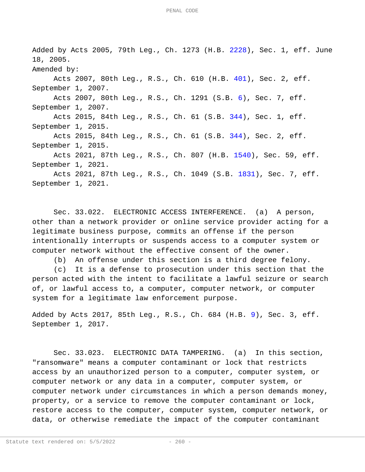Added by Acts 2005, 79th Leg., Ch. 1273 (H.B. [2228](http://www.legis.state.tx.us/tlodocs/79R/billtext/html/HB02228F.HTM)), Sec. 1, eff. June 18, 2005. Amended by: Acts 2007, 80th Leg., R.S., Ch. 610 (H.B. [401](http://www.legis.state.tx.us/tlodocs/80R/billtext/html/HB00401F.HTM)), Sec. 2, eff. September 1, 2007. Acts 2007, 80th Leg., R.S., Ch. 1291 (S.B. [6\)](http://www.legis.state.tx.us/tlodocs/80R/billtext/html/SB00006F.HTM), Sec. 7, eff. September 1, 2007. Acts 2015, 84th Leg., R.S., Ch. 61 (S.B. [344\)](http://www.legis.state.tx.us/tlodocs/84R/billtext/html/SB00344F.HTM), Sec. 1, eff. September 1, 2015. Acts 2015, 84th Leg., R.S., Ch. 61 (S.B. [344\)](http://www.legis.state.tx.us/tlodocs/84R/billtext/html/SB00344F.HTM), Sec. 2, eff. September 1, 2015. Acts 2021, 87th Leg., R.S., Ch. 807 (H.B. [1540](http://www.legis.state.tx.us/tlodocs/87R/billtext/html/HB01540F.HTM)), Sec. 59, eff. September 1, 2021. Acts 2021, 87th Leg., R.S., Ch. 1049 (S.B. [1831](http://www.legis.state.tx.us/tlodocs/87R/billtext/html/SB01831F.HTM)), Sec. 7, eff. September 1, 2021.

Sec. 33.022. ELECTRONIC ACCESS INTERFERENCE. (a) A person, other than a network provider or online service provider acting for a legitimate business purpose, commits an offense if the person intentionally interrupts or suspends access to a computer system or computer network without the effective consent of the owner.

(b) An offense under this section is a third degree felony.

(c) It is a defense to prosecution under this section that the person acted with the intent to facilitate a lawful seizure or search of, or lawful access to, a computer, computer network, or computer system for a legitimate law enforcement purpose.

Added by Acts 2017, 85th Leg., R.S., Ch. 684 (H.B. [9](http://www.legis.state.tx.us/tlodocs/85R/billtext/html/HB00009F.HTM)), Sec. 3, eff. September 1, 2017.

Sec. 33.023. ELECTRONIC DATA TAMPERING. (a) In this section, "ransomware" means a computer contaminant or lock that restricts access by an unauthorized person to a computer, computer system, or computer network or any data in a computer, computer system, or computer network under circumstances in which a person demands money, property, or a service to remove the computer contaminant or lock, restore access to the computer, computer system, computer network, or data, or otherwise remediate the impact of the computer contaminant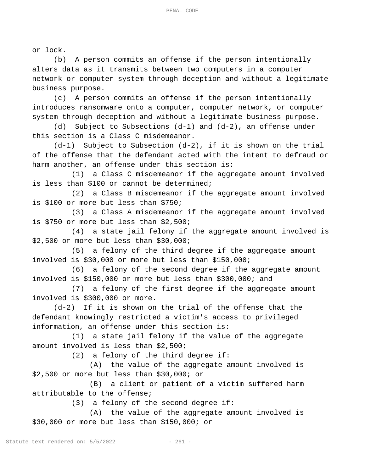or lock.

(b) A person commits an offense if the person intentionally alters data as it transmits between two computers in a computer network or computer system through deception and without a legitimate business purpose.

(c) A person commits an offense if the person intentionally introduces ransomware onto a computer, computer network, or computer system through deception and without a legitimate business purpose.

(d) Subject to Subsections (d-1) and (d-2), an offense under this section is a Class C misdemeanor.

 $(d-1)$  Subject to Subsection  $(d-2)$ , if it is shown on the trial of the offense that the defendant acted with the intent to defraud or harm another, an offense under this section is:

(1) a Class C misdemeanor if the aggregate amount involved is less than \$100 or cannot be determined;

(2) a Class B misdemeanor if the aggregate amount involved is \$100 or more but less than \$750;

(3) a Class A misdemeanor if the aggregate amount involved is \$750 or more but less than \$2,500;

(4) a state jail felony if the aggregate amount involved is \$2,500 or more but less than \$30,000;

(5) a felony of the third degree if the aggregate amount involved is \$30,000 or more but less than \$150,000;

(6) a felony of the second degree if the aggregate amount involved is \$150,000 or more but less than \$300,000; and

(7) a felony of the first degree if the aggregate amount involved is \$300,000 or more.

(d-2) If it is shown on the trial of the offense that the defendant knowingly restricted a victim's access to privileged information, an offense under this section is:

(1) a state jail felony if the value of the aggregate amount involved is less than \$2,500;

(2) a felony of the third degree if:

(A) the value of the aggregate amount involved is \$2,500 or more but less than \$30,000; or

(B) a client or patient of a victim suffered harm attributable to the offense;

(3) a felony of the second degree if:

(A) the value of the aggregate amount involved is \$30,000 or more but less than \$150,000; or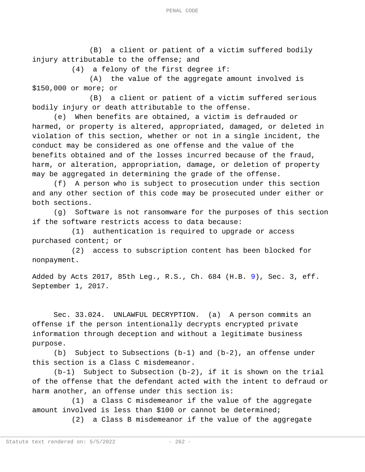(B) a client or patient of a victim suffered bodily injury attributable to the offense; and

(4) a felony of the first degree if:

(A) the value of the aggregate amount involved is \$150,000 or more; or

(B) a client or patient of a victim suffered serious bodily injury or death attributable to the offense.

(e) When benefits are obtained, a victim is defrauded or harmed, or property is altered, appropriated, damaged, or deleted in violation of this section, whether or not in a single incident, the conduct may be considered as one offense and the value of the benefits obtained and of the losses incurred because of the fraud, harm, or alteration, appropriation, damage, or deletion of property may be aggregated in determining the grade of the offense.

(f) A person who is subject to prosecution under this section and any other section of this code may be prosecuted under either or both sections.

(g) Software is not ransomware for the purposes of this section if the software restricts access to data because:

(1) authentication is required to upgrade or access purchased content; or

(2) access to subscription content has been blocked for nonpayment.

Added by Acts 2017, 85th Leg., R.S., Ch. 684 (H.B. [9](http://www.legis.state.tx.us/tlodocs/85R/billtext/html/HB00009F.HTM)), Sec. 3, eff. September 1, 2017.

Sec. 33.024. UNLAWFUL DECRYPTION. (a) A person commits an offense if the person intentionally decrypts encrypted private information through deception and without a legitimate business purpose.

(b) Subject to Subsections (b-1) and (b-2), an offense under this section is a Class C misdemeanor.

 $(b-1)$  Subject to Subsection  $(b-2)$ , if it is shown on the trial of the offense that the defendant acted with the intent to defraud or harm another, an offense under this section is:

(1) a Class C misdemeanor if the value of the aggregate amount involved is less than \$100 or cannot be determined;

(2) a Class B misdemeanor if the value of the aggregate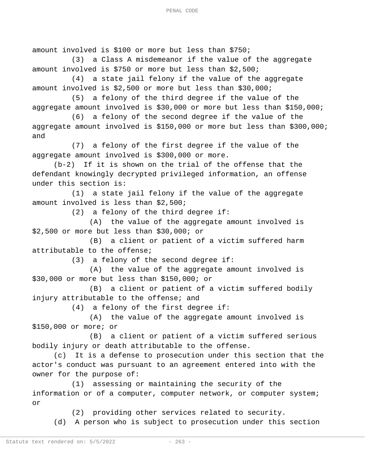amount involved is \$100 or more but less than \$750;

(3) a Class A misdemeanor if the value of the aggregate amount involved is \$750 or more but less than \$2,500;

(4) a state jail felony if the value of the aggregate amount involved is \$2,500 or more but less than \$30,000;

(5) a felony of the third degree if the value of the aggregate amount involved is \$30,000 or more but less than \$150,000;

(6) a felony of the second degree if the value of the aggregate amount involved is \$150,000 or more but less than \$300,000; and

(7) a felony of the first degree if the value of the aggregate amount involved is \$300,000 or more.

(b-2) If it is shown on the trial of the offense that the defendant knowingly decrypted privileged information, an offense under this section is:

(1) a state jail felony if the value of the aggregate amount involved is less than \$2,500;

(2) a felony of the third degree if:

(A) the value of the aggregate amount involved is \$2,500 or more but less than \$30,000; or

(B) a client or patient of a victim suffered harm attributable to the offense;

(3) a felony of the second degree if:

(A) the value of the aggregate amount involved is \$30,000 or more but less than \$150,000; or

(B) a client or patient of a victim suffered bodily injury attributable to the offense; and

(4) a felony of the first degree if:

(A) the value of the aggregate amount involved is \$150,000 or more; or

(B) a client or patient of a victim suffered serious bodily injury or death attributable to the offense.

(c) It is a defense to prosecution under this section that the actor's conduct was pursuant to an agreement entered into with the owner for the purpose of:

(1) assessing or maintaining the security of the information or of a computer, computer network, or computer system; or

(2) providing other services related to security.

(d) A person who is subject to prosecution under this section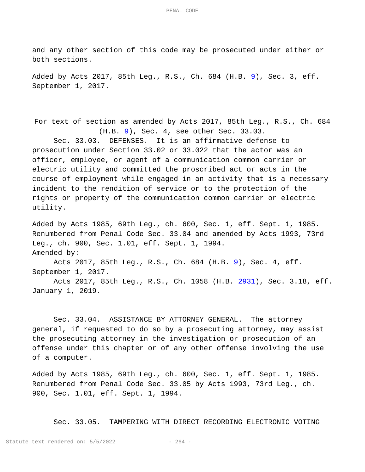and any other section of this code may be prosecuted under either or both sections.

Added by Acts 2017, 85th Leg., R.S., Ch. 684 (H.B. [9](http://www.legis.state.tx.us/tlodocs/85R/billtext/html/HB00009F.HTM)), Sec. 3, eff. September 1, 2017.

For text of section as amended by Acts 2017, 85th Leg., R.S., Ch. 684 (H.B. [9](https://capitol.texas.gov/tlodocs/85R/billtext/html/HB00009F.HTM)), Sec. 4, see other Sec. 33.03. Sec. 33.03. DEFENSES. It is an affirmative defense to prosecution under Section 33.02 or 33.022 that the actor was an officer, employee, or agent of a communication common carrier or electric utility and committed the proscribed act or acts in the course of employment while engaged in an activity that is a necessary incident to the rendition of service or to the protection of the rights or property of the communication common carrier or electric utility.

Added by Acts 1985, 69th Leg., ch. 600, Sec. 1, eff. Sept. 1, 1985. Renumbered from Penal Code Sec. 33.04 and amended by Acts 1993, 73rd Leg., ch. 900, Sec. 1.01, eff. Sept. 1, 1994. Amended by:

Acts 2017, 85th Leg., R.S., Ch. 684 (H.B. [9\)](http://www.legis.state.tx.us/tlodocs/85R/billtext/html/HB00009F.HTM), Sec. 4, eff. September 1, 2017.

Acts 2017, 85th Leg., R.S., Ch. 1058 (H.B. [2931](http://www.legis.state.tx.us/tlodocs/85R/billtext/html/HB02931F.HTM)), Sec. 3.18, eff. January 1, 2019.

Sec. 33.04. ASSISTANCE BY ATTORNEY GENERAL. The attorney general, if requested to do so by a prosecuting attorney, may assist the prosecuting attorney in the investigation or prosecution of an offense under this chapter or of any other offense involving the use of a computer.

Added by Acts 1985, 69th Leg., ch. 600, Sec. 1, eff. Sept. 1, 1985. Renumbered from Penal Code Sec. 33.05 by Acts 1993, 73rd Leg., ch. 900, Sec. 1.01, eff. Sept. 1, 1994.

Sec. 33.05. TAMPERING WITH DIRECT RECORDING ELECTRONIC VOTING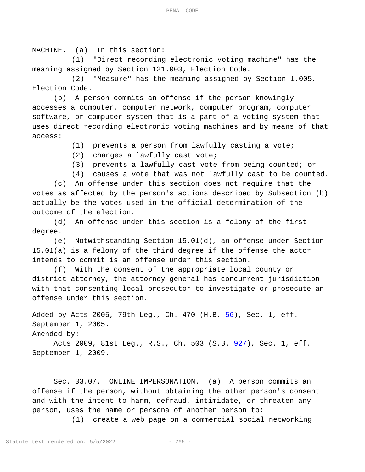MACHINE. (a) In this section:

(1) "Direct recording electronic voting machine" has the meaning assigned by Section 121.003, Election Code.

(2) "Measure" has the meaning assigned by Section 1.005, Election Code.

(b) A person commits an offense if the person knowingly accesses a computer, computer network, computer program, computer software, or computer system that is a part of a voting system that uses direct recording electronic voting machines and by means of that access:

(1) prevents a person from lawfully casting a vote;

(2) changes a lawfully cast vote;

- (3) prevents a lawfully cast vote from being counted; or
- (4) causes a vote that was not lawfully cast to be counted.

(c) An offense under this section does not require that the votes as affected by the person's actions described by Subsection (b) actually be the votes used in the official determination of the outcome of the election.

(d) An offense under this section is a felony of the first degree.

(e) Notwithstanding Section 15.01(d), an offense under Section 15.01(a) is a felony of the third degree if the offense the actor intends to commit is an offense under this section.

(f) With the consent of the appropriate local county or district attorney, the attorney general has concurrent jurisdiction with that consenting local prosecutor to investigate or prosecute an offense under this section.

Added by Acts 2005, 79th Leg., Ch. 470 (H.B. [56](http://www.legis.state.tx.us/tlodocs/79R/billtext/html/HB00056F.HTM)), Sec. 1, eff. September 1, 2005.

Amended by:

Acts 2009, 81st Leg., R.S., Ch. 503 (S.B. [927](http://www.legis.state.tx.us/tlodocs/81R/billtext/html/SB00927F.HTM)), Sec. 1, eff. September 1, 2009.

Sec. 33.07. ONLINE IMPERSONATION. (a) A person commits an offense if the person, without obtaining the other person's consent and with the intent to harm, defraud, intimidate, or threaten any person, uses the name or persona of another person to:

(1) create a web page on a commercial social networking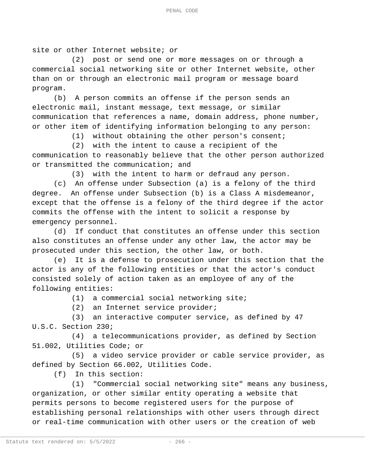site or other Internet website; or

(2) post or send one or more messages on or through a commercial social networking site or other Internet website, other than on or through an electronic mail program or message board program.

(b) A person commits an offense if the person sends an electronic mail, instant message, text message, or similar communication that references a name, domain address, phone number, or other item of identifying information belonging to any person:

(1) without obtaining the other person's consent;

(2) with the intent to cause a recipient of the communication to reasonably believe that the other person authorized or transmitted the communication; and

(3) with the intent to harm or defraud any person.

(c) An offense under Subsection (a) is a felony of the third degree. An offense under Subsection (b) is a Class A misdemeanor, except that the offense is a felony of the third degree if the actor commits the offense with the intent to solicit a response by emergency personnel.

(d) If conduct that constitutes an offense under this section also constitutes an offense under any other law, the actor may be prosecuted under this section, the other law, or both.

(e) It is a defense to prosecution under this section that the actor is any of the following entities or that the actor's conduct consisted solely of action taken as an employee of any of the following entities:

(1) a commercial social networking site;

(2) an Internet service provider;

(3) an interactive computer service, as defined by 47 U.S.C. Section 230;

(4) a telecommunications provider, as defined by Section 51.002, Utilities Code; or

(5) a video service provider or cable service provider, as defined by Section 66.002, Utilities Code.

(f) In this section:

(1) "Commercial social networking site" means any business, organization, or other similar entity operating a website that permits persons to become registered users for the purpose of establishing personal relationships with other users through direct or real-time communication with other users or the creation of web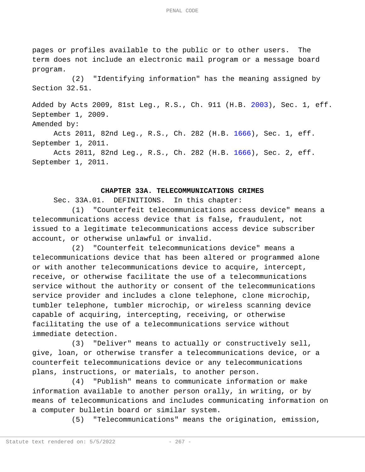pages or profiles available to the public or to other users. The term does not include an electronic mail program or a message board program.

(2) "Identifying information" has the meaning assigned by Section 32.51.

Added by Acts 2009, 81st Leg., R.S., Ch. 911 (H.B. [2003](http://www.legis.state.tx.us/tlodocs/81R/billtext/html/HB02003F.HTM)), Sec. 1, eff. September 1, 2009.

Amended by:

Acts 2011, 82nd Leg., R.S., Ch. 282 (H.B. [1666](http://www.legis.state.tx.us/tlodocs/82R/billtext/html/HB01666F.HTM)), Sec. 1, eff. September 1, 2011.

Acts 2011, 82nd Leg., R.S., Ch. 282 (H.B. [1666](http://www.legis.state.tx.us/tlodocs/82R/billtext/html/HB01666F.HTM)), Sec. 2, eff. September 1, 2011.

## **CHAPTER 33A. TELECOMMUNICATIONS CRIMES**

Sec. 33A.01. DEFINITIONS. In this chapter:

(1) "Counterfeit telecommunications access device" means a telecommunications access device that is false, fraudulent, not issued to a legitimate telecommunications access device subscriber account, or otherwise unlawful or invalid.

(2) "Counterfeit telecommunications device" means a telecommunications device that has been altered or programmed alone or with another telecommunications device to acquire, intercept, receive, or otherwise facilitate the use of a telecommunications service without the authority or consent of the telecommunications service provider and includes a clone telephone, clone microchip, tumbler telephone, tumbler microchip, or wireless scanning device capable of acquiring, intercepting, receiving, or otherwise facilitating the use of a telecommunications service without immediate detection.

(3) "Deliver" means to actually or constructively sell, give, loan, or otherwise transfer a telecommunications device, or a counterfeit telecommunications device or any telecommunications plans, instructions, or materials, to another person.

(4) "Publish" means to communicate information or make information available to another person orally, in writing, or by means of telecommunications and includes communicating information on a computer bulletin board or similar system.

(5) "Telecommunications" means the origination, emission,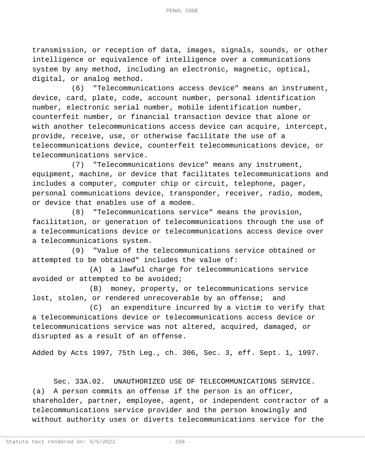transmission, or reception of data, images, signals, sounds, or other intelligence or equivalence of intelligence over a communications system by any method, including an electronic, magnetic, optical, digital, or analog method.

(6) "Telecommunications access device" means an instrument, device, card, plate, code, account number, personal identification number, electronic serial number, mobile identification number, counterfeit number, or financial transaction device that alone or with another telecommunications access device can acquire, intercept, provide, receive, use, or otherwise facilitate the use of a telecommunications device, counterfeit telecommunications device, or telecommunications service.

(7) "Telecommunications device" means any instrument, equipment, machine, or device that facilitates telecommunications and includes a computer, computer chip or circuit, telephone, pager, personal communications device, transponder, receiver, radio, modem, or device that enables use of a modem.

(8) "Telecommunications service" means the provision, facilitation, or generation of telecommunications through the use of a telecommunications device or telecommunications access device over a telecommunications system.

(9) "Value of the telecommunications service obtained or attempted to be obtained" includes the value of:

(A) a lawful charge for telecommunications service avoided or attempted to be avoided;

(B) money, property, or telecommunications service lost, stolen, or rendered unrecoverable by an offense; and

(C) an expenditure incurred by a victim to verify that a telecommunications device or telecommunications access device or telecommunications service was not altered, acquired, damaged, or disrupted as a result of an offense.

Added by Acts 1997, 75th Leg., ch. 306, Sec. 3, eff. Sept. 1, 1997.

Sec. 33A.02. UNAUTHORIZED USE OF TELECOMMUNICATIONS SERVICE. (a) A person commits an offense if the person is an officer, shareholder, partner, employee, agent, or independent contractor of a telecommunications service provider and the person knowingly and without authority uses or diverts telecommunications service for the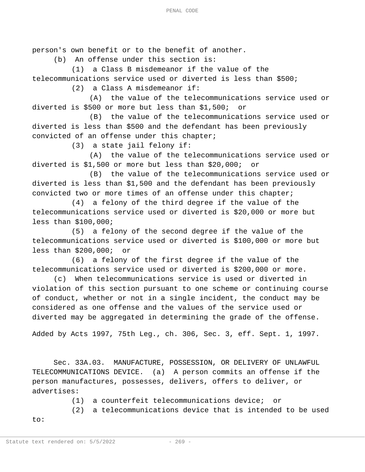person's own benefit or to the benefit of another.

(b) An offense under this section is:

(1) a Class B misdemeanor if the value of the telecommunications service used or diverted is less than \$500;

(2) a Class A misdemeanor if:

(A) the value of the telecommunications service used or diverted is \$500 or more but less than \$1,500; or

(B) the value of the telecommunications service used or diverted is less than \$500 and the defendant has been previously convicted of an offense under this chapter;

(3) a state jail felony if:

(A) the value of the telecommunications service used or diverted is \$1,500 or more but less than \$20,000; or

(B) the value of the telecommunications service used or diverted is less than \$1,500 and the defendant has been previously convicted two or more times of an offense under this chapter;

(4) a felony of the third degree if the value of the telecommunications service used or diverted is \$20,000 or more but less than \$100,000;

(5) a felony of the second degree if the value of the telecommunications service used or diverted is \$100,000 or more but less than \$200,000; or

(6) a felony of the first degree if the value of the telecommunications service used or diverted is \$200,000 or more.

(c) When telecommunications service is used or diverted in violation of this section pursuant to one scheme or continuing course of conduct, whether or not in a single incident, the conduct may be considered as one offense and the values of the service used or diverted may be aggregated in determining the grade of the offense.

Added by Acts 1997, 75th Leg., ch. 306, Sec. 3, eff. Sept. 1, 1997.

Sec. 33A.03. MANUFACTURE, POSSESSION, OR DELIVERY OF UNLAWFUL TELECOMMUNICATIONS DEVICE. (a) A person commits an offense if the person manufactures, possesses, delivers, offers to deliver, or advertises:

(1) a counterfeit telecommunications device; or

(2) a telecommunications device that is intended to be used

to: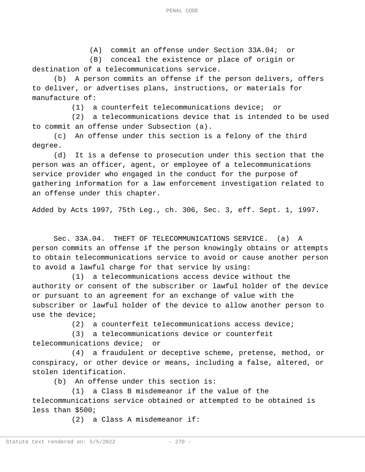(A) commit an offense under Section 33A.04; or

(B) conceal the existence or place of origin or destination of a telecommunications service.

(b) A person commits an offense if the person delivers, offers to deliver, or advertises plans, instructions, or materials for manufacture of:

(1) a counterfeit telecommunications device; or

(2) a telecommunications device that is intended to be used to commit an offense under Subsection (a).

(c) An offense under this section is a felony of the third degree.

(d) It is a defense to prosecution under this section that the person was an officer, agent, or employee of a telecommunications service provider who engaged in the conduct for the purpose of gathering information for a law enforcement investigation related to an offense under this chapter.

Added by Acts 1997, 75th Leg., ch. 306, Sec. 3, eff. Sept. 1, 1997.

Sec. 33A.04. THEFT OF TELECOMMUNICATIONS SERVICE. (a) A person commits an offense if the person knowingly obtains or attempts to obtain telecommunications service to avoid or cause another person to avoid a lawful charge for that service by using:

(1) a telecommunications access device without the authority or consent of the subscriber or lawful holder of the device or pursuant to an agreement for an exchange of value with the subscriber or lawful holder of the device to allow another person to use the device;

(2) a counterfeit telecommunications access device;

(3) a telecommunications device or counterfeit telecommunications device; or

(4) a fraudulent or deceptive scheme, pretense, method, or conspiracy, or other device or means, including a false, altered, or stolen identification.

(b) An offense under this section is:

(1) a Class B misdemeanor if the value of the telecommunications service obtained or attempted to be obtained is less than \$500;

(2) a Class A misdemeanor if: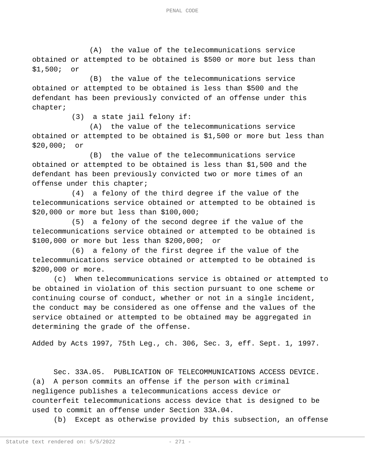(A) the value of the telecommunications service obtained or attempted to be obtained is \$500 or more but less than \$1,500; or

PENAL CODE

(B) the value of the telecommunications service obtained or attempted to be obtained is less than \$500 and the defendant has been previously convicted of an offense under this chapter;

(3) a state jail felony if:

(A) the value of the telecommunications service obtained or attempted to be obtained is \$1,500 or more but less than \$20,000; or

(B) the value of the telecommunications service obtained or attempted to be obtained is less than \$1,500 and the defendant has been previously convicted two or more times of an offense under this chapter;

(4) a felony of the third degree if the value of the telecommunications service obtained or attempted to be obtained is \$20,000 or more but less than \$100,000;

(5) a felony of the second degree if the value of the telecommunications service obtained or attempted to be obtained is \$100,000 or more but less than \$200,000; or

(6) a felony of the first degree if the value of the telecommunications service obtained or attempted to be obtained is \$200,000 or more.

(c) When telecommunications service is obtained or attempted to be obtained in violation of this section pursuant to one scheme or continuing course of conduct, whether or not in a single incident, the conduct may be considered as one offense and the values of the service obtained or attempted to be obtained may be aggregated in determining the grade of the offense.

Added by Acts 1997, 75th Leg., ch. 306, Sec. 3, eff. Sept. 1, 1997.

Sec. 33A.05. PUBLICATION OF TELECOMMUNICATIONS ACCESS DEVICE. (a) A person commits an offense if the person with criminal negligence publishes a telecommunications access device or counterfeit telecommunications access device that is designed to be used to commit an offense under Section 33A.04.

(b) Except as otherwise provided by this subsection, an offense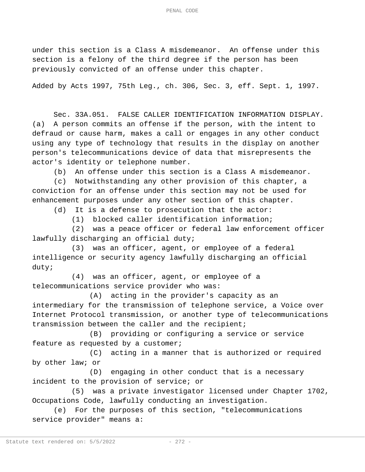under this section is a Class A misdemeanor. An offense under this section is a felony of the third degree if the person has been previously convicted of an offense under this chapter.

Added by Acts 1997, 75th Leg., ch. 306, Sec. 3, eff. Sept. 1, 1997.

Sec. 33A.051. FALSE CALLER IDENTIFICATION INFORMATION DISPLAY. (a) A person commits an offense if the person, with the intent to defraud or cause harm, makes a call or engages in any other conduct using any type of technology that results in the display on another person's telecommunications device of data that misrepresents the actor's identity or telephone number.

(b) An offense under this section is a Class A misdemeanor.

(c) Notwithstanding any other provision of this chapter, a conviction for an offense under this section may not be used for enhancement purposes under any other section of this chapter.

(d) It is a defense to prosecution that the actor:

(1) blocked caller identification information;

(2) was a peace officer or federal law enforcement officer lawfully discharging an official duty;

(3) was an officer, agent, or employee of a federal intelligence or security agency lawfully discharging an official duty;

(4) was an officer, agent, or employee of a telecommunications service provider who was:

(A) acting in the provider's capacity as an intermediary for the transmission of telephone service, a Voice over Internet Protocol transmission, or another type of telecommunications transmission between the caller and the recipient;

(B) providing or configuring a service or service feature as requested by a customer;

(C) acting in a manner that is authorized or required by other law; or

(D) engaging in other conduct that is a necessary incident to the provision of service; or

(5) was a private investigator licensed under Chapter 1702, Occupations Code, lawfully conducting an investigation.

(e) For the purposes of this section, "telecommunications service provider" means a: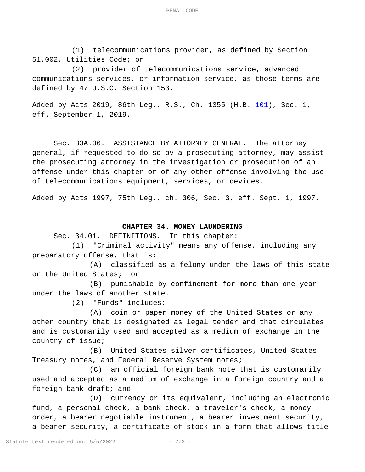(1) telecommunications provider, as defined by Section 51.002, Utilities Code; or

(2) provider of telecommunications service, advanced communications services, or information service, as those terms are defined by 47 U.S.C. Section 153.

Added by Acts 2019, 86th Leg., R.S., Ch. 1355 (H.B. [101](http://www.legis.state.tx.us/tlodocs/86R/billtext/html/HB00101F.HTM)), Sec. 1, eff. September 1, 2019.

Sec. 33A.06. ASSISTANCE BY ATTORNEY GENERAL. The attorney general, if requested to do so by a prosecuting attorney, may assist the prosecuting attorney in the investigation or prosecution of an offense under this chapter or of any other offense involving the use of telecommunications equipment, services, or devices.

Added by Acts 1997, 75th Leg., ch. 306, Sec. 3, eff. Sept. 1, 1997.

## **CHAPTER 34. MONEY LAUNDERING**

Sec. 34.01. DEFINITIONS. In this chapter:

(1) "Criminal activity" means any offense, including any preparatory offense, that is:

(A) classified as a felony under the laws of this state or the United States; or

(B) punishable by confinement for more than one year under the laws of another state.

(2) "Funds" includes:

(A) coin or paper money of the United States or any other country that is designated as legal tender and that circulates and is customarily used and accepted as a medium of exchange in the country of issue;

(B) United States silver certificates, United States Treasury notes, and Federal Reserve System notes;

(C) an official foreign bank note that is customarily used and accepted as a medium of exchange in a foreign country and a foreign bank draft; and

(D) currency or its equivalent, including an electronic fund, a personal check, a bank check, a traveler's check, a money order, a bearer negotiable instrument, a bearer investment security, a bearer security, a certificate of stock in a form that allows title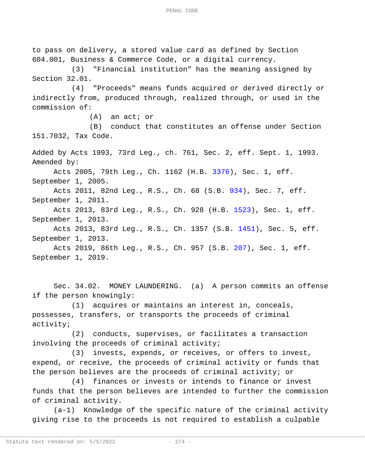to pass on delivery, a stored value card as defined by Section 604.001, Business & Commerce Code, or a digital currency.

(3) "Financial institution" has the meaning assigned by Section 32.01.

(4) "Proceeds" means funds acquired or derived directly or indirectly from, produced through, realized through, or used in the commission of:

(A) an act; or

(B) conduct that constitutes an offense under Section 151.7032, Tax Code.

Added by Acts 1993, 73rd Leg., ch. 761, Sec. 2, eff. Sept. 1, 1993. Amended by:

Acts 2005, 79th Leg., Ch. 1162 (H.B. [3376](http://www.legis.state.tx.us/tlodocs/79R/billtext/html/HB03376F.HTM)), Sec. 1, eff. September 1, 2005.

Acts 2011, 82nd Leg., R.S., Ch. 68 (S.B. [934\)](http://www.legis.state.tx.us/tlodocs/82R/billtext/html/SB00934F.HTM), Sec. 7, eff. September 1, 2011.

Acts 2013, 83rd Leg., R.S., Ch. 928 (H.B. [1523](http://www.legis.state.tx.us/tlodocs/83R/billtext/html/HB01523F.HTM)), Sec. 1, eff. September 1, 2013.

Acts 2013, 83rd Leg., R.S., Ch. 1357 (S.B. [1451](http://www.legis.state.tx.us/tlodocs/83R/billtext/html/SB01451F.HTM)), Sec. 5, eff. September 1, 2013.

Acts 2019, 86th Leg., R.S., Ch. 957 (S.B. [207](http://www.legis.state.tx.us/tlodocs/86R/billtext/html/SB00207F.HTM)), Sec. 1, eff. September 1, 2019.

Sec. 34.02. MONEY LAUNDERING. (a) A person commits an offense if the person knowingly:

(1) acquires or maintains an interest in, conceals, possesses, transfers, or transports the proceeds of criminal activity;

(2) conducts, supervises, or facilitates a transaction involving the proceeds of criminal activity;

(3) invests, expends, or receives, or offers to invest, expend, or receive, the proceeds of criminal activity or funds that the person believes are the proceeds of criminal activity; or

(4) finances or invests or intends to finance or invest funds that the person believes are intended to further the commission of criminal activity.

(a-1) Knowledge of the specific nature of the criminal activity giving rise to the proceeds is not required to establish a culpable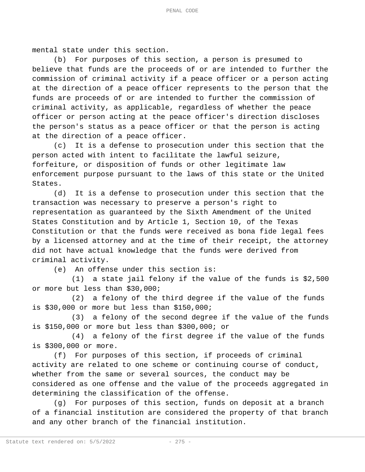mental state under this section.

(b) For purposes of this section, a person is presumed to believe that funds are the proceeds of or are intended to further the commission of criminal activity if a peace officer or a person acting at the direction of a peace officer represents to the person that the funds are proceeds of or are intended to further the commission of criminal activity, as applicable, regardless of whether the peace officer or person acting at the peace officer's direction discloses the person's status as a peace officer or that the person is acting at the direction of a peace officer.

(c) It is a defense to prosecution under this section that the person acted with intent to facilitate the lawful seizure, forfeiture, or disposition of funds or other legitimate law enforcement purpose pursuant to the laws of this state or the United States.

(d) It is a defense to prosecution under this section that the transaction was necessary to preserve a person's right to representation as guaranteed by the Sixth Amendment of the United States Constitution and by Article 1, Section 10, of the Texas Constitution or that the funds were received as bona fide legal fees by a licensed attorney and at the time of their receipt, the attorney did not have actual knowledge that the funds were derived from criminal activity.

(e) An offense under this section is:

(1) a state jail felony if the value of the funds is \$2,500 or more but less than \$30,000;

(2) a felony of the third degree if the value of the funds is \$30,000 or more but less than \$150,000;

(3) a felony of the second degree if the value of the funds is \$150,000 or more but less than \$300,000; or

(4) a felony of the first degree if the value of the funds is \$300,000 or more.

(f) For purposes of this section, if proceeds of criminal activity are related to one scheme or continuing course of conduct, whether from the same or several sources, the conduct may be considered as one offense and the value of the proceeds aggregated in determining the classification of the offense.

(g) For purposes of this section, funds on deposit at a branch of a financial institution are considered the property of that branch and any other branch of the financial institution.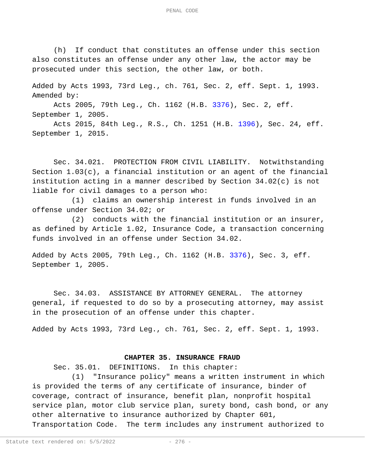(h) If conduct that constitutes an offense under this section also constitutes an offense under any other law, the actor may be prosecuted under this section, the other law, or both.

Added by Acts 1993, 73rd Leg., ch. 761, Sec. 2, eff. Sept. 1, 1993. Amended by:

Acts 2005, 79th Leg., Ch. 1162 (H.B. [3376](http://www.legis.state.tx.us/tlodocs/79R/billtext/html/HB03376F.HTM)), Sec. 2, eff. September 1, 2005.

Acts 2015, 84th Leg., R.S., Ch. 1251 (H.B. [1396](http://www.legis.state.tx.us/tlodocs/84R/billtext/html/HB01396F.HTM)), Sec. 24, eff. September 1, 2015.

Sec. 34.021. PROTECTION FROM CIVIL LIABILITY. Notwithstanding Section 1.03(c), a financial institution or an agent of the financial institution acting in a manner described by Section 34.02(c) is not liable for civil damages to a person who:

(1) claims an ownership interest in funds involved in an offense under Section 34.02; or

(2) conducts with the financial institution or an insurer, as defined by Article 1.02, Insurance Code, a transaction concerning funds involved in an offense under Section 34.02.

Added by Acts 2005, 79th Leg., Ch. 1162 (H.B. [3376](http://www.legis.state.tx.us/tlodocs/79R/billtext/html/HB03376F.HTM)), Sec. 3, eff. September 1, 2005.

Sec. 34.03. ASSISTANCE BY ATTORNEY GENERAL. The attorney general, if requested to do so by a prosecuting attorney, may assist in the prosecution of an offense under this chapter.

Added by Acts 1993, 73rd Leg., ch. 761, Sec. 2, eff. Sept. 1, 1993.

## **CHAPTER 35. INSURANCE FRAUD**

Sec. 35.01. DEFINITIONS. In this chapter:

(1) "Insurance policy" means a written instrument in which is provided the terms of any certificate of insurance, binder of coverage, contract of insurance, benefit plan, nonprofit hospital service plan, motor club service plan, surety bond, cash bond, or any other alternative to insurance authorized by Chapter 601, Transportation Code. The term includes any instrument authorized to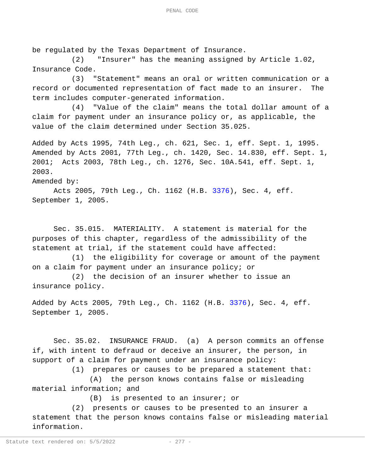be regulated by the Texas Department of Insurance.

(2) "Insurer" has the meaning assigned by Article 1.02, Insurance Code.

(3) "Statement" means an oral or written communication or a record or documented representation of fact made to an insurer. The term includes computer-generated information.

(4) "Value of the claim" means the total dollar amount of a claim for payment under an insurance policy or, as applicable, the value of the claim determined under Section 35.025.

Added by Acts 1995, 74th Leg., ch. 621, Sec. 1, eff. Sept. 1, 1995. Amended by Acts 2001, 77th Leg., ch. 1420, Sec. 14.830, eff. Sept. 1, 2001; Acts 2003, 78th Leg., ch. 1276, Sec. 10A.541, eff. Sept. 1, 2003.

Amended by:

Acts 2005, 79th Leg., Ch. 1162 (H.B. [3376](http://www.legis.state.tx.us/tlodocs/79R/billtext/html/HB03376F.HTM)), Sec. 4, eff. September 1, 2005.

Sec. 35.015. MATERIALITY. A statement is material for the purposes of this chapter, regardless of the admissibility of the statement at trial, if the statement could have affected:

(1) the eligibility for coverage or amount of the payment on a claim for payment under an insurance policy; or

(2) the decision of an insurer whether to issue an insurance policy.

Added by Acts 2005, 79th Leg., Ch. 1162 (H.B. [3376](http://www.legis.state.tx.us/tlodocs/79R/billtext/html/HB03376F.HTM)), Sec. 4, eff. September 1, 2005.

Sec. 35.02. INSURANCE FRAUD. (a) A person commits an offense if, with intent to defraud or deceive an insurer, the person, in support of a claim for payment under an insurance policy:

(1) prepares or causes to be prepared a statement that:

(A) the person knows contains false or misleading material information; and

(B) is presented to an insurer; or

(2) presents or causes to be presented to an insurer a statement that the person knows contains false or misleading material information.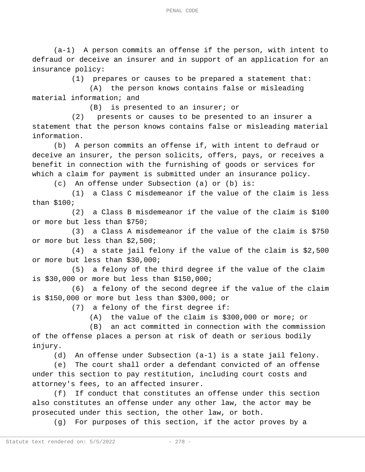(a-1) A person commits an offense if the person, with intent to defraud or deceive an insurer and in support of an application for an insurance policy:

(1) prepares or causes to be prepared a statement that:

(A) the person knows contains false or misleading material information; and

(B) is presented to an insurer; or

(2) presents or causes to be presented to an insurer a statement that the person knows contains false or misleading material information.

(b) A person commits an offense if, with intent to defraud or deceive an insurer, the person solicits, offers, pays, or receives a benefit in connection with the furnishing of goods or services for which a claim for payment is submitted under an insurance policy.

(c) An offense under Subsection (a) or (b) is:

(1) a Class C misdemeanor if the value of the claim is less than \$100;

(2) a Class B misdemeanor if the value of the claim is \$100 or more but less than \$750;

(3) a Class A misdemeanor if the value of the claim is \$750 or more but less than \$2,500;

(4) a state jail felony if the value of the claim is \$2,500 or more but less than \$30,000;

(5) a felony of the third degree if the value of the claim is \$30,000 or more but less than \$150,000;

(6) a felony of the second degree if the value of the claim is \$150,000 or more but less than \$300,000; or

(7) a felony of the first degree if:

(A) the value of the claim is \$300,000 or more; or

(B) an act committed in connection with the commission of the offense places a person at risk of death or serious bodily injury.

(d) An offense under Subsection (a-1) is a state jail felony.

(e) The court shall order a defendant convicted of an offense under this section to pay restitution, including court costs and attorney's fees, to an affected insurer.

(f) If conduct that constitutes an offense under this section also constitutes an offense under any other law, the actor may be prosecuted under this section, the other law, or both.

(g) For purposes of this section, if the actor proves by a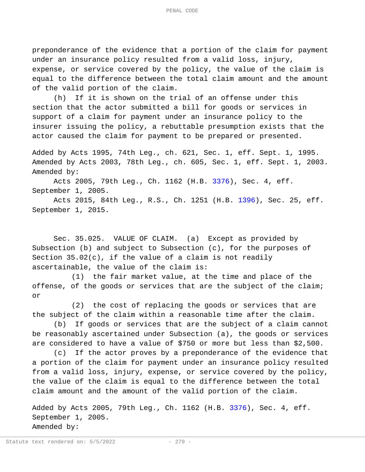preponderance of the evidence that a portion of the claim for payment under an insurance policy resulted from a valid loss, injury, expense, or service covered by the policy, the value of the claim is equal to the difference between the total claim amount and the amount of the valid portion of the claim.

(h) If it is shown on the trial of an offense under this section that the actor submitted a bill for goods or services in support of a claim for payment under an insurance policy to the insurer issuing the policy, a rebuttable presumption exists that the actor caused the claim for payment to be prepared or presented.

Added by Acts 1995, 74th Leg., ch. 621, Sec. 1, eff. Sept. 1, 1995. Amended by Acts 2003, 78th Leg., ch. 605, Sec. 1, eff. Sept. 1, 2003. Amended by:

Acts 2005, 79th Leg., Ch. 1162 (H.B. [3376](http://www.legis.state.tx.us/tlodocs/79R/billtext/html/HB03376F.HTM)), Sec. 4, eff. September 1, 2005.

Acts 2015, 84th Leg., R.S., Ch. 1251 (H.B. [1396](http://www.legis.state.tx.us/tlodocs/84R/billtext/html/HB01396F.HTM)), Sec. 25, eff. September 1, 2015.

Sec. 35.025. VALUE OF CLAIM. (a) Except as provided by Subsection (b) and subject to Subsection (c), for the purposes of Section  $35.02(c)$ , if the value of a claim is not readily ascertainable, the value of the claim is:

(1) the fair market value, at the time and place of the offense, of the goods or services that are the subject of the claim; or

(2) the cost of replacing the goods or services that are the subject of the claim within a reasonable time after the claim.

(b) If goods or services that are the subject of a claim cannot be reasonably ascertained under Subsection (a), the goods or services are considered to have a value of \$750 or more but less than \$2,500.

(c) If the actor proves by a preponderance of the evidence that a portion of the claim for payment under an insurance policy resulted from a valid loss, injury, expense, or service covered by the policy, the value of the claim is equal to the difference between the total claim amount and the amount of the valid portion of the claim.

Added by Acts 2005, 79th Leg., Ch. 1162 (H.B. [3376](http://www.legis.state.tx.us/tlodocs/79R/billtext/html/HB03376F.HTM)), Sec. 4, eff. September 1, 2005. Amended by: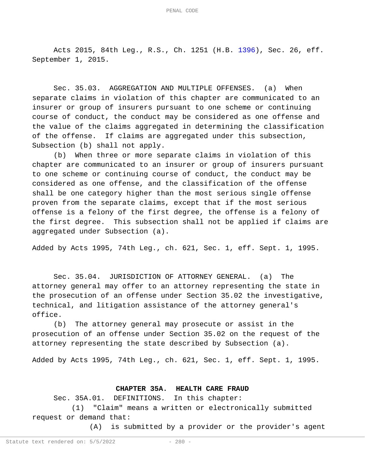Acts 2015, 84th Leg., R.S., Ch. 1251 (H.B. [1396](http://www.legis.state.tx.us/tlodocs/84R/billtext/html/HB01396F.HTM)), Sec. 26, eff. September 1, 2015.

Sec. 35.03. AGGREGATION AND MULTIPLE OFFENSES. (a) When separate claims in violation of this chapter are communicated to an insurer or group of insurers pursuant to one scheme or continuing course of conduct, the conduct may be considered as one offense and the value of the claims aggregated in determining the classification of the offense. If claims are aggregated under this subsection, Subsection (b) shall not apply.

(b) When three or more separate claims in violation of this chapter are communicated to an insurer or group of insurers pursuant to one scheme or continuing course of conduct, the conduct may be considered as one offense, and the classification of the offense shall be one category higher than the most serious single offense proven from the separate claims, except that if the most serious offense is a felony of the first degree, the offense is a felony of the first degree. This subsection shall not be applied if claims are aggregated under Subsection (a).

Added by Acts 1995, 74th Leg., ch. 621, Sec. 1, eff. Sept. 1, 1995.

Sec. 35.04. JURISDICTION OF ATTORNEY GENERAL. (a) The attorney general may offer to an attorney representing the state in the prosecution of an offense under Section 35.02 the investigative, technical, and litigation assistance of the attorney general's office.

(b) The attorney general may prosecute or assist in the prosecution of an offense under Section 35.02 on the request of the attorney representing the state described by Subsection (a).

Added by Acts 1995, 74th Leg., ch. 621, Sec. 1, eff. Sept. 1, 1995.

#### **CHAPTER 35A. HEALTH CARE FRAUD**

Sec. 35A.01. DEFINITIONS. In this chapter:

(1) "Claim" means a written or electronically submitted request or demand that:

(A) is submitted by a provider or the provider's agent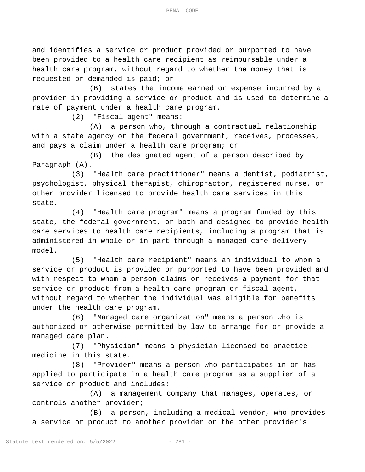and identifies a service or product provided or purported to have been provided to a health care recipient as reimbursable under a health care program, without regard to whether the money that is requested or demanded is paid; or

(B) states the income earned or expense incurred by a provider in providing a service or product and is used to determine a rate of payment under a health care program.

(2) "Fiscal agent" means:

(A) a person who, through a contractual relationship with a state agency or the federal government, receives, processes, and pays a claim under a health care program; or

(B) the designated agent of a person described by Paragraph (A).

(3) "Health care practitioner" means a dentist, podiatrist, psychologist, physical therapist, chiropractor, registered nurse, or other provider licensed to provide health care services in this state.

(4) "Health care program" means a program funded by this state, the federal government, or both and designed to provide health care services to health care recipients, including a program that is administered in whole or in part through a managed care delivery model.

(5) "Health care recipient" means an individual to whom a service or product is provided or purported to have been provided and with respect to whom a person claims or receives a payment for that service or product from a health care program or fiscal agent, without regard to whether the individual was eligible for benefits under the health care program.

(6) "Managed care organization" means a person who is authorized or otherwise permitted by law to arrange for or provide a managed care plan.

(7) "Physician" means a physician licensed to practice medicine in this state.

(8) "Provider" means a person who participates in or has applied to participate in a health care program as a supplier of a service or product and includes:

(A) a management company that manages, operates, or controls another provider;

(B) a person, including a medical vendor, who provides a service or product to another provider or the other provider's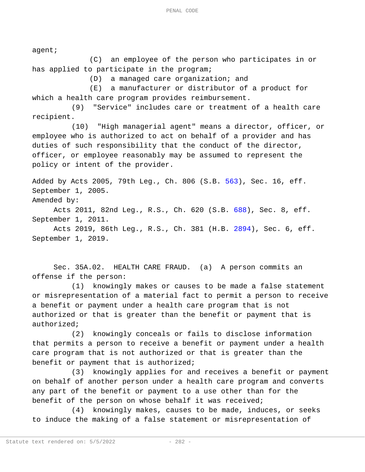agent;

(C) an employee of the person who participates in or has applied to participate in the program;

(D) a managed care organization; and

(E) a manufacturer or distributor of a product for which a health care program provides reimbursement.

(9) "Service" includes care or treatment of a health care recipient.

(10) "High managerial agent" means a director, officer, or employee who is authorized to act on behalf of a provider and has duties of such responsibility that the conduct of the director, officer, or employee reasonably may be assumed to represent the policy or intent of the provider.

Added by Acts 2005, 79th Leg., Ch. 806 (S.B. [563\)](http://www.legis.state.tx.us/tlodocs/79R/billtext/html/SB00563F.HTM), Sec. 16, eff. September 1, 2005.

Amended by:

Acts 2011, 82nd Leg., R.S., Ch. 620 (S.B. [688](http://www.legis.state.tx.us/tlodocs/82R/billtext/html/SB00688F.HTM)), Sec. 8, eff. September 1, 2011.

Acts 2019, 86th Leg., R.S., Ch. 381 (H.B. [2894](http://www.legis.state.tx.us/tlodocs/86R/billtext/html/HB02894F.HTM)), Sec. 6, eff. September 1, 2019.

Sec. 35A.02. HEALTH CARE FRAUD. (a) A person commits an offense if the person:

(1) knowingly makes or causes to be made a false statement or misrepresentation of a material fact to permit a person to receive a benefit or payment under a health care program that is not authorized or that is greater than the benefit or payment that is authorized;

(2) knowingly conceals or fails to disclose information that permits a person to receive a benefit or payment under a health care program that is not authorized or that is greater than the benefit or payment that is authorized;

(3) knowingly applies for and receives a benefit or payment on behalf of another person under a health care program and converts any part of the benefit or payment to a use other than for the benefit of the person on whose behalf it was received;

(4) knowingly makes, causes to be made, induces, or seeks to induce the making of a false statement or misrepresentation of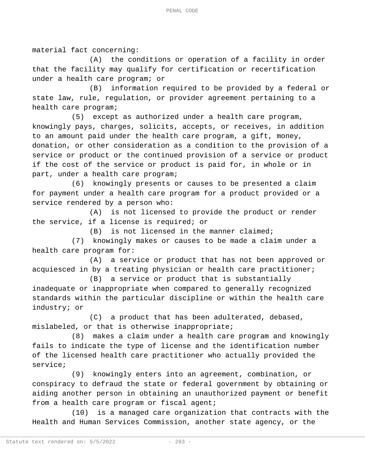material fact concerning:

(A) the conditions or operation of a facility in order that the facility may qualify for certification or recertification under a health care program; or

(B) information required to be provided by a federal or state law, rule, regulation, or provider agreement pertaining to a health care program;

(5) except as authorized under a health care program, knowingly pays, charges, solicits, accepts, or receives, in addition to an amount paid under the health care program, a gift, money, donation, or other consideration as a condition to the provision of a service or product or the continued provision of a service or product if the cost of the service or product is paid for, in whole or in part, under a health care program;

(6) knowingly presents or causes to be presented a claim for payment under a health care program for a product provided or a service rendered by a person who:

(A) is not licensed to provide the product or render the service, if a license is required; or

(B) is not licensed in the manner claimed;

(7) knowingly makes or causes to be made a claim under a health care program for:

(A) a service or product that has not been approved or acquiesced in by a treating physician or health care practitioner;

(B) a service or product that is substantially inadequate or inappropriate when compared to generally recognized standards within the particular discipline or within the health care industry; or

(C) a product that has been adulterated, debased, mislabeled, or that is otherwise inappropriate;

(8) makes a claim under a health care program and knowingly fails to indicate the type of license and the identification number of the licensed health care practitioner who actually provided the service;

(9) knowingly enters into an agreement, combination, or conspiracy to defraud the state or federal government by obtaining or aiding another person in obtaining an unauthorized payment or benefit from a health care program or fiscal agent;

(10) is a managed care organization that contracts with the Health and Human Services Commission, another state agency, or the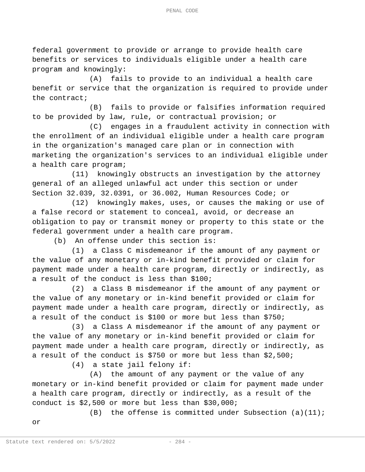federal government to provide or arrange to provide health care benefits or services to individuals eligible under a health care program and knowingly:

(A) fails to provide to an individual a health care benefit or service that the organization is required to provide under the contract;

(B) fails to provide or falsifies information required to be provided by law, rule, or contractual provision; or

(C) engages in a fraudulent activity in connection with the enrollment of an individual eligible under a health care program in the organization's managed care plan or in connection with marketing the organization's services to an individual eligible under a health care program;

(11) knowingly obstructs an investigation by the attorney general of an alleged unlawful act under this section or under Section 32.039, 32.0391, or 36.002, Human Resources Code; or

(12) knowingly makes, uses, or causes the making or use of a false record or statement to conceal, avoid, or decrease an obligation to pay or transmit money or property to this state or the federal government under a health care program.

(b) An offense under this section is:

(1) a Class C misdemeanor if the amount of any payment or the value of any monetary or in-kind benefit provided or claim for payment made under a health care program, directly or indirectly, as a result of the conduct is less than \$100;

(2) a Class B misdemeanor if the amount of any payment or the value of any monetary or in-kind benefit provided or claim for payment made under a health care program, directly or indirectly, as a result of the conduct is \$100 or more but less than \$750;

(3) a Class A misdemeanor if the amount of any payment or the value of any monetary or in-kind benefit provided or claim for payment made under a health care program, directly or indirectly, as a result of the conduct is \$750 or more but less than \$2,500;

(4) a state jail felony if:

(A) the amount of any payment or the value of any monetary or in-kind benefit provided or claim for payment made under a health care program, directly or indirectly, as a result of the conduct is \$2,500 or more but less than \$30,000;

(B) the offense is committed under Subsection  $(a)(11)$ ;

or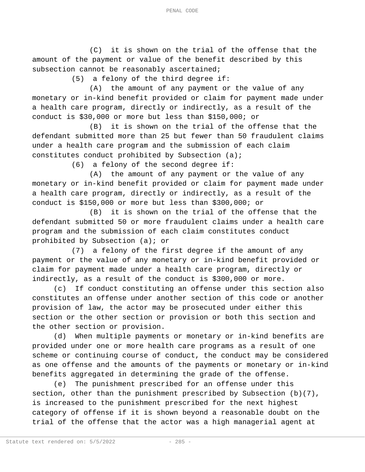(C) it is shown on the trial of the offense that the amount of the payment or value of the benefit described by this subsection cannot be reasonably ascertained;

(5) a felony of the third degree if:

(A) the amount of any payment or the value of any monetary or in-kind benefit provided or claim for payment made under a health care program, directly or indirectly, as a result of the conduct is \$30,000 or more but less than \$150,000; or

(B) it is shown on the trial of the offense that the defendant submitted more than 25 but fewer than 50 fraudulent claims under a health care program and the submission of each claim constitutes conduct prohibited by Subsection (a);

(6) a felony of the second degree if:

(A) the amount of any payment or the value of any monetary or in-kind benefit provided or claim for payment made under a health care program, directly or indirectly, as a result of the conduct is \$150,000 or more but less than \$300,000; or

(B) it is shown on the trial of the offense that the defendant submitted 50 or more fraudulent claims under a health care program and the submission of each claim constitutes conduct prohibited by Subsection (a); or

(7) a felony of the first degree if the amount of any payment or the value of any monetary or in-kind benefit provided or claim for payment made under a health care program, directly or indirectly, as a result of the conduct is \$300,000 or more.

(c) If conduct constituting an offense under this section also constitutes an offense under another section of this code or another provision of law, the actor may be prosecuted under either this section or the other section or provision or both this section and the other section or provision.

(d) When multiple payments or monetary or in-kind benefits are provided under one or more health care programs as a result of one scheme or continuing course of conduct, the conduct may be considered as one offense and the amounts of the payments or monetary or in-kind benefits aggregated in determining the grade of the offense.

(e) The punishment prescribed for an offense under this section, other than the punishment prescribed by Subsection (b)(7), is increased to the punishment prescribed for the next highest category of offense if it is shown beyond a reasonable doubt on the trial of the offense that the actor was a high managerial agent at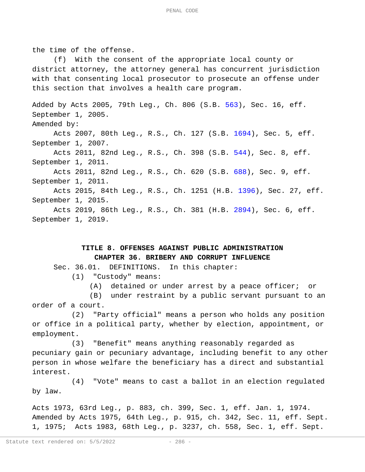the time of the offense.

(f) With the consent of the appropriate local county or district attorney, the attorney general has concurrent jurisdiction with that consenting local prosecutor to prosecute an offense under this section that involves a health care program.

Added by Acts 2005, 79th Leg., Ch. 806 (S.B. [563\)](http://www.legis.state.tx.us/tlodocs/79R/billtext/html/SB00563F.HTM), Sec. 16, eff. September 1, 2005.

# Amended by:

Acts 2007, 80th Leg., R.S., Ch. 127 (S.B. [1694](http://www.legis.state.tx.us/tlodocs/80R/billtext/html/SB01694F.HTM)), Sec. 5, eff. September 1, 2007.

Acts 2011, 82nd Leg., R.S., Ch. 398 (S.B. [544](http://www.legis.state.tx.us/tlodocs/82R/billtext/html/SB00544F.HTM)), Sec. 8, eff. September 1, 2011.

Acts 2011, 82nd Leg., R.S., Ch. 620 (S.B. [688](http://www.legis.state.tx.us/tlodocs/82R/billtext/html/SB00688F.HTM)), Sec. 9, eff. September 1, 2011.

Acts 2015, 84th Leg., R.S., Ch. 1251 (H.B. [1396](http://www.legis.state.tx.us/tlodocs/84R/billtext/html/HB01396F.HTM)), Sec. 27, eff. September 1, 2015.

Acts 2019, 86th Leg., R.S., Ch. 381 (H.B. [2894](http://www.legis.state.tx.us/tlodocs/86R/billtext/html/HB02894F.HTM)), Sec. 6, eff. September 1, 2019.

## **TITLE 8. OFFENSES AGAINST PUBLIC ADMINISTRATION CHAPTER 36. BRIBERY AND CORRUPT INFLUENCE**

Sec. 36.01. DEFINITIONS. In this chapter:

(1) "Custody" means:

(A) detained or under arrest by a peace officer; or

(B) under restraint by a public servant pursuant to an order of a court.

(2) "Party official" means a person who holds any position or office in a political party, whether by election, appointment, or employment.

(3) "Benefit" means anything reasonably regarded as

pecuniary gain or pecuniary advantage, including benefit to any other person in whose welfare the beneficiary has a direct and substantial interest.

(4) "Vote" means to cast a ballot in an election regulated by law.

Acts 1973, 63rd Leg., p. 883, ch. 399, Sec. 1, eff. Jan. 1, 1974. Amended by Acts 1975, 64th Leg., p. 915, ch. 342, Sec. 11, eff. Sept. 1, 1975; Acts 1983, 68th Leg., p. 3237, ch. 558, Sec. 1, eff. Sept.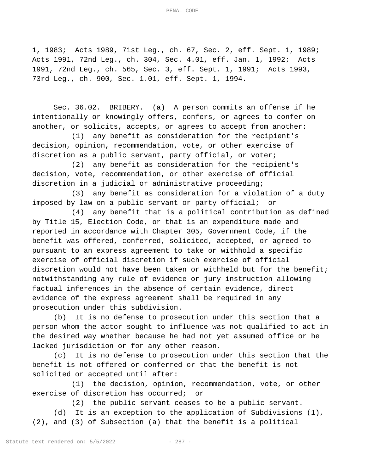1, 1983; Acts 1989, 71st Leg., ch. 67, Sec. 2, eff. Sept. 1, 1989; Acts 1991, 72nd Leg., ch. 304, Sec. 4.01, eff. Jan. 1, 1992; Acts 1991, 72nd Leg., ch. 565, Sec. 3, eff. Sept. 1, 1991; Acts 1993, 73rd Leg., ch. 900, Sec. 1.01, eff. Sept. 1, 1994.

Sec. 36.02. BRIBERY. (a) A person commits an offense if he intentionally or knowingly offers, confers, or agrees to confer on another, or solicits, accepts, or agrees to accept from another:

(1) any benefit as consideration for the recipient's decision, opinion, recommendation, vote, or other exercise of discretion as a public servant, party official, or voter;

(2) any benefit as consideration for the recipient's decision, vote, recommendation, or other exercise of official discretion in a judicial or administrative proceeding;

(3) any benefit as consideration for a violation of a duty imposed by law on a public servant or party official; or

(4) any benefit that is a political contribution as defined by Title 15, Election Code, or that is an expenditure made and reported in accordance with Chapter 305, Government Code, if the benefit was offered, conferred, solicited, accepted, or agreed to pursuant to an express agreement to take or withhold a specific exercise of official discretion if such exercise of official discretion would not have been taken or withheld but for the benefit; notwithstanding any rule of evidence or jury instruction allowing factual inferences in the absence of certain evidence, direct evidence of the express agreement shall be required in any prosecution under this subdivision.

(b) It is no defense to prosecution under this section that a person whom the actor sought to influence was not qualified to act in the desired way whether because he had not yet assumed office or he lacked jurisdiction or for any other reason.

(c) It is no defense to prosecution under this section that the benefit is not offered or conferred or that the benefit is not solicited or accepted until after:

(1) the decision, opinion, recommendation, vote, or other exercise of discretion has occurred; or

(2) the public servant ceases to be a public servant.

(d) It is an exception to the application of Subdivisions (1), (2), and (3) of Subsection (a) that the benefit is a political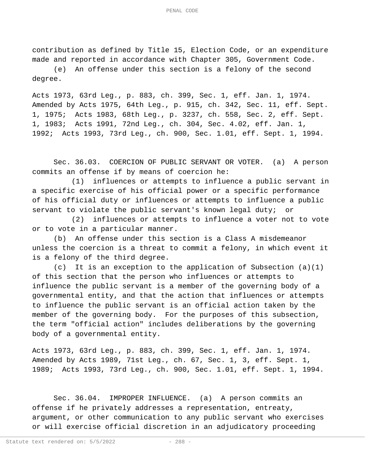contribution as defined by Title 15, Election Code, or an expenditure made and reported in accordance with Chapter 305, Government Code.

(e) An offense under this section is a felony of the second degree.

Acts 1973, 63rd Leg., p. 883, ch. 399, Sec. 1, eff. Jan. 1, 1974. Amended by Acts 1975, 64th Leg., p. 915, ch. 342, Sec. 11, eff. Sept. 1, 1975; Acts 1983, 68th Leg., p. 3237, ch. 558, Sec. 2, eff. Sept. 1, 1983; Acts 1991, 72nd Leg., ch. 304, Sec. 4.02, eff. Jan. 1, 1992; Acts 1993, 73rd Leg., ch. 900, Sec. 1.01, eff. Sept. 1, 1994.

Sec. 36.03. COERCION OF PUBLIC SERVANT OR VOTER. (a) A person commits an offense if by means of coercion he:

(1) influences or attempts to influence a public servant in a specific exercise of his official power or a specific performance of his official duty or influences or attempts to influence a public servant to violate the public servant's known legal duty; or

(2) influences or attempts to influence a voter not to vote or to vote in a particular manner.

(b) An offense under this section is a Class A misdemeanor unless the coercion is a threat to commit a felony, in which event it is a felony of the third degree.

 $(c)$  It is an exception to the application of Subsection  $(a)(1)$ of this section that the person who influences or attempts to influence the public servant is a member of the governing body of a governmental entity, and that the action that influences or attempts to influence the public servant is an official action taken by the member of the governing body. For the purposes of this subsection, the term "official action" includes deliberations by the governing body of a governmental entity.

Acts 1973, 63rd Leg., p. 883, ch. 399, Sec. 1, eff. Jan. 1, 1974. Amended by Acts 1989, 71st Leg., ch. 67, Sec. 1, 3, eff. Sept. 1, 1989; Acts 1993, 73rd Leg., ch. 900, Sec. 1.01, eff. Sept. 1, 1994.

Sec. 36.04. IMPROPER INFLUENCE. (a) A person commits an offense if he privately addresses a representation, entreaty, argument, or other communication to any public servant who exercises or will exercise official discretion in an adjudicatory proceeding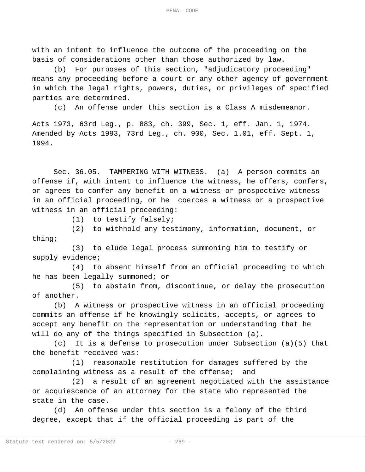with an intent to influence the outcome of the proceeding on the basis of considerations other than those authorized by law.

(b) For purposes of this section, "adjudicatory proceeding" means any proceeding before a court or any other agency of government in which the legal rights, powers, duties, or privileges of specified parties are determined.

(c) An offense under this section is a Class A misdemeanor.

Acts 1973, 63rd Leg., p. 883, ch. 399, Sec. 1, eff. Jan. 1, 1974. Amended by Acts 1993, 73rd Leg., ch. 900, Sec. 1.01, eff. Sept. 1, 1994.

Sec. 36.05. TAMPERING WITH WITNESS. (a) A person commits an offense if, with intent to influence the witness, he offers, confers, or agrees to confer any benefit on a witness or prospective witness in an official proceeding, or he coerces a witness or a prospective witness in an official proceeding:

(1) to testify falsely;

(2) to withhold any testimony, information, document, or thing;

(3) to elude legal process summoning him to testify or supply evidence;

(4) to absent himself from an official proceeding to which he has been legally summoned; or

(5) to abstain from, discontinue, or delay the prosecution of another.

(b) A witness or prospective witness in an official proceeding commits an offense if he knowingly solicits, accepts, or agrees to accept any benefit on the representation or understanding that he will do any of the things specified in Subsection (a).

(c) It is a defense to prosecution under Subsection (a)(5) that the benefit received was:

(1) reasonable restitution for damages suffered by the complaining witness as a result of the offense; and

(2) a result of an agreement negotiated with the assistance or acquiescence of an attorney for the state who represented the state in the case.

(d) An offense under this section is a felony of the third degree, except that if the official proceeding is part of the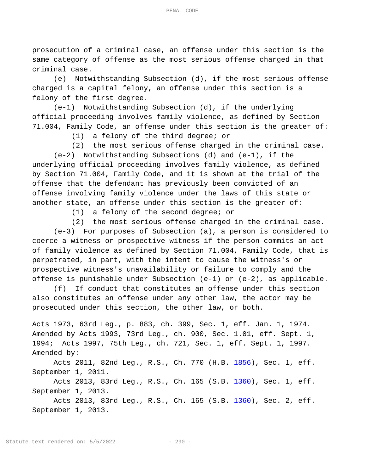prosecution of a criminal case, an offense under this section is the same category of offense as the most serious offense charged in that criminal case.

(e) Notwithstanding Subsection (d), if the most serious offense charged is a capital felony, an offense under this section is a felony of the first degree.

(e-1) Notwithstanding Subsection (d), if the underlying official proceeding involves family violence, as defined by Section 71.004, Family Code, an offense under this section is the greater of:

(1) a felony of the third degree; or

(2) the most serious offense charged in the criminal case. (e-2) Notwithstanding Subsections (d) and (e-1), if the underlying official proceeding involves family violence, as defined by Section 71.004, Family Code, and it is shown at the trial of the offense that the defendant has previously been convicted of an offense involving family violence under the laws of this state or another state, an offense under this section is the greater of:

(1) a felony of the second degree; or

(2) the most serious offense charged in the criminal case. (e-3) For purposes of Subsection (a), a person is considered to coerce a witness or prospective witness if the person commits an act of family violence as defined by Section 71.004, Family Code, that is perpetrated, in part, with the intent to cause the witness's or prospective witness's unavailability or failure to comply and the offense is punishable under Subsection (e-1) or (e-2), as applicable.

(f) If conduct that constitutes an offense under this section also constitutes an offense under any other law, the actor may be prosecuted under this section, the other law, or both.

Acts 1973, 63rd Leg., p. 883, ch. 399, Sec. 1, eff. Jan. 1, 1974. Amended by Acts 1993, 73rd Leg., ch. 900, Sec. 1.01, eff. Sept. 1, 1994; Acts 1997, 75th Leg., ch. 721, Sec. 1, eff. Sept. 1, 1997. Amended by:

Acts 2011, 82nd Leg., R.S., Ch. 770 (H.B. [1856](http://www.legis.state.tx.us/tlodocs/82R/billtext/html/HB01856F.HTM)), Sec. 1, eff. September 1, 2011.

Acts 2013, 83rd Leg., R.S., Ch. 165 (S.B. [1360](http://www.legis.state.tx.us/tlodocs/83R/billtext/html/SB01360F.HTM)), Sec. 1, eff. September 1, 2013.

Acts 2013, 83rd Leg., R.S., Ch. 165 (S.B. [1360](http://www.legis.state.tx.us/tlodocs/83R/billtext/html/SB01360F.HTM)), Sec. 2, eff. September 1, 2013.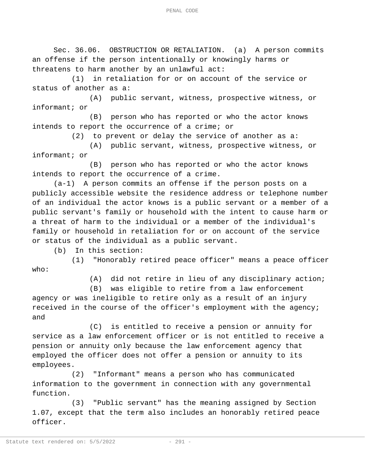Sec. 36.06. OBSTRUCTION OR RETALIATION. (a) A person commits an offense if the person intentionally or knowingly harms or threatens to harm another by an unlawful act:

(1) in retaliation for or on account of the service or status of another as a:

(A) public servant, witness, prospective witness, or informant; or

(B) person who has reported or who the actor knows intends to report the occurrence of a crime; or

(2) to prevent or delay the service of another as a:

(A) public servant, witness, prospective witness, or informant; or

(B) person who has reported or who the actor knows intends to report the occurrence of a crime.

(a-1) A person commits an offense if the person posts on a publicly accessible website the residence address or telephone number of an individual the actor knows is a public servant or a member of a public servant's family or household with the intent to cause harm or a threat of harm to the individual or a member of the individual's family or household in retaliation for or on account of the service or status of the individual as a public servant.

(b) In this section:

(1) "Honorably retired peace officer" means a peace officer who:

(A) did not retire in lieu of any disciplinary action;

(B) was eligible to retire from a law enforcement agency or was ineligible to retire only as a result of an injury received in the course of the officer's employment with the agency; and

(C) is entitled to receive a pension or annuity for service as a law enforcement officer or is not entitled to receive a pension or annuity only because the law enforcement agency that employed the officer does not offer a pension or annuity to its employees.

(2) "Informant" means a person who has communicated information to the government in connection with any governmental function.

(3) "Public servant" has the meaning assigned by Section 1.07, except that the term also includes an honorably retired peace officer.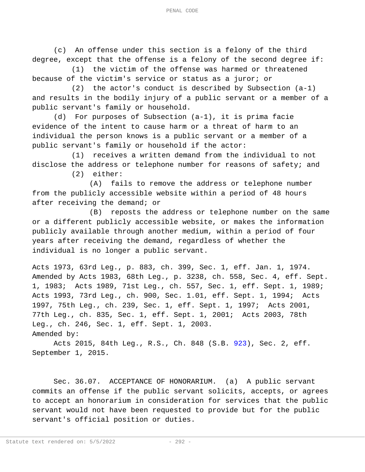(c) An offense under this section is a felony of the third degree, except that the offense is a felony of the second degree if:

(1) the victim of the offense was harmed or threatened because of the victim's service or status as a juror; or

(2) the actor's conduct is described by Subsection (a-1) and results in the bodily injury of a public servant or a member of a public servant's family or household.

(d) For purposes of Subsection (a-1), it is prima facie evidence of the intent to cause harm or a threat of harm to an individual the person knows is a public servant or a member of a public servant's family or household if the actor:

(1) receives a written demand from the individual to not disclose the address or telephone number for reasons of safety; and

(2) either:

(A) fails to remove the address or telephone number from the publicly accessible website within a period of 48 hours after receiving the demand; or

(B) reposts the address or telephone number on the same or a different publicly accessible website, or makes the information publicly available through another medium, within a period of four years after receiving the demand, regardless of whether the individual is no longer a public servant.

Acts 1973, 63rd Leg., p. 883, ch. 399, Sec. 1, eff. Jan. 1, 1974. Amended by Acts 1983, 68th Leg., p. 3238, ch. 558, Sec. 4, eff. Sept. 1, 1983; Acts 1989, 71st Leg., ch. 557, Sec. 1, eff. Sept. 1, 1989; Acts 1993, 73rd Leg., ch. 900, Sec. 1.01, eff. Sept. 1, 1994; Acts 1997, 75th Leg., ch. 239, Sec. 1, eff. Sept. 1, 1997; Acts 2001, 77th Leg., ch. 835, Sec. 1, eff. Sept. 1, 2001; Acts 2003, 78th Leg., ch. 246, Sec. 1, eff. Sept. 1, 2003. Amended by:

Acts 2015, 84th Leg., R.S., Ch. 848 (S.B. [923](http://www.legis.state.tx.us/tlodocs/84R/billtext/html/SB00923F.HTM)), Sec. 2, eff. September 1, 2015.

Sec. 36.07. ACCEPTANCE OF HONORARIUM. (a) A public servant commits an offense if the public servant solicits, accepts, or agrees to accept an honorarium in consideration for services that the public servant would not have been requested to provide but for the public servant's official position or duties.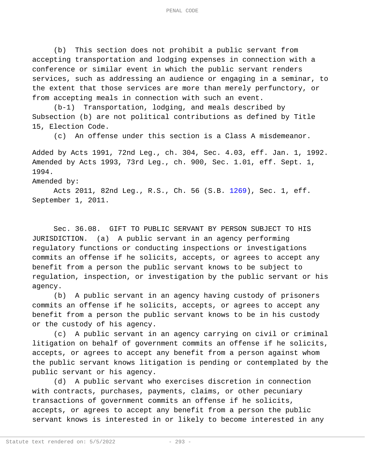(b) This section does not prohibit a public servant from accepting transportation and lodging expenses in connection with a conference or similar event in which the public servant renders services, such as addressing an audience or engaging in a seminar, to the extent that those services are more than merely perfunctory, or from accepting meals in connection with such an event.

(b-1) Transportation, lodging, and meals described by Subsection (b) are not political contributions as defined by Title 15, Election Code.

(c) An offense under this section is a Class A misdemeanor.

Added by Acts 1991, 72nd Leg., ch. 304, Sec. 4.03, eff. Jan. 1, 1992. Amended by Acts 1993, 73rd Leg., ch. 900, Sec. 1.01, eff. Sept. 1, 1994.

Amended by:

Acts 2011, 82nd Leg., R.S., Ch. 56 (S.B. [1269\)](http://www.legis.state.tx.us/tlodocs/82R/billtext/html/SB01269F.HTM), Sec. 1, eff. September 1, 2011.

Sec. 36.08. GIFT TO PUBLIC SERVANT BY PERSON SUBJECT TO HIS JURISDICTION. (a) A public servant in an agency performing regulatory functions or conducting inspections or investigations commits an offense if he solicits, accepts, or agrees to accept any benefit from a person the public servant knows to be subject to regulation, inspection, or investigation by the public servant or his agency.

(b) A public servant in an agency having custody of prisoners commits an offense if he solicits, accepts, or agrees to accept any benefit from a person the public servant knows to be in his custody or the custody of his agency.

(c) A public servant in an agency carrying on civil or criminal litigation on behalf of government commits an offense if he solicits, accepts, or agrees to accept any benefit from a person against whom the public servant knows litigation is pending or contemplated by the public servant or his agency.

(d) A public servant who exercises discretion in connection with contracts, purchases, payments, claims, or other pecuniary transactions of government commits an offense if he solicits, accepts, or agrees to accept any benefit from a person the public servant knows is interested in or likely to become interested in any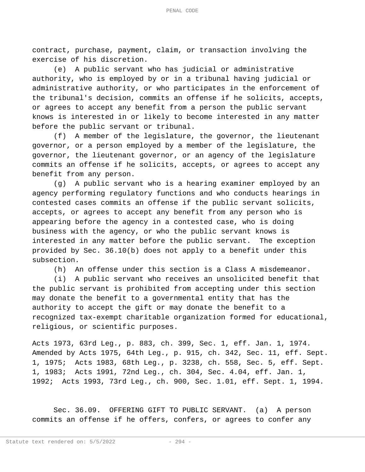contract, purchase, payment, claim, or transaction involving the exercise of his discretion.

(e) A public servant who has judicial or administrative authority, who is employed by or in a tribunal having judicial or administrative authority, or who participates in the enforcement of the tribunal's decision, commits an offense if he solicits, accepts, or agrees to accept any benefit from a person the public servant knows is interested in or likely to become interested in any matter before the public servant or tribunal.

(f) A member of the legislature, the governor, the lieutenant governor, or a person employed by a member of the legislature, the governor, the lieutenant governor, or an agency of the legislature commits an offense if he solicits, accepts, or agrees to accept any benefit from any person.

(g) A public servant who is a hearing examiner employed by an agency performing regulatory functions and who conducts hearings in contested cases commits an offense if the public servant solicits, accepts, or agrees to accept any benefit from any person who is appearing before the agency in a contested case, who is doing business with the agency, or who the public servant knows is interested in any matter before the public servant. The exception provided by Sec. 36.10(b) does not apply to a benefit under this subsection.

(h) An offense under this section is a Class A misdemeanor.

(i) A public servant who receives an unsolicited benefit that the public servant is prohibited from accepting under this section may donate the benefit to a governmental entity that has the authority to accept the gift or may donate the benefit to a recognized tax-exempt charitable organization formed for educational, religious, or scientific purposes.

Acts 1973, 63rd Leg., p. 883, ch. 399, Sec. 1, eff. Jan. 1, 1974. Amended by Acts 1975, 64th Leg., p. 915, ch. 342, Sec. 11, eff. Sept. 1, 1975; Acts 1983, 68th Leg., p. 3238, ch. 558, Sec. 5, eff. Sept. 1, 1983; Acts 1991, 72nd Leg., ch. 304, Sec. 4.04, eff. Jan. 1, 1992; Acts 1993, 73rd Leg., ch. 900, Sec. 1.01, eff. Sept. 1, 1994.

Sec. 36.09. OFFERING GIFT TO PUBLIC SERVANT. (a) A person commits an offense if he offers, confers, or agrees to confer any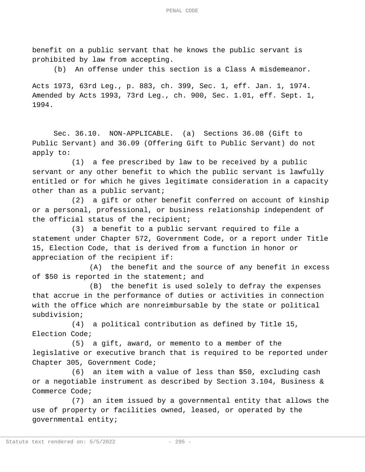benefit on a public servant that he knows the public servant is prohibited by law from accepting.

(b) An offense under this section is a Class A misdemeanor.

Acts 1973, 63rd Leg., p. 883, ch. 399, Sec. 1, eff. Jan. 1, 1974. Amended by Acts 1993, 73rd Leg., ch. 900, Sec. 1.01, eff. Sept. 1, 1994.

Sec. 36.10. NON-APPLICABLE. (a) Sections 36.08 (Gift to Public Servant) and 36.09 (Offering Gift to Public Servant) do not apply to:

(1) a fee prescribed by law to be received by a public servant or any other benefit to which the public servant is lawfully entitled or for which he gives legitimate consideration in a capacity other than as a public servant;

(2) a gift or other benefit conferred on account of kinship or a personal, professional, or business relationship independent of the official status of the recipient;

(3) a benefit to a public servant required to file a statement under Chapter 572, Government Code, or a report under Title 15, Election Code, that is derived from a function in honor or appreciation of the recipient if:

(A) the benefit and the source of any benefit in excess of \$50 is reported in the statement; and

(B) the benefit is used solely to defray the expenses that accrue in the performance of duties or activities in connection with the office which are nonreimbursable by the state or political subdivision;

(4) a political contribution as defined by Title 15, Election Code;

(5) a gift, award, or memento to a member of the legislative or executive branch that is required to be reported under Chapter 305, Government Code;

(6) an item with a value of less than \$50, excluding cash or a negotiable instrument as described by Section 3.104, Business & Commerce Code;

(7) an item issued by a governmental entity that allows the use of property or facilities owned, leased, or operated by the governmental entity;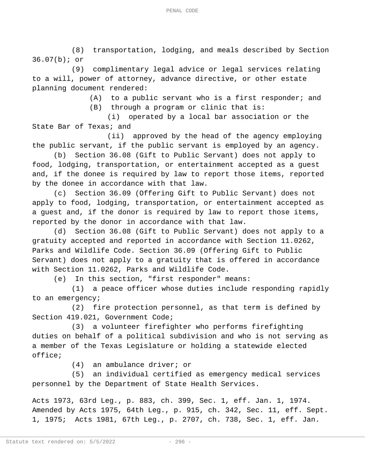(8) transportation, lodging, and meals described by Section 36.07(b); or

(9) complimentary legal advice or legal services relating to a will, power of attorney, advance directive, or other estate planning document rendered:

(A) to a public servant who is a first responder; and

(B) through a program or clinic that is:

(i) operated by a local bar association or the State Bar of Texas; and

(ii) approved by the head of the agency employing the public servant, if the public servant is employed by an agency.

(b) Section 36.08 (Gift to Public Servant) does not apply to food, lodging, transportation, or entertainment accepted as a guest and, if the donee is required by law to report those items, reported by the donee in accordance with that law.

(c) Section 36.09 (Offering Gift to Public Servant) does not apply to food, lodging, transportation, or entertainment accepted as a guest and, if the donor is required by law to report those items, reported by the donor in accordance with that law.

(d) Section 36.08 (Gift to Public Servant) does not apply to a gratuity accepted and reported in accordance with Section 11.0262, Parks and Wildlife Code. Section 36.09 (Offering Gift to Public Servant) does not apply to a gratuity that is offered in accordance with Section 11.0262, Parks and Wildlife Code.

(e) In this section, "first responder" means:

(1) a peace officer whose duties include responding rapidly to an emergency;

(2) fire protection personnel, as that term is defined by Section 419.021, Government Code;

(3) a volunteer firefighter who performs firefighting duties on behalf of a political subdivision and who is not serving as a member of the Texas Legislature or holding a statewide elected office;

(4) an ambulance driver; or

(5) an individual certified as emergency medical services personnel by the Department of State Health Services.

Acts 1973, 63rd Leg., p. 883, ch. 399, Sec. 1, eff. Jan. 1, 1974. Amended by Acts 1975, 64th Leg., p. 915, ch. 342, Sec. 11, eff. Sept. 1, 1975; Acts 1981, 67th Leg., p. 2707, ch. 738, Sec. 1, eff. Jan.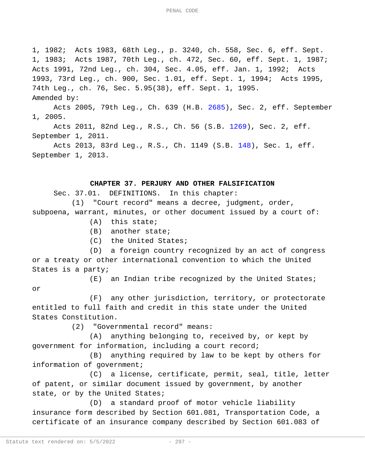1, 1982; Acts 1983, 68th Leg., p. 3240, ch. 558, Sec. 6, eff. Sept. 1, 1983; Acts 1987, 70th Leg., ch. 472, Sec. 60, eff. Sept. 1, 1987; Acts 1991, 72nd Leg., ch. 304, Sec. 4.05, eff. Jan. 1, 1992; Acts 1993, 73rd Leg., ch. 900, Sec. 1.01, eff. Sept. 1, 1994; Acts 1995, 74th Leg., ch. 76, Sec. 5.95(38), eff. Sept. 1, 1995. Amended by: Acts 2005, 79th Leg., Ch. 639 (H.B. [2685\)](http://www.legis.state.tx.us/tlodocs/79R/billtext/html/HB02685F.HTM), Sec. 2, eff. September 1, 2005. Acts 2011, 82nd Leg., R.S., Ch. 56 (S.B. [1269\)](http://www.legis.state.tx.us/tlodocs/82R/billtext/html/SB01269F.HTM), Sec. 2, eff. September 1, 2011. Acts 2013, 83rd Leg., R.S., Ch. 1149 (S.B. [148](http://www.legis.state.tx.us/tlodocs/83R/billtext/html/SB00148F.HTM)), Sec. 1, eff. September 1, 2013.

## **CHAPTER 37. PERJURY AND OTHER FALSIFICATION**

Sec. 37.01. DEFINITIONS. In this chapter:

(1) "Court record" means a decree, judgment, order, subpoena, warrant, minutes, or other document issued by a court of:

- (A) this state;
- (B) another state;
- (C) the United States;

(D) a foreign country recognized by an act of congress or a treaty or other international convention to which the United States is a party;

(E) an Indian tribe recognized by the United States;

## or

(F) any other jurisdiction, territory, or protectorate entitled to full faith and credit in this state under the United States Constitution.

(2) "Governmental record" means:

(A) anything belonging to, received by, or kept by government for information, including a court record;

(B) anything required by law to be kept by others for information of government;

(C) a license, certificate, permit, seal, title, letter of patent, or similar document issued by government, by another state, or by the United States;

(D) a standard proof of motor vehicle liability insurance form described by Section 601.081, Transportation Code, a certificate of an insurance company described by Section 601.083 of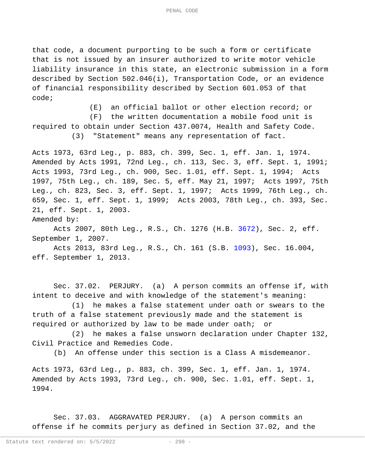that code, a document purporting to be such a form or certificate that is not issued by an insurer authorized to write motor vehicle liability insurance in this state, an electronic submission in a form described by Section 502.046(i), Transportation Code, or an evidence of financial responsibility described by Section 601.053 of that code;

(E) an official ballot or other election record; or

(F) the written documentation a mobile food unit is required to obtain under Section 437.0074, Health and Safety Code. (3) "Statement" means any representation of fact.

Acts 1973, 63rd Leg., p. 883, ch. 399, Sec. 1, eff. Jan. 1, 1974. Amended by Acts 1991, 72nd Leg., ch. 113, Sec. 3, eff. Sept. 1, 1991; Acts 1993, 73rd Leg., ch. 900, Sec. 1.01, eff. Sept. 1, 1994; Acts 1997, 75th Leg., ch. 189, Sec. 5, eff. May 21, 1997; Acts 1997, 75th Leg., ch. 823, Sec. 3, eff. Sept. 1, 1997; Acts 1999, 76th Leg., ch. 659, Sec. 1, eff. Sept. 1, 1999; Acts 2003, 78th Leg., ch. 393, Sec. 21, eff. Sept. 1, 2003. Amended by:

Acts 2007, 80th Leg., R.S., Ch. 1276 (H.B. [3672](http://www.legis.state.tx.us/tlodocs/80R/billtext/html/HB03672F.HTM)), Sec. 2, eff. September 1, 2007.

Acts 2013, 83rd Leg., R.S., Ch. 161 (S.B. [1093](http://www.legis.state.tx.us/tlodocs/83R/billtext/html/SB01093F.HTM)), Sec. 16.004, eff. September 1, 2013.

Sec. 37.02. PERJURY. (a) A person commits an offense if, with intent to deceive and with knowledge of the statement's meaning:

(1) he makes a false statement under oath or swears to the truth of a false statement previously made and the statement is required or authorized by law to be made under oath; or

(2) he makes a false unsworn declaration under Chapter 132, Civil Practice and Remedies Code.

(b) An offense under this section is a Class A misdemeanor.

Acts 1973, 63rd Leg., p. 883, ch. 399, Sec. 1, eff. Jan. 1, 1974. Amended by Acts 1993, 73rd Leg., ch. 900, Sec. 1.01, eff. Sept. 1, 1994.

Sec. 37.03. AGGRAVATED PERJURY. (a) A person commits an offense if he commits perjury as defined in Section 37.02, and the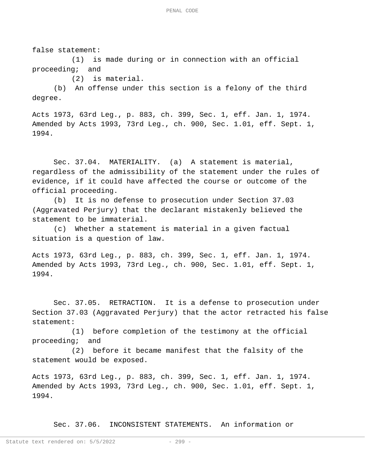false statement:

(1) is made during or in connection with an official proceeding; and

(2) is material.

(b) An offense under this section is a felony of the third degree.

Acts 1973, 63rd Leg., p. 883, ch. 399, Sec. 1, eff. Jan. 1, 1974. Amended by Acts 1993, 73rd Leg., ch. 900, Sec. 1.01, eff. Sept. 1, 1994.

Sec. 37.04. MATERIALITY. (a) A statement is material, regardless of the admissibility of the statement under the rules of evidence, if it could have affected the course or outcome of the official proceeding.

(b) It is no defense to prosecution under Section 37.03 (Aggravated Perjury) that the declarant mistakenly believed the statement to be immaterial.

(c) Whether a statement is material in a given factual situation is a question of law.

Acts 1973, 63rd Leg., p. 883, ch. 399, Sec. 1, eff. Jan. 1, 1974. Amended by Acts 1993, 73rd Leg., ch. 900, Sec. 1.01, eff. Sept. 1, 1994.

Sec. 37.05. RETRACTION. It is a defense to prosecution under Section 37.03 (Aggravated Perjury) that the actor retracted his false statement:

(1) before completion of the testimony at the official proceeding; and

(2) before it became manifest that the falsity of the statement would be exposed.

Acts 1973, 63rd Leg., p. 883, ch. 399, Sec. 1, eff. Jan. 1, 1974. Amended by Acts 1993, 73rd Leg., ch. 900, Sec. 1.01, eff. Sept. 1, 1994.

Sec. 37.06. INCONSISTENT STATEMENTS. An information or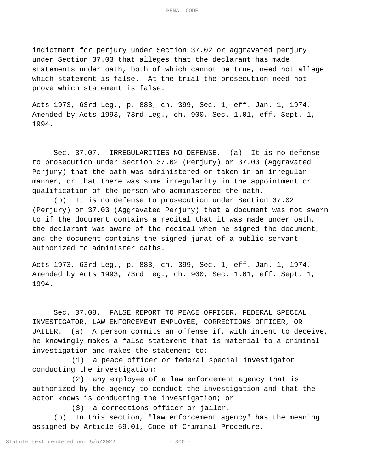indictment for perjury under Section 37.02 or aggravated perjury under Section 37.03 that alleges that the declarant has made statements under oath, both of which cannot be true, need not allege which statement is false. At the trial the prosecution need not prove which statement is false.

Acts 1973, 63rd Leg., p. 883, ch. 399, Sec. 1, eff. Jan. 1, 1974. Amended by Acts 1993, 73rd Leg., ch. 900, Sec. 1.01, eff. Sept. 1, 1994.

Sec. 37.07. IRREGULARITIES NO DEFENSE. (a) It is no defense to prosecution under Section 37.02 (Perjury) or 37.03 (Aggravated Perjury) that the oath was administered or taken in an irregular manner, or that there was some irregularity in the appointment or qualification of the person who administered the oath.

(b) It is no defense to prosecution under Section 37.02 (Perjury) or 37.03 (Aggravated Perjury) that a document was not sworn to if the document contains a recital that it was made under oath, the declarant was aware of the recital when he signed the document, and the document contains the signed jurat of a public servant authorized to administer oaths.

Acts 1973, 63rd Leg., p. 883, ch. 399, Sec. 1, eff. Jan. 1, 1974. Amended by Acts 1993, 73rd Leg., ch. 900, Sec. 1.01, eff. Sept. 1, 1994.

Sec. 37.08. FALSE REPORT TO PEACE OFFICER, FEDERAL SPECIAL INVESTIGATOR, LAW ENFORCEMENT EMPLOYEE, CORRECTIONS OFFICER, OR JAILER. (a) A person commits an offense if, with intent to deceive, he knowingly makes a false statement that is material to a criminal investigation and makes the statement to:

(1) a peace officer or federal special investigator conducting the investigation;

(2) any employee of a law enforcement agency that is authorized by the agency to conduct the investigation and that the actor knows is conducting the investigation; or

(3) a corrections officer or jailer.

(b) In this section, "law enforcement agency" has the meaning assigned by Article 59.01, Code of Criminal Procedure.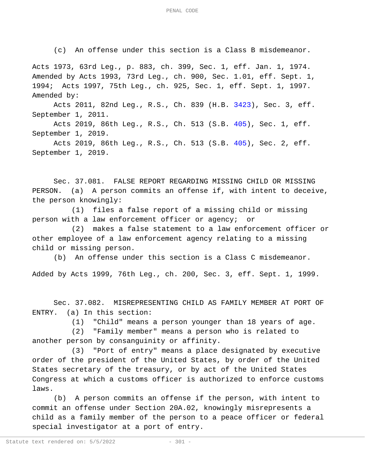PENAL CODE

(c) An offense under this section is a Class B misdemeanor.

Acts 1973, 63rd Leg., p. 883, ch. 399, Sec. 1, eff. Jan. 1, 1974. Amended by Acts 1993, 73rd Leg., ch. 900, Sec. 1.01, eff. Sept. 1, 1994; Acts 1997, 75th Leg., ch. 925, Sec. 1, eff. Sept. 1, 1997. Amended by:

Acts 2011, 82nd Leg., R.S., Ch. 839 (H.B. [3423](http://www.legis.state.tx.us/tlodocs/82R/billtext/html/HB03423F.HTM)), Sec. 3, eff. September 1, 2011.

Acts 2019, 86th Leg., R.S., Ch. 513 (S.B. [405](http://www.legis.state.tx.us/tlodocs/86R/billtext/html/SB00405F.HTM)), Sec. 1, eff. September 1, 2019.

Acts 2019, 86th Leg., R.S., Ch. 513 (S.B. [405](http://www.legis.state.tx.us/tlodocs/86R/billtext/html/SB00405F.HTM)), Sec. 2, eff. September 1, 2019.

Sec. 37.081. FALSE REPORT REGARDING MISSING CHILD OR MISSING PERSON. (a) A person commits an offense if, with intent to deceive, the person knowingly:

(1) files a false report of a missing child or missing person with a law enforcement officer or agency; or

(2) makes a false statement to a law enforcement officer or other employee of a law enforcement agency relating to a missing child or missing person.

(b) An offense under this section is a Class C misdemeanor.

Added by Acts 1999, 76th Leg., ch. 200, Sec. 3, eff. Sept. 1, 1999.

Sec. 37.082. MISREPRESENTING CHILD AS FAMILY MEMBER AT PORT OF ENTRY. (a) In this section:

(1) "Child" means a person younger than 18 years of age.

(2) "Family member" means a person who is related to another person by consanguinity or affinity.

(3) "Port of entry" means a place designated by executive order of the president of the United States, by order of the United States secretary of the treasury, or by act of the United States Congress at which a customs officer is authorized to enforce customs laws.

(b) A person commits an offense if the person, with intent to commit an offense under Section 20A.02, knowingly misrepresents a child as a family member of the person to a peace officer or federal special investigator at a port of entry.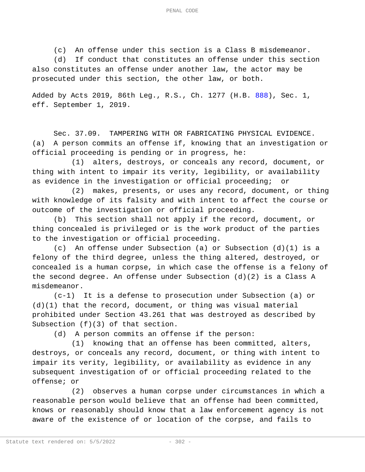(c) An offense under this section is a Class B misdemeanor.

(d) If conduct that constitutes an offense under this section also constitutes an offense under another law, the actor may be prosecuted under this section, the other law, or both.

Added by Acts 2019, 86th Leg., R.S., Ch. 1277 (H.B. [888](http://www.legis.state.tx.us/tlodocs/86R/billtext/html/HB00888F.HTM)), Sec. 1, eff. September 1, 2019.

Sec. 37.09. TAMPERING WITH OR FABRICATING PHYSICAL EVIDENCE. (a) A person commits an offense if, knowing that an investigation or official proceeding is pending or in progress, he:

(1) alters, destroys, or conceals any record, document, or thing with intent to impair its verity, legibility, or availability as evidence in the investigation or official proceeding; or

(2) makes, presents, or uses any record, document, or thing with knowledge of its falsity and with intent to affect the course or outcome of the investigation or official proceeding.

(b) This section shall not apply if the record, document, or thing concealed is privileged or is the work product of the parties to the investigation or official proceeding.

(c) An offense under Subsection (a) or Subsection (d)(1) is a felony of the third degree, unless the thing altered, destroyed, or concealed is a human corpse, in which case the offense is a felony of the second degree. An offense under Subsection (d)(2) is a Class A misdemeanor.

(c-1) It is a defense to prosecution under Subsection (a) or (d)(1) that the record, document, or thing was visual material prohibited under Section 43.261 that was destroyed as described by Subsection (f)(3) of that section.

(d) A person commits an offense if the person:

(1) knowing that an offense has been committed, alters, destroys, or conceals any record, document, or thing with intent to impair its verity, legibility, or availability as evidence in any subsequent investigation of or official proceeding related to the offense; or

(2) observes a human corpse under circumstances in which a reasonable person would believe that an offense had been committed, knows or reasonably should know that a law enforcement agency is not aware of the existence of or location of the corpse, and fails to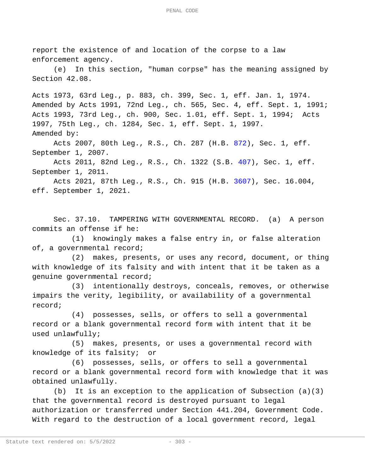report the existence of and location of the corpse to a law enforcement agency.

(e) In this section, "human corpse" has the meaning assigned by Section 42.08.

Acts 1973, 63rd Leg., p. 883, ch. 399, Sec. 1, eff. Jan. 1, 1974. Amended by Acts 1991, 72nd Leg., ch. 565, Sec. 4, eff. Sept. 1, 1991; Acts 1993, 73rd Leg., ch. 900, Sec. 1.01, eff. Sept. 1, 1994; Acts 1997, 75th Leg., ch. 1284, Sec. 1, eff. Sept. 1, 1997. Amended by:

Acts 2007, 80th Leg., R.S., Ch. 287 (H.B. [872](http://www.legis.state.tx.us/tlodocs/80R/billtext/html/HB00872F.HTM)), Sec. 1, eff. September 1, 2007.

Acts 2011, 82nd Leg., R.S., Ch. 1322 (S.B. [407](http://www.legis.state.tx.us/tlodocs/82R/billtext/html/SB00407F.HTM)), Sec. 1, eff. September 1, 2011.

Acts 2021, 87th Leg., R.S., Ch. 915 (H.B. [3607](http://www.legis.state.tx.us/tlodocs/87R/billtext/html/HB03607F.HTM)), Sec. 16.004, eff. September 1, 2021.

Sec. 37.10. TAMPERING WITH GOVERNMENTAL RECORD. (a) A person commits an offense if he:

(1) knowingly makes a false entry in, or false alteration of, a governmental record;

(2) makes, presents, or uses any record, document, or thing with knowledge of its falsity and with intent that it be taken as a genuine governmental record;

(3) intentionally destroys, conceals, removes, or otherwise impairs the verity, legibility, or availability of a governmental record;

(4) possesses, sells, or offers to sell a governmental record or a blank governmental record form with intent that it be used unlawfully;

(5) makes, presents, or uses a governmental record with knowledge of its falsity; or

(6) possesses, sells, or offers to sell a governmental record or a blank governmental record form with knowledge that it was obtained unlawfully.

(b) It is an exception to the application of Subsection  $(a)(3)$ that the governmental record is destroyed pursuant to legal authorization or transferred under Section 441.204, Government Code. With regard to the destruction of a local government record, legal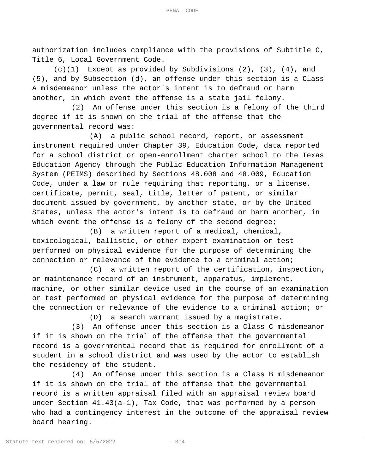authorization includes compliance with the provisions of Subtitle C, Title 6, Local Government Code.

 $(c)(1)$  Except as provided by Subdivisions  $(2)$ ,  $(3)$ ,  $(4)$ , and (5), and by Subsection (d), an offense under this section is a Class A misdemeanor unless the actor's intent is to defraud or harm another, in which event the offense is a state jail felony.

(2) An offense under this section is a felony of the third degree if it is shown on the trial of the offense that the governmental record was:

(A) a public school record, report, or assessment instrument required under Chapter 39, Education Code, data reported for a school district or open-enrollment charter school to the Texas Education Agency through the Public Education Information Management System (PEIMS) described by Sections 48.008 and 48.009, Education Code, under a law or rule requiring that reporting, or a license, certificate, permit, seal, title, letter of patent, or similar document issued by government, by another state, or by the United States, unless the actor's intent is to defraud or harm another, in which event the offense is a felony of the second degree;

(B) a written report of a medical, chemical, toxicological, ballistic, or other expert examination or test performed on physical evidence for the purpose of determining the connection or relevance of the evidence to a criminal action;

(C) a written report of the certification, inspection, or maintenance record of an instrument, apparatus, implement, machine, or other similar device used in the course of an examination or test performed on physical evidence for the purpose of determining the connection or relevance of the evidence to a criminal action; or

(D) a search warrant issued by a magistrate.

(3) An offense under this section is a Class C misdemeanor if it is shown on the trial of the offense that the governmental record is a governmental record that is required for enrollment of a student in a school district and was used by the actor to establish the residency of the student.

(4) An offense under this section is a Class B misdemeanor if it is shown on the trial of the offense that the governmental record is a written appraisal filed with an appraisal review board under Section 41.43(a-1), Tax Code, that was performed by a person who had a contingency interest in the outcome of the appraisal review board hearing.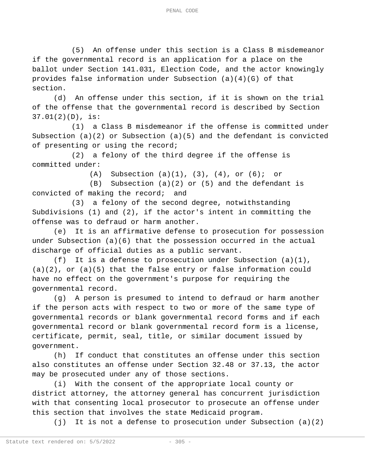(5) An offense under this section is a Class B misdemeanor if the governmental record is an application for a place on the ballot under Section 141.031, Election Code, and the actor knowingly provides false information under Subsection (a)(4)(G) of that section.

(d) An offense under this section, if it is shown on the trial of the offense that the governmental record is described by Section 37.01(2)(D), is:

(1) a Class B misdemeanor if the offense is committed under Subsection (a)(2) or Subsection (a)(5) and the defendant is convicted of presenting or using the record;

(2) a felony of the third degree if the offense is committed under:

(A) Subsection  $(a)(1)$ ,  $(3)$ ,  $(4)$ , or  $(6)$ ; or

(B) Subsection (a)(2) or (5) and the defendant is convicted of making the record; and

(3) a felony of the second degree, notwithstanding Subdivisions (1) and (2), if the actor's intent in committing the offense was to defraud or harm another.

(e) It is an affirmative defense to prosecution for possession under Subsection  $(a)(6)$  that the possession occurred in the actual discharge of official duties as a public servant.

(f) It is a defense to prosecution under Subsection  $(a)(1)$ , (a)(2), or (a)(5) that the false entry or false information could have no effect on the government's purpose for requiring the governmental record.

(g) A person is presumed to intend to defraud or harm another if the person acts with respect to two or more of the same type of governmental records or blank governmental record forms and if each governmental record or blank governmental record form is a license, certificate, permit, seal, title, or similar document issued by government.

(h) If conduct that constitutes an offense under this section also constitutes an offense under Section 32.48 or 37.13, the actor may be prosecuted under any of those sections.

(i) With the consent of the appropriate local county or district attorney, the attorney general has concurrent jurisdiction with that consenting local prosecutor to prosecute an offense under this section that involves the state Medicaid program.

(j) It is not a defense to prosecution under Subsection  $(a)(2)$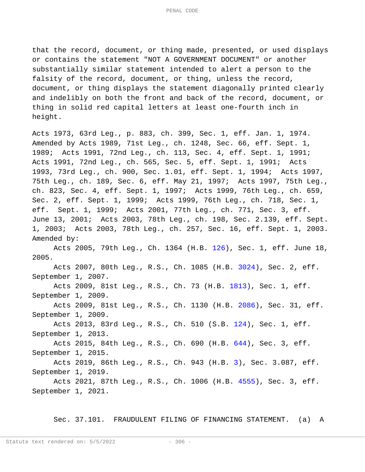that the record, document, or thing made, presented, or used displays or contains the statement "NOT A GOVERNMENT DOCUMENT" or another substantially similar statement intended to alert a person to the falsity of the record, document, or thing, unless the record, document, or thing displays the statement diagonally printed clearly and indelibly on both the front and back of the record, document, or thing in solid red capital letters at least one-fourth inch in height.

Acts 1973, 63rd Leg., p. 883, ch. 399, Sec. 1, eff. Jan. 1, 1974. Amended by Acts 1989, 71st Leg., ch. 1248, Sec. 66, eff. Sept. 1, 1989; Acts 1991, 72nd Leg., ch. 113, Sec. 4, eff. Sept. 1, 1991; Acts 1991, 72nd Leg., ch. 565, Sec. 5, eff. Sept. 1, 1991; Acts 1993, 73rd Leg., ch. 900, Sec. 1.01, eff. Sept. 1, 1994; Acts 1997, 75th Leg., ch. 189, Sec. 6, eff. May 21, 1997; Acts 1997, 75th Leg., ch. 823, Sec. 4, eff. Sept. 1, 1997; Acts 1999, 76th Leg., ch. 659, Sec. 2, eff. Sept. 1, 1999; Acts 1999, 76th Leg., ch. 718, Sec. 1, eff. Sept. 1, 1999; Acts 2001, 77th Leg., ch. 771, Sec. 3, eff. June 13, 2001; Acts 2003, 78th Leg., ch. 198, Sec. 2.139, eff. Sept. 1, 2003; Acts 2003, 78th Leg., ch. 257, Sec. 16, eff. Sept. 1, 2003. Amended by:

Acts 2005, 79th Leg., Ch. 1364 (H.B. [126\)](http://www.legis.state.tx.us/tlodocs/79R/billtext/html/HB00126F.HTM), Sec. 1, eff. June 18, 2005.

Acts 2007, 80th Leg., R.S., Ch. 1085 (H.B. [3024](http://www.legis.state.tx.us/tlodocs/80R/billtext/html/HB03024F.HTM)), Sec. 2, eff. September 1, 2007.

Acts 2009, 81st Leg., R.S., Ch. 73 (H.B. [1813\)](http://www.legis.state.tx.us/tlodocs/81R/billtext/html/HB01813F.HTM), Sec. 1, eff. September 1, 2009.

Acts 2009, 81st Leg., R.S., Ch. 1130 (H.B. [2086](http://www.legis.state.tx.us/tlodocs/81R/billtext/html/HB02086F.HTM)), Sec. 31, eff. September 1, 2009.

Acts 2013, 83rd Leg., R.S., Ch. 510 (S.B. [124](http://www.legis.state.tx.us/tlodocs/83R/billtext/html/SB00124F.HTM)), Sec. 1, eff. September 1, 2013.

Acts 2015, 84th Leg., R.S., Ch. 690 (H.B. [644](http://www.legis.state.tx.us/tlodocs/84R/billtext/html/HB00644F.HTM)), Sec. 3, eff. September 1, 2015.

Acts 2019, 86th Leg., R.S., Ch. 943 (H.B. [3\)](http://www.legis.state.tx.us/tlodocs/86R/billtext/html/HB00003F.HTM), Sec. 3.087, eff. September 1, 2019.

Acts 2021, 87th Leg., R.S., Ch. 1006 (H.B. [4555](http://www.legis.state.tx.us/tlodocs/87R/billtext/html/HB04555F.HTM)), Sec. 3, eff. September 1, 2021.

Sec. 37.101. FRAUDULENT FILING OF FINANCING STATEMENT. (a) A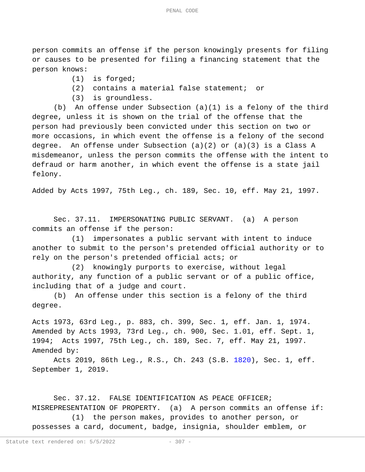person commits an offense if the person knowingly presents for filing or causes to be presented for filing a financing statement that the person knows:

- (1) is forged;
- (2) contains a material false statement; or
- (3) is groundless.

(b) An offense under Subsection (a)(1) is a felony of the third degree, unless it is shown on the trial of the offense that the person had previously been convicted under this section on two or more occasions, in which event the offense is a felony of the second degree. An offense under Subsection  $(a)(2)$  or  $(a)(3)$  is a Class A misdemeanor, unless the person commits the offense with the intent to defraud or harm another, in which event the offense is a state jail felony.

Added by Acts 1997, 75th Leg., ch. 189, Sec. 10, eff. May 21, 1997.

Sec. 37.11. IMPERSONATING PUBLIC SERVANT. (a) A person commits an offense if the person:

(1) impersonates a public servant with intent to induce another to submit to the person's pretended official authority or to rely on the person's pretended official acts; or

(2) knowingly purports to exercise, without legal authority, any function of a public servant or of a public office, including that of a judge and court.

(b) An offense under this section is a felony of the third degree.

Acts 1973, 63rd Leg., p. 883, ch. 399, Sec. 1, eff. Jan. 1, 1974. Amended by Acts 1993, 73rd Leg., ch. 900, Sec. 1.01, eff. Sept. 1, 1994; Acts 1997, 75th Leg., ch. 189, Sec. 7, eff. May 21, 1997. Amended by:

Acts 2019, 86th Leg., R.S., Ch. 243 (S.B. [1820](http://www.legis.state.tx.us/tlodocs/86R/billtext/html/SB01820F.HTM)), Sec. 1, eff. September 1, 2019.

Sec. 37.12. FALSE IDENTIFICATION AS PEACE OFFICER; MISREPRESENTATION OF PROPERTY. (a) A person commits an offense if: (1) the person makes, provides to another person, or possesses a card, document, badge, insignia, shoulder emblem, or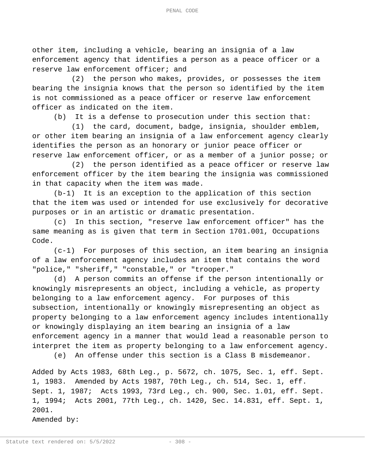other item, including a vehicle, bearing an insignia of a law enforcement agency that identifies a person as a peace officer or a reserve law enforcement officer; and

(2) the person who makes, provides, or possesses the item bearing the insignia knows that the person so identified by the item is not commissioned as a peace officer or reserve law enforcement officer as indicated on the item.

(b) It is a defense to prosecution under this section that:

(1) the card, document, badge, insignia, shoulder emblem, or other item bearing an insignia of a law enforcement agency clearly identifies the person as an honorary or junior peace officer or reserve law enforcement officer, or as a member of a junior posse; or

(2) the person identified as a peace officer or reserve law enforcement officer by the item bearing the insignia was commissioned in that capacity when the item was made.

(b-1) It is an exception to the application of this section that the item was used or intended for use exclusively for decorative purposes or in an artistic or dramatic presentation.

(c) In this section, "reserve law enforcement officer" has the same meaning as is given that term in Section 1701.001, Occupations Code.

(c-1) For purposes of this section, an item bearing an insignia of a law enforcement agency includes an item that contains the word "police," "sheriff," "constable," or "trooper."

(d) A person commits an offense if the person intentionally or knowingly misrepresents an object, including a vehicle, as property belonging to a law enforcement agency. For purposes of this subsection, intentionally or knowingly misrepresenting an object as property belonging to a law enforcement agency includes intentionally or knowingly displaying an item bearing an insignia of a law enforcement agency in a manner that would lead a reasonable person to interpret the item as property belonging to a law enforcement agency.

(e) An offense under this section is a Class B misdemeanor.

Added by Acts 1983, 68th Leg., p. 5672, ch. 1075, Sec. 1, eff. Sept. 1, 1983. Amended by Acts 1987, 70th Leg., ch. 514, Sec. 1, eff. Sept. 1, 1987; Acts 1993, 73rd Leg., ch. 900, Sec. 1.01, eff. Sept. 1, 1994; Acts 2001, 77th Leg., ch. 1420, Sec. 14.831, eff. Sept. 1, 2001. Amended by: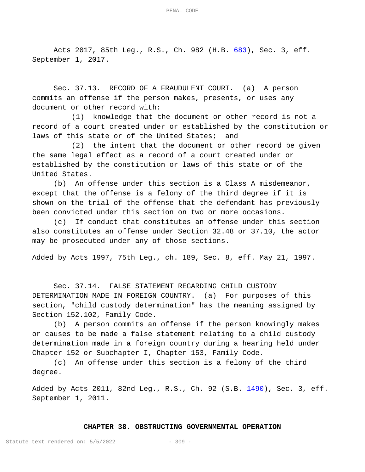Acts 2017, 85th Leg., R.S., Ch. 982 (H.B. [683](http://www.legis.state.tx.us/tlodocs/85R/billtext/html/HB00683F.HTM)), Sec. 3, eff. September 1, 2017.

Sec. 37.13. RECORD OF A FRAUDULENT COURT. (a) A person commits an offense if the person makes, presents, or uses any document or other record with:

(1) knowledge that the document or other record is not a record of a court created under or established by the constitution or laws of this state or of the United States; and

(2) the intent that the document or other record be given the same legal effect as a record of a court created under or established by the constitution or laws of this state or of the United States.

(b) An offense under this section is a Class A misdemeanor, except that the offense is a felony of the third degree if it is shown on the trial of the offense that the defendant has previously been convicted under this section on two or more occasions.

(c) If conduct that constitutes an offense under this section also constitutes an offense under Section 32.48 or 37.10, the actor may be prosecuted under any of those sections.

Added by Acts 1997, 75th Leg., ch. 189, Sec. 8, eff. May 21, 1997.

Sec. 37.14. FALSE STATEMENT REGARDING CHILD CUSTODY DETERMINATION MADE IN FOREIGN COUNTRY. (a) For purposes of this section, "child custody determination" has the meaning assigned by Section 152.102, Family Code.

(b) A person commits an offense if the person knowingly makes or causes to be made a false statement relating to a child custody determination made in a foreign country during a hearing held under Chapter 152 or Subchapter I, Chapter 153, Family Code.

(c) An offense under this section is a felony of the third degree.

Added by Acts 2011, 82nd Leg., R.S., Ch. 92 (S.B. [1490\)](http://www.legis.state.tx.us/tlodocs/82R/billtext/html/SB01490F.HTM), Sec. 3, eff. September 1, 2011.

## **CHAPTER 38. OBSTRUCTING GOVERNMENTAL OPERATION**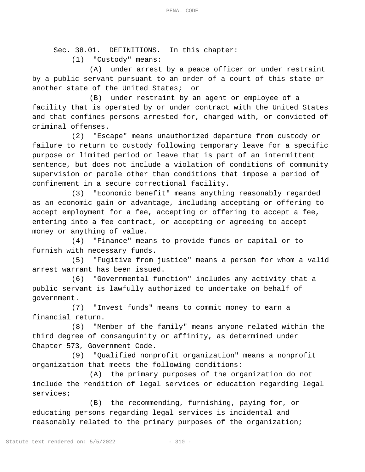Sec. 38.01. DEFINITIONS. In this chapter:

(1) "Custody" means:

(A) under arrest by a peace officer or under restraint by a public servant pursuant to an order of a court of this state or another state of the United States; or

(B) under restraint by an agent or employee of a facility that is operated by or under contract with the United States and that confines persons arrested for, charged with, or convicted of criminal offenses.

(2) "Escape" means unauthorized departure from custody or failure to return to custody following temporary leave for a specific purpose or limited period or leave that is part of an intermittent sentence, but does not include a violation of conditions of community supervision or parole other than conditions that impose a period of confinement in a secure correctional facility.

(3) "Economic benefit" means anything reasonably regarded as an economic gain or advantage, including accepting or offering to accept employment for a fee, accepting or offering to accept a fee, entering into a fee contract, or accepting or agreeing to accept money or anything of value.

(4) "Finance" means to provide funds or capital or to furnish with necessary funds.

(5) "Fugitive from justice" means a person for whom a valid arrest warrant has been issued.

(6) "Governmental function" includes any activity that a public servant is lawfully authorized to undertake on behalf of government.

(7) "Invest funds" means to commit money to earn a financial return.

(8) "Member of the family" means anyone related within the third degree of consanguinity or affinity, as determined under Chapter 573, Government Code.

(9) "Qualified nonprofit organization" means a nonprofit organization that meets the following conditions:

(A) the primary purposes of the organization do not include the rendition of legal services or education regarding legal services;

(B) the recommending, furnishing, paying for, or educating persons regarding legal services is incidental and reasonably related to the primary purposes of the organization;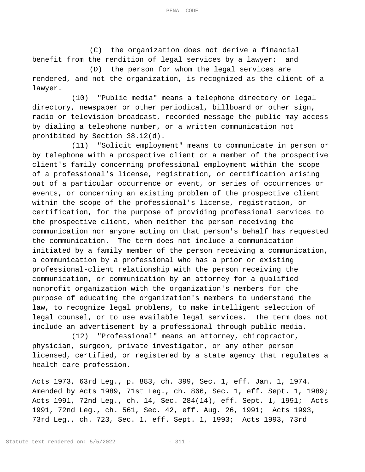(C) the organization does not derive a financial benefit from the rendition of legal services by a lawyer; and

(D) the person for whom the legal services are rendered, and not the organization, is recognized as the client of a lawyer.

(10) "Public media" means a telephone directory or legal directory, newspaper or other periodical, billboard or other sign, radio or television broadcast, recorded message the public may access by dialing a telephone number, or a written communication not prohibited by Section 38.12(d).

(11) "Solicit employment" means to communicate in person or by telephone with a prospective client or a member of the prospective client's family concerning professional employment within the scope of a professional's license, registration, or certification arising out of a particular occurrence or event, or series of occurrences or events, or concerning an existing problem of the prospective client within the scope of the professional's license, registration, or certification, for the purpose of providing professional services to the prospective client, when neither the person receiving the communication nor anyone acting on that person's behalf has requested the communication. The term does not include a communication initiated by a family member of the person receiving a communication, a communication by a professional who has a prior or existing professional-client relationship with the person receiving the communication, or communication by an attorney for a qualified nonprofit organization with the organization's members for the purpose of educating the organization's members to understand the law, to recognize legal problems, to make intelligent selection of legal counsel, or to use available legal services. The term does not include an advertisement by a professional through public media.

(12) "Professional" means an attorney, chiropractor, physician, surgeon, private investigator, or any other person licensed, certified, or registered by a state agency that regulates a health care profession.

Acts 1973, 63rd Leg., p. 883, ch. 399, Sec. 1, eff. Jan. 1, 1974. Amended by Acts 1989, 71st Leg., ch. 866, Sec. 1, eff. Sept. 1, 1989; Acts 1991, 72nd Leg., ch. 14, Sec. 284(14), eff. Sept. 1, 1991; Acts 1991, 72nd Leg., ch. 561, Sec. 42, eff. Aug. 26, 1991; Acts 1993, 73rd Leg., ch. 723, Sec. 1, eff. Sept. 1, 1993; Acts 1993, 73rd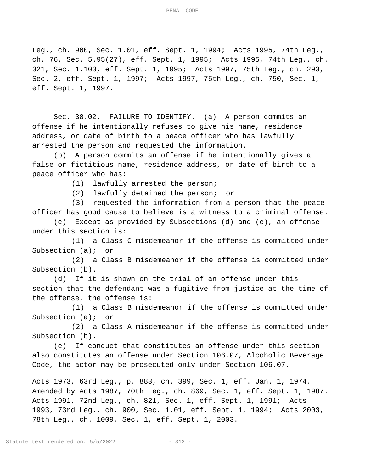Leg., ch. 900, Sec. 1.01, eff. Sept. 1, 1994; Acts 1995, 74th Leg., ch. 76, Sec. 5.95(27), eff. Sept. 1, 1995; Acts 1995, 74th Leg., ch. 321, Sec. 1.103, eff. Sept. 1, 1995; Acts 1997, 75th Leg., ch. 293, Sec. 2, eff. Sept. 1, 1997; Acts 1997, 75th Leg., ch. 750, Sec. 1, eff. Sept. 1, 1997.

Sec. 38.02. FAILURE TO IDENTIFY. (a) A person commits an offense if he intentionally refuses to give his name, residence address, or date of birth to a peace officer who has lawfully arrested the person and requested the information.

(b) A person commits an offense if he intentionally gives a false or fictitious name, residence address, or date of birth to a peace officer who has:

(1) lawfully arrested the person;

(2) lawfully detained the person; or

(3) requested the information from a person that the peace officer has good cause to believe is a witness to a criminal offense.

(c) Except as provided by Subsections (d) and (e), an offense under this section is:

(1) a Class C misdemeanor if the offense is committed under Subsection (a); or

(2) a Class B misdemeanor if the offense is committed under Subsection (b).

(d) If it is shown on the trial of an offense under this section that the defendant was a fugitive from justice at the time of the offense, the offense is:

(1) a Class B misdemeanor if the offense is committed under Subsection (a); or

(2) a Class A misdemeanor if the offense is committed under Subsection (b).

(e) If conduct that constitutes an offense under this section also constitutes an offense under Section 106.07, Alcoholic Beverage Code, the actor may be prosecuted only under Section 106.07.

Acts 1973, 63rd Leg., p. 883, ch. 399, Sec. 1, eff. Jan. 1, 1974. Amended by Acts 1987, 70th Leg., ch. 869, Sec. 1, eff. Sept. 1, 1987. Acts 1991, 72nd Leg., ch. 821, Sec. 1, eff. Sept. 1, 1991; Acts 1993, 73rd Leg., ch. 900, Sec. 1.01, eff. Sept. 1, 1994; Acts 2003, 78th Leg., ch. 1009, Sec. 1, eff. Sept. 1, 2003.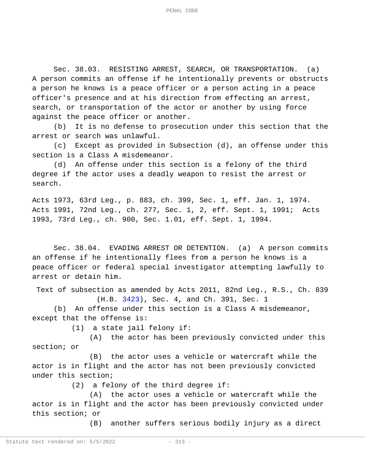Sec. 38.03. RESISTING ARREST, SEARCH, OR TRANSPORTATION. (a) A person commits an offense if he intentionally prevents or obstructs a person he knows is a peace officer or a person acting in a peace officer's presence and at his direction from effecting an arrest, search, or transportation of the actor or another by using force against the peace officer or another.

(b) It is no defense to prosecution under this section that the arrest or search was unlawful.

(c) Except as provided in Subsection (d), an offense under this section is a Class A misdemeanor.

(d) An offense under this section is a felony of the third degree if the actor uses a deadly weapon to resist the arrest or search.

Acts 1973, 63rd Leg., p. 883, ch. 399, Sec. 1, eff. Jan. 1, 1974. Acts 1991, 72nd Leg., ch. 277, Sec. 1, 2, eff. Sept. 1, 1991; Acts 1993, 73rd Leg., ch. 900, Sec. 1.01, eff. Sept. 1, 1994.

Sec. 38.04. EVADING ARREST OR DETENTION. (a) A person commits an offense if he intentionally flees from a person he knows is a peace officer or federal special investigator attempting lawfully to arrest or detain him.

Text of subsection as amended by Acts 2011, 82nd Leg., R.S., Ch. 839 (H.B. [3423](https://capitol.texas.gov/tlodocs/82R/billtext/html/HB03423F.HTM)), Sec. 4, and Ch. 391, Sec. 1

(b) An offense under this section is a Class A misdemeanor, except that the offense is:

(1) a state jail felony if:

(A) the actor has been previously convicted under this section; or

(B) the actor uses a vehicle or watercraft while the actor is in flight and the actor has not been previously convicted under this section;

(2) a felony of the third degree if:

(A) the actor uses a vehicle or watercraft while the actor is in flight and the actor has been previously convicted under this section; or

(B) another suffers serious bodily injury as a direct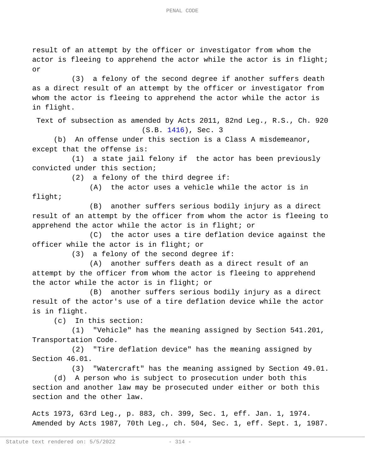result of an attempt by the officer or investigator from whom the actor is fleeing to apprehend the actor while the actor is in flight; or

(3) a felony of the second degree if another suffers death as a direct result of an attempt by the officer or investigator from whom the actor is fleeing to apprehend the actor while the actor is in flight.

Text of subsection as amended by Acts 2011, 82nd Leg., R.S., Ch. 920 (S.B. [1416\)](https://capitol.texas.gov/tlodocs/82R/billtext/html/SB01416F.HTM), Sec. 3

(b) An offense under this section is a Class A misdemeanor, except that the offense is:

(1) a state jail felony if the actor has been previously convicted under this section;

(2) a felony of the third degree if:

(A) the actor uses a vehicle while the actor is in flight;

(B) another suffers serious bodily injury as a direct result of an attempt by the officer from whom the actor is fleeing to apprehend the actor while the actor is in flight; or

(C) the actor uses a tire deflation device against the officer while the actor is in flight; or

(3) a felony of the second degree if:

(A) another suffers death as a direct result of an attempt by the officer from whom the actor is fleeing to apprehend the actor while the actor is in flight; or

(B) another suffers serious bodily injury as a direct result of the actor's use of a tire deflation device while the actor is in flight.

(c) In this section:

(1) "Vehicle" has the meaning assigned by Section 541.201, Transportation Code.

(2) "Tire deflation device" has the meaning assigned by Section 46.01.

(3) "Watercraft" has the meaning assigned by Section 49.01.

(d) A person who is subject to prosecution under both this section and another law may be prosecuted under either or both this section and the other law.

Acts 1973, 63rd Leg., p. 883, ch. 399, Sec. 1, eff. Jan. 1, 1974. Amended by Acts 1987, 70th Leg., ch. 504, Sec. 1, eff. Sept. 1, 1987.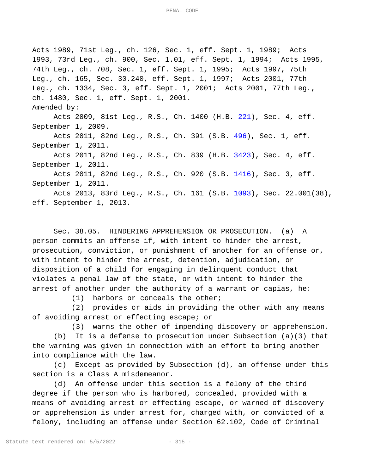Acts 1989, 71st Leg., ch. 126, Sec. 1, eff. Sept. 1, 1989; Acts 1993, 73rd Leg., ch. 900, Sec. 1.01, eff. Sept. 1, 1994; Acts 1995, 74th Leg., ch. 708, Sec. 1, eff. Sept. 1, 1995; Acts 1997, 75th Leg., ch. 165, Sec. 30.240, eff. Sept. 1, 1997; Acts 2001, 77th Leg., ch. 1334, Sec. 3, eff. Sept. 1, 2001; Acts 2001, 77th Leg., ch. 1480, Sec. 1, eff. Sept. 1, 2001. Amended by: Acts 2009, 81st Leg., R.S., Ch. 1400 (H.B. [221](http://www.legis.state.tx.us/tlodocs/81R/billtext/html/HB00221F.HTM)), Sec. 4, eff. September 1, 2009. Acts 2011, 82nd Leg., R.S., Ch. 391 (S.B. [496](http://www.legis.state.tx.us/tlodocs/82R/billtext/html/SB00496F.HTM)), Sec. 1, eff. September 1, 2011. Acts 2011, 82nd Leg., R.S., Ch. 839 (H.B. [3423](http://www.legis.state.tx.us/tlodocs/82R/billtext/html/HB03423F.HTM)), Sec. 4, eff. September 1, 2011. Acts 2011, 82nd Leg., R.S., Ch. 920 (S.B. [1416](http://www.legis.state.tx.us/tlodocs/82R/billtext/html/SB01416F.HTM)), Sec. 3, eff. September 1, 2011. Acts 2013, 83rd Leg., R.S., Ch. 161 (S.B. [1093](http://www.legis.state.tx.us/tlodocs/83R/billtext/html/SB01093F.HTM)), Sec. 22.001(38), eff. September 1, 2013.

Sec. 38.05. HINDERING APPREHENSION OR PROSECUTION. (a) A person commits an offense if, with intent to hinder the arrest, prosecution, conviction, or punishment of another for an offense or, with intent to hinder the arrest, detention, adjudication, or disposition of a child for engaging in delinquent conduct that violates a penal law of the state, or with intent to hinder the arrest of another under the authority of a warrant or capias, he:

(1) harbors or conceals the other;

(2) provides or aids in providing the other with any means of avoiding arrest or effecting escape; or

(3) warns the other of impending discovery or apprehension.

(b) It is a defense to prosecution under Subsection  $(a)(3)$  that the warning was given in connection with an effort to bring another into compliance with the law.

(c) Except as provided by Subsection (d), an offense under this section is a Class A misdemeanor.

(d) An offense under this section is a felony of the third degree if the person who is harbored, concealed, provided with a means of avoiding arrest or effecting escape, or warned of discovery or apprehension is under arrest for, charged with, or convicted of a felony, including an offense under Section 62.102, Code of Criminal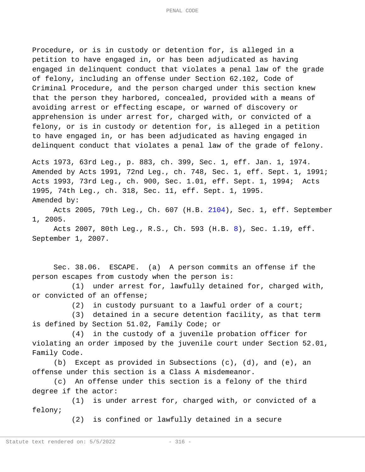Procedure, or is in custody or detention for, is alleged in a petition to have engaged in, or has been adjudicated as having engaged in delinquent conduct that violates a penal law of the grade of felony, including an offense under Section 62.102, Code of Criminal Procedure, and the person charged under this section knew that the person they harbored, concealed, provided with a means of avoiding arrest or effecting escape, or warned of discovery or apprehension is under arrest for, charged with, or convicted of a felony, or is in custody or detention for, is alleged in a petition to have engaged in, or has been adjudicated as having engaged in delinquent conduct that violates a penal law of the grade of felony.

Acts 1973, 63rd Leg., p. 883, ch. 399, Sec. 1, eff. Jan. 1, 1974. Amended by Acts 1991, 72nd Leg., ch. 748, Sec. 1, eff. Sept. 1, 1991; Acts 1993, 73rd Leg., ch. 900, Sec. 1.01, eff. Sept. 1, 1994; Acts 1995, 74th Leg., ch. 318, Sec. 11, eff. Sept. 1, 1995. Amended by:

Acts 2005, 79th Leg., Ch. 607 (H.B. [2104\)](http://www.legis.state.tx.us/tlodocs/79R/billtext/html/HB02104F.HTM), Sec. 1, eff. September 1, 2005.

Acts 2007, 80th Leg., R.S., Ch. 593 (H.B. [8\)](http://www.legis.state.tx.us/tlodocs/80R/billtext/html/HB00008F.HTM), Sec. 1.19, eff. September 1, 2007.

Sec. 38.06. ESCAPE. (a) A person commits an offense if the person escapes from custody when the person is:

(1) under arrest for, lawfully detained for, charged with, or convicted of an offense;

(2) in custody pursuant to a lawful order of a court;

(3) detained in a secure detention facility, as that term is defined by Section 51.02, Family Code; or

(4) in the custody of a juvenile probation officer for violating an order imposed by the juvenile court under Section 52.01, Family Code.

(b) Except as provided in Subsections (c), (d), and (e), an offense under this section is a Class A misdemeanor.

(c) An offense under this section is a felony of the third degree if the actor:

(1) is under arrest for, charged with, or convicted of a felony;

(2) is confined or lawfully detained in a secure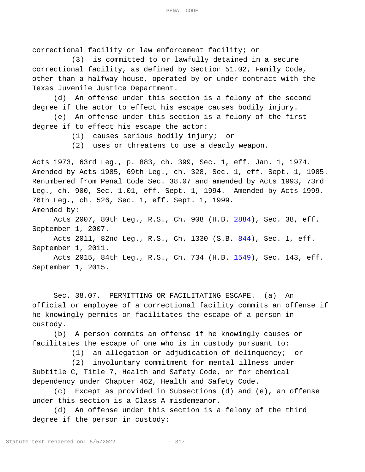correctional facility or law enforcement facility; or

(3) is committed to or lawfully detained in a secure correctional facility, as defined by Section 51.02, Family Code, other than a halfway house, operated by or under contract with the Texas Juvenile Justice Department.

(d) An offense under this section is a felony of the second degree if the actor to effect his escape causes bodily injury.

(e) An offense under this section is a felony of the first degree if to effect his escape the actor:

(1) causes serious bodily injury; or

(2) uses or threatens to use a deadly weapon.

Acts 1973, 63rd Leg., p. 883, ch. 399, Sec. 1, eff. Jan. 1, 1974. Amended by Acts 1985, 69th Leg., ch. 328, Sec. 1, eff. Sept. 1, 1985. Renumbered from Penal Code Sec. 38.07 and amended by Acts 1993, 73rd Leg., ch. 900, Sec. 1.01, eff. Sept. 1, 1994. Amended by Acts 1999, 76th Leg., ch. 526, Sec. 1, eff. Sept. 1, 1999. Amended by:

Acts 2007, 80th Leg., R.S., Ch. 908 (H.B. [2884](http://www.legis.state.tx.us/tlodocs/80R/billtext/html/HB02884F.HTM)), Sec. 38, eff. September 1, 2007.

Acts 2011, 82nd Leg., R.S., Ch. 1330 (S.B. [844](http://www.legis.state.tx.us/tlodocs/82R/billtext/html/SB00844F.HTM)), Sec. 1, eff. September 1, 2011.

Acts 2015, 84th Leg., R.S., Ch. 734 (H.B. [1549](http://www.legis.state.tx.us/tlodocs/84R/billtext/html/HB01549F.HTM)), Sec. 143, eff. September 1, 2015.

Sec. 38.07. PERMITTING OR FACILITATING ESCAPE. (a) An official or employee of a correctional facility commits an offense if he knowingly permits or facilitates the escape of a person in custody.

(b) A person commits an offense if he knowingly causes or facilitates the escape of one who is in custody pursuant to:

(1) an allegation or adjudication of delinquency; or

(2) involuntary commitment for mental illness under Subtitle C, Title 7, Health and Safety Code, or for chemical dependency under Chapter 462, Health and Safety Code.

(c) Except as provided in Subsections (d) and (e), an offense under this section is a Class A misdemeanor.

(d) An offense under this section is a felony of the third degree if the person in custody: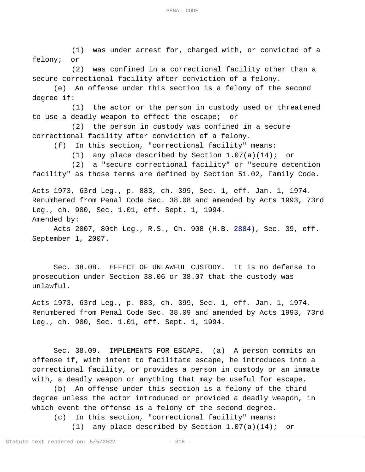(1) was under arrest for, charged with, or convicted of a felony; or

(2) was confined in a correctional facility other than a secure correctional facility after conviction of a felony.

(e) An offense under this section is a felony of the second degree if:

(1) the actor or the person in custody used or threatened to use a deadly weapon to effect the escape; or

(2) the person in custody was confined in a secure correctional facility after conviction of a felony.

(f) In this section, "correctional facility" means:

(1) any place described by Section 1.07(a)(14); or

(2) a "secure correctional facility" or "secure detention facility" as those terms are defined by Section 51.02, Family Code.

Acts 1973, 63rd Leg., p. 883, ch. 399, Sec. 1, eff. Jan. 1, 1974. Renumbered from Penal Code Sec. 38.08 and amended by Acts 1993, 73rd Leg., ch. 900, Sec. 1.01, eff. Sept. 1, 1994. Amended by:

Acts 2007, 80th Leg., R.S., Ch. 908 (H.B. [2884](http://www.legis.state.tx.us/tlodocs/80R/billtext/html/HB02884F.HTM)), Sec. 39, eff. September 1, 2007.

Sec. 38.08. EFFECT OF UNLAWFUL CUSTODY. It is no defense to prosecution under Section 38.06 or 38.07 that the custody was unlawful.

Acts 1973, 63rd Leg., p. 883, ch. 399, Sec. 1, eff. Jan. 1, 1974. Renumbered from Penal Code Sec. 38.09 and amended by Acts 1993, 73rd Leg., ch. 900, Sec. 1.01, eff. Sept. 1, 1994.

Sec. 38.09. IMPLEMENTS FOR ESCAPE. (a) A person commits an offense if, with intent to facilitate escape, he introduces into a correctional facility, or provides a person in custody or an inmate with, a deadly weapon or anything that may be useful for escape.

(b) An offense under this section is a felony of the third degree unless the actor introduced or provided a deadly weapon, in which event the offense is a felony of the second degree.

(c) In this section, "correctional facility" means:

(1) any place described by Section 1.07(a)(14); or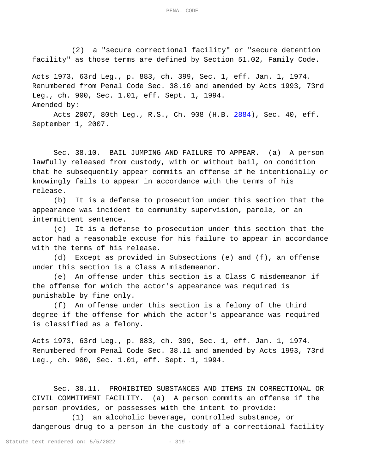(2) a "secure correctional facility" or "secure detention facility" as those terms are defined by Section 51.02, Family Code.

Acts 1973, 63rd Leg., p. 883, ch. 399, Sec. 1, eff. Jan. 1, 1974. Renumbered from Penal Code Sec. 38.10 and amended by Acts 1993, 73rd Leg., ch. 900, Sec. 1.01, eff. Sept. 1, 1994. Amended by:

Acts 2007, 80th Leg., R.S., Ch. 908 (H.B. [2884](http://www.legis.state.tx.us/tlodocs/80R/billtext/html/HB02884F.HTM)), Sec. 40, eff. September 1, 2007.

Sec. 38.10. BAIL JUMPING AND FAILURE TO APPEAR. (a) A person lawfully released from custody, with or without bail, on condition that he subsequently appear commits an offense if he intentionally or knowingly fails to appear in accordance with the terms of his release.

(b) It is a defense to prosecution under this section that the appearance was incident to community supervision, parole, or an intermittent sentence.

(c) It is a defense to prosecution under this section that the actor had a reasonable excuse for his failure to appear in accordance with the terms of his release.

(d) Except as provided in Subsections (e) and (f), an offense under this section is a Class A misdemeanor.

(e) An offense under this section is a Class C misdemeanor if the offense for which the actor's appearance was required is punishable by fine only.

(f) An offense under this section is a felony of the third degree if the offense for which the actor's appearance was required is classified as a felony.

Acts 1973, 63rd Leg., p. 883, ch. 399, Sec. 1, eff. Jan. 1, 1974. Renumbered from Penal Code Sec. 38.11 and amended by Acts 1993, 73rd Leg., ch. 900, Sec. 1.01, eff. Sept. 1, 1994.

Sec. 38.11. PROHIBITED SUBSTANCES AND ITEMS IN CORRECTIONAL OR CIVIL COMMITMENT FACILITY. (a) A person commits an offense if the person provides, or possesses with the intent to provide:

(1) an alcoholic beverage, controlled substance, or dangerous drug to a person in the custody of a correctional facility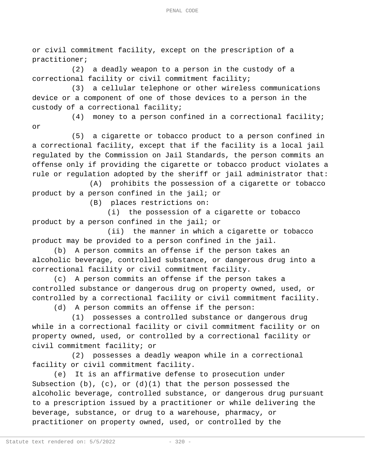or civil commitment facility, except on the prescription of a practitioner;

(2) a deadly weapon to a person in the custody of a correctional facility or civil commitment facility;

(3) a cellular telephone or other wireless communications device or a component of one of those devices to a person in the custody of a correctional facility;

(4) money to a person confined in a correctional facility; or

(5) a cigarette or tobacco product to a person confined in a correctional facility, except that if the facility is a local jail regulated by the Commission on Jail Standards, the person commits an offense only if providing the cigarette or tobacco product violates a rule or regulation adopted by the sheriff or jail administrator that:

(A) prohibits the possession of a cigarette or tobacco product by a person confined in the jail; or

(B) places restrictions on:

(i) the possession of a cigarette or tobacco product by a person confined in the jail; or

(ii) the manner in which a cigarette or tobacco product may be provided to a person confined in the jail.

(b) A person commits an offense if the person takes an alcoholic beverage, controlled substance, or dangerous drug into a correctional facility or civil commitment facility.

(c) A person commits an offense if the person takes a controlled substance or dangerous drug on property owned, used, or controlled by a correctional facility or civil commitment facility.

(d) A person commits an offense if the person:

(1) possesses a controlled substance or dangerous drug while in a correctional facility or civil commitment facility or on property owned, used, or controlled by a correctional facility or civil commitment facility; or

(2) possesses a deadly weapon while in a correctional facility or civil commitment facility.

(e) It is an affirmative defense to prosecution under Subsection (b), (c), or  $(d)(1)$  that the person possessed the alcoholic beverage, controlled substance, or dangerous drug pursuant to a prescription issued by a practitioner or while delivering the beverage, substance, or drug to a warehouse, pharmacy, or practitioner on property owned, used, or controlled by the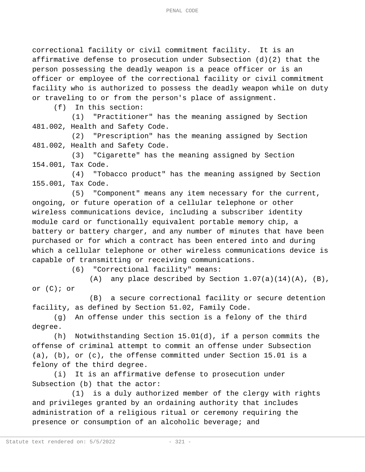correctional facility or civil commitment facility. It is an affirmative defense to prosecution under Subsection (d)(2) that the person possessing the deadly weapon is a peace officer or is an officer or employee of the correctional facility or civil commitment facility who is authorized to possess the deadly weapon while on duty or traveling to or from the person's place of assignment.

(f) In this section:

(1) "Practitioner" has the meaning assigned by Section 481.002, Health and Safety Code.

(2) "Prescription" has the meaning assigned by Section 481.002, Health and Safety Code.

(3) "Cigarette" has the meaning assigned by Section 154.001, Tax Code.

(4) "Tobacco product" has the meaning assigned by Section 155.001, Tax Code.

(5) "Component" means any item necessary for the current, ongoing, or future operation of a cellular telephone or other wireless communications device, including a subscriber identity module card or functionally equivalent portable memory chip, a battery or battery charger, and any number of minutes that have been purchased or for which a contract has been entered into and during which a cellular telephone or other wireless communications device is capable of transmitting or receiving communications.

(6) "Correctional facility" means:

(A) any place described by Section  $1.07(a)(14)(A)$ , (B), or (C); or

(B) a secure correctional facility or secure detention facility, as defined by Section 51.02, Family Code.

(g) An offense under this section is a felony of the third degree.

(h) Notwithstanding Section 15.01(d), if a person commits the offense of criminal attempt to commit an offense under Subsection (a), (b), or (c), the offense committed under Section 15.01 is a felony of the third degree.

(i) It is an affirmative defense to prosecution under Subsection (b) that the actor:

(1) is a duly authorized member of the clergy with rights and privileges granted by an ordaining authority that includes administration of a religious ritual or ceremony requiring the presence or consumption of an alcoholic beverage; and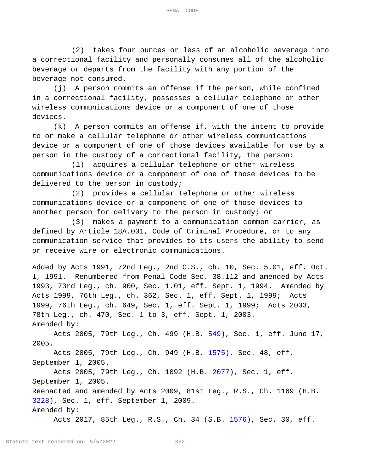(2) takes four ounces or less of an alcoholic beverage into a correctional facility and personally consumes all of the alcoholic beverage or departs from the facility with any portion of the beverage not consumed.

(j) A person commits an offense if the person, while confined in a correctional facility, possesses a cellular telephone or other wireless communications device or a component of one of those devices.

(k) A person commits an offense if, with the intent to provide to or make a cellular telephone or other wireless communications device or a component of one of those devices available for use by a person in the custody of a correctional facility, the person:

(1) acquires a cellular telephone or other wireless communications device or a component of one of those devices to be delivered to the person in custody;

(2) provides a cellular telephone or other wireless communications device or a component of one of those devices to another person for delivery to the person in custody; or

(3) makes a payment to a communication common carrier, as defined by Article 18A.001, Code of Criminal Procedure, or to any communication service that provides to its users the ability to send or receive wire or electronic communications.

Added by Acts 1991, 72nd Leg., 2nd C.S., ch. 10, Sec. 5.01, eff. Oct. 1, 1991. Renumbered from Penal Code Sec. 38.112 and amended by Acts 1993, 73rd Leg., ch. 900, Sec. 1.01, eff. Sept. 1, 1994. Amended by Acts 1999, 76th Leg., ch. 362, Sec. 1, eff. Sept. 1, 1999; Acts 1999, 76th Leg., ch. 649, Sec. 1, eff. Sept. 1, 1999; Acts 2003, 78th Leg., ch. 470, Sec. 1 to 3, eff. Sept. 1, 2003. Amended by:

Acts 2005, 79th Leg., Ch. 499 (H.B. [549\)](http://www.legis.state.tx.us/tlodocs/79R/billtext/html/HB00549F.HTM), Sec. 1, eff. June 17, 2005.

Acts 2005, 79th Leg., Ch. 949 (H.B. [1575\)](http://www.legis.state.tx.us/tlodocs/79R/billtext/html/HB01575F.HTM), Sec. 48, eff. September 1, 2005.

Acts 2005, 79th Leg., Ch. 1092 (H.B. [2077](http://www.legis.state.tx.us/tlodocs/79R/billtext/html/HB02077F.HTM)), Sec. 1, eff. September 1, 2005. Reenacted and amended by Acts 2009, 81st Leg., R.S., Ch. 1169 (H.B.

[3228\)](http://www.legis.state.tx.us/tlodocs/81R/billtext/html/HB03228F.HTM), Sec. 1, eff. September 1, 2009.

Amended by:

Acts 2017, 85th Leg., R.S., Ch. 34 (S.B. [1576\)](http://www.legis.state.tx.us/tlodocs/85R/billtext/html/SB01576F.HTM), Sec. 30, eff.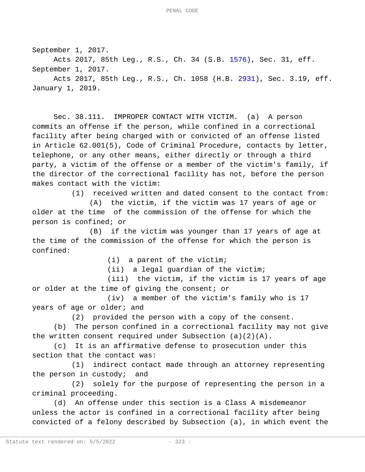September 1, 2017.

Acts 2017, 85th Leg., R.S., Ch. 34 (S.B. [1576\)](http://www.legis.state.tx.us/tlodocs/85R/billtext/html/SB01576F.HTM), Sec. 31, eff. September 1, 2017.

Acts 2017, 85th Leg., R.S., Ch. 1058 (H.B. [2931](http://www.legis.state.tx.us/tlodocs/85R/billtext/html/HB02931F.HTM)), Sec. 3.19, eff. January 1, 2019.

Sec. 38.111. IMPROPER CONTACT WITH VICTIM. (a) A person commits an offense if the person, while confined in a correctional facility after being charged with or convicted of an offense listed in Article 62.001(5), Code of Criminal Procedure, contacts by letter, telephone, or any other means, either directly or through a third party, a victim of the offense or a member of the victim's family, if the director of the correctional facility has not, before the person makes contact with the victim:

(1) received written and dated consent to the contact from:

(A) the victim, if the victim was 17 years of age or older at the time of the commission of the offense for which the person is confined; or

(B) if the victim was younger than 17 years of age at the time of the commission of the offense for which the person is confined:

(i) a parent of the victim;

(ii) a legal guardian of the victim;

(iii) the victim, if the victim is 17 years of age or older at the time of giving the consent; or

(iv) a member of the victim's family who is 17 years of age or older; and

(2) provided the person with a copy of the consent.

(b) The person confined in a correctional facility may not give the written consent required under Subsection  $(a)(2)(A)$ .

(c) It is an affirmative defense to prosecution under this section that the contact was:

(1) indirect contact made through an attorney representing the person in custody; and

(2) solely for the purpose of representing the person in a criminal proceeding.

(d) An offense under this section is a Class A misdemeanor unless the actor is confined in a correctional facility after being convicted of a felony described by Subsection (a), in which event the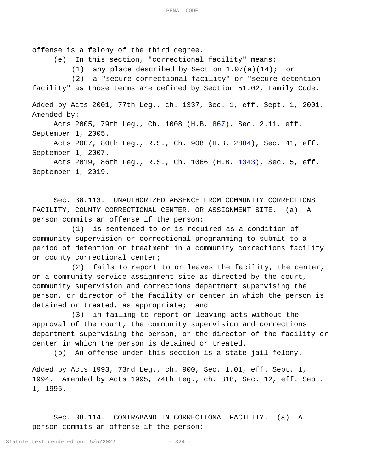offense is a felony of the third degree.

(e) In this section, "correctional facility" means:

(1) any place described by Section 1.07(a)(14); or

(2) a "secure correctional facility" or "secure detention facility" as those terms are defined by Section 51.02, Family Code.

Added by Acts 2001, 77th Leg., ch. 1337, Sec. 1, eff. Sept. 1, 2001. Amended by:

Acts 2005, 79th Leg., Ch. 1008 (H.B. [867\)](http://www.legis.state.tx.us/tlodocs/79R/billtext/html/HB00867F.HTM), Sec. 2.11, eff. September 1, 2005.

Acts 2007, 80th Leg., R.S., Ch. 908 (H.B. [2884](http://www.legis.state.tx.us/tlodocs/80R/billtext/html/HB02884F.HTM)), Sec. 41, eff. September 1, 2007.

Acts 2019, 86th Leg., R.S., Ch. 1066 (H.B. [1343](http://www.legis.state.tx.us/tlodocs/86R/billtext/html/HB01343F.HTM)), Sec. 5, eff. September 1, 2019.

Sec. 38.113. UNAUTHORIZED ABSENCE FROM COMMUNITY CORRECTIONS FACILITY, COUNTY CORRECTIONAL CENTER, OR ASSIGNMENT SITE. (a) A person commits an offense if the person:

(1) is sentenced to or is required as a condition of community supervision or correctional programming to submit to a period of detention or treatment in a community corrections facility or county correctional center;

(2) fails to report to or leaves the facility, the center, or a community service assignment site as directed by the court, community supervision and corrections department supervising the person, or director of the facility or center in which the person is detained or treated, as appropriate; and

(3) in failing to report or leaving acts without the approval of the court, the community supervision and corrections department supervising the person, or the director of the facility or center in which the person is detained or treated.

(b) An offense under this section is a state jail felony.

Added by Acts 1993, 73rd Leg., ch. 900, Sec. 1.01, eff. Sept. 1, 1994. Amended by Acts 1995, 74th Leg., ch. 318, Sec. 12, eff. Sept. 1, 1995.

Sec. 38.114. CONTRABAND IN CORRECTIONAL FACILITY. (a) A person commits an offense if the person: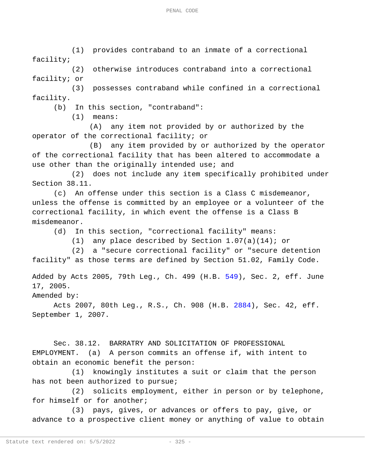(1) provides contraband to an inmate of a correctional facility;

(2) otherwise introduces contraband into a correctional facility; or

(3) possesses contraband while confined in a correctional facility.

(b) In this section, "contraband":

(1) means:

(A) any item not provided by or authorized by the operator of the correctional facility; or

(B) any item provided by or authorized by the operator of the correctional facility that has been altered to accommodate a use other than the originally intended use; and

(2) does not include any item specifically prohibited under Section 38.11.

(c) An offense under this section is a Class C misdemeanor, unless the offense is committed by an employee or a volunteer of the correctional facility, in which event the offense is a Class B misdemeanor.

(d) In this section, "correctional facility" means:

(1) any place described by Section 1.07(a)(14); or

(2) a "secure correctional facility" or "secure detention facility" as those terms are defined by Section 51.02, Family Code.

Added by Acts 2005, 79th Leg., Ch. 499 (H.B. [549\)](http://www.legis.state.tx.us/tlodocs/79R/billtext/html/HB00549F.HTM), Sec. 2, eff. June 17, 2005.

Amended by:

Acts 2007, 80th Leg., R.S., Ch. 908 (H.B. [2884](http://www.legis.state.tx.us/tlodocs/80R/billtext/html/HB02884F.HTM)), Sec. 42, eff. September 1, 2007.

Sec. 38.12. BARRATRY AND SOLICITATION OF PROFESSIONAL EMPLOYMENT. (a) A person commits an offense if, with intent to obtain an economic benefit the person:

(1) knowingly institutes a suit or claim that the person has not been authorized to pursue;

(2) solicits employment, either in person or by telephone, for himself or for another;

(3) pays, gives, or advances or offers to pay, give, or advance to a prospective client money or anything of value to obtain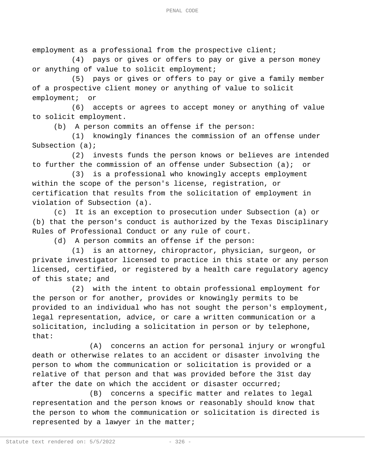employment as a professional from the prospective client;

(4) pays or gives or offers to pay or give a person money or anything of value to solicit employment;

(5) pays or gives or offers to pay or give a family member of a prospective client money or anything of value to solicit employment; or

(6) accepts or agrees to accept money or anything of value to solicit employment.

(b) A person commits an offense if the person:

(1) knowingly finances the commission of an offense under Subsection (a);

(2) invests funds the person knows or believes are intended to further the commission of an offense under Subsection (a); or

(3) is a professional who knowingly accepts employment within the scope of the person's license, registration, or certification that results from the solicitation of employment in violation of Subsection (a).

(c) It is an exception to prosecution under Subsection (a) or (b) that the person's conduct is authorized by the Texas Disciplinary Rules of Professional Conduct or any rule of court.

(d) A person commits an offense if the person:

(1) is an attorney, chiropractor, physician, surgeon, or private investigator licensed to practice in this state or any person licensed, certified, or registered by a health care regulatory agency of this state; and

(2) with the intent to obtain professional employment for the person or for another, provides or knowingly permits to be provided to an individual who has not sought the person's employment, legal representation, advice, or care a written communication or a solicitation, including a solicitation in person or by telephone, that:

(A) concerns an action for personal injury or wrongful death or otherwise relates to an accident or disaster involving the person to whom the communication or solicitation is provided or a relative of that person and that was provided before the 31st day after the date on which the accident or disaster occurred;

(B) concerns a specific matter and relates to legal representation and the person knows or reasonably should know that the person to whom the communication or solicitation is directed is represented by a lawyer in the matter;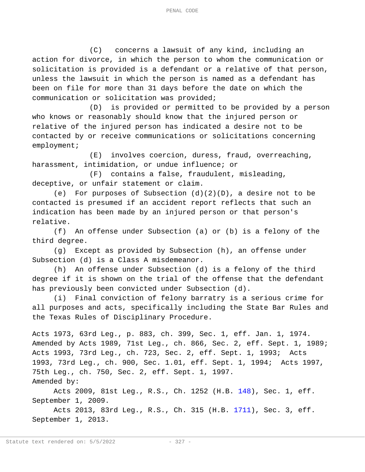(C) concerns a lawsuit of any kind, including an action for divorce, in which the person to whom the communication or solicitation is provided is a defendant or a relative of that person, unless the lawsuit in which the person is named as a defendant has been on file for more than 31 days before the date on which the communication or solicitation was provided;

(D) is provided or permitted to be provided by a person who knows or reasonably should know that the injured person or relative of the injured person has indicated a desire not to be contacted by or receive communications or solicitations concerning employment;

(E) involves coercion, duress, fraud, overreaching, harassment, intimidation, or undue influence; or

(F) contains a false, fraudulent, misleading, deceptive, or unfair statement or claim.

(e) For purposes of Subsection (d)(2)(D), a desire not to be contacted is presumed if an accident report reflects that such an indication has been made by an injured person or that person's relative.

(f) An offense under Subsection (a) or (b) is a felony of the third degree.

(g) Except as provided by Subsection (h), an offense under Subsection (d) is a Class A misdemeanor.

(h) An offense under Subsection (d) is a felony of the third degree if it is shown on the trial of the offense that the defendant has previously been convicted under Subsection (d).

(i) Final conviction of felony barratry is a serious crime for all purposes and acts, specifically including the State Bar Rules and the Texas Rules of Disciplinary Procedure.

Acts 1973, 63rd Leg., p. 883, ch. 399, Sec. 1, eff. Jan. 1, 1974. Amended by Acts 1989, 71st Leg., ch. 866, Sec. 2, eff. Sept. 1, 1989; Acts 1993, 73rd Leg., ch. 723, Sec. 2, eff. Sept. 1, 1993; Acts 1993, 73rd Leg., ch. 900, Sec. 1.01, eff. Sept. 1, 1994; Acts 1997, 75th Leg., ch. 750, Sec. 2, eff. Sept. 1, 1997. Amended by:

Acts 2009, 81st Leg., R.S., Ch. 1252 (H.B. [148](http://www.legis.state.tx.us/tlodocs/81R/billtext/html/HB00148F.HTM)), Sec. 1, eff. September 1, 2009.

Acts 2013, 83rd Leg., R.S., Ch. 315 (H.B. [1711](http://www.legis.state.tx.us/tlodocs/83R/billtext/html/HB01711F.HTM)), Sec. 3, eff. September 1, 2013.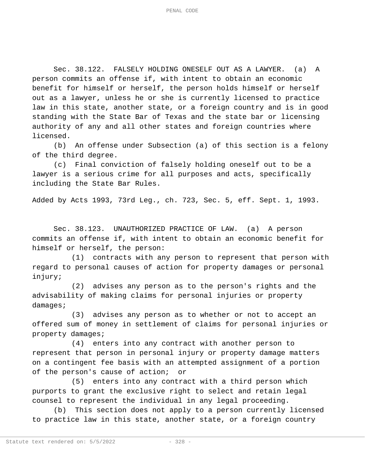Sec. 38.122. FALSELY HOLDING ONESELF OUT AS A LAWYER. (a) A person commits an offense if, with intent to obtain an economic benefit for himself or herself, the person holds himself or herself out as a lawyer, unless he or she is currently licensed to practice law in this state, another state, or a foreign country and is in good standing with the State Bar of Texas and the state bar or licensing authority of any and all other states and foreign countries where licensed.

(b) An offense under Subsection (a) of this section is a felony of the third degree.

(c) Final conviction of falsely holding oneself out to be a lawyer is a serious crime for all purposes and acts, specifically including the State Bar Rules.

Added by Acts 1993, 73rd Leg., ch. 723, Sec. 5, eff. Sept. 1, 1993.

Sec. 38.123. UNAUTHORIZED PRACTICE OF LAW. (a) A person commits an offense if, with intent to obtain an economic benefit for himself or herself, the person:

(1) contracts with any person to represent that person with regard to personal causes of action for property damages or personal injury;

(2) advises any person as to the person's rights and the advisability of making claims for personal injuries or property damages;

(3) advises any person as to whether or not to accept an offered sum of money in settlement of claims for personal injuries or property damages;

(4) enters into any contract with another person to represent that person in personal injury or property damage matters on a contingent fee basis with an attempted assignment of a portion of the person's cause of action; or

(5) enters into any contract with a third person which purports to grant the exclusive right to select and retain legal counsel to represent the individual in any legal proceeding.

(b) This section does not apply to a person currently licensed to practice law in this state, another state, or a foreign country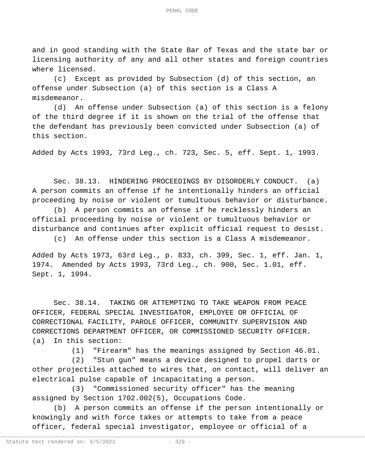and in good standing with the State Bar of Texas and the state bar or licensing authority of any and all other states and foreign countries where licensed.

(c) Except as provided by Subsection (d) of this section, an offense under Subsection (a) of this section is a Class A misdemeanor.

(d) An offense under Subsection (a) of this section is a felony of the third degree if it is shown on the trial of the offense that the defendant has previously been convicted under Subsection (a) of this section.

Added by Acts 1993, 73rd Leg., ch. 723, Sec. 5, eff. Sept. 1, 1993.

Sec. 38.13. HINDERING PROCEEDINGS BY DISORDERLY CONDUCT. (a) A person commits an offense if he intentionally hinders an official proceeding by noise or violent or tumultuous behavior or disturbance.

(b) A person commits an offense if he recklessly hinders an official proceeding by noise or violent or tumultuous behavior or disturbance and continues after explicit official request to desist.

(c) An offense under this section is a Class A misdemeanor.

Added by Acts 1973, 63rd Leg., p. 833, ch. 399, Sec. 1, eff. Jan. 1, 1974. Amended by Acts 1993, 73rd Leg., ch. 900, Sec. 1.01, eff. Sept. 1, 1994.

Sec. 38.14. TAKING OR ATTEMPTING TO TAKE WEAPON FROM PEACE OFFICER, FEDERAL SPECIAL INVESTIGATOR, EMPLOYEE OR OFFICIAL OF CORRECTIONAL FACILITY, PAROLE OFFICER, COMMUNITY SUPERVISION AND CORRECTIONS DEPARTMENT OFFICER, OR COMMISSIONED SECURITY OFFICER. (a) In this section:

(1) "Firearm" has the meanings assigned by Section 46.01.

(2) "Stun gun" means a device designed to propel darts or other projectiles attached to wires that, on contact, will deliver an electrical pulse capable of incapacitating a person.

(3) "Commissioned security officer" has the meaning assigned by Section 1702.002(5), Occupations Code.

(b) A person commits an offense if the person intentionally or knowingly and with force takes or attempts to take from a peace officer, federal special investigator, employee or official of a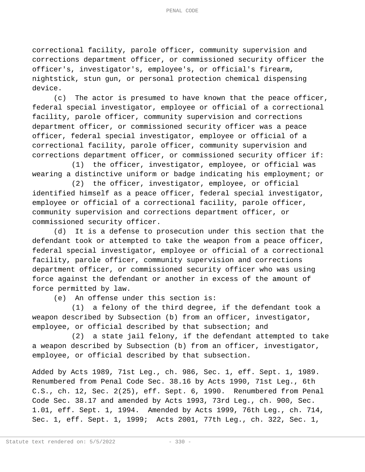correctional facility, parole officer, community supervision and corrections department officer, or commissioned security officer the officer's, investigator's, employee's, or official's firearm, nightstick, stun gun, or personal protection chemical dispensing device.

(c) The actor is presumed to have known that the peace officer, federal special investigator, employee or official of a correctional facility, parole officer, community supervision and corrections department officer, or commissioned security officer was a peace officer, federal special investigator, employee or official of a correctional facility, parole officer, community supervision and corrections department officer, or commissioned security officer if:

(1) the officer, investigator, employee, or official was wearing a distinctive uniform or badge indicating his employment; or

(2) the officer, investigator, employee, or official identified himself as a peace officer, federal special investigator, employee or official of a correctional facility, parole officer, community supervision and corrections department officer, or commissioned security officer.

(d) It is a defense to prosecution under this section that the defendant took or attempted to take the weapon from a peace officer, federal special investigator, employee or official of a correctional facility, parole officer, community supervision and corrections department officer, or commissioned security officer who was using force against the defendant or another in excess of the amount of force permitted by law.

(e) An offense under this section is:

(1) a felony of the third degree, if the defendant took a weapon described by Subsection (b) from an officer, investigator, employee, or official described by that subsection; and

(2) a state jail felony, if the defendant attempted to take a weapon described by Subsection (b) from an officer, investigator, employee, or official described by that subsection.

Added by Acts 1989, 71st Leg., ch. 986, Sec. 1, eff. Sept. 1, 1989. Renumbered from Penal Code Sec. 38.16 by Acts 1990, 71st Leg., 6th C.S., ch. 12, Sec. 2(25), eff. Sept. 6, 1990. Renumbered from Penal Code Sec. 38.17 and amended by Acts 1993, 73rd Leg., ch. 900, Sec. 1.01, eff. Sept. 1, 1994. Amended by Acts 1999, 76th Leg., ch. 714, Sec. 1, eff. Sept. 1, 1999; Acts 2001, 77th Leg., ch. 322, Sec. 1,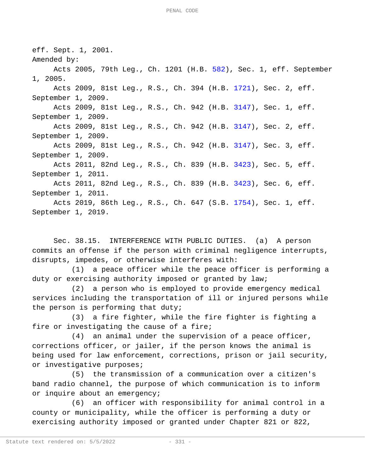eff. Sept. 1, 2001. Amended by: Acts 2005, 79th Leg., Ch. 1201 (H.B. [582\)](http://www.legis.state.tx.us/tlodocs/79R/billtext/html/HB00582F.HTM), Sec. 1, eff. September 1, 2005. Acts 2009, 81st Leg., R.S., Ch. 394 (H.B. [1721](http://www.legis.state.tx.us/tlodocs/81R/billtext/html/HB01721F.HTM)), Sec. 2, eff. September 1, 2009. Acts 2009, 81st Leg., R.S., Ch. 942 (H.B. [3147](http://www.legis.state.tx.us/tlodocs/81R/billtext/html/HB03147F.HTM)), Sec. 1, eff. September 1, 2009. Acts 2009, 81st Leg., R.S., Ch. 942 (H.B. [3147](http://www.legis.state.tx.us/tlodocs/81R/billtext/html/HB03147F.HTM)), Sec. 2, eff. September 1, 2009. Acts 2009, 81st Leg., R.S., Ch. 942 (H.B. [3147](http://www.legis.state.tx.us/tlodocs/81R/billtext/html/HB03147F.HTM)), Sec. 3, eff. September 1, 2009. Acts 2011, 82nd Leg., R.S., Ch. 839 (H.B. [3423](http://www.legis.state.tx.us/tlodocs/82R/billtext/html/HB03423F.HTM)), Sec. 5, eff. September 1, 2011. Acts 2011, 82nd Leg., R.S., Ch. 839 (H.B. [3423](http://www.legis.state.tx.us/tlodocs/82R/billtext/html/HB03423F.HTM)), Sec. 6, eff. September 1, 2011. Acts 2019, 86th Leg., R.S., Ch. 647 (S.B. [1754](http://www.legis.state.tx.us/tlodocs/86R/billtext/html/SB01754F.HTM)), Sec. 1, eff. September 1, 2019.

Sec. 38.15. INTERFERENCE WITH PUBLIC DUTIES. (a) A person commits an offense if the person with criminal negligence interrupts, disrupts, impedes, or otherwise interferes with:

(1) a peace officer while the peace officer is performing a duty or exercising authority imposed or granted by law;

(2) a person who is employed to provide emergency medical services including the transportation of ill or injured persons while the person is performing that duty;

(3) a fire fighter, while the fire fighter is fighting a fire or investigating the cause of a fire;

(4) an animal under the supervision of a peace officer, corrections officer, or jailer, if the person knows the animal is being used for law enforcement, corrections, prison or jail security, or investigative purposes;

(5) the transmission of a communication over a citizen's band radio channel, the purpose of which communication is to inform or inquire about an emergency;

(6) an officer with responsibility for animal control in a county or municipality, while the officer is performing a duty or exercising authority imposed or granted under Chapter 821 or 822,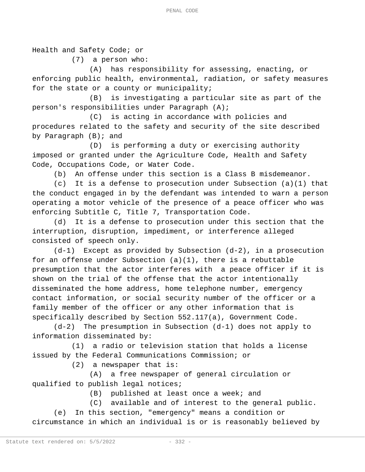Health and Safety Code; or

(7) a person who:

(A) has responsibility for assessing, enacting, or enforcing public health, environmental, radiation, or safety measures for the state or a county or municipality;

(B) is investigating a particular site as part of the person's responsibilities under Paragraph (A);

(C) is acting in accordance with policies and procedures related to the safety and security of the site described by Paragraph  $(B)$ ; and

(D) is performing a duty or exercising authority imposed or granted under the Agriculture Code, Health and Safety Code, Occupations Code, or Water Code.

(b) An offense under this section is a Class B misdemeanor.

(c) It is a defense to prosecution under Subsection (a)(1) that the conduct engaged in by the defendant was intended to warn a person operating a motor vehicle of the presence of a peace officer who was enforcing Subtitle C, Title 7, Transportation Code.

(d) It is a defense to prosecution under this section that the interruption, disruption, impediment, or interference alleged consisted of speech only.

(d-1) Except as provided by Subsection (d-2), in a prosecution for an offense under Subsection (a)(1), there is a rebuttable presumption that the actor interferes with a peace officer if it is shown on the trial of the offense that the actor intentionally disseminated the home address, home telephone number, emergency contact information, or social security number of the officer or a family member of the officer or any other information that is specifically described by Section 552.117(a), Government Code.

(d-2) The presumption in Subsection (d-1) does not apply to information disseminated by:

(1) a radio or television station that holds a license issued by the Federal Communications Commission; or

(2) a newspaper that is:

(A) a free newspaper of general circulation or qualified to publish legal notices;

(B) published at least once a week; and

(C) available and of interest to the general public.

(e) In this section, "emergency" means a condition or circumstance in which an individual is or is reasonably believed by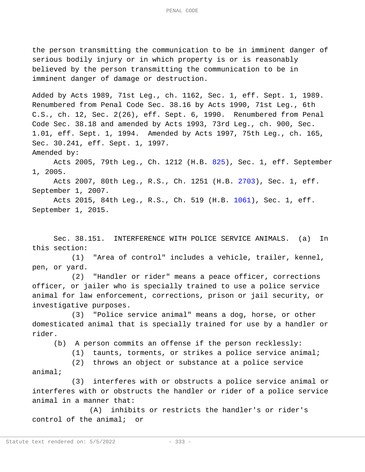the person transmitting the communication to be in imminent danger of serious bodily injury or in which property is or is reasonably believed by the person transmitting the communication to be in imminent danger of damage or destruction.

Added by Acts 1989, 71st Leg., ch. 1162, Sec. 1, eff. Sept. 1, 1989. Renumbered from Penal Code Sec. 38.16 by Acts 1990, 71st Leg., 6th C.S., ch. 12, Sec. 2(26), eff. Sept. 6, 1990. Renumbered from Penal Code Sec. 38.18 and amended by Acts 1993, 73rd Leg., ch. 900, Sec. 1.01, eff. Sept. 1, 1994. Amended by Acts 1997, 75th Leg., ch. 165, Sec. 30.241, eff. Sept. 1, 1997. Amended by:

Acts 2005, 79th Leg., Ch. 1212 (H.B. [825\)](http://www.legis.state.tx.us/tlodocs/79R/billtext/html/HB00825F.HTM), Sec. 1, eff. September 1, 2005.

Acts 2007, 80th Leg., R.S., Ch. 1251 (H.B. [2703](http://www.legis.state.tx.us/tlodocs/80R/billtext/html/HB02703F.HTM)), Sec. 1, eff. September 1, 2007.

Acts 2015, 84th Leg., R.S., Ch. 519 (H.B. [1061](http://www.legis.state.tx.us/tlodocs/84R/billtext/html/HB01061F.HTM)), Sec. 1, eff. September 1, 2015.

Sec. 38.151. INTERFERENCE WITH POLICE SERVICE ANIMALS. (a) In this section:

(1) "Area of control" includes a vehicle, trailer, kennel, pen, or yard.

(2) "Handler or rider" means a peace officer, corrections officer, or jailer who is specially trained to use a police service animal for law enforcement, corrections, prison or jail security, or investigative purposes.

(3) "Police service animal" means a dog, horse, or other domesticated animal that is specially trained for use by a handler or rider.

(b) A person commits an offense if the person recklessly:

(1) taunts, torments, or strikes a police service animal;

(2) throws an object or substance at a police service animal;

(3) interferes with or obstructs a police service animal or interferes with or obstructs the handler or rider of a police service animal in a manner that:

(A) inhibits or restricts the handler's or rider's control of the animal; or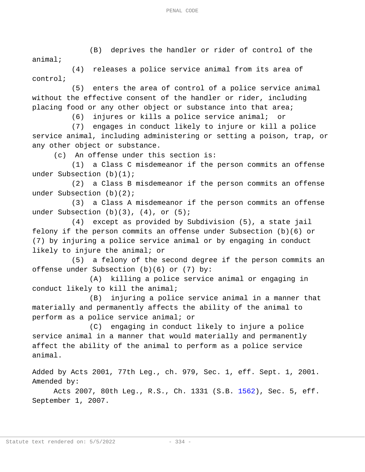(B) deprives the handler or rider of control of the animal;

(4) releases a police service animal from its area of control;

(5) enters the area of control of a police service animal without the effective consent of the handler or rider, including placing food or any other object or substance into that area;

(6) injures or kills a police service animal; or

(7) engages in conduct likely to injure or kill a police service animal, including administering or setting a poison, trap, or any other object or substance.

(c) An offense under this section is:

(1) a Class C misdemeanor if the person commits an offense under Subsection (b)(1);

(2) a Class B misdemeanor if the person commits an offense under Subsection (b)(2);

(3) a Class A misdemeanor if the person commits an offense under Subsection  $(b)(3)$ ,  $(4)$ , or  $(5)$ ;

(4) except as provided by Subdivision (5), a state jail felony if the person commits an offense under Subsection (b)(6) or (7) by injuring a police service animal or by engaging in conduct likely to injure the animal; or

(5) a felony of the second degree if the person commits an offense under Subsection (b)(6) or (7) by:

(A) killing a police service animal or engaging in conduct likely to kill the animal;

(B) injuring a police service animal in a manner that materially and permanently affects the ability of the animal to perform as a police service animal; or

(C) engaging in conduct likely to injure a police service animal in a manner that would materially and permanently affect the ability of the animal to perform as a police service animal.

Added by Acts 2001, 77th Leg., ch. 979, Sec. 1, eff. Sept. 1, 2001. Amended by:

Acts 2007, 80th Leg., R.S., Ch. 1331 (S.B. [1562](http://www.legis.state.tx.us/tlodocs/80R/billtext/html/SB01562F.HTM)), Sec. 5, eff. September 1, 2007.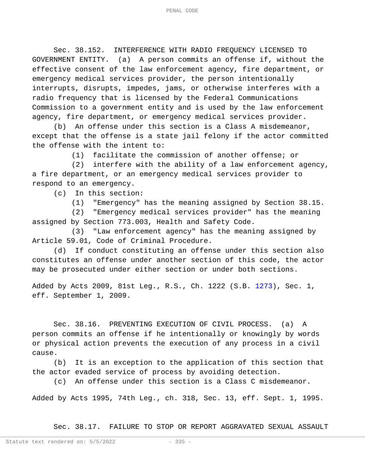Sec. 38.152. INTERFERENCE WITH RADIO FREQUENCY LICENSED TO GOVERNMENT ENTITY. (a) A person commits an offense if, without the effective consent of the law enforcement agency, fire department, or emergency medical services provider, the person intentionally interrupts, disrupts, impedes, jams, or otherwise interferes with a radio frequency that is licensed by the Federal Communications Commission to a government entity and is used by the law enforcement agency, fire department, or emergency medical services provider.

(b) An offense under this section is a Class A misdemeanor, except that the offense is a state jail felony if the actor committed the offense with the intent to:

(1) facilitate the commission of another offense; or

(2) interfere with the ability of a law enforcement agency, a fire department, or an emergency medical services provider to respond to an emergency.

(c) In this section:

(1) "Emergency" has the meaning assigned by Section 38.15.

(2) "Emergency medical services provider" has the meaning assigned by Section 773.003, Health and Safety Code.

(3) "Law enforcement agency" has the meaning assigned by Article 59.01, Code of Criminal Procedure.

(d) If conduct constituting an offense under this section also constitutes an offense under another section of this code, the actor may be prosecuted under either section or under both sections.

Added by Acts 2009, 81st Leg., R.S., Ch. 1222 (S.B. [1273](http://www.legis.state.tx.us/tlodocs/81R/billtext/html/SB01273F.HTM)), Sec. 1, eff. September 1, 2009.

Sec. 38.16. PREVENTING EXECUTION OF CIVIL PROCESS. (a) A person commits an offense if he intentionally or knowingly by words or physical action prevents the execution of any process in a civil cause.

(b) It is an exception to the application of this section that the actor evaded service of process by avoiding detection.

(c) An offense under this section is a Class C misdemeanor.

Added by Acts 1995, 74th Leg., ch. 318, Sec. 13, eff. Sept. 1, 1995.

Sec. 38.17. FAILURE TO STOP OR REPORT AGGRAVATED SEXUAL ASSAULT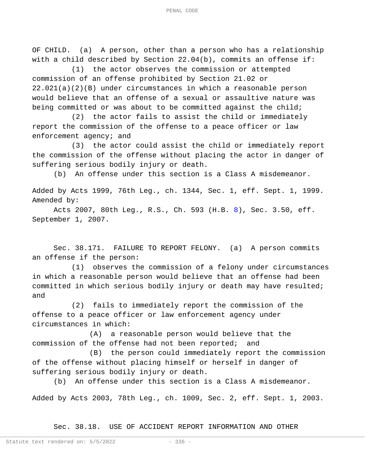OF CHILD. (a) A person, other than a person who has a relationship with a child described by Section  $22.04(b)$ , commits an offense if:

(1) the actor observes the commission or attempted commission of an offense prohibited by Section 21.02 or 22.021(a)(2)(B) under circumstances in which a reasonable person would believe that an offense of a sexual or assaultive nature was being committed or was about to be committed against the child;

(2) the actor fails to assist the child or immediately report the commission of the offense to a peace officer or law enforcement agency; and

(3) the actor could assist the child or immediately report the commission of the offense without placing the actor in danger of suffering serious bodily injury or death.

(b) An offense under this section is a Class A misdemeanor.

Added by Acts 1999, 76th Leg., ch. 1344, Sec. 1, eff. Sept. 1, 1999. Amended by:

Acts 2007, 80th Leg., R.S., Ch. 593 (H.B. [8\)](http://www.legis.state.tx.us/tlodocs/80R/billtext/html/HB00008F.HTM), Sec. 3.50, eff. September 1, 2007.

Sec. 38.171. FAILURE TO REPORT FELONY. (a) A person commits an offense if the person:

(1) observes the commission of a felony under circumstances in which a reasonable person would believe that an offense had been committed in which serious bodily injury or death may have resulted; and

(2) fails to immediately report the commission of the offense to a peace officer or law enforcement agency under circumstances in which:

(A) a reasonable person would believe that the commission of the offense had not been reported; and

(B) the person could immediately report the commission of the offense without placing himself or herself in danger of suffering serious bodily injury or death.

(b) An offense under this section is a Class A misdemeanor.

Added by Acts 2003, 78th Leg., ch. 1009, Sec. 2, eff. Sept. 1, 2003.

Sec. 38.18. USE OF ACCIDENT REPORT INFORMATION AND OTHER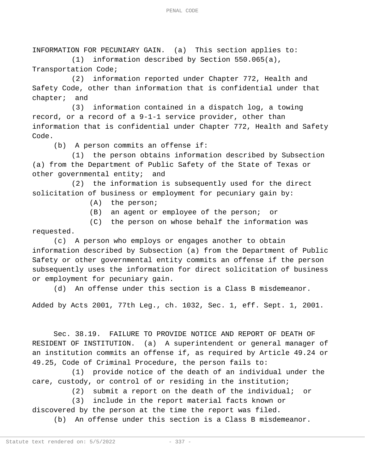INFORMATION FOR PECUNIARY GAIN. (a) This section applies to:

(1) information described by Section 550.065(a), Transportation Code;

(2) information reported under Chapter 772, Health and Safety Code, other than information that is confidential under that chapter; and

(3) information contained in a dispatch log, a towing record, or a record of a 9-1-1 service provider, other than information that is confidential under Chapter 772, Health and Safety Code.

(b) A person commits an offense if:

(1) the person obtains information described by Subsection (a) from the Department of Public Safety of the State of Texas or other governmental entity; and

(2) the information is subsequently used for the direct solicitation of business or employment for pecuniary gain by:

- (A) the person;
- (B) an agent or employee of the person; or

(C) the person on whose behalf the information was requested.

(c) A person who employs or engages another to obtain information described by Subsection (a) from the Department of Public Safety or other governmental entity commits an offense if the person subsequently uses the information for direct solicitation of business or employment for pecuniary gain.

(d) An offense under this section is a Class B misdemeanor.

Added by Acts 2001, 77th Leg., ch. 1032, Sec. 1, eff. Sept. 1, 2001.

Sec. 38.19. FAILURE TO PROVIDE NOTICE AND REPORT OF DEATH OF RESIDENT OF INSTITUTION. (a) A superintendent or general manager of an institution commits an offense if, as required by Article 49.24 or 49.25, Code of Criminal Procedure, the person fails to:

(1) provide notice of the death of an individual under the care, custody, or control of or residing in the institution;

(2) submit a report on the death of the individual; or

(3) include in the report material facts known or

discovered by the person at the time the report was filed.

(b) An offense under this section is a Class B misdemeanor.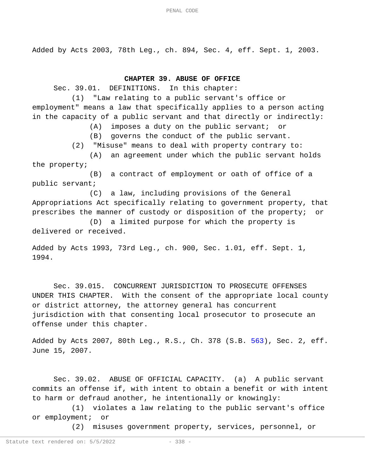Added by Acts 2003, 78th Leg., ch. 894, Sec. 4, eff. Sept. 1, 2003.

## **CHAPTER 39. ABUSE OF OFFICE**

Sec. 39.01. DEFINITIONS. In this chapter:

(1) "Law relating to a public servant's office or employment" means a law that specifically applies to a person acting in the capacity of a public servant and that directly or indirectly:

(A) imposes a duty on the public servant; or

(B) governs the conduct of the public servant.

(2) "Misuse" means to deal with property contrary to:

(A) an agreement under which the public servant holds the property;

(B) a contract of employment or oath of office of a public servant;

(C) a law, including provisions of the General Appropriations Act specifically relating to government property, that prescribes the manner of custody or disposition of the property; or

(D) a limited purpose for which the property is delivered or received.

Added by Acts 1993, 73rd Leg., ch. 900, Sec. 1.01, eff. Sept. 1, 1994.

Sec. 39.015. CONCURRENT JURISDICTION TO PROSECUTE OFFENSES UNDER THIS CHAPTER. With the consent of the appropriate local county or district attorney, the attorney general has concurrent jurisdiction with that consenting local prosecutor to prosecute an offense under this chapter.

Added by Acts 2007, 80th Leg., R.S., Ch. 378 (S.B. [563\)](http://www.legis.state.tx.us/tlodocs/80R/billtext/html/SB00563F.HTM), Sec. 2, eff. June 15, 2007.

Sec. 39.02. ABUSE OF OFFICIAL CAPACITY. (a) A public servant commits an offense if, with intent to obtain a benefit or with intent to harm or defraud another, he intentionally or knowingly:

(1) violates a law relating to the public servant's office or employment; or

(2) misuses government property, services, personnel, or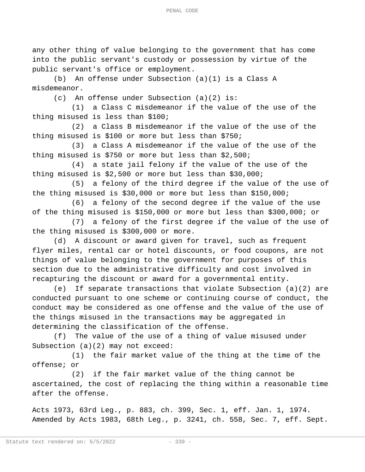any other thing of value belonging to the government that has come into the public servant's custody or possession by virtue of the public servant's office or employment.

(b) An offense under Subsection (a)(1) is a Class A misdemeanor.

(c) An offense under Subsection (a)(2) is:

(1) a Class C misdemeanor if the value of the use of the thing misused is less than \$100;

(2) a Class B misdemeanor if the value of the use of the thing misused is \$100 or more but less than \$750;

(3) a Class A misdemeanor if the value of the use of the thing misused is \$750 or more but less than \$2,500;

(4) a state jail felony if the value of the use of the thing misused is \$2,500 or more but less than \$30,000;

(5) a felony of the third degree if the value of the use of the thing misused is \$30,000 or more but less than \$150,000;

(6) a felony of the second degree if the value of the use of the thing misused is \$150,000 or more but less than \$300,000; or

(7) a felony of the first degree if the value of the use of the thing misused is \$300,000 or more.

(d) A discount or award given for travel, such as frequent flyer miles, rental car or hotel discounts, or food coupons, are not things of value belonging to the government for purposes of this section due to the administrative difficulty and cost involved in recapturing the discount or award for a governmental entity.

(e) If separate transactions that violate Subsection (a)(2) are conducted pursuant to one scheme or continuing course of conduct, the conduct may be considered as one offense and the value of the use of the things misused in the transactions may be aggregated in determining the classification of the offense.

(f) The value of the use of a thing of value misused under Subsection (a)(2) may not exceed:

(1) the fair market value of the thing at the time of the offense; or

(2) if the fair market value of the thing cannot be ascertained, the cost of replacing the thing within a reasonable time after the offense.

Acts 1973, 63rd Leg., p. 883, ch. 399, Sec. 1, eff. Jan. 1, 1974. Amended by Acts 1983, 68th Leg., p. 3241, ch. 558, Sec. 7, eff. Sept.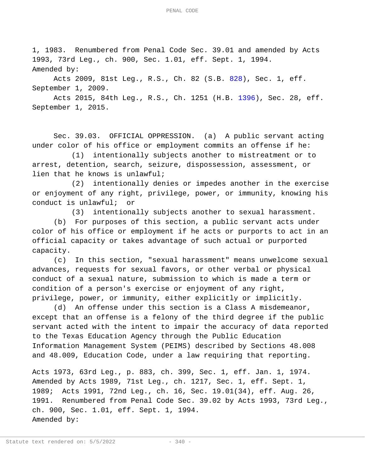1, 1983. Renumbered from Penal Code Sec. 39.01 and amended by Acts 1993, 73rd Leg., ch. 900, Sec. 1.01, eff. Sept. 1, 1994. Amended by:

Acts 2009, 81st Leg., R.S., Ch. 82 (S.B. [828\)](http://www.legis.state.tx.us/tlodocs/81R/billtext/html/SB00828F.HTM), Sec. 1, eff. September 1, 2009.

Acts 2015, 84th Leg., R.S., Ch. 1251 (H.B. [1396](http://www.legis.state.tx.us/tlodocs/84R/billtext/html/HB01396F.HTM)), Sec. 28, eff. September 1, 2015.

Sec. 39.03. OFFICIAL OPPRESSION. (a) A public servant acting under color of his office or employment commits an offense if he:

(1) intentionally subjects another to mistreatment or to arrest, detention, search, seizure, dispossession, assessment, or lien that he knows is unlawful;

(2) intentionally denies or impedes another in the exercise or enjoyment of any right, privilege, power, or immunity, knowing his conduct is unlawful; or

(3) intentionally subjects another to sexual harassment.

(b) For purposes of this section, a public servant acts under color of his office or employment if he acts or purports to act in an official capacity or takes advantage of such actual or purported capacity.

(c) In this section, "sexual harassment" means unwelcome sexual advances, requests for sexual favors, or other verbal or physical conduct of a sexual nature, submission to which is made a term or condition of a person's exercise or enjoyment of any right, privilege, power, or immunity, either explicitly or implicitly.

(d) An offense under this section is a Class A misdemeanor, except that an offense is a felony of the third degree if the public servant acted with the intent to impair the accuracy of data reported to the Texas Education Agency through the Public Education Information Management System (PEIMS) described by Sections 48.008 and 48.009, Education Code, under a law requiring that reporting.

Acts 1973, 63rd Leg., p. 883, ch. 399, Sec. 1, eff. Jan. 1, 1974. Amended by Acts 1989, 71st Leg., ch. 1217, Sec. 1, eff. Sept. 1, 1989; Acts 1991, 72nd Leg., ch. 16, Sec. 19.01(34), eff. Aug. 26, 1991. Renumbered from Penal Code Sec. 39.02 by Acts 1993, 73rd Leg., ch. 900, Sec. 1.01, eff. Sept. 1, 1994. Amended by: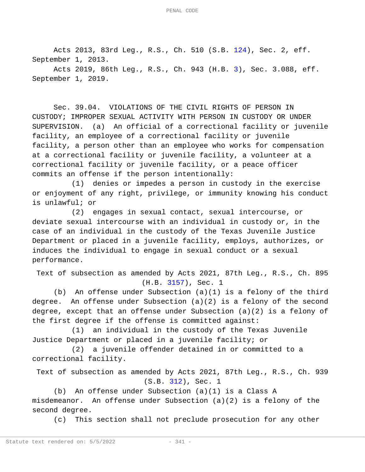Acts 2013, 83rd Leg., R.S., Ch. 510 (S.B. [124](http://www.legis.state.tx.us/tlodocs/83R/billtext/html/SB00124F.HTM)), Sec. 2, eff. September 1, 2013.

Acts 2019, 86th Leg., R.S., Ch. 943 (H.B. [3\)](http://www.legis.state.tx.us/tlodocs/86R/billtext/html/HB00003F.HTM), Sec. 3.088, eff. September 1, 2019.

Sec. 39.04. VIOLATIONS OF THE CIVIL RIGHTS OF PERSON IN CUSTODY; IMPROPER SEXUAL ACTIVITY WITH PERSON IN CUSTODY OR UNDER SUPERVISION. (a) An official of a correctional facility or juvenile facility, an employee of a correctional facility or juvenile facility, a person other than an employee who works for compensation at a correctional facility or juvenile facility, a volunteer at a correctional facility or juvenile facility, or a peace officer commits an offense if the person intentionally:

(1) denies or impedes a person in custody in the exercise or enjoyment of any right, privilege, or immunity knowing his conduct is unlawful; or

(2) engages in sexual contact, sexual intercourse, or deviate sexual intercourse with an individual in custody or, in the case of an individual in the custody of the Texas Juvenile Justice Department or placed in a juvenile facility, employs, authorizes, or induces the individual to engage in sexual conduct or a sexual performance.

Text of subsection as amended by Acts 2021, 87th Leg., R.S., Ch. 895 (H.B. [3157\)](https://capitol.texas.gov/tlodocs/87R/billtext/html/HB03157F.HTM), Sec. 1

(b) An offense under Subsection  $(a)(1)$  is a felony of the third degree. An offense under Subsection (a)(2) is a felony of the second degree, except that an offense under Subsection (a)(2) is a felony of the first degree if the offense is committed against:

(1) an individual in the custody of the Texas Juvenile Justice Department or placed in a juvenile facility; or

(2) a juvenile offender detained in or committed to a correctional facility.

Text of subsection as amended by Acts 2021, 87th Leg., R.S., Ch. 939 (S.B. [312](https://capitol.texas.gov/tlodocs/87R/billtext/html/SB00312F.HTM)), Sec. 1

(b) An offense under Subsection (a)(1) is a Class A misdemeanor. An offense under Subsection (a)(2) is a felony of the second degree.

(c) This section shall not preclude prosecution for any other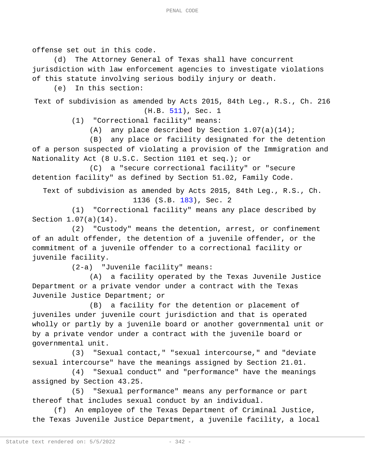offense set out in this code.

(d) The Attorney General of Texas shall have concurrent jurisdiction with law enforcement agencies to investigate violations of this statute involving serious bodily injury or death.

(e) In this section:

Text of subdivision as amended by Acts 2015, 84th Leg., R.S., Ch. 216 (H.B. [511](https://capitol.texas.gov/tlodocs/84R/billtext/html/HB00511F.HTM)), Sec. 1

(1) "Correctional facility" means:

(A) any place described by Section  $1.07(a)(14)$ ;

(B) any place or facility designated for the detention of a person suspected of violating a provision of the Immigration and Nationality Act (8 U.S.C. Section 1101 et seq.); or

(C) a "secure correctional facility" or "secure detention facility" as defined by Section 51.02, Family Code.

Text of subdivision as amended by Acts 2015, 84th Leg., R.S., Ch. 1136 (S.B. [183](https://capitol.texas.gov/tlodocs/84R/billtext/html/SB00183F.HTM)), Sec. 2

(1) "Correctional facility" means any place described by Section 1.07(a)(14).

(2) "Custody" means the detention, arrest, or confinement of an adult offender, the detention of a juvenile offender, or the commitment of a juvenile offender to a correctional facility or juvenile facility.

(2-a) "Juvenile facility" means:

(A) a facility operated by the Texas Juvenile Justice Department or a private vendor under a contract with the Texas Juvenile Justice Department; or

(B) a facility for the detention or placement of juveniles under juvenile court jurisdiction and that is operated wholly or partly by a juvenile board or another governmental unit or by a private vendor under a contract with the juvenile board or governmental unit.

(3) "Sexual contact," "sexual intercourse," and "deviate sexual intercourse" have the meanings assigned by Section 21.01.

(4) "Sexual conduct" and "performance" have the meanings assigned by Section 43.25.

(5) "Sexual performance" means any performance or part thereof that includes sexual conduct by an individual.

(f) An employee of the Texas Department of Criminal Justice, the Texas Juvenile Justice Department, a juvenile facility, a local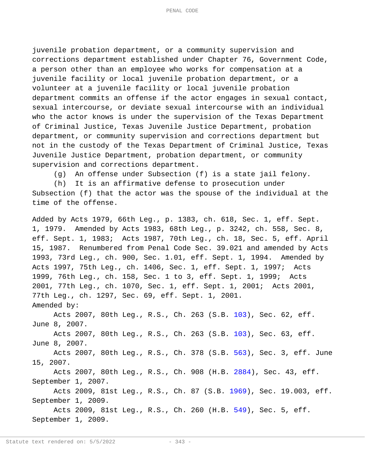juvenile probation department, or a community supervision and corrections department established under Chapter 76, Government Code, a person other than an employee who works for compensation at a juvenile facility or local juvenile probation department, or a volunteer at a juvenile facility or local juvenile probation department commits an offense if the actor engages in sexual contact, sexual intercourse, or deviate sexual intercourse with an individual who the actor knows is under the supervision of the Texas Department of Criminal Justice, Texas Juvenile Justice Department, probation department, or community supervision and corrections department but not in the custody of the Texas Department of Criminal Justice, Texas Juvenile Justice Department, probation department, or community supervision and corrections department.

(g) An offense under Subsection (f) is a state jail felony.

(h) It is an affirmative defense to prosecution under Subsection (f) that the actor was the spouse of the individual at the time of the offense.

Added by Acts 1979, 66th Leg., p. 1383, ch. 618, Sec. 1, eff. Sept. 1, 1979. Amended by Acts 1983, 68th Leg., p. 3242, ch. 558, Sec. 8, eff. Sept. 1, 1983; Acts 1987, 70th Leg., ch. 18, Sec. 5, eff. April 15, 1987. Renumbered from Penal Code Sec. 39.021 and amended by Acts 1993, 73rd Leg., ch. 900, Sec. 1.01, eff. Sept. 1, 1994. Amended by Acts 1997, 75th Leg., ch. 1406, Sec. 1, eff. Sept. 1, 1997; Acts 1999, 76th Leg., ch. 158, Sec. 1 to 3, eff. Sept. 1, 1999; Acts 2001, 77th Leg., ch. 1070, Sec. 1, eff. Sept. 1, 2001; Acts 2001, 77th Leg., ch. 1297, Sec. 69, eff. Sept. 1, 2001. Amended by: Acts 2007, 80th Leg., R.S., Ch. 263 (S.B. [103](http://www.legis.state.tx.us/tlodocs/80R/billtext/html/SB00103F.HTM)), Sec. 62, eff. June 8, 2007. Acts 2007, 80th Leg., R.S., Ch. 263 (S.B. [103](http://www.legis.state.tx.us/tlodocs/80R/billtext/html/SB00103F.HTM)), Sec. 63, eff. June 8, 2007. Acts 2007, 80th Leg., R.S., Ch. 378 (S.B. [563](http://www.legis.state.tx.us/tlodocs/80R/billtext/html/SB00563F.HTM)), Sec. 3, eff. June 15, 2007. Acts 2007, 80th Leg., R.S., Ch. 908 (H.B. [2884](http://www.legis.state.tx.us/tlodocs/80R/billtext/html/HB02884F.HTM)), Sec. 43, eff. September 1, 2007. Acts 2009, 81st Leg., R.S., Ch. 87 (S.B. [1969\)](http://www.legis.state.tx.us/tlodocs/81R/billtext/html/SB01969F.HTM), Sec. 19.003, eff. September 1, 2009. Acts 2009, 81st Leg., R.S., Ch. 260 (H.B. [549](http://www.legis.state.tx.us/tlodocs/81R/billtext/html/HB00549F.HTM)), Sec. 5, eff.

September 1, 2009.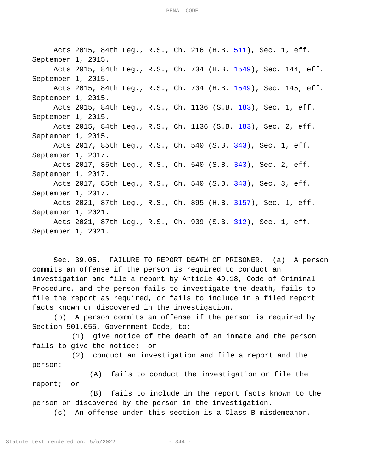Acts 2015, 84th Leg., R.S., Ch. 216 (H.B. [511](http://www.legis.state.tx.us/tlodocs/84R/billtext/html/HB00511F.HTM)), Sec. 1, eff. September 1, 2015. Acts 2015, 84th Leg., R.S., Ch. 734 (H.B. [1549](http://www.legis.state.tx.us/tlodocs/84R/billtext/html/HB01549F.HTM)), Sec. 144, eff. September 1, 2015. Acts 2015, 84th Leg., R.S., Ch. 734 (H.B. [1549](http://www.legis.state.tx.us/tlodocs/84R/billtext/html/HB01549F.HTM)), Sec. 145, eff. September 1, 2015. Acts 2015, 84th Leg., R.S., Ch. 1136 (S.B. [183](http://www.legis.state.tx.us/tlodocs/84R/billtext/html/SB00183F.HTM)), Sec. 1, eff. September 1, 2015. Acts 2015, 84th Leg., R.S., Ch. 1136 (S.B. [183](http://www.legis.state.tx.us/tlodocs/84R/billtext/html/SB00183F.HTM)), Sec. 2, eff. September 1, 2015. Acts 2017, 85th Leg., R.S., Ch. 540 (S.B. [343](http://www.legis.state.tx.us/tlodocs/85R/billtext/html/SB00343F.HTM)), Sec. 1, eff. September 1, 2017. Acts 2017, 85th Leg., R.S., Ch. 540 (S.B. [343](http://www.legis.state.tx.us/tlodocs/85R/billtext/html/SB00343F.HTM)), Sec. 2, eff. September 1, 2017. Acts 2017, 85th Leg., R.S., Ch. 540 (S.B. [343](http://www.legis.state.tx.us/tlodocs/85R/billtext/html/SB00343F.HTM)), Sec. 3, eff. September 1, 2017. Acts 2021, 87th Leg., R.S., Ch. 895 (H.B. [3157](http://www.legis.state.tx.us/tlodocs/87R/billtext/html/HB03157F.HTM)), Sec. 1, eff. September 1, 2021. Acts 2021, 87th Leg., R.S., Ch. 939 (S.B. [312](http://www.legis.state.tx.us/tlodocs/87R/billtext/html/SB00312F.HTM)), Sec. 1, eff. September 1, 2021.

Sec. 39.05. FAILURE TO REPORT DEATH OF PRISONER. (a) A person commits an offense if the person is required to conduct an investigation and file a report by Article 49.18, Code of Criminal Procedure, and the person fails to investigate the death, fails to file the report as required, or fails to include in a filed report facts known or discovered in the investigation.

(b) A person commits an offense if the person is required by Section 501.055, Government Code, to:

(1) give notice of the death of an inmate and the person fails to give the notice; or

(2) conduct an investigation and file a report and the person:

(A) fails to conduct the investigation or file the report; or

(B) fails to include in the report facts known to the person or discovered by the person in the investigation.

(c) An offense under this section is a Class B misdemeanor.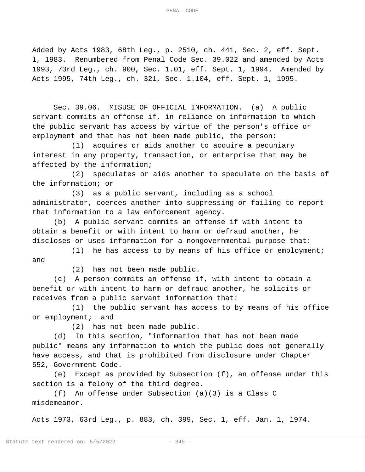Added by Acts 1983, 68th Leg., p. 2510, ch. 441, Sec. 2, eff. Sept. 1, 1983. Renumbered from Penal Code Sec. 39.022 and amended by Acts 1993, 73rd Leg., ch. 900, Sec. 1.01, eff. Sept. 1, 1994. Amended by Acts 1995, 74th Leg., ch. 321, Sec. 1.104, eff. Sept. 1, 1995.

Sec. 39.06. MISUSE OF OFFICIAL INFORMATION. (a) A public servant commits an offense if, in reliance on information to which the public servant has access by virtue of the person's office or employment and that has not been made public, the person:

(1) acquires or aids another to acquire a pecuniary interest in any property, transaction, or enterprise that may be affected by the information;

(2) speculates or aids another to speculate on the basis of the information; or

(3) as a public servant, including as a school administrator, coerces another into suppressing or failing to report that information to a law enforcement agency.

(b) A public servant commits an offense if with intent to obtain a benefit or with intent to harm or defraud another, he discloses or uses information for a nongovernmental purpose that:

(1) he has access to by means of his office or employment; and

(2) has not been made public.

(c) A person commits an offense if, with intent to obtain a benefit or with intent to harm or defraud another, he solicits or receives from a public servant information that:

(1) the public servant has access to by means of his office or employment; and

(2) has not been made public.

(d) In this section, "information that has not been made public" means any information to which the public does not generally have access, and that is prohibited from disclosure under Chapter 552, Government Code.

(e) Except as provided by Subsection (f), an offense under this section is a felony of the third degree.

(f) An offense under Subsection (a)(3) is a Class C misdemeanor.

Acts 1973, 63rd Leg., p. 883, ch. 399, Sec. 1, eff. Jan. 1, 1974.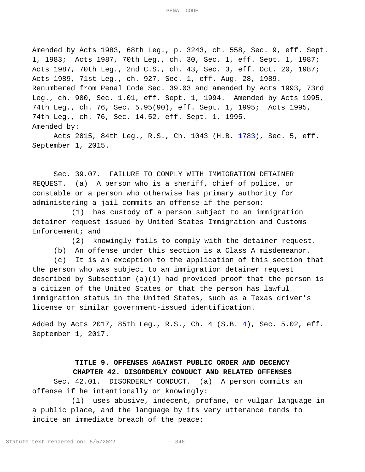Amended by Acts 1983, 68th Leg., p. 3243, ch. 558, Sec. 9, eff. Sept. 1, 1983; Acts 1987, 70th Leg., ch. 30, Sec. 1, eff. Sept. 1, 1987; Acts 1987, 70th Leg., 2nd C.S., ch. 43, Sec. 3, eff. Oct. 20, 1987; Acts 1989, 71st Leg., ch. 927, Sec. 1, eff. Aug. 28, 1989. Renumbered from Penal Code Sec. 39.03 and amended by Acts 1993, 73rd Leg., ch. 900, Sec. 1.01, eff. Sept. 1, 1994. Amended by Acts 1995, 74th Leg., ch. 76, Sec. 5.95(90), eff. Sept. 1, 1995; Acts 1995, 74th Leg., ch. 76, Sec. 14.52, eff. Sept. 1, 1995. Amended by:

Acts 2015, 84th Leg., R.S., Ch. 1043 (H.B. [1783](http://www.legis.state.tx.us/tlodocs/84R/billtext/html/HB01783F.HTM)), Sec. 5, eff. September 1, 2015.

Sec. 39.07. FAILURE TO COMPLY WITH IMMIGRATION DETAINER REQUEST. (a) A person who is a sheriff, chief of police, or constable or a person who otherwise has primary authority for administering a jail commits an offense if the person:

(1) has custody of a person subject to an immigration detainer request issued by United States Immigration and Customs Enforcement; and

(2) knowingly fails to comply with the detainer request.

(b) An offense under this section is a Class A misdemeanor.

(c) It is an exception to the application of this section that the person who was subject to an immigration detainer request described by Subsection (a)(1) had provided proof that the person is a citizen of the United States or that the person has lawful immigration status in the United States, such as a Texas driver's license or similar government-issued identification.

Added by Acts 2017, 85th Leg., R.S., Ch. 4 (S.B. [4](http://www.legis.state.tx.us/tlodocs/85R/billtext/html/SB00004F.HTM)), Sec. 5.02, eff. September 1, 2017.

## **TITLE 9. OFFENSES AGAINST PUBLIC ORDER AND DECENCY CHAPTER 42. DISORDERLY CONDUCT AND RELATED OFFENSES**

Sec. 42.01. DISORDERLY CONDUCT. (a) A person commits an offense if he intentionally or knowingly:

(1) uses abusive, indecent, profane, or vulgar language in a public place, and the language by its very utterance tends to incite an immediate breach of the peace;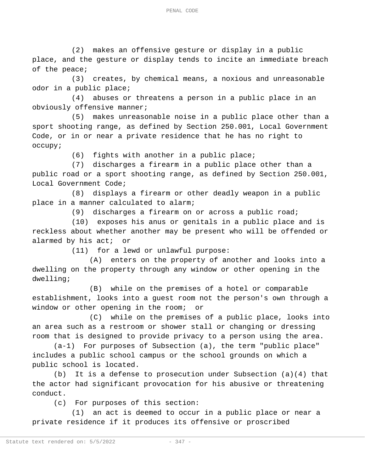(2) makes an offensive gesture or display in a public place, and the gesture or display tends to incite an immediate breach of the peace;

(3) creates, by chemical means, a noxious and unreasonable odor in a public place;

(4) abuses or threatens a person in a public place in an obviously offensive manner;

(5) makes unreasonable noise in a public place other than a sport shooting range, as defined by Section 250.001, Local Government Code, or in or near a private residence that he has no right to occupy;

(6) fights with another in a public place;

(7) discharges a firearm in a public place other than a public road or a sport shooting range, as defined by Section 250.001, Local Government Code;

(8) displays a firearm or other deadly weapon in a public place in a manner calculated to alarm;

(9) discharges a firearm on or across a public road;

(10) exposes his anus or genitals in a public place and is reckless about whether another may be present who will be offended or alarmed by his act; or

(11) for a lewd or unlawful purpose:

(A) enters on the property of another and looks into a dwelling on the property through any window or other opening in the dwelling;

(B) while on the premises of a hotel or comparable establishment, looks into a guest room not the person's own through a window or other opening in the room; or

(C) while on the premises of a public place, looks into an area such as a restroom or shower stall or changing or dressing room that is designed to provide privacy to a person using the area.

(a-1) For purposes of Subsection (a), the term "public place" includes a public school campus or the school grounds on which a public school is located.

(b) It is a defense to prosecution under Subsection (a)(4) that the actor had significant provocation for his abusive or threatening conduct.

(c) For purposes of this section:

(1) an act is deemed to occur in a public place or near a private residence if it produces its offensive or proscribed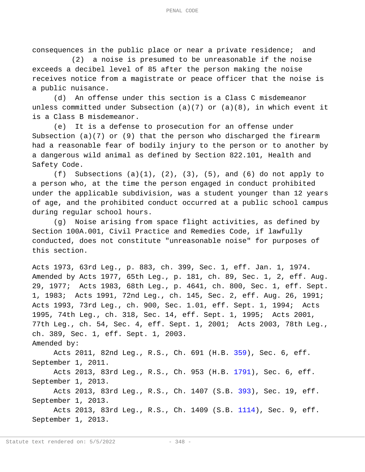consequences in the public place or near a private residence; and

(2) a noise is presumed to be unreasonable if the noise exceeds a decibel level of 85 after the person making the noise receives notice from a magistrate or peace officer that the noise is a public nuisance.

(d) An offense under this section is a Class C misdemeanor unless committed under Subsection  $(a)(7)$  or  $(a)(8)$ , in which event it is a Class B misdemeanor.

(e) It is a defense to prosecution for an offense under Subsection (a)(7) or (9) that the person who discharged the firearm had a reasonable fear of bodily injury to the person or to another by a dangerous wild animal as defined by Section 822.101, Health and Safety Code.

(f) Subsections  $(a)(1)$ ,  $(2)$ ,  $(3)$ ,  $(5)$ , and  $(6)$  do not apply to a person who, at the time the person engaged in conduct prohibited under the applicable subdivision, was a student younger than 12 years of age, and the prohibited conduct occurred at a public school campus during regular school hours.

(g) Noise arising from space flight activities, as defined by Section 100A.001, Civil Practice and Remedies Code, if lawfully conducted, does not constitute "unreasonable noise" for purposes of this section.

Acts 1973, 63rd Leg., p. 883, ch. 399, Sec. 1, eff. Jan. 1, 1974. Amended by Acts 1977, 65th Leg., p. 181, ch. 89, Sec. 1, 2, eff. Aug. 29, 1977; Acts 1983, 68th Leg., p. 4641, ch. 800, Sec. 1, eff. Sept. 1, 1983; Acts 1991, 72nd Leg., ch. 145, Sec. 2, eff. Aug. 26, 1991; Acts 1993, 73rd Leg., ch. 900, Sec. 1.01, eff. Sept. 1, 1994; Acts 1995, 74th Leg., ch. 318, Sec. 14, eff. Sept. 1, 1995; Acts 2001, 77th Leg., ch. 54, Sec. 4, eff. Sept. 1, 2001; Acts 2003, 78th Leg., ch. 389, Sec. 1, eff. Sept. 1, 2003. Amended by:

Acts 2011, 82nd Leg., R.S., Ch. 691 (H.B. [359](http://www.legis.state.tx.us/tlodocs/82R/billtext/html/HB00359F.HTM)), Sec. 6, eff. September 1, 2011. Acts 2013, 83rd Leg., R.S., Ch. 953 (H.B. [1791](http://www.legis.state.tx.us/tlodocs/83R/billtext/html/HB01791F.HTM)), Sec. 6, eff. September 1, 2013. Acts 2013, 83rd Leg., R.S., Ch. 1407 (S.B. [393](http://www.legis.state.tx.us/tlodocs/83R/billtext/html/SB00393F.HTM)), Sec. 19, eff. September 1, 2013. Acts 2013, 83rd Leg., R.S., Ch. 1409 (S.B. [1114](http://www.legis.state.tx.us/tlodocs/83R/billtext/html/SB01114F.HTM)), Sec. 9, eff.

September 1, 2013.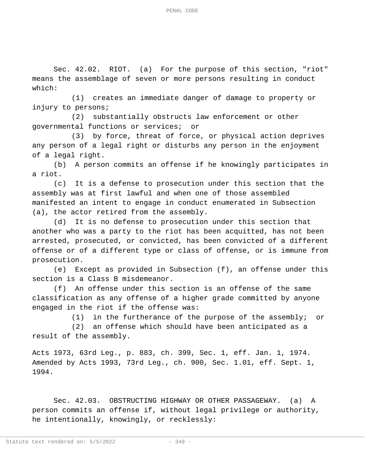Sec. 42.02. RIOT. (a) For the purpose of this section, "riot" means the assemblage of seven or more persons resulting in conduct which:

(1) creates an immediate danger of damage to property or injury to persons;

(2) substantially obstructs law enforcement or other governmental functions or services; or

(3) by force, threat of force, or physical action deprives any person of a legal right or disturbs any person in the enjoyment of a legal right.

(b) A person commits an offense if he knowingly participates in a riot.

(c) It is a defense to prosecution under this section that the assembly was at first lawful and when one of those assembled manifested an intent to engage in conduct enumerated in Subsection (a), the actor retired from the assembly.

(d) It is no defense to prosecution under this section that another who was a party to the riot has been acquitted, has not been arrested, prosecuted, or convicted, has been convicted of a different offense or of a different type or class of offense, or is immune from prosecution.

(e) Except as provided in Subsection (f), an offense under this section is a Class B misdemeanor.

(f) An offense under this section is an offense of the same classification as any offense of a higher grade committed by anyone engaged in the riot if the offense was:

(1) in the furtherance of the purpose of the assembly; or

(2) an offense which should have been anticipated as a result of the assembly.

Acts 1973, 63rd Leg., p. 883, ch. 399, Sec. 1, eff. Jan. 1, 1974. Amended by Acts 1993, 73rd Leg., ch. 900, Sec. 1.01, eff. Sept. 1, 1994.

Sec. 42.03. OBSTRUCTING HIGHWAY OR OTHER PASSAGEWAY. (a) A person commits an offense if, without legal privilege or authority, he intentionally, knowingly, or recklessly: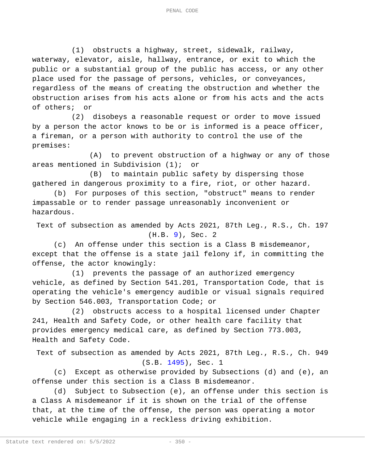(1) obstructs a highway, street, sidewalk, railway, waterway, elevator, aisle, hallway, entrance, or exit to which the public or a substantial group of the public has access, or any other place used for the passage of persons, vehicles, or conveyances, regardless of the means of creating the obstruction and whether the obstruction arises from his acts alone or from his acts and the acts of others; or

(2) disobeys a reasonable request or order to move issued by a person the actor knows to be or is informed is a peace officer, a fireman, or a person with authority to control the use of the premises:

(A) to prevent obstruction of a highway or any of those areas mentioned in Subdivision (1); or

(B) to maintain public safety by dispersing those gathered in dangerous proximity to a fire, riot, or other hazard.

(b) For purposes of this section, "obstruct" means to render impassable or to render passage unreasonably inconvenient or hazardous.

Text of subsection as amended by Acts 2021, 87th Leg., R.S., Ch. 197 (H.B. [9\)](https://capitol.texas.gov/tlodocs/87R/billtext/html/HB00009F.HTM), Sec. 2

(c) An offense under this section is a Class B misdemeanor, except that the offense is a state jail felony if, in committing the offense, the actor knowingly:

(1) prevents the passage of an authorized emergency vehicle, as defined by Section 541.201, Transportation Code, that is operating the vehicle's emergency audible or visual signals required by Section 546.003, Transportation Code; or

(2) obstructs access to a hospital licensed under Chapter 241, Health and Safety Code, or other health care facility that provides emergency medical care, as defined by Section 773.003, Health and Safety Code.

Text of subsection as amended by Acts 2021, 87th Leg., R.S., Ch. 949 (S.B. [1495\)](https://capitol.texas.gov/tlodocs/87R/billtext/html/SB01495F.HTM), Sec. 1

(c) Except as otherwise provided by Subsections (d) and (e), an offense under this section is a Class B misdemeanor.

(d) Subject to Subsection (e), an offense under this section is a Class A misdemeanor if it is shown on the trial of the offense that, at the time of the offense, the person was operating a motor vehicle while engaging in a reckless driving exhibition.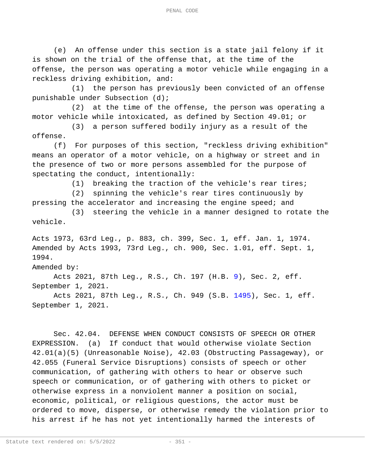(e) An offense under this section is a state jail felony if it is shown on the trial of the offense that, at the time of the offense, the person was operating a motor vehicle while engaging in a reckless driving exhibition, and:

(1) the person has previously been convicted of an offense punishable under Subsection (d);

(2) at the time of the offense, the person was operating a motor vehicle while intoxicated, as defined by Section 49.01; or

(3) a person suffered bodily injury as a result of the offense.

(f) For purposes of this section, "reckless driving exhibition" means an operator of a motor vehicle, on a highway or street and in the presence of two or more persons assembled for the purpose of spectating the conduct, intentionally:

(1) breaking the traction of the vehicle's rear tires;

(2) spinning the vehicle's rear tires continuously by pressing the accelerator and increasing the engine speed; and

(3) steering the vehicle in a manner designed to rotate the vehicle.

Acts 1973, 63rd Leg., p. 883, ch. 399, Sec. 1, eff. Jan. 1, 1974. Amended by Acts 1993, 73rd Leg., ch. 900, Sec. 1.01, eff. Sept. 1, 1994.

Amended by:

Acts 2021, 87th Leg., R.S., Ch. 197 (H.B. [9\)](http://www.legis.state.tx.us/tlodocs/87R/billtext/html/HB00009F.HTM), Sec. 2, eff. September 1, 2021.

Acts 2021, 87th Leg., R.S., Ch. 949 (S.B. [1495](http://www.legis.state.tx.us/tlodocs/87R/billtext/html/SB01495F.HTM)), Sec. 1, eff. September 1, 2021.

Sec. 42.04. DEFENSE WHEN CONDUCT CONSISTS OF SPEECH OR OTHER EXPRESSION. (a) If conduct that would otherwise violate Section 42.01(a)(5) (Unreasonable Noise), 42.03 (Obstructing Passageway), or 42.055 (Funeral Service Disruptions) consists of speech or other communication, of gathering with others to hear or observe such speech or communication, or of gathering with others to picket or otherwise express in a nonviolent manner a position on social, economic, political, or religious questions, the actor must be ordered to move, disperse, or otherwise remedy the violation prior to his arrest if he has not yet intentionally harmed the interests of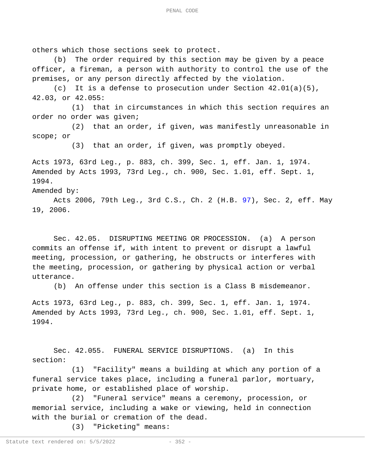others which those sections seek to protect.

(b) The order required by this section may be given by a peace officer, a fireman, a person with authority to control the use of the premises, or any person directly affected by the violation.

(c) It is a defense to prosecution under Section 42.01(a)(5), 42.03, or 42.055:

(1) that in circumstances in which this section requires an order no order was given;

(2) that an order, if given, was manifestly unreasonable in scope; or

(3) that an order, if given, was promptly obeyed.

Acts 1973, 63rd Leg., p. 883, ch. 399, Sec. 1, eff. Jan. 1, 1974. Amended by Acts 1993, 73rd Leg., ch. 900, Sec. 1.01, eff. Sept. 1, 1994.

Amended by:

Acts 2006, 79th Leg., 3rd C.S., Ch. 2 (H.B. [97](http://www.legis.state.tx.us/tlodocs/793/billtext/html/HB00097F.HTM)), Sec. 2, eff. May 19, 2006.

Sec. 42.05. DISRUPTING MEETING OR PROCESSION. (a) A person commits an offense if, with intent to prevent or disrupt a lawful meeting, procession, or gathering, he obstructs or interferes with the meeting, procession, or gathering by physical action or verbal utterance.

(b) An offense under this section is a Class B misdemeanor.

Acts 1973, 63rd Leg., p. 883, ch. 399, Sec. 1, eff. Jan. 1, 1974. Amended by Acts 1993, 73rd Leg., ch. 900, Sec. 1.01, eff. Sept. 1, 1994.

Sec. 42.055. FUNERAL SERVICE DISRUPTIONS. (a) In this section:

(1) "Facility" means a building at which any portion of a funeral service takes place, including a funeral parlor, mortuary, private home, or established place of worship.

(2) "Funeral service" means a ceremony, procession, or memorial service, including a wake or viewing, held in connection with the burial or cremation of the dead.

(3) "Picketing" means: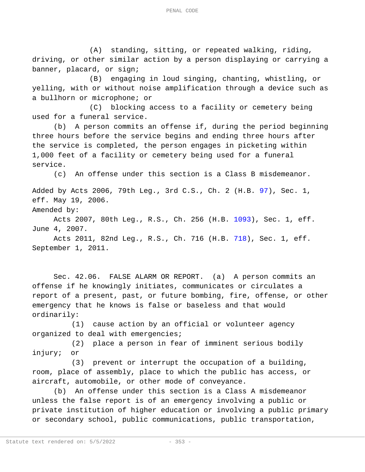(A) standing, sitting, or repeated walking, riding, driving, or other similar action by a person displaying or carrying a banner, placard, or sign;

(B) engaging in loud singing, chanting, whistling, or yelling, with or without noise amplification through a device such as a bullhorn or microphone; or

(C) blocking access to a facility or cemetery being used for a funeral service.

(b) A person commits an offense if, during the period beginning three hours before the service begins and ending three hours after the service is completed, the person engages in picketing within 1,000 feet of a facility or cemetery being used for a funeral service.

(c) An offense under this section is a Class B misdemeanor.

Added by Acts 2006, 79th Leg., 3rd C.S., Ch. 2 (H.B. [97](http://www.legis.state.tx.us/tlodocs/793/billtext/html/HB00097F.HTM)), Sec. 1, eff. May 19, 2006.

Amended by:

Acts 2007, 80th Leg., R.S., Ch. 256 (H.B. [1093](http://www.legis.state.tx.us/tlodocs/80R/billtext/html/HB01093F.HTM)), Sec. 1, eff. June 4, 2007.

Acts 2011, 82nd Leg., R.S., Ch. 716 (H.B. [718](http://www.legis.state.tx.us/tlodocs/82R/billtext/html/HB00718F.HTM)), Sec. 1, eff. September 1, 2011.

Sec. 42.06. FALSE ALARM OR REPORT. (a) A person commits an offense if he knowingly initiates, communicates or circulates a report of a present, past, or future bombing, fire, offense, or other emergency that he knows is false or baseless and that would ordinarily:

(1) cause action by an official or volunteer agency organized to deal with emergencies;

(2) place a person in fear of imminent serious bodily injury; or

(3) prevent or interrupt the occupation of a building, room, place of assembly, place to which the public has access, or aircraft, automobile, or other mode of conveyance.

(b) An offense under this section is a Class A misdemeanor unless the false report is of an emergency involving a public or private institution of higher education or involving a public primary or secondary school, public communications, public transportation,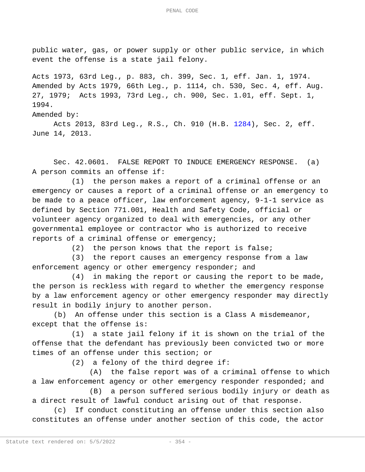public water, gas, or power supply or other public service, in which event the offense is a state jail felony.

Acts 1973, 63rd Leg., p. 883, ch. 399, Sec. 1, eff. Jan. 1, 1974. Amended by Acts 1979, 66th Leg., p. 1114, ch. 530, Sec. 4, eff. Aug. 27, 1979; Acts 1993, 73rd Leg., ch. 900, Sec. 1.01, eff. Sept. 1, 1994.

Amended by:

Acts 2013, 83rd Leg., R.S., Ch. 910 (H.B. [1284](http://www.legis.state.tx.us/tlodocs/83R/billtext/html/HB01284F.HTM)), Sec. 2, eff. June 14, 2013.

Sec. 42.0601. FALSE REPORT TO INDUCE EMERGENCY RESPONSE. (a) A person commits an offense if:

(1) the person makes a report of a criminal offense or an emergency or causes a report of a criminal offense or an emergency to be made to a peace officer, law enforcement agency, 9-1-1 service as defined by Section 771.001, Health and Safety Code, official or volunteer agency organized to deal with emergencies, or any other governmental employee or contractor who is authorized to receive reports of a criminal offense or emergency;

(2) the person knows that the report is false;

(3) the report causes an emergency response from a law enforcement agency or other emergency responder; and

(4) in making the report or causing the report to be made, the person is reckless with regard to whether the emergency response by a law enforcement agency or other emergency responder may directly result in bodily injury to another person.

(b) An offense under this section is a Class A misdemeanor, except that the offense is:

(1) a state jail felony if it is shown on the trial of the offense that the defendant has previously been convicted two or more times of an offense under this section; or

(2) a felony of the third degree if:

(A) the false report was of a criminal offense to which a law enforcement agency or other emergency responder responded; and

(B) a person suffered serious bodily injury or death as a direct result of lawful conduct arising out of that response.

(c) If conduct constituting an offense under this section also constitutes an offense under another section of this code, the actor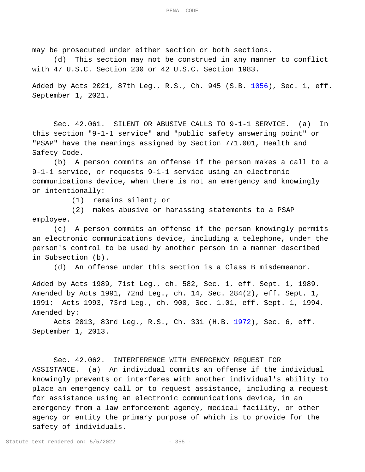may be prosecuted under either section or both sections.

(d) This section may not be construed in any manner to conflict with 47 U.S.C. Section 230 or 42 U.S.C. Section 1983.

Added by Acts 2021, 87th Leg., R.S., Ch. 945 (S.B. [1056](http://www.legis.state.tx.us/tlodocs/87R/billtext/html/SB01056F.HTM)), Sec. 1, eff. September 1, 2021.

Sec. 42.061. SILENT OR ABUSIVE CALLS TO 9-1-1 SERVICE. (a) In this section "9-1-1 service" and "public safety answering point" or "PSAP" have the meanings assigned by Section 771.001, Health and Safety Code.

(b) A person commits an offense if the person makes a call to a 9-1-1 service, or requests 9-1-1 service using an electronic communications device, when there is not an emergency and knowingly or intentionally:

(1) remains silent; or

(2) makes abusive or harassing statements to a PSAP employee.

(c) A person commits an offense if the person knowingly permits an electronic communications device, including a telephone, under the person's control to be used by another person in a manner described in Subsection (b).

(d) An offense under this section is a Class B misdemeanor.

Added by Acts 1989, 71st Leg., ch. 582, Sec. 1, eff. Sept. 1, 1989. Amended by Acts 1991, 72nd Leg., ch. 14, Sec. 284(2), eff. Sept. 1, 1991; Acts 1993, 73rd Leg., ch. 900, Sec. 1.01, eff. Sept. 1, 1994. Amended by:

Acts 2013, 83rd Leg., R.S., Ch. 331 (H.B. [1972](http://www.legis.state.tx.us/tlodocs/83R/billtext/html/HB01972F.HTM)), Sec. 6, eff. September 1, 2013.

Sec. 42.062. INTERFERENCE WITH EMERGENCY REQUEST FOR ASSISTANCE. (a) An individual commits an offense if the individual knowingly prevents or interferes with another individual's ability to place an emergency call or to request assistance, including a request for assistance using an electronic communications device, in an emergency from a law enforcement agency, medical facility, or other agency or entity the primary purpose of which is to provide for the safety of individuals.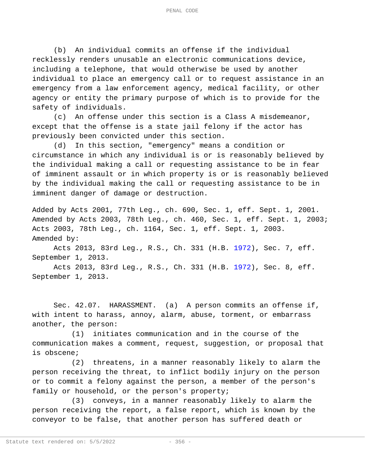(b) An individual commits an offense if the individual recklessly renders unusable an electronic communications device, including a telephone, that would otherwise be used by another individual to place an emergency call or to request assistance in an emergency from a law enforcement agency, medical facility, or other agency or entity the primary purpose of which is to provide for the safety of individuals.

(c) An offense under this section is a Class A misdemeanor, except that the offense is a state jail felony if the actor has previously been convicted under this section.

(d) In this section, "emergency" means a condition or circumstance in which any individual is or is reasonably believed by the individual making a call or requesting assistance to be in fear of imminent assault or in which property is or is reasonably believed by the individual making the call or requesting assistance to be in imminent danger of damage or destruction.

Added by Acts 2001, 77th Leg., ch. 690, Sec. 1, eff. Sept. 1, 2001. Amended by Acts 2003, 78th Leg., ch. 460, Sec. 1, eff. Sept. 1, 2003; Acts 2003, 78th Leg., ch. 1164, Sec. 1, eff. Sept. 1, 2003. Amended by:

Acts 2013, 83rd Leg., R.S., Ch. 331 (H.B. [1972](http://www.legis.state.tx.us/tlodocs/83R/billtext/html/HB01972F.HTM)), Sec. 7, eff. September 1, 2013.

Acts 2013, 83rd Leg., R.S., Ch. 331 (H.B. [1972](http://www.legis.state.tx.us/tlodocs/83R/billtext/html/HB01972F.HTM)), Sec. 8, eff. September 1, 2013.

Sec. 42.07. HARASSMENT. (a) A person commits an offense if, with intent to harass, annoy, alarm, abuse, torment, or embarrass another, the person:

(1) initiates communication and in the course of the communication makes a comment, request, suggestion, or proposal that is obscene;

(2) threatens, in a manner reasonably likely to alarm the person receiving the threat, to inflict bodily injury on the person or to commit a felony against the person, a member of the person's family or household, or the person's property;

(3) conveys, in a manner reasonably likely to alarm the person receiving the report, a false report, which is known by the conveyor to be false, that another person has suffered death or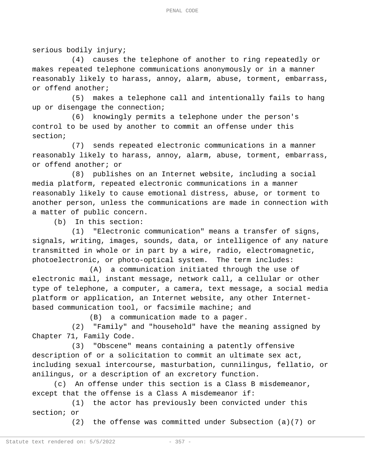serious bodily injury;

(4) causes the telephone of another to ring repeatedly or makes repeated telephone communications anonymously or in a manner reasonably likely to harass, annoy, alarm, abuse, torment, embarrass, or offend another;

(5) makes a telephone call and intentionally fails to hang up or disengage the connection;

(6) knowingly permits a telephone under the person's control to be used by another to commit an offense under this section;

(7) sends repeated electronic communications in a manner reasonably likely to harass, annoy, alarm, abuse, torment, embarrass, or offend another; or

(8) publishes on an Internet website, including a social media platform, repeated electronic communications in a manner reasonably likely to cause emotional distress, abuse, or torment to another person, unless the communications are made in connection with a matter of public concern.

(b) In this section:

(1) "Electronic communication" means a transfer of signs, signals, writing, images, sounds, data, or intelligence of any nature transmitted in whole or in part by a wire, radio, electromagnetic, photoelectronic, or photo-optical system. The term includes:

(A) a communication initiated through the use of electronic mail, instant message, network call, a cellular or other type of telephone, a computer, a camera, text message, a social media platform or application, an Internet website, any other Internetbased communication tool, or facsimile machine; and

(B) a communication made to a pager.

(2) "Family" and "household" have the meaning assigned by Chapter 71, Family Code.

(3) "Obscene" means containing a patently offensive description of or a solicitation to commit an ultimate sex act, including sexual intercourse, masturbation, cunnilingus, fellatio, or anilingus, or a description of an excretory function.

(c) An offense under this section is a Class B misdemeanor, except that the offense is a Class A misdemeanor if:

(1) the actor has previously been convicted under this section; or

(2) the offense was committed under Subsection (a)(7) or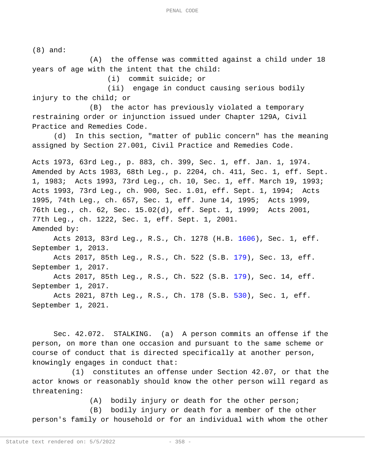(8) and:

(A) the offense was committed against a child under 18 years of age with the intent that the child:

(i) commit suicide; or

(ii) engage in conduct causing serious bodily injury to the child; or

(B) the actor has previously violated a temporary restraining order or injunction issued under Chapter 129A, Civil Practice and Remedies Code.

(d) In this section, "matter of public concern" has the meaning assigned by Section 27.001, Civil Practice and Remedies Code.

Acts 1973, 63rd Leg., p. 883, ch. 399, Sec. 1, eff. Jan. 1, 1974. Amended by Acts 1983, 68th Leg., p. 2204, ch. 411, Sec. 1, eff. Sept. 1, 1983; Acts 1993, 73rd Leg., ch. 10, Sec. 1, eff. March 19, 1993; Acts 1993, 73rd Leg., ch. 900, Sec. 1.01, eff. Sept. 1, 1994; Acts 1995, 74th Leg., ch. 657, Sec. 1, eff. June 14, 1995; Acts 1999, 76th Leg., ch. 62, Sec. 15.02(d), eff. Sept. 1, 1999; Acts 2001, 77th Leg., ch. 1222, Sec. 1, eff. Sept. 1, 2001. Amended by:

Acts 2013, 83rd Leg., R.S., Ch. 1278 (H.B. [1606](http://www.legis.state.tx.us/tlodocs/83R/billtext/html/HB01606F.HTM)), Sec. 1, eff. September 1, 2013.

Acts 2017, 85th Leg., R.S., Ch. 522 (S.B. [179](http://www.legis.state.tx.us/tlodocs/85R/billtext/html/SB00179F.HTM)), Sec. 13, eff. September 1, 2017.

Acts 2017, 85th Leg., R.S., Ch. 522 (S.B. [179](http://www.legis.state.tx.us/tlodocs/85R/billtext/html/SB00179F.HTM)), Sec. 14, eff. September 1, 2017.

Acts 2021, 87th Leg., R.S., Ch. 178 (S.B. [530](http://www.legis.state.tx.us/tlodocs/87R/billtext/html/SB00530F.HTM)), Sec. 1, eff. September 1, 2021.

Sec. 42.072. STALKING. (a) A person commits an offense if the person, on more than one occasion and pursuant to the same scheme or course of conduct that is directed specifically at another person, knowingly engages in conduct that:

(1) constitutes an offense under Section 42.07, or that the actor knows or reasonably should know the other person will regard as threatening:

(A) bodily injury or death for the other person;

(B) bodily injury or death for a member of the other

person's family or household or for an individual with whom the other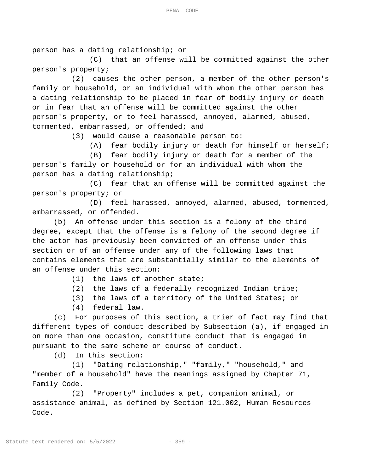person has a dating relationship; or

(C) that an offense will be committed against the other person's property;

(2) causes the other person, a member of the other person's family or household, or an individual with whom the other person has a dating relationship to be placed in fear of bodily injury or death or in fear that an offense will be committed against the other person's property, or to feel harassed, annoyed, alarmed, abused, tormented, embarrassed, or offended; and

(3) would cause a reasonable person to:

(A) fear bodily injury or death for himself or herself;

(B) fear bodily injury or death for a member of the person's family or household or for an individual with whom the person has a dating relationship;

(C) fear that an offense will be committed against the person's property; or

(D) feel harassed, annoyed, alarmed, abused, tormented, embarrassed, or offended.

(b) An offense under this section is a felony of the third degree, except that the offense is a felony of the second degree if the actor has previously been convicted of an offense under this section or of an offense under any of the following laws that contains elements that are substantially similar to the elements of an offense under this section:

- (1) the laws of another state;
- (2) the laws of a federally recognized Indian tribe;
- (3) the laws of a territory of the United States; or
- (4) federal law.

(c) For purposes of this section, a trier of fact may find that different types of conduct described by Subsection (a), if engaged in on more than one occasion, constitute conduct that is engaged in pursuant to the same scheme or course of conduct.

(d) In this section:

(1) "Dating relationship," "family," "household," and "member of a household" have the meanings assigned by Chapter 71, Family Code.

(2) "Property" includes a pet, companion animal, or assistance animal, as defined by Section 121.002, Human Resources Code.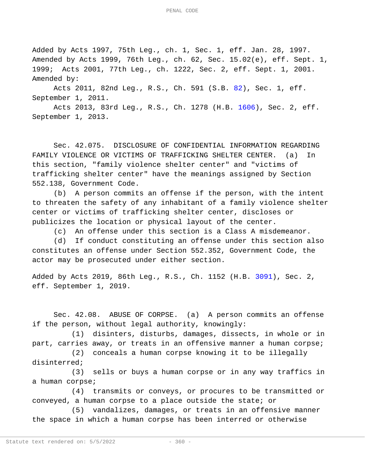Added by Acts 1997, 75th Leg., ch. 1, Sec. 1, eff. Jan. 28, 1997. Amended by Acts 1999, 76th Leg., ch. 62, Sec. 15.02(e), eff. Sept. 1, 1999; Acts 2001, 77th Leg., ch. 1222, Sec. 2, eff. Sept. 1, 2001. Amended by:

Acts 2011, 82nd Leg., R.S., Ch. 591 (S.B. [82\)](http://www.legis.state.tx.us/tlodocs/82R/billtext/html/SB00082F.HTM), Sec. 1, eff. September 1, 2011.

Acts 2013, 83rd Leg., R.S., Ch. 1278 (H.B. [1606](http://www.legis.state.tx.us/tlodocs/83R/billtext/html/HB01606F.HTM)), Sec. 2, eff. September 1, 2013.

Sec. 42.075. DISCLOSURE OF CONFIDENTIAL INFORMATION REGARDING FAMILY VIOLENCE OR VICTIMS OF TRAFFICKING SHELTER CENTER. (a) In this section, "family violence shelter center" and "victims of trafficking shelter center" have the meanings assigned by Section 552.138, Government Code.

(b) A person commits an offense if the person, with the intent to threaten the safety of any inhabitant of a family violence shelter center or victims of trafficking shelter center, discloses or publicizes the location or physical layout of the center.

(c) An offense under this section is a Class A misdemeanor.

(d) If conduct constituting an offense under this section also constitutes an offense under Section 552.352, Government Code, the actor may be prosecuted under either section.

Added by Acts 2019, 86th Leg., R.S., Ch. 1152 (H.B. [3091](http://www.legis.state.tx.us/tlodocs/86R/billtext/html/HB03091F.HTM)), Sec. 2, eff. September 1, 2019.

Sec. 42.08. ABUSE OF CORPSE. (a) A person commits an offense if the person, without legal authority, knowingly:

(1) disinters, disturbs, damages, dissects, in whole or in part, carries away, or treats in an offensive manner a human corpse;

(2) conceals a human corpse knowing it to be illegally disinterred;

(3) sells or buys a human corpse or in any way traffics in a human corpse;

(4) transmits or conveys, or procures to be transmitted or conveyed, a human corpse to a place outside the state; or

(5) vandalizes, damages, or treats in an offensive manner the space in which a human corpse has been interred or otherwise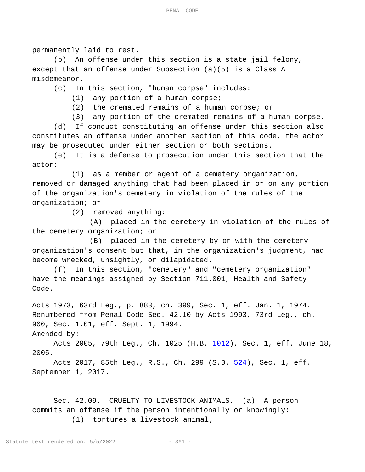permanently laid to rest.

(b) An offense under this section is a state jail felony, except that an offense under Subsection (a)(5) is a Class A misdemeanor.

(c) In this section, "human corpse" includes:

(1) any portion of a human corpse;

(2) the cremated remains of a human corpse; or

(3) any portion of the cremated remains of a human corpse.

(d) If conduct constituting an offense under this section also constitutes an offense under another section of this code, the actor may be prosecuted under either section or both sections.

(e) It is a defense to prosecution under this section that the actor:

(1) as a member or agent of a cemetery organization, removed or damaged anything that had been placed in or on any portion of the organization's cemetery in violation of the rules of the organization; or

(2) removed anything:

(A) placed in the cemetery in violation of the rules of the cemetery organization; or

(B) placed in the cemetery by or with the cemetery organization's consent but that, in the organization's judgment, had become wrecked, unsightly, or dilapidated.

(f) In this section, "cemetery" and "cemetery organization" have the meanings assigned by Section 711.001, Health and Safety Code.

Acts 1973, 63rd Leg., p. 883, ch. 399, Sec. 1, eff. Jan. 1, 1974. Renumbered from Penal Code Sec. 42.10 by Acts 1993, 73rd Leg., ch. 900, Sec. 1.01, eff. Sept. 1, 1994. Amended by:

Acts 2005, 79th Leg., Ch. 1025 (H.B. [1012](http://www.legis.state.tx.us/tlodocs/79R/billtext/html/HB01012F.HTM)), Sec. 1, eff. June 18, 2005.

Acts 2017, 85th Leg., R.S., Ch. 299 (S.B. [524](http://www.legis.state.tx.us/tlodocs/85R/billtext/html/SB00524F.HTM)), Sec. 1, eff. September 1, 2017.

Sec. 42.09. CRUELTY TO LIVESTOCK ANIMALS. (a) A person commits an offense if the person intentionally or knowingly: (1) tortures a livestock animal;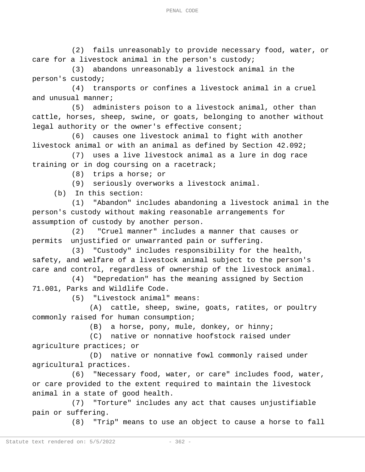(2) fails unreasonably to provide necessary food, water, or care for a livestock animal in the person's custody;

(3) abandons unreasonably a livestock animal in the person's custody;

(4) transports or confines a livestock animal in a cruel and unusual manner;

(5) administers poison to a livestock animal, other than cattle, horses, sheep, swine, or goats, belonging to another without legal authority or the owner's effective consent;

(6) causes one livestock animal to fight with another livestock animal or with an animal as defined by Section 42.092;

(7) uses a live livestock animal as a lure in dog race training or in dog coursing on a racetrack;

(8) trips a horse; or

(9) seriously overworks a livestock animal.

(b) In this section:

(1) "Abandon" includes abandoning a livestock animal in the person's custody without making reasonable arrangements for assumption of custody by another person.

(2) "Cruel manner" includes a manner that causes or permits unjustified or unwarranted pain or suffering.

(3) "Custody" includes responsibility for the health, safety, and welfare of a livestock animal subject to the person's care and control, regardless of ownership of the livestock animal.

(4) "Depredation" has the meaning assigned by Section 71.001, Parks and Wildlife Code.

(5) "Livestock animal" means:

(A) cattle, sheep, swine, goats, ratites, or poultry commonly raised for human consumption;

(B) a horse, pony, mule, donkey, or hinny;

(C) native or nonnative hoofstock raised under agriculture practices; or

(D) native or nonnative fowl commonly raised under agricultural practices.

(6) "Necessary food, water, or care" includes food, water, or care provided to the extent required to maintain the livestock animal in a state of good health.

(7) "Torture" includes any act that causes unjustifiable pain or suffering.

(8) "Trip" means to use an object to cause a horse to fall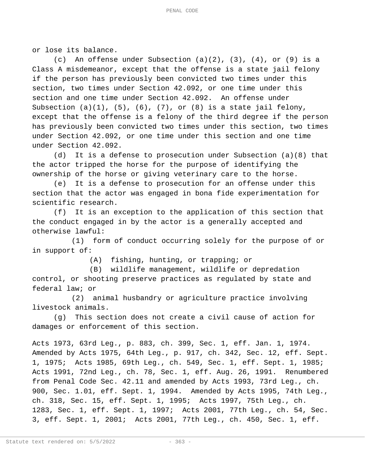or lose its balance.

(c) An offense under Subsection  $(a)(2)$ ,  $(3)$ ,  $(4)$ , or  $(9)$  is a Class A misdemeanor, except that the offense is a state jail felony if the person has previously been convicted two times under this section, two times under Section 42.092, or one time under this section and one time under Section 42.092. An offense under Subsection  $(a)(1)$ ,  $(5)$ ,  $(6)$ ,  $(7)$ , or  $(8)$  is a state jail felony, except that the offense is a felony of the third degree if the person has previously been convicted two times under this section, two times under Section 42.092, or one time under this section and one time under Section 42.092.

(d) It is a defense to prosecution under Subsection (a)(8) that the actor tripped the horse for the purpose of identifying the ownership of the horse or giving veterinary care to the horse.

(e) It is a defense to prosecution for an offense under this section that the actor was engaged in bona fide experimentation for scientific research.

(f) It is an exception to the application of this section that the conduct engaged in by the actor is a generally accepted and otherwise lawful:

(1) form of conduct occurring solely for the purpose of or in support of:

(A) fishing, hunting, or trapping; or

(B) wildlife management, wildlife or depredation control, or shooting preserve practices as regulated by state and federal law; or

(2) animal husbandry or agriculture practice involving livestock animals.

(g) This section does not create a civil cause of action for damages or enforcement of this section.

Acts 1973, 63rd Leg., p. 883, ch. 399, Sec. 1, eff. Jan. 1, 1974. Amended by Acts 1975, 64th Leg., p. 917, ch. 342, Sec. 12, eff. Sept. 1, 1975; Acts 1985, 69th Leg., ch. 549, Sec. 1, eff. Sept. 1, 1985; Acts 1991, 72nd Leg., ch. 78, Sec. 1, eff. Aug. 26, 1991. Renumbered from Penal Code Sec. 42.11 and amended by Acts 1993, 73rd Leg., ch. 900, Sec. 1.01, eff. Sept. 1, 1994. Amended by Acts 1995, 74th Leg., ch. 318, Sec. 15, eff. Sept. 1, 1995; Acts 1997, 75th Leg., ch. 1283, Sec. 1, eff. Sept. 1, 1997; Acts 2001, 77th Leg., ch. 54, Sec. 3, eff. Sept. 1, 2001; Acts 2001, 77th Leg., ch. 450, Sec. 1, eff.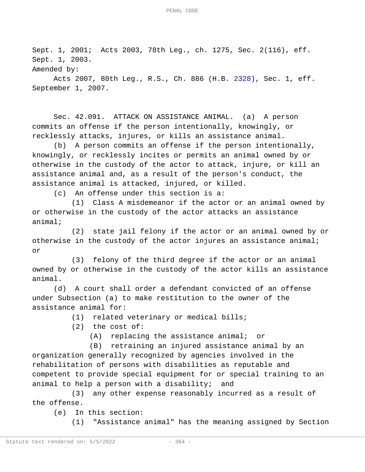Sept. 1, 2001; Acts 2003, 78th Leg., ch. 1275, Sec. 2(116), eff. Sept. 1, 2003. Amended by: Acts 2007, 80th Leg., R.S., Ch. 886 (H.B. [2328](http://www.legis.state.tx.us/tlodocs/80R/billtext/html/HB02328F.HTM)), Sec. 1, eff.

September 1, 2007.

Sec. 42.091. ATTACK ON ASSISTANCE ANIMAL. (a) A person commits an offense if the person intentionally, knowingly, or recklessly attacks, injures, or kills an assistance animal.

(b) A person commits an offense if the person intentionally, knowingly, or recklessly incites or permits an animal owned by or otherwise in the custody of the actor to attack, injure, or kill an assistance animal and, as a result of the person's conduct, the assistance animal is attacked, injured, or killed.

(c) An offense under this section is a:

(1) Class A misdemeanor if the actor or an animal owned by or otherwise in the custody of the actor attacks an assistance animal;

(2) state jail felony if the actor or an animal owned by or otherwise in the custody of the actor injures an assistance animal; or

(3) felony of the third degree if the actor or an animal owned by or otherwise in the custody of the actor kills an assistance animal.

(d) A court shall order a defendant convicted of an offense under Subsection (a) to make restitution to the owner of the assistance animal for:

(1) related veterinary or medical bills;

(2) the cost of:

(A) replacing the assistance animal; or

(B) retraining an injured assistance animal by an organization generally recognized by agencies involved in the rehabilitation of persons with disabilities as reputable and competent to provide special equipment for or special training to an animal to help a person with a disability; and

(3) any other expense reasonably incurred as a result of the offense.

(e) In this section:

(1) "Assistance animal" has the meaning assigned by Section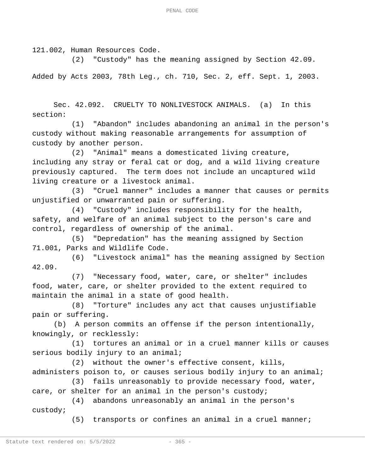121.002, Human Resources Code.

(2) "Custody" has the meaning assigned by Section 42.09.

Added by Acts 2003, 78th Leg., ch. 710, Sec. 2, eff. Sept. 1, 2003.

Sec. 42.092. CRUELTY TO NONLIVESTOCK ANIMALS. (a) In this section:

(1) "Abandon" includes abandoning an animal in the person's custody without making reasonable arrangements for assumption of custody by another person.

(2) "Animal" means a domesticated living creature, including any stray or feral cat or dog, and a wild living creature previously captured. The term does not include an uncaptured wild living creature or a livestock animal.

(3) "Cruel manner" includes a manner that causes or permits unjustified or unwarranted pain or suffering.

(4) "Custody" includes responsibility for the health, safety, and welfare of an animal subject to the person's care and control, regardless of ownership of the animal.

(5) "Depredation" has the meaning assigned by Section 71.001, Parks and Wildlife Code.

(6) "Livestock animal" has the meaning assigned by Section 42.09.

(7) "Necessary food, water, care, or shelter" includes food, water, care, or shelter provided to the extent required to maintain the animal in a state of good health.

(8) "Torture" includes any act that causes unjustifiable pain or suffering.

(b) A person commits an offense if the person intentionally, knowingly, or recklessly:

(1) tortures an animal or in a cruel manner kills or causes serious bodily injury to an animal;

(2) without the owner's effective consent, kills, administers poison to, or causes serious bodily injury to an animal; (3) fails unreasonably to provide necessary food, water,

care, or shelter for an animal in the person's custody;

(4) abandons unreasonably an animal in the person's custody;

(5) transports or confines an animal in a cruel manner;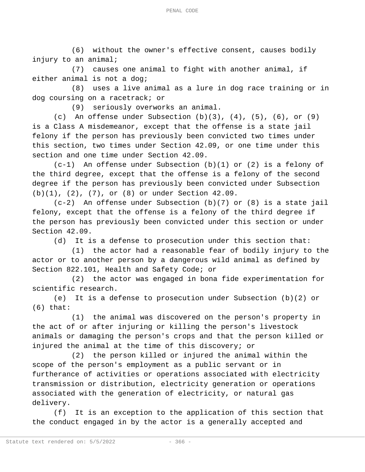(6) without the owner's effective consent, causes bodily injury to an animal;

(7) causes one animal to fight with another animal, if either animal is not a dog;

(8) uses a live animal as a lure in dog race training or in dog coursing on a racetrack; or

(9) seriously overworks an animal.

(c) An offense under Subsection  $(b)(3)$ ,  $(4)$ ,  $(5)$ ,  $(6)$ , or  $(9)$ is a Class A misdemeanor, except that the offense is a state jail felony if the person has previously been convicted two times under this section, two times under Section 42.09, or one time under this section and one time under Section 42.09.

(c-1) An offense under Subsection (b)(1) or (2) is a felony of the third degree, except that the offense is a felony of the second degree if the person has previously been convicted under Subsection (b)(1), (2), (7), or (8) or under Section 42.09.

(c-2) An offense under Subsection (b)(7) or (8) is a state jail felony, except that the offense is a felony of the third degree if the person has previously been convicted under this section or under Section 42.09.

(d) It is a defense to prosecution under this section that:

(1) the actor had a reasonable fear of bodily injury to the actor or to another person by a dangerous wild animal as defined by Section 822.101, Health and Safety Code; or

(2) the actor was engaged in bona fide experimentation for scientific research.

(e) It is a defense to prosecution under Subsection (b)(2) or  $(6)$  that:

(1) the animal was discovered on the person's property in the act of or after injuring or killing the person's livestock animals or damaging the person's crops and that the person killed or injured the animal at the time of this discovery; or

(2) the person killed or injured the animal within the scope of the person's employment as a public servant or in furtherance of activities or operations associated with electricity transmission or distribution, electricity generation or operations associated with the generation of electricity, or natural gas delivery.

(f) It is an exception to the application of this section that the conduct engaged in by the actor is a generally accepted and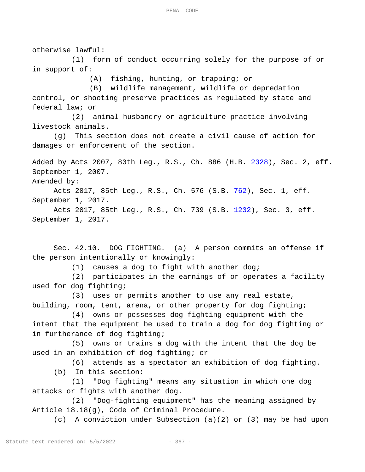otherwise lawful: (1) form of conduct occurring solely for the purpose of or in support of: (A) fishing, hunting, or trapping; or (B) wildlife management, wildlife or depredation control, or shooting preserve practices as regulated by state and federal law; or (2) animal husbandry or agriculture practice involving livestock animals. (g) This section does not create a civil cause of action for damages or enforcement of the section. Added by Acts 2007, 80th Leg., R.S., Ch. 886 (H.B. [2328](http://www.legis.state.tx.us/tlodocs/80R/billtext/html/HB02328F.HTM)), Sec. 2, eff. September 1, 2007.

Amended by:

Acts 2017, 85th Leg., R.S., Ch. 576 (S.B. [762](http://www.legis.state.tx.us/tlodocs/85R/billtext/html/SB00762F.HTM)), Sec. 1, eff. September 1, 2017.

Acts 2017, 85th Leg., R.S., Ch. 739 (S.B. [1232](http://www.legis.state.tx.us/tlodocs/85R/billtext/html/SB01232F.HTM)), Sec. 3, eff. September 1, 2017.

Sec. 42.10. DOG FIGHTING. (a) A person commits an offense if the person intentionally or knowingly:

(1) causes a dog to fight with another dog;

(2) participates in the earnings of or operates a facility used for dog fighting;

(3) uses or permits another to use any real estate, building, room, tent, arena, or other property for dog fighting;

(4) owns or possesses dog-fighting equipment with the intent that the equipment be used to train a dog for dog fighting or in furtherance of dog fighting;

(5) owns or trains a dog with the intent that the dog be used in an exhibition of dog fighting; or

(6) attends as a spectator an exhibition of dog fighting.

(b) In this section:

(1) "Dog fighting" means any situation in which one dog attacks or fights with another dog.

(2) "Dog-fighting equipment" has the meaning assigned by Article 18.18(g), Code of Criminal Procedure.

(c) A conviction under Subsection (a)(2) or (3) may be had upon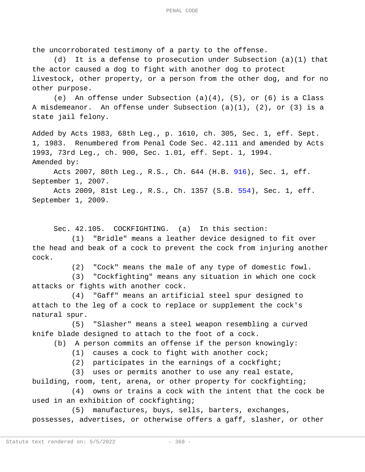the uncorroborated testimony of a party to the offense.

(d) It is a defense to prosecution under Subsection (a)(1) that the actor caused a dog to fight with another dog to protect livestock, other property, or a person from the other dog, and for no other purpose.

(e) An offense under Subsection  $(a)(4)$ ,  $(5)$ , or  $(6)$  is a Class A misdemeanor. An offense under Subsection (a)(1), (2), or (3) is a state jail felony.

Added by Acts 1983, 68th Leg., p. 1610, ch. 305, Sec. 1, eff. Sept. 1, 1983. Renumbered from Penal Code Sec. 42.111 and amended by Acts 1993, 73rd Leg., ch. 900, Sec. 1.01, eff. Sept. 1, 1994. Amended by:

Acts 2007, 80th Leg., R.S., Ch. 644 (H.B. [916](http://www.legis.state.tx.us/tlodocs/80R/billtext/html/HB00916F.HTM)), Sec. 1, eff. September 1, 2007.

Acts 2009, 81st Leg., R.S., Ch. 1357 (S.B. [554](http://www.legis.state.tx.us/tlodocs/81R/billtext/html/SB00554F.HTM)), Sec. 1, eff. September 1, 2009.

Sec. 42.105. COCKFIGHTING. (a) In this section:

(1) "Bridle" means a leather device designed to fit over the head and beak of a cock to prevent the cock from injuring another cock.

(2) "Cock" means the male of any type of domestic fowl.

(3) "Cockfighting" means any situation in which one cock attacks or fights with another cock.

(4) "Gaff" means an artificial steel spur designed to attach to the leg of a cock to replace or supplement the cock's natural spur.

(5) "Slasher" means a steel weapon resembling a curved knife blade designed to attach to the foot of a cock.

(b) A person commits an offense if the person knowingly:

(1) causes a cock to fight with another cock;

(2) participates in the earnings of a cockfight;

(3) uses or permits another to use any real estate,

building, room, tent, arena, or other property for cockfighting; (4) owns or trains a cock with the intent that the cock be

used in an exhibition of cockfighting;

(5) manufactures, buys, sells, barters, exchanges, possesses, advertises, or otherwise offers a gaff, slasher, or other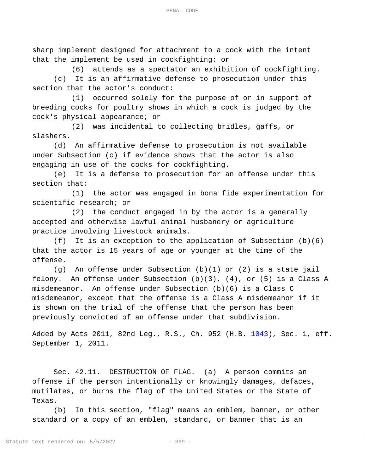sharp implement designed for attachment to a cock with the intent that the implement be used in cockfighting; or

(6) attends as a spectator an exhibition of cockfighting.

(c) It is an affirmative defense to prosecution under this section that the actor's conduct:

(1) occurred solely for the purpose of or in support of breeding cocks for poultry shows in which a cock is judged by the cock's physical appearance; or

(2) was incidental to collecting bridles, gaffs, or slashers.

(d) An affirmative defense to prosecution is not available under Subsection (c) if evidence shows that the actor is also engaging in use of the cocks for cockfighting.

(e) It is a defense to prosecution for an offense under this section that:

(1) the actor was engaged in bona fide experimentation for scientific research; or

(2) the conduct engaged in by the actor is a generally accepted and otherwise lawful animal husbandry or agriculture practice involving livestock animals.

(f) It is an exception to the application of Subsection (b)(6) that the actor is 15 years of age or younger at the time of the offense.

(g) An offense under Subsection (b)(1) or (2) is a state jail felony. An offense under Subsection (b)(3), (4), or (5) is a Class A misdemeanor. An offense under Subsection (b)(6) is a Class C misdemeanor, except that the offense is a Class A misdemeanor if it is shown on the trial of the offense that the person has been previously convicted of an offense under that subdivision.

Added by Acts 2011, 82nd Leg., R.S., Ch. 952 (H.B. [1043](http://www.legis.state.tx.us/tlodocs/82R/billtext/html/HB01043F.HTM)), Sec. 1, eff. September 1, 2011.

Sec. 42.11. DESTRUCTION OF FLAG. (a) A person commits an offense if the person intentionally or knowingly damages, defaces, mutilates, or burns the flag of the United States or the State of Texas.

(b) In this section, "flag" means an emblem, banner, or other standard or a copy of an emblem, standard, or banner that is an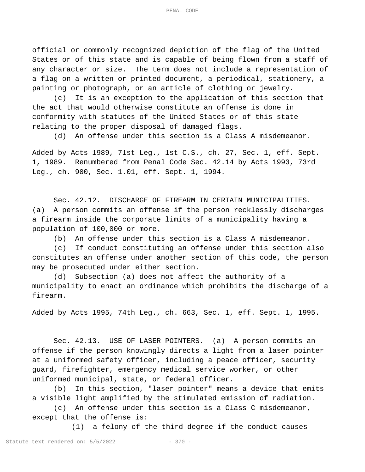PENAL CODE

official or commonly recognized depiction of the flag of the United States or of this state and is capable of being flown from a staff of any character or size. The term does not include a representation of a flag on a written or printed document, a periodical, stationery, a painting or photograph, or an article of clothing or jewelry.

(c) It is an exception to the application of this section that the act that would otherwise constitute an offense is done in conformity with statutes of the United States or of this state relating to the proper disposal of damaged flags.

(d) An offense under this section is a Class A misdemeanor.

Added by Acts 1989, 71st Leg., 1st C.S., ch. 27, Sec. 1, eff. Sept. 1, 1989. Renumbered from Penal Code Sec. 42.14 by Acts 1993, 73rd Leg., ch. 900, Sec. 1.01, eff. Sept. 1, 1994.

Sec. 42.12. DISCHARGE OF FIREARM IN CERTAIN MUNICIPALITIES. (a) A person commits an offense if the person recklessly discharges a firearm inside the corporate limits of a municipality having a population of 100,000 or more.

(b) An offense under this section is a Class A misdemeanor.

(c) If conduct constituting an offense under this section also constitutes an offense under another section of this code, the person may be prosecuted under either section.

(d) Subsection (a) does not affect the authority of a municipality to enact an ordinance which prohibits the discharge of a firearm.

Added by Acts 1995, 74th Leg., ch. 663, Sec. 1, eff. Sept. 1, 1995.

Sec. 42.13. USE OF LASER POINTERS. (a) A person commits an offense if the person knowingly directs a light from a laser pointer at a uniformed safety officer, including a peace officer, security guard, firefighter, emergency medical service worker, or other uniformed municipal, state, or federal officer.

(b) In this section, "laser pointer" means a device that emits a visible light amplified by the stimulated emission of radiation.

(c) An offense under this section is a Class C misdemeanor, except that the offense is:

(1) a felony of the third degree if the conduct causes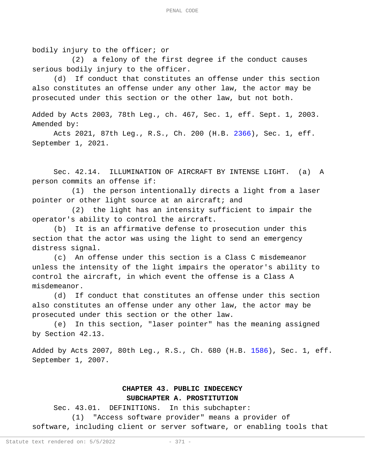bodily injury to the officer; or

(2) a felony of the first degree if the conduct causes serious bodily injury to the officer.

(d) If conduct that constitutes an offense under this section also constitutes an offense under any other law, the actor may be prosecuted under this section or the other law, but not both.

Added by Acts 2003, 78th Leg., ch. 467, Sec. 1, eff. Sept. 1, 2003. Amended by:

Acts 2021, 87th Leg., R.S., Ch. 200 (H.B. [2366](http://www.legis.state.tx.us/tlodocs/87R/billtext/html/HB02366F.HTM)), Sec. 1, eff. September 1, 2021.

Sec. 42.14. ILLUMINATION OF AIRCRAFT BY INTENSE LIGHT. (a) A person commits an offense if:

(1) the person intentionally directs a light from a laser pointer or other light source at an aircraft; and

(2) the light has an intensity sufficient to impair the operator's ability to control the aircraft.

(b) It is an affirmative defense to prosecution under this section that the actor was using the light to send an emergency distress signal.

(c) An offense under this section is a Class C misdemeanor unless the intensity of the light impairs the operator's ability to control the aircraft, in which event the offense is a Class A misdemeanor.

(d) If conduct that constitutes an offense under this section also constitutes an offense under any other law, the actor may be prosecuted under this section or the other law.

(e) In this section, "laser pointer" has the meaning assigned by Section 42.13.

Added by Acts 2007, 80th Leg., R.S., Ch. 680 (H.B. [1586](http://www.legis.state.tx.us/tlodocs/80R/billtext/html/HB01586F.HTM)), Sec. 1, eff. September 1, 2007.

## **CHAPTER 43. PUBLIC INDECENCY SUBCHAPTER A. PROSTITUTION**

Sec. 43.01. DEFINITIONS. In this subchapter:

(1) "Access software provider" means a provider of software, including client or server software, or enabling tools that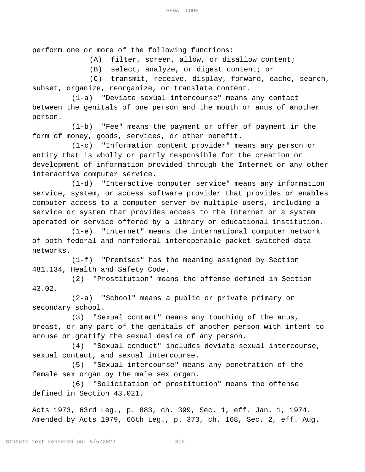perform one or more of the following functions:

(A) filter, screen, allow, or disallow content;

(B) select, analyze, or digest content; or

(C) transmit, receive, display, forward, cache, search, subset, organize, reorganize, or translate content.

(1-a) "Deviate sexual intercourse" means any contact between the genitals of one person and the mouth or anus of another person.

(1-b) "Fee" means the payment or offer of payment in the form of money, goods, services, or other benefit.

(1-c) "Information content provider" means any person or entity that is wholly or partly responsible for the creation or development of information provided through the Internet or any other interactive computer service.

(1-d) "Interactive computer service" means any information service, system, or access software provider that provides or enables computer access to a computer server by multiple users, including a service or system that provides access to the Internet or a system operated or service offered by a library or educational institution.

(1-e) "Internet" means the international computer network of both federal and nonfederal interoperable packet switched data networks.

(1-f) "Premises" has the meaning assigned by Section 481.134, Health and Safety Code.

(2) "Prostitution" means the offense defined in Section 43.02.

(2-a) "School" means a public or private primary or secondary school.

(3) "Sexual contact" means any touching of the anus, breast, or any part of the genitals of another person with intent to arouse or gratify the sexual desire of any person.

(4) "Sexual conduct" includes deviate sexual intercourse, sexual contact, and sexual intercourse.

(5) "Sexual intercourse" means any penetration of the female sex organ by the male sex organ.

(6) "Solicitation of prostitution" means the offense defined in Section 43.021.

Acts 1973, 63rd Leg., p. 883, ch. 399, Sec. 1, eff. Jan. 1, 1974. Amended by Acts 1979, 66th Leg., p. 373, ch. 168, Sec. 2, eff. Aug.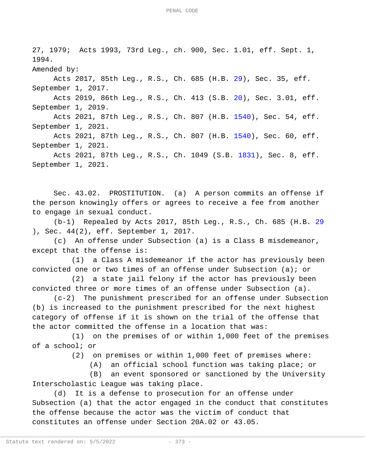27, 1979; Acts 1993, 73rd Leg., ch. 900, Sec. 1.01, eff. Sept. 1, 1994. Amended by: Acts 2017, 85th Leg., R.S., Ch. 685 (H.B. [29\)](http://www.legis.state.tx.us/tlodocs/85R/billtext/html/HB00029F.HTM), Sec. 35, eff. September 1, 2017. Acts 2019, 86th Leg., R.S., Ch. 413 (S.B. [20\)](http://www.legis.state.tx.us/tlodocs/86R/billtext/html/SB00020F.HTM), Sec. 3.01, eff. September 1, 2019. Acts 2021, 87th Leg., R.S., Ch. 807 (H.B. [1540](http://www.legis.state.tx.us/tlodocs/87R/billtext/html/HB01540F.HTM)), Sec. 54, eff. September 1, 2021. Acts 2021, 87th Leg., R.S., Ch. 807 (H.B. [1540](http://www.legis.state.tx.us/tlodocs/87R/billtext/html/HB01540F.HTM)), Sec. 60, eff. September 1, 2021. Acts 2021, 87th Leg., R.S., Ch. 1049 (S.B. [1831](http://www.legis.state.tx.us/tlodocs/87R/billtext/html/SB01831F.HTM)), Sec. 8, eff. September 1, 2021.

Sec. 43.02. PROSTITUTION. (a) A person commits an offense if the person knowingly offers or agrees to receive a fee from another to engage in sexual conduct.

(b-1) Repealed by Acts 2017, 85th Leg., R.S., Ch. 685 (H.B. [29](https://capitol.texas.gov/tlodocs/85R/billtext/html/HB00029F.HTM) ), Sec. 44(2), eff. September 1, 2017.

(c) An offense under Subsection (a) is a Class B misdemeanor, except that the offense is:

(1) a Class A misdemeanor if the actor has previously been convicted one or two times of an offense under Subsection (a); or

(2) a state jail felony if the actor has previously been convicted three or more times of an offense under Subsection (a).

(c-2) The punishment prescribed for an offense under Subsection (b) is increased to the punishment prescribed for the next highest category of offense if it is shown on the trial of the offense that the actor committed the offense in a location that was:

(1) on the premises of or within 1,000 feet of the premises of a school; or

(2) on premises or within 1,000 feet of premises where:

(A) an official school function was taking place; or

(B) an event sponsored or sanctioned by the University Interscholastic League was taking place.

(d) It is a defense to prosecution for an offense under Subsection (a) that the actor engaged in the conduct that constitutes the offense because the actor was the victim of conduct that constitutes an offense under Section 20A.02 or 43.05.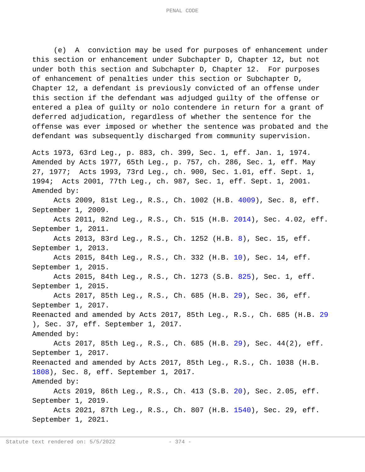(e) A conviction may be used for purposes of enhancement under this section or enhancement under Subchapter D, Chapter 12, but not under both this section and Subchapter D, Chapter 12. For purposes of enhancement of penalties under this section or Subchapter D, Chapter 12, a defendant is previously convicted of an offense under this section if the defendant was adjudged guilty of the offense or entered a plea of guilty or nolo contendere in return for a grant of deferred adjudication, regardless of whether the sentence for the offense was ever imposed or whether the sentence was probated and the defendant was subsequently discharged from community supervision.

Acts 1973, 63rd Leg., p. 883, ch. 399, Sec. 1, eff. Jan. 1, 1974. Amended by Acts 1977, 65th Leg., p. 757, ch. 286, Sec. 1, eff. May 27, 1977; Acts 1993, 73rd Leg., ch. 900, Sec. 1.01, eff. Sept. 1, 1994; Acts 2001, 77th Leg., ch. 987, Sec. 1, eff. Sept. 1, 2001. Amended by: Acts 2009, 81st Leg., R.S., Ch. 1002 (H.B. [4009](http://www.legis.state.tx.us/tlodocs/81R/billtext/html/HB04009F.HTM)), Sec. 8, eff. September 1, 2009. Acts 2011, 82nd Leg., R.S., Ch. 515 (H.B. [2014](http://www.legis.state.tx.us/tlodocs/82R/billtext/html/HB02014F.HTM)), Sec. 4.02, eff. September 1, 2011.

Acts 2013, 83rd Leg., R.S., Ch. 1252 (H.B. [8\)](http://www.legis.state.tx.us/tlodocs/83R/billtext/html/HB00008F.HTM), Sec. 15, eff. September 1, 2013.

Acts 2015, 84th Leg., R.S., Ch. 332 (H.B. [10\)](http://www.legis.state.tx.us/tlodocs/84R/billtext/html/HB00010F.HTM), Sec. 14, eff. September 1, 2015.

Acts 2015, 84th Leg., R.S., Ch. 1273 (S.B. [825](http://www.legis.state.tx.us/tlodocs/84R/billtext/html/SB00825F.HTM)), Sec. 1, eff. September 1, 2015.

Acts 2017, 85th Leg., R.S., Ch. 685 (H.B. [29\)](http://www.legis.state.tx.us/tlodocs/85R/billtext/html/HB00029F.HTM), Sec. 36, eff. September 1, 2017.

Reenacted and amended by Acts 2017, 85th Leg., R.S., Ch. 685 (H.B. [29](http://www.legis.state.tx.us/tlodocs/85R/billtext/html/HB00029F.HTM) ), Sec. 37, eff. September 1, 2017.

Amended by: Acts 2017, 85th Leg., R.S., Ch. 685 (H.B. [29\)](http://www.legis.state.tx.us/tlodocs/85R/billtext/html/HB00029F.HTM), Sec. 44(2), eff. September 1, 2017. Reenacted and amended by Acts 2017, 85th Leg., R.S., Ch. 1038 (H.B. [1808\)](http://www.legis.state.tx.us/tlodocs/85R/billtext/html/HB01808F.HTM), Sec. 8, eff. September 1, 2017. Amended by:

Acts 2019, 86th Leg., R.S., Ch. 413 (S.B. [20\)](http://www.legis.state.tx.us/tlodocs/86R/billtext/html/SB00020F.HTM), Sec. 2.05, eff. September 1, 2019.

Acts 2021, 87th Leg., R.S., Ch. 807 (H.B. [1540](http://www.legis.state.tx.us/tlodocs/87R/billtext/html/HB01540F.HTM)), Sec. 29, eff. September 1, 2021.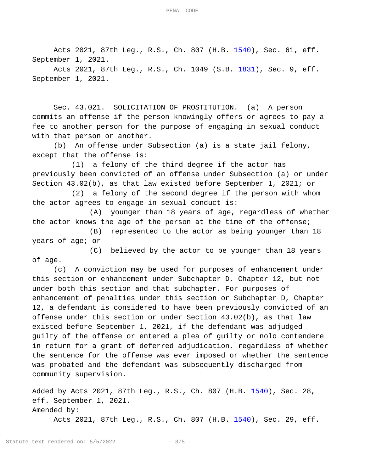Acts 2021, 87th Leg., R.S., Ch. 807 (H.B. [1540](http://www.legis.state.tx.us/tlodocs/87R/billtext/html/HB01540F.HTM)), Sec. 61, eff. September 1, 2021.

Acts 2021, 87th Leg., R.S., Ch. 1049 (S.B. [1831](http://www.legis.state.tx.us/tlodocs/87R/billtext/html/SB01831F.HTM)), Sec. 9, eff. September 1, 2021.

Sec. 43.021. SOLICITATION OF PROSTITUTION. (a) A person commits an offense if the person knowingly offers or agrees to pay a fee to another person for the purpose of engaging in sexual conduct with that person or another.

(b) An offense under Subsection (a) is a state jail felony, except that the offense is:

(1) a felony of the third degree if the actor has previously been convicted of an offense under Subsection (a) or under Section 43.02(b), as that law existed before September 1, 2021; or

(2) a felony of the second degree if the person with whom the actor agrees to engage in sexual conduct is:

(A) younger than 18 years of age, regardless of whether the actor knows the age of the person at the time of the offense;

(B) represented to the actor as being younger than 18 years of age; or

(C) believed by the actor to be younger than 18 years of age.

(c) A conviction may be used for purposes of enhancement under this section or enhancement under Subchapter D, Chapter 12, but not under both this section and that subchapter. For purposes of enhancement of penalties under this section or Subchapter D, Chapter 12, a defendant is considered to have been previously convicted of an offense under this section or under Section 43.02(b), as that law existed before September 1, 2021, if the defendant was adjudged guilty of the offense or entered a plea of guilty or nolo contendere in return for a grant of deferred adjudication, regardless of whether the sentence for the offense was ever imposed or whether the sentence was probated and the defendant was subsequently discharged from community supervision.

Added by Acts 2021, 87th Leg., R.S., Ch. 807 (H.B. [1540](http://www.legis.state.tx.us/tlodocs/87R/billtext/html/HB01540F.HTM)), Sec. 28, eff. September 1, 2021. Amended by: Acts 2021, 87th Leg., R.S., Ch. 807 (H.B. [1540](http://www.legis.state.tx.us/tlodocs/87R/billtext/html/HB01540F.HTM)), Sec. 29, eff.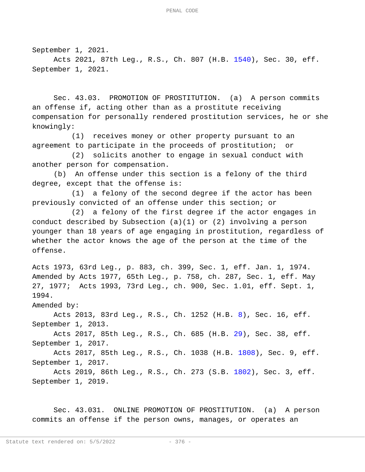September 1, 2021. Acts 2021, 87th Leg., R.S., Ch. 807 (H.B. [1540](http://www.legis.state.tx.us/tlodocs/87R/billtext/html/HB01540F.HTM)), Sec. 30, eff. September 1, 2021.

Sec. 43.03. PROMOTION OF PROSTITUTION. (a) A person commits an offense if, acting other than as a prostitute receiving compensation for personally rendered prostitution services, he or she knowingly:

(1) receives money or other property pursuant to an agreement to participate in the proceeds of prostitution; or

(2) solicits another to engage in sexual conduct with another person for compensation.

(b) An offense under this section is a felony of the third degree, except that the offense is:

(1) a felony of the second degree if the actor has been previously convicted of an offense under this section; or

(2) a felony of the first degree if the actor engages in conduct described by Subsection  $(a)(1)$  or  $(2)$  involving a person younger than 18 years of age engaging in prostitution, regardless of whether the actor knows the age of the person at the time of the offense.

Acts 1973, 63rd Leg., p. 883, ch. 399, Sec. 1, eff. Jan. 1, 1974. Amended by Acts 1977, 65th Leg., p. 758, ch. 287, Sec. 1, eff. May 27, 1977; Acts 1993, 73rd Leg., ch. 900, Sec. 1.01, eff. Sept. 1, 1994.

Amended by:

Acts 2013, 83rd Leg., R.S., Ch. 1252 (H.B. [8\)](http://www.legis.state.tx.us/tlodocs/83R/billtext/html/HB00008F.HTM), Sec. 16, eff. September 1, 2013.

Acts 2017, 85th Leg., R.S., Ch. 685 (H.B. [29\)](http://www.legis.state.tx.us/tlodocs/85R/billtext/html/HB00029F.HTM), Sec. 38, eff. September 1, 2017.

Acts 2017, 85th Leg., R.S., Ch. 1038 (H.B. [1808](http://www.legis.state.tx.us/tlodocs/85R/billtext/html/HB01808F.HTM)), Sec. 9, eff. September 1, 2017.

Acts 2019, 86th Leg., R.S., Ch. 273 (S.B. [1802](http://www.legis.state.tx.us/tlodocs/86R/billtext/html/SB01802F.HTM)), Sec. 3, eff. September 1, 2019.

Sec. 43.031. ONLINE PROMOTION OF PROSTITUTION. (a) A person commits an offense if the person owns, manages, or operates an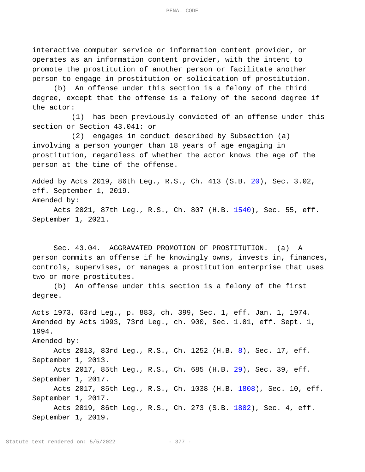interactive computer service or information content provider, or operates as an information content provider, with the intent to promote the prostitution of another person or facilitate another person to engage in prostitution or solicitation of prostitution.

(b) An offense under this section is a felony of the third degree, except that the offense is a felony of the second degree if the actor:

(1) has been previously convicted of an offense under this section or Section 43.041; or

(2) engages in conduct described by Subsection (a) involving a person younger than 18 years of age engaging in prostitution, regardless of whether the actor knows the age of the person at the time of the offense.

Added by Acts 2019, 86th Leg., R.S., Ch. 413 (S.B. [20\)](http://www.legis.state.tx.us/tlodocs/86R/billtext/html/SB00020F.HTM), Sec. 3.02, eff. September 1, 2019. Amended by:

Acts 2021, 87th Leg., R.S., Ch. 807 (H.B. [1540](http://www.legis.state.tx.us/tlodocs/87R/billtext/html/HB01540F.HTM)), Sec. 55, eff. September 1, 2021.

Sec. 43.04. AGGRAVATED PROMOTION OF PROSTITUTION. (a) A person commits an offense if he knowingly owns, invests in, finances, controls, supervises, or manages a prostitution enterprise that uses two or more prostitutes.

(b) An offense under this section is a felony of the first degree.

Acts 1973, 63rd Leg., p. 883, ch. 399, Sec. 1, eff. Jan. 1, 1974. Amended by Acts 1993, 73rd Leg., ch. 900, Sec. 1.01, eff. Sept. 1, 1994.

Amended by:

Acts 2013, 83rd Leg., R.S., Ch. 1252 (H.B. [8\)](http://www.legis.state.tx.us/tlodocs/83R/billtext/html/HB00008F.HTM), Sec. 17, eff. September 1, 2013. Acts 2017, 85th Leg., R.S., Ch. 685 (H.B. [29\)](http://www.legis.state.tx.us/tlodocs/85R/billtext/html/HB00029F.HTM), Sec. 39, eff. September 1, 2017.

Acts 2017, 85th Leg., R.S., Ch. 1038 (H.B. [1808](http://www.legis.state.tx.us/tlodocs/85R/billtext/html/HB01808F.HTM)), Sec. 10, eff. September 1, 2017.

Acts 2019, 86th Leg., R.S., Ch. 273 (S.B. [1802](http://www.legis.state.tx.us/tlodocs/86R/billtext/html/SB01802F.HTM)), Sec. 4, eff. September 1, 2019.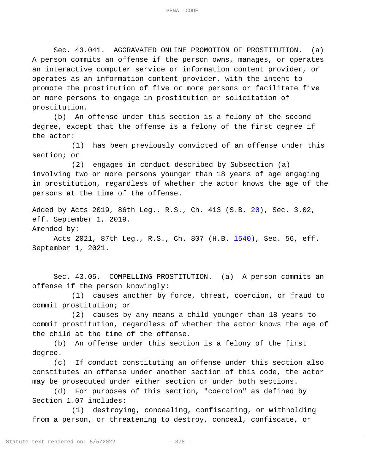Sec. 43.041. AGGRAVATED ONLINE PROMOTION OF PROSTITUTION. (a) A person commits an offense if the person owns, manages, or operates an interactive computer service or information content provider, or operates as an information content provider, with the intent to promote the prostitution of five or more persons or facilitate five or more persons to engage in prostitution or solicitation of prostitution.

(b) An offense under this section is a felony of the second degree, except that the offense is a felony of the first degree if the actor:

(1) has been previously convicted of an offense under this section; or

(2) engages in conduct described by Subsection (a) involving two or more persons younger than 18 years of age engaging in prostitution, regardless of whether the actor knows the age of the persons at the time of the offense.

Added by Acts 2019, 86th Leg., R.S., Ch. 413 (S.B. [20\)](http://www.legis.state.tx.us/tlodocs/86R/billtext/html/SB00020F.HTM), Sec. 3.02, eff. September 1, 2019. Amended by:

Acts 2021, 87th Leg., R.S., Ch. 807 (H.B. [1540](http://www.legis.state.tx.us/tlodocs/87R/billtext/html/HB01540F.HTM)), Sec. 56, eff. September 1, 2021.

Sec. 43.05. COMPELLING PROSTITUTION. (a) A person commits an offense if the person knowingly:

(1) causes another by force, threat, coercion, or fraud to commit prostitution; or

(2) causes by any means a child younger than 18 years to commit prostitution, regardless of whether the actor knows the age of the child at the time of the offense.

(b) An offense under this section is a felony of the first degree.

(c) If conduct constituting an offense under this section also constitutes an offense under another section of this code, the actor may be prosecuted under either section or under both sections.

(d) For purposes of this section, "coercion" as defined by Section 1.07 includes:

(1) destroying, concealing, confiscating, or withholding from a person, or threatening to destroy, conceal, confiscate, or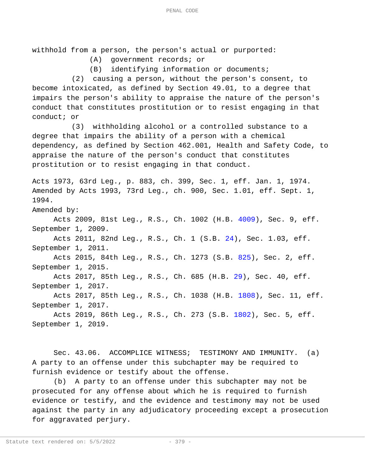withhold from a person, the person's actual or purported:

- (A) government records; or
- (B) identifying information or documents;

(2) causing a person, without the person's consent, to become intoxicated, as defined by Section 49.01, to a degree that impairs the person's ability to appraise the nature of the person's conduct that constitutes prostitution or to resist engaging in that conduct; or

(3) withholding alcohol or a controlled substance to a degree that impairs the ability of a person with a chemical dependency, as defined by Section 462.001, Health and Safety Code, to appraise the nature of the person's conduct that constitutes prostitution or to resist engaging in that conduct.

Acts 1973, 63rd Leg., p. 883, ch. 399, Sec. 1, eff. Jan. 1, 1974. Amended by Acts 1993, 73rd Leg., ch. 900, Sec. 1.01, eff. Sept. 1, 1994.

Amended by:

Acts 2009, 81st Leg., R.S., Ch. 1002 (H.B. [4009](http://www.legis.state.tx.us/tlodocs/81R/billtext/html/HB04009F.HTM)), Sec. 9, eff. September 1, 2009. Acts 2011, 82nd Leg., R.S., Ch. 1 (S.B. [24](http://www.legis.state.tx.us/tlodocs/82R/billtext/html/SB00024F.HTM)), Sec. 1.03, eff. September 1, 2011. Acts 2015, 84th Leg., R.S., Ch. 1273 (S.B. [825](http://www.legis.state.tx.us/tlodocs/84R/billtext/html/SB00825F.HTM)), Sec. 2, eff. September 1, 2015. Acts 2017, 85th Leg., R.S., Ch. 685 (H.B. [29\)](http://www.legis.state.tx.us/tlodocs/85R/billtext/html/HB00029F.HTM), Sec. 40, eff. September 1, 2017. Acts 2017, 85th Leg., R.S., Ch. 1038 (H.B. [1808](http://www.legis.state.tx.us/tlodocs/85R/billtext/html/HB01808F.HTM)), Sec. 11, eff. September 1, 2017. Acts 2019, 86th Leg., R.S., Ch. 273 (S.B. [1802](http://www.legis.state.tx.us/tlodocs/86R/billtext/html/SB01802F.HTM)), Sec. 5, eff. September 1, 2019.

Sec. 43.06. ACCOMPLICE WITNESS; TESTIMONY AND IMMUNITY. (a) A party to an offense under this subchapter may be required to furnish evidence or testify about the offense.

(b) A party to an offense under this subchapter may not be prosecuted for any offense about which he is required to furnish evidence or testify, and the evidence and testimony may not be used against the party in any adjudicatory proceeding except a prosecution for aggravated perjury.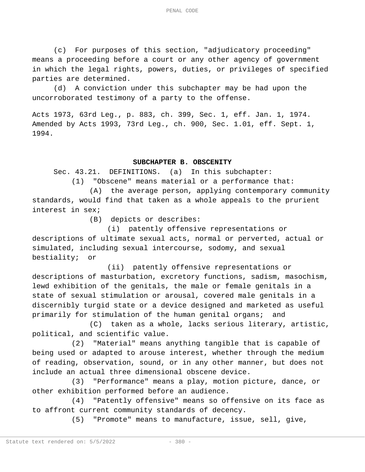(c) For purposes of this section, "adjudicatory proceeding" means a proceeding before a court or any other agency of government in which the legal rights, powers, duties, or privileges of specified parties are determined.

(d) A conviction under this subchapter may be had upon the uncorroborated testimony of a party to the offense.

Acts 1973, 63rd Leg., p. 883, ch. 399, Sec. 1, eff. Jan. 1, 1974. Amended by Acts 1993, 73rd Leg., ch. 900, Sec. 1.01, eff. Sept. 1, 1994.

## **SUBCHAPTER B. OBSCENITY**

Sec. 43.21. DEFINITIONS. (a) In this subchapter:

(1) "Obscene" means material or a performance that:

(A) the average person, applying contemporary community standards, would find that taken as a whole appeals to the prurient interest in sex;

(B) depicts or describes:

(i) patently offensive representations or descriptions of ultimate sexual acts, normal or perverted, actual or simulated, including sexual intercourse, sodomy, and sexual bestiality; or

(ii) patently offensive representations or descriptions of masturbation, excretory functions, sadism, masochism, lewd exhibition of the genitals, the male or female genitals in a state of sexual stimulation or arousal, covered male genitals in a discernibly turgid state or a device designed and marketed as useful primarily for stimulation of the human genital organs; and

(C) taken as a whole, lacks serious literary, artistic, political, and scientific value.

(2) "Material" means anything tangible that is capable of being used or adapted to arouse interest, whether through the medium of reading, observation, sound, or in any other manner, but does not include an actual three dimensional obscene device.

(3) "Performance" means a play, motion picture, dance, or other exhibition performed before an audience.

(4) "Patently offensive" means so offensive on its face as to affront current community standards of decency.

(5) "Promote" means to manufacture, issue, sell, give,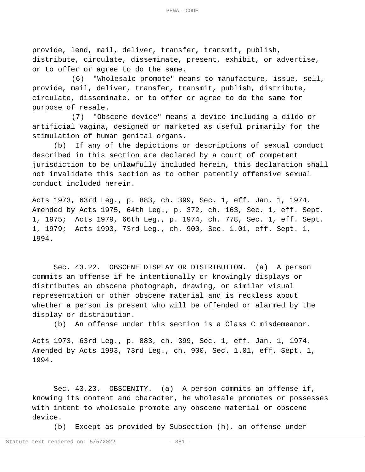provide, lend, mail, deliver, transfer, transmit, publish, distribute, circulate, disseminate, present, exhibit, or advertise, or to offer or agree to do the same.

(6) "Wholesale promote" means to manufacture, issue, sell, provide, mail, deliver, transfer, transmit, publish, distribute, circulate, disseminate, or to offer or agree to do the same for purpose of resale.

(7) "Obscene device" means a device including a dildo or artificial vagina, designed or marketed as useful primarily for the stimulation of human genital organs.

(b) If any of the depictions or descriptions of sexual conduct described in this section are declared by a court of competent jurisdiction to be unlawfully included herein, this declaration shall not invalidate this section as to other patently offensive sexual conduct included herein.

Acts 1973, 63rd Leg., p. 883, ch. 399, Sec. 1, eff. Jan. 1, 1974. Amended by Acts 1975, 64th Leg., p. 372, ch. 163, Sec. 1, eff. Sept. 1, 1975; Acts 1979, 66th Leg., p. 1974, ch. 778, Sec. 1, eff. Sept. 1, 1979; Acts 1993, 73rd Leg., ch. 900, Sec. 1.01, eff. Sept. 1, 1994.

Sec. 43.22. OBSCENE DISPLAY OR DISTRIBUTION. (a) A person commits an offense if he intentionally or knowingly displays or distributes an obscene photograph, drawing, or similar visual representation or other obscene material and is reckless about whether a person is present who will be offended or alarmed by the display or distribution.

(b) An offense under this section is a Class C misdemeanor.

Acts 1973, 63rd Leg., p. 883, ch. 399, Sec. 1, eff. Jan. 1, 1974. Amended by Acts 1993, 73rd Leg., ch. 900, Sec. 1.01, eff. Sept. 1, 1994.

Sec. 43.23. OBSCENITY. (a) A person commits an offense if, knowing its content and character, he wholesale promotes or possesses with intent to wholesale promote any obscene material or obscene device.

(b) Except as provided by Subsection (h), an offense under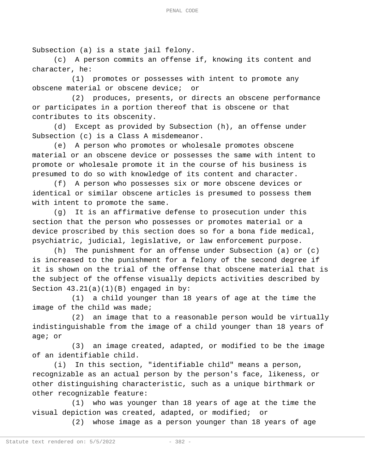Subsection (a) is a state jail felony.

(c) A person commits an offense if, knowing its content and character, he:

(1) promotes or possesses with intent to promote any obscene material or obscene device; or

(2) produces, presents, or directs an obscene performance or participates in a portion thereof that is obscene or that contributes to its obscenity.

(d) Except as provided by Subsection (h), an offense under Subsection (c) is a Class A misdemeanor.

(e) A person who promotes or wholesale promotes obscene material or an obscene device or possesses the same with intent to promote or wholesale promote it in the course of his business is presumed to do so with knowledge of its content and character.

(f) A person who possesses six or more obscene devices or identical or similar obscene articles is presumed to possess them with intent to promote the same.

(g) It is an affirmative defense to prosecution under this section that the person who possesses or promotes material or a device proscribed by this section does so for a bona fide medical, psychiatric, judicial, legislative, or law enforcement purpose.

(h) The punishment for an offense under Subsection (a) or (c) is increased to the punishment for a felony of the second degree if it is shown on the trial of the offense that obscene material that is the subject of the offense visually depicts activities described by Section  $43.21(a)(1)(B)$  engaged in by:

(1) a child younger than 18 years of age at the time the image of the child was made;

(2) an image that to a reasonable person would be virtually indistinguishable from the image of a child younger than 18 years of age; or

(3) an image created, adapted, or modified to be the image of an identifiable child.

(i) In this section, "identifiable child" means a person, recognizable as an actual person by the person's face, likeness, or other distinguishing characteristic, such as a unique birthmark or other recognizable feature:

(1) who was younger than 18 years of age at the time the visual depiction was created, adapted, or modified; or

(2) whose image as a person younger than 18 years of age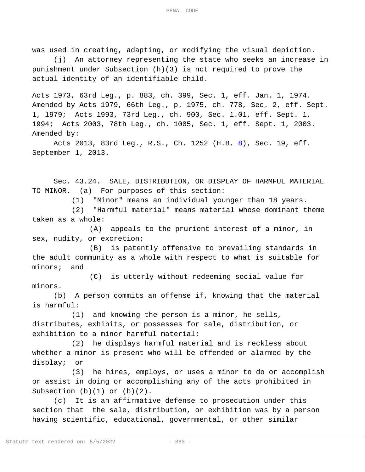was used in creating, adapting, or modifying the visual depiction.

(j) An attorney representing the state who seeks an increase in punishment under Subsection (h)(3) is not required to prove the actual identity of an identifiable child.

Acts 1973, 63rd Leg., p. 883, ch. 399, Sec. 1, eff. Jan. 1, 1974. Amended by Acts 1979, 66th Leg., p. 1975, ch. 778, Sec. 2, eff. Sept. 1, 1979; Acts 1993, 73rd Leg., ch. 900, Sec. 1.01, eff. Sept. 1, 1994; Acts 2003, 78th Leg., ch. 1005, Sec. 1, eff. Sept. 1, 2003. Amended by:

Acts 2013, 83rd Leg., R.S., Ch. 1252 (H.B. [8\)](http://www.legis.state.tx.us/tlodocs/83R/billtext/html/HB00008F.HTM), Sec. 19, eff. September 1, 2013.

Sec. 43.24. SALE, DISTRIBUTION, OR DISPLAY OF HARMFUL MATERIAL TO MINOR. (a) For purposes of this section:

(1) "Minor" means an individual younger than 18 years.

(2) "Harmful material" means material whose dominant theme taken as a whole:

(A) appeals to the prurient interest of a minor, in sex, nudity, or excretion;

(B) is patently offensive to prevailing standards in the adult community as a whole with respect to what is suitable for minors; and

(C) is utterly without redeeming social value for minors.

(b) A person commits an offense if, knowing that the material is harmful:

(1) and knowing the person is a minor, he sells, distributes, exhibits, or possesses for sale, distribution, or exhibition to a minor harmful material;

(2) he displays harmful material and is reckless about whether a minor is present who will be offended or alarmed by the display; or

(3) he hires, employs, or uses a minor to do or accomplish or assist in doing or accomplishing any of the acts prohibited in Subsection  $(b)(1)$  or  $(b)(2)$ .

(c) It is an affirmative defense to prosecution under this section that the sale, distribution, or exhibition was by a person having scientific, educational, governmental, or other similar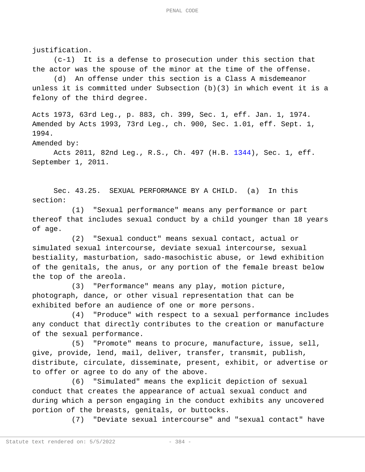justification.

(c-1) It is a defense to prosecution under this section that the actor was the spouse of the minor at the time of the offense.

(d) An offense under this section is a Class A misdemeanor unless it is committed under Subsection (b)(3) in which event it is a felony of the third degree.

Acts 1973, 63rd Leg., p. 883, ch. 399, Sec. 1, eff. Jan. 1, 1974. Amended by Acts 1993, 73rd Leg., ch. 900, Sec. 1.01, eff. Sept. 1, 1994.

Amended by:

Acts 2011, 82nd Leg., R.S., Ch. 497 (H.B. [1344](http://www.legis.state.tx.us/tlodocs/82R/billtext/html/HB01344F.HTM)), Sec. 1, eff. September 1, 2011.

Sec. 43.25. SEXUAL PERFORMANCE BY A CHILD. (a) In this section:

(1) "Sexual performance" means any performance or part thereof that includes sexual conduct by a child younger than 18 years of age.

(2) "Sexual conduct" means sexual contact, actual or simulated sexual intercourse, deviate sexual intercourse, sexual bestiality, masturbation, sado-masochistic abuse, or lewd exhibition of the genitals, the anus, or any portion of the female breast below the top of the areola.

(3) "Performance" means any play, motion picture, photograph, dance, or other visual representation that can be exhibited before an audience of one or more persons.

(4) "Produce" with respect to a sexual performance includes any conduct that directly contributes to the creation or manufacture of the sexual performance.

(5) "Promote" means to procure, manufacture, issue, sell, give, provide, lend, mail, deliver, transfer, transmit, publish, distribute, circulate, disseminate, present, exhibit, or advertise or to offer or agree to do any of the above.

(6) "Simulated" means the explicit depiction of sexual conduct that creates the appearance of actual sexual conduct and during which a person engaging in the conduct exhibits any uncovered portion of the breasts, genitals, or buttocks.

(7) "Deviate sexual intercourse" and "sexual contact" have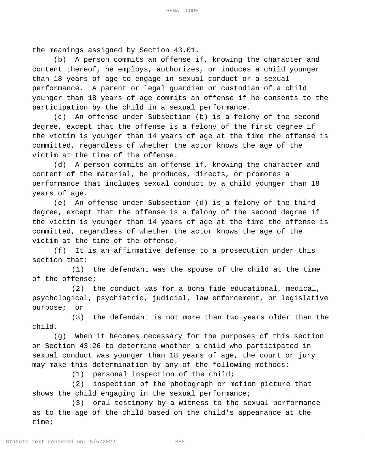the meanings assigned by Section 43.01.

(b) A person commits an offense if, knowing the character and content thereof, he employs, authorizes, or induces a child younger than 18 years of age to engage in sexual conduct or a sexual performance. A parent or legal guardian or custodian of a child younger than 18 years of age commits an offense if he consents to the participation by the child in a sexual performance.

(c) An offense under Subsection (b) is a felony of the second degree, except that the offense is a felony of the first degree if the victim is younger than 14 years of age at the time the offense is committed, regardless of whether the actor knows the age of the victim at the time of the offense.

(d) A person commits an offense if, knowing the character and content of the material, he produces, directs, or promotes a performance that includes sexual conduct by a child younger than 18 years of age.

(e) An offense under Subsection (d) is a felony of the third degree, except that the offense is a felony of the second degree if the victim is younger than 14 years of age at the time the offense is committed, regardless of whether the actor knows the age of the victim at the time of the offense.

(f) It is an affirmative defense to a prosecution under this section that:

(1) the defendant was the spouse of the child at the time of the offense;

(2) the conduct was for a bona fide educational, medical, psychological, psychiatric, judicial, law enforcement, or legislative purpose; or

(3) the defendant is not more than two years older than the child.

(g) When it becomes necessary for the purposes of this section or Section 43.26 to determine whether a child who participated in sexual conduct was younger than 18 years of age, the court or jury may make this determination by any of the following methods:

(1) personal inspection of the child;

(2) inspection of the photograph or motion picture that shows the child engaging in the sexual performance;

(3) oral testimony by a witness to the sexual performance as to the age of the child based on the child's appearance at the time;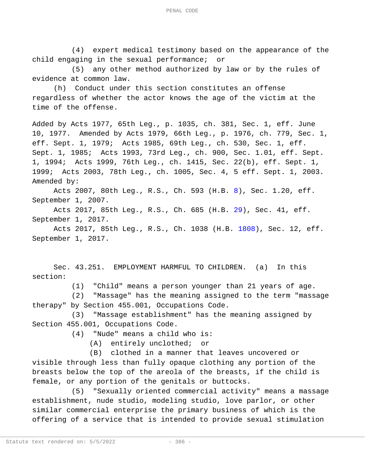(4) expert medical testimony based on the appearance of the child engaging in the sexual performance; or

(5) any other method authorized by law or by the rules of evidence at common law.

(h) Conduct under this section constitutes an offense regardless of whether the actor knows the age of the victim at the time of the offense.

Added by Acts 1977, 65th Leg., p. 1035, ch. 381, Sec. 1, eff. June 10, 1977. Amended by Acts 1979, 66th Leg., p. 1976, ch. 779, Sec. 1, eff. Sept. 1, 1979; Acts 1985, 69th Leg., ch. 530, Sec. 1, eff. Sept. 1, 1985; Acts 1993, 73rd Leg., ch. 900, Sec. 1.01, eff. Sept. 1, 1994; Acts 1999, 76th Leg., ch. 1415, Sec. 22(b), eff. Sept. 1, 1999; Acts 2003, 78th Leg., ch. 1005, Sec. 4, 5 eff. Sept. 1, 2003. Amended by:

Acts 2007, 80th Leg., R.S., Ch. 593 (H.B. [8\)](http://www.legis.state.tx.us/tlodocs/80R/billtext/html/HB00008F.HTM), Sec. 1.20, eff. September 1, 2007.

Acts 2017, 85th Leg., R.S., Ch. 685 (H.B. [29\)](http://www.legis.state.tx.us/tlodocs/85R/billtext/html/HB00029F.HTM), Sec. 41, eff. September 1, 2017.

Acts 2017, 85th Leg., R.S., Ch. 1038 (H.B. [1808](http://www.legis.state.tx.us/tlodocs/85R/billtext/html/HB01808F.HTM)), Sec. 12, eff. September 1, 2017.

Sec. 43.251. EMPLOYMENT HARMFUL TO CHILDREN. (a) In this section:

(1) "Child" means a person younger than 21 years of age.

(2) "Massage" has the meaning assigned to the term "massage therapy" by Section 455.001, Occupations Code.

(3) "Massage establishment" has the meaning assigned by Section 455.001, Occupations Code.

(4) "Nude" means a child who is:

(A) entirely unclothed; or

(B) clothed in a manner that leaves uncovered or visible through less than fully opaque clothing any portion of the breasts below the top of the areola of the breasts, if the child is female, or any portion of the genitals or buttocks.

(5) "Sexually oriented commercial activity" means a massage establishment, nude studio, modeling studio, love parlor, or other similar commercial enterprise the primary business of which is the offering of a service that is intended to provide sexual stimulation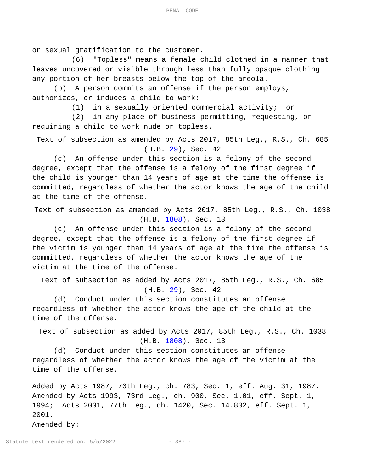or sexual gratification to the customer.

(6) "Topless" means a female child clothed in a manner that leaves uncovered or visible through less than fully opaque clothing any portion of her breasts below the top of the areola.

(b) A person commits an offense if the person employs, authorizes, or induces a child to work:

(1) in a sexually oriented commercial activity; or

(2) in any place of business permitting, requesting, or requiring a child to work nude or topless.

Text of subsection as amended by Acts 2017, 85th Leg., R.S., Ch. 685 (H.B. [29\)](https://capitol.texas.gov/tlodocs/85R/billtext/html/HB00029F.HTM), Sec. 42

(c) An offense under this section is a felony of the second degree, except that the offense is a felony of the first degree if the child is younger than 14 years of age at the time the offense is committed, regardless of whether the actor knows the age of the child at the time of the offense.

Text of subsection as amended by Acts 2017, 85th Leg., R.S., Ch. 1038 (H.B. [1808](https://capitol.texas.gov/tlodocs/85R/billtext/html/HB01808F.HTM)), Sec. 13

(c) An offense under this section is a felony of the second degree, except that the offense is a felony of the first degree if the victim is younger than 14 years of age at the time the offense is committed, regardless of whether the actor knows the age of the victim at the time of the offense.

Text of subsection as added by Acts 2017, 85th Leg., R.S., Ch. 685 (H.B. [29\)](https://capitol.texas.gov/tlodocs/85R/billtext/html/HB00029F.HTM), Sec. 42

(d) Conduct under this section constitutes an offense regardless of whether the actor knows the age of the child at the time of the offense.

Text of subsection as added by Acts 2017, 85th Leg., R.S., Ch. 1038 (H.B. [1808](https://capitol.texas.gov/tlodocs/85R/billtext/html/HB01808F.HTM)), Sec. 13

(d) Conduct under this section constitutes an offense regardless of whether the actor knows the age of the victim at the time of the offense.

Added by Acts 1987, 70th Leg., ch. 783, Sec. 1, eff. Aug. 31, 1987. Amended by Acts 1993, 73rd Leg., ch. 900, Sec. 1.01, eff. Sept. 1, 1994; Acts 2001, 77th Leg., ch. 1420, Sec. 14.832, eff. Sept. 1, 2001. Amended by: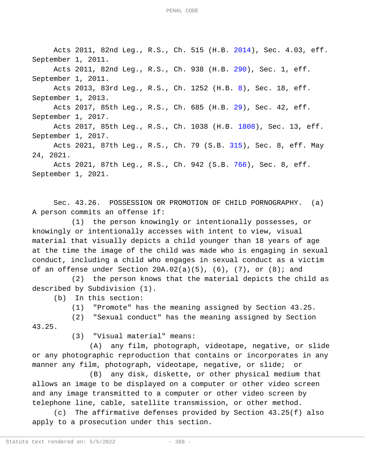Acts 2011, 82nd Leg., R.S., Ch. 515 (H.B. [2014](http://www.legis.state.tx.us/tlodocs/82R/billtext/html/HB02014F.HTM)), Sec. 4.03, eff. September 1, 2011. Acts 2011, 82nd Leg., R.S., Ch. 938 (H.B. [290](http://www.legis.state.tx.us/tlodocs/82R/billtext/html/HB00290F.HTM)), Sec. 1, eff. September 1, 2011. Acts 2013, 83rd Leg., R.S., Ch. 1252 (H.B. [8\)](http://www.legis.state.tx.us/tlodocs/83R/billtext/html/HB00008F.HTM), Sec. 18, eff. September 1, 2013. Acts 2017, 85th Leg., R.S., Ch. 685 (H.B. [29\)](http://www.legis.state.tx.us/tlodocs/85R/billtext/html/HB00029F.HTM), Sec. 42, eff. September 1, 2017. Acts 2017, 85th Leg., R.S., Ch. 1038 (H.B. [1808](http://www.legis.state.tx.us/tlodocs/85R/billtext/html/HB01808F.HTM)), Sec. 13, eff. September 1, 2017. Acts 2021, 87th Leg., R.S., Ch. 79 (S.B. [315\)](http://www.legis.state.tx.us/tlodocs/87R/billtext/html/SB00315F.HTM), Sec. 8, eff. May 24, 2021. Acts 2021, 87th Leg., R.S., Ch. 942 (S.B. [766](http://www.legis.state.tx.us/tlodocs/87R/billtext/html/SB00766F.HTM)), Sec. 8, eff. September 1, 2021.

Sec. 43.26. POSSESSION OR PROMOTION OF CHILD PORNOGRAPHY. (a) A person commits an offense if:

(1) the person knowingly or intentionally possesses, or knowingly or intentionally accesses with intent to view, visual material that visually depicts a child younger than 18 years of age at the time the image of the child was made who is engaging in sexual conduct, including a child who engages in sexual conduct as a victim of an offense under Section 20A.02(a)(5), (6), (7), or  $(8)$ ; and

(2) the person knows that the material depicts the child as described by Subdivision (1).

(b) In this section:

(1) "Promote" has the meaning assigned by Section 43.25.

(2) "Sexual conduct" has the meaning assigned by Section 43.25.

(3) "Visual material" means:

(A) any film, photograph, videotape, negative, or slide or any photographic reproduction that contains or incorporates in any manner any film, photograph, videotape, negative, or slide; or

(B) any disk, diskette, or other physical medium that allows an image to be displayed on a computer or other video screen and any image transmitted to a computer or other video screen by telephone line, cable, satellite transmission, or other method.

(c) The affirmative defenses provided by Section 43.25(f) also apply to a prosecution under this section.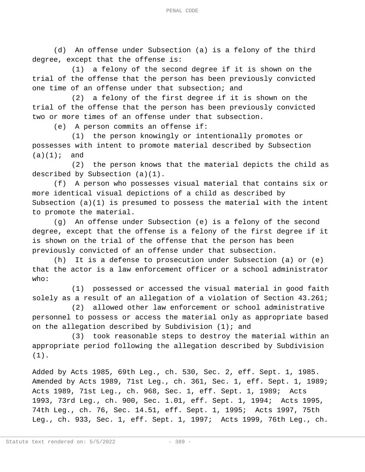(d) An offense under Subsection (a) is a felony of the third degree, except that the offense is:

(1) a felony of the second degree if it is shown on the trial of the offense that the person has been previously convicted one time of an offense under that subsection; and

(2) a felony of the first degree if it is shown on the trial of the offense that the person has been previously convicted two or more times of an offense under that subsection.

(e) A person commits an offense if:

(1) the person knowingly or intentionally promotes or possesses with intent to promote material described by Subsection  $(a)(1);$  and

(2) the person knows that the material depicts the child as described by Subsection (a)(1).

(f) A person who possesses visual material that contains six or more identical visual depictions of a child as described by Subsection  $(a)(1)$  is presumed to possess the material with the intent to promote the material.

(g) An offense under Subsection (e) is a felony of the second degree, except that the offense is a felony of the first degree if it is shown on the trial of the offense that the person has been previously convicted of an offense under that subsection.

(h) It is a defense to prosecution under Subsection (a) or (e) that the actor is a law enforcement officer or a school administrator who:

(1) possessed or accessed the visual material in good faith solely as a result of an allegation of a violation of Section 43.261;

(2) allowed other law enforcement or school administrative personnel to possess or access the material only as appropriate based on the allegation described by Subdivision (1); and

(3) took reasonable steps to destroy the material within an appropriate period following the allegation described by Subdivision (1).

Added by Acts 1985, 69th Leg., ch. 530, Sec. 2, eff. Sept. 1, 1985. Amended by Acts 1989, 71st Leg., ch. 361, Sec. 1, eff. Sept. 1, 1989; Acts 1989, 71st Leg., ch. 968, Sec. 1, eff. Sept. 1, 1989; Acts 1993, 73rd Leg., ch. 900, Sec. 1.01, eff. Sept. 1, 1994; Acts 1995, 74th Leg., ch. 76, Sec. 14.51, eff. Sept. 1, 1995; Acts 1997, 75th Leg., ch. 933, Sec. 1, eff. Sept. 1, 1997; Acts 1999, 76th Leg., ch.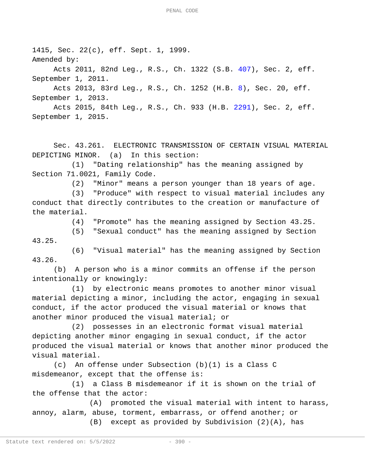1415, Sec. 22(c), eff. Sept. 1, 1999. Amended by: Acts 2011, 82nd Leg., R.S., Ch. 1322 (S.B. [407](http://www.legis.state.tx.us/tlodocs/82R/billtext/html/SB00407F.HTM)), Sec. 2, eff. September 1, 2011. Acts 2013, 83rd Leg., R.S., Ch. 1252 (H.B. [8\)](http://www.legis.state.tx.us/tlodocs/83R/billtext/html/HB00008F.HTM), Sec. 20, eff.

September 1, 2013.

Acts 2015, 84th Leg., R.S., Ch. 933 (H.B. [2291](http://www.legis.state.tx.us/tlodocs/84R/billtext/html/HB02291F.HTM)), Sec. 2, eff. September 1, 2015.

Sec. 43.261. ELECTRONIC TRANSMISSION OF CERTAIN VISUAL MATERIAL DEPICTING MINOR. (a) In this section:

(1) "Dating relationship" has the meaning assigned by Section 71.0021, Family Code.

(2) "Minor" means a person younger than 18 years of age.

(3) "Produce" with respect to visual material includes any conduct that directly contributes to the creation or manufacture of the material.

(4) "Promote" has the meaning assigned by Section 43.25.

(5) "Sexual conduct" has the meaning assigned by Section 43.25.

(6) "Visual material" has the meaning assigned by Section 43.26.

(b) A person who is a minor commits an offense if the person intentionally or knowingly:

(1) by electronic means promotes to another minor visual material depicting a minor, including the actor, engaging in sexual conduct, if the actor produced the visual material or knows that another minor produced the visual material; or

(2) possesses in an electronic format visual material depicting another minor engaging in sexual conduct, if the actor produced the visual material or knows that another minor produced the visual material.

(c) An offense under Subsection (b)(1) is a Class C misdemeanor, except that the offense is:

(1) a Class B misdemeanor if it is shown on the trial of the offense that the actor:

(A) promoted the visual material with intent to harass, annoy, alarm, abuse, torment, embarrass, or offend another; or (B) except as provided by Subdivision (2)(A), has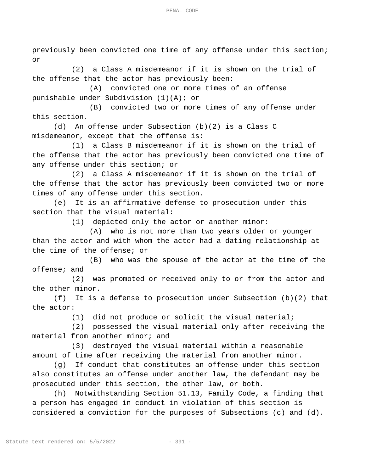previously been convicted one time of any offense under this section; or

(2) a Class A misdemeanor if it is shown on the trial of the offense that the actor has previously been:

(A) convicted one or more times of an offense punishable under Subdivision (1)(A); or

(B) convicted two or more times of any offense under this section.

(d) An offense under Subsection (b)(2) is a Class C misdemeanor, except that the offense is:

(1) a Class B misdemeanor if it is shown on the trial of the offense that the actor has previously been convicted one time of any offense under this section; or

(2) a Class A misdemeanor if it is shown on the trial of the offense that the actor has previously been convicted two or more times of any offense under this section.

(e) It is an affirmative defense to prosecution under this section that the visual material:

(1) depicted only the actor or another minor:

(A) who is not more than two years older or younger than the actor and with whom the actor had a dating relationship at the time of the offense; or

(B) who was the spouse of the actor at the time of the offense; and

(2) was promoted or received only to or from the actor and the other minor.

(f) It is a defense to prosecution under Subsection (b)(2) that the actor:

(1) did not produce or solicit the visual material;

(2) possessed the visual material only after receiving the material from another minor; and

(3) destroyed the visual material within a reasonable amount of time after receiving the material from another minor.

(g) If conduct that constitutes an offense under this section also constitutes an offense under another law, the defendant may be prosecuted under this section, the other law, or both.

(h) Notwithstanding Section 51.13, Family Code, a finding that a person has engaged in conduct in violation of this section is considered a conviction for the purposes of Subsections (c) and (d).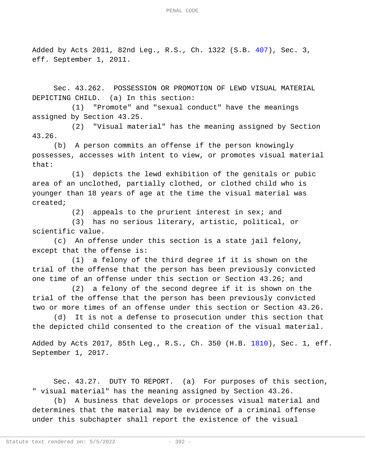Added by Acts 2011, 82nd Leg., R.S., Ch. 1322 (S.B. [407](http://www.legis.state.tx.us/tlodocs/82R/billtext/html/SB00407F.HTM)), Sec. 3, eff. September 1, 2011.

Sec. 43.262. POSSESSION OR PROMOTION OF LEWD VISUAL MATERIAL DEPICTING CHILD. (a) In this section:

(1) "Promote" and "sexual conduct" have the meanings assigned by Section 43.25.

(2) "Visual material" has the meaning assigned by Section 43.26.

(b) A person commits an offense if the person knowingly possesses, accesses with intent to view, or promotes visual material that:

(1) depicts the lewd exhibition of the genitals or pubic area of an unclothed, partially clothed, or clothed child who is younger than 18 years of age at the time the visual material was created;

(2) appeals to the prurient interest in sex; and

(3) has no serious literary, artistic, political, or scientific value.

(c) An offense under this section is a state jail felony, except that the offense is:

(1) a felony of the third degree if it is shown on the trial of the offense that the person has been previously convicted one time of an offense under this section or Section 43.26; and

(2) a felony of the second degree if it is shown on the trial of the offense that the person has been previously convicted two or more times of an offense under this section or Section 43.26.

(d) It is not a defense to prosecution under this section that the depicted child consented to the creation of the visual material.

Added by Acts 2017, 85th Leg., R.S., Ch. 350 (H.B. [1810](http://www.legis.state.tx.us/tlodocs/85R/billtext/html/HB01810F.HTM)), Sec. 1, eff. September 1, 2017.

Sec. 43.27. DUTY TO REPORT. (a) For purposes of this section, " visual material" has the meaning assigned by Section 43.26.

(b) A business that develops or processes visual material and determines that the material may be evidence of a criminal offense under this subchapter shall report the existence of the visual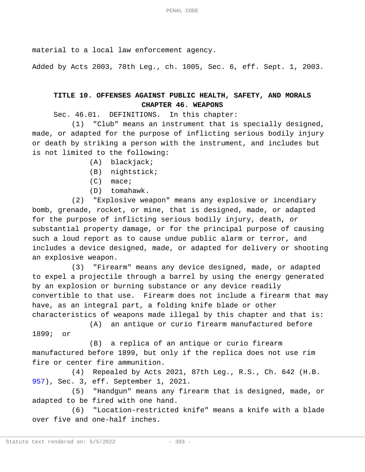material to a local law enforcement agency.

Added by Acts 2003, 78th Leg., ch. 1005, Sec. 6, eff. Sept. 1, 2003.

## **TITLE 10. OFFENSES AGAINST PUBLIC HEALTH, SAFETY, AND MORALS CHAPTER 46. WEAPONS**

Sec. 46.01. DEFINITIONS. In this chapter:

(1) "Club" means an instrument that is specially designed, made, or adapted for the purpose of inflicting serious bodily injury or death by striking a person with the instrument, and includes but is not limited to the following:

- (A) blackjack;
- (B) nightstick;
- (C) mace;
- (D) tomahawk.

(2) "Explosive weapon" means any explosive or incendiary bomb, grenade, rocket, or mine, that is designed, made, or adapted for the purpose of inflicting serious bodily injury, death, or substantial property damage, or for the principal purpose of causing such a loud report as to cause undue public alarm or terror, and includes a device designed, made, or adapted for delivery or shooting an explosive weapon.

(3) "Firearm" means any device designed, made, or adapted to expel a projectile through a barrel by using the energy generated by an explosion or burning substance or any device readily convertible to that use. Firearm does not include a firearm that may have, as an integral part, a folding knife blade or other characteristics of weapons made illegal by this chapter and that is:

(A) an antique or curio firearm manufactured before 1899; or

(B) a replica of an antique or curio firearm manufactured before 1899, but only if the replica does not use rim fire or center fire ammunition.

(4) Repealed by Acts 2021, 87th Leg., R.S., Ch. 642 (H.B. [957\)](https://capitol.texas.gov/tlodocs/87R/billtext/html/HB00957F.HTM), Sec. 3, eff. September 1, 2021.

(5) "Handgun" means any firearm that is designed, made, or adapted to be fired with one hand.

(6) "Location-restricted knife" means a knife with a blade over five and one-half inches.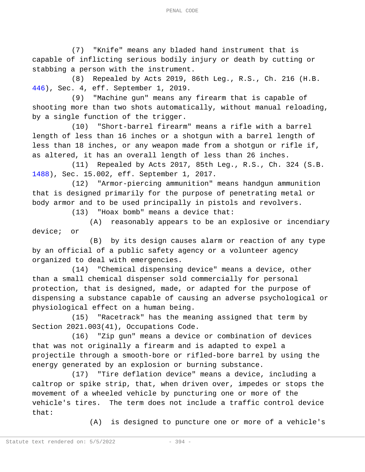(7) "Knife" means any bladed hand instrument that is capable of inflicting serious bodily injury or death by cutting or stabbing a person with the instrument.

(8) Repealed by Acts 2019, 86th Leg., R.S., Ch. 216 (H.B. [446\)](https://capitol.texas.gov/tlodocs/86R/billtext/html/HB00446F.HTM), Sec. 4, eff. September 1, 2019.

(9) "Machine gun" means any firearm that is capable of shooting more than two shots automatically, without manual reloading, by a single function of the trigger.

(10) "Short-barrel firearm" means a rifle with a barrel length of less than 16 inches or a shotgun with a barrel length of less than 18 inches, or any weapon made from a shotgun or rifle if, as altered, it has an overall length of less than 26 inches.

(11) Repealed by Acts 2017, 85th Leg., R.S., Ch. 324 (S.B. [1488\)](https://capitol.texas.gov/tlodocs/85R/billtext/html/SB01488F.HTM), Sec. 15.002, eff. September 1, 2017.

(12) "Armor-piercing ammunition" means handgun ammunition that is designed primarily for the purpose of penetrating metal or body armor and to be used principally in pistols and revolvers.

(13) "Hoax bomb" means a device that:

(A) reasonably appears to be an explosive or incendiary device; or

(B) by its design causes alarm or reaction of any type by an official of a public safety agency or a volunteer agency organized to deal with emergencies.

(14) "Chemical dispensing device" means a device, other than a small chemical dispenser sold commercially for personal protection, that is designed, made, or adapted for the purpose of dispensing a substance capable of causing an adverse psychological or physiological effect on a human being.

(15) "Racetrack" has the meaning assigned that term by Section 2021.003(41), Occupations Code.

(16) "Zip gun" means a device or combination of devices that was not originally a firearm and is adapted to expel a projectile through a smooth-bore or rifled-bore barrel by using the energy generated by an explosion or burning substance.

(17) "Tire deflation device" means a device, including a caltrop or spike strip, that, when driven over, impedes or stops the movement of a wheeled vehicle by puncturing one or more of the vehicle's tires. The term does not include a traffic control device that:

(A) is designed to puncture one or more of a vehicle's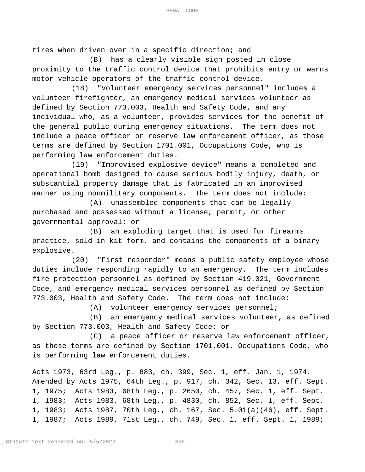tires when driven over in a specific direction; and

(B) has a clearly visible sign posted in close proximity to the traffic control device that prohibits entry or warns motor vehicle operators of the traffic control device.

(18) "Volunteer emergency services personnel" includes a volunteer firefighter, an emergency medical services volunteer as defined by Section 773.003, Health and Safety Code, and any individual who, as a volunteer, provides services for the benefit of the general public during emergency situations. The term does not include a peace officer or reserve law enforcement officer, as those terms are defined by Section 1701.001, Occupations Code, who is performing law enforcement duties.

(19) "Improvised explosive device" means a completed and operational bomb designed to cause serious bodily injury, death, or substantial property damage that is fabricated in an improvised manner using nonmilitary components. The term does not include:

(A) unassembled components that can be legally purchased and possessed without a license, permit, or other governmental approval; or

(B) an exploding target that is used for firearms practice, sold in kit form, and contains the components of a binary explosive.

(20) "First responder" means a public safety employee whose duties include responding rapidly to an emergency. The term includes fire protection personnel as defined by Section 419.021, Government Code, and emergency medical services personnel as defined by Section 773.003, Health and Safety Code. The term does not include:

(A) volunteer emergency services personnel;

(B) an emergency medical services volunteer, as defined by Section 773.003, Health and Safety Code; or

(C) a peace officer or reserve law enforcement officer, as those terms are defined by Section 1701.001, Occupations Code, who is performing law enforcement duties.

Acts 1973, 63rd Leg., p. 883, ch. 399, Sec. 1, eff. Jan. 1, 1974. Amended by Acts 1975, 64th Leg., p. 917, ch. 342, Sec. 13, eff. Sept. 1, 1975; Acts 1983, 68th Leg., p. 2650, ch. 457, Sec. 1, eff. Sept. 1, 1983; Acts 1983, 68th Leg., p. 4830, ch. 852, Sec. 1, eff. Sept. 1, 1983; Acts 1987, 70th Leg., ch. 167, Sec. 5.01(a)(46), eff. Sept. 1, 1987; Acts 1989, 71st Leg., ch. 749, Sec. 1, eff. Sept. 1, 1989;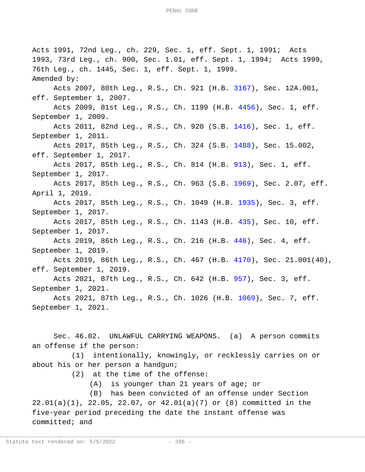Acts 1991, 72nd Leg., ch. 229, Sec. 1, eff. Sept. 1, 1991; Acts 1993, 73rd Leg., ch. 900, Sec. 1.01, eff. Sept. 1, 1994; Acts 1999, 76th Leg., ch. 1445, Sec. 1, eff. Sept. 1, 1999. Amended by: Acts 2007, 80th Leg., R.S., Ch. 921 (H.B. [3167](http://www.legis.state.tx.us/tlodocs/80R/billtext/html/HB03167F.HTM)), Sec. 12A.001, eff. September 1, 2007. Acts 2009, 81st Leg., R.S., Ch. 1199 (H.B. [4456](http://www.legis.state.tx.us/tlodocs/81R/billtext/html/HB04456F.HTM)), Sec. 1, eff. September 1, 2009. Acts 2011, 82nd Leg., R.S., Ch. 920 (S.B. [1416](http://www.legis.state.tx.us/tlodocs/82R/billtext/html/SB01416F.HTM)), Sec. 1, eff. September 1, 2011. Acts 2017, 85th Leg., R.S., Ch. 324 (S.B. [1488](http://www.legis.state.tx.us/tlodocs/85R/billtext/html/SB01488F.HTM)), Sec. 15.002, eff. September 1, 2017. Acts 2017, 85th Leg., R.S., Ch. 814 (H.B. [913](http://www.legis.state.tx.us/tlodocs/85R/billtext/html/HB00913F.HTM)), Sec. 1, eff. September 1, 2017. Acts 2017, 85th Leg., R.S., Ch. 963 (S.B. [1969](http://www.legis.state.tx.us/tlodocs/85R/billtext/html/SB01969F.HTM)), Sec. 2.07, eff. April 1, 2019. Acts 2017, 85th Leg., R.S., Ch. 1049 (H.B. [1935](http://www.legis.state.tx.us/tlodocs/85R/billtext/html/HB01935F.HTM)), Sec. 3, eff. September 1, 2017. Acts 2017, 85th Leg., R.S., Ch. 1143 (H.B. [435](http://www.legis.state.tx.us/tlodocs/85R/billtext/html/HB00435F.HTM)), Sec. 10, eff. September 1, 2017. Acts 2019, 86th Leg., R.S., Ch. 216 (H.B. [446](http://www.legis.state.tx.us/tlodocs/86R/billtext/html/HB00446F.HTM)), Sec. 4, eff. September 1, 2019. Acts 2019, 86th Leg., R.S., Ch. 467 (H.B. [4170](http://www.legis.state.tx.us/tlodocs/86R/billtext/html/HB04170F.HTM)), Sec. 21.001(40), eff. September 1, 2019. Acts 2021, 87th Leg., R.S., Ch. 642 (H.B. [957](http://www.legis.state.tx.us/tlodocs/87R/billtext/html/HB00957F.HTM)), Sec. 3, eff. September 1, 2021. Acts 2021, 87th Leg., R.S., Ch. 1026 (H.B. [1069](http://www.legis.state.tx.us/tlodocs/87R/billtext/html/HB01069F.HTM)), Sec. 7, eff. September 1, 2021.

Sec. 46.02. UNLAWFUL CARRYING WEAPONS. (a) A person commits an offense if the person:

(1) intentionally, knowingly, or recklessly carries on or about his or her person a handgun;

(2) at the time of the offense:

(A) is younger than 21 years of age; or

(B) has been convicted of an offense under Section 22.01(a)(1), 22.05, 22.07, or 42.01(a)(7) or (8) committed in the five-year period preceding the date the instant offense was committed; and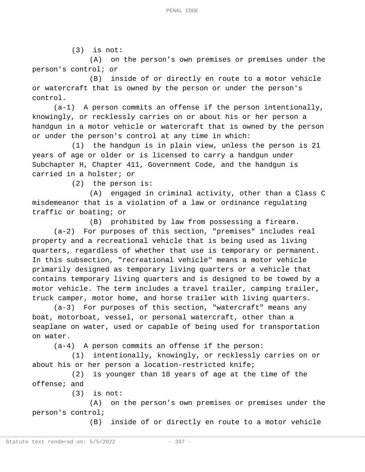(3) is not:

(A) on the person's own premises or premises under the person's control; or

(B) inside of or directly en route to a motor vehicle or watercraft that is owned by the person or under the person's control.

(a-1) A person commits an offense if the person intentionally, knowingly, or recklessly carries on or about his or her person a handgun in a motor vehicle or watercraft that is owned by the person or under the person's control at any time in which:

(1) the handgun is in plain view, unless the person is 21 years of age or older or is licensed to carry a handgun under Subchapter H, Chapter 411, Government Code, and the handgun is carried in a holster; or

(2) the person is:

(A) engaged in criminal activity, other than a Class C misdemeanor that is a violation of a law or ordinance regulating traffic or boating; or

(B) prohibited by law from possessing a firearm. (a-2) For purposes of this section, "premises" includes real property and a recreational vehicle that is being used as living quarters, regardless of whether that use is temporary or permanent. In this subsection, "recreational vehicle" means a motor vehicle primarily designed as temporary living quarters or a vehicle that contains temporary living quarters and is designed to be towed by a motor vehicle. The term includes a travel trailer, camping trailer, truck camper, motor home, and horse trailer with living quarters.

(a-3) For purposes of this section, "watercraft" means any boat, motorboat, vessel, or personal watercraft, other than a seaplane on water, used or capable of being used for transportation on water.

(a-4) A person commits an offense if the person:

(1) intentionally, knowingly, or recklessly carries on or about his or her person a location-restricted knife;

(2) is younger than 18 years of age at the time of the offense; and

(3) is not:

(A) on the person's own premises or premises under the person's control;

(B) inside of or directly en route to a motor vehicle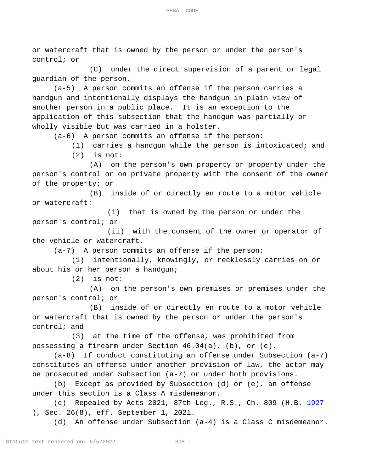or watercraft that is owned by the person or under the person's control; or

(C) under the direct supervision of a parent or legal guardian of the person.

(a-5) A person commits an offense if the person carries a handgun and intentionally displays the handgun in plain view of another person in a public place. It is an exception to the application of this subsection that the handgun was partially or wholly visible but was carried in a holster.

(a-6) A person commits an offense if the person:

(1) carries a handgun while the person is intoxicated; and (2) is not:

(A) on the person's own property or property under the person's control or on private property with the consent of the owner of the property; or

(B) inside of or directly en route to a motor vehicle or watercraft:

(i) that is owned by the person or under the person's control; or

(ii) with the consent of the owner or operator of the vehicle or watercraft.

(a-7) A person commits an offense if the person:

(1) intentionally, knowingly, or recklessly carries on or about his or her person a handgun;

(2) is not:

(A) on the person's own premises or premises under the person's control; or

(B) inside of or directly en route to a motor vehicle or watercraft that is owned by the person or under the person's control; and

(3) at the time of the offense, was prohibited from possessing a firearm under Section 46.04(a), (b), or (c).

(a-8) If conduct constituting an offense under Subsection (a-7) constitutes an offense under another provision of law, the actor may be prosecuted under Subsection (a-7) or under both provisions.

(b) Except as provided by Subsection (d) or (e), an offense under this section is a Class A misdemeanor.

(c) Repealed by Acts 2021, 87th Leg., R.S., Ch. 809 (H.B. [1927](https://capitol.texas.gov/tlodocs/87R/billtext/html/HB01927F.HTM) ), Sec. 26(8), eff. September 1, 2021.

(d) An offense under Subsection (a-4) is a Class C misdemeanor.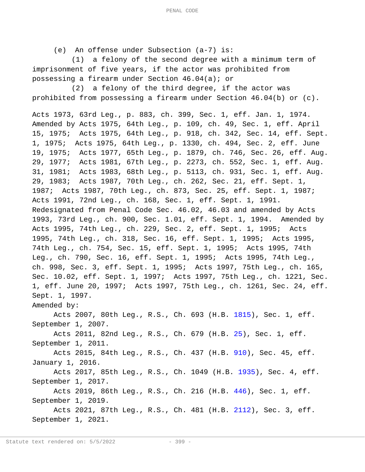(e) An offense under Subsection (a-7) is:

(1) a felony of the second degree with a minimum term of imprisonment of five years, if the actor was prohibited from possessing a firearm under Section 46.04(a); or

(2) a felony of the third degree, if the actor was prohibited from possessing a firearm under Section 46.04(b) or (c).

Acts 1973, 63rd Leg., p. 883, ch. 399, Sec. 1, eff. Jan. 1, 1974. Amended by Acts 1975, 64th Leg., p. 109, ch. 49, Sec. 1, eff. April 15, 1975; Acts 1975, 64th Leg., p. 918, ch. 342, Sec. 14, eff. Sept. 1, 1975; Acts 1975, 64th Leg., p. 1330, ch. 494, Sec. 2, eff. June 19, 1975; Acts 1977, 65th Leg., p. 1879, ch. 746, Sec. 26, eff. Aug. 29, 1977; Acts 1981, 67th Leg., p. 2273, ch. 552, Sec. 1, eff. Aug. 31, 1981; Acts 1983, 68th Leg., p. 5113, ch. 931, Sec. 1, eff. Aug. 29, 1983; Acts 1987, 70th Leg., ch. 262, Sec. 21, eff. Sept. 1, 1987; Acts 1987, 70th Leg., ch. 873, Sec. 25, eff. Sept. 1, 1987; Acts 1991, 72nd Leg., ch. 168, Sec. 1, eff. Sept. 1, 1991. Redesignated from Penal Code Sec. 46.02, 46.03 and amended by Acts 1993, 73rd Leg., ch. 900, Sec. 1.01, eff. Sept. 1, 1994. Amended by Acts 1995, 74th Leg., ch. 229, Sec. 2, eff. Sept. 1, 1995; Acts 1995, 74th Leg., ch. 318, Sec. 16, eff. Sept. 1, 1995; Acts 1995, 74th Leg., ch. 754, Sec. 15, eff. Sept. 1, 1995; Acts 1995, 74th Leg., ch. 790, Sec. 16, eff. Sept. 1, 1995; Acts 1995, 74th Leg., ch. 998, Sec. 3, eff. Sept. 1, 1995; Acts 1997, 75th Leg., ch. 165, Sec. 10.02, eff. Sept. 1, 1997; Acts 1997, 75th Leg., ch. 1221, Sec. 1, eff. June 20, 1997; Acts 1997, 75th Leg., ch. 1261, Sec. 24, eff. Sept. 1, 1997. Amended by: Acts 2007, 80th Leg., R.S., Ch. 693 (H.B. [1815](http://www.legis.state.tx.us/tlodocs/80R/billtext/html/HB01815F.HTM)), Sec. 1, eff. September 1, 2007. Acts 2011, 82nd Leg., R.S., Ch. 679 (H.B. [25\)](http://www.legis.state.tx.us/tlodocs/82R/billtext/html/HB00025F.HTM), Sec. 1, eff. September 1, 2011. Acts 2015, 84th Leg., R.S., Ch. 437 (H.B. [910](http://www.legis.state.tx.us/tlodocs/84R/billtext/html/HB00910F.HTM)), Sec. 45, eff. January 1, 2016. Acts 2017, 85th Leg., R.S., Ch. 1049 (H.B. [1935](http://www.legis.state.tx.us/tlodocs/85R/billtext/html/HB01935F.HTM)), Sec. 4, eff. September 1, 2017. Acts 2019, 86th Leg., R.S., Ch. 216 (H.B. [446](http://www.legis.state.tx.us/tlodocs/86R/billtext/html/HB00446F.HTM)), Sec. 1, eff.

September 1, 2019.

Acts 2021, 87th Leg., R.S., Ch. 481 (H.B. [2112](http://www.legis.state.tx.us/tlodocs/87R/billtext/html/HB02112F.HTM)), Sec. 3, eff. September 1, 2021.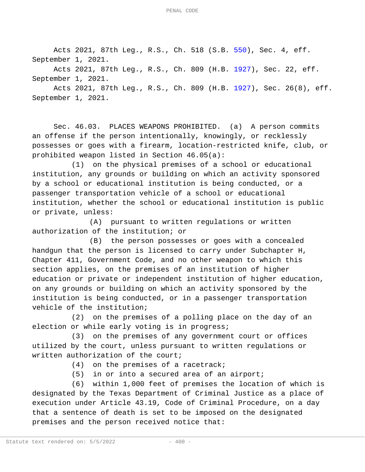Acts 2021, 87th Leg., R.S., Ch. 518 (S.B. [550](http://www.legis.state.tx.us/tlodocs/87R/billtext/html/SB00550F.HTM)), Sec. 4, eff. September 1, 2021.

Acts 2021, 87th Leg., R.S., Ch. 809 (H.B. [1927](http://www.legis.state.tx.us/tlodocs/87R/billtext/html/HB01927F.HTM)), Sec. 22, eff. September 1, 2021.

Acts 2021, 87th Leg., R.S., Ch. 809 (H.B. [1927](http://www.legis.state.tx.us/tlodocs/87R/billtext/html/HB01927F.HTM)), Sec. 26(8), eff. September 1, 2021.

Sec. 46.03. PLACES WEAPONS PROHIBITED. (a) A person commits an offense if the person intentionally, knowingly, or recklessly possesses or goes with a firearm, location-restricted knife, club, or prohibited weapon listed in Section 46.05(a):

(1) on the physical premises of a school or educational institution, any grounds or building on which an activity sponsored by a school or educational institution is being conducted, or a passenger transportation vehicle of a school or educational institution, whether the school or educational institution is public or private, unless:

(A) pursuant to written regulations or written authorization of the institution; or

(B) the person possesses or goes with a concealed handgun that the person is licensed to carry under Subchapter H, Chapter 411, Government Code, and no other weapon to which this section applies, on the premises of an institution of higher education or private or independent institution of higher education, on any grounds or building on which an activity sponsored by the institution is being conducted, or in a passenger transportation vehicle of the institution;

(2) on the premises of a polling place on the day of an election or while early voting is in progress;

(3) on the premises of any government court or offices utilized by the court, unless pursuant to written regulations or written authorization of the court;

- (4) on the premises of a racetrack;
- (5) in or into a secured area of an airport;

(6) within 1,000 feet of premises the location of which is designated by the Texas Department of Criminal Justice as a place of execution under Article 43.19, Code of Criminal Procedure, on a day that a sentence of death is set to be imposed on the designated premises and the person received notice that: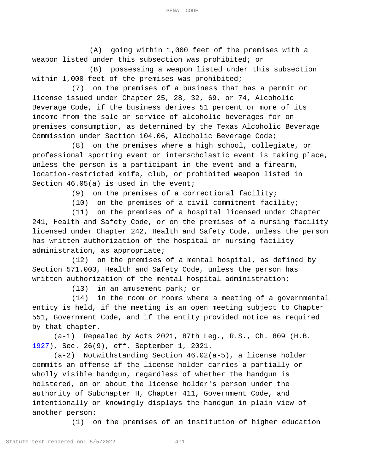(A) going within 1,000 feet of the premises with a weapon listed under this subsection was prohibited; or

(B) possessing a weapon listed under this subsection within 1,000 feet of the premises was prohibited;

(7) on the premises of a business that has a permit or license issued under Chapter 25, 28, 32, 69, or 74, Alcoholic Beverage Code, if the business derives 51 percent or more of its income from the sale or service of alcoholic beverages for onpremises consumption, as determined by the Texas Alcoholic Beverage Commission under Section 104.06, Alcoholic Beverage Code;

(8) on the premises where a high school, collegiate, or professional sporting event or interscholastic event is taking place, unless the person is a participant in the event and a firearm, location-restricted knife, club, or prohibited weapon listed in Section 46.05(a) is used in the event;

(9) on the premises of a correctional facility;

(10) on the premises of a civil commitment facility;

(11) on the premises of a hospital licensed under Chapter 241, Health and Safety Code, or on the premises of a nursing facility licensed under Chapter 242, Health and Safety Code, unless the person has written authorization of the hospital or nursing facility administration, as appropriate;

(12) on the premises of a mental hospital, as defined by Section 571.003, Health and Safety Code, unless the person has written authorization of the mental hospital administration;

(13) in an amusement park; or

(14) in the room or rooms where a meeting of a governmental entity is held, if the meeting is an open meeting subject to Chapter 551, Government Code, and if the entity provided notice as required by that chapter.

(a-1) Repealed by Acts 2021, 87th Leg., R.S., Ch. 809 (H.B. [1927\)](https://capitol.texas.gov/tlodocs/87R/billtext/html/HB01927F.HTM), Sec. 26(9), eff. September 1, 2021.

(a-2) Notwithstanding Section 46.02(a-5), a license holder commits an offense if the license holder carries a partially or wholly visible handgun, regardless of whether the handgun is holstered, on or about the license holder's person under the authority of Subchapter H, Chapter 411, Government Code, and intentionally or knowingly displays the handgun in plain view of another person:

(1) on the premises of an institution of higher education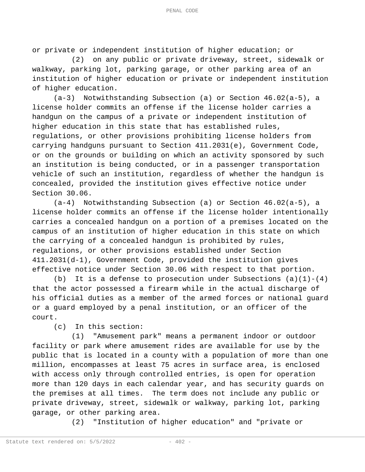or private or independent institution of higher education; or

(2) on any public or private driveway, street, sidewalk or walkway, parking lot, parking garage, or other parking area of an institution of higher education or private or independent institution of higher education.

(a-3) Notwithstanding Subsection (a) or Section 46.02(a-5), a license holder commits an offense if the license holder carries a handgun on the campus of a private or independent institution of higher education in this state that has established rules, regulations, or other provisions prohibiting license holders from carrying handguns pursuant to Section 411.2031(e), Government Code, or on the grounds or building on which an activity sponsored by such an institution is being conducted, or in a passenger transportation vehicle of such an institution, regardless of whether the handgun is concealed, provided the institution gives effective notice under Section 30.06.

(a-4) Notwithstanding Subsection (a) or Section 46.02(a-5), a license holder commits an offense if the license holder intentionally carries a concealed handgun on a portion of a premises located on the campus of an institution of higher education in this state on which the carrying of a concealed handgun is prohibited by rules, regulations, or other provisions established under Section 411.2031(d-1), Government Code, provided the institution gives effective notice under Section 30.06 with respect to that portion.

(b) It is a defense to prosecution under Subsections  $(a)(1)-(4)$ that the actor possessed a firearm while in the actual discharge of his official duties as a member of the armed forces or national guard or a guard employed by a penal institution, or an officer of the court.

(c) In this section:

(1) "Amusement park" means a permanent indoor or outdoor facility or park where amusement rides are available for use by the public that is located in a county with a population of more than one million, encompasses at least 75 acres in surface area, is enclosed with access only through controlled entries, is open for operation more than 120 days in each calendar year, and has security guards on the premises at all times. The term does not include any public or private driveway, street, sidewalk or walkway, parking lot, parking garage, or other parking area.

(2) "Institution of higher education" and "private or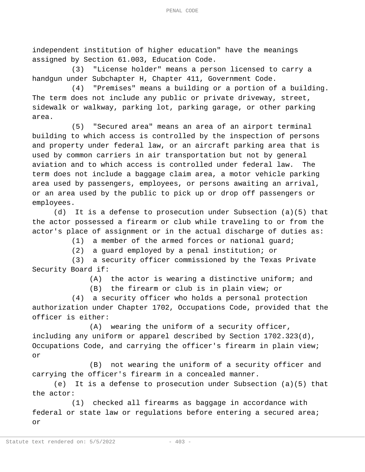independent institution of higher education" have the meanings assigned by Section 61.003, Education Code.

(3) "License holder" means a person licensed to carry a handgun under Subchapter H, Chapter 411, Government Code.

(4) "Premises" means a building or a portion of a building. The term does not include any public or private driveway, street, sidewalk or walkway, parking lot, parking garage, or other parking area.

(5) "Secured area" means an area of an airport terminal building to which access is controlled by the inspection of persons and property under federal law, or an aircraft parking area that is used by common carriers in air transportation but not by general aviation and to which access is controlled under federal law. The term does not include a baggage claim area, a motor vehicle parking area used by passengers, employees, or persons awaiting an arrival, or an area used by the public to pick up or drop off passengers or employees.

(d) It is a defense to prosecution under Subsection (a)(5) that the actor possessed a firearm or club while traveling to or from the actor's place of assignment or in the actual discharge of duties as:

(1) a member of the armed forces or national guard;

(2) a guard employed by a penal institution; or

(3) a security officer commissioned by the Texas Private Security Board if:

(A) the actor is wearing a distinctive uniform; and

(B) the firearm or club is in plain view; or

(4) a security officer who holds a personal protection authorization under Chapter 1702, Occupations Code, provided that the officer is either:

(A) wearing the uniform of a security officer, including any uniform or apparel described by Section 1702.323(d), Occupations Code, and carrying the officer's firearm in plain view; or

(B) not wearing the uniform of a security officer and carrying the officer's firearm in a concealed manner.

(e) It is a defense to prosecution under Subsection (a)(5) that the actor:

(1) checked all firearms as baggage in accordance with federal or state law or regulations before entering a secured area; or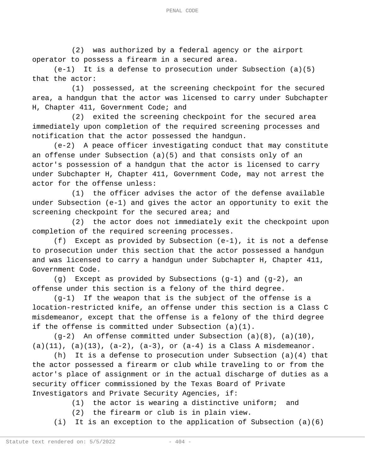(2) was authorized by a federal agency or the airport operator to possess a firearm in a secured area.

(e-1) It is a defense to prosecution under Subsection (a)(5) that the actor:

(1) possessed, at the screening checkpoint for the secured area, a handgun that the actor was licensed to carry under Subchapter H, Chapter 411, Government Code; and

(2) exited the screening checkpoint for the secured area immediately upon completion of the required screening processes and notification that the actor possessed the handgun.

(e-2) A peace officer investigating conduct that may constitute an offense under Subsection  $(a)(5)$  and that consists only of an actor's possession of a handgun that the actor is licensed to carry under Subchapter H, Chapter 411, Government Code, may not arrest the actor for the offense unless:

(1) the officer advises the actor of the defense available under Subsection (e-1) and gives the actor an opportunity to exit the screening checkpoint for the secured area; and

(2) the actor does not immediately exit the checkpoint upon completion of the required screening processes.

(f) Except as provided by Subsection (e-1), it is not a defense to prosecution under this section that the actor possessed a handgun and was licensed to carry a handgun under Subchapter H, Chapter 411, Government Code.

(g) Except as provided by Subsections (g-1) and (g-2), an offense under this section is a felony of the third degree.

(g-1) If the weapon that is the subject of the offense is a location-restricted knife, an offense under this section is a Class C misdemeanor, except that the offense is a felony of the third degree if the offense is committed under Subsection (a)(1).

 $(q-2)$  An offense committed under Subsection  $(a)(8)$ ,  $(a)(10)$ ,  $(a)(11)$ ,  $(a)(13)$ ,  $(a-2)$ ,  $(a-3)$ , or  $(a-4)$  is a Class A misdemeanor.

(h) It is a defense to prosecution under Subsection  $(a)(4)$  that the actor possessed a firearm or club while traveling to or from the actor's place of assignment or in the actual discharge of duties as a security officer commissioned by the Texas Board of Private Investigators and Private Security Agencies, if:

- (1) the actor is wearing a distinctive uniform; and
- (2) the firearm or club is in plain view.
- (i) It is an exception to the application of Subsection (a)(6)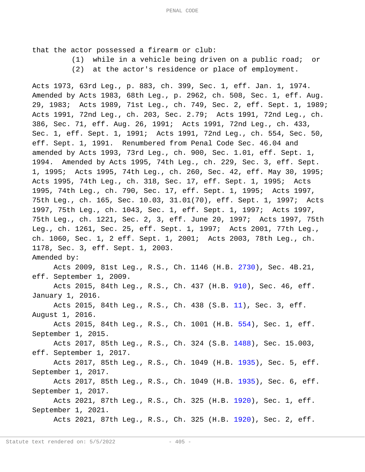that the actor possessed a firearm or club:

(1) while in a vehicle being driven on a public road; or

(2) at the actor's residence or place of employment.

Acts 1973, 63rd Leg., p. 883, ch. 399, Sec. 1, eff. Jan. 1, 1974. Amended by Acts 1983, 68th Leg., p. 2962, ch. 508, Sec. 1, eff. Aug. 29, 1983; Acts 1989, 71st Leg., ch. 749, Sec. 2, eff. Sept. 1, 1989; Acts 1991, 72nd Leg., ch. 203, Sec. 2.79; Acts 1991, 72nd Leg., ch. 386, Sec. 71, eff. Aug. 26, 1991; Acts 1991, 72nd Leg., ch. 433, Sec. 1, eff. Sept. 1, 1991; Acts 1991, 72nd Leg., ch. 554, Sec. 50, eff. Sept. 1, 1991. Renumbered from Penal Code Sec. 46.04 and amended by Acts 1993, 73rd Leg., ch. 900, Sec. 1.01, eff. Sept. 1, 1994. Amended by Acts 1995, 74th Leg., ch. 229, Sec. 3, eff. Sept. 1, 1995; Acts 1995, 74th Leg., ch. 260, Sec. 42, eff. May 30, 1995; Acts 1995, 74th Leg., ch. 318, Sec. 17, eff. Sept. 1, 1995; Acts 1995, 74th Leg., ch. 790, Sec. 17, eff. Sept. 1, 1995; Acts 1997, 75th Leg., ch. 165, Sec. 10.03, 31.01(70), eff. Sept. 1, 1997; Acts 1997, 75th Leg., ch. 1043, Sec. 1, eff. Sept. 1, 1997; Acts 1997, 75th Leg., ch. 1221, Sec. 2, 3, eff. June 20, 1997; Acts 1997, 75th Leg., ch. 1261, Sec. 25, eff. Sept. 1, 1997; Acts 2001, 77th Leg., ch. 1060, Sec. 1, 2 eff. Sept. 1, 2001; Acts 2003, 78th Leg., ch. 1178, Sec. 3, eff. Sept. 1, 2003. Amended by: Acts 2009, 81st Leg., R.S., Ch. 1146 (H.B. [2730](http://www.legis.state.tx.us/tlodocs/81R/billtext/html/HB02730F.HTM)), Sec. 4B.21, eff. September 1, 2009. Acts 2015, 84th Leg., R.S., Ch. 437 (H.B. [910](http://www.legis.state.tx.us/tlodocs/84R/billtext/html/HB00910F.HTM)), Sec. 46, eff. January 1, 2016. Acts 2015, 84th Leg., R.S., Ch. 438 (S.B. [11\)](http://www.legis.state.tx.us/tlodocs/84R/billtext/html/SB00011F.HTM), Sec. 3, eff. August 1, 2016. Acts 2015, 84th Leg., R.S., Ch. 1001 (H.B. [554](http://www.legis.state.tx.us/tlodocs/84R/billtext/html/HB00554F.HTM)), Sec. 1, eff. September 1, 2015. Acts 2017, 85th Leg., R.S., Ch. 324 (S.B. [1488](http://www.legis.state.tx.us/tlodocs/85R/billtext/html/SB01488F.HTM)), Sec. 15.003, eff. September 1, 2017. Acts 2017, 85th Leg., R.S., Ch. 1049 (H.B. [1935](http://www.legis.state.tx.us/tlodocs/85R/billtext/html/HB01935F.HTM)), Sec. 5, eff. September 1, 2017.

Acts 2017, 85th Leg., R.S., Ch. 1049 (H.B. [1935](http://www.legis.state.tx.us/tlodocs/85R/billtext/html/HB01935F.HTM)), Sec. 6, eff. September 1, 2017. Acts 2021, 87th Leg., R.S., Ch. 325 (H.B. [1920](http://www.legis.state.tx.us/tlodocs/87R/billtext/html/HB01920F.HTM)), Sec. 1, eff.

September 1, 2021.

Acts 2021, 87th Leg., R.S., Ch. 325 (H.B. [1920](http://www.legis.state.tx.us/tlodocs/87R/billtext/html/HB01920F.HTM)), Sec. 2, eff.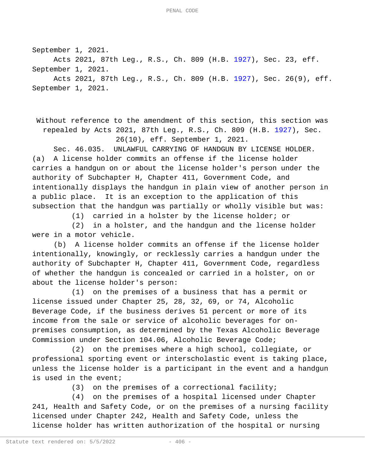September 1, 2021. Acts 2021, 87th Leg., R.S., Ch. 809 (H.B. [1927](http://www.legis.state.tx.us/tlodocs/87R/billtext/html/HB01927F.HTM)), Sec. 23, eff. September 1, 2021. Acts 2021, 87th Leg., R.S., Ch. 809 (H.B. [1927](http://www.legis.state.tx.us/tlodocs/87R/billtext/html/HB01927F.HTM)), Sec. 26(9), eff. September 1, 2021.

Without reference to the amendment of this section, this section was repealed by Acts 2021, 87th Leg., R.S., Ch. 809 (H.B. [1927\)](https://capitol.texas.gov/tlodocs/87R/billtext/html/HB01927F.HTM), Sec. 26(10), eff. September 1, 2021.

Sec. 46.035. UNLAWFUL CARRYING OF HANDGUN BY LICENSE HOLDER. (a) A license holder commits an offense if the license holder carries a handgun on or about the license holder's person under the authority of Subchapter H, Chapter 411, Government Code, and intentionally displays the handgun in plain view of another person in a public place. It is an exception to the application of this subsection that the handgun was partially or wholly visible but was:

(1) carried in a holster by the license holder; or

(2) in a holster, and the handgun and the license holder were in a motor vehicle.

(b) A license holder commits an offense if the license holder intentionally, knowingly, or recklessly carries a handgun under the authority of Subchapter H, Chapter 411, Government Code, regardless of whether the handgun is concealed or carried in a holster, on or about the license holder's person:

(1) on the premises of a business that has a permit or license issued under Chapter 25, 28, 32, 69, or 74, Alcoholic Beverage Code, if the business derives 51 percent or more of its income from the sale or service of alcoholic beverages for onpremises consumption, as determined by the Texas Alcoholic Beverage Commission under Section 104.06, Alcoholic Beverage Code;

(2) on the premises where a high school, collegiate, or professional sporting event or interscholastic event is taking place, unless the license holder is a participant in the event and a handgun is used in the event;

(3) on the premises of a correctional facility;

(4) on the premises of a hospital licensed under Chapter 241, Health and Safety Code, or on the premises of a nursing facility licensed under Chapter 242, Health and Safety Code, unless the license holder has written authorization of the hospital or nursing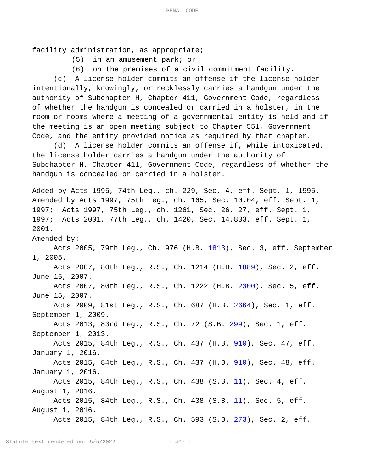facility administration, as appropriate;

- (5) in an amusement park; or
- (6) on the premises of a civil commitment facility.

(c) A license holder commits an offense if the license holder intentionally, knowingly, or recklessly carries a handgun under the authority of Subchapter H, Chapter 411, Government Code, regardless of whether the handgun is concealed or carried in a holster, in the room or rooms where a meeting of a governmental entity is held and if the meeting is an open meeting subject to Chapter 551, Government Code, and the entity provided notice as required by that chapter.

(d) A license holder commits an offense if, while intoxicated, the license holder carries a handgun under the authority of Subchapter H, Chapter 411, Government Code, regardless of whether the handgun is concealed or carried in a holster.

Added by Acts 1995, 74th Leg., ch. 229, Sec. 4, eff. Sept. 1, 1995. Amended by Acts 1997, 75th Leg., ch. 165, Sec. 10.04, eff. Sept. 1, 1997; Acts 1997, 75th Leg., ch. 1261, Sec. 26, 27, eff. Sept. 1, 1997; Acts 2001, 77th Leg., ch. 1420, Sec. 14.833, eff. Sept. 1, 2001. Amended by: Acts 2005, 79th Leg., Ch. 976 (H.B. [1813\)](http://www.legis.state.tx.us/tlodocs/79R/billtext/html/HB01813F.HTM), Sec. 3, eff. September 1, 2005. Acts 2007, 80th Leg., R.S., Ch. 1214 (H.B. [1889](http://www.legis.state.tx.us/tlodocs/80R/billtext/html/HB01889F.HTM)), Sec. 2, eff. June 15, 2007. Acts 2007, 80th Leg., R.S., Ch. 1222 (H.B. [2300](http://www.legis.state.tx.us/tlodocs/80R/billtext/html/HB02300F.HTM)), Sec. 5, eff. June 15, 2007. Acts 2009, 81st Leg., R.S., Ch. 687 (H.B. [2664](http://www.legis.state.tx.us/tlodocs/81R/billtext/html/HB02664F.HTM)), Sec. 1, eff. September 1, 2009. Acts 2013, 83rd Leg., R.S., Ch. 72 (S.B. [299\)](http://www.legis.state.tx.us/tlodocs/83R/billtext/html/SB00299F.HTM), Sec. 1, eff. September 1, 2013. Acts 2015, 84th Leg., R.S., Ch. 437 (H.B. [910](http://www.legis.state.tx.us/tlodocs/84R/billtext/html/HB00910F.HTM)), Sec. 47, eff. January 1, 2016. Acts 2015, 84th Leg., R.S., Ch. 437 (H.B. [910](http://www.legis.state.tx.us/tlodocs/84R/billtext/html/HB00910F.HTM)), Sec. 48, eff. January 1, 2016. Acts 2015, 84th Leg., R.S., Ch. 438 (S.B. [11\)](http://www.legis.state.tx.us/tlodocs/84R/billtext/html/SB00011F.HTM), Sec. 4, eff. August 1, 2016. Acts 2015, 84th Leg., R.S., Ch. 438 (S.B. [11\)](http://www.legis.state.tx.us/tlodocs/84R/billtext/html/SB00011F.HTM), Sec. 5, eff. August 1, 2016. Acts 2015, 84th Leg., R.S., Ch. 593 (S.B. [273](http://www.legis.state.tx.us/tlodocs/84R/billtext/html/SB00273F.HTM)), Sec. 2, eff.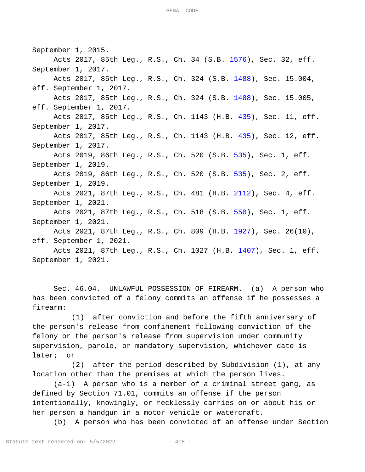September 1, 2015. Acts 2017, 85th Leg., R.S., Ch. 34 (S.B. [1576\)](http://www.legis.state.tx.us/tlodocs/85R/billtext/html/SB01576F.HTM), Sec. 32, eff. September 1, 2017. Acts 2017, 85th Leg., R.S., Ch. 324 (S.B. [1488](http://www.legis.state.tx.us/tlodocs/85R/billtext/html/SB01488F.HTM)), Sec. 15.004, eff. September 1, 2017. Acts 2017, 85th Leg., R.S., Ch. 324 (S.B. [1488](http://www.legis.state.tx.us/tlodocs/85R/billtext/html/SB01488F.HTM)), Sec. 15.005, eff. September 1, 2017. Acts 2017, 85th Leg., R.S., Ch. 1143 (H.B. [435](http://www.legis.state.tx.us/tlodocs/85R/billtext/html/HB00435F.HTM)), Sec. 11, eff. September 1, 2017. Acts 2017, 85th Leg., R.S., Ch. 1143 (H.B. [435](http://www.legis.state.tx.us/tlodocs/85R/billtext/html/HB00435F.HTM)), Sec. 12, eff. September 1, 2017. Acts 2019, 86th Leg., R.S., Ch. 520 (S.B. [535](http://www.legis.state.tx.us/tlodocs/86R/billtext/html/SB00535F.HTM)), Sec. 1, eff. September 1, 2019. Acts 2019, 86th Leg., R.S., Ch. 520 (S.B. [535](http://www.legis.state.tx.us/tlodocs/86R/billtext/html/SB00535F.HTM)), Sec. 2, eff. September 1, 2019. Acts 2021, 87th Leg., R.S., Ch. 481 (H.B. [2112](http://www.legis.state.tx.us/tlodocs/87R/billtext/html/HB02112F.HTM)), Sec. 4, eff. September 1, 2021. Acts 2021, 87th Leg., R.S., Ch. 518 (S.B. [550](http://www.legis.state.tx.us/tlodocs/87R/billtext/html/SB00550F.HTM)), Sec. 1, eff. September 1, 2021. Acts 2021, 87th Leg., R.S., Ch. 809 (H.B. [1927](http://www.legis.state.tx.us/tlodocs/87R/billtext/html/HB01927F.HTM)), Sec. 26(10), eff. September 1, 2021. Acts 2021, 87th Leg., R.S., Ch. 1027 (H.B. [1407](http://www.legis.state.tx.us/tlodocs/87R/billtext/html/HB01407F.HTM)), Sec. 1, eff. September 1, 2021.

Sec. 46.04. UNLAWFUL POSSESSION OF FIREARM. (a) A person who has been convicted of a felony commits an offense if he possesses a firearm:

(1) after conviction and before the fifth anniversary of the person's release from confinement following conviction of the felony or the person's release from supervision under community supervision, parole, or mandatory supervision, whichever date is later; or

(2) after the period described by Subdivision (1), at any location other than the premises at which the person lives.

(a-1) A person who is a member of a criminal street gang, as defined by Section 71.01, commits an offense if the person intentionally, knowingly, or recklessly carries on or about his or her person a handgun in a motor vehicle or watercraft.

(b) A person who has been convicted of an offense under Section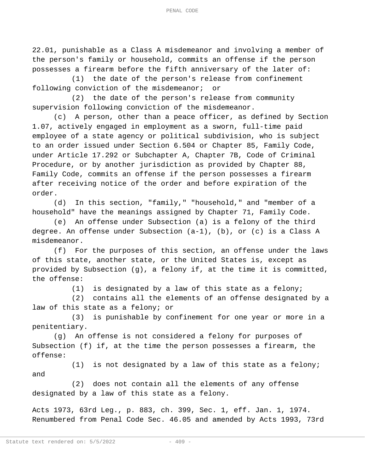22.01, punishable as a Class A misdemeanor and involving a member of the person's family or household, commits an offense if the person possesses a firearm before the fifth anniversary of the later of:

(1) the date of the person's release from confinement following conviction of the misdemeanor; or

(2) the date of the person's release from community supervision following conviction of the misdemeanor.

(c) A person, other than a peace officer, as defined by Section 1.07, actively engaged in employment as a sworn, full-time paid employee of a state agency or political subdivision, who is subject to an order issued under Section 6.504 or Chapter 85, Family Code, under Article 17.292 or Subchapter A, Chapter 7B, Code of Criminal Procedure, or by another jurisdiction as provided by Chapter 88, Family Code, commits an offense if the person possesses a firearm after receiving notice of the order and before expiration of the order.

(d) In this section, "family," "household," and "member of a household" have the meanings assigned by Chapter 71, Family Code.

(e) An offense under Subsection (a) is a felony of the third degree. An offense under Subsection (a-1), (b), or (c) is a Class A misdemeanor.

(f) For the purposes of this section, an offense under the laws of this state, another state, or the United States is, except as provided by Subsection (g), a felony if, at the time it is committed, the offense:

(1) is designated by a law of this state as a felony;

(2) contains all the elements of an offense designated by a law of this state as a felony; or

(3) is punishable by confinement for one year or more in a penitentiary.

(g) An offense is not considered a felony for purposes of Subsection (f) if, at the time the person possesses a firearm, the offense:

(1) is not designated by a law of this state as a felony; and

(2) does not contain all the elements of any offense designated by a law of this state as a felony.

Acts 1973, 63rd Leg., p. 883, ch. 399, Sec. 1, eff. Jan. 1, 1974. Renumbered from Penal Code Sec. 46.05 and amended by Acts 1993, 73rd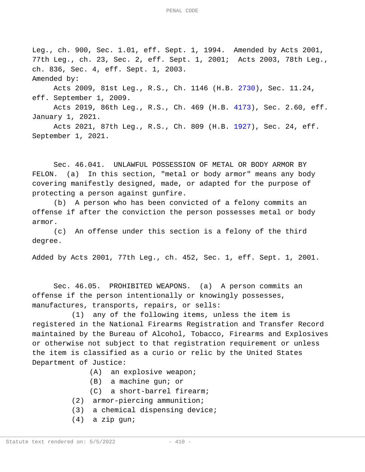Leg., ch. 900, Sec. 1.01, eff. Sept. 1, 1994. Amended by Acts 2001, 77th Leg., ch. 23, Sec. 2, eff. Sept. 1, 2001; Acts 2003, 78th Leg., ch. 836, Sec. 4, eff. Sept. 1, 2003. Amended by:

Acts 2009, 81st Leg., R.S., Ch. 1146 (H.B. [2730](http://www.legis.state.tx.us/tlodocs/81R/billtext/html/HB02730F.HTM)), Sec. 11.24, eff. September 1, 2009.

Acts 2019, 86th Leg., R.S., Ch. 469 (H.B. [4173](http://www.legis.state.tx.us/tlodocs/86R/billtext/html/HB04173F.HTM)), Sec. 2.60, eff. January 1, 2021.

Acts 2021, 87th Leg., R.S., Ch. 809 (H.B. [1927](http://www.legis.state.tx.us/tlodocs/87R/billtext/html/HB01927F.HTM)), Sec. 24, eff. September 1, 2021.

Sec. 46.041. UNLAWFUL POSSESSION OF METAL OR BODY ARMOR BY FELON. (a) In this section, "metal or body armor" means any body covering manifestly designed, made, or adapted for the purpose of protecting a person against gunfire.

(b) A person who has been convicted of a felony commits an offense if after the conviction the person possesses metal or body armor.

(c) An offense under this section is a felony of the third degree.

Added by Acts 2001, 77th Leg., ch. 452, Sec. 1, eff. Sept. 1, 2001.

Sec. 46.05. PROHIBITED WEAPONS. (a) A person commits an offense if the person intentionally or knowingly possesses, manufactures, transports, repairs, or sells:

(1) any of the following items, unless the item is registered in the National Firearms Registration and Transfer Record maintained by the Bureau of Alcohol, Tobacco, Firearms and Explosives or otherwise not subject to that registration requirement or unless the item is classified as a curio or relic by the United States Department of Justice:

- (A) an explosive weapon;
- (B) a machine gun; or
- (C) a short-barrel firearm;
- (2) armor-piercing ammunition;
- (3) a chemical dispensing device;
- (4) a zip gun;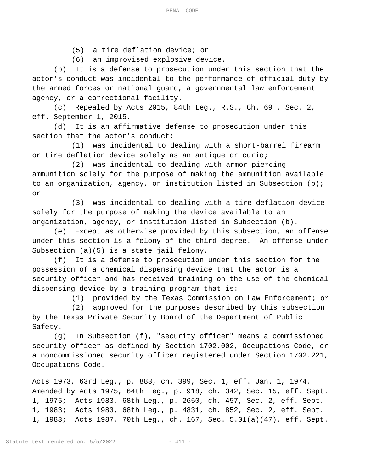(5) a tire deflation device; or

(6) an improvised explosive device.

(b) It is a defense to prosecution under this section that the actor's conduct was incidental to the performance of official duty by the armed forces or national guard, a governmental law enforcement agency, or a correctional facility.

(c) Repealed by Acts 2015, 84th Leg., R.S., Ch. 69 , Sec. 2, eff. September 1, 2015.

(d) It is an affirmative defense to prosecution under this section that the actor's conduct:

(1) was incidental to dealing with a short-barrel firearm or tire deflation device solely as an antique or curio;

(2) was incidental to dealing with armor-piercing ammunition solely for the purpose of making the ammunition available to an organization, agency, or institution listed in Subsection (b); or

(3) was incidental to dealing with a tire deflation device solely for the purpose of making the device available to an organization, agency, or institution listed in Subsection (b).

(e) Except as otherwise provided by this subsection, an offense under this section is a felony of the third degree. An offense under Subsection (a)(5) is a state jail felony.

(f) It is a defense to prosecution under this section for the possession of a chemical dispensing device that the actor is a security officer and has received training on the use of the chemical dispensing device by a training program that is:

(1) provided by the Texas Commission on Law Enforcement; or

(2) approved for the purposes described by this subsection by the Texas Private Security Board of the Department of Public Safety.

(g) In Subsection (f), "security officer" means a commissioned security officer as defined by Section 1702.002, Occupations Code, or a noncommissioned security officer registered under Section 1702.221, Occupations Code.

Acts 1973, 63rd Leg., p. 883, ch. 399, Sec. 1, eff. Jan. 1, 1974. Amended by Acts 1975, 64th Leg., p. 918, ch. 342, Sec. 15, eff. Sept. 1, 1975; Acts 1983, 68th Leg., p. 2650, ch. 457, Sec. 2, eff. Sept. 1, 1983; Acts 1983, 68th Leg., p. 4831, ch. 852, Sec. 2, eff. Sept. 1, 1983; Acts 1987, 70th Leg., ch. 167, Sec. 5.01(a)(47), eff. Sept.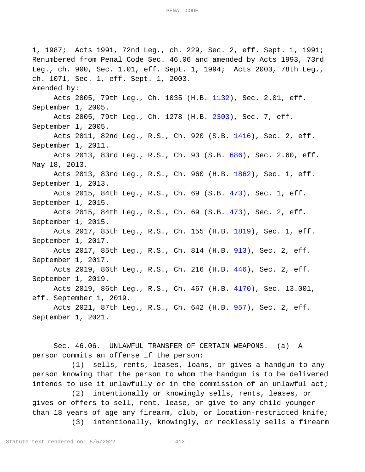1, 1987; Acts 1991, 72nd Leg., ch. 229, Sec. 2, eff. Sept. 1, 1991; Renumbered from Penal Code Sec. 46.06 and amended by Acts 1993, 73rd Leg., ch. 900, Sec. 1.01, eff. Sept. 1, 1994; Acts 2003, 78th Leg., ch. 1071, Sec. 1, eff. Sept. 1, 2003. Amended by: Acts 2005, 79th Leg., Ch. 1035 (H.B. [1132](http://www.legis.state.tx.us/tlodocs/79R/billtext/html/HB01132F.HTM)), Sec. 2.01, eff. September 1, 2005. Acts 2005, 79th Leg., Ch. 1278 (H.B. [2303](http://www.legis.state.tx.us/tlodocs/79R/billtext/html/HB02303F.HTM)), Sec. 7, eff. September 1, 2005. Acts 2011, 82nd Leg., R.S., Ch. 920 (S.B. [1416](http://www.legis.state.tx.us/tlodocs/82R/billtext/html/SB01416F.HTM)), Sec. 2, eff. September 1, 2011. Acts 2013, 83rd Leg., R.S., Ch. 93 (S.B. [686\)](http://www.legis.state.tx.us/tlodocs/83R/billtext/html/SB00686F.HTM), Sec. 2.60, eff. May 18, 2013. Acts 2013, 83rd Leg., R.S., Ch. 960 (H.B. [1862](http://www.legis.state.tx.us/tlodocs/83R/billtext/html/HB01862F.HTM)), Sec. 1, eff. September 1, 2013. Acts 2015, 84th Leg., R.S., Ch. 69 (S.B. [473\)](http://www.legis.state.tx.us/tlodocs/84R/billtext/html/SB00473F.HTM), Sec. 1, eff. September 1, 2015. Acts 2015, 84th Leg., R.S., Ch. 69 (S.B. [473\)](http://www.legis.state.tx.us/tlodocs/84R/billtext/html/SB00473F.HTM), Sec. 2, eff. September 1, 2015. Acts 2017, 85th Leg., R.S., Ch. 155 (H.B. [1819](http://www.legis.state.tx.us/tlodocs/85R/billtext/html/HB01819F.HTM)), Sec. 1, eff. September 1, 2017. Acts 2017, 85th Leg., R.S., Ch. 814 (H.B. [913](http://www.legis.state.tx.us/tlodocs/85R/billtext/html/HB00913F.HTM)), Sec. 2, eff. September 1, 2017. Acts 2019, 86th Leg., R.S., Ch. 216 (H.B. [446](http://www.legis.state.tx.us/tlodocs/86R/billtext/html/HB00446F.HTM)), Sec. 2, eff. September 1, 2019. Acts 2019, 86th Leg., R.S., Ch. 467 (H.B. [4170](http://www.legis.state.tx.us/tlodocs/86R/billtext/html/HB04170F.HTM)), Sec. 13.001, eff. September 1, 2019. Acts 2021, 87th Leg., R.S., Ch. 642 (H.B. [957](http://www.legis.state.tx.us/tlodocs/87R/billtext/html/HB00957F.HTM)), Sec. 2, eff. September 1, 2021.

Sec. 46.06. UNLAWFUL TRANSFER OF CERTAIN WEAPONS. (a) A person commits an offense if the person:

(1) sells, rents, leases, loans, or gives a handgun to any person knowing that the person to whom the handgun is to be delivered intends to use it unlawfully or in the commission of an unlawful act;

(2) intentionally or knowingly sells, rents, leases, or gives or offers to sell, rent, lease, or give to any child younger than 18 years of age any firearm, club, or location-restricted knife; (3) intentionally, knowingly, or recklessly sells a firearm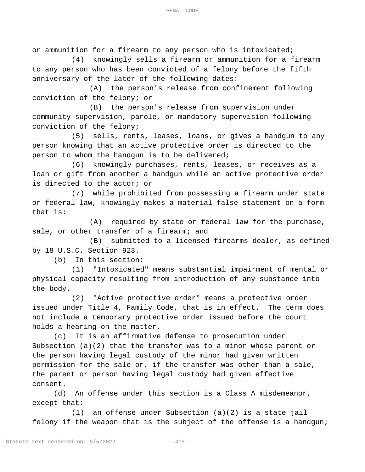or ammunition for a firearm to any person who is intoxicated;

(4) knowingly sells a firearm or ammunition for a firearm to any person who has been convicted of a felony before the fifth anniversary of the later of the following dates:

(A) the person's release from confinement following conviction of the felony; or

(B) the person's release from supervision under community supervision, parole, or mandatory supervision following conviction of the felony;

(5) sells, rents, leases, loans, or gives a handgun to any person knowing that an active protective order is directed to the person to whom the handgun is to be delivered;

(6) knowingly purchases, rents, leases, or receives as a loan or gift from another a handgun while an active protective order is directed to the actor; or

(7) while prohibited from possessing a firearm under state or federal law, knowingly makes a material false statement on a form that is:

(A) required by state or federal law for the purchase, sale, or other transfer of a firearm; and

(B) submitted to a licensed firearms dealer, as defined by 18 U.S.C. Section 923.

(b) In this section:

(1) "Intoxicated" means substantial impairment of mental or physical capacity resulting from introduction of any substance into the body.

(2) "Active protective order" means a protective order issued under Title 4, Family Code, that is in effect. The term does not include a temporary protective order issued before the court holds a hearing on the matter.

(c) It is an affirmative defense to prosecution under Subsection  $(a)(2)$  that the transfer was to a minor whose parent or the person having legal custody of the minor had given written permission for the sale or, if the transfer was other than a sale, the parent or person having legal custody had given effective consent.

(d) An offense under this section is a Class A misdemeanor, except that:

(1) an offense under Subsection (a)(2) is a state jail felony if the weapon that is the subject of the offense is a handgun;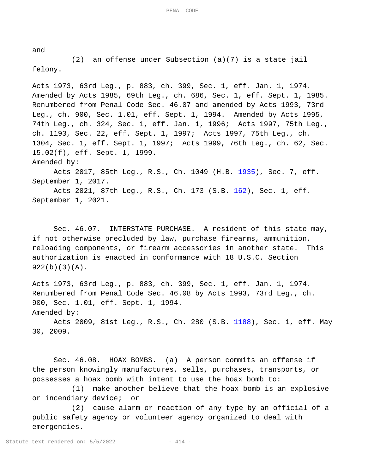and (2) an offense under Subsection (a)(7) is a state jail felony. Acts 1973, 63rd Leg., p. 883, ch. 399, Sec. 1, eff. Jan. 1, 1974. Amended by Acts 1985, 69th Leg., ch. 686, Sec. 1, eff. Sept. 1, 1985. Renumbered from Penal Code Sec. 46.07 and amended by Acts 1993, 73rd Leg., ch. 900, Sec. 1.01, eff. Sept. 1, 1994. Amended by Acts 1995, 74th Leg., ch. 324, Sec. 1, eff. Jan. 1, 1996; Acts 1997, 75th Leg., ch. 1193, Sec. 22, eff. Sept. 1, 1997; Acts 1997, 75th Leg., ch. 1304, Sec. 1, eff. Sept. 1, 1997; Acts 1999, 76th Leg., ch. 62, Sec. 15.02(f), eff. Sept. 1, 1999. Amended by: Acts 2017, 85th Leg., R.S., Ch. 1049 (H.B. [1935](http://www.legis.state.tx.us/tlodocs/85R/billtext/html/HB01935F.HTM)), Sec. 7, eff. September 1, 2017.

Acts 2021, 87th Leg., R.S., Ch. 173 (S.B. [162](http://www.legis.state.tx.us/tlodocs/87R/billtext/html/SB00162F.HTM)), Sec. 1, eff. September 1, 2021.

Sec. 46.07. INTERSTATE PURCHASE. A resident of this state may, if not otherwise precluded by law, purchase firearms, ammunition, reloading components, or firearm accessories in another state. This authorization is enacted in conformance with 18 U.S.C. Section  $922(b)(3)(A)$ .

Acts 1973, 63rd Leg., p. 883, ch. 399, Sec. 1, eff. Jan. 1, 1974. Renumbered from Penal Code Sec. 46.08 by Acts 1993, 73rd Leg., ch. 900, Sec. 1.01, eff. Sept. 1, 1994. Amended by:

Acts 2009, 81st Leg., R.S., Ch. 280 (S.B. [1188](http://www.legis.state.tx.us/tlodocs/81R/billtext/html/SB01188F.HTM)), Sec. 1, eff. May 30, 2009.

Sec. 46.08. HOAX BOMBS. (a) A person commits an offense if the person knowingly manufactures, sells, purchases, transports, or possesses a hoax bomb with intent to use the hoax bomb to:

(1) make another believe that the hoax bomb is an explosive or incendiary device; or

(2) cause alarm or reaction of any type by an official of a public safety agency or volunteer agency organized to deal with emergencies.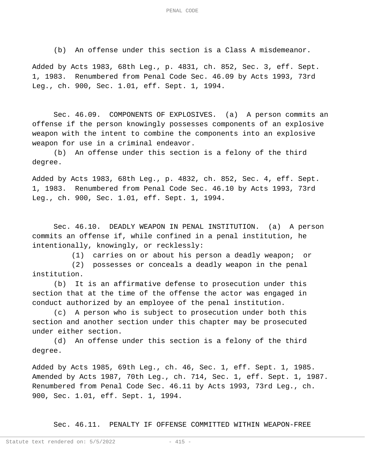(b) An offense under this section is a Class A misdemeanor.

Added by Acts 1983, 68th Leg., p. 4831, ch. 852, Sec. 3, eff. Sept. 1, 1983. Renumbered from Penal Code Sec. 46.09 by Acts 1993, 73rd Leg., ch. 900, Sec. 1.01, eff. Sept. 1, 1994.

Sec. 46.09. COMPONENTS OF EXPLOSIVES. (a) A person commits an offense if the person knowingly possesses components of an explosive weapon with the intent to combine the components into an explosive weapon for use in a criminal endeavor.

(b) An offense under this section is a felony of the third degree.

Added by Acts 1983, 68th Leg., p. 4832, ch. 852, Sec. 4, eff. Sept. 1, 1983. Renumbered from Penal Code Sec. 46.10 by Acts 1993, 73rd Leg., ch. 900, Sec. 1.01, eff. Sept. 1, 1994.

Sec. 46.10. DEADLY WEAPON IN PENAL INSTITUTION. (a) A person commits an offense if, while confined in a penal institution, he intentionally, knowingly, or recklessly:

(1) carries on or about his person a deadly weapon; or

(2) possesses or conceals a deadly weapon in the penal institution.

(b) It is an affirmative defense to prosecution under this section that at the time of the offense the actor was engaged in conduct authorized by an employee of the penal institution.

(c) A person who is subject to prosecution under both this section and another section under this chapter may be prosecuted under either section.

(d) An offense under this section is a felony of the third degree.

Added by Acts 1985, 69th Leg., ch. 46, Sec. 1, eff. Sept. 1, 1985. Amended by Acts 1987, 70th Leg., ch. 714, Sec. 1, eff. Sept. 1, 1987. Renumbered from Penal Code Sec. 46.11 by Acts 1993, 73rd Leg., ch. 900, Sec. 1.01, eff. Sept. 1, 1994.

Sec. 46.11. PENALTY IF OFFENSE COMMITTED WITHIN WEAPON-FREE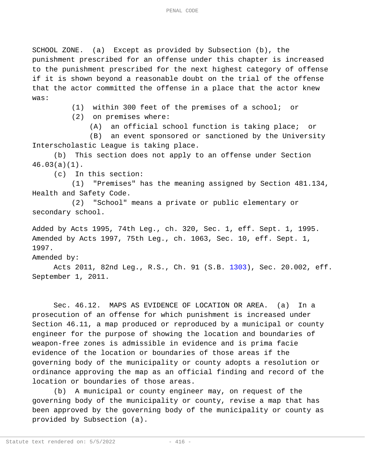SCHOOL ZONE. (a) Except as provided by Subsection (b), the punishment prescribed for an offense under this chapter is increased to the punishment prescribed for the next highest category of offense if it is shown beyond a reasonable doubt on the trial of the offense that the actor committed the offense in a place that the actor knew was:

(1) within 300 feet of the premises of a school; or

(2) on premises where:

(A) an official school function is taking place; or

(B) an event sponsored or sanctioned by the University Interscholastic League is taking place.

(b) This section does not apply to an offense under Section 46.03(a)(1).

(c) In this section:

(1) "Premises" has the meaning assigned by Section 481.134, Health and Safety Code.

(2) "School" means a private or public elementary or secondary school.

Added by Acts 1995, 74th Leg., ch. 320, Sec. 1, eff. Sept. 1, 1995. Amended by Acts 1997, 75th Leg., ch. 1063, Sec. 10, eff. Sept. 1, 1997.

Amended by:

Acts 2011, 82nd Leg., R.S., Ch. 91 (S.B. [1303\)](http://www.legis.state.tx.us/tlodocs/82R/billtext/html/SB01303F.HTM), Sec. 20.002, eff. September 1, 2011.

Sec. 46.12. MAPS AS EVIDENCE OF LOCATION OR AREA. (a) In a prosecution of an offense for which punishment is increased under Section 46.11, a map produced or reproduced by a municipal or county engineer for the purpose of showing the location and boundaries of weapon-free zones is admissible in evidence and is prima facie evidence of the location or boundaries of those areas if the governing body of the municipality or county adopts a resolution or ordinance approving the map as an official finding and record of the location or boundaries of those areas.

(b) A municipal or county engineer may, on request of the governing body of the municipality or county, revise a map that has been approved by the governing body of the municipality or county as provided by Subsection (a).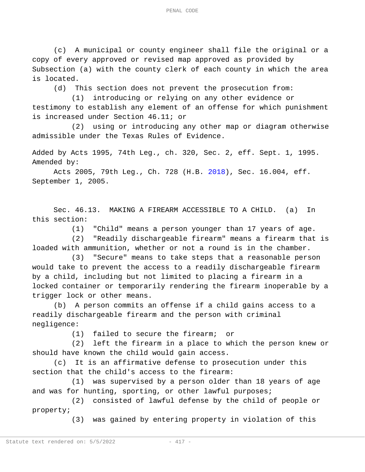(c) A municipal or county engineer shall file the original or a copy of every approved or revised map approved as provided by Subsection (a) with the county clerk of each county in which the area is located.

(d) This section does not prevent the prosecution from:

(1) introducing or relying on any other evidence or testimony to establish any element of an offense for which punishment is increased under Section 46.11; or

(2) using or introducing any other map or diagram otherwise admissible under the Texas Rules of Evidence.

Added by Acts 1995, 74th Leg., ch. 320, Sec. 2, eff. Sept. 1, 1995. Amended by:

Acts 2005, 79th Leg., Ch. 728 (H.B. [2018\)](http://www.legis.state.tx.us/tlodocs/79R/billtext/html/HB02018F.HTM), Sec. 16.004, eff. September 1, 2005.

Sec. 46.13. MAKING A FIREARM ACCESSIBLE TO A CHILD. (a) In this section:

(1) "Child" means a person younger than 17 years of age.

(2) "Readily dischargeable firearm" means a firearm that is loaded with ammunition, whether or not a round is in the chamber.

(3) "Secure" means to take steps that a reasonable person would take to prevent the access to a readily dischargeable firearm by a child, including but not limited to placing a firearm in a locked container or temporarily rendering the firearm inoperable by a trigger lock or other means.

(b) A person commits an offense if a child gains access to a readily dischargeable firearm and the person with criminal negligence:

(1) failed to secure the firearm; or

(2) left the firearm in a place to which the person knew or should have known the child would gain access.

(c) It is an affirmative defense to prosecution under this section that the child's access to the firearm:

(1) was supervised by a person older than 18 years of age and was for hunting, sporting, or other lawful purposes;

(2) consisted of lawful defense by the child of people or property;

(3) was gained by entering property in violation of this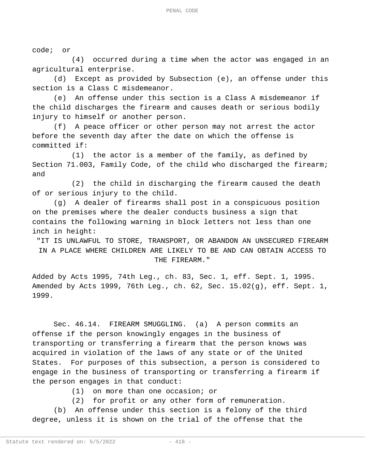code; or

(4) occurred during a time when the actor was engaged in an agricultural enterprise.

(d) Except as provided by Subsection (e), an offense under this section is a Class C misdemeanor.

(e) An offense under this section is a Class A misdemeanor if the child discharges the firearm and causes death or serious bodily injury to himself or another person.

(f) A peace officer or other person may not arrest the actor before the seventh day after the date on which the offense is committed if:

(1) the actor is a member of the family, as defined by Section 71.003, Family Code, of the child who discharged the firearm; and

(2) the child in discharging the firearm caused the death of or serious injury to the child.

(g) A dealer of firearms shall post in a conspicuous position on the premises where the dealer conducts business a sign that contains the following warning in block letters not less than one inch in height:

"IT IS UNLAWFUL TO STORE, TRANSPORT, OR ABANDON AN UNSECURED FIREARM IN A PLACE WHERE CHILDREN ARE LIKELY TO BE AND CAN OBTAIN ACCESS TO THE FIREARM."

Added by Acts 1995, 74th Leg., ch. 83, Sec. 1, eff. Sept. 1, 1995. Amended by Acts 1999, 76th Leg., ch. 62, Sec. 15.02(g), eff. Sept. 1, 1999.

Sec. 46.14. FIREARM SMUGGLING. (a) A person commits an offense if the person knowingly engages in the business of transporting or transferring a firearm that the person knows was acquired in violation of the laws of any state or of the United States. For purposes of this subsection, a person is considered to engage in the business of transporting or transferring a firearm if the person engages in that conduct:

(1) on more than one occasion; or

(2) for profit or any other form of remuneration.

(b) An offense under this section is a felony of the third degree, unless it is shown on the trial of the offense that the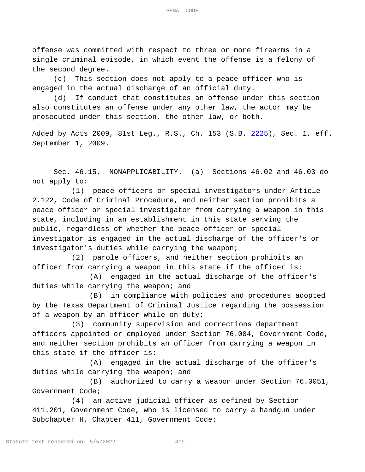offense was committed with respect to three or more firearms in a single criminal episode, in which event the offense is a felony of the second degree.

(c) This section does not apply to a peace officer who is engaged in the actual discharge of an official duty.

(d) If conduct that constitutes an offense under this section also constitutes an offense under any other law, the actor may be prosecuted under this section, the other law, or both.

Added by Acts 2009, 81st Leg., R.S., Ch. 153 (S.B. [2225](http://www.legis.state.tx.us/tlodocs/81R/billtext/html/SB02225F.HTM)), Sec. 1, eff. September 1, 2009.

Sec. 46.15. NONAPPLICABILITY. (a) Sections 46.02 and 46.03 do not apply to:

(1) peace officers or special investigators under Article 2.122, Code of Criminal Procedure, and neither section prohibits a peace officer or special investigator from carrying a weapon in this state, including in an establishment in this state serving the public, regardless of whether the peace officer or special investigator is engaged in the actual discharge of the officer's or investigator's duties while carrying the weapon;

(2) parole officers, and neither section prohibits an officer from carrying a weapon in this state if the officer is:

(A) engaged in the actual discharge of the officer's duties while carrying the weapon; and

(B) in compliance with policies and procedures adopted by the Texas Department of Criminal Justice regarding the possession of a weapon by an officer while on duty;

(3) community supervision and corrections department officers appointed or employed under Section 76.004, Government Code, and neither section prohibits an officer from carrying a weapon in this state if the officer is:

(A) engaged in the actual discharge of the officer's duties while carrying the weapon; and

(B) authorized to carry a weapon under Section 76.0051, Government Code;

(4) an active judicial officer as defined by Section 411.201, Government Code, who is licensed to carry a handgun under Subchapter H, Chapter 411, Government Code;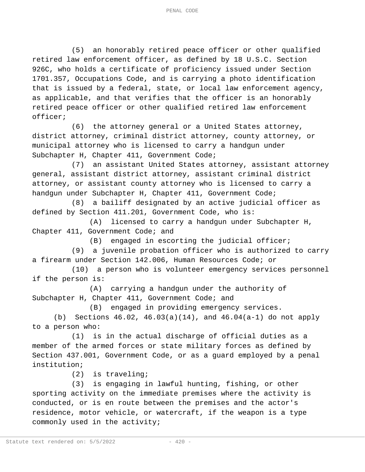(5) an honorably retired peace officer or other qualified retired law enforcement officer, as defined by 18 U.S.C. Section 926C, who holds a certificate of proficiency issued under Section 1701.357, Occupations Code, and is carrying a photo identification that is issued by a federal, state, or local law enforcement agency, as applicable, and that verifies that the officer is an honorably retired peace officer or other qualified retired law enforcement officer;

(6) the attorney general or a United States attorney, district attorney, criminal district attorney, county attorney, or municipal attorney who is licensed to carry a handgun under Subchapter H, Chapter 411, Government Code;

(7) an assistant United States attorney, assistant attorney general, assistant district attorney, assistant criminal district attorney, or assistant county attorney who is licensed to carry a handgun under Subchapter H, Chapter 411, Government Code;

(8) a bailiff designated by an active judicial officer as defined by Section 411.201, Government Code, who is:

(A) licensed to carry a handgun under Subchapter H, Chapter 411, Government Code; and

(B) engaged in escorting the judicial officer;

(9) a juvenile probation officer who is authorized to carry a firearm under Section 142.006, Human Resources Code; or

(10) a person who is volunteer emergency services personnel if the person is:

(A) carrying a handgun under the authority of Subchapter H, Chapter 411, Government Code; and

(B) engaged in providing emergency services.

(b) Sections  $46.02$ ,  $46.03(a)(14)$ , and  $46.04(a-1)$  do not apply to a person who:

(1) is in the actual discharge of official duties as a member of the armed forces or state military forces as defined by Section 437.001, Government Code, or as a guard employed by a penal institution;

(2) is traveling;

(3) is engaging in lawful hunting, fishing, or other sporting activity on the immediate premises where the activity is conducted, or is en route between the premises and the actor's residence, motor vehicle, or watercraft, if the weapon is a type commonly used in the activity;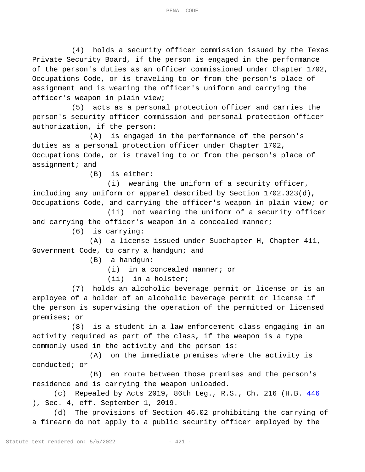PENAL CODE

(4) holds a security officer commission issued by the Texas Private Security Board, if the person is engaged in the performance of the person's duties as an officer commissioned under Chapter 1702, Occupations Code, or is traveling to or from the person's place of assignment and is wearing the officer's uniform and carrying the officer's weapon in plain view;

(5) acts as a personal protection officer and carries the person's security officer commission and personal protection officer authorization, if the person:

(A) is engaged in the performance of the person's duties as a personal protection officer under Chapter 1702, Occupations Code, or is traveling to or from the person's place of assignment; and

(B) is either:

(i) wearing the uniform of a security officer, including any uniform or apparel described by Section 1702.323(d), Occupations Code, and carrying the officer's weapon in plain view; or

(ii) not wearing the uniform of a security officer and carrying the officer's weapon in a concealed manner;

(6) is carrying:

(A) a license issued under Subchapter H, Chapter 411, Government Code, to carry a handgun; and

(B) a handgun:

(i) in a concealed manner; or

(ii) in a holster;

(7) holds an alcoholic beverage permit or license or is an employee of a holder of an alcoholic beverage permit or license if the person is supervising the operation of the permitted or licensed premises; or

(8) is a student in a law enforcement class engaging in an activity required as part of the class, if the weapon is a type commonly used in the activity and the person is:

(A) on the immediate premises where the activity is conducted; or

(B) en route between those premises and the person's residence and is carrying the weapon unloaded.

(c) Repealed by Acts 2019, 86th Leg., R.S., Ch. 216  $(H.B. 446)$  $(H.B. 446)$  $(H.B. 446)$ ), Sec. 4, eff. September 1, 2019.

(d) The provisions of Section 46.02 prohibiting the carrying of a firearm do not apply to a public security officer employed by the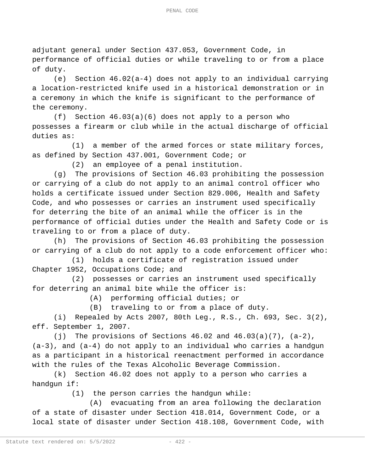adjutant general under Section 437.053, Government Code, in performance of official duties or while traveling to or from a place of duty.

(e) Section 46.02(a-4) does not apply to an individual carrying a location-restricted knife used in a historical demonstration or in a ceremony in which the knife is significant to the performance of the ceremony.

(f) Section 46.03(a)(6) does not apply to a person who possesses a firearm or club while in the actual discharge of official duties as:

(1) a member of the armed forces or state military forces, as defined by Section 437.001, Government Code; or

(2) an employee of a penal institution.

(g) The provisions of Section 46.03 prohibiting the possession or carrying of a club do not apply to an animal control officer who holds a certificate issued under Section 829.006, Health and Safety Code, and who possesses or carries an instrument used specifically for deterring the bite of an animal while the officer is in the performance of official duties under the Health and Safety Code or is traveling to or from a place of duty.

(h) The provisions of Section 46.03 prohibiting the possession or carrying of a club do not apply to a code enforcement officer who:

(1) holds a certificate of registration issued under Chapter 1952, Occupations Code; and

(2) possesses or carries an instrument used specifically for deterring an animal bite while the officer is:

(A) performing official duties; or

(B) traveling to or from a place of duty.

(i) Repealed by Acts 2007, 80th Leg., R.S., Ch. 693, Sec. 3(2), eff. September 1, 2007.

(j) The provisions of Sections  $46.02$  and  $46.03(a)(7)$ ,  $(a-2)$ , (a-3), and (a-4) do not apply to an individual who carries a handgun as a participant in a historical reenactment performed in accordance with the rules of the Texas Alcoholic Beverage Commission.

(k) Section 46.02 does not apply to a person who carries a handgun if:

(1) the person carries the handgun while:

(A) evacuating from an area following the declaration of a state of disaster under Section 418.014, Government Code, or a local state of disaster under Section 418.108, Government Code, with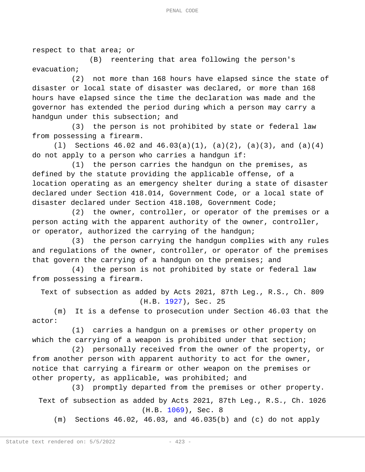respect to that area; or

(B) reentering that area following the person's evacuation;

(2) not more than 168 hours have elapsed since the state of disaster or local state of disaster was declared, or more than 168 hours have elapsed since the time the declaration was made and the governor has extended the period during which a person may carry a handgun under this subsection; and

(3) the person is not prohibited by state or federal law from possessing a firearm.

(l) Sections 46.02 and 46.03(a)(1), (a)(2), (a)(3), and (a)(4) do not apply to a person who carries a handgun if:

(1) the person carries the handgun on the premises, as defined by the statute providing the applicable offense, of a location operating as an emergency shelter during a state of disaster declared under Section 418.014, Government Code, or a local state of disaster declared under Section 418.108, Government Code;

(2) the owner, controller, or operator of the premises or a person acting with the apparent authority of the owner, controller, or operator, authorized the carrying of the handgun;

(3) the person carrying the handgun complies with any rules and regulations of the owner, controller, or operator of the premises that govern the carrying of a handgun on the premises; and

(4) the person is not prohibited by state or federal law from possessing a firearm.

Text of subsection as added by Acts 2021, 87th Leg., R.S., Ch. 809 (H.B. [1927](https://capitol.texas.gov/tlodocs/87R/billtext/html/HB01927F.HTM)), Sec. 25

(m) It is a defense to prosecution under Section 46.03 that the actor:

(1) carries a handgun on a premises or other property on which the carrying of a weapon is prohibited under that section;

(2) personally received from the owner of the property, or from another person with apparent authority to act for the owner, notice that carrying a firearm or other weapon on the premises or other property, as applicable, was prohibited; and

(3) promptly departed from the premises or other property.

Text of subsection as added by Acts 2021, 87th Leg., R.S., Ch. 1026 (H.B. [1069\)](https://capitol.texas.gov/tlodocs/87R/billtext/html/HB01069F.HTM), Sec. 8

(m) Sections 46.02, 46.03, and 46.035(b) and (c) do not apply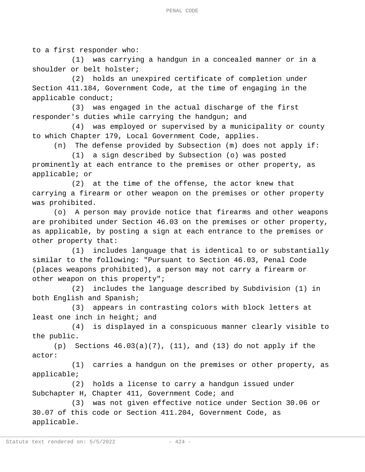to a first responder who:

(1) was carrying a handgun in a concealed manner or in a shoulder or belt holster;

(2) holds an unexpired certificate of completion under Section 411.184, Government Code, at the time of engaging in the applicable conduct;

(3) was engaged in the actual discharge of the first responder's duties while carrying the handgun; and

(4) was employed or supervised by a municipality or county to which Chapter 179, Local Government Code, applies.

(n) The defense provided by Subsection (m) does not apply if:

(1) a sign described by Subsection (o) was posted prominently at each entrance to the premises or other property, as applicable; or

(2) at the time of the offense, the actor knew that carrying a firearm or other weapon on the premises or other property was prohibited.

(o) A person may provide notice that firearms and other weapons are prohibited under Section 46.03 on the premises or other property, as applicable, by posting a sign at each entrance to the premises or other property that:

(1) includes language that is identical to or substantially similar to the following: "Pursuant to Section 46.03, Penal Code (places weapons prohibited), a person may not carry a firearm or other weapon on this property";

(2) includes the language described by Subdivision (1) in both English and Spanish;

(3) appears in contrasting colors with block letters at least one inch in height; and

(4) is displayed in a conspicuous manner clearly visible to the public.

 $(p)$  Sections  $46.03(a)(7)$ ,  $(11)$ , and  $(13)$  do not apply if the actor:

(1) carries a handgun on the premises or other property, as applicable;

(2) holds a license to carry a handgun issued under Subchapter H, Chapter 411, Government Code; and

(3) was not given effective notice under Section 30.06 or 30.07 of this code or Section 411.204, Government Code, as applicable.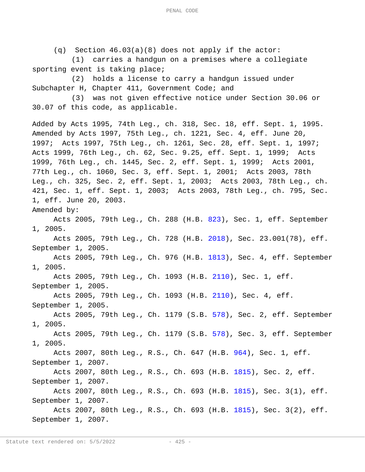(q) Section 46.03(a)(8) does not apply if the actor:

(1) carries a handgun on a premises where a collegiate sporting event is taking place;

(2) holds a license to carry a handgun issued under Subchapter H, Chapter 411, Government Code; and

(3) was not given effective notice under Section 30.06 or 30.07 of this code, as applicable.

Added by Acts 1995, 74th Leg., ch. 318, Sec. 18, eff. Sept. 1, 1995. Amended by Acts 1997, 75th Leg., ch. 1221, Sec. 4, eff. June 20, 1997; Acts 1997, 75th Leg., ch. 1261, Sec. 28, eff. Sept. 1, 1997; Acts 1999, 76th Leg., ch. 62, Sec. 9.25, eff. Sept. 1, 1999; Acts 1999, 76th Leg., ch. 1445, Sec. 2, eff. Sept. 1, 1999; Acts 2001, 77th Leg., ch. 1060, Sec. 3, eff. Sept. 1, 2001; Acts 2003, 78th Leg., ch. 325, Sec. 2, eff. Sept. 1, 2003; Acts 2003, 78th Leg., ch. 421, Sec. 1, eff. Sept. 1, 2003; Acts 2003, 78th Leg., ch. 795, Sec. 1, eff. June 20, 2003.

Amended by:

Acts 2005, 79th Leg., Ch. 288 (H.B. [823\)](http://www.legis.state.tx.us/tlodocs/79R/billtext/html/HB00823F.HTM), Sec. 1, eff. September 1, 2005.

Acts 2005, 79th Leg., Ch. 728 (H.B. [2018\)](http://www.legis.state.tx.us/tlodocs/79R/billtext/html/HB02018F.HTM), Sec. 23.001(78), eff. September 1, 2005.

Acts 2005, 79th Leg., Ch. 976 (H.B. [1813\)](http://www.legis.state.tx.us/tlodocs/79R/billtext/html/HB01813F.HTM), Sec. 4, eff. September 1, 2005.

Acts 2005, 79th Leg., Ch. 1093 (H.B. [2110](http://www.legis.state.tx.us/tlodocs/79R/billtext/html/HB02110F.HTM)), Sec. 1, eff.

September 1, 2005.

Acts 2005, 79th Leg., Ch. 1093 (H.B. [2110](http://www.legis.state.tx.us/tlodocs/79R/billtext/html/HB02110F.HTM)), Sec. 4, eff.

September 1, 2005.

Acts 2005, 79th Leg., Ch. 1179 (S.B. [578\)](http://www.legis.state.tx.us/tlodocs/79R/billtext/html/SB00578F.HTM), Sec. 2, eff. September 1, 2005.

Acts 2005, 79th Leg., Ch. 1179 (S.B. [578\)](http://www.legis.state.tx.us/tlodocs/79R/billtext/html/SB00578F.HTM), Sec. 3, eff. September 1, 2005.

Acts 2007, 80th Leg., R.S., Ch. 647 (H.B. [964](http://www.legis.state.tx.us/tlodocs/80R/billtext/html/HB00964F.HTM)), Sec. 1, eff. September 1, 2007.

Acts 2007, 80th Leg., R.S., Ch. 693 (H.B. [1815](http://www.legis.state.tx.us/tlodocs/80R/billtext/html/HB01815F.HTM)), Sec. 2, eff.

September 1, 2007.

Acts 2007, 80th Leg., R.S., Ch. 693 (H.B. [1815](http://www.legis.state.tx.us/tlodocs/80R/billtext/html/HB01815F.HTM)), Sec. 3(1), eff. September 1, 2007.

Acts 2007, 80th Leg., R.S., Ch. 693 (H.B. [1815](http://www.legis.state.tx.us/tlodocs/80R/billtext/html/HB01815F.HTM)), Sec. 3(2), eff. September 1, 2007.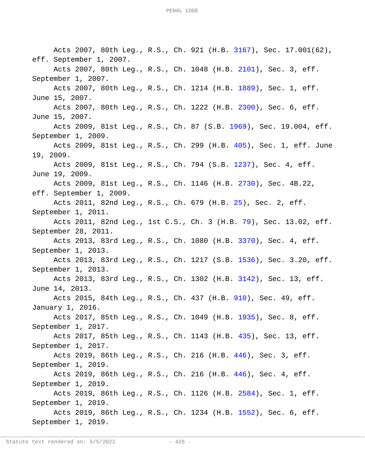Acts 2007, 80th Leg., R.S., Ch. 921 (H.B. [3167](http://www.legis.state.tx.us/tlodocs/80R/billtext/html/HB03167F.HTM)), Sec. 17.001(62), eff. September 1, 2007. Acts 2007, 80th Leg., R.S., Ch. 1048 (H.B. [2101](http://www.legis.state.tx.us/tlodocs/80R/billtext/html/HB02101F.HTM)), Sec. 3, eff. September 1, 2007. Acts 2007, 80th Leg., R.S., Ch. 1214 (H.B. [1889](http://www.legis.state.tx.us/tlodocs/80R/billtext/html/HB01889F.HTM)), Sec. 1, eff. June 15, 2007. Acts 2007, 80th Leg., R.S., Ch. 1222 (H.B. [2300](http://www.legis.state.tx.us/tlodocs/80R/billtext/html/HB02300F.HTM)), Sec. 6, eff. June 15, 2007. Acts 2009, 81st Leg., R.S., Ch. 87 (S.B. [1969\)](http://www.legis.state.tx.us/tlodocs/81R/billtext/html/SB01969F.HTM), Sec. 19.004, eff. September 1, 2009. Acts 2009, 81st Leg., R.S., Ch. 299 (H.B. [405](http://www.legis.state.tx.us/tlodocs/81R/billtext/html/HB00405F.HTM)), Sec. 1, eff. June 19, 2009. Acts 2009, 81st Leg., R.S., Ch. 794 (S.B. [1237](http://www.legis.state.tx.us/tlodocs/81R/billtext/html/SB01237F.HTM)), Sec. 4, eff. June 19, 2009. Acts 2009, 81st Leg., R.S., Ch. 1146 (H.B. [2730](http://www.legis.state.tx.us/tlodocs/81R/billtext/html/HB02730F.HTM)), Sec. 4B.22, eff. September 1, 2009. Acts 2011, 82nd Leg., R.S., Ch. 679 (H.B. [25\)](http://www.legis.state.tx.us/tlodocs/82R/billtext/html/HB00025F.HTM), Sec. 2, eff. September 1, 2011. Acts 2011, 82nd Leg., 1st C.S., Ch. 3 (H.B. [79](http://www.legis.state.tx.us/tlodocs/821/billtext/html/HB00079F.HTM)), Sec. 13.02, eff. September 28, 2011. Acts 2013, 83rd Leg., R.S., Ch. 1080 (H.B. [3370](http://www.legis.state.tx.us/tlodocs/83R/billtext/html/HB03370F.HTM)), Sec. 4, eff. September 1, 2013. Acts 2013, 83rd Leg., R.S., Ch. 1217 (S.B. [1536](http://www.legis.state.tx.us/tlodocs/83R/billtext/html/SB01536F.HTM)), Sec. 3.20, eff. September 1, 2013. Acts 2013, 83rd Leg., R.S., Ch. 1302 (H.B. [3142](http://www.legis.state.tx.us/tlodocs/83R/billtext/html/HB03142F.HTM)), Sec. 13, eff. June 14, 2013. Acts 2015, 84th Leg., R.S., Ch. 437 (H.B. [910](http://www.legis.state.tx.us/tlodocs/84R/billtext/html/HB00910F.HTM)), Sec. 49, eff. January 1, 2016. Acts 2017, 85th Leg., R.S., Ch. 1049 (H.B. [1935](http://www.legis.state.tx.us/tlodocs/85R/billtext/html/HB01935F.HTM)), Sec. 8, eff. September 1, 2017. Acts 2017, 85th Leg., R.S., Ch. 1143 (H.B. [435](http://www.legis.state.tx.us/tlodocs/85R/billtext/html/HB00435F.HTM)), Sec. 13, eff. September 1, 2017. Acts 2019, 86th Leg., R.S., Ch. 216 (H.B. [446](http://www.legis.state.tx.us/tlodocs/86R/billtext/html/HB00446F.HTM)), Sec. 3, eff. September 1, 2019. Acts 2019, 86th Leg., R.S., Ch. 216 (H.B. [446](http://www.legis.state.tx.us/tlodocs/86R/billtext/html/HB00446F.HTM)), Sec. 4, eff. September 1, 2019. Acts 2019, 86th Leg., R.S., Ch. 1126 (H.B. [2584](http://www.legis.state.tx.us/tlodocs/86R/billtext/html/HB02584F.HTM)), Sec. 1, eff. September 1, 2019. Acts 2019, 86th Leg., R.S., Ch. 1234 (H.B. [1552](http://www.legis.state.tx.us/tlodocs/86R/billtext/html/HB01552F.HTM)), Sec. 6, eff. September 1, 2019.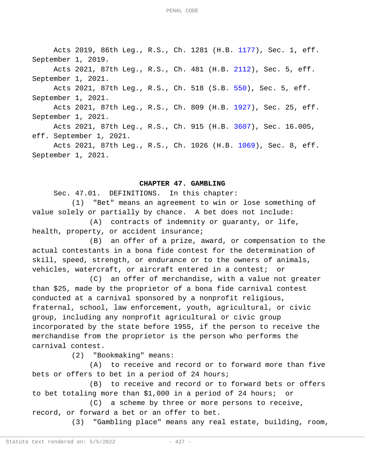Acts 2019, 86th Leg., R.S., Ch. 1281 (H.B. [1177](http://www.legis.state.tx.us/tlodocs/86R/billtext/html/HB01177F.HTM)), Sec. 1, eff. September 1, 2019. Acts 2021, 87th Leg., R.S., Ch. 481 (H.B. [2112](http://www.legis.state.tx.us/tlodocs/87R/billtext/html/HB02112F.HTM)), Sec. 5, eff. September 1, 2021. Acts 2021, 87th Leg., R.S., Ch. 518 (S.B. [550](http://www.legis.state.tx.us/tlodocs/87R/billtext/html/SB00550F.HTM)), Sec. 5, eff. September 1, 2021. Acts 2021, 87th Leg., R.S., Ch. 809 (H.B. [1927](http://www.legis.state.tx.us/tlodocs/87R/billtext/html/HB01927F.HTM)), Sec. 25, eff. September 1, 2021. Acts 2021, 87th Leg., R.S., Ch. 915 (H.B. [3607](http://www.legis.state.tx.us/tlodocs/87R/billtext/html/HB03607F.HTM)), Sec. 16.005, eff. September 1, 2021. Acts 2021, 87th Leg., R.S., Ch. 1026 (H.B. [1069](http://www.legis.state.tx.us/tlodocs/87R/billtext/html/HB01069F.HTM)), Sec. 8, eff. September 1, 2021.

## **CHAPTER 47. GAMBLING**

Sec. 47.01. DEFINITIONS. In this chapter:

(1) "Bet" means an agreement to win or lose something of value solely or partially by chance. A bet does not include:

(A) contracts of indemnity or guaranty, or life, health, property, or accident insurance;

(B) an offer of a prize, award, or compensation to the actual contestants in a bona fide contest for the determination of skill, speed, strength, or endurance or to the owners of animals, vehicles, watercraft, or aircraft entered in a contest; or

(C) an offer of merchandise, with a value not greater than \$25, made by the proprietor of a bona fide carnival contest conducted at a carnival sponsored by a nonprofit religious, fraternal, school, law enforcement, youth, agricultural, or civic group, including any nonprofit agricultural or civic group incorporated by the state before 1955, if the person to receive the merchandise from the proprietor is the person who performs the carnival contest.

(2) "Bookmaking" means:

(A) to receive and record or to forward more than five bets or offers to bet in a period of 24 hours;

(B) to receive and record or to forward bets or offers to bet totaling more than \$1,000 in a period of 24 hours; or

(C) a scheme by three or more persons to receive, record, or forward a bet or an offer to bet.

(3) "Gambling place" means any real estate, building, room,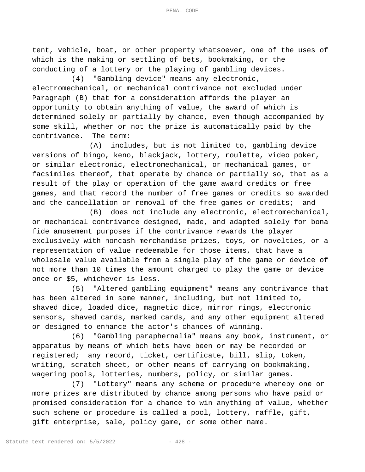tent, vehicle, boat, or other property whatsoever, one of the uses of which is the making or settling of bets, bookmaking, or the conducting of a lottery or the playing of gambling devices.

(4) "Gambling device" means any electronic, electromechanical, or mechanical contrivance not excluded under Paragraph (B) that for a consideration affords the player an opportunity to obtain anything of value, the award of which is determined solely or partially by chance, even though accompanied by some skill, whether or not the prize is automatically paid by the contrivance. The term:

(A) includes, but is not limited to, gambling device versions of bingo, keno, blackjack, lottery, roulette, video poker, or similar electronic, electromechanical, or mechanical games, or facsimiles thereof, that operate by chance or partially so, that as a result of the play or operation of the game award credits or free games, and that record the number of free games or credits so awarded and the cancellation or removal of the free games or credits; and

(B) does not include any electronic, electromechanical, or mechanical contrivance designed, made, and adapted solely for bona fide amusement purposes if the contrivance rewards the player exclusively with noncash merchandise prizes, toys, or novelties, or a representation of value redeemable for those items, that have a wholesale value available from a single play of the game or device of not more than 10 times the amount charged to play the game or device once or \$5, whichever is less.

(5) "Altered gambling equipment" means any contrivance that has been altered in some manner, including, but not limited to, shaved dice, loaded dice, magnetic dice, mirror rings, electronic sensors, shaved cards, marked cards, and any other equipment altered or designed to enhance the actor's chances of winning.

(6) "Gambling paraphernalia" means any book, instrument, or apparatus by means of which bets have been or may be recorded or registered; any record, ticket, certificate, bill, slip, token, writing, scratch sheet, or other means of carrying on bookmaking, wagering pools, lotteries, numbers, policy, or similar games.

(7) "Lottery" means any scheme or procedure whereby one or more prizes are distributed by chance among persons who have paid or promised consideration for a chance to win anything of value, whether such scheme or procedure is called a pool, lottery, raffle, gift, gift enterprise, sale, policy game, or some other name.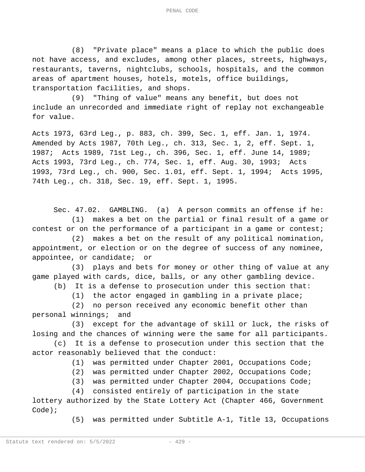(8) "Private place" means a place to which the public does not have access, and excludes, among other places, streets, highways, restaurants, taverns, nightclubs, schools, hospitals, and the common areas of apartment houses, hotels, motels, office buildings, transportation facilities, and shops.

(9) "Thing of value" means any benefit, but does not include an unrecorded and immediate right of replay not exchangeable for value.

Acts 1973, 63rd Leg., p. 883, ch. 399, Sec. 1, eff. Jan. 1, 1974. Amended by Acts 1987, 70th Leg., ch. 313, Sec. 1, 2, eff. Sept. 1, 1987; Acts 1989, 71st Leg., ch. 396, Sec. 1, eff. June 14, 1989; Acts 1993, 73rd Leg., ch. 774, Sec. 1, eff. Aug. 30, 1993; Acts 1993, 73rd Leg., ch. 900, Sec. 1.01, eff. Sept. 1, 1994; Acts 1995, 74th Leg., ch. 318, Sec. 19, eff. Sept. 1, 1995.

Sec. 47.02. GAMBLING. (a) A person commits an offense if he: (1) makes a bet on the partial or final result of a game or contest or on the performance of a participant in a game or contest;

(2) makes a bet on the result of any political nomination, appointment, or election or on the degree of success of any nominee, appointee, or candidate; or

(3) plays and bets for money or other thing of value at any game played with cards, dice, balls, or any other gambling device.

(b) It is a defense to prosecution under this section that:

(1) the actor engaged in gambling in a private place;

(2) no person received any economic benefit other than personal winnings; and

(3) except for the advantage of skill or luck, the risks of losing and the chances of winning were the same for all participants.

(c) It is a defense to prosecution under this section that the actor reasonably believed that the conduct:

(1) was permitted under Chapter 2001, Occupations Code;

(2) was permitted under Chapter 2002, Occupations Code;

(3) was permitted under Chapter 2004, Occupations Code;

(4) consisted entirely of participation in the state

lottery authorized by the State Lottery Act (Chapter 466, Government Code);

(5) was permitted under Subtitle A-1, Title 13, Occupations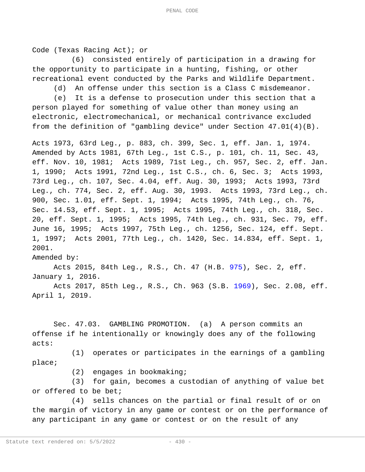Code (Texas Racing Act); or

(6) consisted entirely of participation in a drawing for the opportunity to participate in a hunting, fishing, or other recreational event conducted by the Parks and Wildlife Department.

(d) An offense under this section is a Class C misdemeanor.

(e) It is a defense to prosecution under this section that a person played for something of value other than money using an electronic, electromechanical, or mechanical contrivance excluded from the definition of "gambling device" under Section 47.01(4)(B).

Acts 1973, 63rd Leg., p. 883, ch. 399, Sec. 1, eff. Jan. 1, 1974. Amended by Acts 1981, 67th Leg., 1st C.S., p. 101, ch. 11, Sec. 43, eff. Nov. 10, 1981; Acts 1989, 71st Leg., ch. 957, Sec. 2, eff. Jan. 1, 1990; Acts 1991, 72nd Leg., 1st C.S., ch. 6, Sec. 3; Acts 1993, 73rd Leg., ch. 107, Sec. 4.04, eff. Aug. 30, 1993; Acts 1993, 73rd Leg., ch. 774, Sec. 2, eff. Aug. 30, 1993. Acts 1993, 73rd Leg., ch. 900, Sec. 1.01, eff. Sept. 1, 1994; Acts 1995, 74th Leg., ch. 76, Sec. 14.53, eff. Sept. 1, 1995; Acts 1995, 74th Leg., ch. 318, Sec. 20, eff. Sept. 1, 1995; Acts 1995, 74th Leg., ch. 931, Sec. 79, eff. June 16, 1995; Acts 1997, 75th Leg., ch. 1256, Sec. 124, eff. Sept. 1, 1997; Acts 2001, 77th Leg., ch. 1420, Sec. 14.834, eff. Sept. 1, 2001.

Amended by:

Acts 2015, 84th Leg., R.S., Ch. 47 (H.B. [975\)](http://www.legis.state.tx.us/tlodocs/84R/billtext/html/HB00975F.HTM), Sec. 2, eff. January 1, 2016.

Acts 2017, 85th Leg., R.S., Ch. 963 (S.B. [1969](http://www.legis.state.tx.us/tlodocs/85R/billtext/html/SB01969F.HTM)), Sec. 2.08, eff. April 1, 2019.

Sec. 47.03. GAMBLING PROMOTION. (a) A person commits an offense if he intentionally or knowingly does any of the following acts:

(1) operates or participates in the earnings of a gambling place;

(2) engages in bookmaking;

(3) for gain, becomes a custodian of anything of value bet or offered to be bet;

(4) sells chances on the partial or final result of or on the margin of victory in any game or contest or on the performance of any participant in any game or contest or on the result of any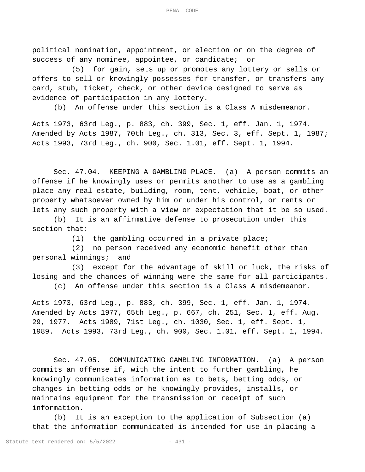political nomination, appointment, or election or on the degree of success of any nominee, appointee, or candidate; or

(5) for gain, sets up or promotes any lottery or sells or offers to sell or knowingly possesses for transfer, or transfers any card, stub, ticket, check, or other device designed to serve as evidence of participation in any lottery.

(b) An offense under this section is a Class A misdemeanor.

Acts 1973, 63rd Leg., p. 883, ch. 399, Sec. 1, eff. Jan. 1, 1974. Amended by Acts 1987, 70th Leg., ch. 313, Sec. 3, eff. Sept. 1, 1987; Acts 1993, 73rd Leg., ch. 900, Sec. 1.01, eff. Sept. 1, 1994.

Sec. 47.04. KEEPING A GAMBLING PLACE. (a) A person commits an offense if he knowingly uses or permits another to use as a gambling place any real estate, building, room, tent, vehicle, boat, or other property whatsoever owned by him or under his control, or rents or lets any such property with a view or expectation that it be so used.

(b) It is an affirmative defense to prosecution under this section that:

(1) the gambling occurred in a private place;

(2) no person received any economic benefit other than personal winnings; and

(3) except for the advantage of skill or luck, the risks of losing and the chances of winning were the same for all participants.

(c) An offense under this section is a Class A misdemeanor.

Acts 1973, 63rd Leg., p. 883, ch. 399, Sec. 1, eff. Jan. 1, 1974. Amended by Acts 1977, 65th Leg., p. 667, ch. 251, Sec. 1, eff. Aug. 29, 1977. Acts 1989, 71st Leg., ch. 1030, Sec. 1, eff. Sept. 1, 1989. Acts 1993, 73rd Leg., ch. 900, Sec. 1.01, eff. Sept. 1, 1994.

Sec. 47.05. COMMUNICATING GAMBLING INFORMATION. (a) A person commits an offense if, with the intent to further gambling, he knowingly communicates information as to bets, betting odds, or changes in betting odds or he knowingly provides, installs, or maintains equipment for the transmission or receipt of such information.

(b) It is an exception to the application of Subsection (a) that the information communicated is intended for use in placing a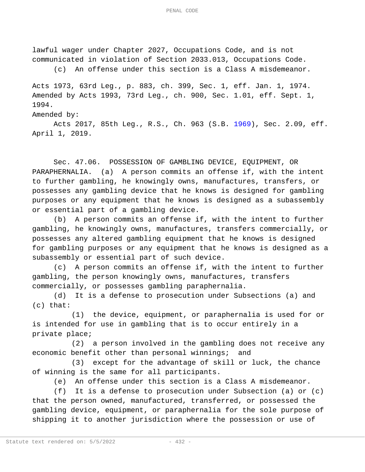lawful wager under Chapter 2027, Occupations Code, and is not communicated in violation of Section 2033.013, Occupations Code.

(c) An offense under this section is a Class A misdemeanor.

Acts 1973, 63rd Leg., p. 883, ch. 399, Sec. 1, eff. Jan. 1, 1974. Amended by Acts 1993, 73rd Leg., ch. 900, Sec. 1.01, eff. Sept. 1, 1994.

Amended by:

Acts 2017, 85th Leg., R.S., Ch. 963 (S.B. [1969](http://www.legis.state.tx.us/tlodocs/85R/billtext/html/SB01969F.HTM)), Sec. 2.09, eff. April 1, 2019.

Sec. 47.06. POSSESSION OF GAMBLING DEVICE, EQUIPMENT, OR PARAPHERNALIA. (a) A person commits an offense if, with the intent to further gambling, he knowingly owns, manufactures, transfers, or possesses any gambling device that he knows is designed for gambling purposes or any equipment that he knows is designed as a subassembly or essential part of a gambling device.

(b) A person commits an offense if, with the intent to further gambling, he knowingly owns, manufactures, transfers commercially, or possesses any altered gambling equipment that he knows is designed for gambling purposes or any equipment that he knows is designed as a subassembly or essential part of such device.

(c) A person commits an offense if, with the intent to further gambling, the person knowingly owns, manufactures, transfers commercially, or possesses gambling paraphernalia.

(d) It is a defense to prosecution under Subsections (a) and (c) that:

(1) the device, equipment, or paraphernalia is used for or is intended for use in gambling that is to occur entirely in a private place;

(2) a person involved in the gambling does not receive any economic benefit other than personal winnings; and

(3) except for the advantage of skill or luck, the chance of winning is the same for all participants.

(e) An offense under this section is a Class A misdemeanor.

(f) It is a defense to prosecution under Subsection (a) or (c) that the person owned, manufactured, transferred, or possessed the gambling device, equipment, or paraphernalia for the sole purpose of shipping it to another jurisdiction where the possession or use of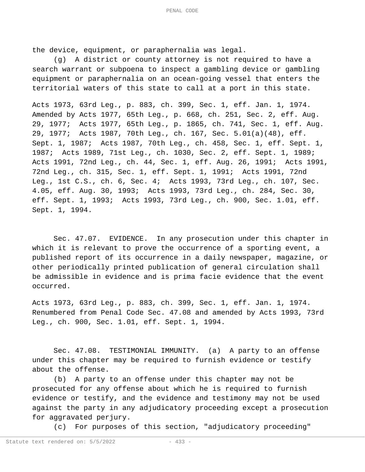the device, equipment, or paraphernalia was legal.

(g) A district or county attorney is not required to have a search warrant or subpoena to inspect a gambling device or gambling equipment or paraphernalia on an ocean-going vessel that enters the territorial waters of this state to call at a port in this state.

Acts 1973, 63rd Leg., p. 883, ch. 399, Sec. 1, eff. Jan. 1, 1974. Amended by Acts 1977, 65th Leg., p. 668, ch. 251, Sec. 2, eff. Aug. 29, 1977; Acts 1977, 65th Leg., p. 1865, ch. 741, Sec. 1, eff. Aug. 29, 1977; Acts 1987, 70th Leg., ch. 167, Sec. 5.01(a)(48), eff. Sept. 1, 1987; Acts 1987, 70th Leg., ch. 458, Sec. 1, eff. Sept. 1, 1987; Acts 1989, 71st Leg., ch. 1030, Sec. 2, eff. Sept. 1, 1989; Acts 1991, 72nd Leg., ch. 44, Sec. 1, eff. Aug. 26, 1991; Acts 1991, 72nd Leg., ch. 315, Sec. 1, eff. Sept. 1, 1991; Acts 1991, 72nd Leg., 1st C.S., ch. 6, Sec. 4; Acts 1993, 73rd Leg., ch. 107, Sec. 4.05, eff. Aug. 30, 1993; Acts 1993, 73rd Leg., ch. 284, Sec. 30, eff. Sept. 1, 1993; Acts 1993, 73rd Leg., ch. 900, Sec. 1.01, eff. Sept. 1, 1994.

Sec. 47.07. EVIDENCE. In any prosecution under this chapter in which it is relevant to prove the occurrence of a sporting event, a published report of its occurrence in a daily newspaper, magazine, or other periodically printed publication of general circulation shall be admissible in evidence and is prima facie evidence that the event occurred.

Acts 1973, 63rd Leg., p. 883, ch. 399, Sec. 1, eff. Jan. 1, 1974. Renumbered from Penal Code Sec. 47.08 and amended by Acts 1993, 73rd Leg., ch. 900, Sec. 1.01, eff. Sept. 1, 1994.

Sec. 47.08. TESTIMONIAL IMMUNITY. (a) A party to an offense under this chapter may be required to furnish evidence or testify about the offense.

(b) A party to an offense under this chapter may not be prosecuted for any offense about which he is required to furnish evidence or testify, and the evidence and testimony may not be used against the party in any adjudicatory proceeding except a prosecution for aggravated perjury.

(c) For purposes of this section, "adjudicatory proceeding"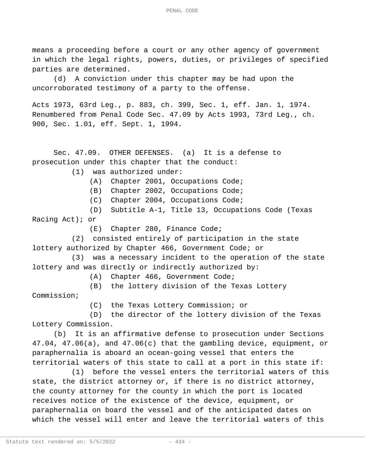means a proceeding before a court or any other agency of government in which the legal rights, powers, duties, or privileges of specified parties are determined.

(d) A conviction under this chapter may be had upon the uncorroborated testimony of a party to the offense.

Acts 1973, 63rd Leg., p. 883, ch. 399, Sec. 1, eff. Jan. 1, 1974. Renumbered from Penal Code Sec. 47.09 by Acts 1993, 73rd Leg., ch. 900, Sec. 1.01, eff. Sept. 1, 1994.

Sec. 47.09. OTHER DEFENSES. (a) It is a defense to prosecution under this chapter that the conduct:

(1) was authorized under:

(A) Chapter 2001, Occupations Code;

(B) Chapter 2002, Occupations Code;

(C) Chapter 2004, Occupations Code;

(D) Subtitle A-1, Title 13, Occupations Code (Texas Racing Act); or

(E) Chapter 280, Finance Code;

(2) consisted entirely of participation in the state lottery authorized by Chapter 466, Government Code; or

(3) was a necessary incident to the operation of the state lottery and was directly or indirectly authorized by:

(A) Chapter 466, Government Code;

(B) the lottery division of the Texas Lottery

Commission;

(C) the Texas Lottery Commission; or

(D) the director of the lottery division of the Texas Lottery Commission.

(b) It is an affirmative defense to prosecution under Sections 47.04, 47.06(a), and 47.06(c) that the gambling device, equipment, or paraphernalia is aboard an ocean-going vessel that enters the territorial waters of this state to call at a port in this state if:

(1) before the vessel enters the territorial waters of this state, the district attorney or, if there is no district attorney, the county attorney for the county in which the port is located receives notice of the existence of the device, equipment, or paraphernalia on board the vessel and of the anticipated dates on which the vessel will enter and leave the territorial waters of this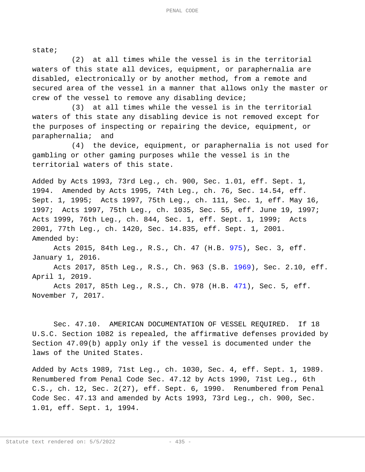state;

(2) at all times while the vessel is in the territorial waters of this state all devices, equipment, or paraphernalia are disabled, electronically or by another method, from a remote and secured area of the vessel in a manner that allows only the master or crew of the vessel to remove any disabling device;

(3) at all times while the vessel is in the territorial waters of this state any disabling device is not removed except for the purposes of inspecting or repairing the device, equipment, or paraphernalia; and

(4) the device, equipment, or paraphernalia is not used for gambling or other gaming purposes while the vessel is in the territorial waters of this state.

Added by Acts 1993, 73rd Leg., ch. 900, Sec. 1.01, eff. Sept. 1, 1994. Amended by Acts 1995, 74th Leg., ch. 76, Sec. 14.54, eff. Sept. 1, 1995; Acts 1997, 75th Leg., ch. 111, Sec. 1, eff. May 16, 1997; Acts 1997, 75th Leg., ch. 1035, Sec. 55, eff. June 19, 1997; Acts 1999, 76th Leg., ch. 844, Sec. 1, eff. Sept. 1, 1999; Acts 2001, 77th Leg., ch. 1420, Sec. 14.835, eff. Sept. 1, 2001. Amended by:

Acts 2015, 84th Leg., R.S., Ch. 47 (H.B. [975\)](http://www.legis.state.tx.us/tlodocs/84R/billtext/html/HB00975F.HTM), Sec. 3, eff. January 1, 2016.

Acts 2017, 85th Leg., R.S., Ch. 963 (S.B. [1969](http://www.legis.state.tx.us/tlodocs/85R/billtext/html/SB01969F.HTM)), Sec. 2.10, eff. April 1, 2019.

Acts 2017, 85th Leg., R.S., Ch. 978 (H.B. [471](http://www.legis.state.tx.us/tlodocs/85R/billtext/html/HB00471F.HTM)), Sec. 5, eff. November 7, 2017.

Sec. 47.10. AMERICAN DOCUMENTATION OF VESSEL REQUIRED. If 18 U.S.C. Section 1082 is repealed, the affirmative defenses provided by Section 47.09(b) apply only if the vessel is documented under the laws of the United States.

Added by Acts 1989, 71st Leg., ch. 1030, Sec. 4, eff. Sept. 1, 1989. Renumbered from Penal Code Sec. 47.12 by Acts 1990, 71st Leg., 6th C.S., ch. 12, Sec. 2(27), eff. Sept. 6, 1990. Renumbered from Penal Code Sec. 47.13 and amended by Acts 1993, 73rd Leg., ch. 900, Sec. 1.01, eff. Sept. 1, 1994.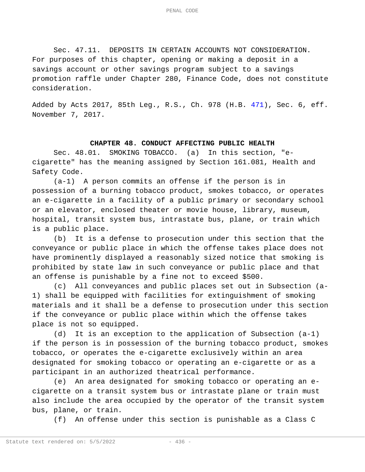Sec. 47.11. DEPOSITS IN CERTAIN ACCOUNTS NOT CONSIDERATION. For purposes of this chapter, opening or making a deposit in a savings account or other savings program subject to a savings promotion raffle under Chapter 280, Finance Code, does not constitute consideration.

Added by Acts 2017, 85th Leg., R.S., Ch. 978 (H.B. [471\)](http://www.legis.state.tx.us/tlodocs/85R/billtext/html/HB00471F.HTM), Sec. 6, eff. November 7, 2017.

#### **CHAPTER 48. CONDUCT AFFECTING PUBLIC HEALTH**

Sec. 48.01. SMOKING TOBACCO. (a) In this section, "ecigarette" has the meaning assigned by Section 161.081, Health and Safety Code.

(a-1) A person commits an offense if the person is in possession of a burning tobacco product, smokes tobacco, or operates an e-cigarette in a facility of a public primary or secondary school or an elevator, enclosed theater or movie house, library, museum, hospital, transit system bus, intrastate bus, plane, or train which is a public place.

(b) It is a defense to prosecution under this section that the conveyance or public place in which the offense takes place does not have prominently displayed a reasonably sized notice that smoking is prohibited by state law in such conveyance or public place and that an offense is punishable by a fine not to exceed \$500.

(c) All conveyances and public places set out in Subsection (a-1) shall be equipped with facilities for extinguishment of smoking materials and it shall be a defense to prosecution under this section if the conveyance or public place within which the offense takes place is not so equipped.

(d) It is an exception to the application of Subsection (a-1) if the person is in possession of the burning tobacco product, smokes tobacco, or operates the e-cigarette exclusively within an area designated for smoking tobacco or operating an e-cigarette or as a participant in an authorized theatrical performance.

(e) An area designated for smoking tobacco or operating an ecigarette on a transit system bus or intrastate plane or train must also include the area occupied by the operator of the transit system bus, plane, or train.

(f) An offense under this section is punishable as a Class C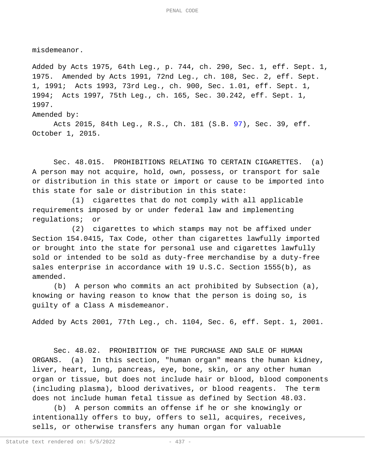misdemeanor.

Added by Acts 1975, 64th Leg., p. 744, ch. 290, Sec. 1, eff. Sept. 1, 1975. Amended by Acts 1991, 72nd Leg., ch. 108, Sec. 2, eff. Sept. 1, 1991; Acts 1993, 73rd Leg., ch. 900, Sec. 1.01, eff. Sept. 1, 1994; Acts 1997, 75th Leg., ch. 165, Sec. 30.242, eff. Sept. 1, 1997.

## Amended by:

Acts 2015, 84th Leg., R.S., Ch. 181 (S.B. [97\)](http://www.legis.state.tx.us/tlodocs/84R/billtext/html/SB00097F.HTM), Sec. 39, eff. October 1, 2015.

Sec. 48.015. PROHIBITIONS RELATING TO CERTAIN CIGARETTES. (a) A person may not acquire, hold, own, possess, or transport for sale or distribution in this state or import or cause to be imported into this state for sale or distribution in this state:

(1) cigarettes that do not comply with all applicable requirements imposed by or under federal law and implementing regulations; or

(2) cigarettes to which stamps may not be affixed under Section 154.0415, Tax Code, other than cigarettes lawfully imported or brought into the state for personal use and cigarettes lawfully sold or intended to be sold as duty-free merchandise by a duty-free sales enterprise in accordance with 19 U.S.C. Section 1555(b), as amended.

(b) A person who commits an act prohibited by Subsection (a), knowing or having reason to know that the person is doing so, is guilty of a Class A misdemeanor.

Added by Acts 2001, 77th Leg., ch. 1104, Sec. 6, eff. Sept. 1, 2001.

Sec. 48.02. PROHIBITION OF THE PURCHASE AND SALE OF HUMAN ORGANS. (a) In this section, "human organ" means the human kidney, liver, heart, lung, pancreas, eye, bone, skin, or any other human organ or tissue, but does not include hair or blood, blood components (including plasma), blood derivatives, or blood reagents. The term does not include human fetal tissue as defined by Section 48.03.

(b) A person commits an offense if he or she knowingly or intentionally offers to buy, offers to sell, acquires, receives, sells, or otherwise transfers any human organ for valuable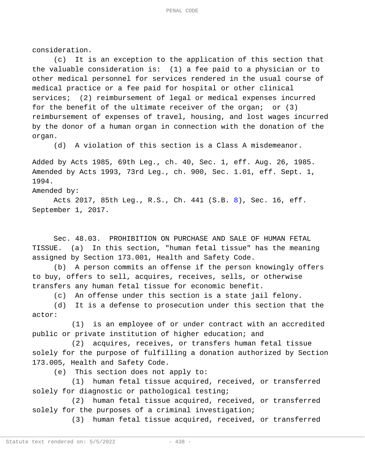consideration.

(c) It is an exception to the application of this section that the valuable consideration is: (1) a fee paid to a physician or to other medical personnel for services rendered in the usual course of medical practice or a fee paid for hospital or other clinical services; (2) reimbursement of legal or medical expenses incurred for the benefit of the ultimate receiver of the organ; or (3) reimbursement of expenses of travel, housing, and lost wages incurred by the donor of a human organ in connection with the donation of the organ.

(d) A violation of this section is a Class A misdemeanor.

Added by Acts 1985, 69th Leg., ch. 40, Sec. 1, eff. Aug. 26, 1985. Amended by Acts 1993, 73rd Leg., ch. 900, Sec. 1.01, eff. Sept. 1, 1994.

Amended by:

Acts 2017, 85th Leg., R.S., Ch. 441 (S.B. [8\)](http://www.legis.state.tx.us/tlodocs/85R/billtext/html/SB00008F.HTM), Sec. 16, eff. September 1, 2017.

Sec. 48.03. PROHIBITION ON PURCHASE AND SALE OF HUMAN FETAL TISSUE. (a) In this section, "human fetal tissue" has the meaning assigned by Section 173.001, Health and Safety Code.

(b) A person commits an offense if the person knowingly offers to buy, offers to sell, acquires, receives, sells, or otherwise transfers any human fetal tissue for economic benefit.

(c) An offense under this section is a state jail felony.

(d) It is a defense to prosecution under this section that the actor:

(1) is an employee of or under contract with an accredited public or private institution of higher education; and

(2) acquires, receives, or transfers human fetal tissue solely for the purpose of fulfilling a donation authorized by Section 173.005, Health and Safety Code.

(e) This section does not apply to:

(1) human fetal tissue acquired, received, or transferred solely for diagnostic or pathological testing;

(2) human fetal tissue acquired, received, or transferred solely for the purposes of a criminal investigation;

(3) human fetal tissue acquired, received, or transferred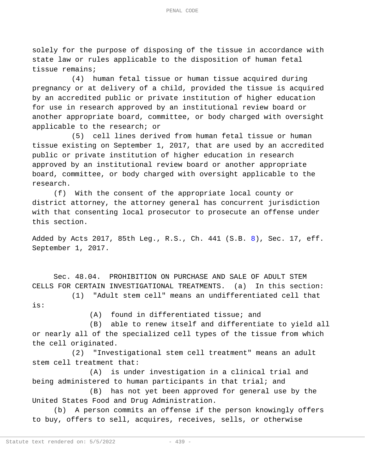solely for the purpose of disposing of the tissue in accordance with state law or rules applicable to the disposition of human fetal tissue remains;

(4) human fetal tissue or human tissue acquired during pregnancy or at delivery of a child, provided the tissue is acquired by an accredited public or private institution of higher education for use in research approved by an institutional review board or another appropriate board, committee, or body charged with oversight applicable to the research; or

(5) cell lines derived from human fetal tissue or human tissue existing on September 1, 2017, that are used by an accredited public or private institution of higher education in research approved by an institutional review board or another appropriate board, committee, or body charged with oversight applicable to the research.

(f) With the consent of the appropriate local county or district attorney, the attorney general has concurrent jurisdiction with that consenting local prosecutor to prosecute an offense under this section.

Added by Acts 2017, 85th Leg., R.S., Ch. 441 (S.B. [8](http://www.legis.state.tx.us/tlodocs/85R/billtext/html/SB00008F.HTM)), Sec. 17, eff. September 1, 2017.

Sec. 48.04. PROHIBITION ON PURCHASE AND SALE OF ADULT STEM CELLS FOR CERTAIN INVESTIGATIONAL TREATMENTS. (a) In this section:

(1) "Adult stem cell" means an undifferentiated cell that is:

(A) found in differentiated tissue; and

(B) able to renew itself and differentiate to yield all or nearly all of the specialized cell types of the tissue from which the cell originated.

(2) "Investigational stem cell treatment" means an adult stem cell treatment that:

(A) is under investigation in a clinical trial and being administered to human participants in that trial; and

(B) has not yet been approved for general use by the United States Food and Drug Administration.

(b) A person commits an offense if the person knowingly offers to buy, offers to sell, acquires, receives, sells, or otherwise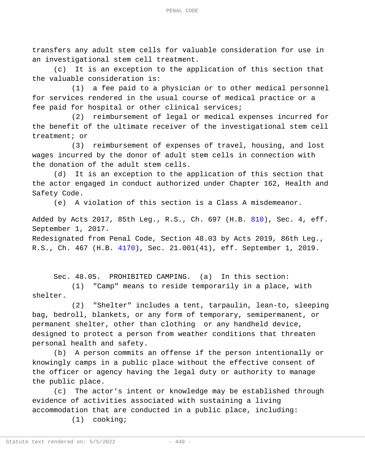transfers any adult stem cells for valuable consideration for use in an investigational stem cell treatment.

(c) It is an exception to the application of this section that the valuable consideration is:

(1) a fee paid to a physician or to other medical personnel for services rendered in the usual course of medical practice or a fee paid for hospital or other clinical services;

(2) reimbursement of legal or medical expenses incurred for the benefit of the ultimate receiver of the investigational stem cell treatment; or

(3) reimbursement of expenses of travel, housing, and lost wages incurred by the donor of adult stem cells in connection with the donation of the adult stem cells.

(d) It is an exception to the application of this section that the actor engaged in conduct authorized under Chapter 162, Health and Safety Code.

(e) A violation of this section is a Class A misdemeanor.

Added by Acts 2017, 85th Leg., R.S., Ch. 697 (H.B. [810\)](http://www.legis.state.tx.us/tlodocs/85R/billtext/html/HB00810F.HTM), Sec. 4, eff. September 1, 2017.

Redesignated from Penal Code, Section 48.03 by Acts 2019, 86th Leg., R.S., Ch. 467 (H.B. [4170\)](http://www.legis.state.tx.us/tlodocs/86R/billtext/html/HB04170F.HTM), Sec. 21.001(41), eff. September 1, 2019.

Sec. 48.05. PROHIBITED CAMPING. (a) In this section: (1) "Camp" means to reside temporarily in a place, with shelter.

(2) "Shelter" includes a tent, tarpaulin, lean-to, sleeping bag, bedroll, blankets, or any form of temporary, semipermanent, or permanent shelter, other than clothing or any handheld device, designed to protect a person from weather conditions that threaten personal health and safety.

(b) A person commits an offense if the person intentionally or knowingly camps in a public place without the effective consent of the officer or agency having the legal duty or authority to manage the public place.

(c) The actor's intent or knowledge may be established through evidence of activities associated with sustaining a living accommodation that are conducted in a public place, including:

(1) cooking;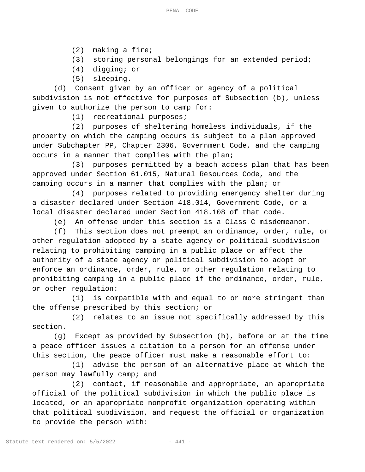- (2) making a fire;
- (3) storing personal belongings for an extended period;
- (4) digging; or
- (5) sleeping.

(d) Consent given by an officer or agency of a political subdivision is not effective for purposes of Subsection (b), unless given to authorize the person to camp for:

(1) recreational purposes;

(2) purposes of sheltering homeless individuals, if the property on which the camping occurs is subject to a plan approved under Subchapter PP, Chapter 2306, Government Code, and the camping occurs in a manner that complies with the plan;

(3) purposes permitted by a beach access plan that has been approved under Section 61.015, Natural Resources Code, and the camping occurs in a manner that complies with the plan; or

(4) purposes related to providing emergency shelter during a disaster declared under Section 418.014, Government Code, or a local disaster declared under Section 418.108 of that code.

(e) An offense under this section is a Class C misdemeanor.

(f) This section does not preempt an ordinance, order, rule, or other regulation adopted by a state agency or political subdivision relating to prohibiting camping in a public place or affect the authority of a state agency or political subdivision to adopt or enforce an ordinance, order, rule, or other regulation relating to prohibiting camping in a public place if the ordinance, order, rule, or other regulation:

(1) is compatible with and equal to or more stringent than the offense prescribed by this section; or

(2) relates to an issue not specifically addressed by this section.

(g) Except as provided by Subsection (h), before or at the time a peace officer issues a citation to a person for an offense under this section, the peace officer must make a reasonable effort to:

(1) advise the person of an alternative place at which the person may lawfully camp; and

(2) contact, if reasonable and appropriate, an appropriate official of the political subdivision in which the public place is located, or an appropriate nonprofit organization operating within that political subdivision, and request the official or organization to provide the person with: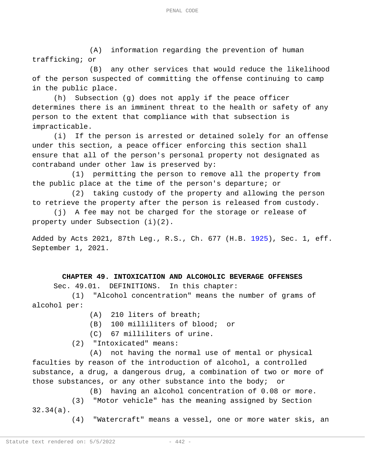(A) information regarding the prevention of human trafficking; or

(B) any other services that would reduce the likelihood of the person suspected of committing the offense continuing to camp in the public place.

(h) Subsection (g) does not apply if the peace officer determines there is an imminent threat to the health or safety of any person to the extent that compliance with that subsection is impracticable.

(i) If the person is arrested or detained solely for an offense under this section, a peace officer enforcing this section shall ensure that all of the person's personal property not designated as contraband under other law is preserved by:

(1) permitting the person to remove all the property from the public place at the time of the person's departure; or

(2) taking custody of the property and allowing the person to retrieve the property after the person is released from custody.

(j) A fee may not be charged for the storage or release of property under Subsection (i)(2).

Added by Acts 2021, 87th Leg., R.S., Ch. 677 (H.B. [1925](http://www.legis.state.tx.us/tlodocs/87R/billtext/html/HB01925F.HTM)), Sec. 1, eff. September 1, 2021.

### **CHAPTER 49. INTOXICATION AND ALCOHOLIC BEVERAGE OFFENSES**

Sec. 49.01. DEFINITIONS. In this chapter:

(1) "Alcohol concentration" means the number of grams of alcohol per:

- (A) 210 liters of breath;
- (B) 100 milliliters of blood; or
- (C) 67 milliliters of urine.
- (2) "Intoxicated" means:

(A) not having the normal use of mental or physical faculties by reason of the introduction of alcohol, a controlled substance, a drug, a dangerous drug, a combination of two or more of those substances, or any other substance into the body; or

(B) having an alcohol concentration of 0.08 or more.

(3) "Motor vehicle" has the meaning assigned by Section 32.34(a).

(4) "Watercraft" means a vessel, one or more water skis, an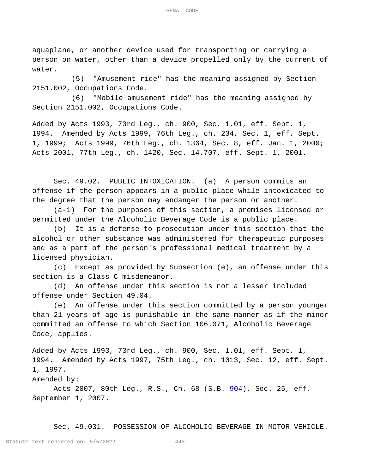PENAL CODE

aquaplane, or another device used for transporting or carrying a person on water, other than a device propelled only by the current of water.

(5) "Amusement ride" has the meaning assigned by Section 2151.002, Occupations Code.

(6) "Mobile amusement ride" has the meaning assigned by Section 2151.002, Occupations Code.

Added by Acts 1993, 73rd Leg., ch. 900, Sec. 1.01, eff. Sept. 1, 1994. Amended by Acts 1999, 76th Leg., ch. 234, Sec. 1, eff. Sept. 1, 1999; Acts 1999, 76th Leg., ch. 1364, Sec. 8, eff. Jan. 1, 2000; Acts 2001, 77th Leg., ch. 1420, Sec. 14.707, eff. Sept. 1, 2001.

Sec. 49.02. PUBLIC INTOXICATION. (a) A person commits an offense if the person appears in a public place while intoxicated to the degree that the person may endanger the person or another.

(a-1) For the purposes of this section, a premises licensed or permitted under the Alcoholic Beverage Code is a public place.

(b) It is a defense to prosecution under this section that the alcohol or other substance was administered for therapeutic purposes and as a part of the person's professional medical treatment by a licensed physician.

(c) Except as provided by Subsection (e), an offense under this section is a Class C misdemeanor.

(d) An offense under this section is not a lesser included offense under Section 49.04.

(e) An offense under this section committed by a person younger than 21 years of age is punishable in the same manner as if the minor committed an offense to which Section 106.071, Alcoholic Beverage Code, applies.

Added by Acts 1993, 73rd Leg., ch. 900, Sec. 1.01, eff. Sept. 1, 1994. Amended by Acts 1997, 75th Leg., ch. 1013, Sec. 12, eff. Sept. 1, 1997.

Amended by:

Acts 2007, 80th Leg., R.S., Ch. 68 (S.B. [904\)](http://www.legis.state.tx.us/tlodocs/80R/billtext/html/SB00904F.HTM), Sec. 25, eff. September 1, 2007.

Sec. 49.031. POSSESSION OF ALCOHOLIC BEVERAGE IN MOTOR VEHICLE.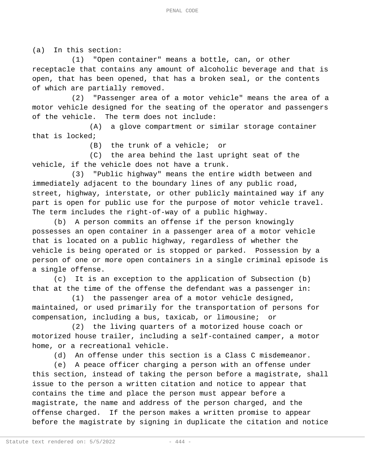(a) In this section:

(1) "Open container" means a bottle, can, or other receptacle that contains any amount of alcoholic beverage and that is open, that has been opened, that has a broken seal, or the contents of which are partially removed.

(2) "Passenger area of a motor vehicle" means the area of a motor vehicle designed for the seating of the operator and passengers of the vehicle. The term does not include:

(A) a glove compartment or similar storage container that is locked;

(B) the trunk of a vehicle; or

(C) the area behind the last upright seat of the vehicle, if the vehicle does not have a trunk.

(3) "Public highway" means the entire width between and immediately adjacent to the boundary lines of any public road, street, highway, interstate, or other publicly maintained way if any part is open for public use for the purpose of motor vehicle travel. The term includes the right-of-way of a public highway.

(b) A person commits an offense if the person knowingly possesses an open container in a passenger area of a motor vehicle that is located on a public highway, regardless of whether the vehicle is being operated or is stopped or parked. Possession by a person of one or more open containers in a single criminal episode is a single offense.

(c) It is an exception to the application of Subsection (b) that at the time of the offense the defendant was a passenger in:

(1) the passenger area of a motor vehicle designed, maintained, or used primarily for the transportation of persons for compensation, including a bus, taxicab, or limousine; or

(2) the living quarters of a motorized house coach or motorized house trailer, including a self-contained camper, a motor home, or a recreational vehicle.

(d) An offense under this section is a Class C misdemeanor.

(e) A peace officer charging a person with an offense under this section, instead of taking the person before a magistrate, shall issue to the person a written citation and notice to appear that contains the time and place the person must appear before a magistrate, the name and address of the person charged, and the offense charged. If the person makes a written promise to appear before the magistrate by signing in duplicate the citation and notice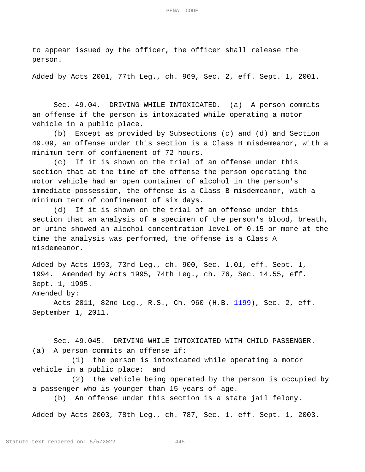to appear issued by the officer, the officer shall release the person.

Added by Acts 2001, 77th Leg., ch. 969, Sec. 2, eff. Sept. 1, 2001.

Sec. 49.04. DRIVING WHILE INTOXICATED. (a) A person commits an offense if the person is intoxicated while operating a motor vehicle in a public place.

(b) Except as provided by Subsections (c) and (d) and Section 49.09, an offense under this section is a Class B misdemeanor, with a minimum term of confinement of 72 hours.

(c) If it is shown on the trial of an offense under this section that at the time of the offense the person operating the motor vehicle had an open container of alcohol in the person's immediate possession, the offense is a Class B misdemeanor, with a minimum term of confinement of six days.

(d) If it is shown on the trial of an offense under this section that an analysis of a specimen of the person's blood, breath, or urine showed an alcohol concentration level of 0.15 or more at the time the analysis was performed, the offense is a Class A misdemeanor.

Added by Acts 1993, 73rd Leg., ch. 900, Sec. 1.01, eff. Sept. 1, 1994. Amended by Acts 1995, 74th Leg., ch. 76, Sec. 14.55, eff. Sept. 1, 1995. Amended by:

Acts 2011, 82nd Leg., R.S., Ch. 960 (H.B. [1199](http://www.legis.state.tx.us/tlodocs/82R/billtext/html/HB01199F.HTM)), Sec. 2, eff. September 1, 2011.

Sec. 49.045. DRIVING WHILE INTOXICATED WITH CHILD PASSENGER. (a) A person commits an offense if:

(1) the person is intoxicated while operating a motor vehicle in a public place; and

(2) the vehicle being operated by the person is occupied by a passenger who is younger than 15 years of age.

(b) An offense under this section is a state jail felony.

Added by Acts 2003, 78th Leg., ch. 787, Sec. 1, eff. Sept. 1, 2003.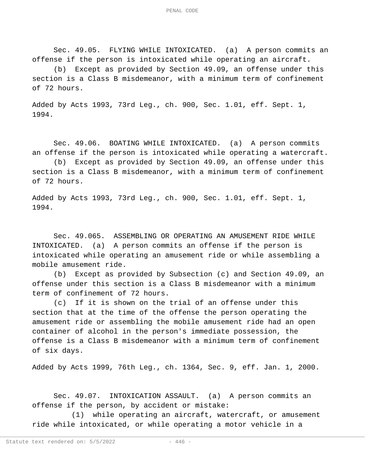Sec. 49.05. FLYING WHILE INTOXICATED. (a) A person commits an offense if the person is intoxicated while operating an aircraft.

(b) Except as provided by Section 49.09, an offense under this section is a Class B misdemeanor, with a minimum term of confinement of 72 hours.

Added by Acts 1993, 73rd Leg., ch. 900, Sec. 1.01, eff. Sept. 1, 1994.

Sec. 49.06. BOATING WHILE INTOXICATED. (a) A person commits an offense if the person is intoxicated while operating a watercraft.

(b) Except as provided by Section 49.09, an offense under this section is a Class B misdemeanor, with a minimum term of confinement of 72 hours.

Added by Acts 1993, 73rd Leg., ch. 900, Sec. 1.01, eff. Sept. 1, 1994.

Sec. 49.065. ASSEMBLING OR OPERATING AN AMUSEMENT RIDE WHILE INTOXICATED. (a) A person commits an offense if the person is intoxicated while operating an amusement ride or while assembling a mobile amusement ride.

(b) Except as provided by Subsection (c) and Section 49.09, an offense under this section is a Class B misdemeanor with a minimum term of confinement of 72 hours.

(c) If it is shown on the trial of an offense under this section that at the time of the offense the person operating the amusement ride or assembling the mobile amusement ride had an open container of alcohol in the person's immediate possession, the offense is a Class B misdemeanor with a minimum term of confinement of six days.

Added by Acts 1999, 76th Leg., ch. 1364, Sec. 9, eff. Jan. 1, 2000.

Sec. 49.07. INTOXICATION ASSAULT. (a) A person commits an offense if the person, by accident or mistake:

(1) while operating an aircraft, watercraft, or amusement ride while intoxicated, or while operating a motor vehicle in a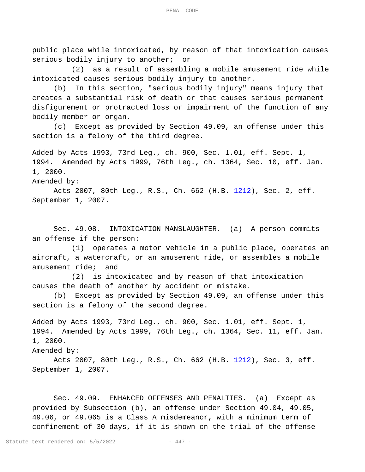public place while intoxicated, by reason of that intoxication causes serious bodily injury to another; or

(2) as a result of assembling a mobile amusement ride while intoxicated causes serious bodily injury to another.

(b) In this section, "serious bodily injury" means injury that creates a substantial risk of death or that causes serious permanent disfigurement or protracted loss or impairment of the function of any bodily member or organ.

(c) Except as provided by Section 49.09, an offense under this section is a felony of the third degree.

Added by Acts 1993, 73rd Leg., ch. 900, Sec. 1.01, eff. Sept. 1, 1994. Amended by Acts 1999, 76th Leg., ch. 1364, Sec. 10, eff. Jan. 1, 2000.

#### Amended by:

Acts 2007, 80th Leg., R.S., Ch. 662 (H.B. [1212](http://www.legis.state.tx.us/tlodocs/80R/billtext/html/HB01212F.HTM)), Sec. 2, eff. September 1, 2007.

Sec. 49.08. INTOXICATION MANSLAUGHTER. (a) A person commits an offense if the person:

(1) operates a motor vehicle in a public place, operates an aircraft, a watercraft, or an amusement ride, or assembles a mobile amusement ride; and

(2) is intoxicated and by reason of that intoxication causes the death of another by accident or mistake.

(b) Except as provided by Section 49.09, an offense under this section is a felony of the second degree.

Added by Acts 1993, 73rd Leg., ch. 900, Sec. 1.01, eff. Sept. 1, 1994. Amended by Acts 1999, 76th Leg., ch. 1364, Sec. 11, eff. Jan. 1, 2000.

Amended by:

Acts 2007, 80th Leg., R.S., Ch. 662 (H.B. [1212](http://www.legis.state.tx.us/tlodocs/80R/billtext/html/HB01212F.HTM)), Sec. 3, eff. September 1, 2007.

Sec. 49.09. ENHANCED OFFENSES AND PENALTIES. (a) Except as provided by Subsection (b), an offense under Section 49.04, 49.05, 49.06, or 49.065 is a Class A misdemeanor, with a minimum term of confinement of 30 days, if it is shown on the trial of the offense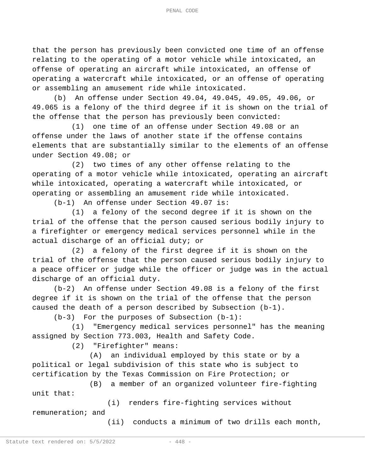that the person has previously been convicted one time of an offense relating to the operating of a motor vehicle while intoxicated, an offense of operating an aircraft while intoxicated, an offense of operating a watercraft while intoxicated, or an offense of operating or assembling an amusement ride while intoxicated.

(b) An offense under Section 49.04, 49.045, 49.05, 49.06, or 49.065 is a felony of the third degree if it is shown on the trial of the offense that the person has previously been convicted:

(1) one time of an offense under Section 49.08 or an offense under the laws of another state if the offense contains elements that are substantially similar to the elements of an offense under Section 49.08; or

(2) two times of any other offense relating to the operating of a motor vehicle while intoxicated, operating an aircraft while intoxicated, operating a watercraft while intoxicated, or operating or assembling an amusement ride while intoxicated.

(b-1) An offense under Section 49.07 is:

(1) a felony of the second degree if it is shown on the trial of the offense that the person caused serious bodily injury to a firefighter or emergency medical services personnel while in the actual discharge of an official duty; or

(2) a felony of the first degree if it is shown on the trial of the offense that the person caused serious bodily injury to a peace officer or judge while the officer or judge was in the actual discharge of an official duty.

(b-2) An offense under Section 49.08 is a felony of the first degree if it is shown on the trial of the offense that the person caused the death of a person described by Subsection (b-1).

(b-3) For the purposes of Subsection (b-1):

(1) "Emergency medical services personnel" has the meaning assigned by Section 773.003, Health and Safety Code.

(2) "Firefighter" means:

(A) an individual employed by this state or by a political or legal subdivision of this state who is subject to certification by the Texas Commission on Fire Protection; or

(B) a member of an organized volunteer fire-fighting unit that:

(i) renders fire-fighting services without remuneration; and

(ii) conducts a minimum of two drills each month,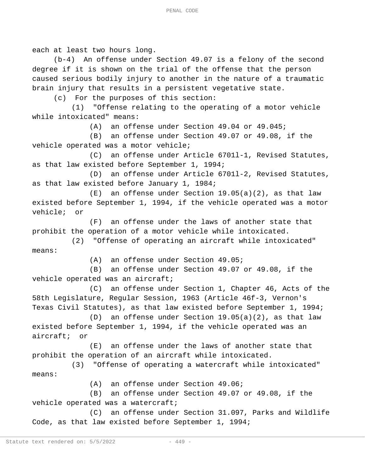each at least two hours long.

(b-4) An offense under Section 49.07 is a felony of the second degree if it is shown on the trial of the offense that the person caused serious bodily injury to another in the nature of a traumatic brain injury that results in a persistent vegetative state.

(c) For the purposes of this section:

(1) "Offense relating to the operating of a motor vehicle while intoxicated" means:

(A) an offense under Section 49.04 or 49.045;

(B) an offense under Section 49.07 or 49.08, if the vehicle operated was a motor vehicle;

(C) an offense under Article 6701l-1, Revised Statutes, as that law existed before September 1, 1994;

(D) an offense under Article 6701l-2, Revised Statutes, as that law existed before January 1, 1984;

(E) an offense under Section 19.05(a)(2), as that law existed before September 1, 1994, if the vehicle operated was a motor vehicle; or

(F) an offense under the laws of another state that prohibit the operation of a motor vehicle while intoxicated.

(2) "Offense of operating an aircraft while intoxicated" means:

(A) an offense under Section 49.05;

(B) an offense under Section 49.07 or 49.08, if the vehicle operated was an aircraft;

(C) an offense under Section 1, Chapter 46, Acts of the 58th Legislature, Regular Session, 1963 (Article 46f-3, Vernon's Texas Civil Statutes), as that law existed before September 1, 1994;

(D) an offense under Section 19.05(a)(2), as that law existed before September 1, 1994, if the vehicle operated was an aircraft; or

(E) an offense under the laws of another state that prohibit the operation of an aircraft while intoxicated.

(3) "Offense of operating a watercraft while intoxicated" means:

(A) an offense under Section 49.06;

(B) an offense under Section 49.07 or 49.08, if the vehicle operated was a watercraft;

(C) an offense under Section 31.097, Parks and Wildlife Code, as that law existed before September 1, 1994;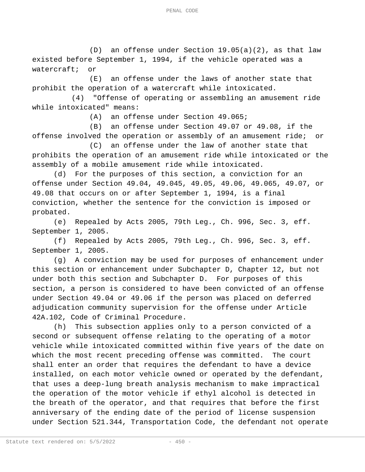(D) an offense under Section 19.05(a)(2), as that law existed before September 1, 1994, if the vehicle operated was a watercraft; or

(E) an offense under the laws of another state that prohibit the operation of a watercraft while intoxicated.

(4) "Offense of operating or assembling an amusement ride while intoxicated" means:

(A) an offense under Section 49.065;

(B) an offense under Section 49.07 or 49.08, if the offense involved the operation or assembly of an amusement ride; or

(C) an offense under the law of another state that prohibits the operation of an amusement ride while intoxicated or the assembly of a mobile amusement ride while intoxicated.

(d) For the purposes of this section, a conviction for an offense under Section 49.04, 49.045, 49.05, 49.06, 49.065, 49.07, or 49.08 that occurs on or after September 1, 1994, is a final conviction, whether the sentence for the conviction is imposed or probated.

(e) Repealed by Acts 2005, 79th Leg., Ch. 996, Sec. 3, eff. September 1, 2005.

(f) Repealed by Acts 2005, 79th Leg., Ch. 996, Sec. 3, eff. September 1, 2005.

(g) A conviction may be used for purposes of enhancement under this section or enhancement under Subchapter D, Chapter 12, but not under both this section and Subchapter D. For purposes of this section, a person is considered to have been convicted of an offense under Section 49.04 or 49.06 if the person was placed on deferred adjudication community supervision for the offense under Article 42A.102, Code of Criminal Procedure.

(h) This subsection applies only to a person convicted of a second or subsequent offense relating to the operating of a motor vehicle while intoxicated committed within five years of the date on which the most recent preceding offense was committed. The court shall enter an order that requires the defendant to have a device installed, on each motor vehicle owned or operated by the defendant, that uses a deep-lung breath analysis mechanism to make impractical the operation of the motor vehicle if ethyl alcohol is detected in the breath of the operator, and that requires that before the first anniversary of the ending date of the period of license suspension under Section 521.344, Transportation Code, the defendant not operate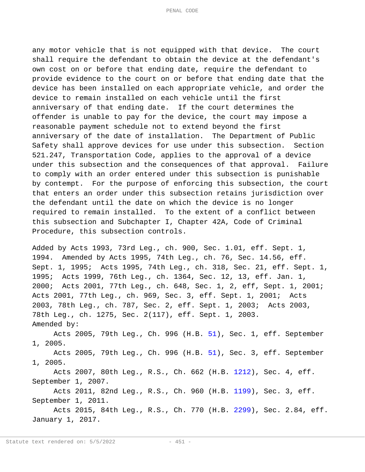any motor vehicle that is not equipped with that device. The court shall require the defendant to obtain the device at the defendant's own cost on or before that ending date, require the defendant to provide evidence to the court on or before that ending date that the device has been installed on each appropriate vehicle, and order the device to remain installed on each vehicle until the first anniversary of that ending date. If the court determines the offender is unable to pay for the device, the court may impose a reasonable payment schedule not to extend beyond the first anniversary of the date of installation. The Department of Public Safety shall approve devices for use under this subsection. Section 521.247, Transportation Code, applies to the approval of a device under this subsection and the consequences of that approval. Failure to comply with an order entered under this subsection is punishable by contempt. For the purpose of enforcing this subsection, the court that enters an order under this subsection retains jurisdiction over the defendant until the date on which the device is no longer required to remain installed. To the extent of a conflict between this subsection and Subchapter I, Chapter 42A, Code of Criminal Procedure, this subsection controls.

Added by Acts 1993, 73rd Leg., ch. 900, Sec. 1.01, eff. Sept. 1, 1994. Amended by Acts 1995, 74th Leg., ch. 76, Sec. 14.56, eff. Sept. 1, 1995; Acts 1995, 74th Leg., ch. 318, Sec. 21, eff. Sept. 1, 1995; Acts 1999, 76th Leg., ch. 1364, Sec. 12, 13, eff. Jan. 1, 2000; Acts 2001, 77th Leg., ch. 648, Sec. 1, 2, eff, Sept. 1, 2001; Acts 2001, 77th Leg., ch. 969, Sec. 3, eff. Sept. 1, 2001; Acts 2003, 78th Leg., ch. 787, Sec. 2, eff. Sept. 1, 2003; Acts 2003, 78th Leg., ch. 1275, Sec. 2(117), eff. Sept. 1, 2003. Amended by:

Acts 2005, 79th Leg., Ch. 996 (H.B. [51\)](http://www.legis.state.tx.us/tlodocs/79R/billtext/html/HB00051F.HTM), Sec. 1, eff. September 1, 2005.

Acts 2005, 79th Leg., Ch. 996 (H.B. [51\)](http://www.legis.state.tx.us/tlodocs/79R/billtext/html/HB00051F.HTM), Sec. 3, eff. September 1, 2005.

Acts 2007, 80th Leg., R.S., Ch. 662 (H.B. [1212](http://www.legis.state.tx.us/tlodocs/80R/billtext/html/HB01212F.HTM)), Sec. 4, eff. September 1, 2007.

Acts 2011, 82nd Leg., R.S., Ch. 960 (H.B. [1199](http://www.legis.state.tx.us/tlodocs/82R/billtext/html/HB01199F.HTM)), Sec. 3, eff. September 1, 2011.

Acts 2015, 84th Leg., R.S., Ch. 770 (H.B. [2299](http://www.legis.state.tx.us/tlodocs/84R/billtext/html/HB02299F.HTM)), Sec. 2.84, eff. January 1, 2017.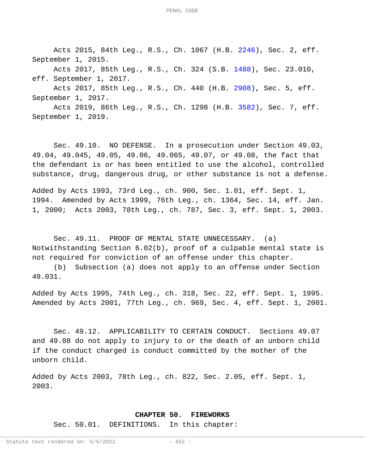Acts 2015, 84th Leg., R.S., Ch. 1067 (H.B. [2246](http://www.legis.state.tx.us/tlodocs/84R/billtext/html/HB02246F.HTM)), Sec. 2, eff. September 1, 2015.

Acts 2017, 85th Leg., R.S., Ch. 324 (S.B. [1488](http://www.legis.state.tx.us/tlodocs/85R/billtext/html/SB01488F.HTM)), Sec. 23.010, eff. September 1, 2017.

Acts 2017, 85th Leg., R.S., Ch. 440 (H.B. [2908](http://www.legis.state.tx.us/tlodocs/85R/billtext/html/HB02908F.HTM)), Sec. 5, eff. September 1, 2017.

Acts 2019, 86th Leg., R.S., Ch. 1298 (H.B. [3582](http://www.legis.state.tx.us/tlodocs/86R/billtext/html/HB03582F.HTM)), Sec. 7, eff. September 1, 2019.

Sec. 49.10. NO DEFENSE. In a prosecution under Section 49.03, 49.04, 49.045, 49.05, 49.06, 49.065, 49.07, or 49.08, the fact that the defendant is or has been entitled to use the alcohol, controlled substance, drug, dangerous drug, or other substance is not a defense.

Added by Acts 1993, 73rd Leg., ch. 900, Sec. 1.01, eff. Sept. 1, 1994. Amended by Acts 1999, 76th Leg., ch. 1364, Sec. 14, eff. Jan. 1, 2000; Acts 2003, 78th Leg., ch. 787, Sec. 3, eff. Sept. 1, 2003.

Sec. 49.11. PROOF OF MENTAL STATE UNNECESSARY. (a) Notwithstanding Section 6.02(b), proof of a culpable mental state is not required for conviction of an offense under this chapter.

(b) Subsection (a) does not apply to an offense under Section 49.031.

Added by Acts 1995, 74th Leg., ch. 318, Sec. 22, eff. Sept. 1, 1995. Amended by Acts 2001, 77th Leg., ch. 969, Sec. 4, eff. Sept. 1, 2001.

Sec. 49.12. APPLICABILITY TO CERTAIN CONDUCT. Sections 49.07 and 49.08 do not apply to injury to or the death of an unborn child if the conduct charged is conduct committed by the mother of the unborn child.

Added by Acts 2003, 78th Leg., ch. 822, Sec. 2.05, eff. Sept. 1, 2003.

#### **CHAPTER 50. FIREWORKS**

Sec. 50.01. DEFINITIONS. In this chapter: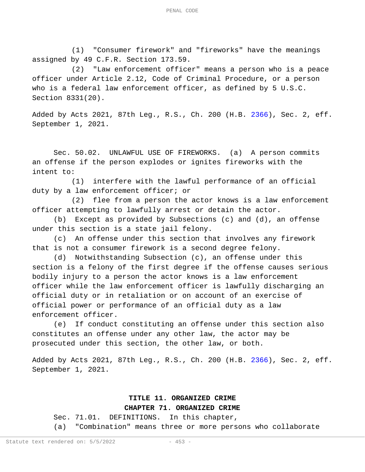(1) "Consumer firework" and "fireworks" have the meanings assigned by 49 C.F.R. Section 173.59.

(2) "Law enforcement officer" means a person who is a peace officer under Article 2.12, Code of Criminal Procedure, or a person who is a federal law enforcement officer, as defined by 5 U.S.C. Section 8331(20).

Added by Acts 2021, 87th Leg., R.S., Ch. 200 (H.B. [2366](http://www.legis.state.tx.us/tlodocs/87R/billtext/html/HB02366F.HTM)), Sec. 2, eff. September 1, 2021.

Sec. 50.02. UNLAWFUL USE OF FIREWORKS. (a) A person commits an offense if the person explodes or ignites fireworks with the intent to:

(1) interfere with the lawful performance of an official duty by a law enforcement officer; or

(2) flee from a person the actor knows is a law enforcement officer attempting to lawfully arrest or detain the actor.

(b) Except as provided by Subsections (c) and (d), an offense under this section is a state jail felony.

(c) An offense under this section that involves any firework that is not a consumer firework is a second degree felony.

(d) Notwithstanding Subsection (c), an offense under this section is a felony of the first degree if the offense causes serious bodily injury to a person the actor knows is a law enforcement officer while the law enforcement officer is lawfully discharging an official duty or in retaliation or on account of an exercise of official power or performance of an official duty as a law enforcement officer.

(e) If conduct constituting an offense under this section also constitutes an offense under any other law, the actor may be prosecuted under this section, the other law, or both.

Added by Acts 2021, 87th Leg., R.S., Ch. 200 (H.B. [2366](http://www.legis.state.tx.us/tlodocs/87R/billtext/html/HB02366F.HTM)), Sec. 2, eff. September 1, 2021.

# **TITLE 11. ORGANIZED CRIME CHAPTER 71. ORGANIZED CRIME**

Sec. 71.01. DEFINITIONS. In this chapter, (a) "Combination" means three or more persons who collaborate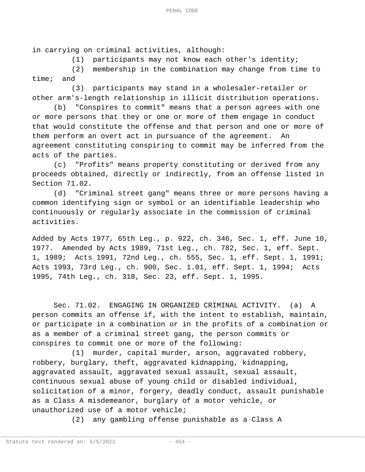in carrying on criminal activities, although:

(1) participants may not know each other's identity;

(2) membership in the combination may change from time to time; and

(3) participants may stand in a wholesaler-retailer or other arm's-length relationship in illicit distribution operations.

(b) "Conspires to commit" means that a person agrees with one or more persons that they or one or more of them engage in conduct that would constitute the offense and that person and one or more of them perform an overt act in pursuance of the agreement. An agreement constituting conspiring to commit may be inferred from the acts of the parties.

(c) "Profits" means property constituting or derived from any proceeds obtained, directly or indirectly, from an offense listed in Section 71.02.

(d) "Criminal street gang" means three or more persons having a common identifying sign or symbol or an identifiable leadership who continuously or regularly associate in the commission of criminal activities.

Added by Acts 1977, 65th Leg., p. 922, ch. 346, Sec. 1, eff. June 10, 1977. Amended by Acts 1989, 71st Leg., ch. 782, Sec. 1, eff. Sept. 1, 1989; Acts 1991, 72nd Leg., ch. 555, Sec. 1, eff. Sept. 1, 1991; Acts 1993, 73rd Leg., ch. 900, Sec. 1.01, eff. Sept. 1, 1994; Acts 1995, 74th Leg., ch. 318, Sec. 23, eff. Sept. 1, 1995.

Sec. 71.02. ENGAGING IN ORGANIZED CRIMINAL ACTIVITY. (a) A person commits an offense if, with the intent to establish, maintain, or participate in a combination or in the profits of a combination or as a member of a criminal street gang, the person commits or conspires to commit one or more of the following:

(1) murder, capital murder, arson, aggravated robbery, robbery, burglary, theft, aggravated kidnapping, kidnapping, aggravated assault, aggravated sexual assault, sexual assault, continuous sexual abuse of young child or disabled individual, solicitation of a minor, forgery, deadly conduct, assault punishable as a Class A misdemeanor, burglary of a motor vehicle, or unauthorized use of a motor vehicle;

(2) any gambling offense punishable as a Class A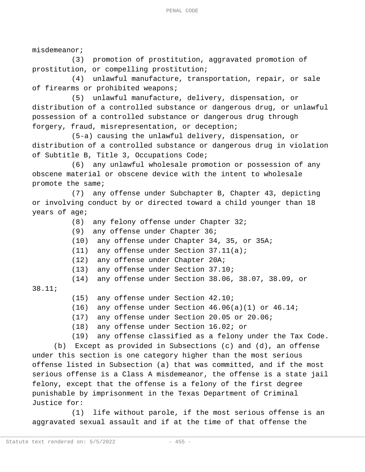misdemeanor;

(3) promotion of prostitution, aggravated promotion of prostitution, or compelling prostitution;

(4) unlawful manufacture, transportation, repair, or sale of firearms or prohibited weapons;

(5) unlawful manufacture, delivery, dispensation, or distribution of a controlled substance or dangerous drug, or unlawful possession of a controlled substance or dangerous drug through forgery, fraud, misrepresentation, or deception;

(5-a) causing the unlawful delivery, dispensation, or distribution of a controlled substance or dangerous drug in violation of Subtitle B, Title 3, Occupations Code;

(6) any unlawful wholesale promotion or possession of any obscene material or obscene device with the intent to wholesale promote the same;

(7) any offense under Subchapter B, Chapter 43, depicting or involving conduct by or directed toward a child younger than 18 years of age;

|   | (8)  | any felony offense under Chapter 32;                   |  |
|---|------|--------------------------------------------------------|--|
|   | (9)  | any offense under Chapter 36;                          |  |
|   | (10) | any offense under Chapter 34, 35, or 35A;              |  |
|   | (11) | any offense under Section 37.11(a);                    |  |
|   |      | $(12)$ any offense under Chapter 20A;                  |  |
|   |      | (13) any offense under Section 37.10;                  |  |
|   | (14) | any offense under Section 38.06, 38.07, 38.09, or      |  |
| ÷ |      |                                                        |  |
|   | (15) | any offense under Section 42.10;                       |  |
|   | (16) | any offense under Section $46.06(a)(1)$ or $46.14i$    |  |
|   |      | $(17)$ any offense under Section 20.05 or 20.06;       |  |
|   | (18) | any offense under Section 16.02; or                    |  |
|   | (19) | any offense classified as a felony under the Tax Code. |  |

(b) Except as provided in Subsections (c) and (d), an offense under this section is one category higher than the most serious offense listed in Subsection (a) that was committed, and if the most serious offense is a Class A misdemeanor, the offense is a state jail felony, except that the offense is a felony of the first degree punishable by imprisonment in the Texas Department of Criminal Justice for:

(1) life without parole, if the most serious offense is an aggravated sexual assault and if at the time of that offense the

38.11;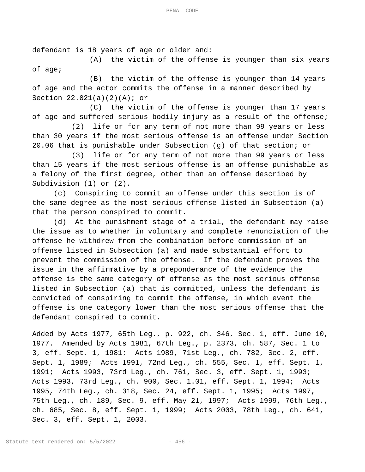defendant is 18 years of age or older and:

(A) the victim of the offense is younger than six years of age;

(B) the victim of the offense is younger than 14 years of age and the actor commits the offense in a manner described by Section 22.021(a)(2)(A); or

(C) the victim of the offense is younger than 17 years of age and suffered serious bodily injury as a result of the offense;

(2) life or for any term of not more than 99 years or less than 30 years if the most serious offense is an offense under Section 20.06 that is punishable under Subsection (g) of that section; or

(3) life or for any term of not more than 99 years or less than 15 years if the most serious offense is an offense punishable as a felony of the first degree, other than an offense described by Subdivision (1) or (2).

(c) Conspiring to commit an offense under this section is of the same degree as the most serious offense listed in Subsection (a) that the person conspired to commit.

(d) At the punishment stage of a trial, the defendant may raise the issue as to whether in voluntary and complete renunciation of the offense he withdrew from the combination before commission of an offense listed in Subsection (a) and made substantial effort to prevent the commission of the offense. If the defendant proves the issue in the affirmative by a preponderance of the evidence the offense is the same category of offense as the most serious offense listed in Subsection (a) that is committed, unless the defendant is convicted of conspiring to commit the offense, in which event the offense is one category lower than the most serious offense that the defendant conspired to commit.

Added by Acts 1977, 65th Leg., p. 922, ch. 346, Sec. 1, eff. June 10, 1977. Amended by Acts 1981, 67th Leg., p. 2373, ch. 587, Sec. 1 to 3, eff. Sept. 1, 1981; Acts 1989, 71st Leg., ch. 782, Sec. 2, eff. Sept. 1, 1989; Acts 1991, 72nd Leg., ch. 555, Sec. 1, eff. Sept. 1, 1991; Acts 1993, 73rd Leg., ch. 761, Sec. 3, eff. Sept. 1, 1993; Acts 1993, 73rd Leg., ch. 900, Sec. 1.01, eff. Sept. 1, 1994; Acts 1995, 74th Leg., ch. 318, Sec. 24, eff. Sept. 1, 1995; Acts 1997, 75th Leg., ch. 189, Sec. 9, eff. May 21, 1997; Acts 1999, 76th Leg., ch. 685, Sec. 8, eff. Sept. 1, 1999; Acts 2003, 78th Leg., ch. 641, Sec. 3, eff. Sept. 1, 2003.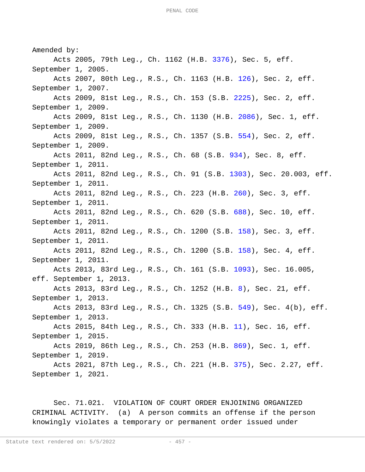Amended by: Acts 2005, 79th Leg., Ch. 1162 (H.B. [3376](http://www.legis.state.tx.us/tlodocs/79R/billtext/html/HB03376F.HTM)), Sec. 5, eff. September 1, 2005. Acts 2007, 80th Leg., R.S., Ch. 1163 (H.B. [126](http://www.legis.state.tx.us/tlodocs/80R/billtext/html/HB00126F.HTM)), Sec. 2, eff. September 1, 2007. Acts 2009, 81st Leg., R.S., Ch. 153 (S.B. [2225](http://www.legis.state.tx.us/tlodocs/81R/billtext/html/SB02225F.HTM)), Sec. 2, eff. September 1, 2009. Acts 2009, 81st Leg., R.S., Ch. 1130 (H.B. [2086](http://www.legis.state.tx.us/tlodocs/81R/billtext/html/HB02086F.HTM)), Sec. 1, eff. September 1, 2009. Acts 2009, 81st Leg., R.S., Ch. 1357 (S.B. [554](http://www.legis.state.tx.us/tlodocs/81R/billtext/html/SB00554F.HTM)), Sec. 2, eff. September 1, 2009. Acts 2011, 82nd Leg., R.S., Ch. 68 (S.B. [934\)](http://www.legis.state.tx.us/tlodocs/82R/billtext/html/SB00934F.HTM), Sec. 8, eff. September 1, 2011. Acts 2011, 82nd Leg., R.S., Ch. 91 (S.B. [1303\)](http://www.legis.state.tx.us/tlodocs/82R/billtext/html/SB01303F.HTM), Sec. 20.003, eff. September 1, 2011. Acts 2011, 82nd Leg., R.S., Ch. 223 (H.B. [260](http://www.legis.state.tx.us/tlodocs/82R/billtext/html/HB00260F.HTM)), Sec. 3, eff. September 1, 2011. Acts 2011, 82nd Leg., R.S., Ch. 620 (S.B. [688](http://www.legis.state.tx.us/tlodocs/82R/billtext/html/SB00688F.HTM)), Sec. 10, eff. September 1, 2011. Acts 2011, 82nd Leg., R.S., Ch. 1200 (S.B. [158](http://www.legis.state.tx.us/tlodocs/82R/billtext/html/SB00158F.HTM)), Sec. 3, eff. September 1, 2011. Acts 2011, 82nd Leg., R.S., Ch. 1200 (S.B. [158](http://www.legis.state.tx.us/tlodocs/82R/billtext/html/SB00158F.HTM)), Sec. 4, eff. September 1, 2011. Acts 2013, 83rd Leg., R.S., Ch. 161 (S.B. [1093](http://www.legis.state.tx.us/tlodocs/83R/billtext/html/SB01093F.HTM)), Sec. 16.005, eff. September 1, 2013. Acts 2013, 83rd Leg., R.S., Ch. 1252 (H.B. [8\)](http://www.legis.state.tx.us/tlodocs/83R/billtext/html/HB00008F.HTM), Sec. 21, eff. September 1, 2013. Acts 2013, 83rd Leg., R.S., Ch. 1325 (S.B. [549](http://www.legis.state.tx.us/tlodocs/83R/billtext/html/SB00549F.HTM)), Sec. 4(b), eff. September 1, 2013. Acts 2015, 84th Leg., R.S., Ch. 333 (H.B. [11\)](http://www.legis.state.tx.us/tlodocs/84R/billtext/html/HB00011F.HTM), Sec. 16, eff. September 1, 2015. Acts 2019, 86th Leg., R.S., Ch. 253 (H.B. [869](http://www.legis.state.tx.us/tlodocs/86R/billtext/html/HB00869F.HTM)), Sec. 1, eff. September 1, 2019. Acts 2021, 87th Leg., R.S., Ch. 221 (H.B. [375](http://www.legis.state.tx.us/tlodocs/87R/billtext/html/HB00375F.HTM)), Sec. 2.27, eff. September 1, 2021.

Sec. 71.021. VIOLATION OF COURT ORDER ENJOINING ORGANIZED CRIMINAL ACTIVITY. (a) A person commits an offense if the person knowingly violates a temporary or permanent order issued under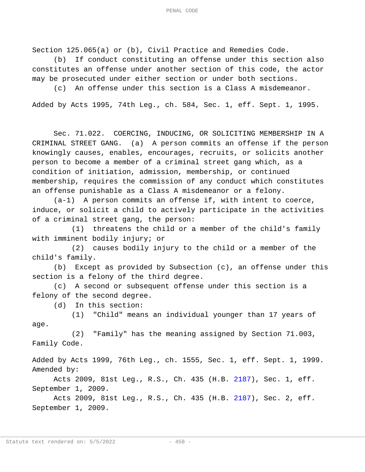Section 125.065(a) or (b), Civil Practice and Remedies Code.

(b) If conduct constituting an offense under this section also constitutes an offense under another section of this code, the actor may be prosecuted under either section or under both sections.

(c) An offense under this section is a Class A misdemeanor.

Added by Acts 1995, 74th Leg., ch. 584, Sec. 1, eff. Sept. 1, 1995.

Sec. 71.022. COERCING, INDUCING, OR SOLICITING MEMBERSHIP IN A CRIMINAL STREET GANG. (a) A person commits an offense if the person knowingly causes, enables, encourages, recruits, or solicits another person to become a member of a criminal street gang which, as a condition of initiation, admission, membership, or continued membership, requires the commission of any conduct which constitutes an offense punishable as a Class A misdemeanor or a felony.

(a-1) A person commits an offense if, with intent to coerce, induce, or solicit a child to actively participate in the activities of a criminal street gang, the person:

(1) threatens the child or a member of the child's family with imminent bodily injury; or

(2) causes bodily injury to the child or a member of the child's family.

(b) Except as provided by Subsection (c), an offense under this section is a felony of the third degree.

(c) A second or subsequent offense under this section is a felony of the second degree.

(d) In this section:

(1) "Child" means an individual younger than 17 years of age.

(2) "Family" has the meaning assigned by Section 71.003, Family Code.

Added by Acts 1999, 76th Leg., ch. 1555, Sec. 1, eff. Sept. 1, 1999. Amended by:

Acts 2009, 81st Leg., R.S., Ch. 435 (H.B. [2187](http://www.legis.state.tx.us/tlodocs/81R/billtext/html/HB02187F.HTM)), Sec. 1, eff. September 1, 2009.

Acts 2009, 81st Leg., R.S., Ch. 435 (H.B. [2187](http://www.legis.state.tx.us/tlodocs/81R/billtext/html/HB02187F.HTM)), Sec. 2, eff. September 1, 2009.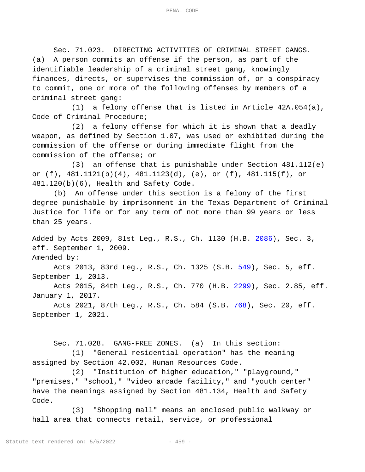Sec. 71.023. DIRECTING ACTIVITIES OF CRIMINAL STREET GANGS. (a) A person commits an offense if the person, as part of the identifiable leadership of a criminal street gang, knowingly finances, directs, or supervises the commission of, or a conspiracy to commit, one or more of the following offenses by members of a criminal street gang:

(1) a felony offense that is listed in Article 42A.054(a), Code of Criminal Procedure;

(2) a felony offense for which it is shown that a deadly weapon, as defined by Section 1.07, was used or exhibited during the commission of the offense or during immediate flight from the commission of the offense; or

(3) an offense that is punishable under Section  $481.112(e)$ or (f), 481.1121(b)(4), 481.1123(d), (e), or (f), 481.115(f), or 481.120(b)(6), Health and Safety Code.

(b) An offense under this section is a felony of the first degree punishable by imprisonment in the Texas Department of Criminal Justice for life or for any term of not more than 99 years or less than 25 years.

Added by Acts 2009, 81st Leg., R.S., Ch. 1130 (H.B. [2086](http://www.legis.state.tx.us/tlodocs/81R/billtext/html/HB02086F.HTM)), Sec. 3, eff. September 1, 2009.

Amended by:

Acts 2013, 83rd Leg., R.S., Ch. 1325 (S.B. [549](http://www.legis.state.tx.us/tlodocs/83R/billtext/html/SB00549F.HTM)), Sec. 5, eff. September 1, 2013.

Acts 2015, 84th Leg., R.S., Ch. 770 (H.B. [2299](http://www.legis.state.tx.us/tlodocs/84R/billtext/html/HB02299F.HTM)), Sec. 2.85, eff. January 1, 2017.

Acts 2021, 87th Leg., R.S., Ch. 584 (S.B. [768](http://www.legis.state.tx.us/tlodocs/87R/billtext/html/SB00768F.HTM)), Sec. 20, eff. September 1, 2021.

Sec. 71.028. GANG-FREE ZONES. (a) In this section: (1) "General residential operation" has the meaning assigned by Section 42.002, Human Resources Code.

(2) "Institution of higher education," "playground," "premises," "school," "video arcade facility," and "youth center" have the meanings assigned by Section 481.134, Health and Safety Code.

(3) "Shopping mall" means an enclosed public walkway or hall area that connects retail, service, or professional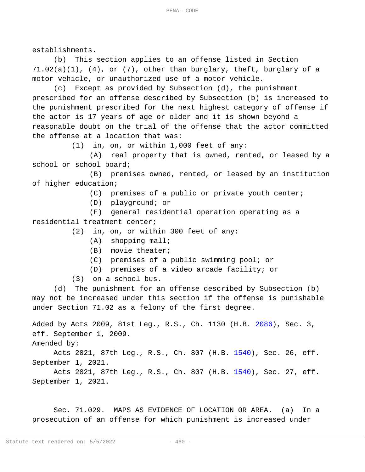establishments.

(b) This section applies to an offense listed in Section  $71.02(a)(1)$ ,  $(4)$ , or  $(7)$ , other than burglary, theft, burglary of a motor vehicle, or unauthorized use of a motor vehicle.

(c) Except as provided by Subsection (d), the punishment prescribed for an offense described by Subsection (b) is increased to the punishment prescribed for the next highest category of offense if the actor is 17 years of age or older and it is shown beyond a reasonable doubt on the trial of the offense that the actor committed the offense at a location that was:

(1) in, on, or within 1,000 feet of any:

(A) real property that is owned, rented, or leased by a school or school board;

(B) premises owned, rented, or leased by an institution of higher education;

(C) premises of a public or private youth center;

(D) playground; or

(E) general residential operation operating as a residential treatment center;

(2) in, on, or within 300 feet of any:

- (A) shopping mall;
- (B) movie theater;
- (C) premises of a public swimming pool; or
- (D) premises of a video arcade facility; or
- (3) on a school bus.

(d) The punishment for an offense described by Subsection (b) may not be increased under this section if the offense is punishable under Section 71.02 as a felony of the first degree.

Added by Acts 2009, 81st Leg., R.S., Ch. 1130 (H.B. [2086](http://www.legis.state.tx.us/tlodocs/81R/billtext/html/HB02086F.HTM)), Sec. 3, eff. September 1, 2009. Amended by: Acts 2021, 87th Leg., R.S., Ch. 807 (H.B. [1540](http://www.legis.state.tx.us/tlodocs/87R/billtext/html/HB01540F.HTM)), Sec. 26, eff. September 1, 2021.

Acts 2021, 87th Leg., R.S., Ch. 807 (H.B. [1540](http://www.legis.state.tx.us/tlodocs/87R/billtext/html/HB01540F.HTM)), Sec. 27, eff. September 1, 2021.

Sec. 71.029. MAPS AS EVIDENCE OF LOCATION OR AREA. (a) In a prosecution of an offense for which punishment is increased under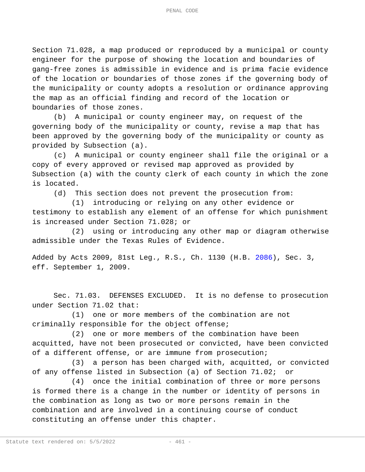Section 71.028, a map produced or reproduced by a municipal or county engineer for the purpose of showing the location and boundaries of gang-free zones is admissible in evidence and is prima facie evidence of the location or boundaries of those zones if the governing body of the municipality or county adopts a resolution or ordinance approving the map as an official finding and record of the location or boundaries of those zones.

(b) A municipal or county engineer may, on request of the governing body of the municipality or county, revise a map that has been approved by the governing body of the municipality or county as provided by Subsection (a).

(c) A municipal or county engineer shall file the original or a copy of every approved or revised map approved as provided by Subsection (a) with the county clerk of each county in which the zone is located.

(d) This section does not prevent the prosecution from:

(1) introducing or relying on any other evidence or testimony to establish any element of an offense for which punishment is increased under Section 71.028; or

(2) using or introducing any other map or diagram otherwise admissible under the Texas Rules of Evidence.

Added by Acts 2009, 81st Leg., R.S., Ch. 1130 (H.B. [2086](http://www.legis.state.tx.us/tlodocs/81R/billtext/html/HB02086F.HTM)), Sec. 3, eff. September 1, 2009.

Sec. 71.03. DEFENSES EXCLUDED. It is no defense to prosecution under Section 71.02 that:

(1) one or more members of the combination are not criminally responsible for the object offense;

(2) one or more members of the combination have been acquitted, have not been prosecuted or convicted, have been convicted of a different offense, or are immune from prosecution;

(3) a person has been charged with, acquitted, or convicted of any offense listed in Subsection (a) of Section 71.02; or

(4) once the initial combination of three or more persons is formed there is a change in the number or identity of persons in the combination as long as two or more persons remain in the combination and are involved in a continuing course of conduct constituting an offense under this chapter.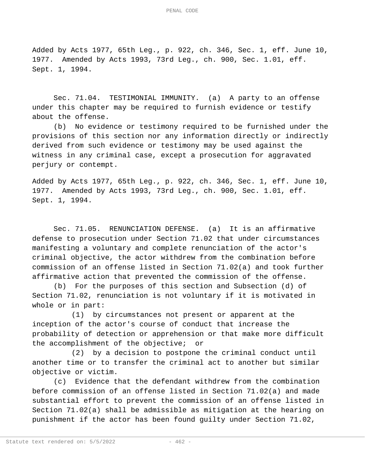Added by Acts 1977, 65th Leg., p. 922, ch. 346, Sec. 1, eff. June 10, 1977. Amended by Acts 1993, 73rd Leg., ch. 900, Sec. 1.01, eff. Sept. 1, 1994.

Sec. 71.04. TESTIMONIAL IMMUNITY. (a) A party to an offense under this chapter may be required to furnish evidence or testify about the offense.

(b) No evidence or testimony required to be furnished under the provisions of this section nor any information directly or indirectly derived from such evidence or testimony may be used against the witness in any criminal case, except a prosecution for aggravated perjury or contempt.

Added by Acts 1977, 65th Leg., p. 922, ch. 346, Sec. 1, eff. June 10, 1977. Amended by Acts 1993, 73rd Leg., ch. 900, Sec. 1.01, eff. Sept. 1, 1994.

Sec. 71.05. RENUNCIATION DEFENSE. (a) It is an affirmative defense to prosecution under Section 71.02 that under circumstances manifesting a voluntary and complete renunciation of the actor's criminal objective, the actor withdrew from the combination before commission of an offense listed in Section 71.02(a) and took further affirmative action that prevented the commission of the offense.

(b) For the purposes of this section and Subsection (d) of Section 71.02, renunciation is not voluntary if it is motivated in whole or in part:

(1) by circumstances not present or apparent at the inception of the actor's course of conduct that increase the probability of detection or apprehension or that make more difficult the accomplishment of the objective; or

(2) by a decision to postpone the criminal conduct until another time or to transfer the criminal act to another but similar objective or victim.

(c) Evidence that the defendant withdrew from the combination before commission of an offense listed in Section 71.02(a) and made substantial effort to prevent the commission of an offense listed in Section 71.02(a) shall be admissible as mitigation at the hearing on punishment if the actor has been found guilty under Section 71.02,